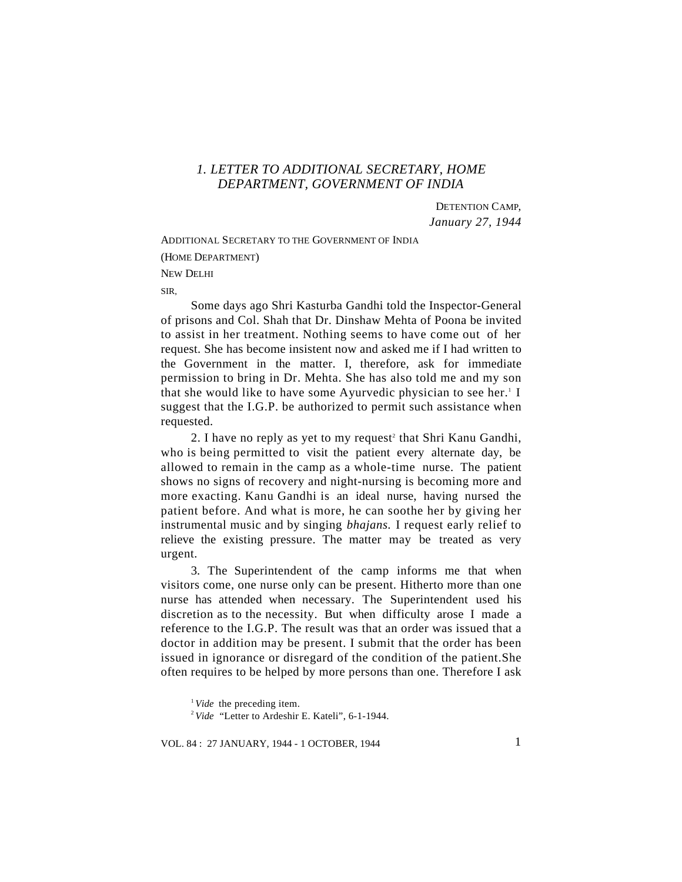# *1. LETTER TO ADDITIONAL SECRETARY, HOME DEPARTMENT, GOVERNMENT OF INDIA*

DETENTION CAMP, *January 27, 1944*

ADDITIONAL SECRETARY TO THE GOVERNMENT OF INDIA

(HOME DEPARTMENT)

NEW DELHI

SIR,

Some days ago Shri Kasturba Gandhi told the Inspector-General of prisons and Col. Shah that Dr. Dinshaw Mehta of Poona be invited to assist in her treatment. Nothing seems to have come out of her request. She has become insistent now and asked me if I had written to the Government in the matter. I, therefore, ask for immediate permission to bring in Dr. Mehta. She has also told me and my son that she would like to have some Ayurvedic physician to see her.<sup>1</sup> I suggest that the I.G.P. be authorized to permit such assistance when requested.

2. I have no reply as yet to my request<sup>2</sup> that Shri Kanu Gandhi, who is being permitted to visit the patient every alternate day, be allowed to remain in the camp as a whole-time nurse. The patient shows no signs of recovery and night-nursing is becoming more and more exacting. Kanu Gandhi is an ideal nurse, having nursed the patient before. And what is more, he can soothe her by giving her instrumental music and by singing *bhajans.* I request early relief to relieve the existing pressure. The matter may be treated as very urgent.

3. The Superintendent of the camp informs me that when visitors come, one nurse only can be present. Hitherto more than one nurse has attended when necessary. The Superintendent used his discretion as to the necessity. But when difficulty arose I made a reference to the I.G.P. The result was that an order was issued that a doctor in addition may be present. I submit that the order has been issued in ignorance or disregard of the condition of the patient.She often requires to be helped by more persons than one. Therefore I ask

<sup>&</sup>lt;sup>1</sup>*Vide* the preceding item.

<sup>2</sup>*Vide* "Letter to Ardeshir E. Kateli", 6-1-1944.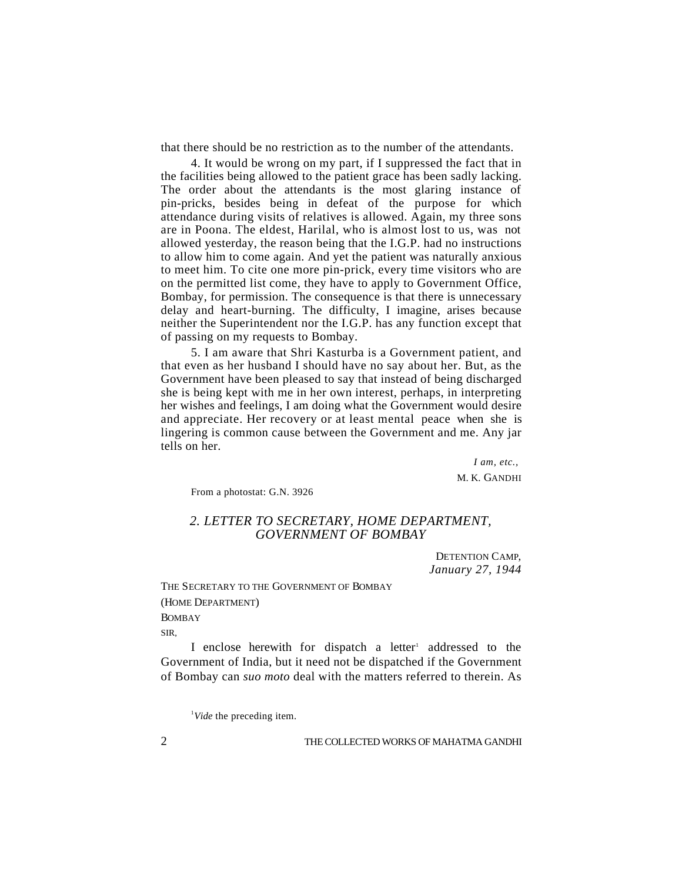that there should be no restriction as to the number of the attendants.

4. It would be wrong on my part, if I suppressed the fact that in the facilities being allowed to the patient grace has been sadly lacking. The order about the attendants is the most glaring instance of pin-pricks, besides being in defeat of the purpose for which attendance during visits of relatives is allowed. Again, my three sons are in Poona. The eldest, Harilal, who is almost lost to us, was not allowed yesterday, the reason being that the I.G.P. had no instructions to allow him to come again. And yet the patient was naturally anxious to meet him. To cite one more pin-prick, every time visitors who are on the permitted list come, they have to apply to Government Office, Bombay, for permission. The consequence is that there is unnecessary delay and heart-burning. The difficulty, I imagine, arises because neither the Superintendent nor the I.G.P. has any function except that of passing on my requests to Bombay.

5. I am aware that Shri Kasturba is a Government patient, and that even as her husband I should have no say about her. But, as the Government have been pleased to say that instead of being discharged she is being kept with me in her own interest, perhaps, in interpreting her wishes and feelings, I am doing what the Government would desire and appreciate. Her recovery or at least mental peace when she is lingering is common cause between the Government and me. Any jar tells on her.

> *I am, etc.,*  M. K. GANDHI

From a photostat: G.N. 3926

### *2. LETTER TO SECRETARY, HOME DEPARTMENT, GOVERNMENT OF BOMBAY*

DETENTION CAMP, *January 27, 1944*

THE SECRETARY TO THE GOVERNMENT OF BOMBAY (HOME DEPARTMENT) BOMBAY SIR,

I enclose herewith for dispatch a letter' addressed to the Government of India, but it need not be dispatched if the Government of Bombay can *suo moto* deal with the matters referred to therein. As

<sup>1</sup>*Vide* the preceding item.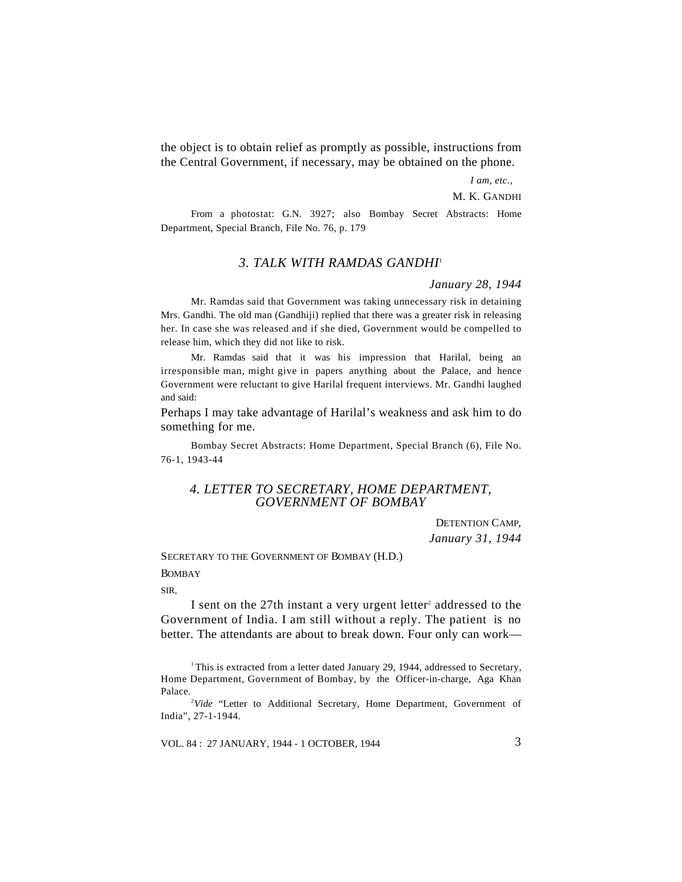the object is to obtain relief as promptly as possible, instructions from the Central Government, if necessary, may be obtained on the phone.

*I am, etc.,*

M. K. GANDHI

From a photostat: G.N. 3927; also Bombay Secret Abstracts: Home Department, Special Branch, File No. 76, p. 179

#### *3. TALK WITH RAMDAS GANDHI*<sup>1</sup>

#### *January 28, 1944*

Mr. Ramdas said that Government was taking unnecessary risk in detaining Mrs. Gandhi. The old man (Gandhiji) replied that there was a greater risk in releasing her. In case she was released and if she died, Government would be compelled to release him, which they did not like to risk.

Mr. Ramdas said that it was his impression that Harilal, being an irresponsible man, might give in papers anything about the Palace, and hence Government were reluctant to give Harilal frequent interviews. Mr. Gandhi laughed and said:

Perhaps I may take advantage of Harilal's weakness and ask him to do something for me.

Bombay Secret Abstracts: Home Department, Special Branch (6), File No. 76-1, 1943-44

#### *4. LETTER TO SECRETARY, HOME DEPARTMENT, GOVERNMENT OF BOMBAY*

DETENTION CAMP, *January 31, 1944*

#### SECRETARY TO THE GOVERNMENT OF BOMBAY (H.D.)

#### BOMBAY

SIR,

I sent on the 27th instant a very urgent letter<sup>2</sup> addressed to the Government of India. I am still without a reply. The patient is no better. The attendants are about to break down. Four only can work—

<sup>1</sup>This is extracted from a letter dated January 29, 1944, addressed to Secretary, Home Department, Government of Bombay, by the Officer-in-charge, Aga Khan Palace.

<sup>2</sup>Vide "Letter to Additional Secretary, Home Department, Government of India", 27-1-1944.

VOL. 84 : 27 JANUARY, 1944 - 1 OCTOBER, 1944 3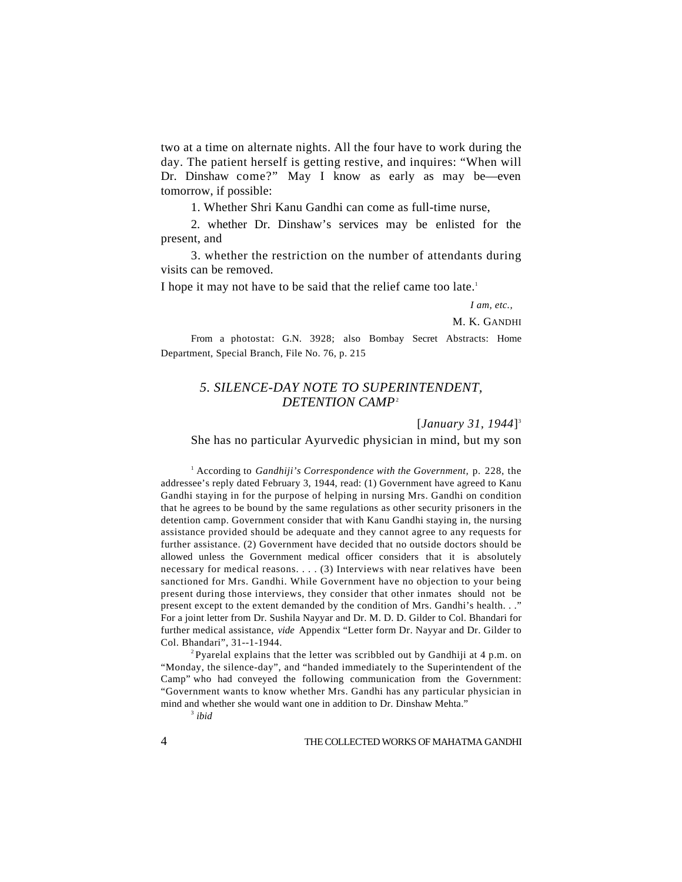two at a time on alternate nights. All the four have to work during the day. The patient herself is getting restive, and inquires: "When will Dr. Dinshaw come?" May I know as early as may be—even tomorrow, if possible:

1. Whether Shri Kanu Gandhi can come as full-time nurse,

2. whether Dr. Dinshaw's services may be enlisted for the present, and

3. whether the restriction on the number of attendants during visits can be removed.

I hope it may not have to be said that the relief came too late.<sup>1</sup>

*I am, etc.,*

M. K. GANDHI

From a photostat: G.N. 3928; also Bombay Secret Abstracts: Home Department, Special Branch, File No. 76, p. 215

# *5. SILENCE-DAY NOTE TO SUPERINTENDENT, DETENTION CAMP*<sup>2</sup>

[*January 31, 1944*] 3

She has no particular Ayurvedic physician in mind, but my son

<sup>1</sup> According to *Gandhiji's Correspondence with the Government*, p. 228, the addressee's reply dated February 3, 1944, read: (1) Government have agreed to Kanu Gandhi staying in for the purpose of helping in nursing Mrs. Gandhi on condition that he agrees to be bound by the same regulations as other security prisoners in the detention camp. Government consider that with Kanu Gandhi staying in, the nursing assistance provided should be adequate and they cannot agree to any requests for further assistance. (2) Government have decided that no outside doctors should be allowed unless the Government medical officer considers that it is absolutely necessary for medical reasons. . . . (3) Interviews with near relatives have been sanctioned for Mrs. Gandhi. While Government have no objection to your being present during those interviews, they consider that other inmates should not be present except to the extent demanded by the condition of Mrs. Gandhi's health. . ." For a joint letter from Dr. Sushila Nayyar and Dr. M. D. D. Gilder to Col. Bhandari for further medical assistance, *vide* Appendix "Letter form Dr. Nayyar and Dr. Gilder to Col. Bhandari", 31--1-1944.

<sup>2</sup> Pyarelal explains that the letter was scribbled out by Gandhiji at 4 p.m. on "Monday, the silence-day", and "handed immediately to the Superintendent of the Camp" who had conveyed the following communication from the Government: "Government wants to know whether Mrs. Gandhi has any particular physician in mind and whether she would want one in addition to Dr. Dinshaw Mehta."

3 *ibid*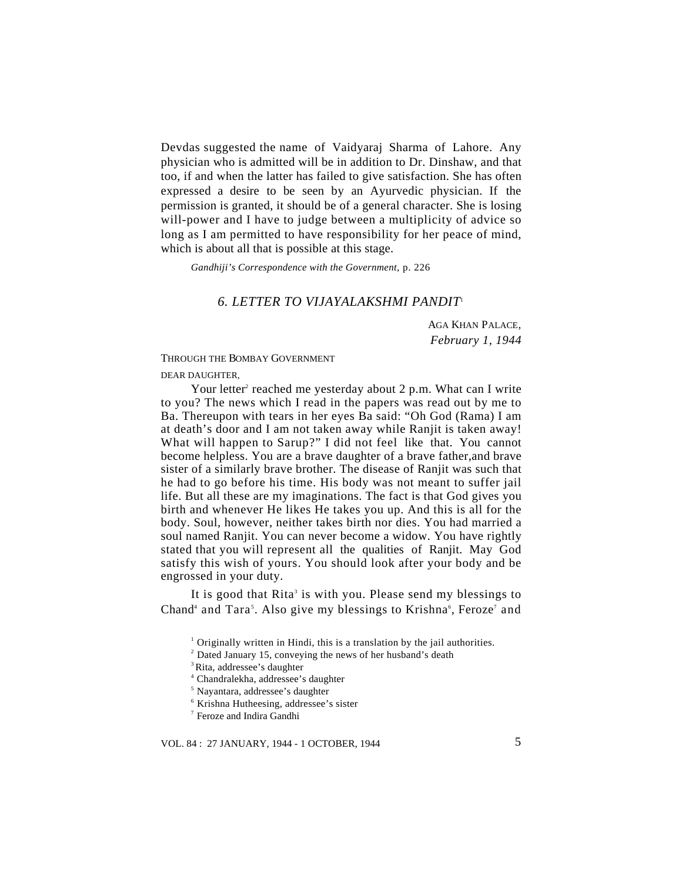Devdas suggested the name of Vaidyaraj Sharma of Lahore. Any physician who is admitted will be in addition to Dr. Dinshaw, and that too, if and when the latter has failed to give satisfaction. She has often expressed a desire to be seen by an Ayurvedic physician. If the permission is granted, it should be of a general character. She is losing will-power and I have to judge between a multiplicity of advice so long as I am permitted to have responsibility for her peace of mind, which is about all that is possible at this stage.

*Gandhiji's Correspondence with the Government*, p. 226

#### *6. LETTER TO VIJAYALAKSHMI PANDIT*<sup>1</sup>

AGA KHAN PALACE, *February 1, 1944*

#### THROUGH THE BOMBAY GOVERNMENT

DEAR DAUGHTER,

Your letter<sup>2</sup> reached me yesterday about 2 p.m. What can I write to you? The news which I read in the papers was read out by me to Ba. Thereupon with tears in her eyes Ba said: "Oh God (Rama) I am at death's door and I am not taken away while Ranjit is taken away! What will happen to Sarup?" I did not feel like that. You cannot become helpless. You are a brave daughter of a brave father,and brave sister of a similarly brave brother. The disease of Ranjit was such that he had to go before his time. His body was not meant to suffer jail life. But all these are my imaginations. The fact is that God gives you birth and whenever He likes He takes you up. And this is all for the body. Soul, however, neither takes birth nor dies. You had married a soul named Ranjit. You can never become a widow. You have rightly stated that you will represent all the qualities of Ranjit. May God satisfy this wish of yours. You should look after your body and be engrossed in your duty.

It is good that Rita<sup>3</sup> is with you. Please send my blessings to Chand<sup>4</sup> and Tara<sup>5</sup>. Also give my blessings to Krishna<sup>6</sup>, Feroze<sup>7</sup> and

<sup>1</sup> Originally written in Hindi, this is a translation by the jail authorities.

 $2$  Dated January 15, conveying the news of her husband's death

<sup>3</sup>Rita, addressee's daughter

4 Chandralekha, addressee's daughter

5 Nayantara, addressee's daughter

6 Krishna Hutheesing, addressee's sister

7 Feroze and Indira Gandhi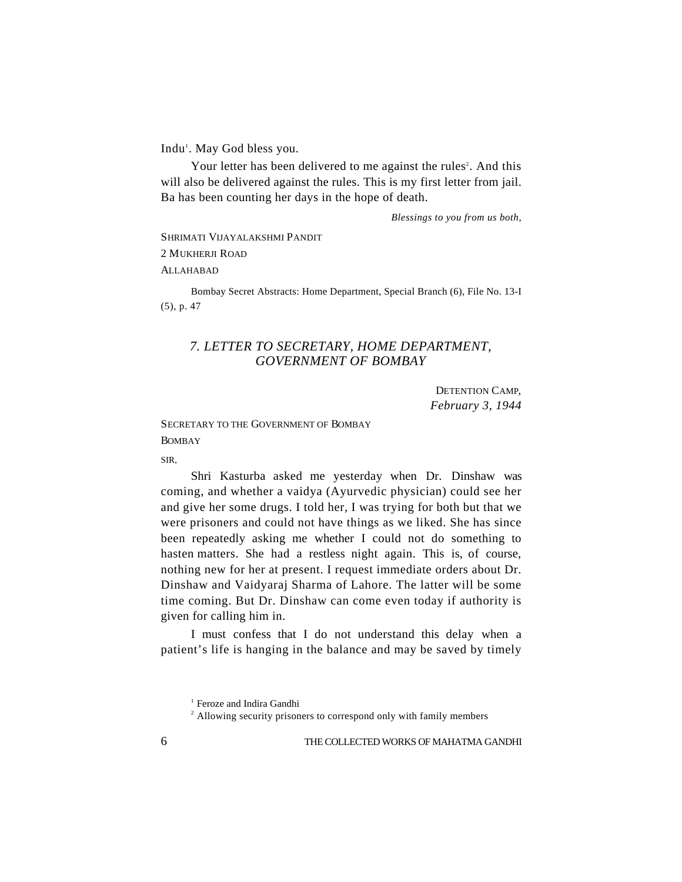Indu<sup>1</sup>. May God bless you.

Your letter has been delivered to me against the rules<sup>2</sup>. And this will also be delivered against the rules. This is my first letter from jail. Ba has been counting her days in the hope of death.

*Blessings to you from us both,*

SHRIMATI VIJAYALAKSHMI PANDIT 2 MUKHERJI ROAD ALLAHABAD

Bombay Secret Abstracts: Home Department, Special Branch (6), File No. 13-I (5), p. 47

# *7. LETTER TO SECRETARY, HOME DEPARTMENT, GOVERNMENT OF BOMBAY*

DETENTION CAMP, *February 3, 1944*

SECRETARY TO THE GOVERNMENT OF BOMBAY

BOMBAY

SIR,

Shri Kasturba asked me yesterday when Dr. Dinshaw was coming, and whether a vaidya (Ayurvedic physician) could see her and give her some drugs. I told her, I was trying for both but that we were prisoners and could not have things as we liked. She has since been repeatedly asking me whether I could not do something to hasten matters. She had a restless night again. This is, of course, nothing new for her at present. I request immediate orders about Dr. Dinshaw and Vaidyaraj Sharma of Lahore. The latter will be some time coming. But Dr. Dinshaw can come even today if authority is given for calling him in.

I must confess that I do not understand this delay when a patient's life is hanging in the balance and may be saved by timely

<sup>&</sup>lt;sup>1</sup> Feroze and Indira Gandhi

<sup>&</sup>lt;sup>2</sup> Allowing security prisoners to correspond only with family members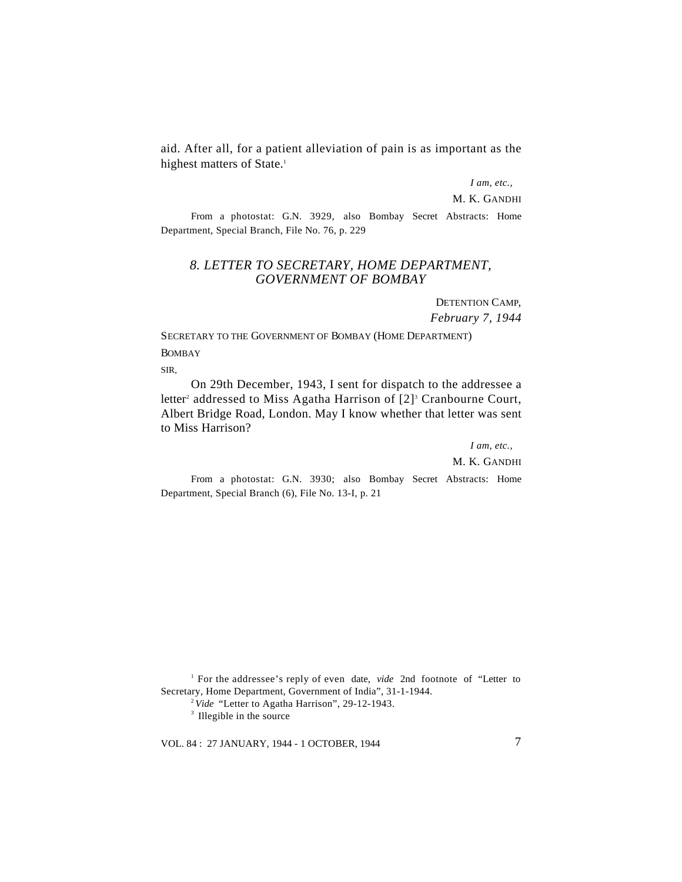aid. After all, for a patient alleviation of pain is as important as the highest matters of State.<sup>1</sup>

*I am, etc.,*

M. K. GANDHI

From a photostat: G.N. 3929, also Bombay Secret Abstracts: Home Department, Special Branch, File No. 76, p. 229

### *8. LETTER TO SECRETARY, HOME DEPARTMENT, GOVERNMENT OF BOMBAY*

DETENTION CAMP, *February 7, 1944*

SECRETARY TO THE GOVERNMENT OF BOMBAY (HOME DEPARTMENT) BOMBAY

SIR,

On 29th December, 1943, I sent for dispatch to the addressee a letter<sup>2</sup> addressed to Miss Agatha Harrison of [2]<sup>3</sup> Cranbourne Court, Albert Bridge Road, London. May I know whether that letter was sent to Miss Harrison?

> *I am, etc.,* M. K. GANDHI

From a photostat: G.N. 3930; also Bombay Secret Abstracts: Home Department, Special Branch (6), File No. 13-I, p. 21

<sup>1</sup> For the addressee's reply of even date, *vide* 2nd footnote of "Letter to Secretary, Home Department, Government of India", 31-1-1944.

<sup>&</sup>lt;sup>2</sup>Vide "Letter to Agatha Harrison", 29-12-1943.

<sup>&</sup>lt;sup>3</sup> Illegible in the source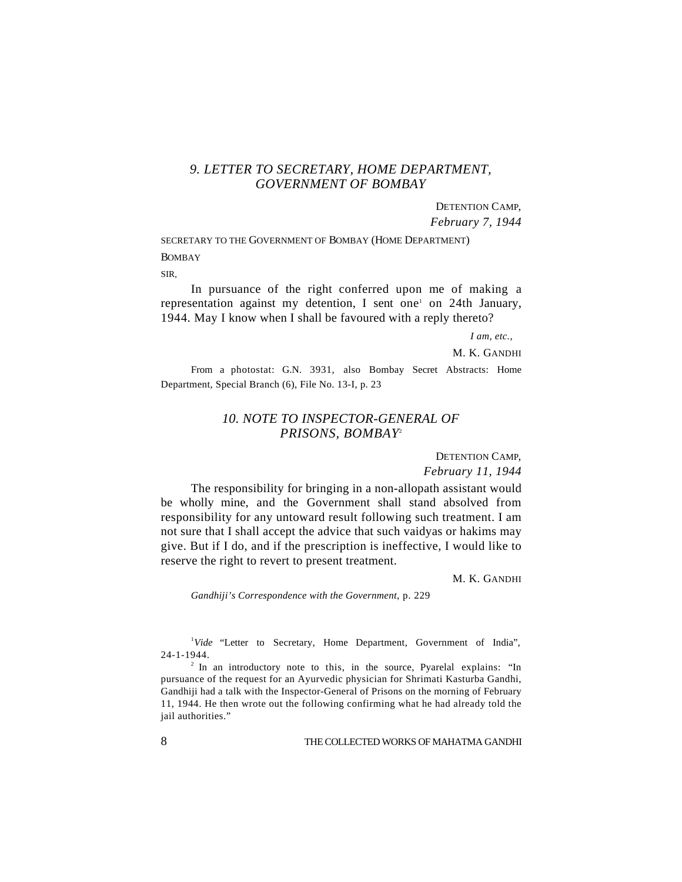# *9. LETTER TO SECRETARY, HOME DEPARTMENT, GOVERNMENT OF BOMBAY*

DETENTION CAMP, *February 7, 1944*

SECRETARY TO THE GOVERNMENT OF BOMBAY (HOME DEPARTMENT)

BOMBAY

SIR,

In pursuance of the right conferred upon me of making a representation against my detention, I sent one<sup>1</sup> on 24th January, 1944*.* May I know when I shall be favoured with a reply thereto?

*I am, etc.,*

M. K. GANDHI

From a photostat: G.N. 3931, also Bombay Secret Abstracts: Home Department, Special Branch (6), File No. 13-I, p. 23

# *10. NOTE TO INSPECTOR-GENERAL OF PRISONS, BOMBAY*<sup>2</sup>

DETENTION CAMP, *February 11, 1944*

The responsibility for bringing in a non-allopath assistant would be wholly mine, and the Government shall stand absolved from responsibility for any untoward result following such treatment. I am not sure that I shall accept the advice that such vaidyas or hakims may give. But if I do, and if the prescription is ineffective, I would like to reserve the right to revert to present treatment.

M. K. GANDHI

*Gandhiji's Correspondence with the Government*, p. 229

<sup>1</sup>Vide "Letter to Secretary, Home Department, Government of India", 24-1-1944.

<sup>2</sup> In an introductory note to this, in the source, Pyarelal explains: "In pursuance of the request for an Ayurvedic physician for Shrimati Kasturba Gandhi, Gandhiji had a talk with the Inspector-General of Prisons on the morning of February 11, 1944. He then wrote out the following confirming what he had already told the jail authorities."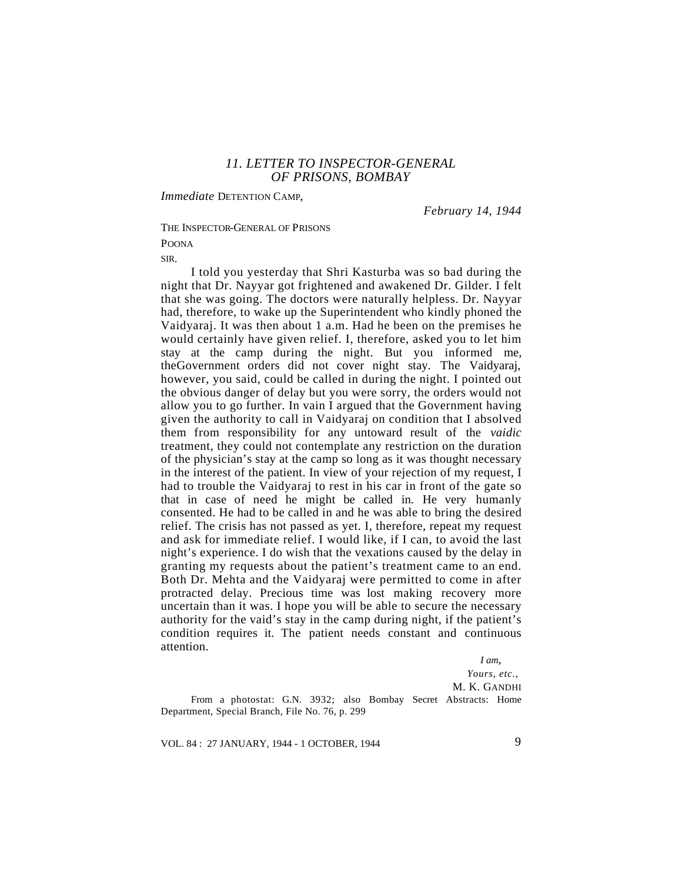### *11. LETTER TO INSPECTOR-GENERAL OF PRISONS, BOMBAY*

*Immediate* DETENTION CAMP,

*February 14, 1944*

THE INSPECTOR-GENERAL OF PRISONS

# **POONA**

SIR,

I told you yesterday that Shri Kasturba was so bad during the night that Dr. Nayyar got frightened and awakened Dr. Gilder. I felt that she was going. The doctors were naturally helpless. Dr. Nayyar had, therefore, to wake up the Superintendent who kindly phoned the Vaidyaraj. It was then about 1 a.m. Had he been on the premises he would certainly have given relief. I, therefore, asked you to let him stay at the camp during the night. But you informed me, theGovernment orders did not cover night stay. The Vaidyaraj, however, you said, could be called in during the night. I pointed out the obvious danger of delay but you were sorry, the orders would not allow you to go further. In vain I argued that the Government having given the authority to call in Vaidyaraj on condition that I absolved them from responsibility for any untoward result of the *vaidic* treatment, they could not contemplate any restriction on the duration of the physician's stay at the camp so long as it was thought necessary in the interest of the patient. In view of your rejection of my request, I had to trouble the Vaidyaraj to rest in his car in front of the gate so that in case of need he might be called in. He very humanly consented. He had to be called in and he was able to bring the desired relief. The crisis has not passed as yet. I, therefore, repeat my request and ask for immediate relief. I would like, if I can, to avoid the last night's experience. I do wish that the vexations caused by the delay in granting my requests about the patient's treatment came to an end. Both Dr. Mehta and the Vaidyaraj were permitted to come in after protracted delay. Precious time was lost making recovery more uncertain than it was. I hope you will be able to secure the necessary authority for the vaid's stay in the camp during night, if the patient's condition requires it. The patient needs constant and continuous attention.

*I am, Yours, etc.,*  M. K. GANDHI From a photostat: G.N. 3932; also Bombay Secret Abstracts: Home Department, Special Branch, File No. 76, p. 299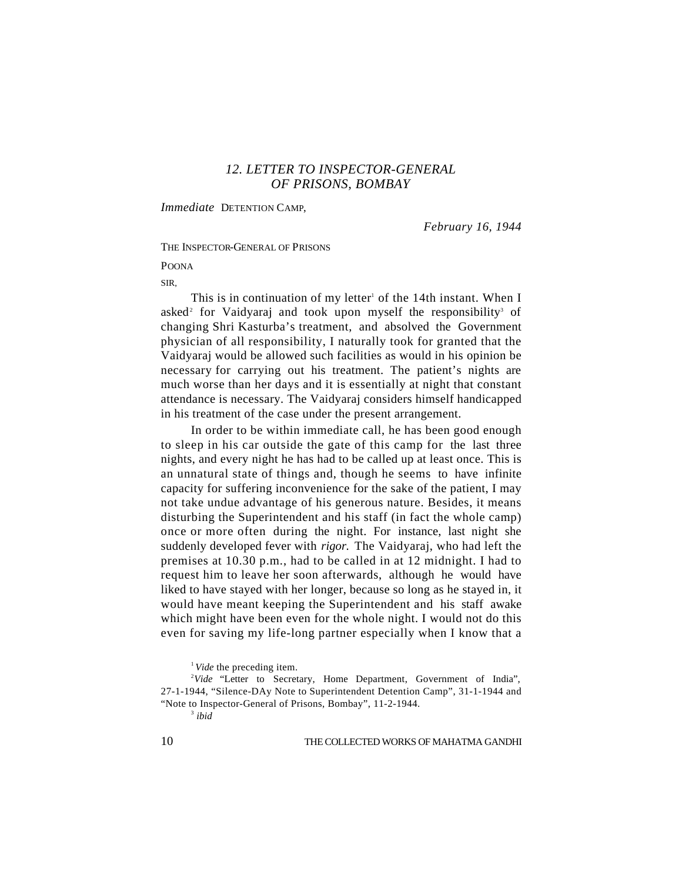### *12. LETTER TO INSPECTOR-GENERAL OF PRISONS, BOMBAY*

*Immediate* DETENTION CAMP,

*February 16, 1944*

#### THE INSPECTOR-GENERAL OF PRISONS

POONA

SIR,

This is in continuation of my letter<sup>1</sup> of the 14th instant. When I asked<sup>2</sup> for Vaidyaraj and took upon myself the responsibility<sup>3</sup> of changing Shri Kasturba's treatment, and absolved the Government physician of all responsibility, I naturally took for granted that the Vaidyaraj would be allowed such facilities as would in his opinion be necessary for carrying out his treatment. The patient's nights are much worse than her days and it is essentially at night that constant attendance is necessary. The Vaidyaraj considers himself handicapped in his treatment of the case under the present arrangement.

In order to be within immediate call, he has been good enough to sleep in his car outside the gate of this camp for the last three nights, and every night he has had to be called up at least once. This is an unnatural state of things and, though he seems to have infinite capacity for suffering inconvenience for the sake of the patient, I may not take undue advantage of his generous nature. Besides, it means disturbing the Superintendent and his staff (in fact the whole camp) once or more often during the night. For instance, last night she suddenly developed fever with *rigor.* The Vaidyaraj, who had left the premises at 10.30 p.m., had to be called in at 12 midnight. I had to request him to leave her soon afterwards, although he would have liked to have stayed with her longer, because so long as he stayed in, it would have meant keeping the Superintendent and his staff awake which might have been even for the whole night. I would not do this even for saving my life-long partner especially when I know that a

<sup>1</sup> Vide the preceding item.

<sup>2</sup>Vide "Letter to Secretary, Home Department, Government of India", 27-1-1944, "Silence-DAy Note to Superintendent Detention Camp", 31-1-1944 and "Note to Inspector-General of Prisons, Bombay", 11-2-1944.

3 *ibid*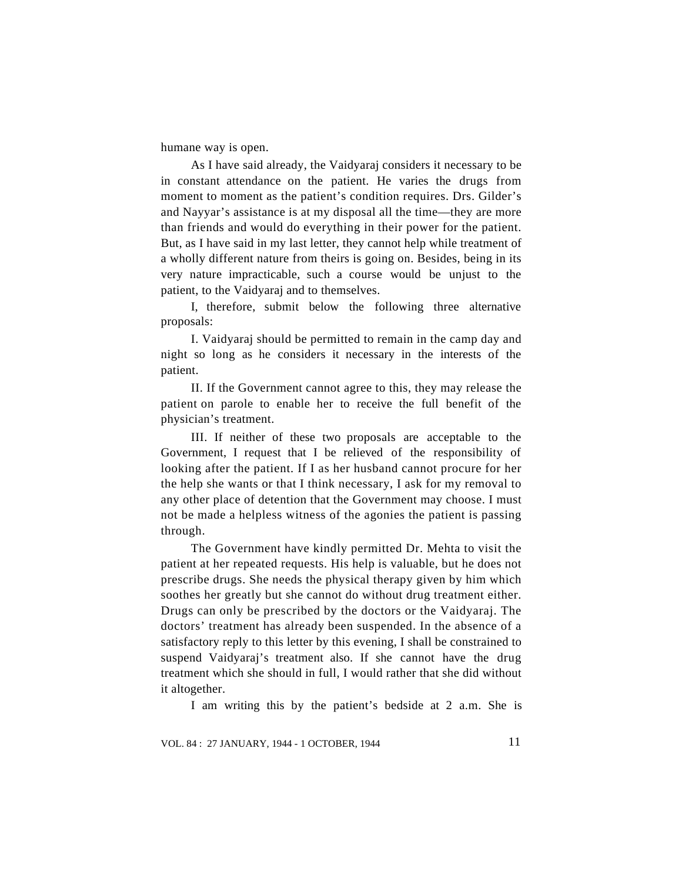humane way is open.

As I have said already, the Vaidyaraj considers it necessary to be in constant attendance on the patient. He varies the drugs from moment to moment as the patient's condition requires. Drs. Gilder's and Nayyar's assistance is at my disposal all the time—they are more than friends and would do everything in their power for the patient. But, as I have said in my last letter, they cannot help while treatment of a wholly different nature from theirs is going on. Besides, being in its very nature impracticable, such a course would be unjust to the patient, to the Vaidyaraj and to themselves.

I, therefore, submit below the following three alternative proposals:

I. Vaidyaraj should be permitted to remain in the camp day and night so long as he considers it necessary in the interests of the patient.

II. If the Government cannot agree to this, they may release the patient on parole to enable her to receive the full benefit of the physician's treatment.

III. If neither of these two proposals are acceptable to the Government, I request that I be relieved of the responsibility of looking after the patient. If I as her husband cannot procure for her the help she wants or that I think necessary, I ask for my removal to any other place of detention that the Government may choose. I must not be made a helpless witness of the agonies the patient is passing through.

The Government have kindly permitted Dr. Mehta to visit the patient at her repeated requests. His help is valuable, but he does not prescribe drugs. She needs the physical therapy given by him which soothes her greatly but she cannot do without drug treatment either. Drugs can only be prescribed by the doctors or the Vaidyaraj. The doctors' treatment has already been suspended. In the absence of a satisfactory reply to this letter by this evening, I shall be constrained to suspend Vaidyaraj's treatment also. If she cannot have the drug treatment which she should in full, I would rather that she did without it altogether.

I am writing this by the patient's bedside at 2 a.m. She is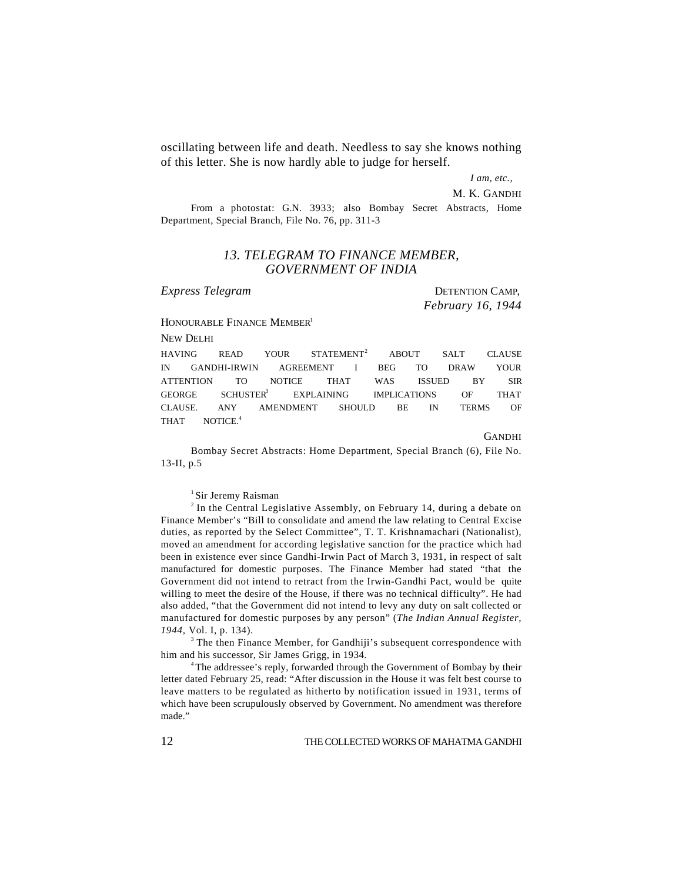oscillating between life and death. Needless to say she knows nothing of this letter. She is now hardly able to judge for herself.

*I am, etc.,*

M. K. GANDHI

From a photostat: G.N. 3933; also Bombay Secret Abstracts, Home Department, Special Branch, File No. 76, pp. 311-3

### *13. TELEGRAM TO FINANCE MEMBER, GOVERNMENT OF INDIA*

*Express Telegram* DETENTION CAMP, *February 16, 1944*

HONOURABLE FINANCE MEMBER<sup>1</sup>

NEW DELHI

HAVING READ YOUR STATEMENT<sup>2</sup> ABOUT SALT CLAUSE IN GANDHI-IRWIN AGREEMENT I BEG TO DRAW YOUR ATTENTION TO NOTICE THAT WAS ISSUED BY SIR GEORGE SCHUSTER<sup>3</sup> EXPLAINING IMPLICATIONS OF THAT CLAUSE. ANY AMENDMENT SHOULD BE IN TERMS OF THAT NOTICE<sup>4</sup>

GANDHI

Bombay Secret Abstracts: Home Department, Special Branch (6), File No. 13-II, p.5

<sup>1</sup> Sir Jeremy Raisman

 $2$ In the Central Legislative Assembly, on February 14, during a debate on Finance Member's "Bill to consolidate and amend the law relating to Central Excise duties, as reported by the Select Committee", T. T. Krishnamachari (Nationalist), moved an amendment for according legislative sanction for the practice which had been in existence ever since Gandhi-Irwin Pact of March 3, 1931, in respect of salt manufactured for domestic purposes. The Finance Member had stated "that the Government did not intend to retract from the Irwin-Gandhi Pact, would be quite willing to meet the desire of the House, if there was no technical difficulty". He had also added, "that the Government did not intend to levy any duty on salt collected or manufactured for domestic purposes by any person" (*The Indian Annual Register, 1944,* Vol. I, p. 134).

 $3$  The then Finance Member, for Gandhiji's subsequent correspondence with him and his successor, Sir James Grigg, in 1934.

<sup>4</sup>The addressee's reply, forwarded through the Government of Bombay by their letter dated February 25, read: "After discussion in the House it was felt best course to leave matters to be regulated as hitherto by notification issued in 1931, terms of which have been scrupulously observed by Government. No amendment was therefore made."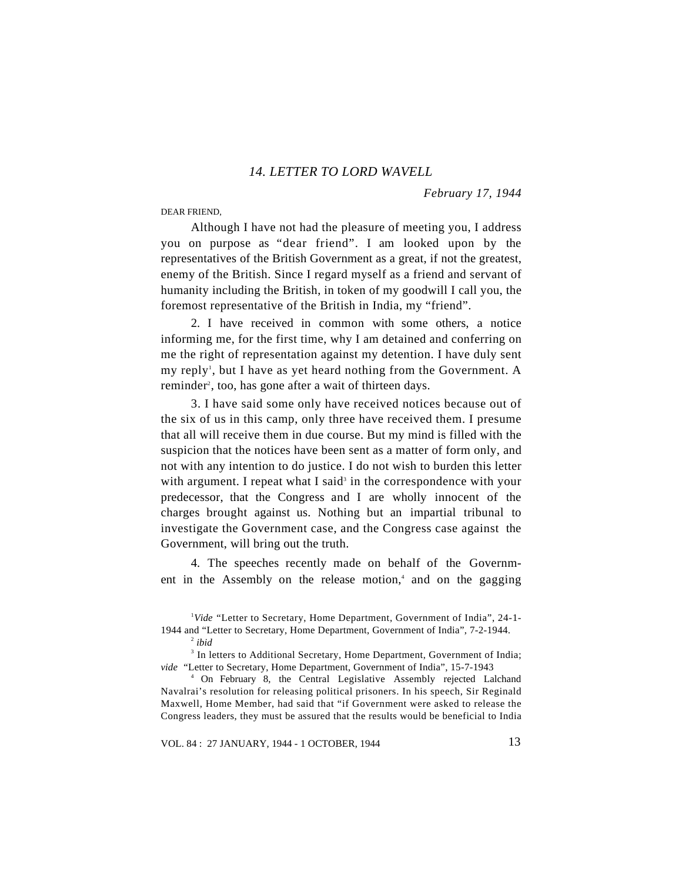### *14. LETTER TO LORD WAVELL*

*February 17, 1944*

DEAR FRIEND,

Although I have not had the pleasure of meeting you, I address you on purpose as "dear friend". I am looked upon by the representatives of the British Government as a great, if not the greatest, enemy of the British. Since I regard myself as a friend and servant of humanity including the British, in token of my goodwill I call you, the foremost representative of the British in India, my "friend".

2. I have received in common with some others, a notice informing me, for the first time, why I am detained and conferring on me the right of representation against my detention. I have duly sent my reply<sup>1</sup>, but I have as yet heard nothing from the Government. A reminder<sup>2</sup>, too, has gone after a wait of thirteen days.

3. I have said some only have received notices because out of the six of us in this camp, only three have received them. I presume that all will receive them in due course. But my mind is filled with the suspicion that the notices have been sent as a matter of form only, and not with any intention to do justice. I do not wish to burden this letter with argument. I repeat what I said<sup>3</sup> in the correspondence with your predecessor, that the Congress and I are wholly innocent of the charges brought against us. Nothing but an impartial tribunal to investigate the Government case, and the Congress case against the Government, will bring out the truth.

4. The speeches recently made on behalf of the Government in the Assembly on the release motion,<sup>4</sup> and on the gagging

<sup>&</sup>lt;sup>1</sup>Vide "Letter to Secretary, Home Department, Government of India", 24-1-1944 and "Letter to Secretary, Home Department, Government of India", 7-2-1944.

<sup>2</sup> *ibid*

<sup>&</sup>lt;sup>3</sup> In letters to Additional Secretary, Home Department, Government of India; *vide* "Letter to Secretary, Home Department, Government of India", 15-7-1943

<sup>4</sup> On February 8, the Central Legislative Assembly rejected Lalchand Navalrai's resolution for releasing political prisoners. In his speech, Sir Reginald Maxwell, Home Member, had said that "if Government were asked to release the Congress leaders, they must be assured that the results would be beneficial to India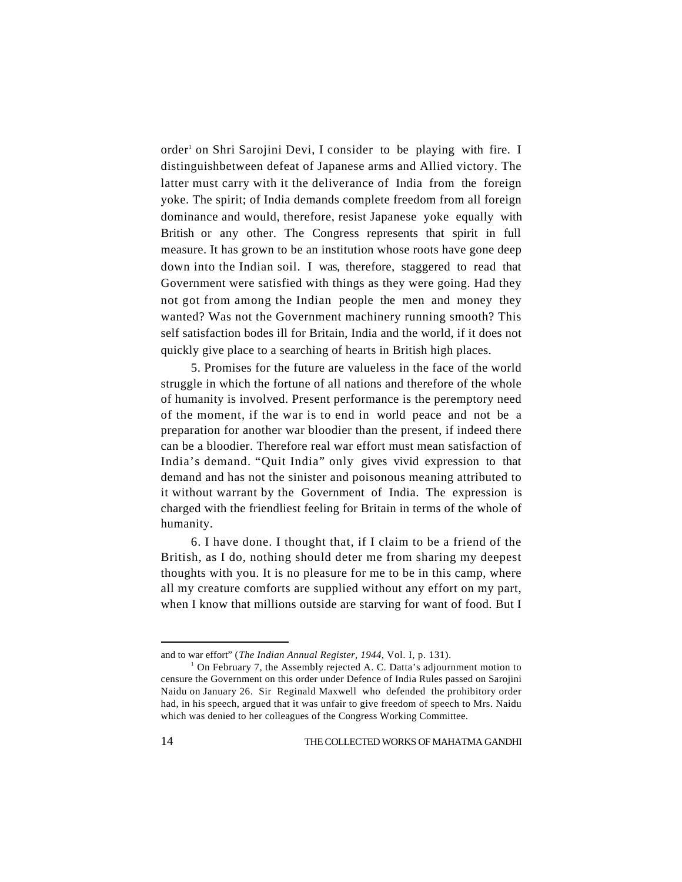order<sup>1</sup> on Shri Sarojini Devi, I consider to be playing with fire. I distinguishbetween defeat of Japanese arms and Allied victory. The latter must carry with it the deliverance of India from the foreign yoke. The spirit; of India demands complete freedom from all foreign dominance and would, therefore, resist Japanese yoke equally with British or any other. The Congress represents that spirit in full measure. It has grown to be an institution whose roots have gone deep down into the Indian soil. I was, therefore, staggered to read that Government were satisfied with things as they were going. Had they not got from among the Indian people the men and money they wanted? Was not the Government machinery running smooth? This self satisfaction bodes ill for Britain, India and the world, if it does not quickly give place to a searching of hearts in British high places.

5. Promises for the future are valueless in the face of the world struggle in which the fortune of all nations and therefore of the whole of humanity is involved. Present performance is the peremptory need of the moment, if the war is to end in world peace and not be a preparation for another war bloodier than the present, if indeed there can be a bloodier. Therefore real war effort must mean satisfaction of India's demand. "Quit India" only gives vivid expression to that demand and has not the sinister and poisonous meaning attributed to it without warrant by the Government of India. The expression is charged with the friendliest feeling for Britain in terms of the whole of humanity.

6. I have done. I thought that, if I claim to be a friend of the British, as I do, nothing should deter me from sharing my deepest thoughts with you. It is no pleasure for me to be in this camp, where all my creature comforts are supplied without any effort on my part, when I know that millions outside are starving for want of food. But I

and to war effort" (*The Indian Annual Register, 1944,* Vol. I, p. 131).

<sup>&</sup>lt;sup>1</sup> On February 7, the Assembly rejected A. C. Datta's adjournment motion to censure the Government on this order under Defence of India Rules passed on Sarojini Naidu on January 26. Sir Reginald Maxwell who defended the prohibitory order had, in his speech, argued that it was unfair to give freedom of speech to Mrs. Naidu which was denied to her colleagues of the Congress Working Committee.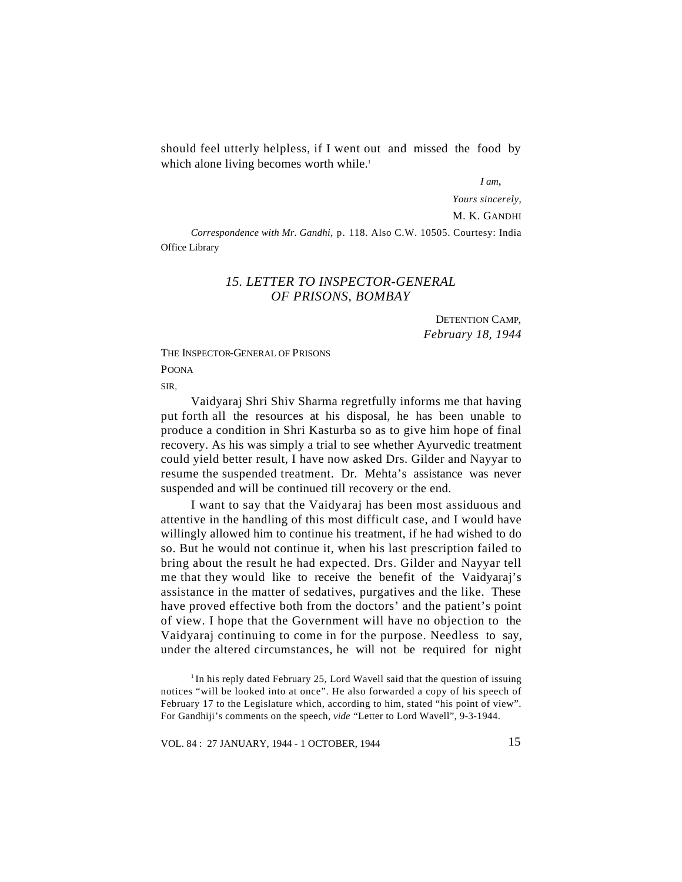should feel utterly helpless, if I went out and missed the food by which alone living becomes worth while.<sup>1</sup>

*I am,* 

*Yours sincerely,* M. K. GANDHI

*Correspondence with Mr. Gandhi,* p. 118. Also C.W. 10505. Courtesy: India Office Library

### *15. LETTER TO INSPECTOR-GENERAL OF PRISONS, BOMBAY*

DETENTION CAMP, *February 18, 1944*

THE INSPECTOR-GENERAL OF PRISONS POONA SIR,

Vaidyaraj Shri Shiv Sharma regretfully informs me that having put forth all the resources at his disposal, he has been unable to produce a condition in Shri Kasturba so as to give him hope of final recovery. As his was simply a trial to see whether Ayurvedic treatment could yield better result, I have now asked Drs. Gilder and Nayyar to resume the suspended treatment. Dr. Mehta's assistance was never suspended and will be continued till recovery or the end.

I want to say that the Vaidyaraj has been most assiduous and attentive in the handling of this most difficult case, and I would have willingly allowed him to continue his treatment, if he had wished to do so. But he would not continue it, when his last prescription failed to bring about the result he had expected. Drs. Gilder and Nayyar tell me that they would like to receive the benefit of the Vaidyaraj's assistance in the matter of sedatives, purgatives and the like. These have proved effective both from the doctors' and the patient's point of view. I hope that the Government will have no objection to the Vaidyaraj continuing to come in for the purpose. Needless to say, under the altered circumstances, he will not be required for night

<sup>1</sup>In his reply dated February 25, Lord Wavell said that the question of issuing notices "will be looked into at once". He also forwarded a copy of his speech of February 17 to the Legislature which, according to him, stated "his point of view". For Gandhiji's comments on the speech, *vide* "Letter to Lord Wavell", 9-3-1944.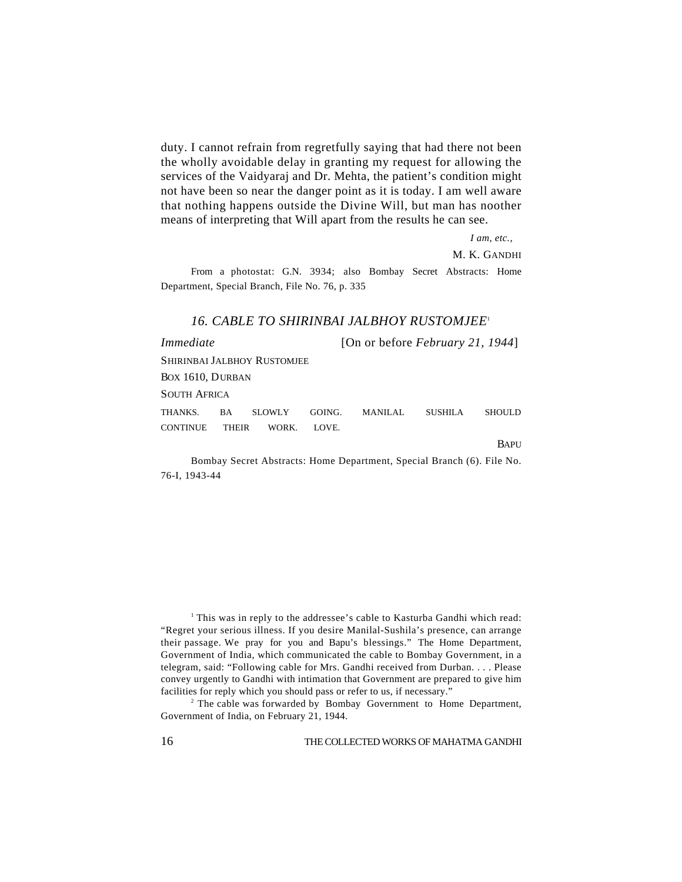duty. I cannot refrain from regretfully saying that had there not been the wholly avoidable delay in granting my request for allowing the services of the Vaidyaraj and Dr. Mehta, the patient's condition might not have been so near the danger point as it is today. I am well aware that nothing happens outside the Divine Will, but man has noother means of interpreting that Will apart from the results he can see.

*I am, etc.,*

M. K. GANDHI

From a photostat: G.N. 3934; also Bombay Secret Abstracts: Home Department, Special Branch, File No. 76, p. 335

#### *16. CABLE TO SHIRINBAI JALBHOY RUSTOMJEE*<sup>1</sup>

*Immediate* [On or before *February 21, 1944*] SHIRINBAI JALBHOY RUSTOMJEE BOX 1610, DURBAN SOUTH AFRICA THANKS. BA SLOWLY GOING. MANILAL SUSHILA SHOULD CONTINUE THEIR WORK. LOVE. **BAPU** 

Bombay Secret Abstracts: Home Department, Special Branch (6). File No. 76-I, 1943-44

 $1$ <sup>1</sup> This was in reply to the addressee's cable to Kasturba Gandhi which read: "Regret your serious illness. If you desire Manilal-Sushila's presence, can arrange their passage. We pray for you and Bapu's blessings." The Home Department, Government of India, which communicated the cable to Bombay Government, in a telegram, said: "Following cable for Mrs. Gandhi received from Durban. . . . Please convey urgently to Gandhi with intimation that Government are prepared to give him facilities for reply which you should pass or refer to us, if necessary."

 $2$ <sup>2</sup> The cable was forwarded by Bombay Government to Home Department, Government of India, on February 21, 1944.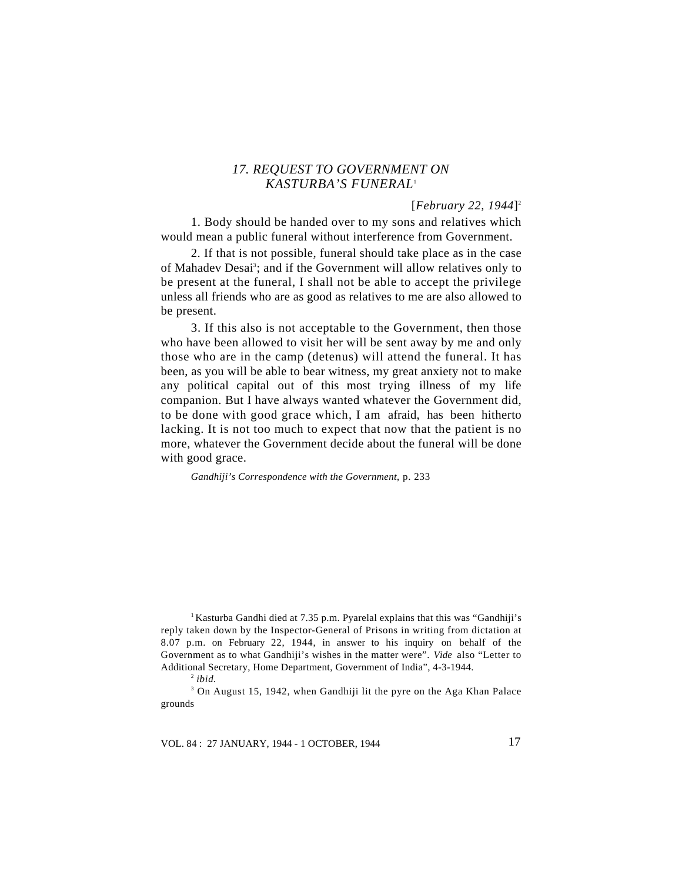# *17. REQUEST TO GOVERNMENT ON KASTURBA'S FUNERAL*<sup>1</sup>

#### [*February 22, 1944*] 2

1. Body should be handed over to my sons and relatives which would mean a public funeral without interference from Government.

2. If that is not possible, funeral should take place as in the case of Mahadev Desai<sup>3</sup>; and if the Government will allow relatives only to be present at the funeral, I shall not be able to accept the privilege unless all friends who are as good as relatives to me are also allowed to be present.

3. If this also is not acceptable to the Government, then those who have been allowed to visit her will be sent away by me and only those who are in the camp (detenus) will attend the funeral. It has been, as you will be able to bear witness, my great anxiety not to make any political capital out of this most trying illness of my life companion. But I have always wanted whatever the Government did, to be done with good grace which, I am afraid, has been hitherto lacking. It is not too much to expect that now that the patient is no more, whatever the Government decide about the funeral will be done with good grace.

*Gandhiji's Correspondence with the Government*, p. 233

<sup>1</sup> Kasturba Gandhi died at 7.35 p.m. Pyarelal explains that this was "Gandhiji's reply taken down by the Inspector-General of Prisons in writing from dictation at 8.07 p.m. on February 22, 1944, in answer to his inquiry on behalf of the Government as to what Gandhiji's wishes in the matter were". *Vide* also "Letter to Additional Secretary, Home Department, Government of India", 4-3-1944.

2 *ibid.*

<sup>3</sup> On August 15, 1942, when Gandhiji lit the pyre on the Aga Khan Palace grounds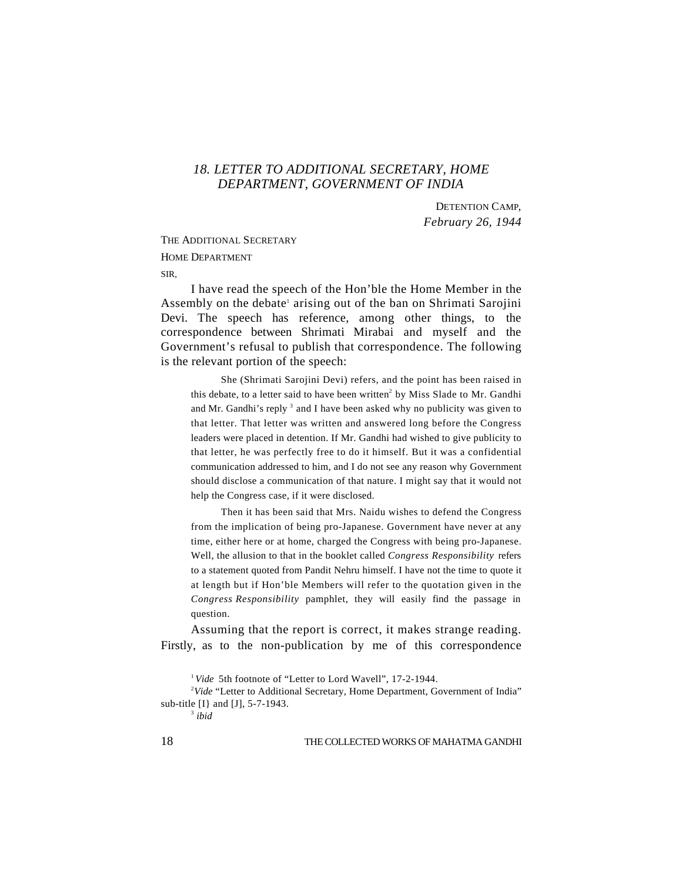# *18. LETTER TO ADDITIONAL SECRETARY, HOME DEPARTMENT, GOVERNMENT OF INDIA*

DETENTION CAMP, *February 26, 1944*

# THE ADDITIONAL SECRETARY HOME DEPARTMENT SIR,

I have read the speech of the Hon'ble the Home Member in the Assembly on the debate<sup>1</sup> arising out of the ban on Shrimati Sarojini Devi. The speech has reference, among other things, to the correspondence between Shrimati Mirabai and myself and the Government's refusal to publish that correspondence. The following is the relevant portion of the speech:

She (Shrimati Sarojini Devi) refers, and the point has been raised in this debate, to a letter said to have been written<sup>2</sup> by Miss Slade to Mr. Gandhi and Mr. Gandhi's reply  $3$  and I have been asked why no publicity was given to that letter. That letter was written and answered long before the Congress leaders were placed in detention. If Mr. Gandhi had wished to give publicity to that letter, he was perfectly free to do it himself. But it was a confidential communication addressed to him, and I do not see any reason why Government should disclose a communication of that nature. I might say that it would not help the Congress case, if it were disclosed.

Then it has been said that Mrs. Naidu wishes to defend the Congress from the implication of being pro-Japanese. Government have never at any time, either here or at home, charged the Congress with being pro-Japanese. Well, the allusion to that in the booklet called *Congress Responsibility* refers to a statement quoted from Pandit Nehru himself. I have not the time to quote it at length but if Hon'ble Members will refer to the quotation given in the *Congress Responsibility* pamphlet, they will easily find the passage in question.

Assuming that the report is correct, it makes strange reading. Firstly, as to the non-publication by me of this correspondence

<sup>2</sup>Vide "Letter to Additional Secretary, Home Department, Government of India" sub-title [I} and [J], 5-7-1943.

3 *ibid*

<sup>&</sup>lt;sup>1</sup> Vide 5th footnote of "Letter to Lord Wavell", 17-2-1944.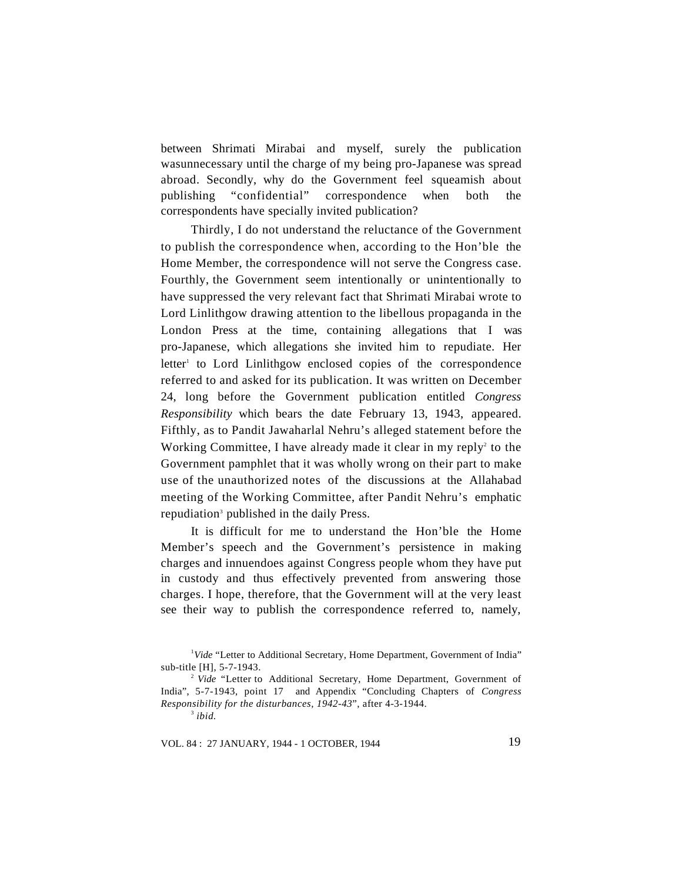between Shrimati Mirabai and myself, surely the publication wasunnecessary until the charge of my being pro-Japanese was spread abroad. Secondly, why do the Government feel squeamish about publishing "confidential" correspondence when both the correspondents have specially invited publication?

Thirdly, I do not understand the reluctance of the Government to publish the correspondence when, according to the Hon'ble the Home Member, the correspondence will not serve the Congress case. Fourthly, the Government seem intentionally or unintentionally to have suppressed the very relevant fact that Shrimati Mirabai wrote to Lord Linlithgow drawing attention to the libellous propaganda in the London Press at the time, containing allegations that I was pro-Japanese, which allegations she invited him to repudiate. Her letter<sup>1</sup> to Lord Linlithgow enclosed copies of the correspondence referred to and asked for its publication. It was written on December 24, long before the Government publication entitled *Congress Responsibility* which bears the date February 13, 1943, appeared. Fifthly, as to Pandit Jawaharlal Nehru's alleged statement before the Working Committee, I have already made it clear in my reply<sup>2</sup> to the Government pamphlet that it was wholly wrong on their part to make use of the unauthorized notes of the discussions at the Allahabad meeting of the Working Committee, after Pandit Nehru's emphatic repudiation<sup>3</sup> published in the daily Press.

It is difficult for me to understand the Hon'ble the Home Member's speech and the Government's persistence in making charges and innuendoes against Congress people whom they have put in custody and thus effectively prevented from answering those charges. I hope, therefore, that the Government will at the very least see their way to publish the correspondence referred to, namely,

<sup>&</sup>lt;sup>1</sup>Vide "Letter to Additional Secretary, Home Department, Government of India" sub-title [H], 5-7-1943.

<sup>2</sup>*Vide* "Letter to Additional Secretary, Home Department, Government of India", 5-7-1943, point 17 and Appendix "Concluding Chapters of *Congress Responsibility for the disturbances, 1942-43*", after 4-3-1944.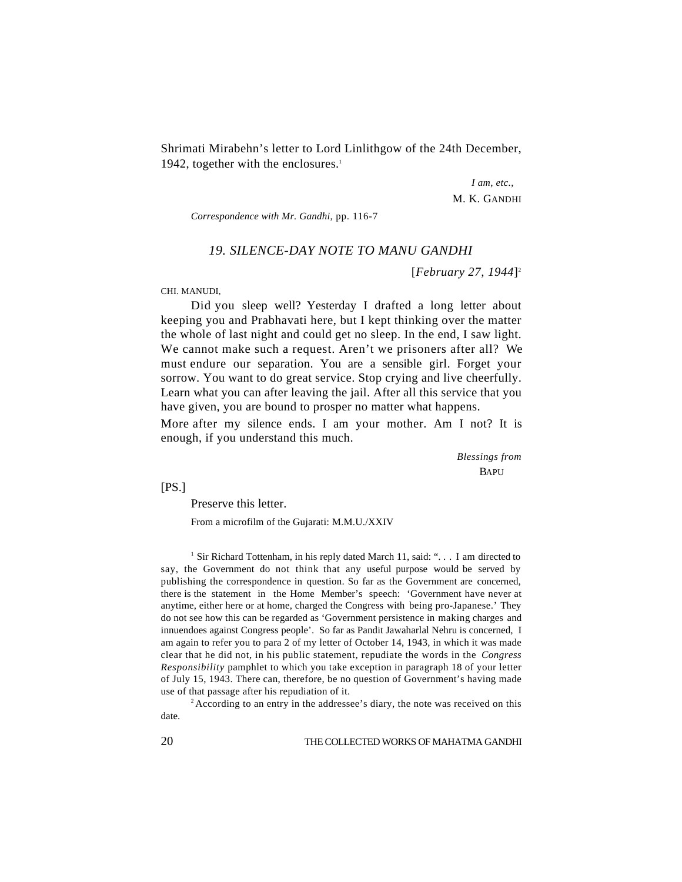Shrimati Mirabehn's letter to Lord Linlithgow of the 24th December, 1942, together with the enclosures. $<sup>1</sup>$ </sup>

> *I am, etc.,* M. K. GANDHI

*Correspondence with Mr. Gandhi*, pp. 116-7

#### *19. SILENCE-DAY NOTE TO MANU GANDHI*

[*February 27, 1944*] 2

CHI. MANUDI,

Did you sleep well? Yesterday I drafted a long letter about keeping you and Prabhavati here, but I kept thinking over the matter the whole of last night and could get no sleep. In the end, I saw light. We cannot make such a request. Aren't we prisoners after all? We must endure our separation. You are a sensible girl. Forget your sorrow. You want to do great service. Stop crying and live cheerfully. Learn what you can after leaving the jail. After all this service that you have given, you are bound to prosper no matter what happens.

More after my silence ends. I am your mother. Am I not? It is enough, if you understand this much.

> *Blessings from* **BAPU**

 $[PS.]$ 

Preserve this letter.

From a microfilm of the Gujarati: M.M.U./XXIV

<sup>1</sup> Sir Richard Tottenham, in his reply dated March 11, said: ". . . I am directed to say, the Government do not think that any useful purpose would be served by publishing the correspondence in question. So far as the Government are concerned, there is the statement in the Home Member's speech: 'Government have never at anytime, either here or at home, charged the Congress with being pro-Japanese.' They do not see how this can be regarded as 'Government persistence in making charges and innuendoes against Congress people'. So far as Pandit Jawaharlal Nehru is concerned, I am again to refer you to para 2 of my letter of October 14, 1943, in which it was made clear that he did not, in his public statement, repudiate the words in the *Congress Responsibility* pamphlet to which you take exception in paragraph 18 of your letter of July 15, 1943. There can, therefore, be no question of Government's having made use of that passage after his repudiation of it.

<sup>2</sup> According to an entry in the addressee's diary, the note was received on this date.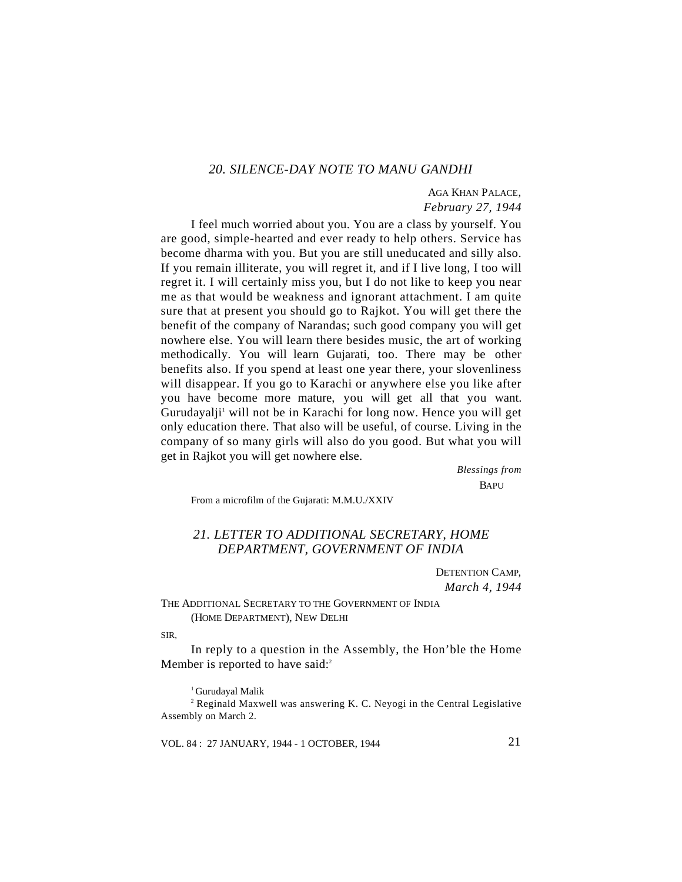### *20. SILENCE-DAY NOTE TO MANU GANDHI*

AGA KHAN PALACE, *February 27, 1944*

I feel much worried about you. You are a class by yourself. You are good, simple-hearted and ever ready to help others. Service has become dharma with you. But you are still uneducated and silly also. If you remain illiterate, you will regret it, and if I live long, I too will regret it. I will certainly miss you, but I do not like to keep you near me as that would be weakness and ignorant attachment. I am quite sure that at present you should go to Rajkot. You will get there the benefit of the company of Narandas; such good company you will get nowhere else. You will learn there besides music, the art of working methodically. You will learn Gujarati, too. There may be other benefits also. If you spend at least one year there, your slovenliness will disappear. If you go to Karachi or anywhere else you like after you have become more mature, you will get all that you want. Gurudayalji' will not be in Karachi for long now. Hence you will get only education there. That also will be useful, of course. Living in the company of so many girls will also do you good. But what you will get in Rajkot you will get nowhere else.

> *Blessings from* **BAPU**

From a microfilm of the Gujarati: M.M.U./XXIV

# *21. LETTER TO ADDITIONAL SECRETARY, HOME DEPARTMENT, GOVERNMENT OF INDIA*

DETENTION CAMP, *March 4, 1944*

THE ADDITIONAL SECRETARY TO THE GOVERNMENT OF INDIA

(HOME DEPARTMENT), NEW DELHI

SIR,

In reply to a question in the Assembly, the Hon'ble the Home Member is reported to have said:<sup>2</sup>

<sup>1</sup> Gurudayal Malik

 $2$  Reginald Maxwell was answering K. C. Neyogi in the Central Legislative Assembly on March 2.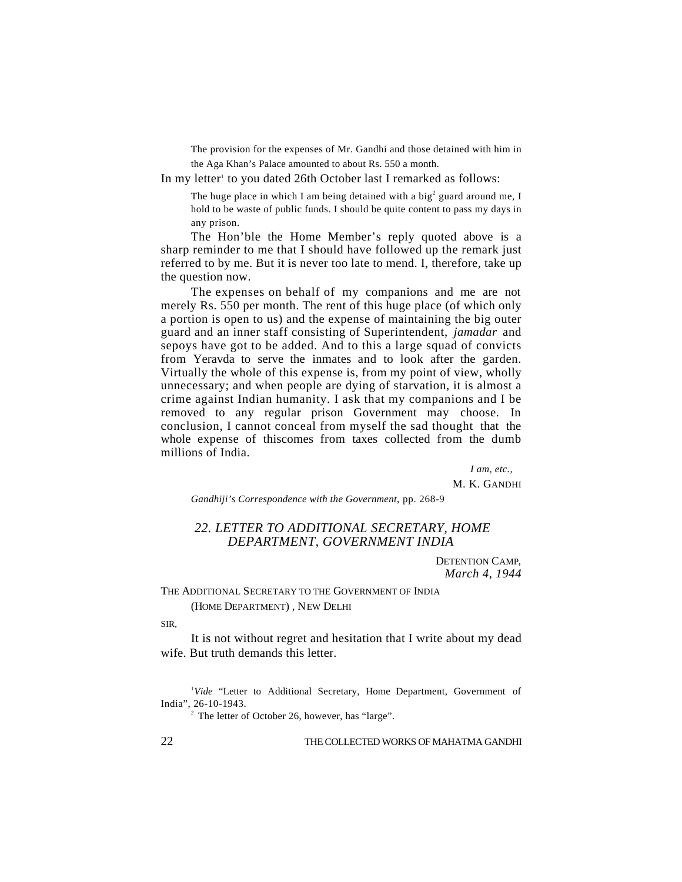The provision for the expenses of Mr. Gandhi and those detained with him in the Aga Khan's Palace amounted to about Rs. 550 a month.

In my letter<sup>1</sup> to you dated 26th October last I remarked as follows:

The huge place in which I am being detained with a big<sup>2</sup> guard around me, I hold to be waste of public funds. I should be quite content to pass my days in any prison.

The Hon'ble the Home Member's reply quoted above is a sharp reminder to me that I should have followed up the remark just referred to by me. But it is never too late to mend. I, therefore, take up the question now.

The expenses on behalf of my companions and me are not merely Rs. 550 per month. The rent of this huge place (of which only a portion is open to us) and the expense of maintaining the big outer guard and an inner staff consisting of Superintendent, *jamadar* and sepoys have got to be added. And to this a large squad of convicts from Yeravda to serve the inmates and to look after the garden. Virtually the whole of this expense is, from my point of view, wholly unnecessary; and when people are dying of starvation, it is almost a crime against Indian humanity. I ask that my companions and I be removed to any regular prison Government may choose. In conclusion, I cannot conceal from myself the sad thought that the whole expense of thiscomes from taxes collected from the dumb millions of India.

> *I am, etc.,* M. K. GANDHI

*Gandhiji's Correspondence with the Government*, pp. 268-9

### *22. LETTER TO ADDITIONAL SECRETARY, HOME DEPARTMENT, GOVERNMENT INDIA*

DETENTION CAMP, *March 4, 1944*

THE ADDITIONAL SECRETARY TO THE GOVERNMENT OF INDIA

(HOME DEPARTMENT) , NEW DELHI

SIR,

It is not without regret and hesitation that I write about my dead wife. But truth demands this letter.

<sup>1</sup>Vide "Letter to Additional Secretary, Home Department, Government of India", 26-10-1943.

 $2^{\circ}$  The letter of October 26, however, has "large".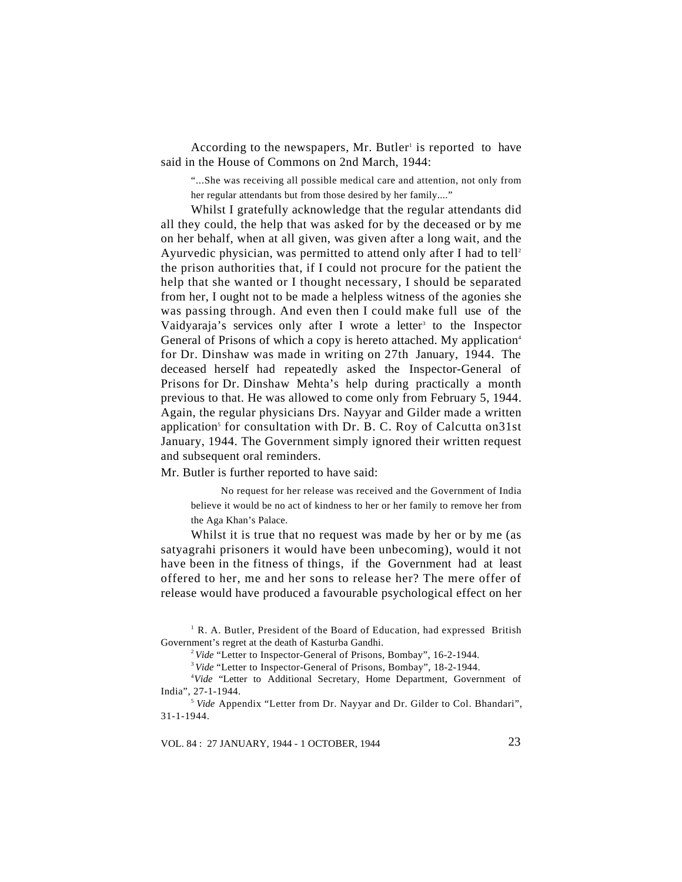According to the newspapers, Mr. Butler<sup>1</sup> is reported to have said in the House of Commons on 2nd March, 1944:

"...She was receiving all possible medical care and attention, not only from her regular attendants but from those desired by her family...."

Whilst I gratefully acknowledge that the regular attendants did all they could, the help that was asked for by the deceased or by me on her behalf, when at all given, was given after a long wait, and the Ayurvedic physician, was permitted to attend only after I had to tell<sup>2</sup> the prison authorities that, if I could not procure for the patient the help that she wanted or I thought necessary, I should be separated from her, I ought not to be made a helpless witness of the agonies she was passing through. And even then I could make full use of the Vaidyaraja's services only after I wrote a letter<sup>3</sup> to the Inspector General of Prisons of which a copy is hereto attached. My application<sup>4</sup> for Dr. Dinshaw was made in writing on 27th January, 1944. The deceased herself had repeatedly asked the Inspector-General of Prisons for Dr. Dinshaw Mehta's help during practically a month previous to that. He was allowed to come only from February 5, 1944. Again, the regular physicians Drs. Nayyar and Gilder made a written application<sup>5</sup> for consultation with Dr. B. C. Roy of Calcutta on31st January, 1944. The Government simply ignored their written request and subsequent oral reminders.

Mr. Butler is further reported to have said:

No request for her release was received and the Government of India believe it would be no act of kindness to her or her family to remove her from the Aga Khan's Palace.

Whilst it is true that no request was made by her or by me (as satyagrahi prisoners it would have been unbecoming), would it not have been in the fitness of things, if the Government had at least offered to her, me and her sons to release her? The mere offer of release would have produced a favourable psychological effect on her

<sup>1</sup> R. A. Butler, President of the Board of Education, had expressed British Government's regret at the death of Kasturba Gandhi.

<sup>2</sup>*Vide* "Letter to Inspector-General of Prisons, Bombay", 16-2-1944*.*

<sup>3</sup>*Vide* "Letter to Inspector-General of Prisons, Bombay", 18-2-1944.

<sup>4</sup>*Vide* "Letter to Additional Secretary, Home Department, Government of India", 27-1-1944.

<sup>5</sup> Vide Appendix "Letter from Dr. Nayyar and Dr. Gilder to Col. Bhandari", 31-1-1944.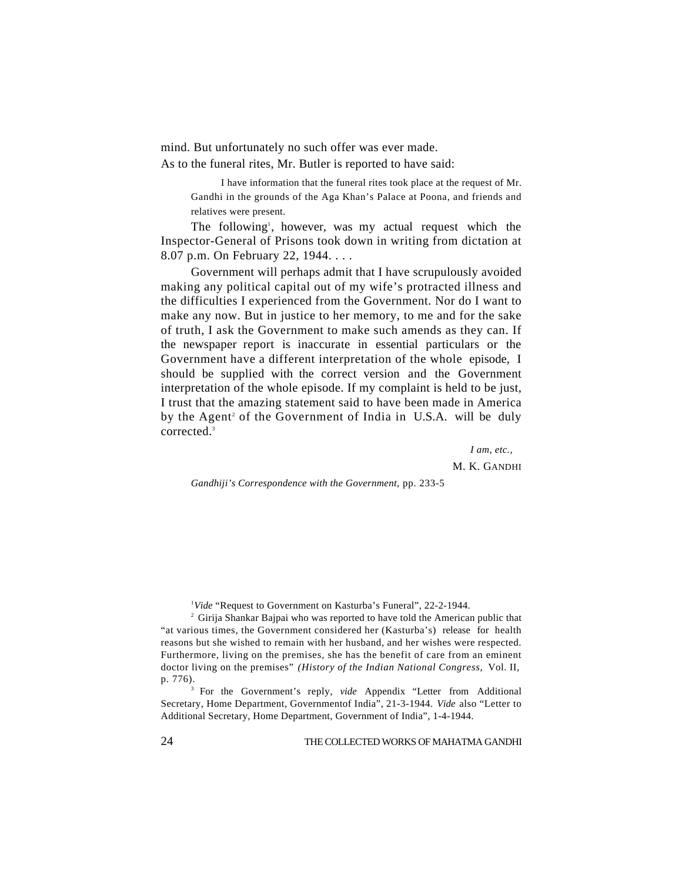mind. But unfortunately no such offer was ever made.

As to the funeral rites, Mr. Butler is reported to have said:

I have information that the funeral rites took place at the request of Mr. Gandhi in the grounds of the Aga Khan's Palace at Poona, and friends and relatives were present.

The following<sup>1</sup>, however, was my actual request which the Inspector-General of Prisons took down in writing from dictation at 8.07 p.m. On February 22, 1944. . . .

Government will perhaps admit that I have scrupulously avoided making any political capital out of my wife's protracted illness and the difficulties I experienced from the Government. Nor do I want to make any now. But in justice to her memory, to me and for the sake of truth, I ask the Government to make such amends as they can. If the newspaper report is inaccurate in essential particulars or the Government have a different interpretation of the whole episode, I should be supplied with the correct version and the Government interpretation of the whole episode. If my complaint is held to be just, I trust that the amazing statement said to have been made in America by the Agent<sup>2</sup> of the Government of India in U.S.A. will be duly corrected<sup>3</sup>

> *I am, etc.,* M. K. GANDHI

*Gandhiji's Correspondence with the Government*, pp. 233-5

<sup>1</sup>Vide "Request to Government on Kasturba's Funeral", 22-2-1944.

 $2$  Girija Shankar Bajpai who was reported to have told the American public that "at various times, the Government considered her (Kasturba's) release for health reasons but she wished to remain with her husband, and her wishes were respected. Furthermore, living on the premises, she has the benefit of care from an eminent doctor living on the premises" *(History of the Indian National Congress,* Vol. II, p. 776).

<sup>3</sup> For the Government's reply, *vide* Appendix "Letter from Additional Secretary, Home Department, Governmentof India", 21-3-1944. *Vide* also "Letter to Additional Secretary, Home Department, Government of India", 1-4-1944.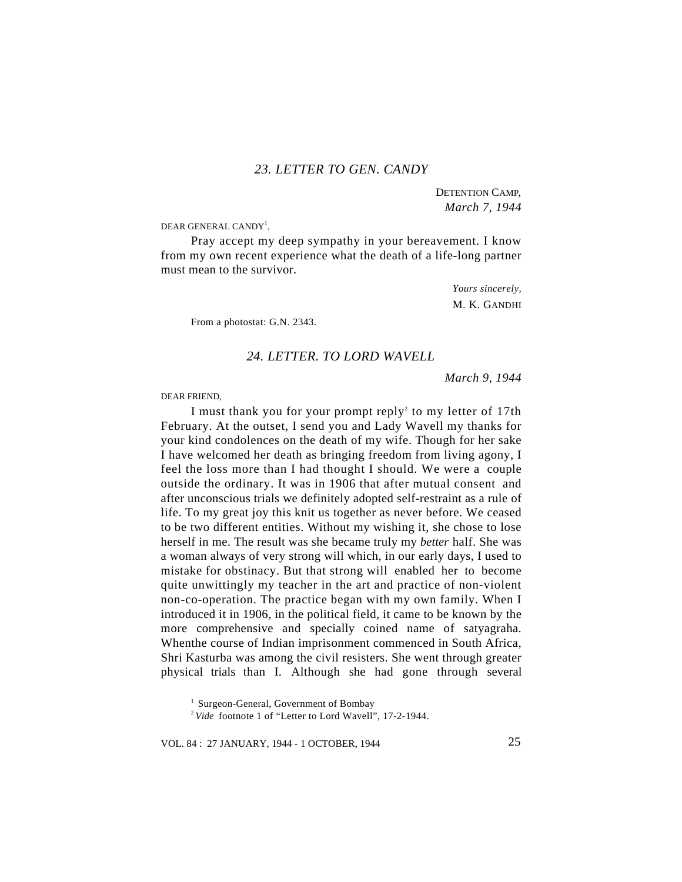DETENTION CAMP, *March 7, 1944*

 $DEAR$  GENERAL CANDY<sup>1</sup>,

Pray accept my deep sympathy in your bereavement. I know from my own recent experience what the death of a life-long partner must mean to the survivor.

> *Yours sincerely,* M. K. GANDHI

From a photostat: G.N. 2343.

#### *24. LETTER. TO LORD WAVELL*

*March 9, 1944*

DEAR FRIEND,

I must thank you for your prompt reply<sup>2</sup> to my letter of 17th February. At the outset, I send you and Lady Wavell my thanks for your kind condolences on the death of my wife. Though for her sake I have welcomed her death as bringing freedom from living agony, I feel the loss more than I had thought I should. We were a couple outside the ordinary. It was in 1906 that after mutual consent and after unconscious trials we definitely adopted self-restraint as a rule of life. To my great joy this knit us together as never before. We ceased to be two different entities. Without my wishing it, she chose to lose herself in me. The result was she became truly my *better* half. She was a woman always of very strong will which, in our early days, I used to mistake for obstinacy. But that strong will enabled her to become quite unwittingly my teacher in the art and practice of non-violent non-co-operation. The practice began with my own family. When I introduced it in 1906, in the political field, it came to be known by the more comprehensive and specially coined name of satyagraha. Whenthe course of Indian imprisonment commenced in South Africa, Shri Kasturba was among the civil resisters. She went through greater physical trials than I. Although she had gone through several

<sup>1</sup> Surgeon-General, Government of Bombay

<sup>2</sup>*Vide* footnote 1 of "Letter to Lord Wavell", 17-2-1944.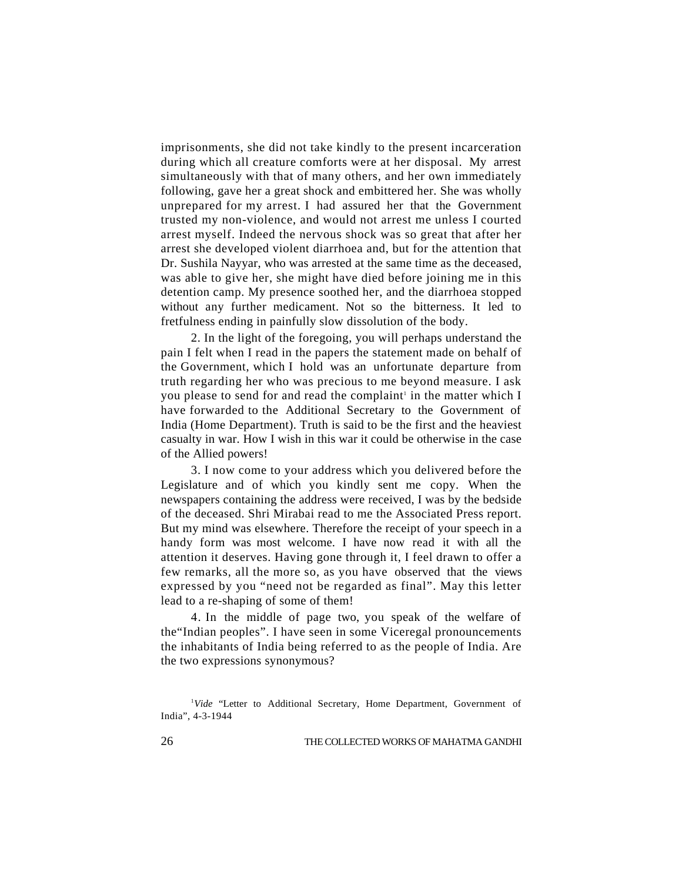imprisonments, she did not take kindly to the present incarceration during which all creature comforts were at her disposal. My arrest simultaneously with that of many others, and her own immediately following, gave her a great shock and embittered her. She was wholly unprepared for my arrest. I had assured her that the Government trusted my non-violence, and would not arrest me unless I courted arrest myself. Indeed the nervous shock was so great that after her arrest she developed violent diarrhoea and, but for the attention that Dr. Sushila Nayyar, who was arrested at the same time as the deceased, was able to give her, she might have died before joining me in this detention camp. My presence soothed her, and the diarrhoea stopped without any further medicament. Not so the bitterness. It led to fretfulness ending in painfully slow dissolution of the body.

2. In the light of the foregoing, you will perhaps understand the pain I felt when I read in the papers the statement made on behalf of the Government, which I hold was an unfortunate departure from truth regarding her who was precious to me beyond measure. I ask you please to send for and read the complaint<sup>1</sup> in the matter which I have forwarded to the Additional Secretary to the Government of India (Home Department). Truth is said to be the first and the heaviest casualty in war. How I wish in this war it could be otherwise in the case of the Allied powers!

3. I now come to your address which you delivered before the Legislature and of which you kindly sent me copy. When the newspapers containing the address were received, I was by the bedside of the deceased. Shri Mirabai read to me the Associated Press report. But my mind was elsewhere. Therefore the receipt of your speech in a handy form was most welcome. I have now read it with all the attention it deserves. Having gone through it, I feel drawn to offer a few remarks, all the more so, as you have observed that the views expressed by you "need not be regarded as final". May this letter lead to a re-shaping of some of them!

4. In the middle of page two, you speak of the welfare of the"Indian peoples". I have seen in some Viceregal pronouncements the inhabitants of India being referred to as the people of India. Are the two expressions synonymous?

<sup>&</sup>lt;sup>1</sup>Vide "Letter to Additional Secretary, Home Department, Government of India", 4-3-1944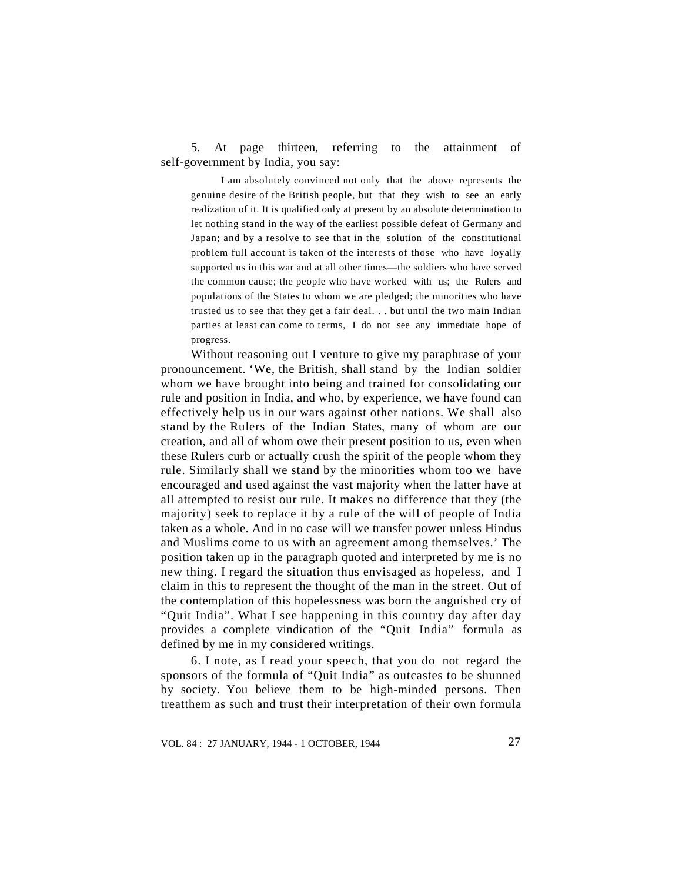5. At page thirteen, referring to the attainment of self-government by India, you say:

I am absolutely convinced not only that the above represents the genuine desire of the British people, but that they wish to see an early realization of it. It is qualified only at present by an absolute determination to let nothing stand in the way of the earliest possible defeat of Germany and Japan; and by a resolve to see that in the solution of the constitutional problem full account is taken of the interests of those who have loyally supported us in this war and at all other times—the soldiers who have served the common cause; the people who have worked with us; the Rulers and populations of the States to whom we are pledged; the minorities who have trusted us to see that they get a fair deal. . . but until the two main Indian parties at least can come to terms, I do not see any immediate hope of progress.

Without reasoning out I venture to give my paraphrase of your pronouncement. 'We, the British, shall stand by the Indian soldier whom we have brought into being and trained for consolidating our rule and position in India, and who, by experience, we have found can effectively help us in our wars against other nations. We shall also stand by the Rulers of the Indian States, many of whom are our creation, and all of whom owe their present position to us, even when these Rulers curb or actually crush the spirit of the people whom they rule. Similarly shall we stand by the minorities whom too we have encouraged and used against the vast majority when the latter have at all attempted to resist our rule. It makes no difference that they (the majority) seek to replace it by a rule of the will of people of India taken as a whole. And in no case will we transfer power unless Hindus and Muslims come to us with an agreement among themselves.' The position taken up in the paragraph quoted and interpreted by me is no new thing. I regard the situation thus envisaged as hopeless, and I claim in this to represent the thought of the man in the street. Out of the contemplation of this hopelessness was born the anguished cry of "Quit India". What I see happening in this country day after day provides a complete vindication of the "Quit India" formula as defined by me in my considered writings.

6. I note, as I read your speech, that you do not regard the sponsors of the formula of "Quit India" as outcastes to be shunned by society. You believe them to be high-minded persons. Then treatthem as such and trust their interpretation of their own formula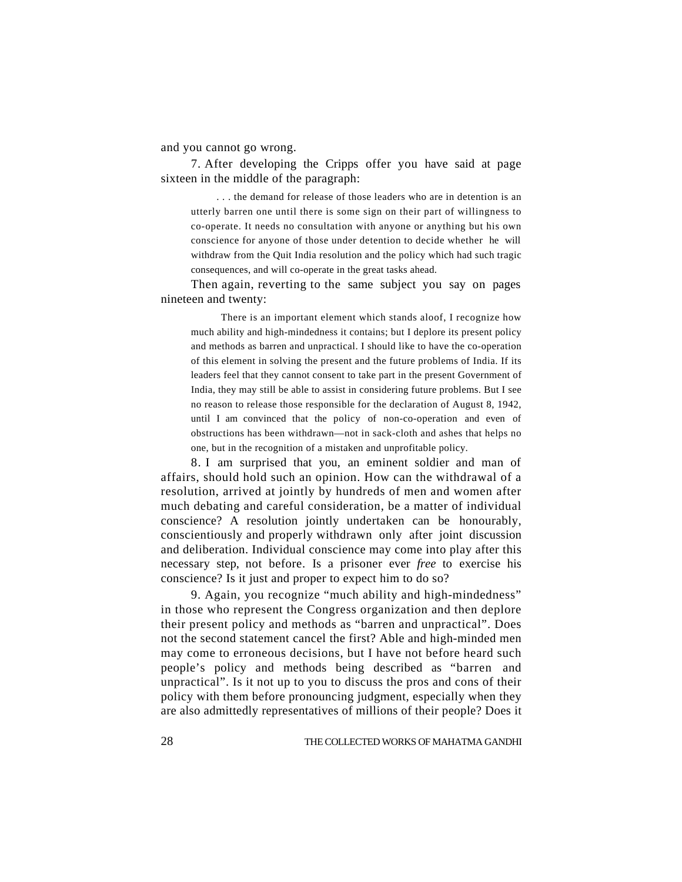and you cannot go wrong.

7. After developing the Cripps offer you have said at page sixteen in the middle of the paragraph:

. . . the demand for release of those leaders who are in detention is an utterly barren one until there is some sign on their part of willingness to co-operate. It needs no consultation with anyone or anything but his own conscience for anyone of those under detention to decide whether he will withdraw from the Quit India resolution and the policy which had such tragic consequences, and will co-operate in the great tasks ahead.

Then again, reverting to the same subject you say on pages nineteen and twenty:

There is an important element which stands aloof, I recognize how much ability and high-mindedness it contains; but I deplore its present policy and methods as barren and unpractical. I should like to have the co-operation of this element in solving the present and the future problems of India. If its leaders feel that they cannot consent to take part in the present Government of India, they may still be able to assist in considering future problems. But I see no reason to release those responsible for the declaration of August 8, 1942, until I am convinced that the policy of non-co-operation and even of obstructions has been withdrawn—not in sack-cloth and ashes that helps no one, but in the recognition of a mistaken and unprofitable policy.

8. I am surprised that you, an eminent soldier and man of affairs, should hold such an opinion. How can the withdrawal of a resolution, arrived at jointly by hundreds of men and women after much debating and careful consideration, be a matter of individual conscience? A resolution jointly undertaken can be honourably, conscientiously and properly withdrawn only after joint discussion and deliberation. Individual conscience may come into play after this necessary step, not before. Is a prisoner ever *free* to exercise his conscience? Is it just and proper to expect him to do so?

9. Again, you recognize "much ability and high-mindedness" in those who represent the Congress organization and then deplore their present policy and methods as "barren and unpractical". Does not the second statement cancel the first? Able and high-minded men may come to erroneous decisions, but I have not before heard such people's policy and methods being described as "barren and unpractical". Is it not up to you to discuss the pros and cons of their policy with them before pronouncing judgment, especially when they are also admittedly representatives of millions of their people? Does it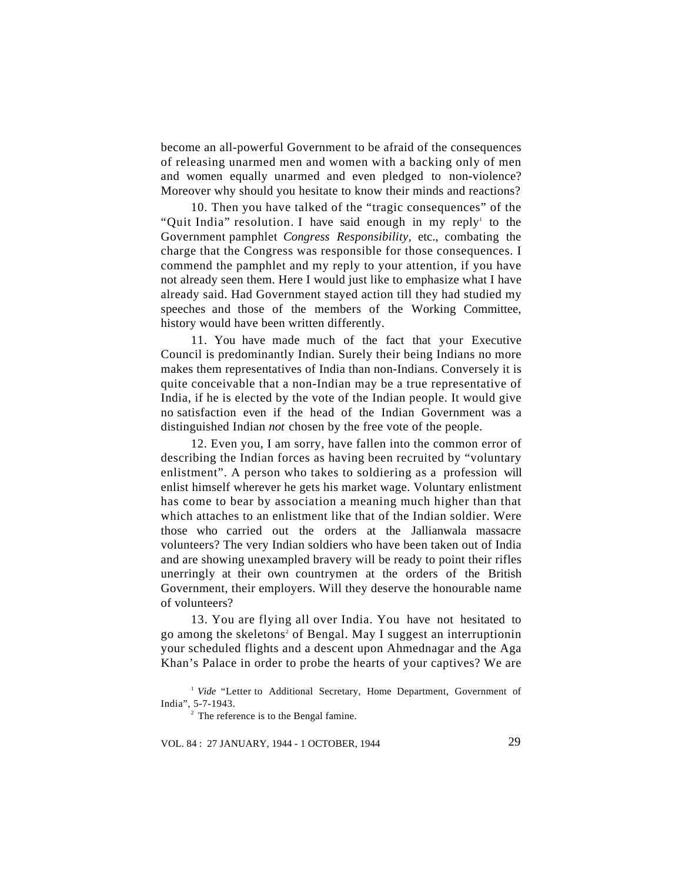become an all-powerful Government to be afraid of the consequences of releasing unarmed men and women with a backing only of men and women equally unarmed and even pledged to non-violence? Moreover why should you hesitate to know their minds and reactions?

10. Then you have talked of the "tragic consequences" of the "Quit India" resolution. I have said enough in my reply<sup>1</sup> to the Government pamphlet *Congress Responsibility,* etc., combating the charge that the Congress was responsible for those consequences. I commend the pamphlet and my reply to your attention, if you have not already seen them. Here I would just like to emphasize what I have already said. Had Government stayed action till they had studied my speeches and those of the members of the Working Committee, history would have been written differently.

11. You have made much of the fact that your Executive Council is predominantly Indian. Surely their being Indians no more makes them representatives of India than non-Indians. Conversely it is quite conceivable that a non-Indian may be a true representative of India, if he is elected by the vote of the Indian people. It would give no satisfaction even if the head of the Indian Government was a distinguished Indian *not* chosen by the free vote of the people.

12. Even you, I am sorry, have fallen into the common error of describing the Indian forces as having been recruited by "voluntary enlistment". A person who takes to soldiering as a profession will enlist himself wherever he gets his market wage. Voluntary enlistment has come to bear by association a meaning much higher than that which attaches to an enlistment like that of the Indian soldier. Were those who carried out the orders at the Jallianwala massacre volunteers? The very Indian soldiers who have been taken out of India and are showing unexampled bravery will be ready to point their rifles unerringly at their own countrymen at the orders of the British Government, their employers. Will they deserve the honourable name of volunteers?

13. You are flying all over India. You have not hesitated to go among the skeletons<sup>2</sup> of Bengal. May I suggest an interruptionin your scheduled flights and a descent upon Ahmednagar and the Aga Khan's Palace in order to probe the hearts of your captives? We are

<sup>&</sup>lt;sup>1</sup> Vide "Letter to Additional Secretary, Home Department, Government of India", 5-7-1943.

 $2$  The reference is to the Bengal famine.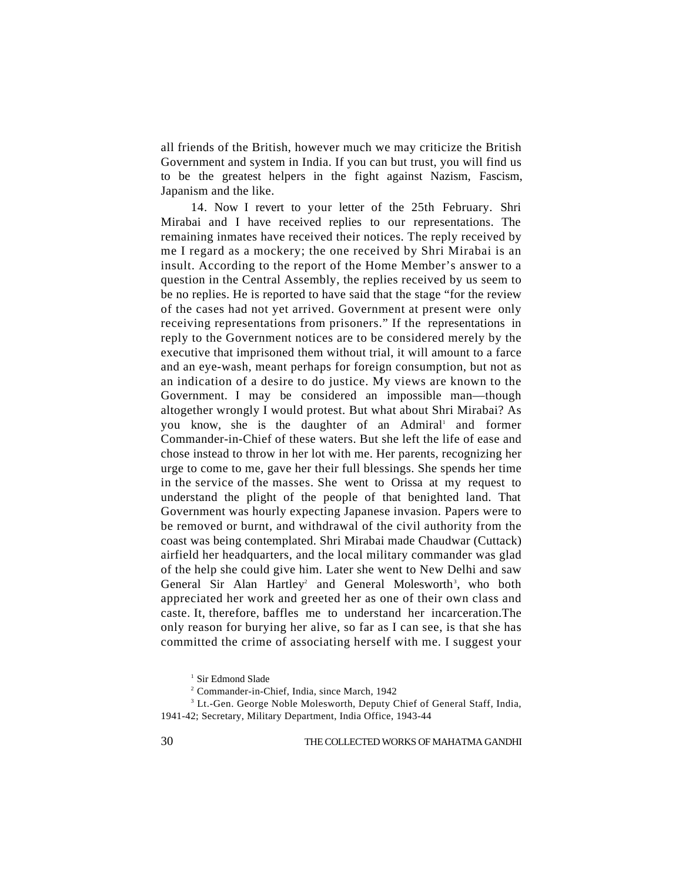all friends of the British, however much we may criticize the British Government and system in India. If you can but trust, you will find us to be the greatest helpers in the fight against Nazism, Fascism, Japanism and the like.

14. Now I revert to your letter of the 25th February. Shri Mirabai and I have received replies to our representations. The remaining inmates have received their notices. The reply received by me I regard as a mockery; the one received by Shri Mirabai is an insult. According to the report of the Home Member's answer to a question in the Central Assembly, the replies received by us seem to be no replies. He is reported to have said that the stage "for the review of the cases had not yet arrived. Government at present were only receiving representations from prisoners." If the representations in reply to the Government notices are to be considered merely by the executive that imprisoned them without trial, it will amount to a farce and an eye-wash, meant perhaps for foreign consumption, but not as an indication of a desire to do justice. My views are known to the Government. I may be considered an impossible man—though altogether wrongly I would protest. But what about Shri Mirabai? As you know, she is the daughter of an Admiral<sup>1</sup> and former Commander-in-Chief of these waters. But she left the life of ease and chose instead to throw in her lot with me. Her parents, recognizing her urge to come to me, gave her their full blessings. She spends her time in the service of the masses. She went to Orissa at my request to understand the plight of the people of that benighted land. That Government was hourly expecting Japanese invasion. Papers were to be removed or burnt, and withdrawal of the civil authority from the coast was being contemplated. Shri Mirabai made Chaudwar (Cuttack) airfield her headquarters, and the local military commander was glad of the help she could give him. Later she went to New Delhi and saw General Sir Alan Hartley<sup>2</sup> and General Molesworth<sup>3</sup>, who both appreciated her work and greeted her as one of their own class and caste. It, therefore, baffles me to understand her incarceration.The only reason for burying her alive, so far as I can see, is that she has committed the crime of associating herself with me. I suggest your

<sup>1</sup> Sir Edmond Slade

2 Commander-in-Chief, India, since March, 1942

<sup>3</sup> Lt.-Gen. George Noble Molesworth, Deputy Chief of General Staff, India, 1941-42; Secretary, Military Department, India Office, 1943-44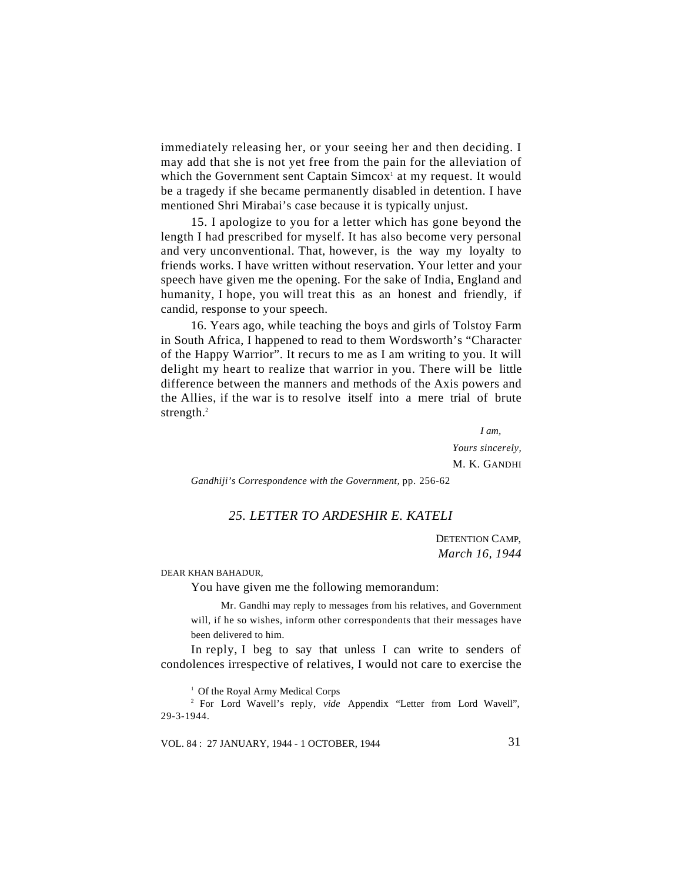immediately releasing her, or your seeing her and then deciding. I may add that she is not yet free from the pain for the alleviation of which the Government sent Captain Simcox<sup>1</sup> at my request. It would be a tragedy if she became permanently disabled in detention. I have mentioned Shri Mirabai's case because it is typically unjust.

15. I apologize to you for a letter which has gone beyond the length I had prescribed for myself. It has also become very personal and very unconventional. That, however, is the way my loyalty to friends works. I have written without reservation. Your letter and your speech have given me the opening. For the sake of India, England and humanity, I hope, you will treat this as an honest and friendly, if candid, response to your speech.

16. Years ago, while teaching the boys and girls of Tolstoy Farm in South Africa, I happened to read to them Wordsworth's "Character of the Happy Warrior". It recurs to me as I am writing to you. It will delight my heart to realize that warrior in you. There will be little difference between the manners and methods of the Axis powers and the Allies, if the war is to resolve itself into a mere trial of brute strength. $2$ 

> *I am, Yours sincerely,* M. K. GANDHI

*Gandhiji's Correspondence with the Government,* pp. 256-62

### *25. LETTER TO ARDESHIR E. KATELI*

DETENTION CAMP, *March 16, 1944*

DEAR KHAN BAHADUR,

You have given me the following memorandum:

Mr. Gandhi may reply to messages from his relatives, and Government will, if he so wishes, inform other correspondents that their messages have been delivered to him.

In reply, I beg to say that unless I can write to senders of condolences irrespective of relatives, I would not care to exercise the

 $<sup>1</sup>$  Of the Royal Army Medical Corps</sup>

<sup>2</sup> For Lord Wavell's reply, *vide* Appendix "Letter from Lord Wavell", 29-3-1944.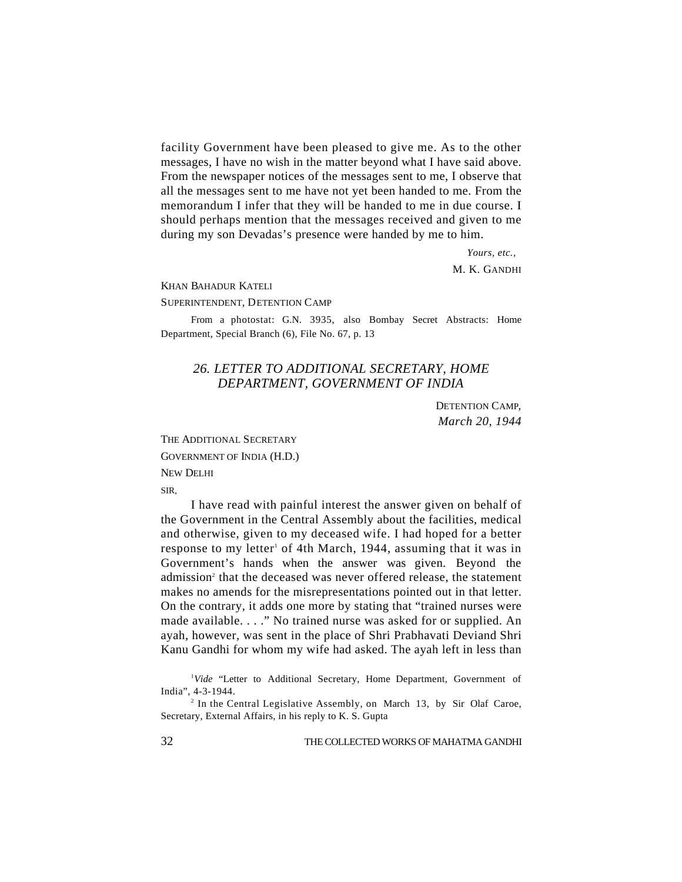facility Government have been pleased to give me. As to the other messages, I have no wish in the matter beyond what I have said above. From the newspaper notices of the messages sent to me, I observe that all the messages sent to me have not yet been handed to me. From the memorandum I infer that they will be handed to me in due course. I should perhaps mention that the messages received and given to me during my son Devadas's presence were handed by me to him.

> *Yours, etc.,* M. K. GANDHI

KHAN BAHADUR KATELI

SUPERINTENDENT, DETENTION CAMP

From a photostat: G.N. 3935, also Bombay Secret Abstracts: Home Department, Special Branch (6), File No. 67, p. 13

# *26. LETTER TO ADDITIONAL SECRETARY, HOME DEPARTMENT, GOVERNMENT OF INDIA*

DETENTION CAMP, *March 20, 1944*

THE ADDITIONAL SECRETARY GOVERNMENT OF INDIA (H.D.) NEW DELHI SIR,

I have read with painful interest the answer given on behalf of the Government in the Central Assembly about the facilities, medical and otherwise, given to my deceased wife. I had hoped for a better response to my letter<sup>1</sup> of 4th March, 1944, assuming that it was in Government's hands when the answer was given. Beyond the admission<sup>2</sup> that the deceased was never offered release, the statement makes no amends for the misrepresentations pointed out in that letter. On the contrary, it adds one more by stating that "trained nurses were made available. . . ." No trained nurse was asked for or supplied. An ayah, however, was sent in the place of Shri Prabhavati Deviand Shri Kanu Gandhi for whom my wife had asked. The ayah left in less than

<sup>1</sup>Vide "Letter to Additional Secretary, Home Department, Government of India", 4-3-1944.

 $2$  In the Central Legislative Assembly, on March 13, by Sir Olaf Caroe, Secretary, External Affairs, in his reply to K. S. Gupta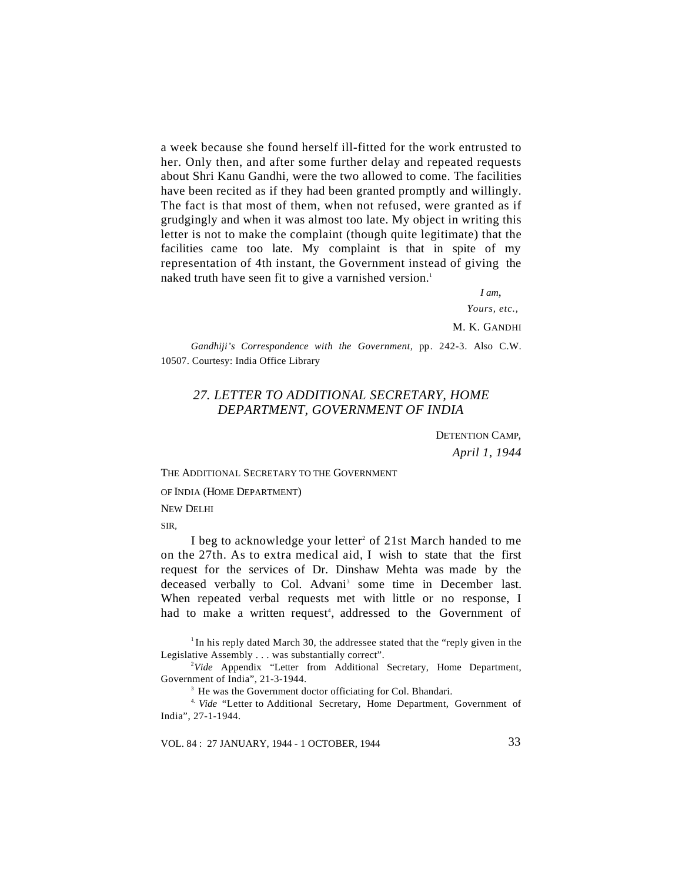a week because she found herself ill-fitted for the work entrusted to her. Only then, and after some further delay and repeated requests about Shri Kanu Gandhi, were the two allowed to come. The facilities have been recited as if they had been granted promptly and willingly. The fact is that most of them, when not refused, were granted as if grudgingly and when it was almost too late. My object in writing this letter is not to make the complaint (though quite legitimate) that the facilities came too late. My complaint is that in spite of my representation of 4th instant, the Government instead of giving the naked truth have seen fit to give a varnished version.<sup>1</sup>

> *I am, Yours, etc.,*  M. K. GANDHI

*Gandhiji's Correspondence with the Government,* pp*.* 242-3. Also C.W. 10507. Courtesy: India Office Library

### *27. LETTER TO ADDITIONAL SECRETARY, HOME DEPARTMENT, GOVERNMENT OF INDIA*

DETENTION CAMP, *April 1, 1944*

THE ADDITIONAL SECRETARY TO THE GOVERNMENT

OF INDIA (HOME DEPARTMENT)

NEW DELHI

SIR,

I beg to acknowledge your letter<sup>2</sup> of 21st March handed to me on the 27th. As to extra medical aid, I wish to state that the first request for the services of Dr. Dinshaw Mehta was made by the deceased verbally to Col. Advani<sup>3</sup> some time in December last. When repeated verbal requests met with little or no response, I had to make a written request<sup>4</sup>, addressed to the Government of

 $1$ In his reply dated March 30, the addressee stated that the "reply given in the Legislative Assembly . . . was substantially correct".

<sup>2</sup>Vide Appendix "Letter from Additional Secretary, Home Department, Government of India", 21-3-1944.

 $3$  He was the Government doctor officiating for Col. Bhandari.

<sup>4.</sup> *Vide* "Letter to Additional Secretary, Home Department, Government of India", 27-1-1944.

VOL. 84 : 27 JANUARY, 1944 - 1 OCTOBER, 1944 33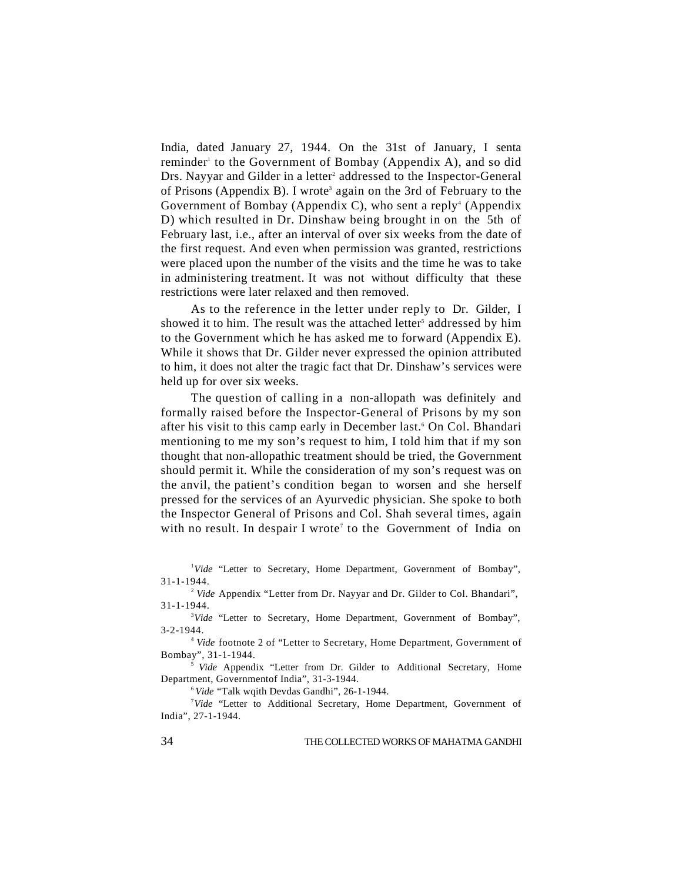India, dated January 27, 1944. On the 31st of January, I senta reminder<sup>1</sup> to the Government of Bombay (Appendix A), and so did Drs. Nayyar and Gilder in a letter<sup>2</sup> addressed to the Inspector-General of Prisons (Appendix B). I wrote<sup>3</sup> again on the 3rd of February to the Government of Bombay (Appendix C), who sent a reply<sup>4</sup> (Appendix D) which resulted in Dr. Dinshaw being brought in on the 5th of February last, i.e., after an interval of over six weeks from the date of the first request. And even when permission was granted, restrictions were placed upon the number of the visits and the time he was to take in administering treatment. It was not without difficulty that these restrictions were later relaxed and then removed.

As to the reference in the letter under reply to Dr. Gilder, I showed it to him. The result was the attached letter<sup>5</sup> addressed by him to the Government which he has asked me to forward (Appendix E). While it shows that Dr. Gilder never expressed the opinion attributed to him, it does not alter the tragic fact that Dr. Dinshaw's services were held up for over six weeks.

The question of calling in a non-allopath was definitely and formally raised before the Inspector-General of Prisons by my son after his visit to this camp early in December last.<sup>6</sup> On Col. Bhandari mentioning to me my son's request to him, I told him that if my son thought that non-allopathic treatment should be tried, the Government should permit it. While the consideration of my son's request was on the anvil, the patient's condition began to worsen and she herself pressed for the services of an Ayurvedic physician. She spoke to both the Inspector General of Prisons and Col. Shah several times, again with no result. In despair I wrote<sup>7</sup> to the Government of India on

<sup>2</sup> Vide Appendix "Letter from Dr. Nayyar and Dr. Gilder to Col. Bhandari", 31-1-1944.

<sup>3</sup>Vide "Letter to Secretary, Home Department, Government of Bombay", 3-2-1944.

<sup>4</sup>*Vide* footnote 2 of "Letter to Secretary, Home Department, Government of Bombay", 31-1-1944.

<sup>5</sup> Vide Appendix "Letter from Dr. Gilder to Additional Secretary, Home Department, Governmentof India", 31-3-1944.

<sup>6</sup>*Vide* "Talk wqith Devdas Gandhi", 26-1-1944.

<sup>7</sup>*Vide* "Letter to Additional Secretary, Home Department, Government of India", 27-1-1944.

<sup>&</sup>lt;sup>1</sup>Vide "Letter to Secretary, Home Department, Government of Bombay", 31-1-1944.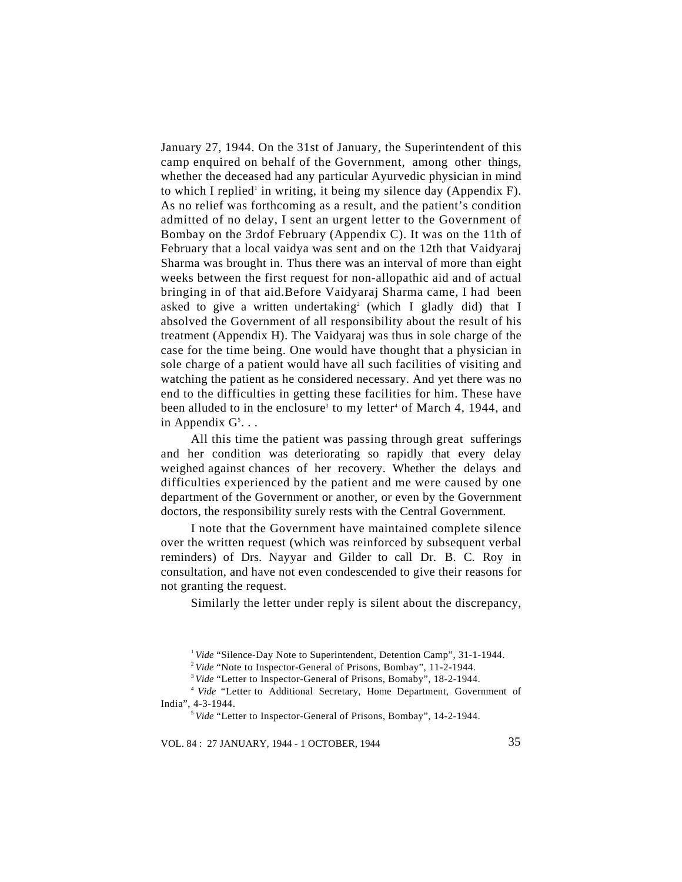January 27, 1944. On the 31st of January, the Superintendent of this camp enquired on behalf of the Government, among other things, whether the deceased had any particular Ayurvedic physician in mind to which I replied<sup>1</sup> in writing, it being my silence day (Appendix F). As no relief was forthcoming as a result, and the patient's condition admitted of no delay, I sent an urgent letter to the Government of Bombay on the 3rdof February (Appendix C). It was on the 11th of February that a local vaidya was sent and on the 12th that Vaidyaraj Sharma was brought in. Thus there was an interval of more than eight weeks between the first request for non-allopathic aid and of actual bringing in of that aid.Before Vaidyaraj Sharma came, I had been asked to give a written undertaking<sup>2</sup> (which I gladly did) that I absolved the Government of all responsibility about the result of his treatment (Appendix H). The Vaidyaraj was thus in sole charge of the case for the time being. One would have thought that a physician in sole charge of a patient would have all such facilities of visiting and watching the patient as he considered necessary. And yet there was no end to the difficulties in getting these facilities for him. These have been alluded to in the enclosure<sup>3</sup> to my letter<sup>4</sup> of March 4, 1944, and in Appendix  $G^5$ ...

All this time the patient was passing through great sufferings and her condition was deteriorating so rapidly that every delay weighed against chances of her recovery. Whether the delays and difficulties experienced by the patient and me were caused by one department of the Government or another, or even by the Government doctors, the responsibility surely rests with the Central Government.

I note that the Government have maintained complete silence over the written request (which was reinforced by subsequent verbal reminders) of Drs. Nayyar and Gilder to call Dr. B. C. Roy in consultation, and have not even condescended to give their reasons for not granting the request.

Similarly the letter under reply is silent about the discrepancy,

<sup>&</sup>lt;sup>1</sup> Vide "Silence-Day Note to Superintendent, Detention Camp", 31-1-1944.

<sup>2</sup>*Vide* "Note to Inspector-General of Prisons, Bombay", 11-2-1944.

<sup>3</sup>*Vide* "Letter to Inspector-General of Prisons, Bomaby", 18-2-1944.

<sup>4</sup>*Vide* "Letter to Additional Secretary, Home Department, Government of India", 4-3-1944.

<sup>5</sup>*Vide* "Letter to Inspector-General of Prisons, Bombay", 14-2-1944.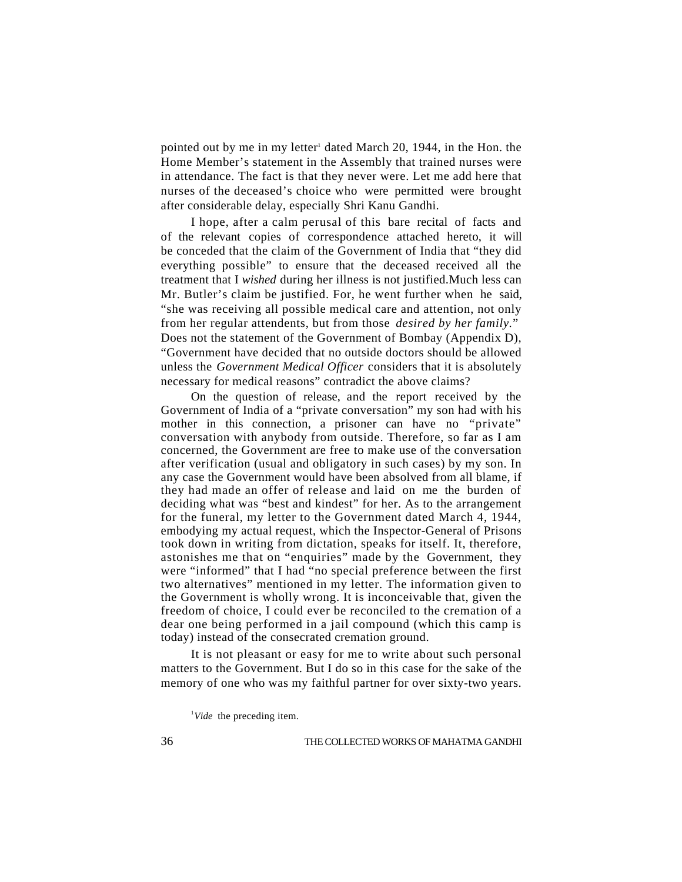pointed out by me in my letter<sup>1</sup> dated March 20, 1944, in the Hon. the Home Member's statement in the Assembly that trained nurses were in attendance. The fact is that they never were. Let me add here that nurses of the deceased's choice who were permitted were brought after considerable delay, especially Shri Kanu Gandhi.

I hope, after a calm perusal of this bare recital of facts and of the relevant copies of correspondence attached hereto, it will be conceded that the claim of the Government of India that "they did everything possible" to ensure that the deceased received all the treatment that I *wished* during her illness is not justified.Much less can Mr. Butler's claim be justified. For, he went further when he said, "she was receiving all possible medical care and attention, not only from her regular attendents, but from those *desired by her family.*" Does not the statement of the Government of Bombay (Appendix D), "Government have decided that no outside doctors should be allowed unless the *Government Medical Officer* considers that it is absolutely necessary for medical reasons" contradict the above claims?

On the question of release, and the report received by the Government of India of a "private conversation" my son had with his mother in this connection, a prisoner can have no "private" conversation with anybody from outside. Therefore, so far as I am concerned, the Government are free to make use of the conversation after verification (usual and obligatory in such cases) by my son. In any case the Government would have been absolved from all blame, if they had made an offer of release and laid on me the burden of deciding what was "best and kindest" for her. As to the arrangement for the funeral, my letter to the Government dated March 4, 1944, embodying my actual request, which the Inspector-General of Prisons took down in writing from dictation, speaks for itself. It, therefore, astonishes me that on "enquiries" made by the Government, they were "informed" that I had "no special preference between the first two alternatives" mentioned in my letter. The information given to the Government is wholly wrong. It is inconceivable that, given the freedom of choice, I could ever be reconciled to the cremation of a dear one being performed in a jail compound (which this camp is today) instead of the consecrated cremation ground.

It is not pleasant or easy for me to write about such personal matters to the Government. But I do so in this case for the sake of the memory of one who was my faithful partner for over sixty-two years.

<sup>1</sup>*Vide* the preceding item.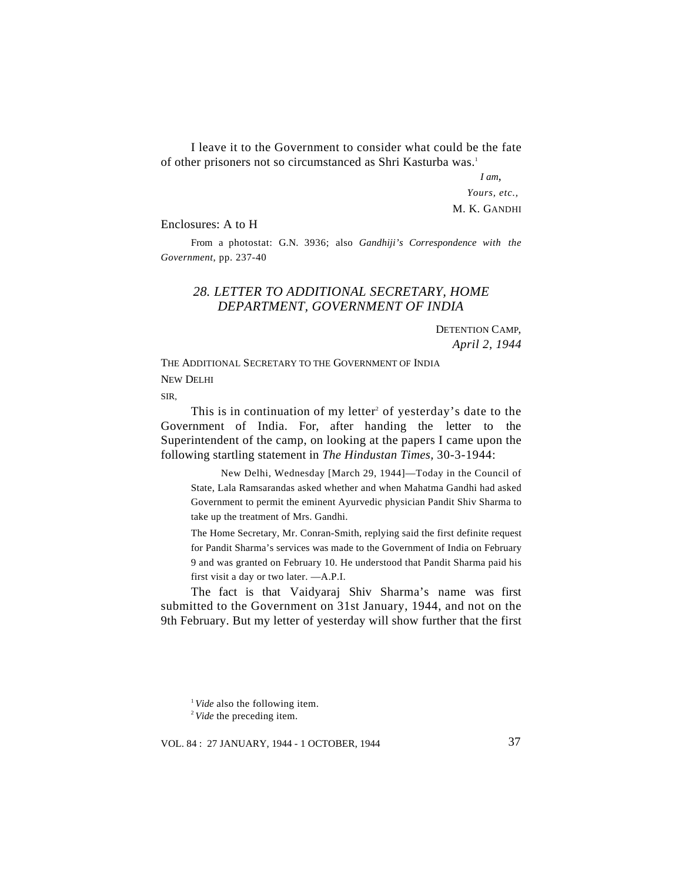I leave it to the Government to consider what could be the fate of other prisoners not so circumstanced as Shri Kasturba was.<sup>1</sup>

> *I am, Yours, etc.,*

M. K. GANDHI

Enclosures: A to H

From a photostat: G.N. 3936; also *Gandhiji's Correspondence with the Government*, pp. 237-40

# *28. LETTER TO ADDITIONAL SECRETARY, HOME DEPARTMENT, GOVERNMENT OF INDIA*

DETENTION CAMP, *April 2, 1944*

THE ADDITIONAL SECRETARY TO THE GOVERNMENT OF INDIA

NEW DELHI

SIR,

This is in continuation of my letter<sup>2</sup> of yesterday's date to the Government of India. For, after handing the letter to the Superintendent of the camp, on looking at the papers I came upon the following startling statement in *The Hindustan Times,* 30-3-1944:

New Delhi, Wednesday [March 29, 1944]—Today in the Council of State, Lala Ramsarandas asked whether and when Mahatma Gandhi had asked Government to permit the eminent Ayurvedic physician Pandit Shiv Sharma to take up the treatment of Mrs. Gandhi.

The Home Secretary, Mr. Conran-Smith, replying said the first definite request for Pandit Sharma's services was made to the Government of India on February 9 and was granted on February 10. He understood that Pandit Sharma paid his first visit a day or two later. —A.P.I.

The fact is that Vaidyaraj Shiv Sharma's name was first submitted to the Government on 31st January, 1944, and not on the 9th February. But my letter of yesterday will show further that the first

<sup>&</sup>lt;sup>1</sup> Vide also the following item.

<sup>2</sup>*Vide* the preceding item.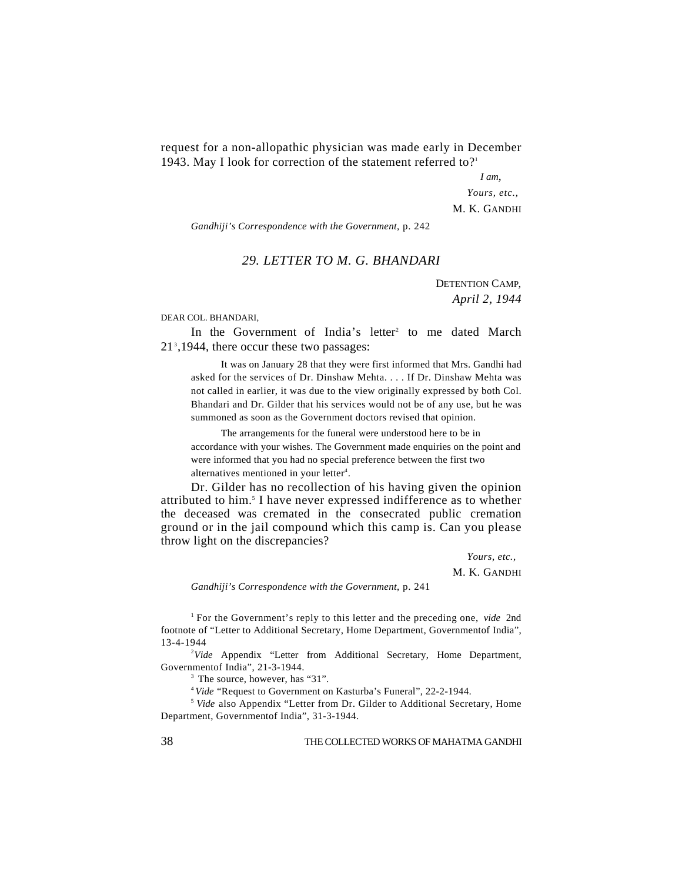request for a non-allopathic physician was made early in December 1943. May I look for correction of the statement referred to? $1$ 

> *I am, Yours, etc.,*

M. K. GANDHI

*Gandhiji's Correspondence with the Government*, p. 242

#### *29. LETTER TO M. G. BHANDARI*

DETENTION CAMP, *April 2, 1944*

#### DEAR COL. BHANDARI,

In the Government of India's letter<sup>2</sup> to me dated March 21<sup>3</sup> ,1944, there occur these two passages:

It was on January 28 that they were first informed that Mrs. Gandhi had asked for the services of Dr. Dinshaw Mehta. . . . If Dr. Dinshaw Mehta was not called in earlier, it was due to the view originally expressed by both Col. Bhandari and Dr. Gilder that his services would not be of any use, but he was summoned as soon as the Government doctors revised that opinion.

The arrangements for the funeral were understood here to be in accordance with your wishes. The Government made enquiries on the point and were informed that you had no special preference between the first two alternatives mentioned in your letter<sup>4</sup>.

Dr. Gilder has no recollection of his having given the opinion attributed to him.<sup>5</sup> I have never expressed indifference as to whether the deceased was cremated in the consecrated public cremation ground or in the jail compound which this camp is. Can you please throw light on the discrepancies?

> *Yours, etc.,* M. K. GANDHI

*Gandhiji's Correspondence with the Government*, p. 241

<sup>1</sup> For the Government's reply to this letter and the preceding one, *vide* 2nd footnote of "Letter to Additional Secretary, Home Department, Governmentof India", 13-4-1944

<sup>2</sup>Vide Appendix "Letter from Additional Secretary, Home Department, Governmentof India", 21-3-1944.

 $3$  The source, however, has "31".

<sup>4</sup>*Vide* "Request to Government on Kasturba's Funeral", 22-2-1944.

<sup>5</sup>*Vide* also Appendix "Letter from Dr. Gilder to Additional Secretary, Home Department, Governmentof India", 31-3-1944.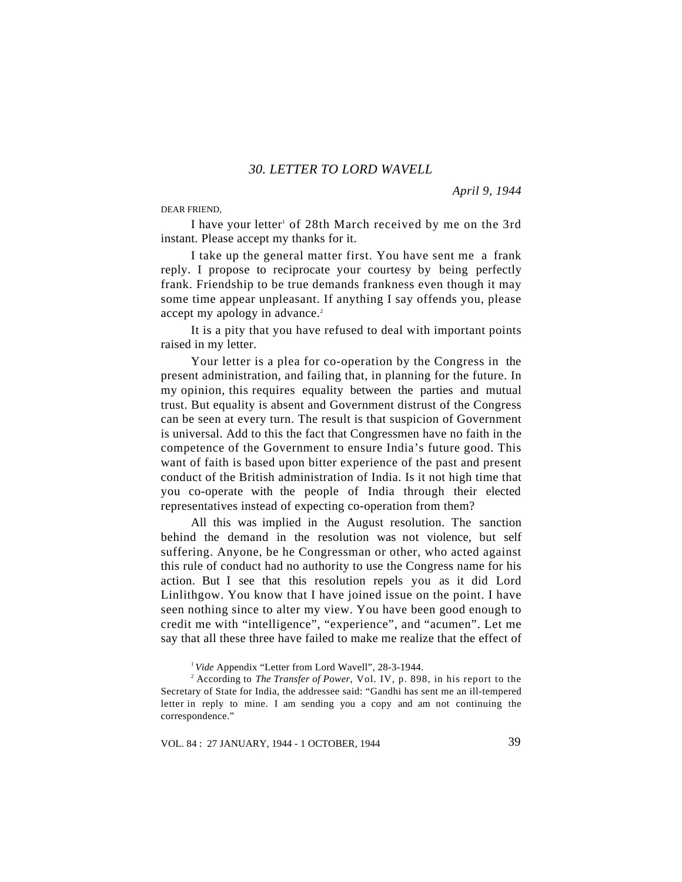DEAR FRIEND,

I have your letter<sup>1</sup> of 28th March received by me on the 3rd instant. Please accept my thanks for it.

I take up the general matter first. You have sent me a frank reply. I propose to reciprocate your courtesy by being perfectly frank. Friendship to be true demands frankness even though it may some time appear unpleasant. If anything I say offends you, please accept my apology in advance.<sup>2</sup>

It is a pity that you have refused to deal with important points raised in my letter.

Your letter is a plea for co-operation by the Congress in the present administration, and failing that, in planning for the future. In my opinion, this requires equality between the parties and mutual trust. But equality is absent and Government distrust of the Congress can be seen at every turn. The result is that suspicion of Government is universal. Add to this the fact that Congressmen have no faith in the competence of the Government to ensure India's future good. This want of faith is based upon bitter experience of the past and present conduct of the British administration of India. Is it not high time that you co-operate with the people of India through their elected representatives instead of expecting co-operation from them?

All this was implied in the August resolution. The sanction behind the demand in the resolution was not violence, but self suffering. Anyone, be he Congressman or other, who acted against this rule of conduct had no authority to use the Congress name for his action. But I see that this resolution repels you as it did Lord Linlithgow. You know that I have joined issue on the point. I have seen nothing since to alter my view. You have been good enough to credit me with "intelligence", "experience", and "acumen". Let me say that all these three have failed to make me realize that the effect of

<sup>1</sup> Vide Appendix "Letter from Lord Wavell", 28-3-1944.

<sup>2</sup>According to *The Transfer of Power*, Vol. IV, p. 898, in his report to the Secretary of State for India, the addressee said: "Gandhi has sent me an ill-tempered letter in reply to mine. I am sending you a copy and am not continuing the correspondence."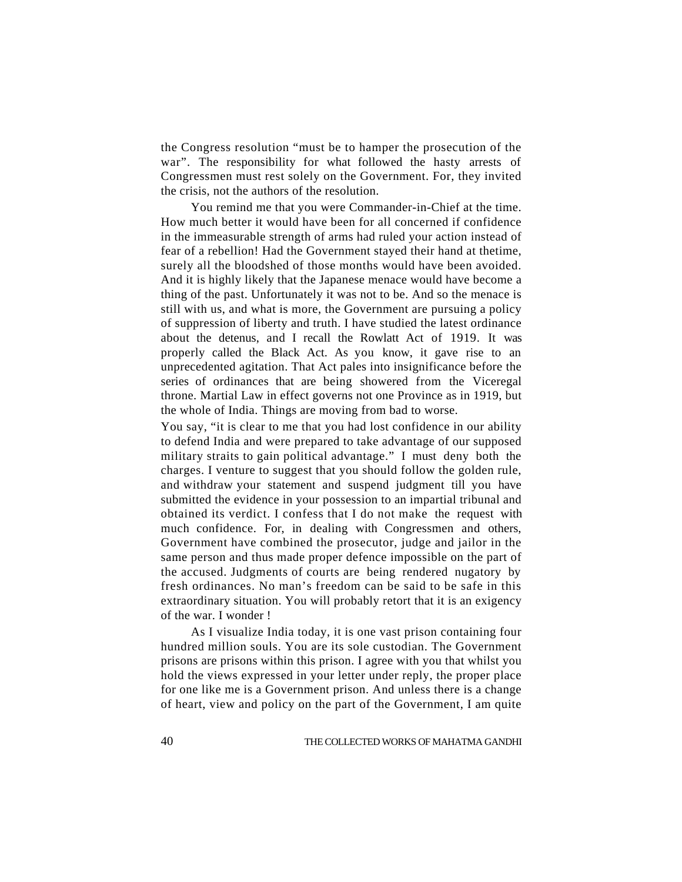the Congress resolution "must be to hamper the prosecution of the war". The responsibility for what followed the hasty arrests of Congressmen must rest solely on the Government. For, they invited the crisis, not the authors of the resolution.

You remind me that you were Commander-in-Chief at the time. How much better it would have been for all concerned if confidence in the immeasurable strength of arms had ruled your action instead of fear of a rebellion! Had the Government stayed their hand at thetime, surely all the bloodshed of those months would have been avoided. And it is highly likely that the Japanese menace would have become a thing of the past. Unfortunately it was not to be. And so the menace is still with us, and what is more, the Government are pursuing a policy of suppression of liberty and truth. I have studied the latest ordinance about the detenus, and I recall the Rowlatt Act of 1919. It was properly called the Black Act. As you know, it gave rise to an unprecedented agitation. That Act pales into insignificance before the series of ordinances that are being showered from the Viceregal throne. Martial Law in effect governs not one Province as in 1919, but the whole of India. Things are moving from bad to worse.

You say, "it is clear to me that you had lost confidence in our ability to defend India and were prepared to take advantage of our supposed military straits to gain political advantage." I must deny both the charges. I venture to suggest that you should follow the golden rule, and withdraw your statement and suspend judgment till you have submitted the evidence in your possession to an impartial tribunal and obtained its verdict. I confess that I do not make the request with much confidence. For, in dealing with Congressmen and others, Government have combined the prosecutor, judge and jailor in the same person and thus made proper defence impossible on the part of the accused. Judgments of courts are being rendered nugatory by fresh ordinances. No man's freedom can be said to be safe in this extraordinary situation. You will probably retort that it is an exigency of the war. I wonder !

As I visualize India today, it is one vast prison containing four hundred million souls. You are its sole custodian. The Government prisons are prisons within this prison. I agree with you that whilst you hold the views expressed in your letter under reply, the proper place for one like me is a Government prison. And unless there is a change of heart, view and policy on the part of the Government, I am quite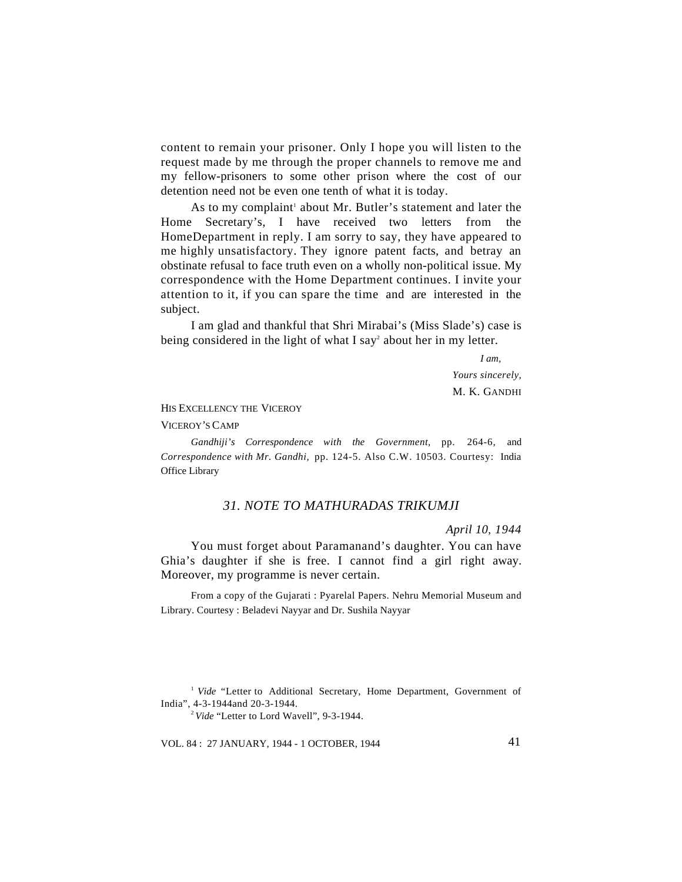content to remain your prisoner. Only I hope you will listen to the request made by me through the proper channels to remove me and my fellow-prisoners to some other prison where the cost of our detention need not be even one tenth of what it is today.

As to my complaint<sup>1</sup> about Mr. Butler's statement and later the Home Secretary's, I have received two letters from the HomeDepartment in reply. I am sorry to say, they have appeared to me highly unsatisfactory. They ignore patent facts, and betray an obstinate refusal to face truth even on a wholly non-political issue. My correspondence with the Home Department continues. I invite your attention to it, if you can spare the time and are interested in the subject.

I am glad and thankful that Shri Mirabai's (Miss Slade's) case is being considered in the light of what I say<sup>2</sup> about her in my letter.

> *I am, Yours sincerely,* M. K. GANDHI

HIS EXCELLENCY THE VICEROY

VICEROY'S CAMP

*Gandhiji's Correspondence with the Government,* pp. 264-6, and *Correspondence with Mr. Gandhi,* pp. 124-5. Also C.W. 10503. Courtesy: India Office Library

#### *31. NOTE TO MATHURADAS TRIKUMJI*

*April 10*, *1944*

You must forget about Paramanand's daughter. You can have Ghia's daughter if she is free. I cannot find a girl right away. Moreover, my programme is never certain.

From a copy of the Gujarati : Pyarelal Papers. Nehru Memorial Museum and Library. Courtesy : Beladevi Nayyar and Dr. Sushila Nayyar

<sup>1</sup> Vide "Letter to Additional Secretary, Home Department, Government of India", 4-3-1944and 20-3-1944.

<sup>2</sup> Vide "Letter to Lord Wavell", 9-3-1944.

VOL. 84 : 27 JANUARY, 1944 - 1 OCTOBER, 1944 41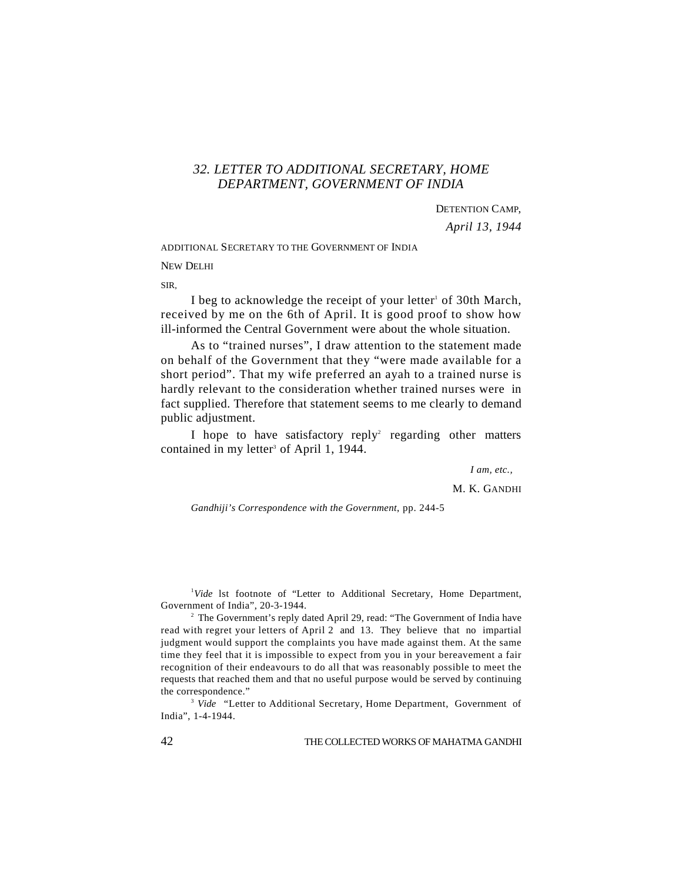# *32. LETTER TO ADDITIONAL SECRETARY, HOME DEPARTMENT, GOVERNMENT OF INDIA*

DETENTION CAMP, *April 13, 1944*

ADDITIONAL SECRETARY TO THE GOVERNMENT OF INDIA

NEW DELHI

SIR,

I beg to acknowledge the receipt of your letter' of 30th March, received by me on the 6th of April. It is good proof to show how ill-informed the Central Government were about the whole situation.

As to "trained nurses", I draw attention to the statement made on behalf of the Government that they "were made available for a short period". That my wife preferred an ayah to a trained nurse is hardly relevant to the consideration whether trained nurses were in fact supplied. Therefore that statement seems to me clearly to demand public adjustment.

I hope to have satisfactory reply<sup>2</sup> regarding other matters contained in my letter<sup>3</sup> of April 1, 1944.

*I am, etc.,*

M. K. GANDHI

*Gandhiji's Correspondence with the Government*, pp. 244-5

<sup>1</sup>Vide 1st footnote of "Letter to Additional Secretary, Home Department, Government of India", 20-3-1944.

 $2$  The Government's reply dated April 29, read: "The Government of India have read with regret your letters of April 2 and 13. They believe that no impartial judgment would support the complaints you have made against them. At the same time they feel that it is impossible to expect from you in your bereavement a fair recognition of their endeavours to do all that was reasonably possible to meet the requests that reached them and that no useful purpose would be served by continuing the correspondence."

<sup>3</sup> Vide "Letter to Additional Secretary, Home Department, Government of India", 1-4-1944.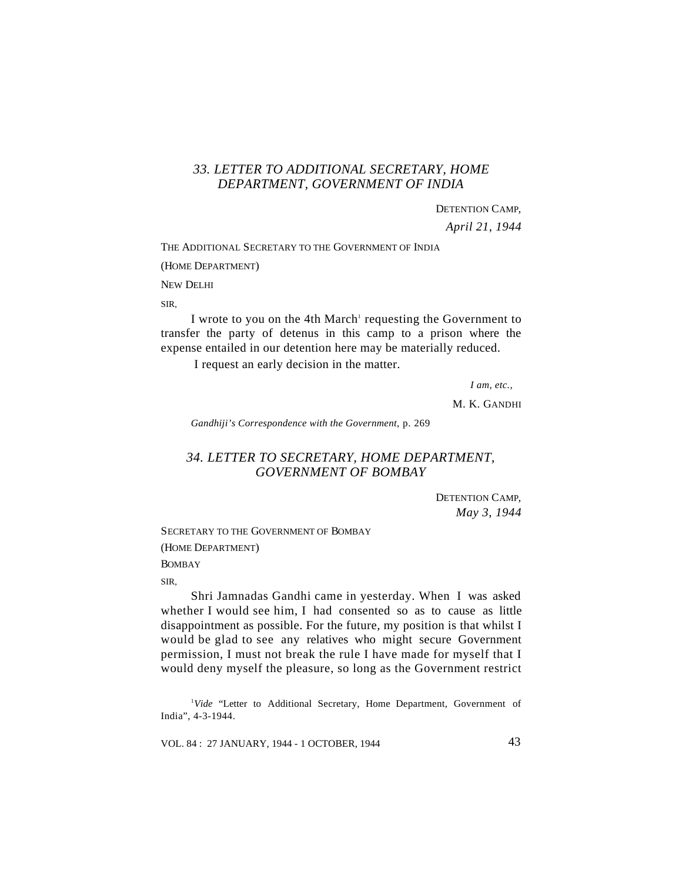# *33. LETTER TO ADDITIONAL SECRETARY, HOME DEPARTMENT, GOVERNMENT OF INDIA*

DETENTION CAMP, *April 21, 1944*

THE ADDITIONAL SECRETARY TO THE GOVERNMENT OF INDIA

(HOME DEPARTMENT)

NEW DELHI

SIR,

I wrote to you on the 4th March<sup>1</sup> requesting the Government to transfer the party of detenus in this camp to a prison where the expense entailed in our detention here may be materially reduced.

I request an early decision in the matter.

*I am, etc.,*

M. K. GANDHI

*Gandhiji's Correspondence with the Government*, p. 269

# *34. LETTER TO SECRETARY, HOME DEPARTMENT, GOVERNMENT OF BOMBAY*

DETENTION CAMP, *May 3, 1944*

SECRETARY TO THE GOVERNMENT OF BOMBAY

(HOME DEPARTMENT)

**BOMBAY** 

SIR,

Shri Jamnadas Gandhi came in yesterday. When I was asked whether I would see him, I had consented so as to cause as little disappointment as possible. For the future, my position is that whilst I would be glad to see any relatives who might secure Government permission, I must not break the rule I have made for myself that I would deny myself the pleasure, so long as the Government restrict

<sup>&</sup>lt;sup>1</sup>Vide "Letter to Additional Secretary, Home Department, Government of India", 4-3-1944.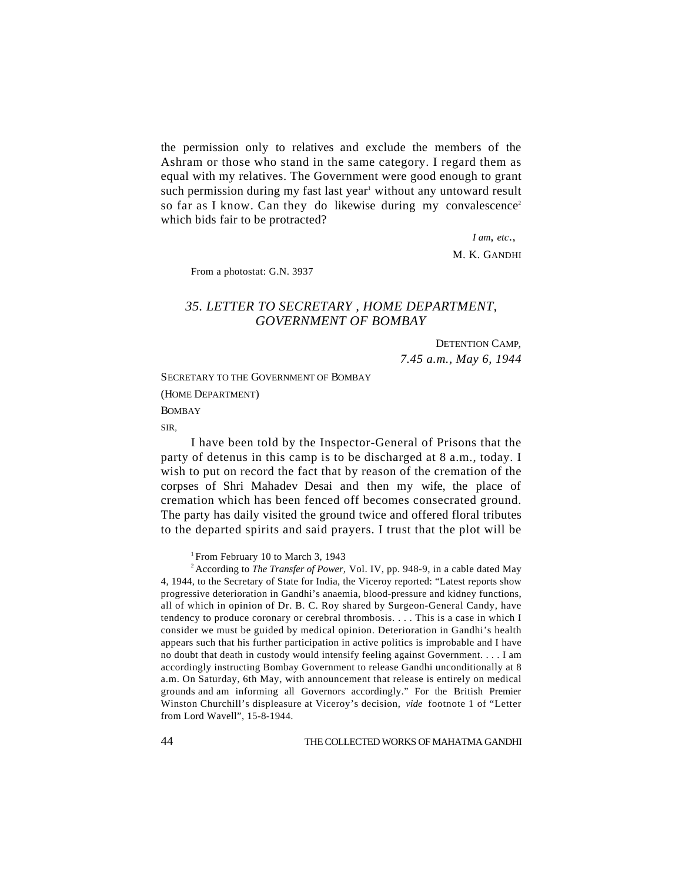the permission only to relatives and exclude the members of the Ashram or those who stand in the same category. I regard them as equal with my relatives. The Government were good enough to grant such permission during my fast last year<sup>1</sup> without any untoward result so far as I know. Can they do likewise during my convalescence<sup>2</sup> which bids fair to be protracted?

> *I am, etc.,* M. K. GANDHI

From a photostat: G.N. 3937

## *35. LETTER TO SECRETARY , HOME DEPARTMENT, GOVERNMENT OF BOMBAY*

DETENTION CAMP, *7.45 a.m., May 6, 1944*

SECRETARY TO THE GOVERNMENT OF BOMBAY

(HOME DEPARTMENT)

BOMBAY

SIR,

I have been told by the Inspector-General of Prisons that the party of detenus in this camp is to be discharged at 8 a.m., today. I wish to put on record the fact that by reason of the cremation of the corpses of Shri Mahadev Desai and then my wife, the place of cremation which has been fenced off becomes consecrated ground. The party has daily visited the ground twice and offered floral tributes to the departed spirits and said prayers. I trust that the plot will be

<sup>1</sup> From February 10 to March 3, 1943

<sup>2</sup> According to *The Transfer of Power*, Vol. IV, pp. 948-9, in a cable dated May 4, 1944, to the Secretary of State for India, the Viceroy reported: "Latest reports show progressive deterioration in Gandhi's anaemia, blood-pressure and kidney functions, all of which in opinion of Dr. B. C. Roy shared by Surgeon-General Candy, have tendency to produce coronary or cerebral thrombosis. . . . This is a case in which I consider we must be guided by medical opinion. Deterioration in Gandhi's health appears such that his further participation in active politics is improbable and I have no doubt that death in custody would intensify feeling against Government. . . . I am accordingly instructing Bombay Government to release Gandhi unconditionally at 8 a.m. On Saturday, 6th May, with announcement that release is entirely on medical grounds and am informing all Governors accordingly." For the British Premier Winston Churchill's displeasure at Viceroy's decision, *vide* footnote 1 of "Letter from Lord Wavell", 15-8-1944.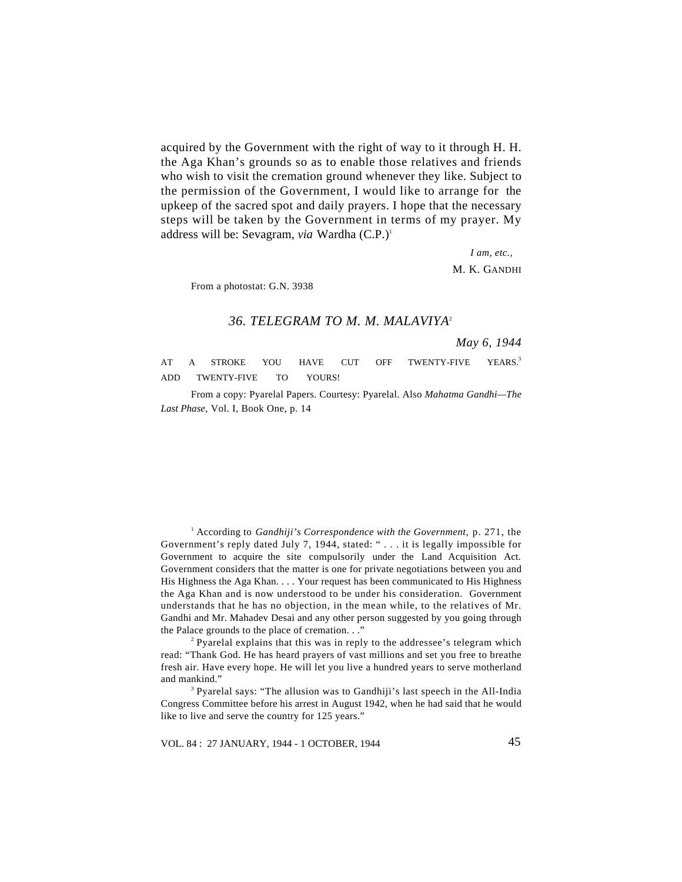acquired by the Government with the right of way to it through H. H. the Aga Khan's grounds so as to enable those relatives and friends who wish to visit the cremation ground whenever they like. Subject to the permission of the Government, I would like to arrange for the upkeep of the sacred spot and daily prayers. I hope that the necessary steps will be taken by the Government in terms of my prayer. My address will be: Sevagram, *via* Wardha (C.P.)<sup>1</sup>

> *I am, etc.,* M. K. GANDHI

From a photostat: G.N. 3938

#### *36. TELEGRAM TO M. M. MALAVIYA*<sup>2</sup>

*May 6, 1944*

AT A STROKE YOU HAVE CUT OFF TWENTY-FIVE YEARS.<sup>3</sup> ADD TWENTY-FIVE TO YOURS!

From a copy: Pyarelal Papers. Courtesy: Pyarelal. Also *Mahatma Gandhi—The Last Phase*, Vol. I, Book One, p. 14

<sup>1</sup> According to *Gandhiji's Correspondence with the Government*, p. 271, the Government's reply dated July 7, 1944, stated: " . . . it is legally impossible for Government to acquire the site compulsorily under the Land Acquisition Act. Government considers that the matter is one for private negotiations between you and His Highness the Aga Khan. . . . Your request has been communicated to His Highness the Aga Khan and is now understood to be under his consideration. Government understands that he has no objection, in the mean while, to the relatives of Mr. Gandhi and Mr. Mahadev Desai and any other person suggested by you going through the Palace grounds to the place of cremation. . ."

 $2^{2}$  Pyarelal explains that this was in reply to the addressee's telegram which read: "Thank God. He has heard prayers of vast millions and set you free to breathe fresh air. Have every hope. He will let you live a hundred years to serve motherland and mankind."

<sup>3</sup> Pyarelal says: "The allusion was to Gandhiji's last speech in the All-India Congress Committee before his arrest in August 1942, when he had said that he would like to live and serve the country for 125 years."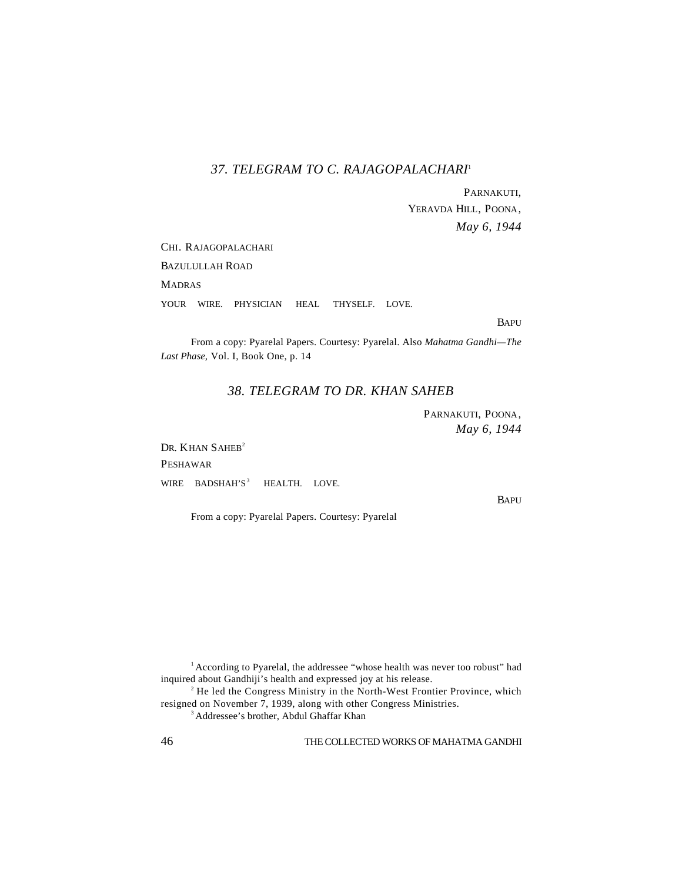## *37. TELEGRAM TO C. RAJAGOPALACHARI*<sup>1</sup>

PARNAKUTI, YERAVDA HILL, POONA, *May 6, 1944*

CHI. RAJAGOPALACHARI

BAZULULLAH ROAD

**MADRAS** 

YOUR WIRE. PHYSICIAN HEAL THYSELF. LOVE.

BAPU

From a copy: Pyarelal Papers. Courtesy: Pyarelal. Also *Mahatma Gandhi—The Last Phase,* Vol. I, Book One, p. 14

### *38. TELEGRAM TO DR. KHAN SAHEB*

PARNAKUTI, POONA, *May 6, 1944*

DR. KHAN SAHEB<sup>2</sup> PESHAWAR WIRE BADSHAH'S $3$  HEALTH. LOVE.

**BAPU** 

From a copy: Pyarelal Papers. Courtesy: Pyarelal

<sup>1</sup> According to Pyarelal, the addressee "whose health was never too robust" had inquired about Gandhiji's health and expressed joy at his release.

 $2$ <sup>2</sup> He led the Congress Ministry in the North-West Frontier Province, which resigned on November 7, 1939, along with other Congress Ministries.

<sup>&</sup>lt;sup>3</sup> Addressee's brother, Abdul Ghaffar Khan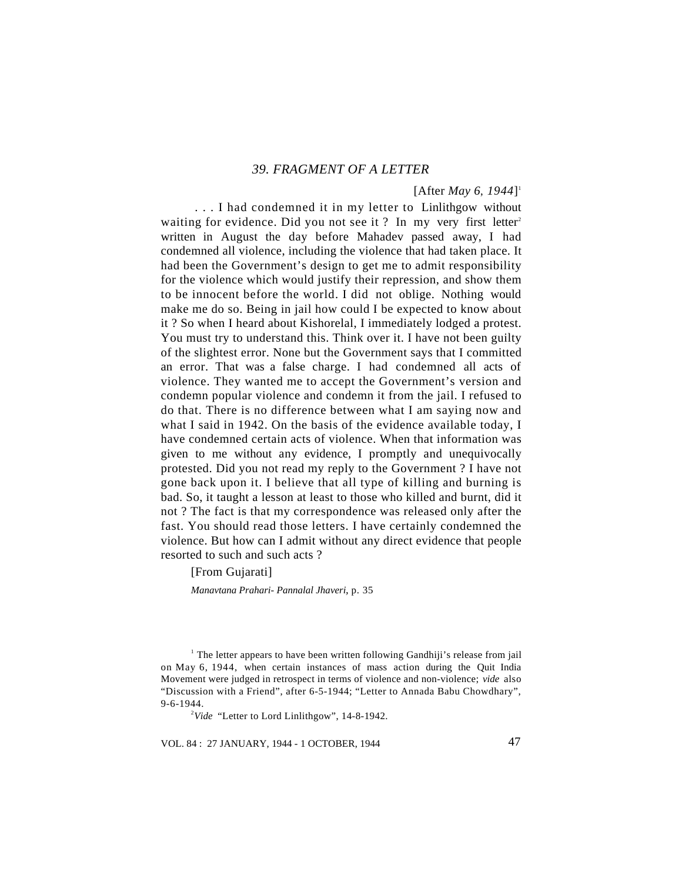## *39. FRAGMENT OF A LETTER*

#### [After *May 6*, *1944*] 1

 . . . I had condemned it in my letter to Linlithgow without waiting for evidence. Did you not see it ? In my very first letter<sup>2</sup> written in August the day before Mahadev passed away, I had condemned all violence, including the violence that had taken place. It had been the Government's design to get me to admit responsibility for the violence which would justify their repression, and show them to be innocent before the world. I did not oblige. Nothing would make me do so. Being in jail how could I be expected to know about it ? So when I heard about Kishorelal, I immediately lodged a protest. You must try to understand this. Think over it. I have not been guilty of the slightest error. None but the Government says that I committed an error. That was a false charge. I had condemned all acts of violence. They wanted me to accept the Government's version and condemn popular violence and condemn it from the jail. I refused to do that. There is no difference between what I am saying now and what I said in 1942. On the basis of the evidence available today, I have condemned certain acts of violence. When that information was given to me without any evidence, I promptly and unequivocally protested. Did you not read my reply to the Government ? I have not gone back upon it. I believe that all type of killing and burning is bad. So, it taught a lesson at least to those who killed and burnt, did it not ? The fact is that my correspondence was released only after the fast. You should read those letters. I have certainly condemned the violence. But how can I admit without any direct evidence that people resorted to such and such acts ?

[From Gujarati]

*Manavtana Prahari- Pannalal Jhaveri,* p. 35

<sup>1</sup> The letter appears to have been written following Gandhiji's release from jail on May 6, 1944, when certain instances of mass action during the Quit India Movement were judged in retrospect in terms of violence and non-violence; *vide* also "Discussion with a Friend", after 6-5-1944; "Letter to Annada Babu Chowdhary", 9-6-1944.

<sup>2</sup>*Vide* "Letter to Lord Linlithgow", 14-8-1942.

VOL. 84 : 27 JANUARY, 1944 - 1 OCTOBER, 1944 47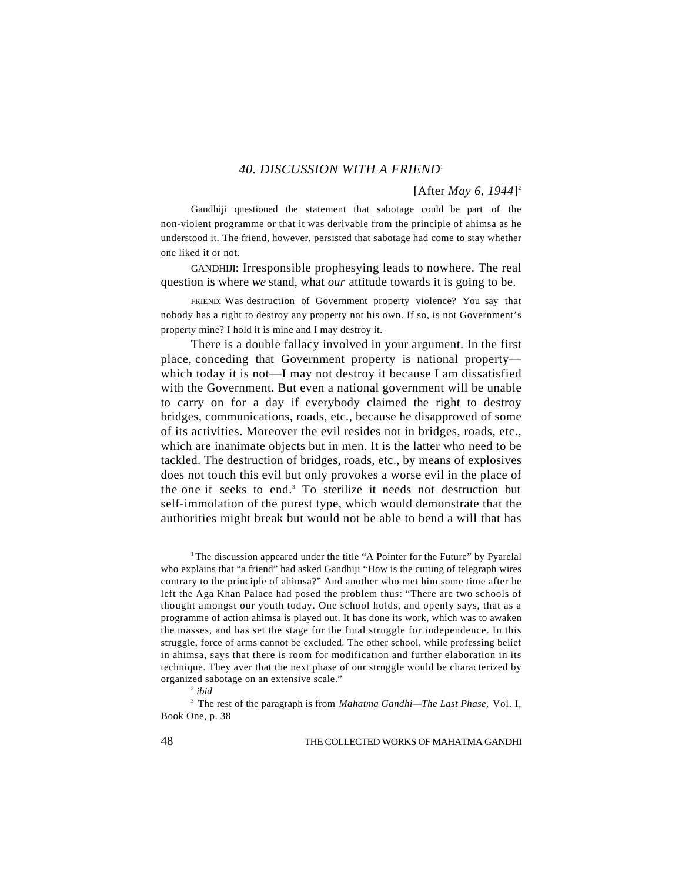### *40. DISCUSSION WITH A FRIEND*<sup>1</sup>

#### [After *May 6, 1944*] 2

Gandhiji questioned the statement that sabotage could be part of the non-violent programme or that it was derivable from the principle of ahimsa as he understood it. The friend, however, persisted that sabotage had come to stay whether one liked it or not.

GANDHIJI: Irresponsible prophesying leads to nowhere. The real question is where *we* stand, what *our* attitude towards it is going to be.

FRIEND: Was destruction of Government property violence? You say that nobody has a right to destroy any property not his own. If so, is not Government's property mine? I hold it is mine and I may destroy it.

There is a double fallacy involved in your argument. In the first place, conceding that Government property is national property which today it is not—I may not destroy it because I am dissatisfied with the Government. But even a national government will be unable to carry on for a day if everybody claimed the right to destroy bridges, communications, roads, etc., because he disapproved of some of its activities. Moreover the evil resides not in bridges, roads, etc., which are inanimate objects but in men. It is the latter who need to be tackled. The destruction of bridges, roads, etc., by means of explosives does not touch this evil but only provokes a worse evil in the place of the one it seeks to end.<sup>3</sup> To sterilize it needs not destruction but self-immolation of the purest type, which would demonstrate that the authorities might break but would not be able to bend a will that has

<sup>1</sup>The discussion appeared under the title "A Pointer for the Future" by Pyarelal who explains that "a friend" had asked Gandhiji "How is the cutting of telegraph wires contrary to the principle of ahimsa?" And another who met him some time after he left the Aga Khan Palace had posed the problem thus: "There are two schools of thought amongst our youth today. One school holds, and openly says, that as a programme of action ahimsa is played out. It has done its work, which was to awaken the masses, and has set the stage for the final struggle for independence. In this struggle, force of arms cannot be excluded. The other school, while professing belief in ahimsa, says that there is room for modification and further elaboration in its technique. They aver that the next phase of our struggle would be characterized by organized sabotage on an extensive scale."

2 *ibid*

<sup>3</sup> The rest of the paragraph is from *Mahatma Gandhi*—The Last Phase, Vol. I, Book One, p. 38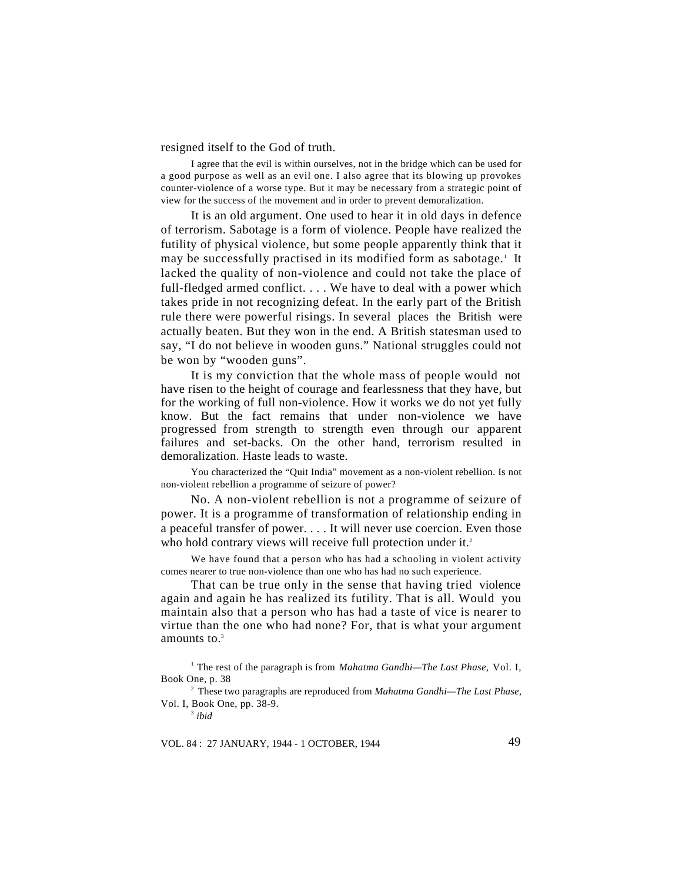#### resigned itself to the God of truth.

I agree that the evil is within ourselves, not in the bridge which can be used for a good purpose as well as an evil one. I also agree that its blowing up provokes counter-violence of a worse type. But it may be necessary from a strategic point of view for the success of the movement and in order to prevent demoralization.

It is an old argument. One used to hear it in old days in defence of terrorism. Sabotage is a form of violence. People have realized the futility of physical violence, but some people apparently think that it may be successfully practised in its modified form as sabotage.<sup>1</sup> It lacked the quality of non-violence and could not take the place of full-fledged armed conflict. . . . We have to deal with a power which takes pride in not recognizing defeat. In the early part of the British rule there were powerful risings. In several places the British were actually beaten. But they won in the end. A British statesman used to say, "I do not believe in wooden guns." National struggles could not be won by "wooden guns".

It is my conviction that the whole mass of people would not have risen to the height of courage and fearlessness that they have, but for the working of full non-violence. How it works we do not yet fully know. But the fact remains that under non-violence we have progressed from strength to strength even through our apparent failures and set-backs. On the other hand, terrorism resulted in demoralization. Haste leads to waste.

You characterized the "Quit India" movement as a non-violent rebellion. Is not non-violent rebellion a programme of seizure of power?

No. A non-violent rebellion is not a programme of seizure of power. It is a programme of transformation of relationship ending in a peaceful transfer of power. . . . It will never use coercion. Even those who hold contrary views will receive full protection under it.<sup>2</sup>

We have found that a person who has had a schooling in violent activity comes nearer to true non-violence than one who has had no such experience.

That can be true only in the sense that having tried violence again and again he has realized its futility. That is all. Would you maintain also that a person who has had a taste of vice is nearer to virtue than the one who had none? For, that is what your argument amounts to  $3$ 

<sup>1</sup> The rest of the paragraph is from *Mahatma Gandhi—The Last Phase*, Vol. I, Book One, p. 38

<sup>2</sup>These two paragraphs are reproduced from *Mahatma Gandhi—The Last Phase,* Vol. I, Book One, pp. 38-9.

3 *ibid*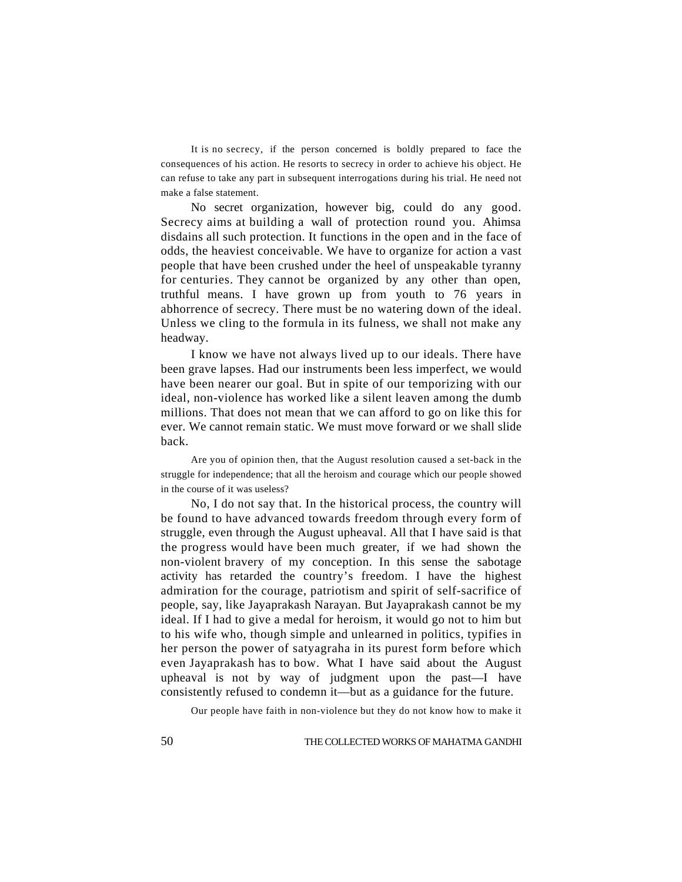It is no secrecy, if the person concerned is boldly prepared to face the consequences of his action. He resorts to secrecy in order to achieve his object. He can refuse to take any part in subsequent interrogations during his trial. He need not make a false statement.

No secret organization, however big, could do any good. Secrecy aims at building a wall of protection round you. Ahimsa disdains all such protection. It functions in the open and in the face of odds, the heaviest conceivable. We have to organize for action a vast people that have been crushed under the heel of unspeakable tyranny for centuries. They cannot be organized by any other than open, truthful means. I have grown up from youth to 76 years in abhorrence of secrecy. There must be no watering down of the ideal. Unless we cling to the formula in its fulness, we shall not make any headway.

I know we have not always lived up to our ideals. There have been grave lapses. Had our instruments been less imperfect, we would have been nearer our goal. But in spite of our temporizing with our ideal, non-violence has worked like a silent leaven among the dumb millions. That does not mean that we can afford to go on like this for ever. We cannot remain static. We must move forward or we shall slide back.

Are you of opinion then, that the August resolution caused a set-back in the struggle for independence; that all the heroism and courage which our people showed in the course of it was useless?

No, I do not say that. In the historical process, the country will be found to have advanced towards freedom through every form of struggle, even through the August upheaval. All that I have said is that the progress would have been much greater, if we had shown the non-violent bravery of my conception. In this sense the sabotage activity has retarded the country's freedom. I have the highest admiration for the courage, patriotism and spirit of self-sacrifice of people, say, like Jayaprakash Narayan. But Jayaprakash cannot be my ideal. If I had to give a medal for heroism, it would go not to him but to his wife who, though simple and unlearned in politics, typifies in her person the power of satyagraha in its purest form before which even Jayaprakash has to bow. What I have said about the August upheaval is not by way of judgment upon the past—I have consistently refused to condemn it—but as a guidance for the future.

Our people have faith in non-violence but they do not know how to make it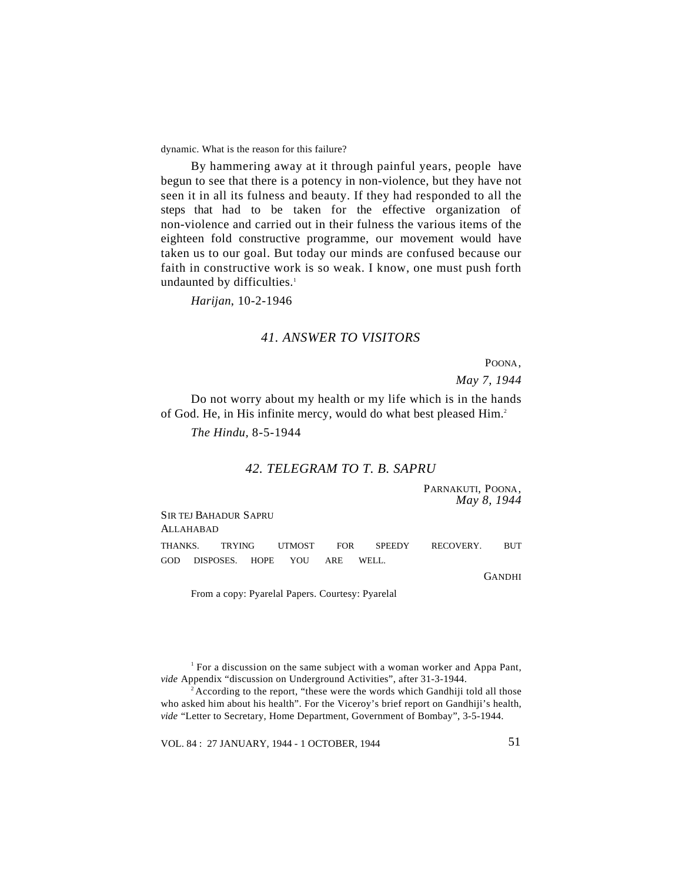dynamic. What is the reason for this failure?

By hammering away at it through painful years, people have begun to see that there is a potency in non-violence, but they have not seen it in all its fulness and beauty. If they had responded to all the steps that had to be taken for the effective organization of non-violence and carried out in their fulness the various items of the eighteen fold constructive programme, our movement would have taken us to our goal. But today our minds are confused because our faith in constructive work is so weak. I know, one must push forth undaunted by difficulties.<sup>1</sup>

*Harijan*, 10-2-1946

## *41. ANSWER TO VISITORS*

POONA,

*May 7, 1944*

Do not worry about my health or my life which is in the hands of God. He, in His infinite mercy, would do what best pleased Him.<sup>2</sup>

*The Hindu,* 8-5-1944

### *42. TELEGRAM TO T. B. SAPRU*

PARNAKUTI, POONA, *May 8, 1944*

SIR TEJ BAHADUR SAPRU ALLAHABAD THANKS. TRYING UTMOST FOR SPEEDY RECOVERY. BUT GOD DISPOSES. HOPE YOU ARE WELL.

GANDHI

From a copy: Pyarelal Papers. Courtesy: Pyarelal

 $1$  For a discussion on the same subject with a woman worker and Appa Pant, *vide* Appendix "discussion on Underground Activities", after 31-3-1944.

VOL. 84 : 27 JANUARY, 1944 - 1 OCTOBER, 1944 51

 $2^2$  According to the report, "these were the words which Gandhiji told all those who asked him about his health". For the Viceroy's brief report on Gandhiji's health, *vide* "Letter to Secretary, Home Department, Government of Bombay", 3-5-1944.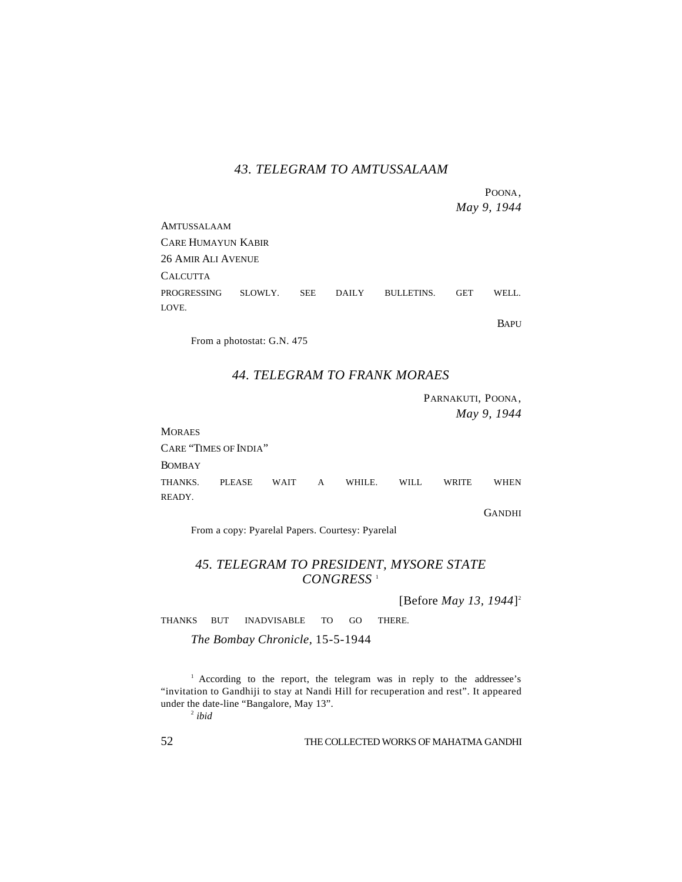## *43. TELEGRAM TO AMTUSSALAAM*

POONA, *May 9, 1944*

AMTUSSALAAM CARE HUMAYUN KABIR 26 AMIR ALI AVENUE CALCUTTA PROGRESSING SLOWLY. SEE DAILY BULLETINS. GET WELL. LOVE. **BAPU** 

From a photostat: G.N. 475

#### *44. TELEGRAM TO FRANK MORAES*

PARNAKUTI, POONA, *May 9, 1944*

| MORAES                |  |        |       |              |             |
|-----------------------|--|--------|-------|--------------|-------------|
| CARE "TIMES OF INDIA" |  |        |       |              |             |
| <b>BOMBAY</b>         |  |        |       |              |             |
| THANKS. PLEASE WAIT A |  | WHILE. | WILL. | <b>WRITE</b> | <b>WHEN</b> |
| READY.                |  |        |       |              |             |

GANDHI

From a copy: Pyarelal Papers. Courtesy: Pyarelal

## *45. TELEGRAM TO PRESIDENT, MYSORE STATE CONGRESS* <sup>1</sup>

[Before *May 13, 1944*] 2

THANKS BUT INADVISABLE TO GO THERE.

*The Bombay Chronicle,* 15-5-1944

 $1$  According to the report, the telegram was in reply to the addressee's "invitation to Gandhiji to stay at Nandi Hill for recuperation and rest". It appeared under the date-line "Bangalore, May 13".

2 *ibid*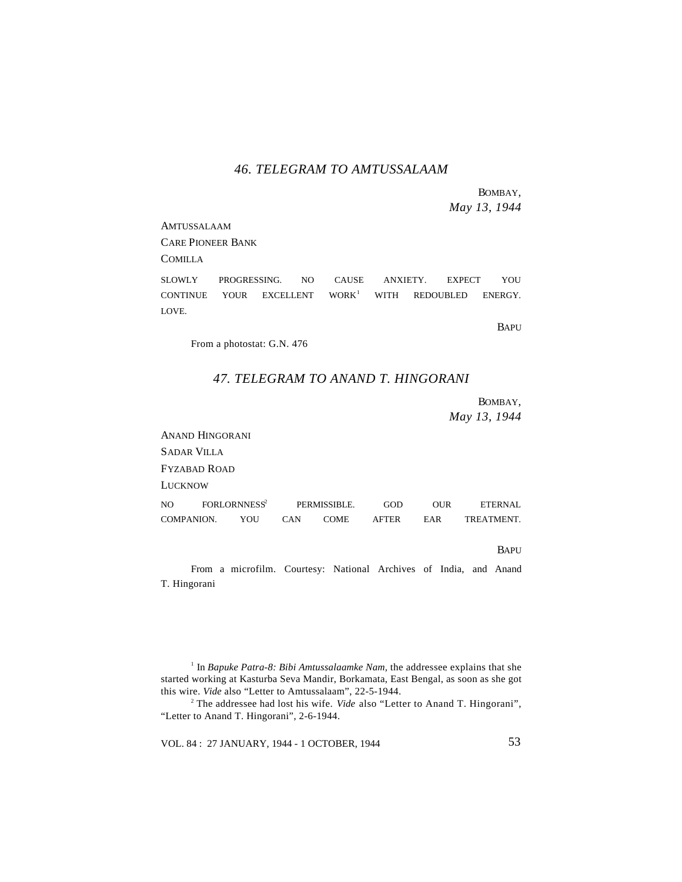# *46. TELEGRAM TO AMTUSSALAAM*

BOMBAY, *May 13, 1944*

AMTUSSALAAM

CARE PIONEER BANK

COMILLA

SLOWLY PROGRESSING. NO CAUSE ANXIETY. EXPECT YOU CONTINUE YOUR EXCELLENT WORK<sup>1</sup> WITH REDOUBLED ENERGY. LOVE.

BAPU

From a photostat: G.N. 476

### *47. TELEGRAM TO ANAND T. HINGORANI*

BOMBAY, *May 13, 1944*

ANAND HINGORANI SADAR VILLA FYZABAD ROAD **LUCKNOW** NO FORLORNNESS<sup>2</sup> PERMISSIBLE. GOD OUR ETERNAL COMPANION. YOU CAN COME AFTER EAR TREATMENT. BAPU

From a microfilm. Courtesy: National Archives of India, and Anand T. Hingorani

<sup>1</sup> In *Bapuke Patra-8: Bibi Amtussalaamke Nam*, the addressee explains that she started working at Kasturba Seva Mandir, Borkamata, East Bengal, as soon as she got this wire. *Vide* also "Letter to Amtussalaam", 22-5-1944.

<sup>2</sup> The addressee had lost his wife. *Vide* also "Letter to Anand T. Hingorani", "Letter to Anand T. Hingorani", 2-6-1944.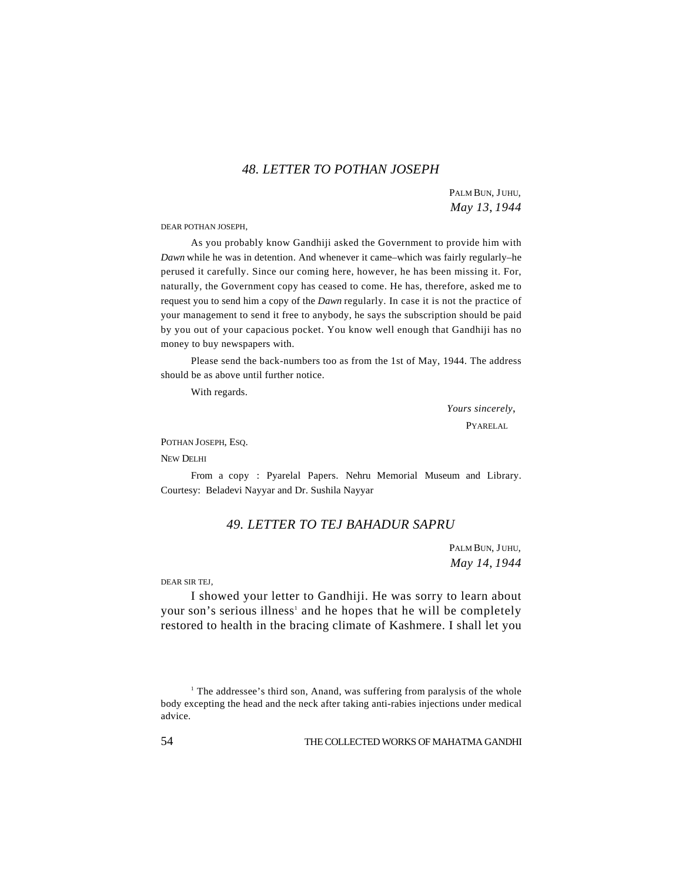### *48. LETTER TO POTHAN JOSEPH*

PALM BUN, JUHU, *May 13*, *1944*

DEAR POTHAN JOSEPH,

As you probably know Gandhiji asked the Government to provide him with *Dawn* while he was in detention. And whenever it came–which was fairly regularly–he perused it carefully. Since our coming here, however, he has been missing it. For, naturally, the Government copy has ceased to come. He has, therefore, asked me to request you to send him a copy of the *Dawn* regularly. In case it is not the practice of your management to send it free to anybody, he says the subscription should be paid by you out of your capacious pocket. You know well enough that Gandhiji has no money to buy newspapers with.

Please send the back-numbers too as from the 1st of May, 1944. The address should be as above until further notice.

With regards.

*Yours sincerely*, PYAREL AL.

POTHAN JOSEPH, ESQ.

NEW DELHI

From a copy : Pyarelal Papers. Nehru Memorial Museum and Library. Courtesy: Beladevi Nayyar and Dr. Sushila Nayyar

## *49. LETTER TO TEJ BAHADUR SAPRU*

PALM BUN, JUHU, *May 14*, *1944*

DEAR SIR TEJ,

I showed your letter to Gandhiji. He was sorry to learn about your son's serious illness<sup>1</sup> and he hopes that he will be completely restored to health in the bracing climate of Kashmere. I shall let you

<sup>&</sup>lt;sup>1</sup> The addressee's third son, Anand, was suffering from paralysis of the whole body excepting the head and the neck after taking anti-rabies injections under medical advice.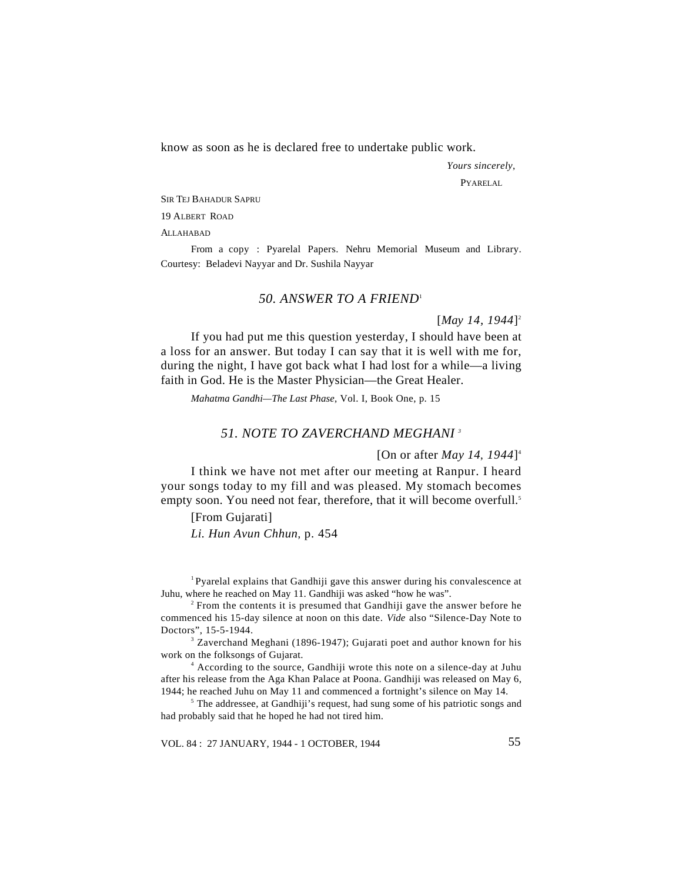know as soon as he is declared free to undertake public work.

*Yours sincerely*,

PYARELAL

SIR TEJ BAHADUR SAPRU

19 ALBERT ROAD

ALLAHABAD

From a copy : Pyarelal Papers. Nehru Memorial Museum and Library. Courtesy: Beladevi Nayyar and Dr. Sushila Nayyar

### *50. ANSWER TO A FRIEND*<sup>1</sup>

[*May 14, 1944*] 2

If you had put me this question yesterday, I should have been at a loss for an answer. But today I can say that it is well with me for, during the night, I have got back what I had lost for a while—a living faith in God. He is the Master Physician—the Great Healer.

*Mahatma Gandhi—The Last Phase*, Vol. I, Book One, p. 15

### *51. NOTE TO ZAVERCHAND MEGHANI <sup>3</sup>*

#### [On or after *May 14*, *1944*] 4

I think we have not met after our meeting at Ranpur. I heard your songs today to my fill and was pleased. My stomach becomes empty soon. You need not fear, therefore, that it will become overfull.<sup>5</sup>

[From Gujarati] *Li. Hun Avun Chhun*, p. 454

<sup>1</sup> Pyarelal explains that Gandhiji gave this answer during his convalescence at Juhu, where he reached on May 11. Gandhiji was asked "how he was".

 $2^2$  From the contents it is presumed that Gandhiji gave the answer before he commenced his 15-day silence at noon on this date. *Vide* also "Silence-Day Note to Doctors", 15-5-1944.

<sup>3</sup> Zaverchand Meghani (1896-1947); Gujarati poet and author known for his work on the folksongs of Gujarat.

4 According to the source, Gandhiji wrote this note on a silence-day at Juhu after his release from the Aga Khan Palace at Poona. Gandhiji was released on May 6, 1944; he reached Juhu on May 11 and commenced a fortnight's silence on May 14.

<sup>5</sup> The addressee, at Gandhiji's request, had sung some of his patriotic songs and had probably said that he hoped he had not tired him.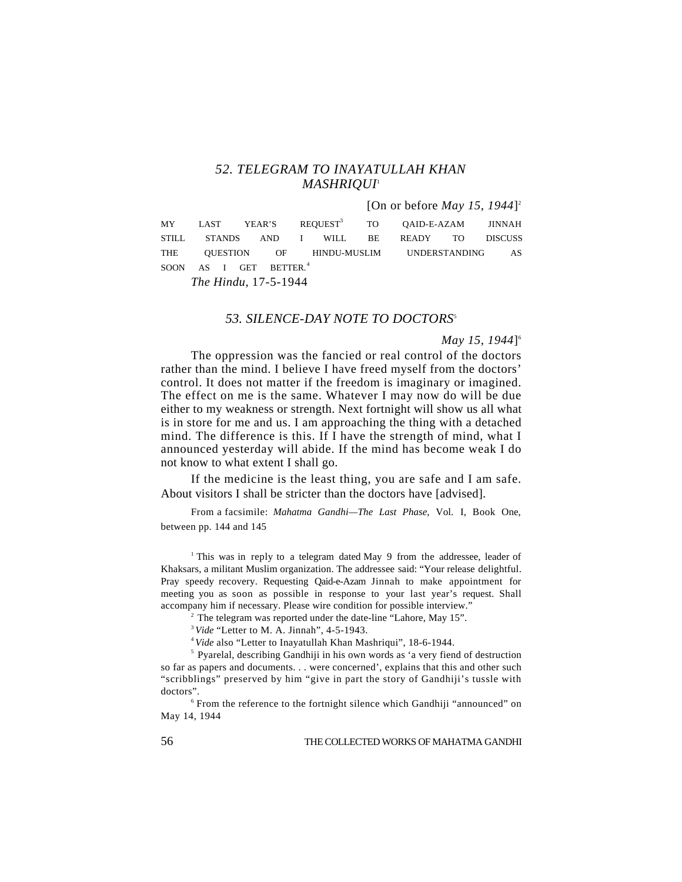## *52. TELEGRAM TO INAYATULLAH KHAN MASHRIQUI*<sup>1</sup>

#### [On or before *May 15, 1944*] 2

|                                    |  |  |  |  | MY LAST YEAR'S REOUEST <sup>3</sup> TO OAID-E-AZAM JINNAH |
|------------------------------------|--|--|--|--|-----------------------------------------------------------|
|                                    |  |  |  |  | STILL STANDS AND I WILL BE READY TO DISCUSS               |
|                                    |  |  |  |  | THE OUESTION OF HINDU-MUSLIM UNDERSTANDING AS             |
| SOON AS I GET BETTER. <sup>4</sup> |  |  |  |  |                                                           |

*The Hindu,* 17-5-1944

#### *53. SILENCE-DAY NOTE TO DOCTORS*<sup>5</sup>

#### *May 15, 1944*] 6

The oppression was the fancied or real control of the doctors rather than the mind. I believe I have freed myself from the doctors' control. It does not matter if the freedom is imaginary or imagined. The effect on me is the same. Whatever I may now do will be due either to my weakness or strength. Next fortnight will show us all what is in store for me and us. I am approaching the thing with a detached mind. The difference is this. If I have the strength of mind, what I announced yesterday will abide. If the mind has become weak I do not know to what extent I shall go.

If the medicine is the least thing, you are safe and I am safe. About visitors I shall be stricter than the doctors have [advised].

From a facsimile: *Mahatma Gandhi—The Last Phase*, Vol. I, Book One, between pp. 144 and 145

<sup>1</sup> This was in reply to a telegram dated May 9 from the addressee, leader of Khaksars, a militant Muslim organization. The addressee said: "Your release delightful. Pray speedy recovery. Requesting Qaid-e-Azam Jinnah to make appointment for meeting you as soon as possible in response to your last year's request. Shall accompany him if necessary. Please wire condition for possible interview."

<sup>2</sup> The telegram was reported under the date-line "Lahore, May 15".

<sup>3</sup>*Vide* "Letter to M. A. Jinnah", 4-5-1943.

<sup>4</sup>*Vide* also "Letter to Inayatullah Khan Mashriqui", 18-6-1944.

<sup>5</sup> Pyarelal, describing Gandhiji in his own words as 'a very fiend of destruction so far as papers and documents. . . were concerned', explains that this and other such "scribblings" preserved by him "give in part the story of Gandhiji's tussle with doctors".

<sup>6</sup> From the reference to the fortnight silence which Gandhiji "announced" on May 14, 1944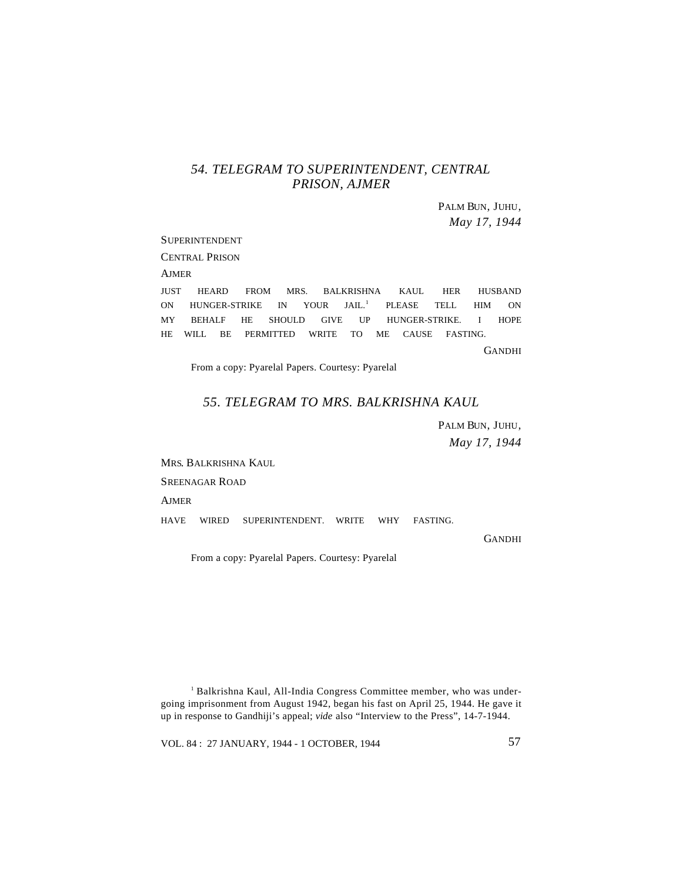## *54. TELEGRAM TO SUPERINTENDENT, CENTRAL PRISON, AJMER*

PALM BUN, JUHU, *May 17, 1944*

**SUPERINTENDENT** 

CENTRAL PRISON

AJMER

JUST HEARD FROM MRS. BALKRISHNA KAUL HER HUSBAND ON HUNGER-STRIKE IN YOUR JAIL.<sup>1</sup> PLEASE TELL HIM ON MY BEHALF HE SHOULD GIVE UP HUNGER-STRIKE. I HOPE HE WILL BE PERMITTED WRITE TO ME CAUSE FASTING. **GANDHI** 

From a copy: Pyarelal Papers. Courtesy: Pyarelal

## *55. TELEGRAM TO MRS. BALKRISHNA KAUL*

PALM BUN, JUHU, *May 17, 1944*

MRS. BALKRISHNA KAUL

SREENAGAR ROAD

AJMER

HAVE WIRED SUPERINTENDENT. WRITE WHY FASTING.

GANDHI

From a copy: Pyarelal Papers. Courtesy: Pyarelal

<sup>1</sup> Balkrishna Kaul, All-India Congress Committee member, who was undergoing imprisonment from August 1942, began his fast on April 25, 1944. He gave it up in response to Gandhiji's appeal; *vide* also "Interview to the Press", 14-7-1944.

VOL. 84 : 27 JANUARY, 1944 - 1 OCTOBER, 1944 57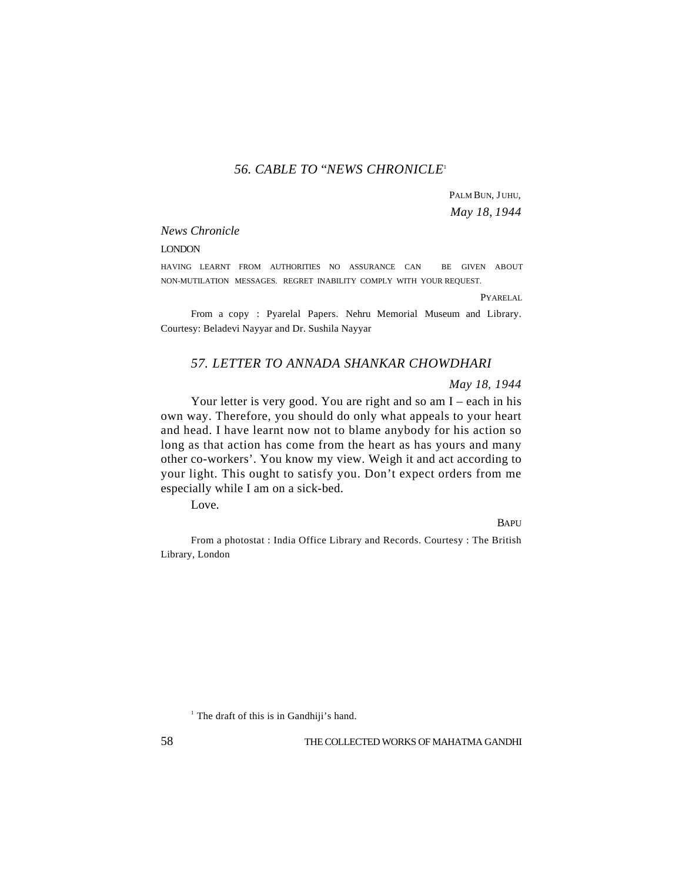## *56. CABLE TO* "*NEWS CHRONICLE*<sup>1</sup>

PALM BUN, JUHU, *May 18*, *1944*

*News Chronicle*

LONDON

HAVING LEARNT FROM AUTHORITIES NO ASSURANCE CAN BE GIVEN ABOUT NON-MUTILATION MESSAGES. REGRET INABILITY COMPLY WITH YOUR REQUEST.

PYARELAL

From a copy : Pyarelal Papers. Nehru Memorial Museum and Library. Courtesy: Beladevi Nayyar and Dr. Sushila Nayyar

### *57. LETTER TO ANNADA SHANKAR CHOWDHARI*

#### *May 18*, *1944*

Your letter is very good. You are right and so am I – each in his own way. Therefore, you should do only what appeals to your heart and head. I have learnt now not to blame anybody for his action so long as that action has come from the heart as has yours and many other co-workers'. You know my view. Weigh it and act according to your light. This ought to satisfy you. Don't expect orders from me especially while I am on a sick-bed.

Love.

**BAPU** 

From a photostat : India Office Library and Records. Courtesy : The British Library, London

<sup>1</sup> The draft of this is in Gandhiji's hand.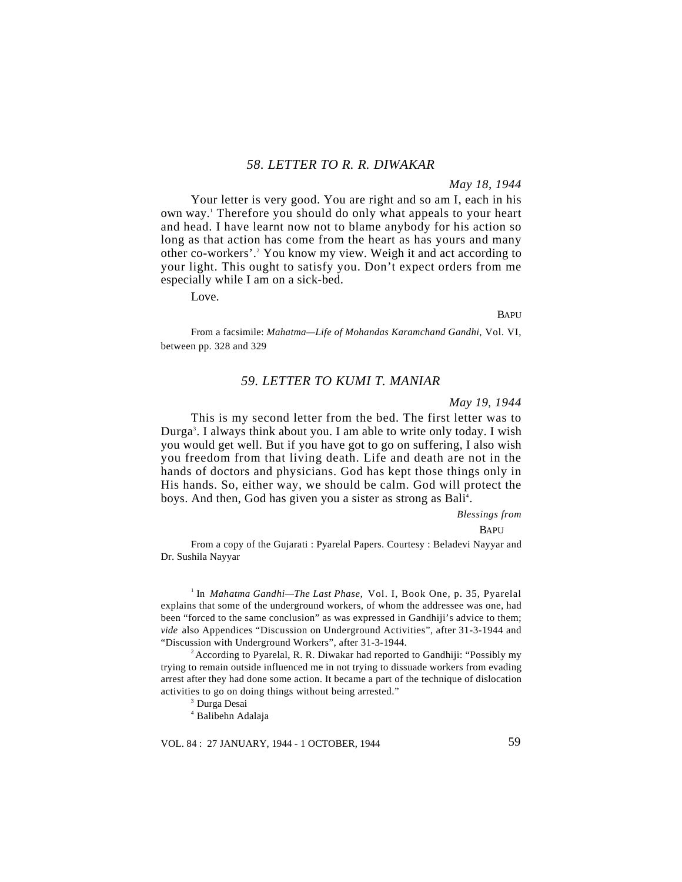*May 18, 1944*

Your letter is very good. You are right and so am I, each in his own way.<sup>1</sup> Therefore you should do only what appeals to your heart and head. I have learnt now not to blame anybody for his action so long as that action has come from the heart as has yours and many other co-workers'.<sup>2</sup> You know my view. Weigh it and act according to your light. This ought to satisfy you. Don't expect orders from me especially while I am on a sick-bed.

Love.

**BAPU** 

From a facsimile: *Mahatma—Life of Mohandas Karamchand Gandhi*, Vol. VI, between pp. 328 and 329

### *59. LETTER TO KUMI T. MANIAR*

#### *May 19*, *1944*

This is my second letter from the bed. The first letter was to Durga<sup>3</sup> . I always think about you. I am able to write only today. I wish you would get well. But if you have got to go on suffering, I also wish you freedom from that living death. Life and death are not in the hands of doctors and physicians. God has kept those things only in His hands. So, either way, we should be calm. God will protect the boys. And then, God has given you a sister as strong as Bali<sup>4</sup>.

*Blessings from*

**BAPU** 

From a copy of the Gujarati : Pyarelal Papers. Courtesy : Beladevi Nayyar and Dr. Sushila Nayyar

<sup>1</sup> In *Mahatma Gandhi—The Last Phase*, Vol. I, Book One, p. 35, Pyarelal explains that some of the underground workers, of whom the addressee was one, had been "forced to the same conclusion" as was expressed in Gandhiji's advice to them; *vide* also Appendices "Discussion on Underground Activities", after 31-3-1944 and "Discussion with Underground Workers", after 31-3-1944.

<sup>2</sup> According to Pyarelal, R. R. Diwakar had reported to Gandhiji: "Possibly my trying to remain outside influenced me in not trying to dissuade workers from evading arrest after they had done some action. It became a part of the technique of dislocation activities to go on doing things without being arrested."

4 Balibehn Adalaja

<sup>3</sup> Durga Desai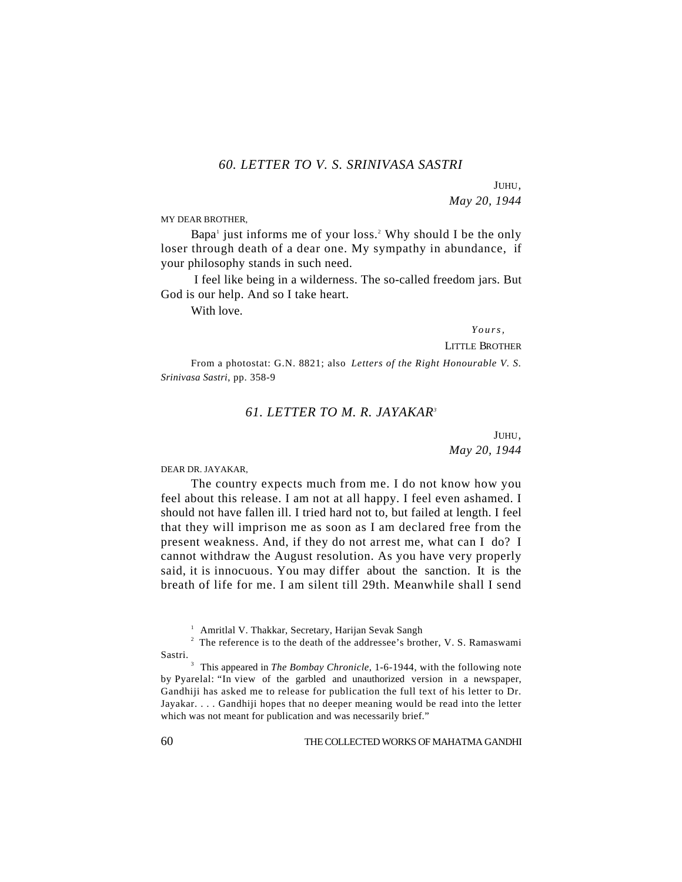JUHU, *May 20, 1944*

MY DEAR BROTHER,

Bapa<sup>1</sup> just informs me of your loss.<sup>2</sup> Why should I be the only loser through death of a dear one. My sympathy in abundance, if your philosophy stands in such need.

 I feel like being in a wilderness. The so-called freedom jars. But God is our help. And so I take heart.

With love.

*Yours,* 

LITTLE BROTHER

From a photostat: G.N. 8821; also *Letters of the Right Honourable V. S. Srinivasa Sastri*, pp. 358-9

## *61. LETTER TO M. R. JAYAKAR<sup>3</sup>*

JUHU, *May 20, 1944*

DEAR DR. JAYAKAR,

The country expects much from me. I do not know how you feel about this release. I am not at all happy. I feel even ashamed. I should not have fallen ill. I tried hard not to, but failed at length. I feel that they will imprison me as soon as I am declared free from the present weakness. And, if they do not arrest me, what can I do? I cannot withdraw the August resolution. As you have very properly said, it is innocuous. You may differ about the sanction. It is the breath of life for me. I am silent till 29th. Meanwhile shall I send

<sup>&</sup>lt;sup>1</sup> Amritlal V. Thakkar, Secretary, Harijan Sevak Sangh

 $2$  The reference is to the death of the addressee's brother, V. S. Ramaswami Sastri.

<sup>&</sup>lt;sup>3</sup> This appeared in *The Bombay Chronicle*, 1-6-1944, with the following note by Pyarelal: "In view of the garbled and unauthorized version in a newspaper, Gandhiji has asked me to release for publication the full text of his letter to Dr. Jayakar. . . . Gandhiji hopes that no deeper meaning would be read into the letter which was not meant for publication and was necessarily brief."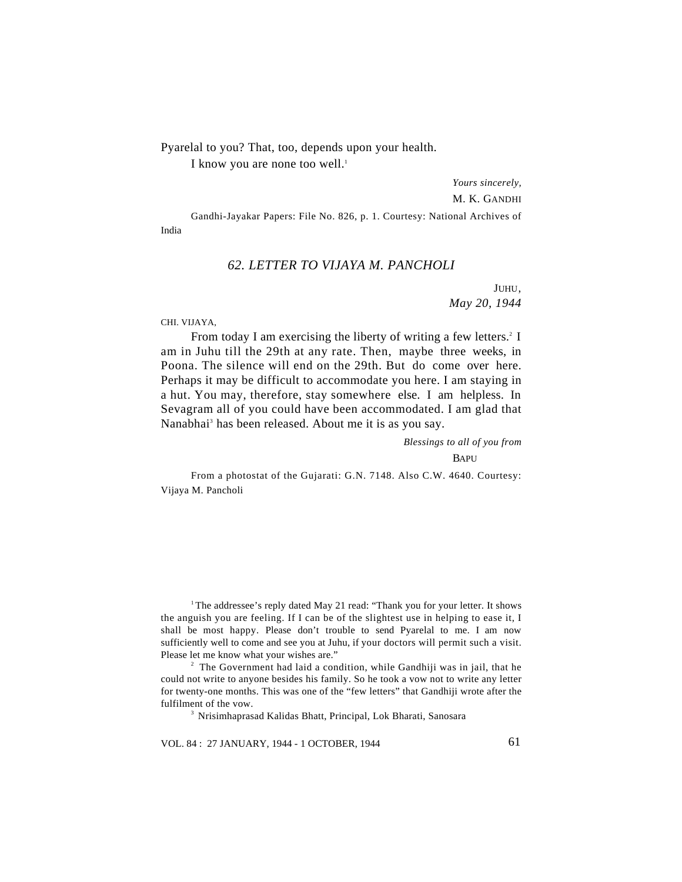Pyarelal to you? That, too, depends upon your health.

I know you are none too well.<sup>1</sup>

*Yours sincerely,*

M. K. GANDHI

Gandhi-Jayakar Papers: File No. 826, p. 1. Courtesy: National Archives of India

## *62. LETTER TO VIJAYA M. PANCHOLI*

JUHU, *May 20, 1944*

CHI. VIJAYA,

From today I am exercising the liberty of writing a few letters.<sup>2</sup> I am in Juhu till the 29th at any rate. Then, maybe three weeks, in Poona. The silence will end on the 29th. But do come over here. Perhaps it may be difficult to accommodate you here. I am staying in a hut. You may, therefore, stay somewhere else. I am helpless. In Sevagram all of you could have been accommodated. I am glad that Nanabhai<sup>3</sup> has been released. About me it is as you say.

*Blessings to all of you from*

**BAPU** 

From a photostat of the Gujarati: G.N. 7148. Also C.W. 4640. Courtesy: Vijaya M. Pancholi

<sup>1</sup>The addressee's reply dated May 21 read: "Thank you for your letter. It shows the anguish you are feeling. If I can be of the slightest use in helping to ease it, I shall be most happy. Please don't trouble to send Pyarelal to me. I am now sufficiently well to come and see you at Juhu, if your doctors will permit such a visit. Please let me know what your wishes are."

 $2$  The Government had laid a condition, while Gandhiji was in jail, that he could not write to anyone besides his family. So he took a vow not to write any letter for twenty-one months. This was one of the "few letters" that Gandhiji wrote after the fulfilment of the vow.

3 Nrisimhaprasad Kalidas Bhatt, Principal, Lok Bharati, Sanosara

VOL. 84 : 27 JANUARY, 1944 - 1 OCTOBER, 1944 61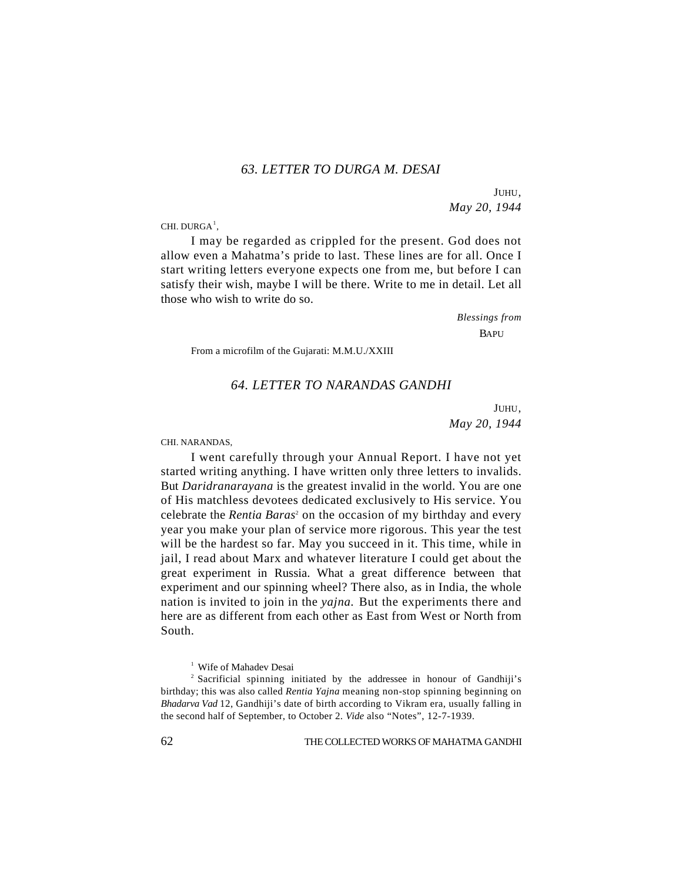## *63. LETTER TO DURGA M. DESAI*

JUHU, *May 20, 1944*

CHI. DURGA<sup>1</sup>,

I may be regarded as crippled for the present. God does not allow even a Mahatma's pride to last. These lines are for all. Once I start writing letters everyone expects one from me, but before I can satisfy their wish, maybe I will be there. Write to me in detail. Let all those who wish to write do so.

> *Blessings from* **BAPU**

From a microfilm of the Gujarati: M.M.U./XXIII

# *64. LETTER TO NARANDAS GANDHI*

JUHU, *May 20, 1944*

CHI. NARANDAS,

I went carefully through your Annual Report. I have not yet started writing anything. I have written only three letters to invalids. But *Daridranarayana* is the greatest invalid in the world. You are one of His matchless devotees dedicated exclusively to His service. You celebrate the *Rentia Baras*<sup>2</sup> on the occasion of my birthday and every year you make your plan of service more rigorous. This year the test will be the hardest so far. May you succeed in it. This time, while in jail, I read about Marx and whatever literature I could get about the great experiment in Russia. What a great difference between that experiment and our spinning wheel? There also, as in India, the whole nation is invited to join in the *yajna.* But the experiments there and here are as different from each other as East from West or North from South.

<sup>1</sup> Wife of Mahadev Desai

 $2$  Sacrificial spinning initiated by the addressee in honour of Gandhiji's birthday; this was also called *Rentia Yajna* meaning non-stop spinning beginning on *Bhadarva Vad* 12, Gandhiji's date of birth according to Vikram era, usually falling in the second half of September, to October 2. *Vide* also "Notes", 12-7-1939.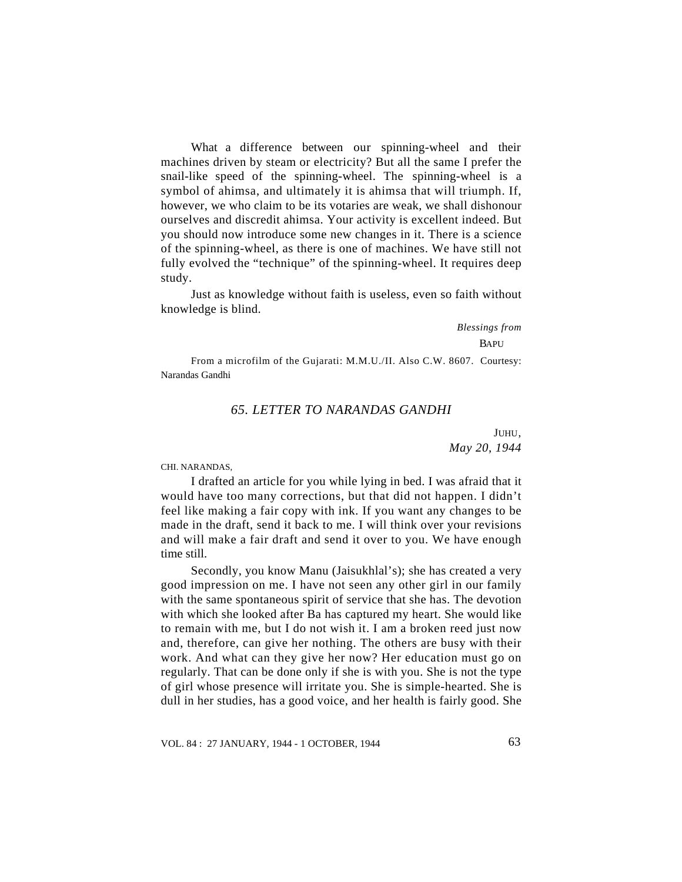What a difference between our spinning-wheel and their machines driven by steam or electricity? But all the same I prefer the snail-like speed of the spinning-wheel. The spinning-wheel is a symbol of ahimsa, and ultimately it is ahimsa that will triumph. If, however, we who claim to be its votaries are weak, we shall dishonour ourselves and discredit ahimsa. Your activity is excellent indeed. But you should now introduce some new changes in it. There is a science of the spinning-wheel, as there is one of machines. We have still not fully evolved the "technique" of the spinning-wheel. It requires deep study.

Just as knowledge without faith is useless, even so faith without knowledge is blind.

*Blessings from* **BAPU** 

From a microfilm of the Gujarati: M.M.U./II. Also C.W. 8607. Courtesy: Narandas Gandhi

## *65. LETTER TO NARANDAS GANDHI*

JUHU, *May 20, 1944*

CHI. NARANDAS,

I drafted an article for you while lying in bed. I was afraid that it would have too many corrections, but that did not happen. I didn't feel like making a fair copy with ink. If you want any changes to be made in the draft, send it back to me. I will think over your revisions and will make a fair draft and send it over to you. We have enough time still.

Secondly, you know Manu (Jaisukhlal's); she has created a very good impression on me. I have not seen any other girl in our family with the same spontaneous spirit of service that she has. The devotion with which she looked after Ba has captured my heart. She would like to remain with me, but I do not wish it. I am a broken reed just now and, therefore, can give her nothing. The others are busy with their work. And what can they give her now? Her education must go on regularly. That can be done only if she is with you. She is not the type of girl whose presence will irritate you. She is simple-hearted. She is dull in her studies, has a good voice, and her health is fairly good. She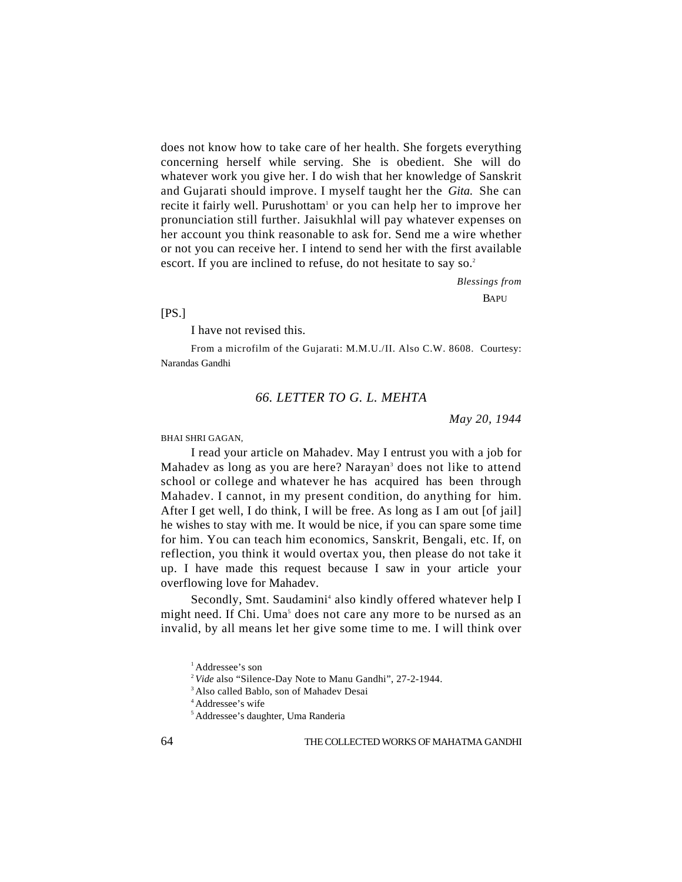does not know how to take care of her health. She forgets everything concerning herself while serving. She is obedient. She will do whatever work you give her. I do wish that her knowledge of Sanskrit and Gujarati should improve. I myself taught her the *Gita.* She can recite it fairly well. Purushottam<sup>1</sup> or you can help her to improve her pronunciation still further. Jaisukhlal will pay whatever expenses on her account you think reasonable to ask for. Send me a wire whether or not you can receive her. I intend to send her with the first available escort. If you are inclined to refuse, do not hesitate to say so.<sup>2</sup>

*Blessings from* **BAPU** 

#### $[PS.]$

I have not revised this.

From a microfilm of the Gujarati: M.M.U./II. Also C.W. 8608. Courtesy: Narandas Gandhi

# *66. LETTER TO G. L. MEHTA*

*May 20, 1944*

#### BHAI SHRI GAGAN,

I read your article on Mahadev. May I entrust you with a job for Mahadev as long as you are here? Narayan<sup>3</sup> does not like to attend school or college and whatever he has acquired has been through Mahadev. I cannot, in my present condition, do anything for him. After I get well, I do think, I will be free. As long as I am out [of jail] he wishes to stay with me. It would be nice, if you can spare some time for him. You can teach him economics, Sanskrit, Bengali, etc. If, on reflection, you think it would overtax you, then please do not take it up. I have made this request because I saw in your article your overflowing love for Mahadev.

Secondly, Smt. Saudamini<sup>4</sup> also kindly offered whatever help I might need. If Chi. Uma<sup>5</sup> does not care any more to be nursed as an invalid, by all means let her give some time to me. I will think over

<sup>1</sup> Addressee's son

<sup>2</sup>*Vide* also "Silence-Day Note to Manu Gandhi", 27-2-1944.

<sup>&</sup>lt;sup>3</sup> Also called Bablo, son of Mahadev Desai

<sup>&</sup>lt;sup>4</sup> Addressee's wife

<sup>5</sup> Addressee's daughter, Uma Randeria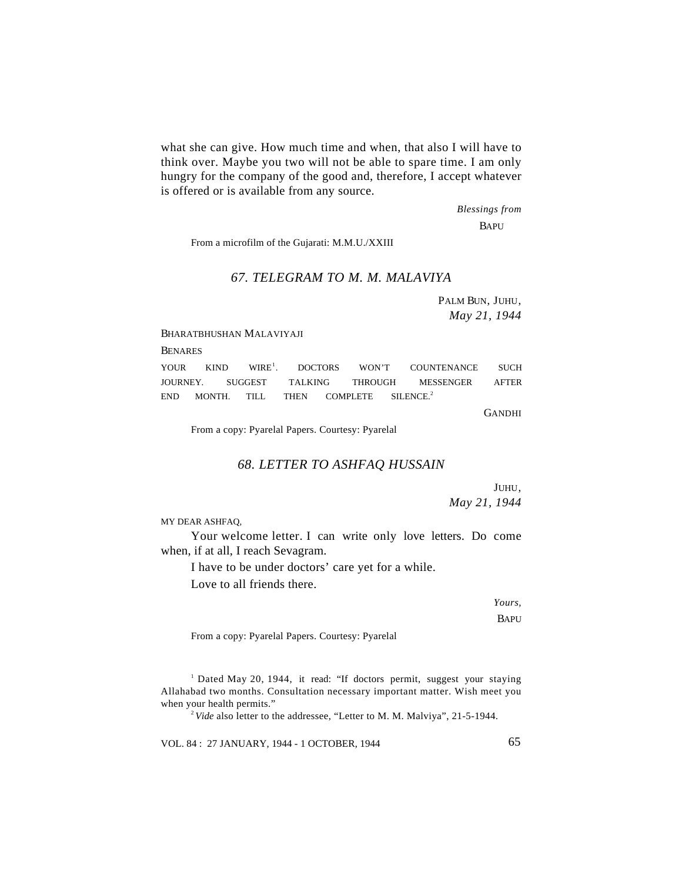what she can give. How much time and when, that also I will have to think over. Maybe you two will not be able to spare time. I am only hungry for the company of the good and, therefore, I accept whatever is offered or is available from any source.

*Blessings from* **BAPU** 

From a microfilm of the Gujarati: M.M.U./XXIII

## *67. TELEGRAM TO M. M. MALAVIYA*

PALM BUN, JUHU, *May 21, 1944*

#### BHARATBHUSHAN MALAVIYAJI

**BENARES** 

YOUR KIND WIRE<sup>1</sup> . DOCTORS WON'T COUNTENANCE SUCH JOURNEY. SUGGEST TALKING THROUGH MESSENGER AFTER END MONTH. TILL THEN COMPLETE SILENCE.<sup>2</sup>

GANDHI

From a copy: Pyarelal Papers. Courtesy: Pyarelal

#### *68. LETTER TO ASHFAQ HUSSAIN*

JUHU, *May 21, 1944*

MY DEAR ASHFAQ,

Your welcome letter. I can write only love letters. Do come when, if at all, I reach Sevagram.

I have to be under doctors' care yet for a while. Love to all friends there.

> *Yours,* **BAPU**

From a copy: Pyarelal Papers. Courtesy: Pyarelal

 $1$  Dated May 20, 1944, it read: "If doctors permit, suggest your staying Allahabad two months. Consultation necessary important matter. Wish meet you when your health permits."

<sup>2</sup> Vide also letter to the addressee, "Letter to M. M. Malviya", 21-5-1944.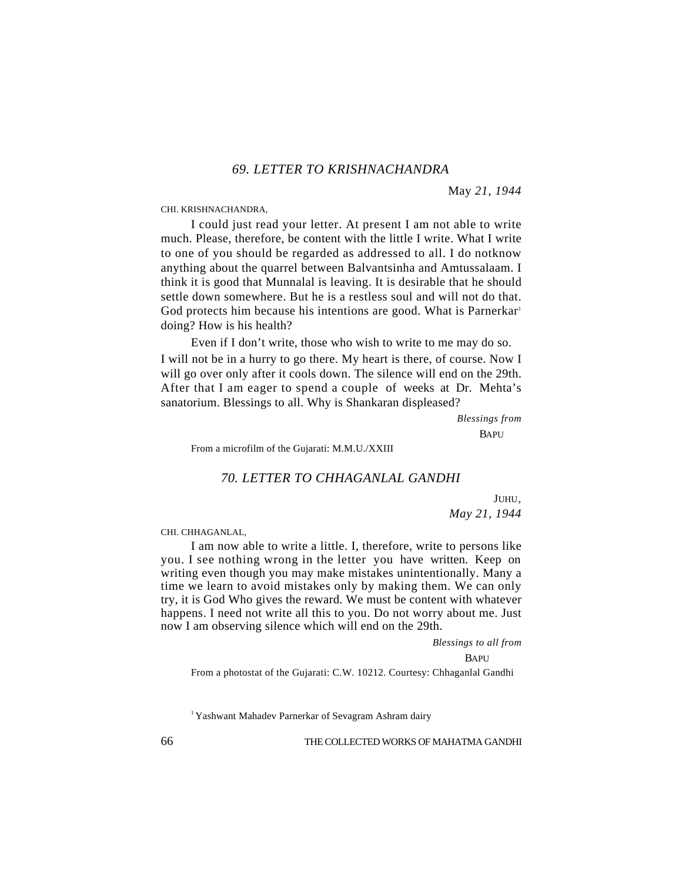## *69. LETTER TO KRISHNACHANDRA*

May *21, 1944*

CHI. KRISHNACHANDRA,

I could just read your letter. At present I am not able to write much. Please, therefore, be content with the little I write. What I write to one of you should be regarded as addressed to all. I do notknow anything about the quarrel between Balvantsinha and Amtussalaam. I think it is good that Munnalal is leaving. It is desirable that he should settle down somewhere. But he is a restless soul and will not do that. God protects him because his intentions are good. What is Parnerkar<sup>1</sup> doing? How is his health?

Even if I don't write, those who wish to write to me may do so. I will not be in a hurry to go there. My heart is there, of course. Now I will go over only after it cools down. The silence will end on the 29th. After that I am eager to spend a couple of weeks at Dr. Mehta's sanatorium. Blessings to all. Why is Shankaran displeased?

*Blessings from* BAPU

From a microfilm of the Gujarati: M.M.U./XXIII

### *70. LETTER TO CHHAGANLAL GANDHI*

JUHU, *May 21, 1944*

CHI. CHHAGANLAL,

I am now able to write a little. I, therefore, write to persons like you. I see nothing wrong in the letter you have written. Keep on writing even though you may make mistakes unintentionally. Many a time we learn to avoid mistakes only by making them. We can only try, it is God Who gives the reward. We must be content with whatever happens. I need not write all this to you. Do not worry about me. Just now I am observing silence which will end on the 29th.

*Blessings to all from*

**BAPU** 

From a photostat of the Gujarati: C.W. 10212. Courtesy: Chhaganlal Gandhi

<sup>1</sup> Yashwant Mahadev Parnerkar of Sevagram Ashram dairy

66 THE COLLECTED WORKS OF MAHATMA GANDHI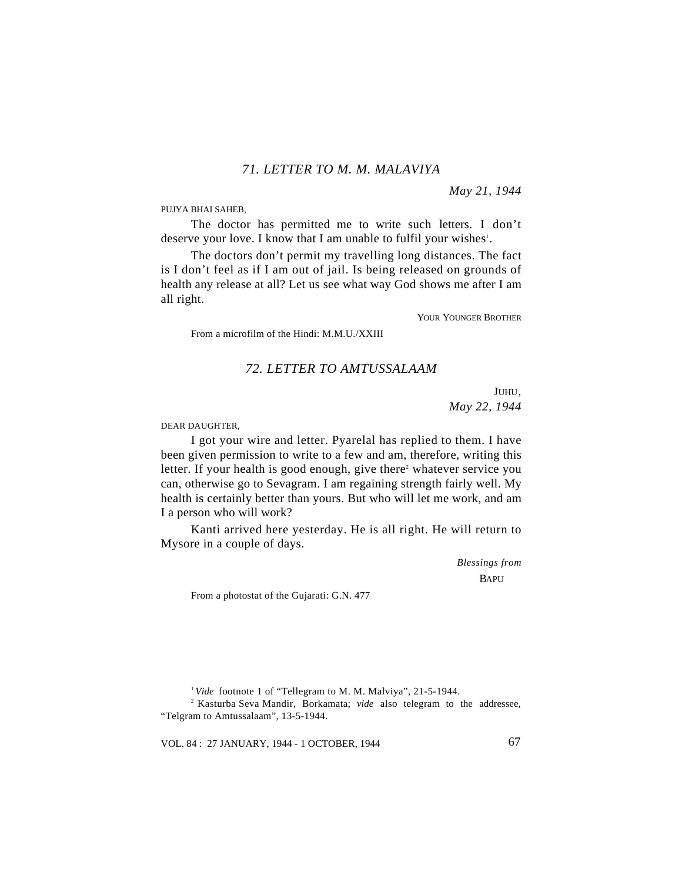*May 21, 1944*

PUJYA BHAI SAHEB,

The doctor has permitted me to write such letters. I don't deserve your love. I know that I am unable to fulfil your wishes<sup>1</sup>.

The doctors don't permit my travelling long distances. The fact is I don't feel as if I am out of jail. Is being released on grounds of health any release at all? Let us see what way God shows me after I am all right.

YOUR YOUNGER BROTHER

From a microfilm of the Hindi: M.M.U./XXIII

## *72. LETTER TO AMTUSSALAAM*

JUHU, *May 22, 1944*

DEAR DAUGHTER,

I got your wire and letter. Pyarelal has replied to them. I have been given permission to write to a few and am, therefore, writing this letter. If your health is good enough, give there<sup>2</sup> whatever service you can, otherwise go to Sevagram. I am regaining strength fairly well. My health is certainly better than yours. But who will let me work, and am I a person who will work?

Kanti arrived here yesterday. He is all right. He will return to Mysore in a couple of days.

> *Blessings from* **BAPU**

From a photostat of the Gujarati: G.N. 477

<sup>1</sup> Vide footnote 1 of "Tellegram to M. M. Malviya", 21-5-1944.

<sup>2</sup>Kasturba Seva Mandir, Borkamata; *vide* also telegram to the addressee, "Telgram to Amtussalaam", 13-5-1944.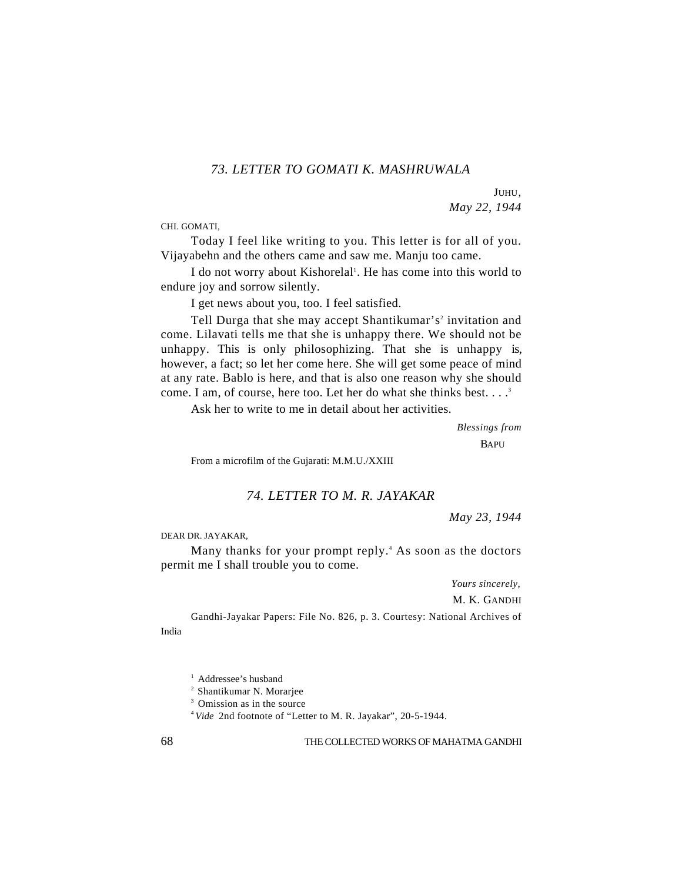# *73. LETTER TO GOMATI K. MASHRUWALA*

JUHU, *May 22, 1944*

CHI. GOMATI,

Today I feel like writing to you. This letter is for all of you. Vijayabehn and the others came and saw me. Manju too came.

I do not worry about Kishorelal<sup>1</sup>. He has come into this world to endure joy and sorrow silently.

I get news about you, too. I feel satisfied.

Tell Durga that she may accept Shantikumar's<sup>2</sup> invitation and come. Lilavati tells me that she is unhappy there. We should not be unhappy. This is only philosophizing. That she is unhappy is, however, a fact; so let her come here. She will get some peace of mind at any rate. Bablo is here, and that is also one reason why she should come. I am, of course, here too. Let her do what she thinks best. . . .<sup>3</sup>

Ask her to write to me in detail about her activities.

*Blessings from* **BAPU** 

From a microfilm of the Gujarati: M.M.U./XXIII

#### *74. LETTER TO M. R. JAYAKAR*

*May 23, 1944*

DEAR DR. JAYAKAR,

Many thanks for your prompt reply.<sup>4</sup> As soon as the doctors permit me I shall trouble you to come.

*Yours sincerely,*

M. K. GANDHI

Gandhi-Jayakar Papers: File No. 826, p. 3. Courtesy: National Archives of India

<sup>1</sup> Addressee's husband

2 Shantikumar N. Morarjee

<sup>3</sup> Omission as in the source

<sup>4</sup>*Vide* 2nd footnote of "Letter to M. R. Jayakar", 20-5-1944.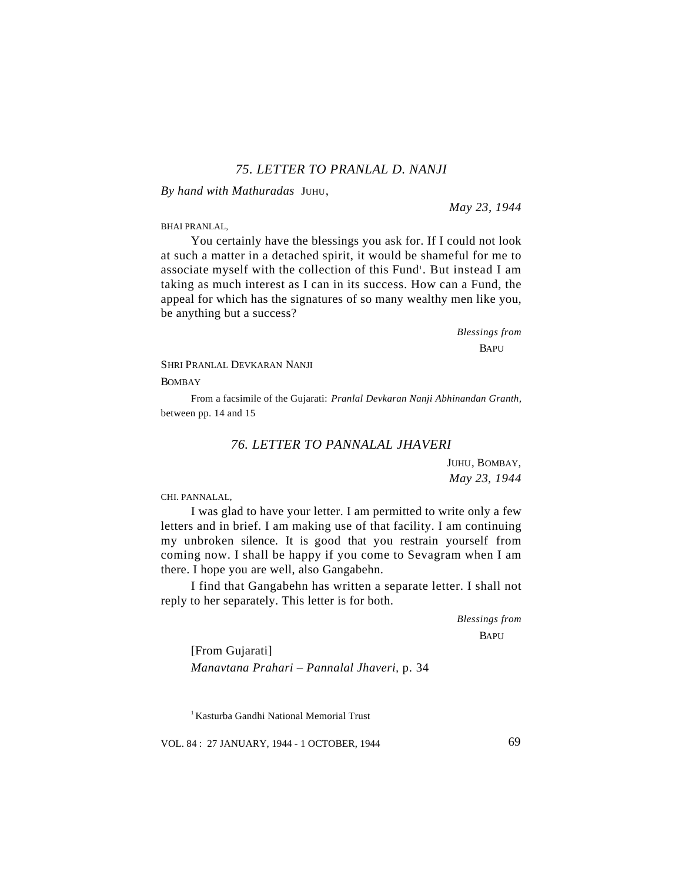# *75. LETTER TO PRANLAL D. NANJI*

*By hand with Mathuradas* JUHU,

*May 23, 1944*

BHAI PRANLAL,

You certainly have the blessings you ask for. If I could not look at such a matter in a detached spirit, it would be shameful for me to associate myself with the collection of this Fund<sup>1</sup>. But instead I am taking as much interest as I can in its success. How can a Fund, the appeal for which has the signatures of so many wealthy men like you, be anything but a success?

> *Blessings from* **BAPU**

SHRI PRANLAL DEVKARAN NANJI

**BOMBAY** 

From a facsimile of the Gujarati: *Pranlal Devkaran Nanji Abhinandan Granth,* between pp. 14 and 15

#### *76. LETTER TO PANNALAL JHAVERI*

JUHU, BOMBAY, *May 23*, *1944*

CHI. PANNALAL,

I was glad to have your letter. I am permitted to write only a few letters and in brief. I am making use of that facility. I am continuing my unbroken silence. It is good that you restrain yourself from coming now. I shall be happy if you come to Sevagram when I am there. I hope you are well, also Gangabehn.

I find that Gangabehn has written a separate letter. I shall not reply to her separately. This letter is for both.

> *Blessings from* **BAPU**

[From Gujarati] *Manavtana Prahari – Pannalal Jhaveri*, p. 34

<sup>1</sup> Kasturba Gandhi National Memorial Trust

VOL. 84 : 27 JANUARY, 1944 - 1 OCTOBER, 1944 69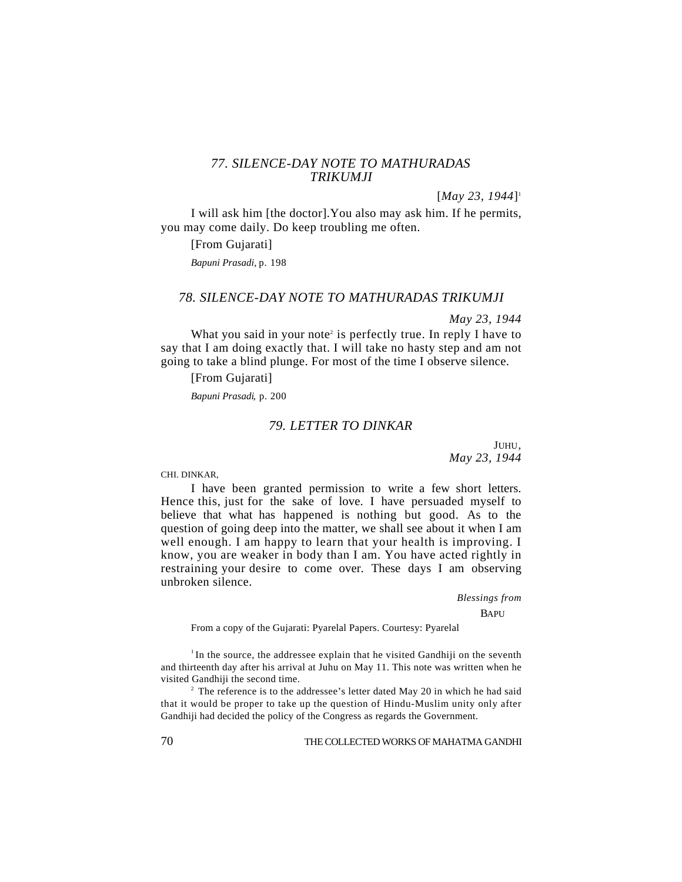## *77. SILENCE-DAY NOTE TO MATHURADAS TRIKUMJI*

[*May 23, 1944*] 1

I will ask him [the doctor].You also may ask him. If he permits, you may come daily. Do keep troubling me often.

[From Gujarati]

*Bapuni Prasadi,* p. 198

## *78. SILENCE-DAY NOTE TO MATHURADAS TRIKUMJI*

#### *May 23, 1944*

What you said in your note<sup>2</sup> is perfectly true. In reply I have to say that I am doing exactly that. I will take no hasty step and am not going to take a blind plunge. For most of the time I observe silence.

[From Gujarati]

*Bapuni Prasadi*, p. 200

### *79. LETTER TO DINKAR*

JUHU, *May 23, 1944*

CHI. DINKAR,

I have been granted permission to write a few short letters. Hence this, just for the sake of love. I have persuaded myself to believe that what has happened is nothing but good. As to the question of going deep into the matter, we shall see about it when I am well enough. I am happy to learn that your health is improving. I know, you are weaker in body than I am. You have acted rightly in restraining your desire to come over. These days I am observing unbroken silence.

*Blessings from*

**BAPU** 

From a copy of the Gujarati: Pyarelal Papers. Courtesy: Pyarelal

<sup>1</sup>In the source, the addressee explain that he visited Gandhiji on the seventh and thirteenth day after his arrival at Juhu on May 11. This note was written when he visited Gandhiji the second time.

 $2$  The reference is to the addressee's letter dated May 20 in which he had said that it would be proper to take up the question of Hindu-Muslim unity only after Gandhiji had decided the policy of the Congress as regards the Government.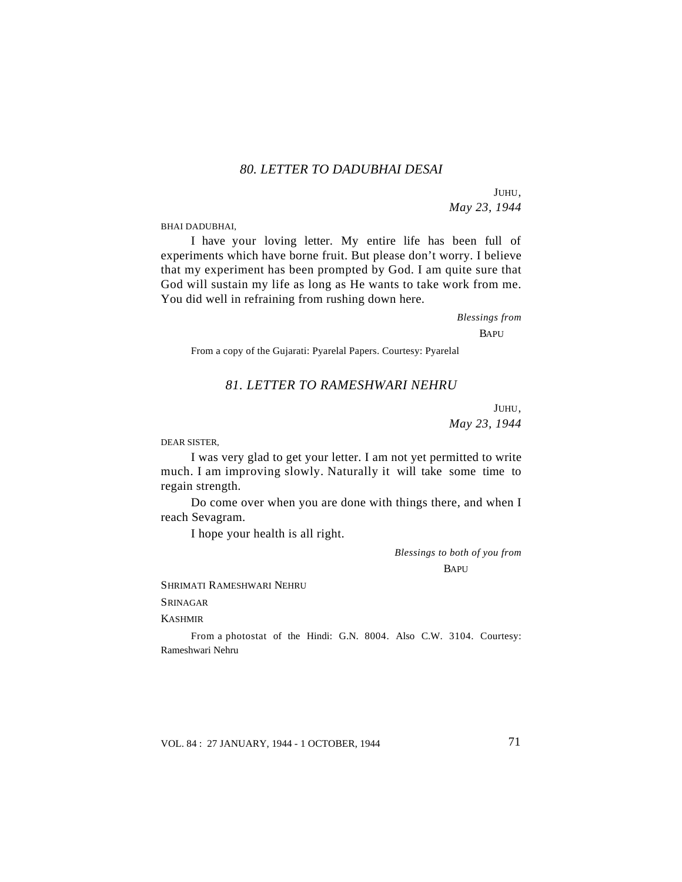## *80. LETTER TO DADUBHAI DESAI*

JUHU, *May 23, 1944*

BHAI DADUBHAI,

I have your loving letter. My entire life has been full of experiments which have borne fruit. But please don't worry. I believe that my experiment has been prompted by God. I am quite sure that God will sustain my life as long as He wants to take work from me. You did well in refraining from rushing down here.

*Blessings from*

**BAPU** 

From a copy of the Gujarati: Pyarelal Papers. Courtesy: Pyarelal

#### *81. LETTER TO RAMESHWARI NEHRU*

JUHU, *May 23, 1944*

DEAR SISTER,

I was very glad to get your letter. I am not yet permitted to write much. I am improving slowly. Naturally it will take some time to regain strength.

Do come over when you are done with things there, and when I reach Sevagram.

I hope your health is all right.

*Blessings to both of you from* **BAPU** 

SHRIMATI RAMESHWARI NEHRU

SRINAGAR

KASHMIR

From a photostat of the Hindi: G.N. 8004. Also C.W. 3104. Courtesy: Rameshwari Nehru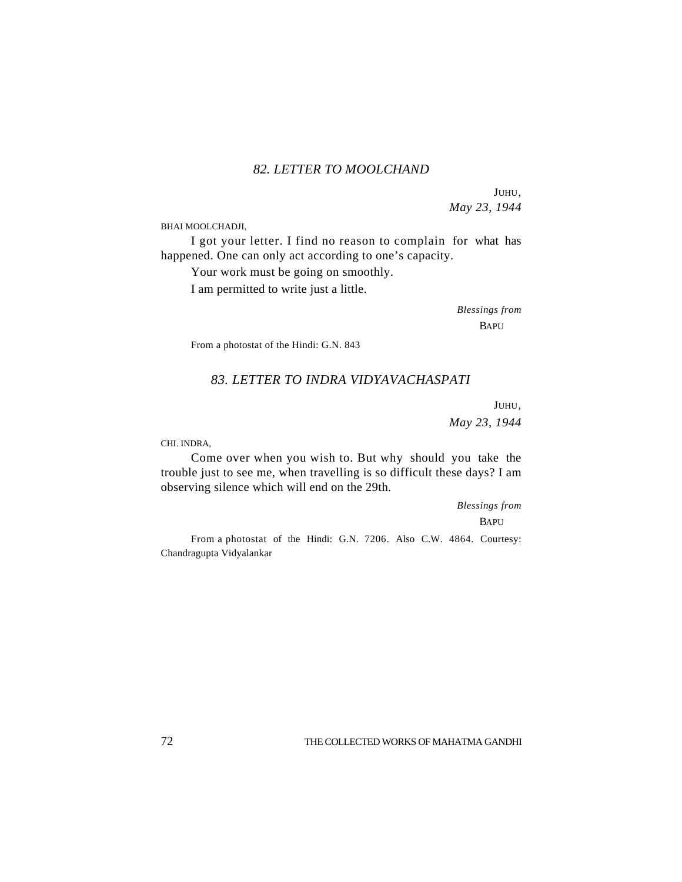## *82. LETTER TO MOOLCHAND*

JUHU,  *May 23, 1944*

BHAI MOOLCHADJI,

I got your letter. I find no reason to complain for what has happened. One can only act according to one's capacity.

Your work must be going on smoothly.

I am permitted to write just a little.

*Blessings from* **BAPU** 

From a photostat of the Hindi: G.N. 843

## *83. LETTER TO INDRA VIDYAVACHASPATI*

JUHU,

*May 23, 1944*

CHI. INDRA,

Come over when you wish to. But why should you take the trouble just to see me, when travelling is so difficult these days? I am observing silence which will end on the 29th.

> *Blessings from* **BAPU**

From a photostat of the Hindi: G.N. 7206. Also C.W. 4864. Courtesy: Chandragupta Vidyalankar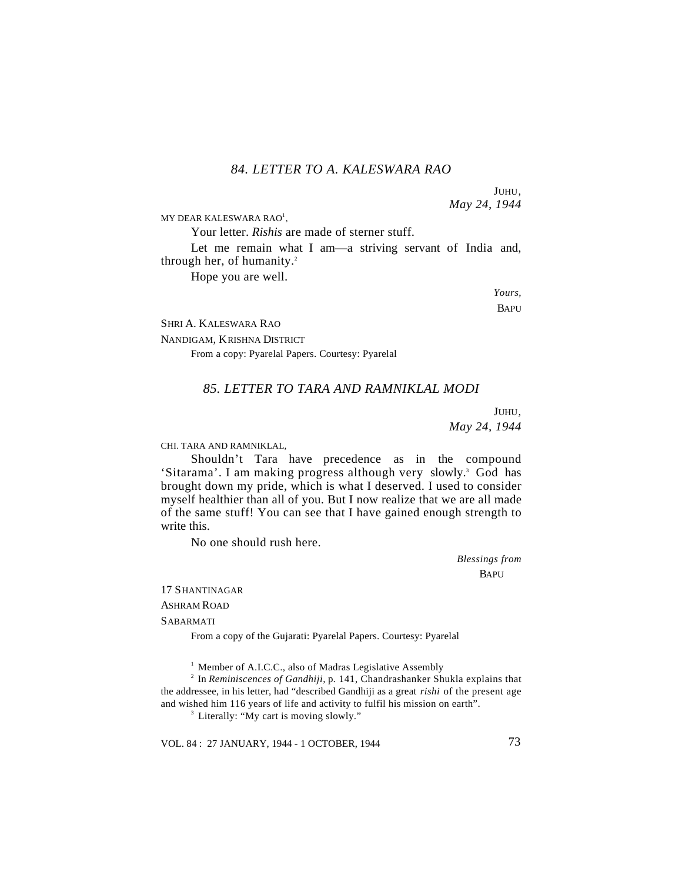## *84. LETTER TO A. KALESWARA RAO*

JUHU, *May 24, 1944*

MY DEAR KALESWARA RAO $^{\rm l}$ ,

Your letter. *Rishis* are made of sterner stuff.

Let me remain what I am—a striving servant of India and, through her, of humanity.<sup>2</sup>

Hope you are well.

*Yours,* **BAPU** 

SHRI A. KALESWARA RAO

NANDIGAM, KRISHNA DISTRICT

From a copy: Pyarelal Papers. Courtesy: Pyarelal

#### *85. LETTER TO TARA AND RAMNIKLAL MODI*

JUHU, *May 24, 1944*

#### CHI. TARA AND RAMNIKLAL,

Shouldn't Tara have precedence as in the compound 'Sitarama'. I am making progress although very slowly.<sup>3</sup> God has brought down my pride, which is what I deserved. I used to consider myself healthier than all of you. But I now realize that we are all made of the same stuff! You can see that I have gained enough strength to write this.

No one should rush here.

*Blessings from* **BAPU** 

17 SHANTINAGAR

ASHRAM ROAD

**SABARMATI** 

From a copy of the Gujarati: Pyarelal Papers. Courtesy: Pyarelal

<sup>1</sup> Member of A.I.C.C., also of Madras Legislative Assembly

<sup>2</sup> In *Reminiscences of Gandhiji*, p. 141, Chandrashanker Shukla explains that the addressee, in his letter, had "described Gandhiji as a great *rishi* of the present age and wished him 116 years of life and activity to fulfil his mission on earth".

<sup>3</sup> Literally: "My cart is moving slowly."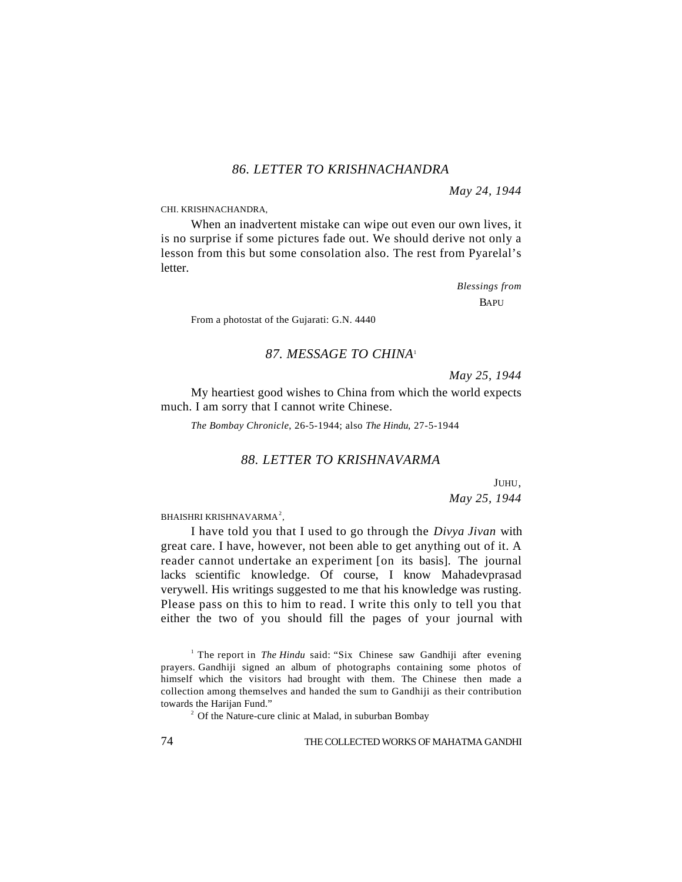### *86. LETTER TO KRISHNACHANDRA*

*May 24, 1944*

CHI. KRISHNACHANDRA,

When an inadvertent mistake can wipe out even our own lives, it is no surprise if some pictures fade out. We should derive not only a lesson from this but some consolation also. The rest from Pyarelal's **letter** 

> *Blessings from* BAPU

From a photostat of the Gujarati: G.N. 4440

#### *87. MESSAGE TO CHINA*<sup>1</sup>

*May 25, 1944*

My heartiest good wishes to China from which the world expects much. I am sorry that I cannot write Chinese.

*The Bombay Chronicle*, 26-5-1944; also *The Hindu*, 27-5-1944

# *88. LETTER TO KRISHNAVARMA*

JUHU, *May 25, 1944*

BHAISHRI KRISHNAVARMA $^2$ ,

I have told you that I used to go through the *Divya Jivan* with great care. I have, however, not been able to get anything out of it. A reader cannot undertake an experiment [on its basis]. The journal lacks scientific knowledge. Of course, I know Mahadevprasad verywell. His writings suggested to me that his knowledge was rusting. Please pass on this to him to read. I write this only to tell you that either the two of you should fill the pages of your journal with

<sup>&</sup>lt;sup>1</sup> The report in *The Hindu* said: "Six Chinese saw Gandhiji after evening prayers. Gandhiji signed an album of photographs containing some photos of himself which the visitors had brought with them. The Chinese then made a collection among themselves and handed the sum to Gandhiji as their contribution towards the Harijan Fund."

<sup>2</sup> Of the Nature-cure clinic at Malad, in suburban Bombay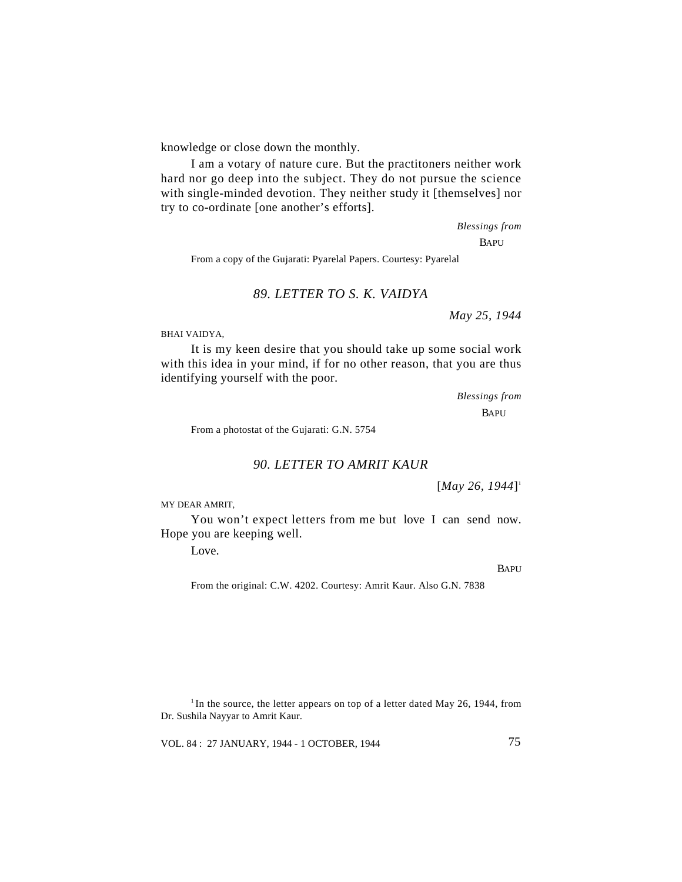knowledge or close down the monthly.

I am a votary of nature cure. But the practitoners neither work hard nor go deep into the subject. They do not pursue the science with single-minded devotion. They neither study it [themselves] nor try to co-ordinate [one another's efforts].

*Blessings from*

**BAPU** 

From a copy of the Gujarati: Pyarelal Papers. Courtesy: Pyarelal

### *89. LETTER TO S. K. VAIDYA*

*May 25, 1944*

BHAI VAIDYA,

It is my keen desire that you should take up some social work with this idea in your mind, if for no other reason, that you are thus identifying yourself with the poor.

> *Blessings from* **BAPU**

From a photostat of the Gujarati: G.N. 5754

#### *90. LETTER TO AMRIT KAUR*

[*May 26, 1944*] 1

MY DEAR AMRIT,

You won't expect letters from me but love I can send now. Hope you are keeping well.

Love.

**BAPU** 

From the original: C.W. 4202. Courtesy: Amrit Kaur. Also G.N. 7838

 $1$ In the source, the letter appears on top of a letter dated May 26, 1944, from Dr. Sushila Nayyar to Amrit Kaur.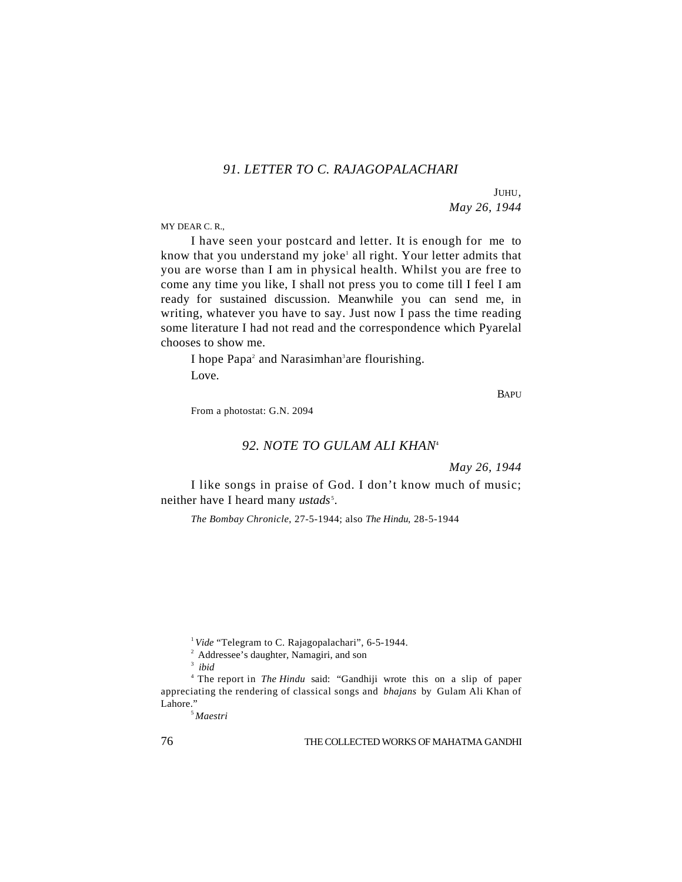## *91. LETTER TO C. RAJAGOPALACHARI*

JUHU, *May 26, 1944*

MY DEAR C. R.,

I have seen your postcard and letter. It is enough for me to know that you understand my joke<sup>1</sup> all right. Your letter admits that you are worse than I am in physical health. Whilst you are free to come any time you like, I shall not press you to come till I feel I am ready for sustained discussion. Meanwhile you can send me, in writing, whatever you have to say. Just now I pass the time reading some literature I had not read and the correspondence which Pyarelal chooses to show me.

I hope Papa<sup>2</sup> and Narasimhan<sup>3</sup> are flourishing. Love.

**BAPU** 

From a photostat: G.N. 2094

# *92. NOTE TO GULAM ALI KHAN*<sup>4</sup>

*May 26, 1944*

I like songs in praise of God. I don't know much of music; neither have I heard many *ustads<sup>5</sup>*.

*The Bombay Chronicle*, 27-5-1944; also *The Hindu*, 28-5-1944

<sup>1</sup> Vide "Telegram to C. Rajagopalachari", 6-5-1944.

 $2$  Addressee's daughter, Namagiri, and son

3 *ibid*

<sup>4</sup> The report in *The Hindu* said: "Gandhiji wrote this on a slip of paper appreciating the rendering of classical songs and *bhajans* by Gulam Ali Khan of Lahore."

<sup>5</sup>*Maestri*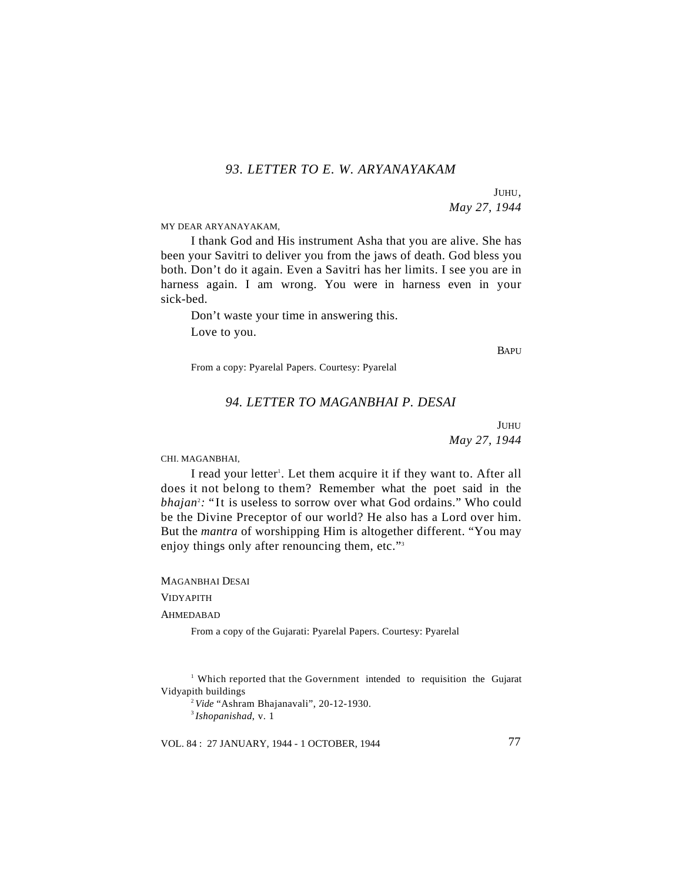## *93. LETTER TO E. W. ARYANAYAKAM*

JUHU, *May 27, 1944*

#### MY DEAR ARYANAYAKAM,

I thank God and His instrument Asha that you are alive. She has been your Savitri to deliver you from the jaws of death. God bless you both. Don't do it again. Even a Savitri has her limits. I see you are in harness again. I am wrong. You were in harness even in your sick-bed.

Don't waste your time in answering this.

Love to you.

**BAPU** 

From a copy: Pyarelal Papers. Courtesy: Pyarelal

## *94. LETTER TO MAGANBHAI P. DESAI*

JUHU *May 27, 1944*

CHI. MAGANBHAI,

I read your letter<sup>1</sup>. Let them acquire it if they want to. After all does it not belong to them? Remember what the poet said in the *bhajan*<sup>2</sup>: "It is useless to sorrow over what God ordains." Who could be the Divine Preceptor of our world? He also has a Lord over him. But the *mantra* of worshipping Him is altogether different. "You may enjoy things only after renouncing them, etc."<sup>3</sup>

MAGANBHAI DESAI

VIDYAPITH

AHMEDABAD

From a copy of the Gujarati: Pyarelal Papers. Courtesy: Pyarelal

<sup>1</sup> Which reported that the Government intended to requisition the Gujarat Vidyapith buildings

<sup>2</sup>*Vide* "Ashram Bhajanavali", 20-12-1930. <sup>3</sup>*Ishopanishad*, v. 1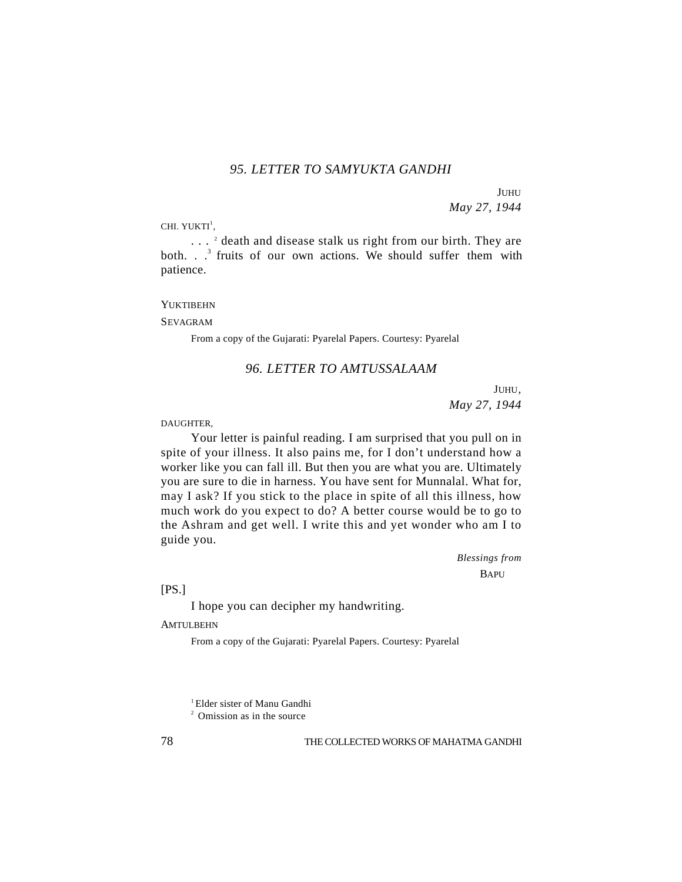## *95. LETTER TO SAMYUKTA GANDHI*

**JUHU** *May 27, 1944*

#### CHI. YUKTI $^1,$

...<sup>2</sup> death and disease stalk us right from our birth. They are both.  $\cdot$   $\cdot$   $\cdot$  fruits of our own actions. We should suffer them with patience.

#### **YUKTIBEHN**

#### SEVAGRAM

From a copy of the Gujarati: Pyarelal Papers. Courtesy: Pyarelal

#### *96. LETTER TO AMTUSSALAAM*

JUHU, *May 27, 1944*

#### DAUGHTER,

Your letter is painful reading. I am surprised that you pull on in spite of your illness. It also pains me, for I don't understand how a worker like you can fall ill. But then you are what you are. Ultimately you are sure to die in harness. You have sent for Munnalal. What for, may I ask? If you stick to the place in spite of all this illness, how much work do you expect to do? A better course would be to go to the Ashram and get well. I write this and yet wonder who am I to guide you.

> *Blessings from* **BAPU**

#### [PS.]

I hope you can decipher my handwriting.

#### **AMTULBEHN**

From a copy of the Gujarati: Pyarelal Papers. Courtesy: Pyarelal

<sup>&</sup>lt;sup>1</sup> Elder sister of Manu Gandhi

<sup>2</sup> Omission as in the source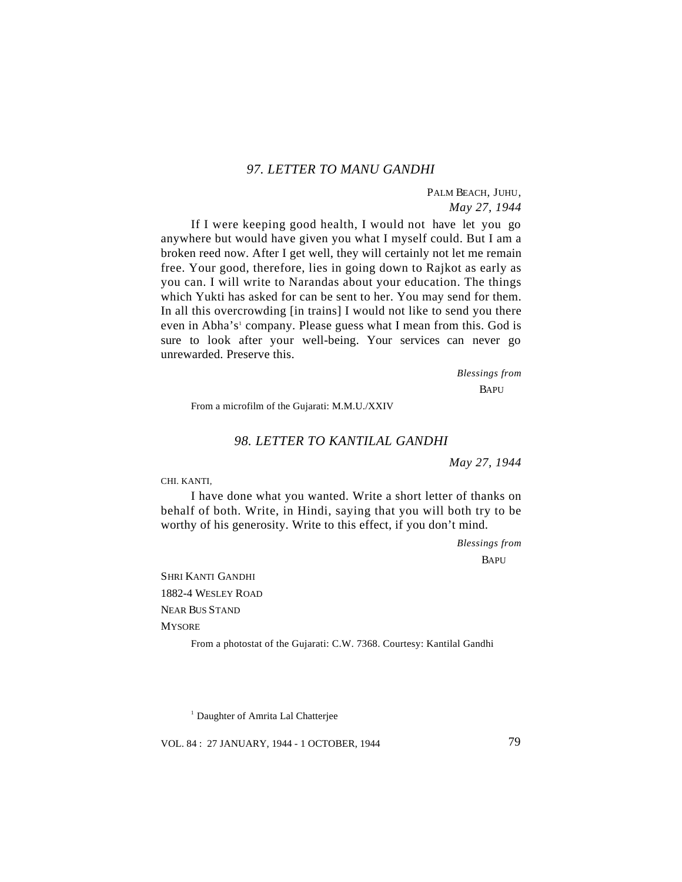### *97. LETTER TO MANU GANDHI*

PALM BEACH, JUHU, *May 27, 1944*

If I were keeping good health, I would not have let you go anywhere but would have given you what I myself could. But I am a broken reed now. After I get well, they will certainly not let me remain free. Your good, therefore, lies in going down to Rajkot as early as you can. I will write to Narandas about your education. The things which Yukti has asked for can be sent to her. You may send for them. In all this overcrowding [in trains] I would not like to send you there even in Abha's' company. Please guess what I mean from this. God is sure to look after your well-being. Your services can never go unrewarded. Preserve this.

> *Blessings from* **BAPU**

From a microfilm of the Gujarati: M.M.U./XXIV

#### *98. LETTER TO KANTILAL GANDHI*

*May 27, 1944*

CHI. KANTI,

I have done what you wanted. Write a short letter of thanks on behalf of both. Write, in Hindi, saying that you will both try to be worthy of his generosity. Write to this effect, if you don't mind.

> *Blessings from* **BAPU**

SHRI KANTI GANDHI 1882-4 WESLEY ROAD NEAR BUS STAND **MYSORE** 

From a photostat of the Gujarati: C.W. 7368. Courtesy: Kantilal Gandhi

<sup>1</sup> Daughter of Amrita Lal Chatterjee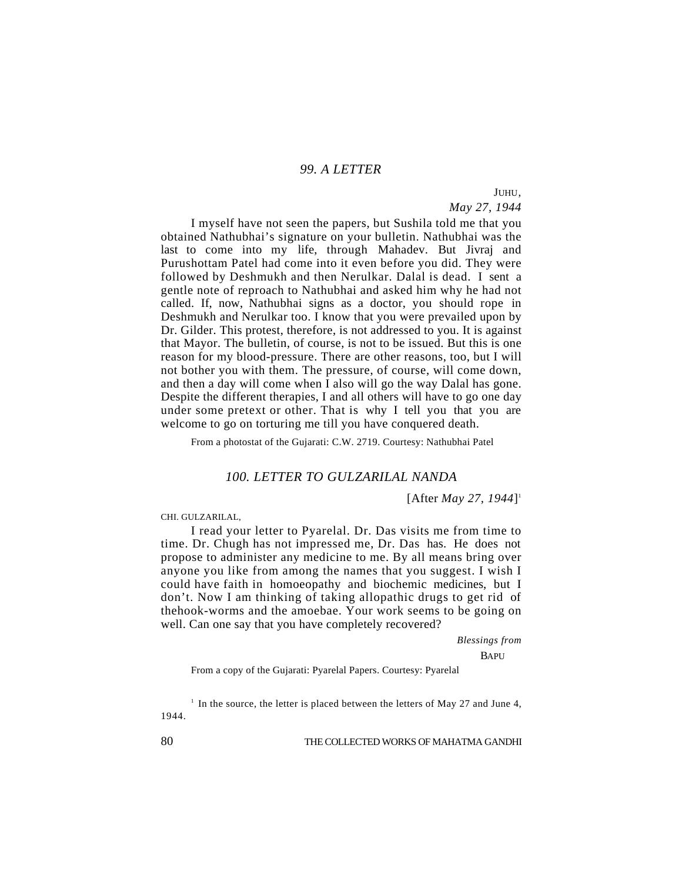### *99. A LETTER*

JUHU, *May 27, 1944*

I myself have not seen the papers, but Sushila told me that you obtained Nathubhai's signature on your bulletin. Nathubhai was the last to come into my life, through Mahadev. But Jivraj and Purushottam Patel had come into it even before you did. They were followed by Deshmukh and then Nerulkar. Dalal is dead. I sent a gentle note of reproach to Nathubhai and asked him why he had not called. If, now, Nathubhai signs as a doctor, you should rope in Deshmukh and Nerulkar too. I know that you were prevailed upon by Dr. Gilder. This protest, therefore, is not addressed to you. It is against that Mayor. The bulletin, of course, is not to be issued. But this is one reason for my blood-pressure. There are other reasons, too, but I will not bother you with them. The pressure, of course, will come down, and then a day will come when I also will go the way Dalal has gone. Despite the different therapies, I and all others will have to go one day under some pretext or other. That is why I tell you that you are welcome to go on torturing me till you have conquered death.

From a photostat of the Gujarati: C.W. 2719. Courtesy: Nathubhai Patel

## *100. LETTER TO GULZARILAL NANDA*

[After *May 27, 1944*] 1

CHI. GULZARILAL,

I read your letter to Pyarelal. Dr. Das visits me from time to time. Dr. Chugh has not impressed me, Dr. Das has. He does not propose to administer any medicine to me. By all means bring over anyone you like from among the names that you suggest. I wish I could have faith in homoeopathy and biochemic medicines, but I don't. Now I am thinking of taking allopathic drugs to get rid of thehook-worms and the amoebae. Your work seems to be going on well. Can one say that you have completely recovered?

> *Blessings from* **BAPU**

From a copy of the Gujarati: Pyarelal Papers. Courtesy: Pyarelal

 $1$  In the source, the letter is placed between the letters of May 27 and June 4, 1944.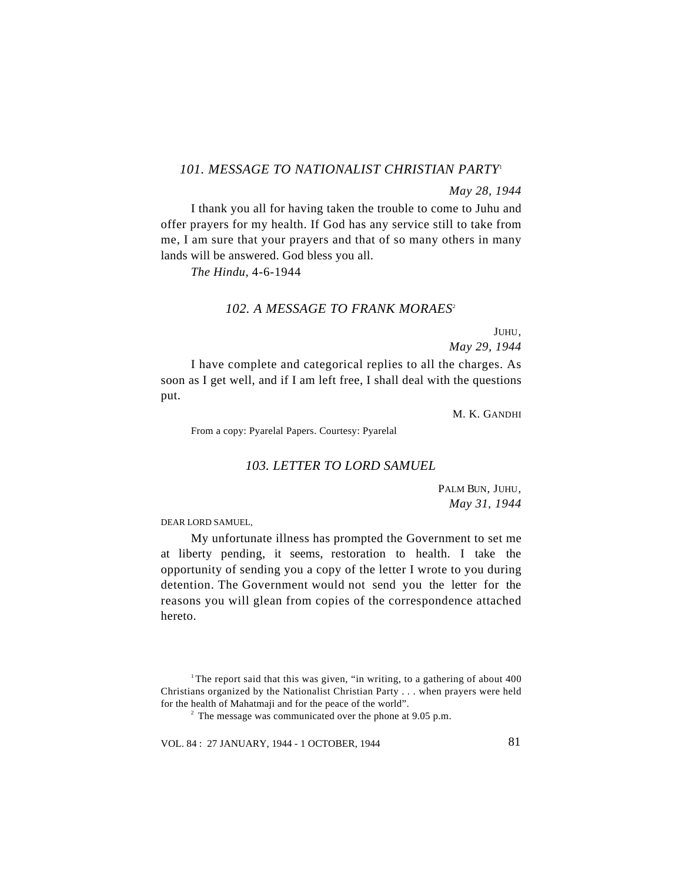#### *101. MESSAGE TO NATIONALIST CHRISTIAN PARTY*<sup>1</sup>

#### *May 28, 1944*

I thank you all for having taken the trouble to come to Juhu and offer prayers for my health. If God has any service still to take from me, I am sure that your prayers and that of so many others in many lands will be answered. God bless you all.

*The Hindu,* 4-6-1944

#### 102. A MESSAGE TO FRANK MORAES<sup>2</sup>

JUHU, *May 29, 1944*

I have complete and categorical replies to all the charges. As soon as I get well, and if I am left free, I shall deal with the questions put.

M. K. GANDHI

From a copy: Pyarelal Papers. Courtesy: Pyarelal

### *103. LETTER TO LORD SAMUEL*

PALM BUN, JUHU, *May 31*, *1944*

DEAR LORD SAMUEL,

My unfortunate illness has prompted the Government to set me at liberty pending, it seems, restoration to health. I take the opportunity of sending you a copy of the letter I wrote to you during detention. The Government would not send you the letter for the reasons you will glean from copies of the correspondence attached hereto.

<sup>&</sup>lt;sup>1</sup>The report said that this was given, "in writing, to a gathering of about 400 Christians organized by the Nationalist Christian Party . . . when prayers were held for the health of Mahatmaji and for the peace of the world".

 $2 \text{ The message was communicated over the phone at } 9.05 \text{ p.m.}$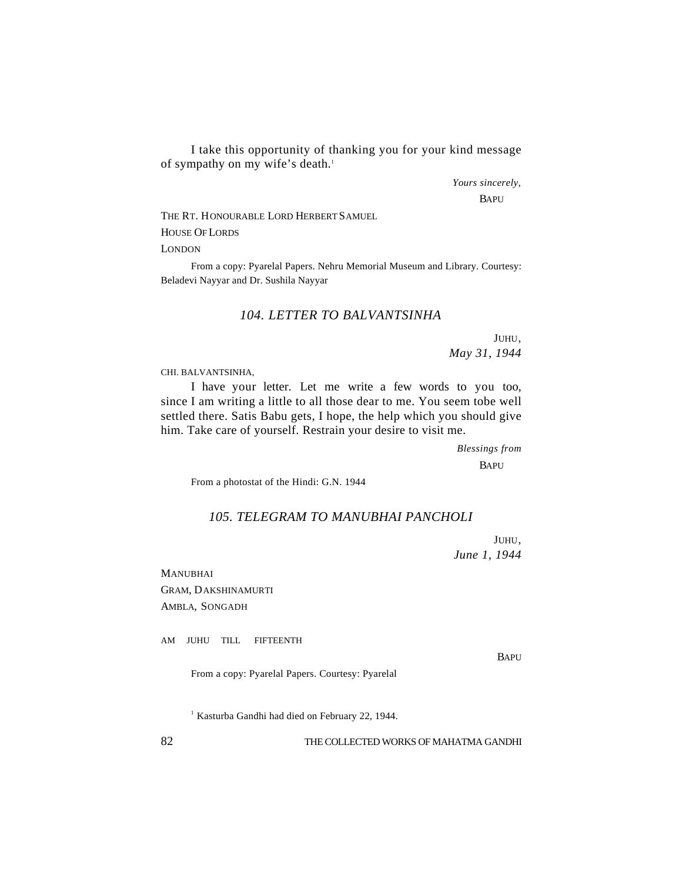I take this opportunity of thanking you for your kind message of sympathy on my wife's death.<sup>1</sup>

> *Yours sincerely*, **BAPU**

THE RT. HONOURABLE LORD HERBERT SAMUEL

HOUSE OF LORDS

LONDON

From a copy: Pyarelal Papers. Nehru Memorial Museum and Library. Courtesy: Beladevi Nayyar and Dr. Sushila Nayyar

#### *104. LETTER TO BALVANTSINHA*

JUHU, *May 31, 1944*

CHI. BALVANTSINHA,

I have your letter. Let me write a few words to you too, since I am writing a little to all those dear to me. You seem tobe well settled there. Satis Babu gets, I hope, the help which you should give him. Take care of yourself. Restrain your desire to visit me.

> *Blessings from* **BAPU**

From a photostat of the Hindi: G.N. 1944

#### *105. TELEGRAM TO MANUBHAI PANCHOLI*

JUHU, *June 1, 1944*

MANUBHAI GRAM, DAKSHINAMURTI AMBLA, SONGADH

AM JUHU TILL FIFTEENTH

**BAPU** 

From a copy: Pyarelal Papers. Courtesy: Pyarelal

<sup>1</sup> Kasturba Gandhi had died on February 22, 1944.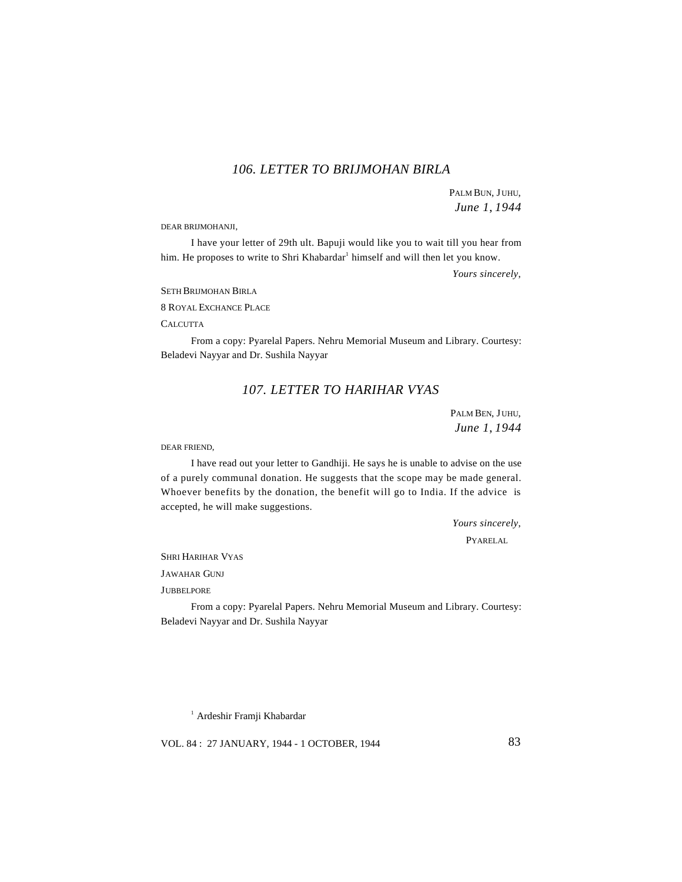## *106. LETTER TO BRIJMOHAN BIRLA*

PALM BUN, JUHU, *June 1*, *1944*

DEAR BRIJMOHANJI,

I have your letter of 29th ult. Bapuji would like you to wait till you hear from him. He proposes to write to Shri Khabardar<sup>1</sup> himself and will then let you know.

*Yours sincerely*,

SETH BRIJMOHAN BIRLA

8 ROYAL EXCHANCE PLACE

#### CALCUTTA

From a copy: Pyarelal Papers. Nehru Memorial Museum and Library. Courtesy: Beladevi Nayyar and Dr. Sushila Nayyar

#### *107. LETTER TO HARIHAR VYAS*

PALM BEN, JUHU, *June 1*, *1944*

DEAR FRIEND,

I have read out your letter to Gandhiji. He says he is unable to advise on the use of a purely communal donation. He suggests that the scope may be made general. Whoever benefits by the donation, the benefit will go to India. If the advice is accepted, he will make suggestions.

> *Yours sincerely*, PYARELAL

SHRI HARIHAR VYAS

JAWAHAR GUNJ

JUBBELPORE

From a copy: Pyarelal Papers. Nehru Memorial Museum and Library. Courtesy: Beladevi Nayyar and Dr. Sushila Nayyar

#### <sup>1</sup> Ardeshir Framji Khabardar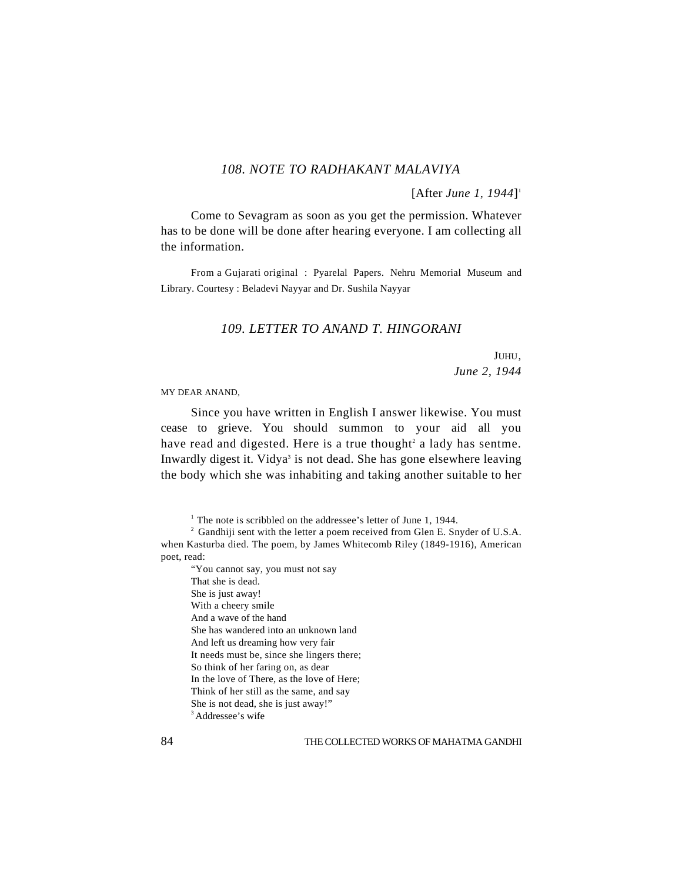### *108. NOTE TO RADHAKANT MALAVIYA*

[After *June 1*, *1944*] 1

Come to Sevagram as soon as you get the permission. Whatever has to be done will be done after hearing everyone. I am collecting all the information.

From a Gujarati original : Pyarelal Papers. Nehru Memorial Museum and Library. Courtesy : Beladevi Nayyar and Dr. Sushila Nayyar

#### *109. LETTER TO ANAND T. HINGORANI*

JUHU, *June 2, 1944*

MY DEAR ANAND,

Since you have written in English I answer likewise. You must cease to grieve. You should summon to your aid all you have read and digested. Here is a true thought<sup>2</sup> a lady has sentme. Inwardly digest it. Vidya<sup>3</sup> is not dead. She has gone elsewhere leaving the body which she was inhabiting and taking another suitable to her

<sup>1</sup> The note is scribbled on the addressee's letter of June 1, 1944.

 $2$  Gandhiji sent with the letter a poem received from Glen E. Snyder of U.S.A. when Kasturba died. The poem, by James Whitecomb Riley (1849-1916), American poet, read:

"You cannot say, you must not say That she is dead. She is just away! With a cheery smile And a wave of the hand She has wandered into an unknown land And left us dreaming how very fair It needs must be, since she lingers there; So think of her faring on, as dear In the love of There, as the love of Here; Think of her still as the same, and say She is not dead, she is just away!" 3 Addressee's wife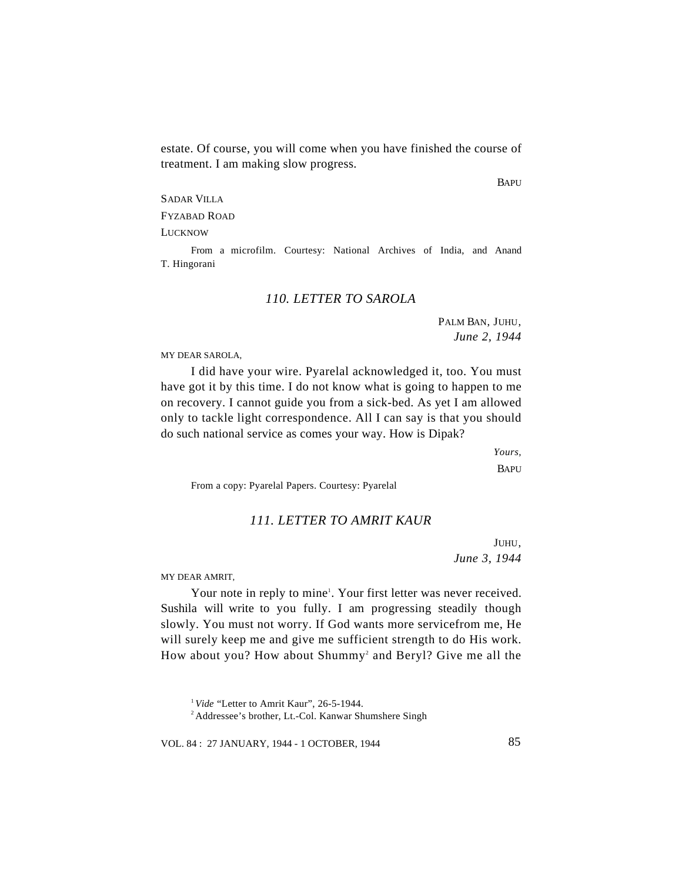estate. Of course, you will come when you have finished the course of treatment. I am making slow progress.

BAPU

SADAR VILLA

FYZABAD ROAD

**LUCKNOW** 

From a microfilm. Courtesy: National Archives of India, and Anand T. Hingorani

# *110. LETTER TO SAROLA*

PALM BAN, JUHU, *June 2, 1944*

MY DEAR SAROLA,

I did have your wire. Pyarelal acknowledged it, too. You must have got it by this time. I do not know what is going to happen to me on recovery. I cannot guide you from a sick-bed. As yet I am allowed only to tackle light correspondence. All I can say is that you should do such national service as comes your way. How is Dipak?

> *Yours,* **BAPU**

From a copy: Pyarelal Papers. Courtesy: Pyarelal

# *111. LETTER TO AMRIT KAUR*

JUHU, *June 3, 1944*

MY DEAR AMRIT,

Your note in reply to mine<sup>1</sup>. Your first letter was never received. Sushila will write to you fully. I am progressing steadily though slowly. You must not worry. If God wants more servicefrom me, He will surely keep me and give me sufficient strength to do His work. How about you? How about Shummy<sup>2</sup> and Beryl? Give me all the

<sup>&</sup>lt;sup>1</sup> Vide "Letter to Amrit Kaur", 26-5-1944.

<sup>2</sup> Addressee's brother, Lt.-Col. Kanwar Shumshere Singh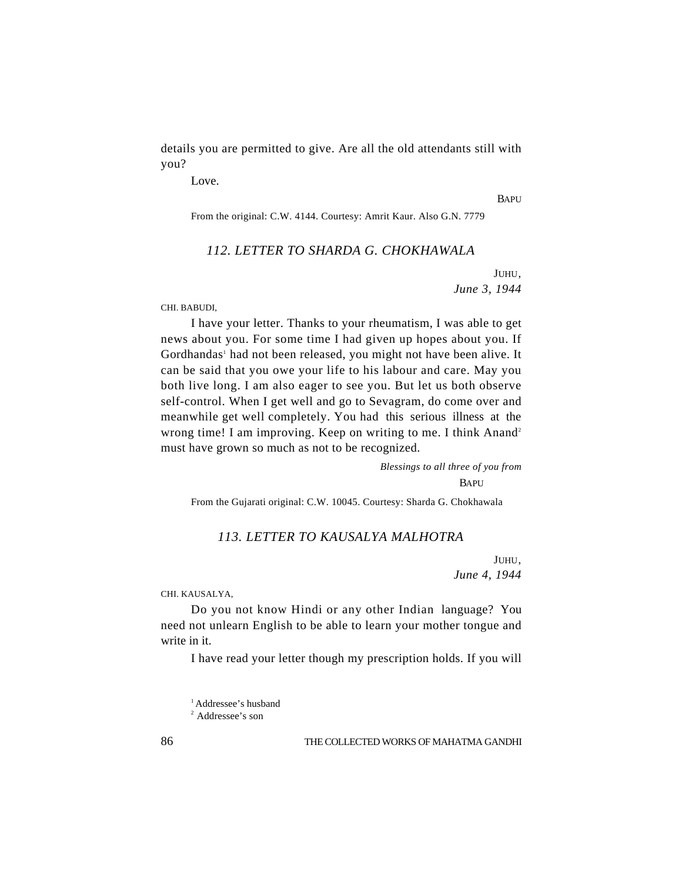details you are permitted to give. Are all the old attendants still with you?

Love.

**BAPU** 

From the original: C.W. 4144. Courtesy: Amrit Kaur. Also G.N. 7779

## *112. LETTER TO SHARDA G. CHOKHAWALA*

JUHU, *June 3, 1944*

CHI. BABUDI,

I have your letter. Thanks to your rheumatism, I was able to get news about you. For some time I had given up hopes about you. If Gordhandas<sup>1</sup> had not been released, you might not have been alive. It can be said that you owe your life to his labour and care. May you both live long. I am also eager to see you. But let us both observe self-control. When I get well and go to Sevagram, do come over and meanwhile get well completely. You had this serious illness at the wrong time! I am improving. Keep on writing to me. I think Anand<sup>2</sup> must have grown so much as not to be recognized.

*Blessings to all three of you from*

**BAPU** 

From the Gujarati original: C.W. 10045. Courtesy: Sharda G. Chokhawala

## *113. LETTER TO KAUSALYA MALHOTRA*

JUHU, *June 4, 1944*

CHI. KAUSALYA,

Do you not know Hindi or any other Indian language? You need not unlearn English to be able to learn your mother tongue and write in it.

I have read your letter though my prescription holds. If you will

<sup>1</sup> Addressee's husband

2 Addressee's son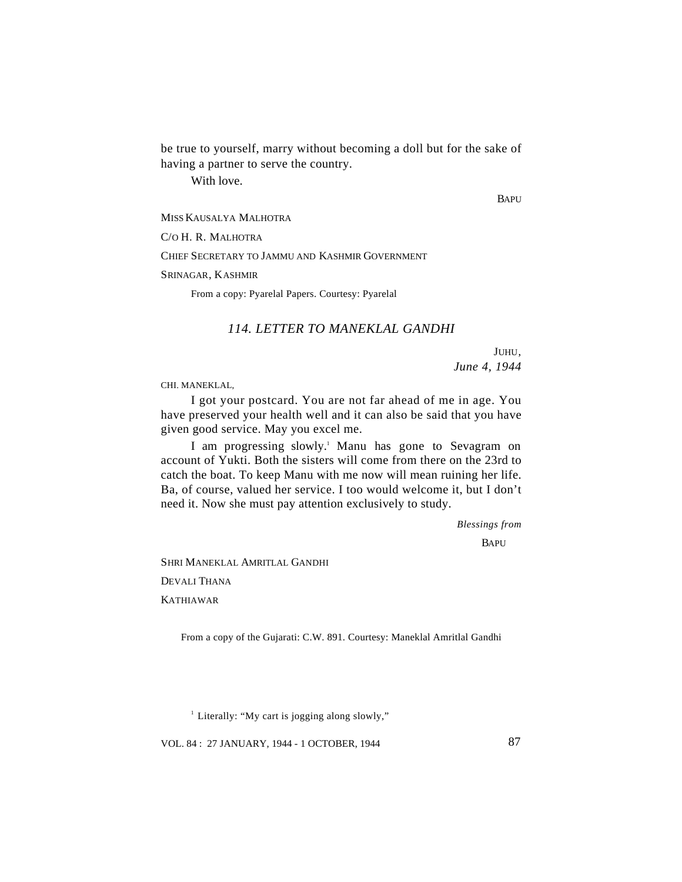be true to yourself, marry without becoming a doll but for the sake of having a partner to serve the country.

With love.

**BAPU** 

MISS KAUSALYA MALHOTRA

C/O H. R. MALHOTRA

CHIEF SECRETARY TO JAMMU AND KASHMIR GOVERNMENT

SRINAGAR, KASHMIR

From a copy: Pyarelal Papers. Courtesy: Pyarelal

## *114. LETTER TO MANEKLAL GANDHI*

JUHU, *June 4, 1944*

CHI. MANEKLAL,

I got your postcard. You are not far ahead of me in age. You have preserved your health well and it can also be said that you have given good service. May you excel me.

I am progressing slowly.<sup>1</sup> Manu has gone to Sevagram on account of Yukti. Both the sisters will come from there on the 23rd to catch the boat. To keep Manu with me now will mean ruining her life. Ba, of course, valued her service. I too would welcome it, but I don't need it. Now she must pay attention exclusively to study.

*Blessings from*

**BAPU** 

SHRI MANEKLAL AMRITLAL GANDHI DEVALI THANA KATHIAWAR

From a copy of the Gujarati: C.W. 891. Courtesy: Maneklal Amritlal Gandhi

 $<sup>1</sup>$  Literally: "My cart is jogging along slowly,"</sup>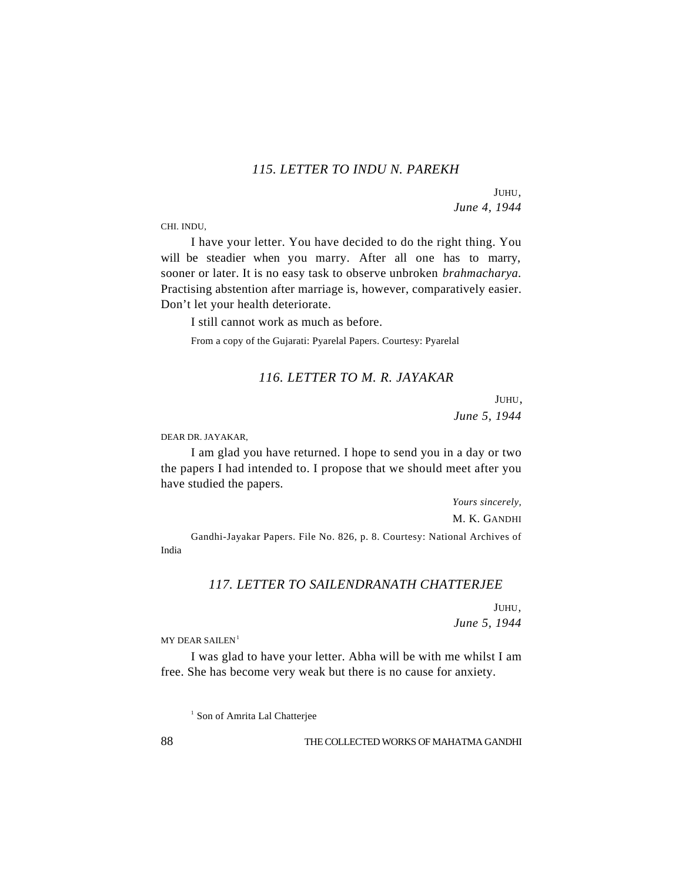# *115. LETTER TO INDU N. PAREKH*

JUHU, *June 4, 1944*

CHI. INDU,

I have your letter. You have decided to do the right thing. You will be steadier when you marry. After all one has to marry, sooner or later. It is no easy task to observe unbroken *brahmacharya.* Practising abstention after marriage is, however, comparatively easier. Don't let your health deteriorate.

I still cannot work as much as before.

From a copy of the Gujarati: Pyarelal Papers. Courtesy: Pyarelal

## *116. LETTER TO M. R. JAYAKAR*

JUHU, *June 5, 1944*

DEAR DR. JAYAKAR,

I am glad you have returned. I hope to send you in a day or two the papers I had intended to. I propose that we should meet after you have studied the papers.

> *Yours sincerely,* M. K. GANDHI

Gandhi-Jayakar Papers. File No. 826, p. 8. Courtesy: National Archives of India

#### *117. LETTER TO SAILENDRANATH CHATTERJEE*

JUHU, *June 5, 1944*

 $MY$  DEAR SAILEN<sup>1</sup>

I was glad to have your letter. Abha will be with me whilst I am free. She has become very weak but there is no cause for anxiety.

<sup>1</sup> Son of Amrita Lal Chatterjee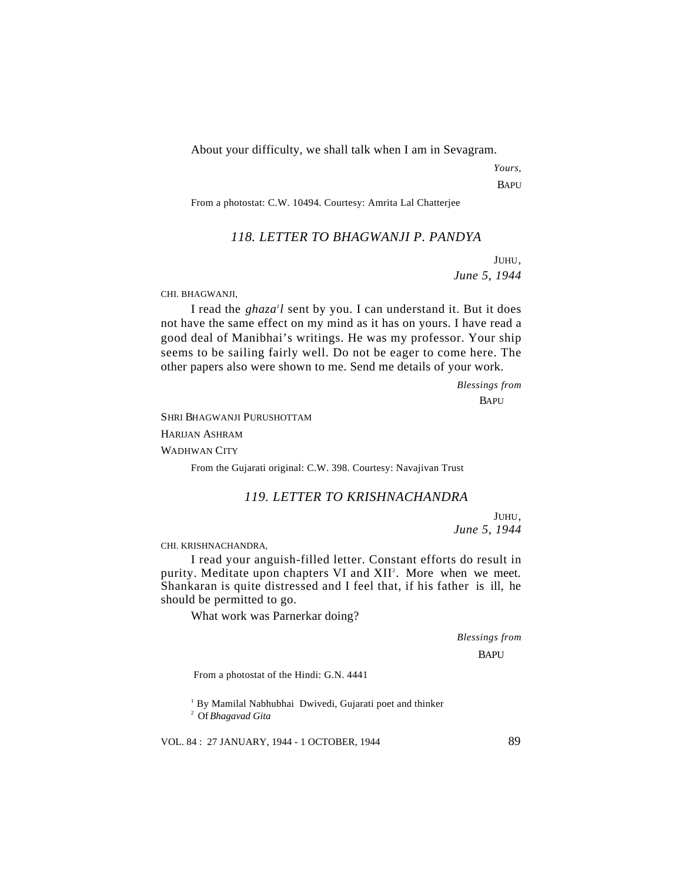About your difficulty, we shall talk when I am in Sevagram.

*Yours,*

**BAPU** 

From a photostat: C.W. 10494. Courtesy: Amrita Lal Chatterjee

## *118. LETTER TO BHAGWANJI P. PANDYA*

JUHU, *June 5, 1944*

CHI. BHAGWANJI,

I read the *ghaza<sup>1</sup>l* sent by you. I can understand it. But it does not have the same effect on my mind as it has on yours. I have read a good deal of Manibhai's writings. He was my professor. Your ship seems to be sailing fairly well. Do not be eager to come here. The other papers also were shown to me. Send me details of your work.

> *Blessings from* **BAPU**

SHRI BHAGWANJI PURUSHOTTAM HARIJAN ASHRAM WADHWAN CITY

From the Gujarati original: C.W. 398. Courtesy: Navajivan Trust

#### *119. LETTER TO KRISHNACHANDRA*

JUHU, *June 5, 1944*

CHI. KRISHNACHANDRA,

I read your anguish-filled letter. Constant efforts do result in purity. Meditate upon chapters VI and XII<sup>2</sup>. More when we meet. Shankaran is quite distressed and I feel that, if his father is ill, he should be permitted to go.

What work was Parnerkar doing?

*Blessings from*

**BAPU** 

From a photostat of the Hindi: G.N. 4441

<sup>1</sup> By Mamilal Nabhubhai Dwivedi, Gujarati poet and thinker <sup>2</sup> Of *Bhagavad Gita*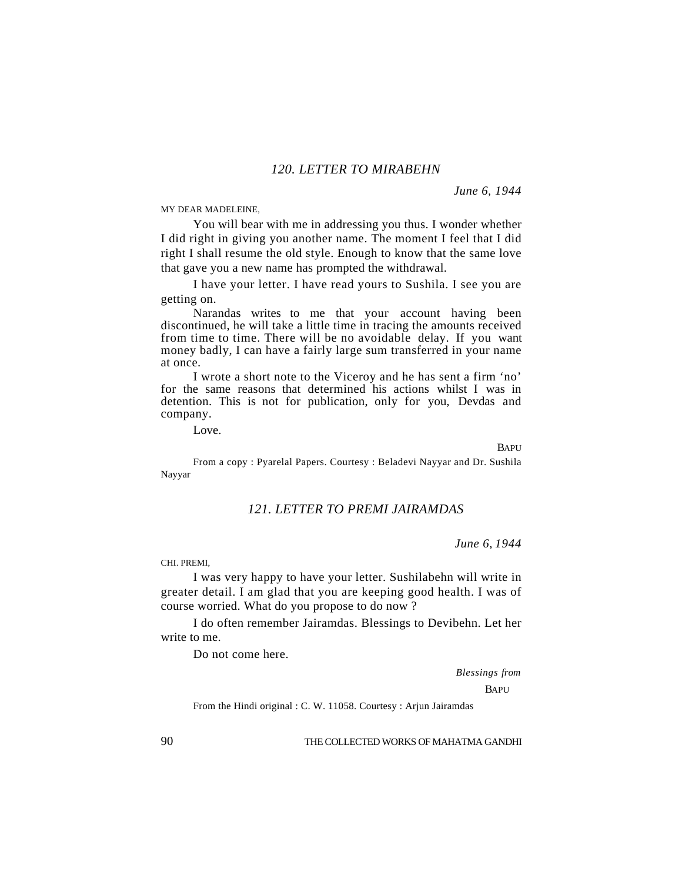*June 6*, *1944*

MY DEAR MADELEINE,

You will bear with me in addressing you thus. I wonder whether I did right in giving you another name. The moment I feel that I did right I shall resume the old style. Enough to know that the same love that gave you a new name has prompted the withdrawal.

I have your letter. I have read yours to Sushila. I see you are getting on.

Narandas writes to me that your account having been discontinued, he will take a little time in tracing the amounts received from time to time. There will be no avoidable delay. If you want money badly, I can have a fairly large sum transferred in your name at once.

I wrote a short note to the Viceroy and he has sent a firm 'no' for the same reasons that determined his actions whilst I was in detention. This is not for publication, only for you, Devdas and company.

Love.

**BAPU** 

From a copy : Pyarelal Papers. Courtesy : Beladevi Nayyar and Dr. Sushila Nayyar

# *121. LETTER TO PREMI JAIRAMDAS*

*June 6*, *1944*

CHI. PREMI,

I was very happy to have your letter. Sushilabehn will write in greater detail. I am glad that you are keeping good health. I was of course worried. What do you propose to do now ?

I do often remember Jairamdas. Blessings to Devibehn. Let her write to me.

Do not come here.

*Blessings from* **BAPU** 

From the Hindi original : C. W. 11058. Courtesy : Arjun Jairamdas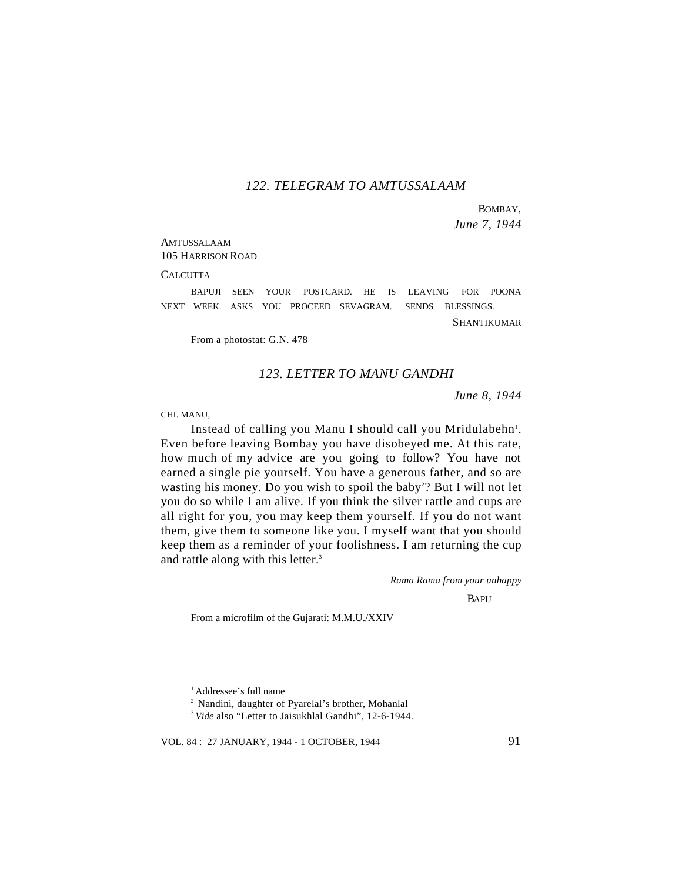## *122. TELEGRAM TO AMTUSSALAAM*

BOMBAY, *June 7, 1944*

#### AMTUSSALAAM 105 HARRISON ROAD

CALCUTTA

BAPUJI SEEN YOUR POSTCARD. HE IS LEAVING FOR POONA NEXT WEEK. ASKS YOU PROCEED SEVAGRAM. SENDS BLESSINGS.

SHANTIKUMAR

From a photostat: G.N. 478

#### *123. LETTER TO MANU GANDHI*

*June 8, 1944*

CHI. MANU,

Instead of calling you Manu I should call you Mridulabehn<sup>1</sup>. Even before leaving Bombay you have disobeyed me. At this rate, how much of my advice are you going to follow? You have not earned a single pie yourself. You have a generous father, and so are wasting his money. Do you wish to spoil the baby<sup>2</sup>? But I will not let you do so while I am alive. If you think the silver rattle and cups are all right for you, you may keep them yourself. If you do not want them, give them to someone like you. I myself want that you should keep them as a reminder of your foolishness. I am returning the cup and rattle along with this letter.<sup>3</sup>

*Rama Rama from your unhappy*

**BAPU** 

From a microfilm of the Gujarati: M.M.U./XXIV

<sup>1</sup> Addressee's full name

<sup>2</sup> Nandini, daughter of Pyarelal's brother, Mohanlal

<sup>3</sup>*Vide* also "Letter to Jaisukhlal Gandhi", 12-6-1944.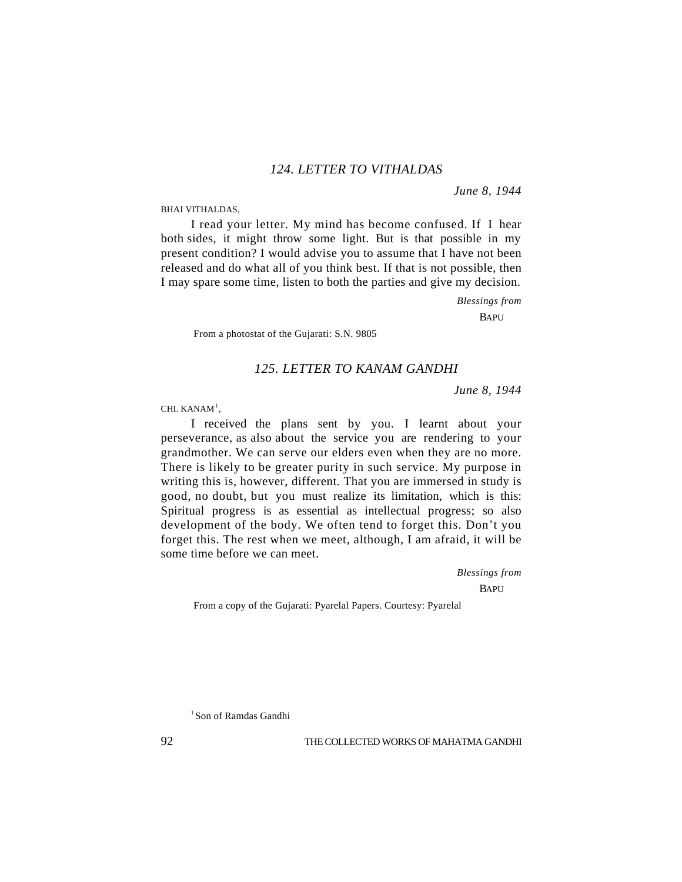# *124. LETTER TO VITHALDAS*

*June 8, 1944*

BHAI VITHALDAS,

I read your letter. My mind has become confused. If I hear both sides, it might throw some light. But is that possible in my present condition? I would advise you to assume that I have not been released and do what all of you think best. If that is not possible, then I may spare some time, listen to both the parties and give my decision.

*Blessings from*

BAPU

From a photostat of the Gujarati: S.N. 9805

## *125. LETTER TO KANAM GANDHI*

*June 8, 1944*

CHI. KANAM $<sup>1</sup>$ ,</sup>

I received the plans sent by you. I learnt about your perseverance, as also about the service you are rendering to your grandmother. We can serve our elders even when they are no more. There is likely to be greater purity in such service. My purpose in writing this is, however, different. That you are immersed in study is good, no doubt, but you must realize its limitation, which is this: Spiritual progress is as essential as intellectual progress; so also development of the body. We often tend to forget this. Don't you forget this. The rest when we meet, although, I am afraid, it will be some time before we can meet.

*Blessings from*

**BAPU** 

From a copy of the Gujarati: Pyarelal Papers. Courtesy: Pyarelal

<sup>1</sup> Son of Ramdas Gandhi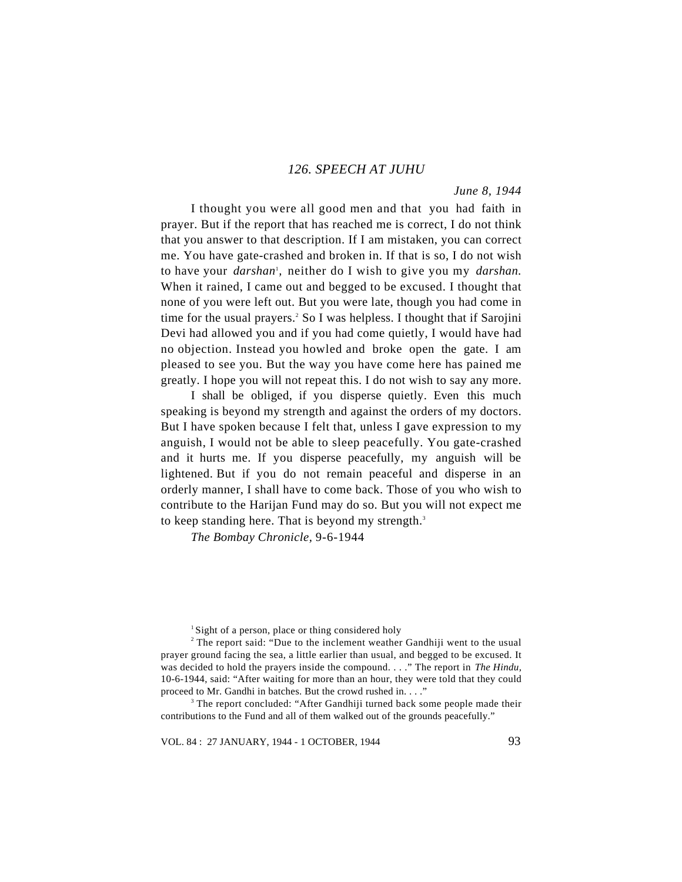### *126. SPEECH AT JUHU*

#### *June 8, 1944*

I thought you were all good men and that you had faith in prayer. But if the report that has reached me is correct, I do not think that you answer to that description. If I am mistaken, you can correct me. You have gate-crashed and broken in. If that is so, I do not wish to have your *darshan*<sup>1</sup> *,* neither do I wish to give you my *darshan.* When it rained, I came out and begged to be excused. I thought that none of you were left out. But you were late, though you had come in time for the usual prayers.<sup>2</sup> So I was helpless. I thought that if Sarojini Devi had allowed you and if you had come quietly, I would have had no objection. Instead you howled and broke open the gate. I am pleased to see you. But the way you have come here has pained me greatly. I hope you will not repeat this. I do not wish to say any more.

I shall be obliged, if you disperse quietly. Even this much speaking is beyond my strength and against the orders of my doctors. But I have spoken because I felt that, unless I gave expression to my anguish, I would not be able to sleep peacefully. You gate-crashed and it hurts me. If you disperse peacefully, my anguish will be lightened. But if you do not remain peaceful and disperse in an orderly manner, I shall have to come back. Those of you who wish to contribute to the Harijan Fund may do so. But you will not expect me to keep standing here. That is beyond my strength.<sup>3</sup>

*The Bombay Chronicle,* 9-6-1944

<sup>3</sup> The report concluded: "After Gandhiji turned back some people made their contributions to the Fund and all of them walked out of the grounds peacefully."

 $<sup>1</sup>$  Sight of a person, place or thing considered holy</sup>

 $2$ <sup>2</sup> The report said: "Due to the inclement weather Gandhiji went to the usual prayer ground facing the sea, a little earlier than usual, and begged to be excused. It was decided to hold the prayers inside the compound. . . ." The report in *The Hindu,* 10-6-1944, said: "After waiting for more than an hour, they were told that they could proceed to Mr. Gandhi in batches. But the crowd rushed in. . . ."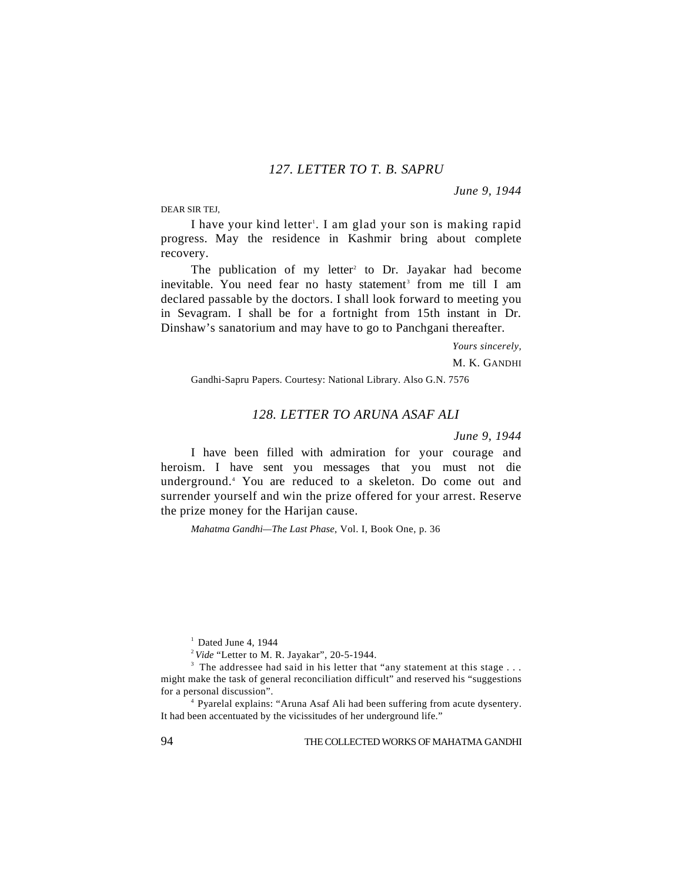*June 9, 1944*

DEAR SIR TEJ,

I have your kind letter<sup>1</sup>. I am glad your son is making rapid progress. May the residence in Kashmir bring about complete recovery.

The publication of my letter<sup>2</sup> to Dr. Jayakar had become inevitable. You need fear no hasty statement<sup>3</sup> from me till I am declared passable by the doctors. I shall look forward to meeting you in Sevagram. I shall be for a fortnight from 15th instant in Dr. Dinshaw's sanatorium and may have to go to Panchgani thereafter.

*Yours sincerely,*

M. K. GANDHI

Gandhi-Sapru Papers. Courtesy: National Library. Also G.N. 7576

#### *128. LETTER TO ARUNA ASAF ALI*

*June 9, 1944*

I have been filled with admiration for your courage and heroism. I have sent you messages that you must not die underground.<sup>4</sup> You are reduced to a skeleton. Do come out and surrender yourself and win the prize offered for your arrest. Reserve the prize money for the Harijan cause.

*Mahatma Gandhi—The Last Phase*, Vol. I, Book One, p. 36

 $<sup>1</sup>$  Dated June 4, 1944</sup>

<sup>2</sup>*Vide* "Letter to M. R. Jayakar", 20-5-1944.

 $3$  The addressee had said in his letter that "any statement at this stage ... might make the task of general reconciliation difficult" and reserved his "suggestions for a personal discussion".

4 Pyarelal explains: "Aruna Asaf Ali had been suffering from acute dysentery. It had been accentuated by the vicissitudes of her underground life."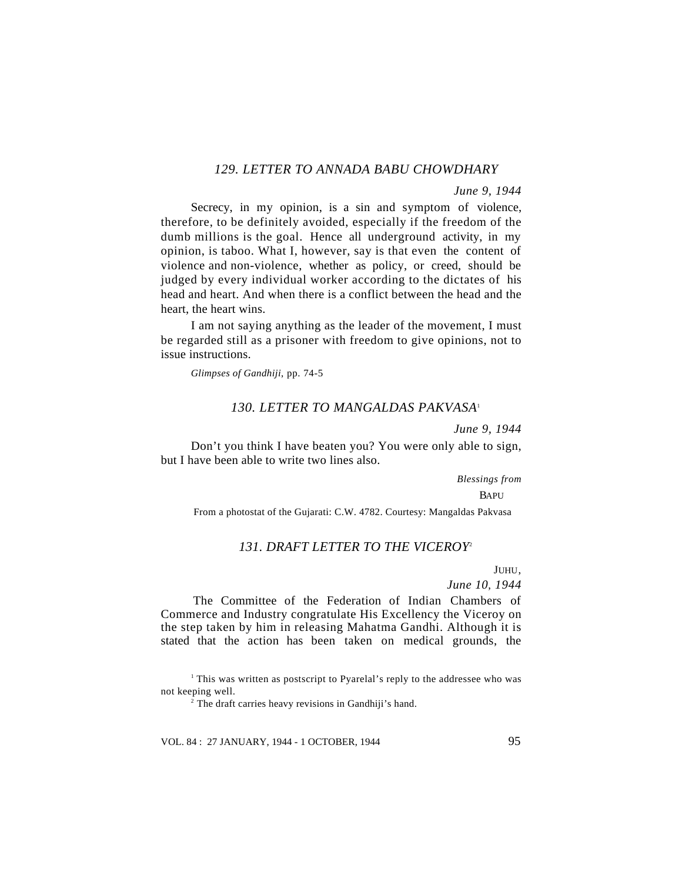## *129. LETTER TO ANNADA BABU CHOWDHARY*

#### *June 9, 1944*

Secrecy, in my opinion, is a sin and symptom of violence, therefore, to be definitely avoided, especially if the freedom of the dumb millions is the goal. Hence all underground activity, in my opinion, is taboo. What I, however, say is that even the content of violence and non-violence, whether as policy, or creed, should be judged by every individual worker according to the dictates of his head and heart. And when there is a conflict between the head and the heart, the heart wins.

I am not saying anything as the leader of the movement, I must be regarded still as a prisoner with freedom to give opinions, not to issue instructions.

*Glimpses of Gandhiji*, pp. 74-5

## *130. LETTER TO MANGALDAS PAKVASA*<sup>1</sup>

*June 9, 1944*

Don't you think I have beaten you? You were only able to sign, but I have been able to write two lines also.

*Blessings from*

**BAPU** 

From a photostat of the Gujarati: C.W. 4782. Courtesy: Mangaldas Pakvasa

### *131. DRAFT LETTER TO THE VICEROY*<sup>2</sup>

JUHU, *June 10*, *1944*

The Committee of the Federation of Indian Chambers of Commerce and Industry congratulate His Excellency the Viceroy on the step taken by him in releasing Mahatma Gandhi. Although it is stated that the action has been taken on medical grounds, the

 $1$ <sup>1</sup> This was written as postscript to Pyarelal's reply to the addressee who was not keeping well.

<sup>2</sup> The draft carries heavy revisions in Gandhiji's hand.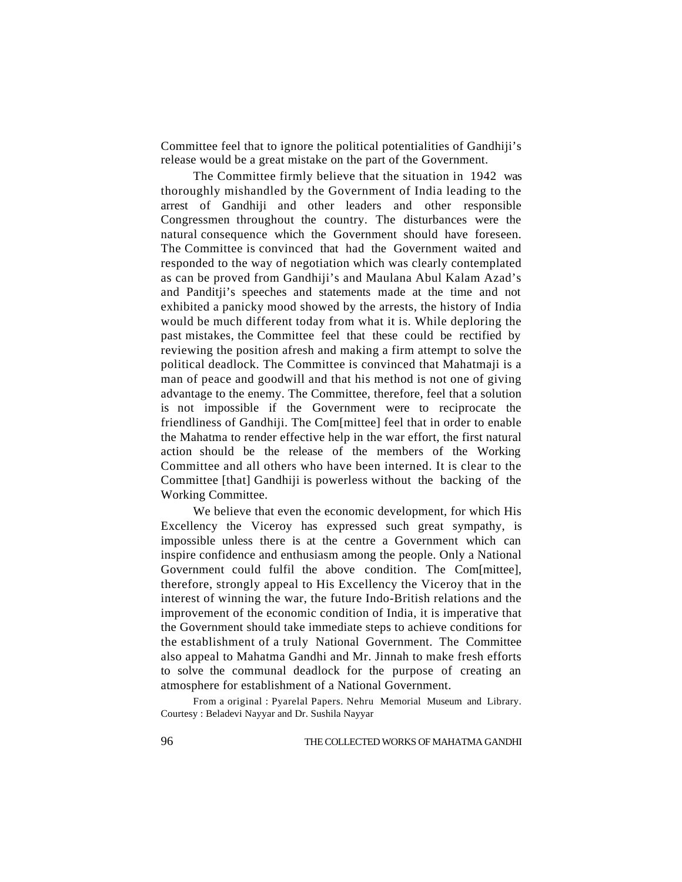Committee feel that to ignore the political potentialities of Gandhiji's release would be a great mistake on the part of the Government.

The Committee firmly believe that the situation in 1942 was thoroughly mishandled by the Government of India leading to the arrest of Gandhiji and other leaders and other responsible Congressmen throughout the country. The disturbances were the natural consequence which the Government should have foreseen. The Committee is convinced that had the Government waited and responded to the way of negotiation which was clearly contemplated as can be proved from Gandhiji's and Maulana Abul Kalam Azad's and Panditji's speeches and statements made at the time and not exhibited a panicky mood showed by the arrests, the history of India would be much different today from what it is. While deploring the past mistakes, the Committee feel that these could be rectified by reviewing the position afresh and making a firm attempt to solve the political deadlock. The Committee is convinced that Mahatmaji is a man of peace and goodwill and that his method is not one of giving advantage to the enemy. The Committee, therefore, feel that a solution is not impossible if the Government were to reciprocate the friendliness of Gandhiji. The Com[mittee] feel that in order to enable the Mahatma to render effective help in the war effort, the first natural action should be the release of the members of the Working Committee and all others who have been interned. It is clear to the Committee [that] Gandhiji is powerless without the backing of the Working Committee.

We believe that even the economic development, for which His Excellency the Viceroy has expressed such great sympathy, is impossible unless there is at the centre a Government which can inspire confidence and enthusiasm among the people. Only a National Government could fulfil the above condition. The Com[mittee], therefore, strongly appeal to His Excellency the Viceroy that in the interest of winning the war, the future Indo-British relations and the improvement of the economic condition of India, it is imperative that the Government should take immediate steps to achieve conditions for the establishment of a truly National Government. The Committee also appeal to Mahatma Gandhi and Mr. Jinnah to make fresh efforts to solve the communal deadlock for the purpose of creating an atmosphere for establishment of a National Government.

From a original : Pyarelal Papers. Nehru Memorial Museum and Library. Courtesy : Beladevi Nayyar and Dr. Sushila Nayyar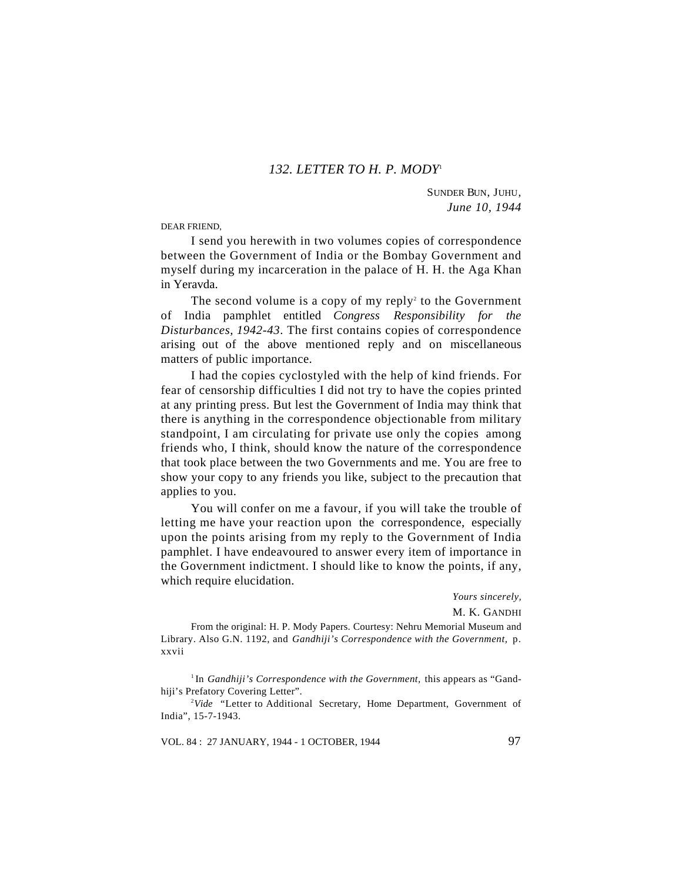#### *132. LETTER TO H. P. MODY*<sup>1</sup>

SUNDER BUN, JUHU, *June 10, 1944*

DEAR FRIEND,

I send you herewith in two volumes copies of correspondence between the Government of India or the Bombay Government and myself during my incarceration in the palace of H. H. the Aga Khan in Yeravda.

The second volume is a copy of my reply $2$  to the Government of India pamphlet entitled *Congress Responsibility for the Disturbances, 1942-43*. The first contains copies of correspondence arising out of the above mentioned reply and on miscellaneous matters of public importance.

I had the copies cyclostyled with the help of kind friends. For fear of censorship difficulties I did not try to have the copies printed at any printing press. But lest the Government of India may think that there is anything in the correspondence objectionable from military standpoint, I am circulating for private use only the copies among friends who, I think, should know the nature of the correspondence that took place between the two Governments and me. You are free to show your copy to any friends you like, subject to the precaution that applies to you.

You will confer on me a favour, if you will take the trouble of letting me have your reaction upon the correspondence, especially upon the points arising from my reply to the Government of India pamphlet. I have endeavoured to answer every item of importance in the Government indictment. I should like to know the points, if any, which require elucidation.

> *Yours sincerely,* M. K. GANDHI

From the original: H. P. Mody Papers. Courtesy: Nehru Memorial Museum and Library. Also G.N. 1192, and *Gandhiji's Correspondence with the Government,* p. xxvii

<sup>1</sup>In *Gandhiji's Correspondence with the Government*, this appears as "Gandhiji's Prefatory Covering Letter".

<sup>2</sup>Vide "Letter to Additional Secretary, Home Department, Government of India", 15-7-1943.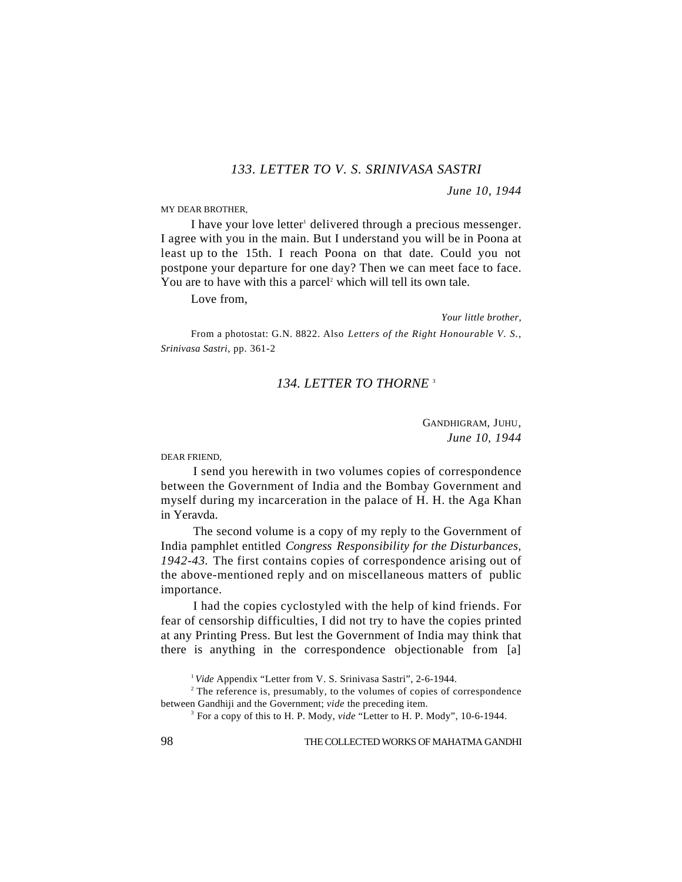#### *133. LETTER TO V. S. SRINIVASA SASTRI*

*June 10, 1944*

MY DEAR BROTHER,

I have your love letter' delivered through a precious messenger. I agree with you in the main. But I understand you will be in Poona at least up to the 15th. I reach Poona on that date. Could you not postpone your departure for one day? Then we can meet face to face. You are to have with this a parcel<sup>2</sup> which will tell its own tale.

Love from,

*Your little brother,*

From a photostat: G.N. 8822. Also *Letters of the Right Honourable V. S., Srinivasa Sastri*, pp. 361-2

#### *134. LETTER TO THORNE* <sup>3</sup>

GANDHIGRAM, JUHU, *June 10*, *1944*

DEAR FRIEND,

I send you herewith in two volumes copies of correspondence between the Government of India and the Bombay Government and myself during my incarceration in the palace of H. H. the Aga Khan in Yeravda.

The second volume is a copy of my reply to the Government of India pamphlet entitled *Congress Responsibility for the Disturbances*, *1942*-*43.* The first contains copies of correspondence arising out of the above-mentioned reply and on miscellaneous matters of public importance.

I had the copies cyclostyled with the help of kind friends. For fear of censorship difficulties, I did not try to have the copies printed at any Printing Press. But lest the Government of India may think that there is anything in the correspondence objectionable from [a]

<sup>1</sup>*Vide* Appendix "Letter from V. S. Srinivasa Sastri", 2-6-1944.

 $2$ <sup>2</sup> The reference is, presumably, to the volumes of copies of correspondence between Gandhiji and the Government; *vide* the preceding item.

<sup>&</sup>lt;sup>3</sup> For a copy of this to H. P. Mody, *vide* "Letter to H. P. Mody", 10-6-1944.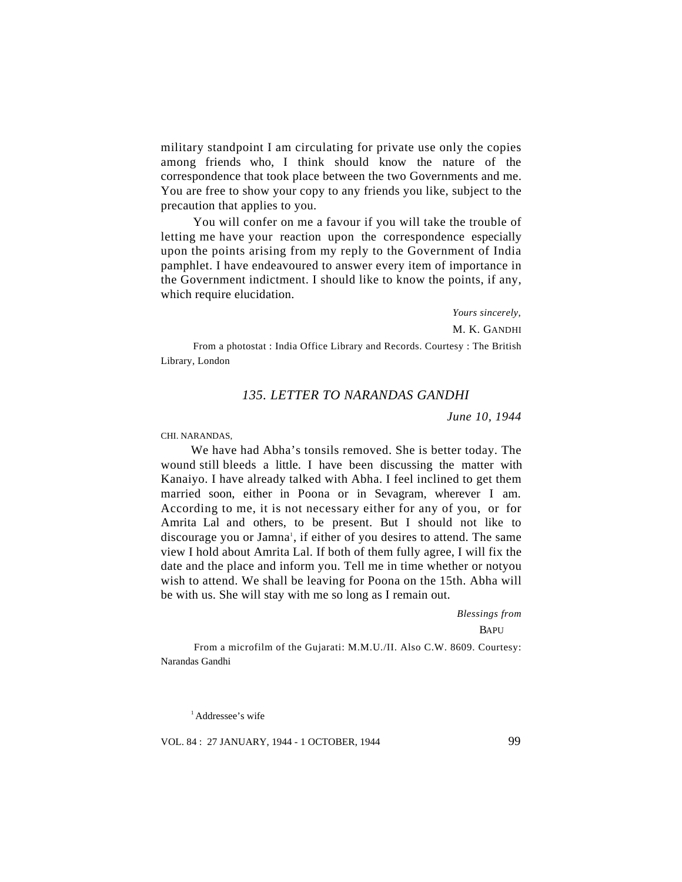military standpoint I am circulating for private use only the copies among friends who, I think should know the nature of the correspondence that took place between the two Governments and me. You are free to show your copy to any friends you like, subject to the precaution that applies to you.

You will confer on me a favour if you will take the trouble of letting me have your reaction upon the correspondence especially upon the points arising from my reply to the Government of India pamphlet. I have endeavoured to answer every item of importance in the Government indictment. I should like to know the points, if any, which require elucidation.

> *Yours sincerely*, M. K. GANDHI

From a photostat : India Office Library and Records. Courtesy : The British Library, London

# *135. LETTER TO NARANDAS GANDHI*

*June 10, 1944*

CHI. NARANDAS,

We have had Abha's tonsils removed. She is better today. The wound still bleeds a little. I have been discussing the matter with Kanaiyo. I have already talked with Abha. I feel inclined to get them married soon, either in Poona or in Sevagram, wherever I am. According to me, it is not necessary either for any of you, or for Amrita Lal and others, to be present. But I should not like to discourage you or Jamna<sup>1</sup>, if either of you desires to attend. The same view I hold about Amrita Lal. If both of them fully agree, I will fix the date and the place and inform you. Tell me in time whether or notyou wish to attend. We shall be leaving for Poona on the 15th. Abha will be with us. She will stay with me so long as I remain out.

*Blessings from*

BAPU

 From a microfilm of the Gujarati: M.M.U./II. Also C.W. 8609. Courtesy: Narandas Gandhi

 $<sup>1</sup>$  Addressee's wife</sup>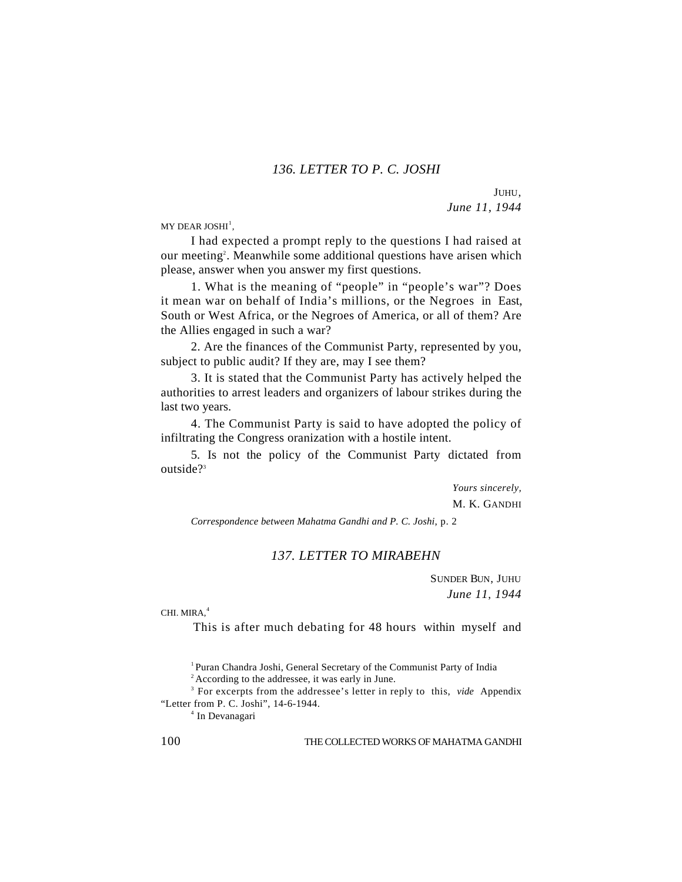# *136. LETTER TO P. C. JOSHI*

JUHU, *June 11, 1944*

 $MY$  DEAR JOSHI<sup>1</sup>,

I had expected a prompt reply to the questions I had raised at our meeting<sup>2</sup>. Meanwhile some additional questions have arisen which please, answer when you answer my first questions.

1. What is the meaning of "people" in "people's war"? Does it mean war on behalf of India's millions, or the Negroes in East, South or West Africa, or the Negroes of America, or all of them? Are the Allies engaged in such a war?

2. Are the finances of the Communist Party, represented by you, subject to public audit? If they are, may I see them?

3. It is stated that the Communist Party has actively helped the authorities to arrest leaders and organizers of labour strikes during the last two years.

4. The Communist Party is said to have adopted the policy of infiltrating the Congress oranization with a hostile intent.

5. Is not the policy of the Communist Party dictated from outside?<sup>3</sup>

> *Yours sincerely,* M. K. GANDHI

*Correspondence between Mahatma Gandhi and P. C. Joshi*, p. 2

#### *137. LETTER TO MIRABEHN*

SUNDER BUN, JUHU *June 11*, *1944*

CHI. MIRA $<sup>4</sup>$ </sup>

This is after much debating for 48 hours within myself and

<sup>3</sup>For excerpts from the addressee's letter in reply to this, *vide* Appendix "Letter from P. C. Joshi", 14-6-1944.

4 In Devanagari

<sup>&</sup>lt;sup>1</sup> Puran Chandra Joshi, General Secretary of the Communist Party of India

 $2^2$  According to the addressee, it was early in June.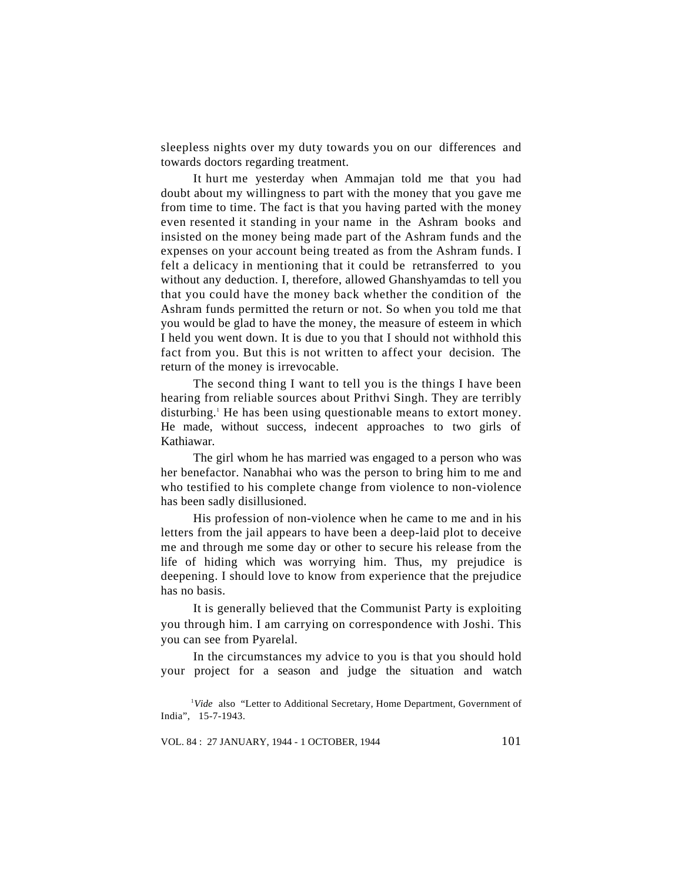sleepless nights over my duty towards you on our differences and towards doctors regarding treatment.

It hurt me yesterday when Ammajan told me that you had doubt about my willingness to part with the money that you gave me from time to time. The fact is that you having parted with the money even resented it standing in your name in the Ashram books and insisted on the money being made part of the Ashram funds and the expenses on your account being treated as from the Ashram funds. I felt a delicacy in mentioning that it could be retransferred to you without any deduction. I, therefore, allowed Ghanshyamdas to tell you that you could have the money back whether the condition of the Ashram funds permitted the return or not. So when you told me that you would be glad to have the money, the measure of esteem in which I held you went down. It is due to you that I should not withhold this fact from you. But this is not written to affect your decision. The return of the money is irrevocable.

The second thing I want to tell you is the things I have been hearing from reliable sources about Prithvi Singh. They are terribly disturbing.<sup>1</sup> He has been using questionable means to extort money. He made, without success, indecent approaches to two girls of Kathiawar.

The girl whom he has married was engaged to a person who was her benefactor. Nanabhai who was the person to bring him to me and who testified to his complete change from violence to non-violence has been sadly disillusioned.

His profession of non-violence when he came to me and in his letters from the jail appears to have been a deep-laid plot to deceive me and through me some day or other to secure his release from the life of hiding which was worrying him. Thus, my prejudice is deepening. I should love to know from experience that the prejudice has no basis.

It is generally believed that the Communist Party is exploiting you through him. I am carrying on correspondence with Joshi. This you can see from Pyarelal.

In the circumstances my advice to you is that you should hold your project for a season and judge the situation and watch

<sup>&</sup>lt;sup>1</sup>Vide also "Letter to Additional Secretary, Home Department, Government of India", 15-7-1943.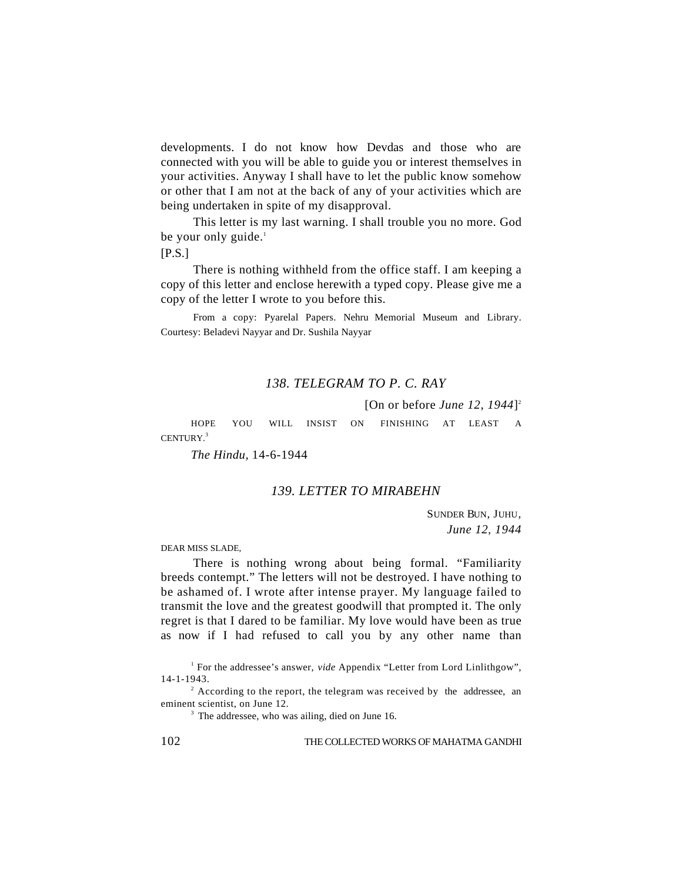developments. I do not know how Devdas and those who are connected with you will be able to guide you or interest themselves in your activities. Anyway I shall have to let the public know somehow or other that I am not at the back of any of your activities which are being undertaken in spite of my disapproval.

This letter is my last warning. I shall trouble you no more. God be your only guide. $<sup>1</sup>$ </sup>

 $[P.S.]$ 

There is nothing withheld from the office staff. I am keeping a copy of this letter and enclose herewith a typed copy. Please give me a copy of the letter I wrote to you before this.

From a copy: Pyarelal Papers. Nehru Memorial Museum and Library. Courtesy: Beladevi Nayyar and Dr. Sushila Nayyar

## *138. TELEGRAM TO P. C. RAY*

[On or before *June 12, 1944*] 2

HOPE YOU WILL INSIST ON FINISHING AT LEAST A CENTURY.<sup>3</sup>

*The Hindu,* 14-6-1944

## *139. LETTER TO MIRABEHN*

SUNDER BUN, JUHU, *June 12*, *1944*

DEAR MISS SLADE,

There is nothing wrong about being formal. "Familiarity breeds contempt." The letters will not be destroyed. I have nothing to be ashamed of. I wrote after intense prayer. My language failed to transmit the love and the greatest goodwill that prompted it. The only regret is that I dared to be familiar. My love would have been as true as now if I had refused to call you by any other name than

<sup>&</sup>lt;sup>1</sup> For the addressee's answer, *vide* Appendix "Letter from Lord Linlithgow", 14-1-1943.

 $2^2$  According to the report, the telegram was received by the addressee, an eminent scientist, on June 12.

<sup>&</sup>lt;sup>3</sup> The addressee, who was ailing, died on June 16.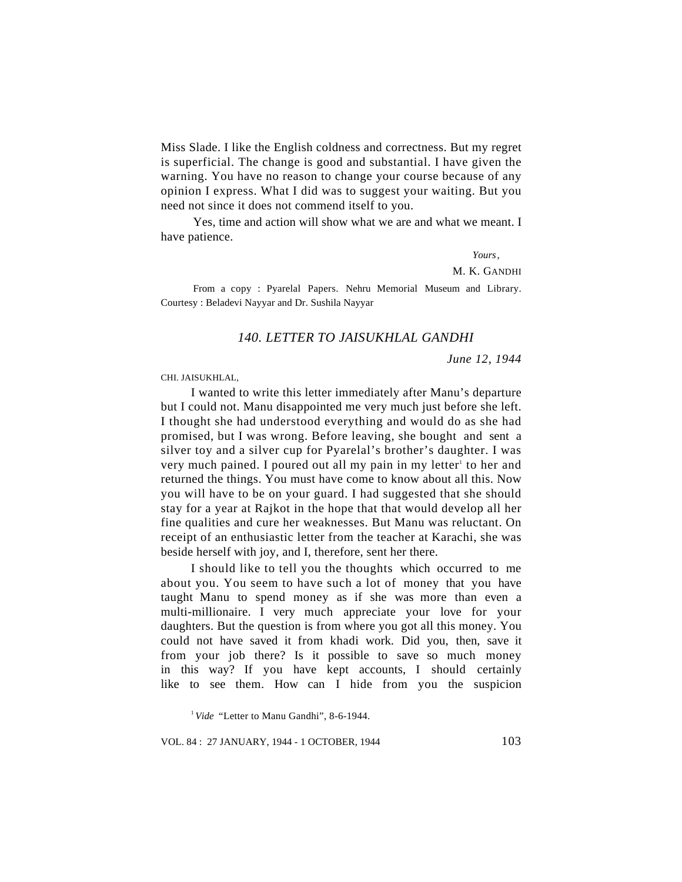Miss Slade. I like the English coldness and correctness. But my regret is superficial. The change is good and substantial. I have given the warning. You have no reason to change your course because of any opinion I express. What I did was to suggest your waiting. But you need not since it does not commend itself to you.

Yes, time and action will show what we are and what we meant. I have patience.

*Yours*,

M. K. GANDHI

From a copy : Pyarelal Papers. Nehru Memorial Museum and Library. Courtesy : Beladevi Nayyar and Dr. Sushila Nayyar

#### *140. LETTER TO JAISUKHLAL GANDHI*

*June 12, 1944*

CHI. JAISUKHLAL,

I wanted to write this letter immediately after Manu's departure but I could not. Manu disappointed me very much just before she left. I thought she had understood everything and would do as she had promised, but I was wrong. Before leaving, she bought and sent a silver toy and a silver cup for Pyarelal's brother's daughter. I was very much pained. I poured out all my pain in my letter' to her and returned the things. You must have come to know about all this. Now you will have to be on your guard. I had suggested that she should stay for a year at Rajkot in the hope that that would develop all her fine qualities and cure her weaknesses. But Manu was reluctant. On receipt of an enthusiastic letter from the teacher at Karachi, she was beside herself with joy, and I, therefore, sent her there.

I should like to tell you the thoughts which occurred to me about you. You seem to have such a lot of money that you have taught Manu to spend money as if she was more than even a multi-millionaire. I very much appreciate your love for your daughters. But the question is from where you got all this money. You could not have saved it from khadi work. Did you, then, save it from your job there? Is it possible to save so much money in this way? If you have kept accounts, I should certainly like to see them. How can I hide from you the suspicion

<sup>1</sup> Vide "Letter to Manu Gandhi", 8-6-1944.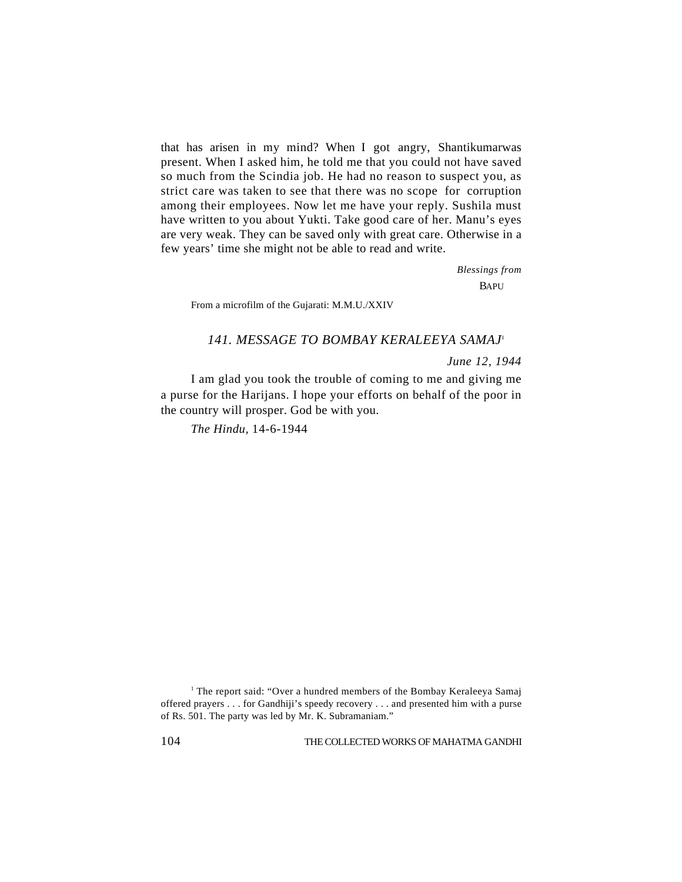that has arisen in my mind? When I got angry, Shantikumarwas present. When I asked him, he told me that you could not have saved so much from the Scindia job. He had no reason to suspect you, as strict care was taken to see that there was no scope for corruption among their employees. Now let me have your reply. Sushila must have written to you about Yukti. Take good care of her. Manu's eyes are very weak. They can be saved only with great care. Otherwise in a few years' time she might not be able to read and write.

> *Blessings from* BAPU

From a microfilm of the Gujarati: M.M.U./XXIV

### *141. MESSAGE TO BOMBAY KERALEEYA SAMAJ*<sup>1</sup>

*June 12, 1944*

I am glad you took the trouble of coming to me and giving me a purse for the Harijans. I hope your efforts on behalf of the poor in the country will prosper. God be with you.

*The Hindu,* 14-6-1944

<sup>1</sup> The report said: "Over a hundred members of the Bombay Keraleeya Samaj offered prayers . . . for Gandhiji's speedy recovery . . . and presented him with a purse of Rs. 501. The party was led by Mr. K. Subramaniam."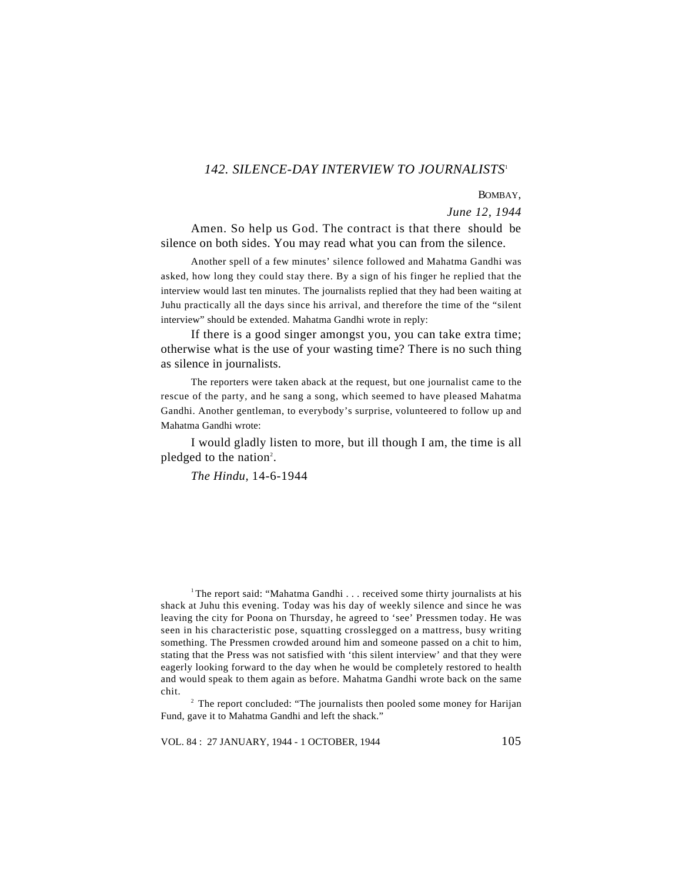## *142. SILENCE-DAY INTERVIEW TO JOURNALISTS*<sup>1</sup>

BOMBAY,

*June 12, 1944*

Amen. So help us God. The contract is that there should be silence on both sides. You may read what you can from the silence.

Another spell of a few minutes' silence followed and Mahatma Gandhi was asked, how long they could stay there. By a sign of his finger he replied that the interview would last ten minutes. The journalists replied that they had been waiting at Juhu practically all the days since his arrival, and therefore the time of the "silent interview" should be extended. Mahatma Gandhi wrote in reply:

If there is a good singer amongst you, you can take extra time; otherwise what is the use of your wasting time? There is no such thing as silence in journalists.

The reporters were taken aback at the request, but one journalist came to the rescue of the party, and he sang a song, which seemed to have pleased Mahatma Gandhi. Another gentleman, to everybody's surprise, volunteered to follow up and Mahatma Gandhi wrote:

I would gladly listen to more, but ill though I am, the time is all pledged to the nation<sup>2</sup>.

*The Hindu,* 14-6-1944

<sup>1</sup>The report said: "Mahatma Gandhi . . . received some thirty journalists at his shack at Juhu this evening. Today was his day of weekly silence and since he was leaving the city for Poona on Thursday, he agreed to 'see' Pressmen today. He was seen in his characteristic pose, squatting crosslegged on a mattress, busy writing something. The Pressmen crowded around him and someone passed on a chit to him, stating that the Press was not satisfied with 'this silent interview' and that they were eagerly looking forward to the day when he would be completely restored to health and would speak to them again as before. Mahatma Gandhi wrote back on the same chit.

The report concluded: "The journalists then pooled some money for Harijan Fund, gave it to Mahatma Gandhi and left the shack."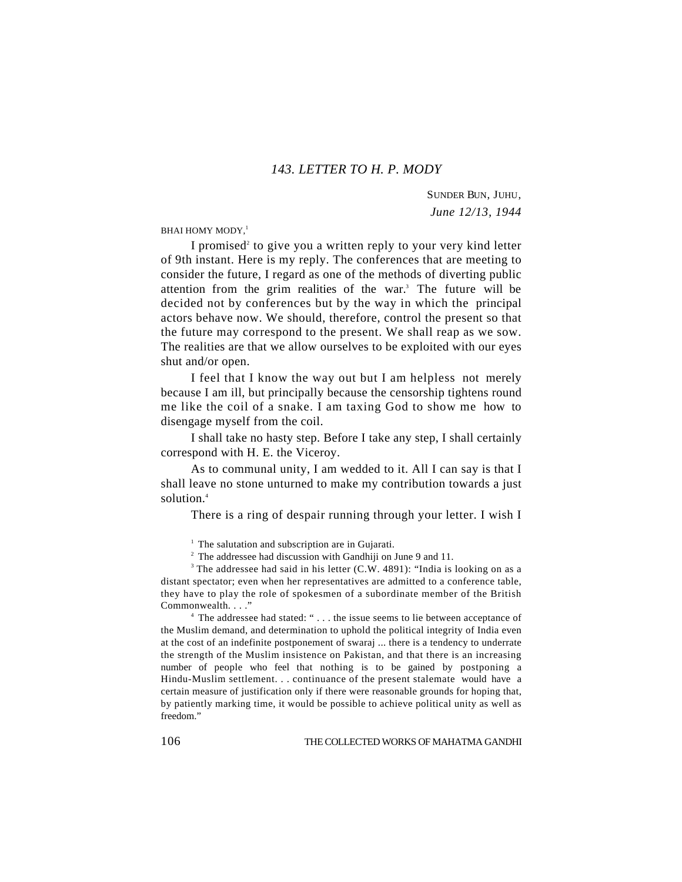## *143. LETTER TO H. P. MODY*

SUNDER BUN, JUHU, *June 12/13, 1944*

BHAI HOMY MODY.<sup>1</sup>

I promised<sup>2</sup> to give you a written reply to your very kind letter of 9th instant. Here is my reply. The conferences that are meeting to consider the future, I regard as one of the methods of diverting public attention from the grim realities of the war.<sup>3</sup> The future will be decided not by conferences but by the way in which the principal actors behave now. We should, therefore, control the present so that the future may correspond to the present. We shall reap as we sow. The realities are that we allow ourselves to be exploited with our eyes shut and/or open.

I feel that I know the way out but I am helpless not merely because I am ill, but principally because the censorship tightens round me like the coil of a snake. I am taxing God to show me how to disengage myself from the coil.

I shall take no hasty step. Before I take any step, I shall certainly correspond with H. E. the Viceroy.

As to communal unity, I am wedded to it. All I can say is that I shall leave no stone unturned to make my contribution towards a just solution<sup>4</sup>

There is a ring of despair running through your letter. I wish I

 $<sup>1</sup>$  The salutation and subscription are in Gujarati.</sup>

 $2$  The addressee had discussion with Gandhiji on June 9 and 11.

 $3$  The addressee had said in his letter (C.W. 4891): "India is looking on as a distant spectator; even when her representatives are admitted to a conference table, they have to play the role of spokesmen of a subordinate member of the British Commonwealth. . . ."

<sup>4</sup> The addressee had stated: " . . . the issue seems to lie between acceptance of the Muslim demand, and determination to uphold the political integrity of India even at the cost of an indefinite postponement of swaraj ... there is a tendency to underrate the strength of the Muslim insistence on Pakistan, and that there is an increasing number of people who feel that nothing is to be gained by postponing a Hindu-Muslim settlement. . . continuance of the present stalemate would have a certain measure of justification only if there were reasonable grounds for hoping that, by patiently marking time, it would be possible to achieve political unity as well as freedom<sup>"</sup>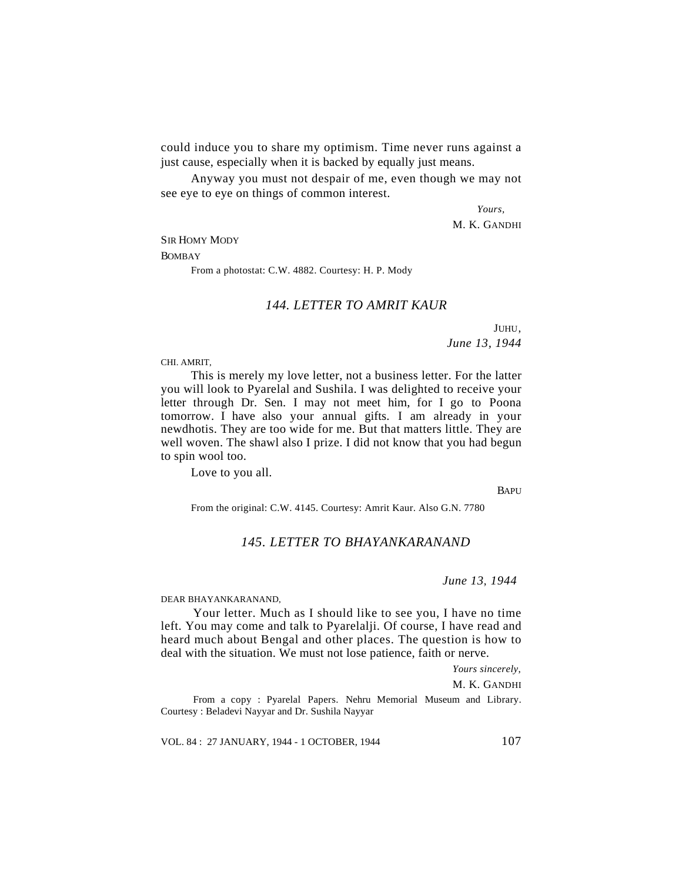could induce you to share my optimism. Time never runs against a just cause, especially when it is backed by equally just means.

Anyway you must not despair of me, even though we may not see eye to eye on things of common interest.

> *Yours,* M. K. GANDHI

SIR HOMY MODY BOMBAY

From a photostat: C.W. 4882. Courtesy: H. P. Mody

## *144. LETTER TO AMRIT KAUR*

JUHU, *June 13, 1944*

CHI. AMRIT,

This is merely my love letter, not a business letter. For the latter you will look to Pyarelal and Sushila. I was delighted to receive your letter through Dr. Sen. I may not meet him, for I go to Poona tomorrow. I have also your annual gifts. I am already in your newdhotis. They are too wide for me. But that matters little. They are well woven. The shawl also I prize. I did not know that you had begun to spin wool too.

Love to you all.

BAPU

From the original: C.W. 4145. Courtesy: Amrit Kaur. Also G.N. 7780

## *145. LETTER TO BHAYANKARANAND*

*June 13*, *1944*

DEAR BHAYANKARANAND,

Your letter. Much as I should like to see you, I have no time left. You may come and talk to Pyarelalji. Of course, I have read and heard much about Bengal and other places. The question is how to deal with the situation. We must not lose patience, faith or nerve.

*Yours sincerely*,

M. K. GANDHI

From a copy : Pyarelal Papers. Nehru Memorial Museum and Library. Courtesy : Beladevi Nayyar and Dr. Sushila Nayyar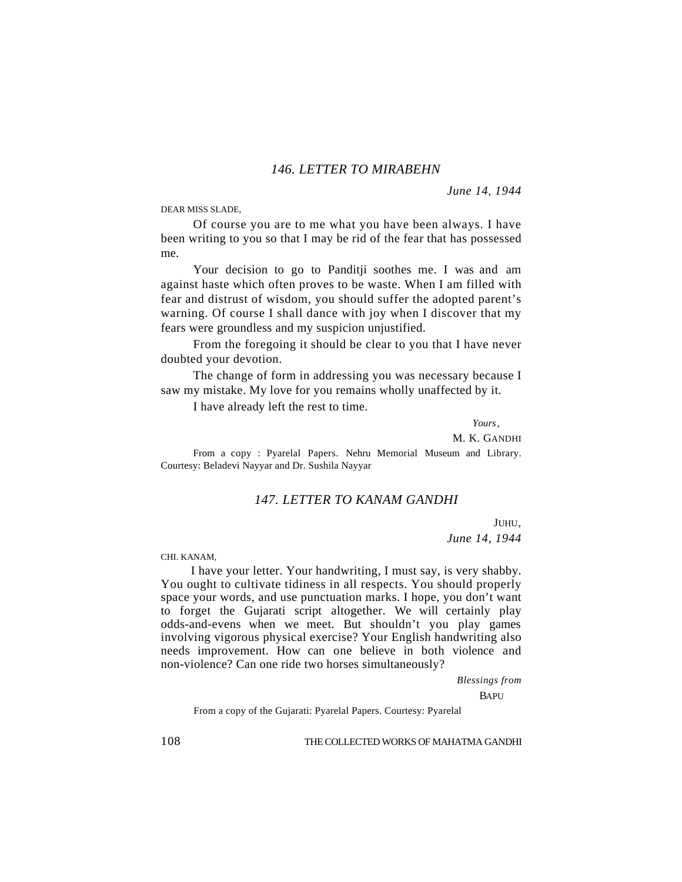*June 14*, *1944*

DEAR MISS SLADE,

Of course you are to me what you have been always. I have been writing to you so that I may be rid of the fear that has possessed me.

Your decision to go to Panditji soothes me. I was and am against haste which often proves to be waste. When I am filled with fear and distrust of wisdom, you should suffer the adopted parent's warning. Of course I shall dance with joy when I discover that my fears were groundless and my suspicion unjustified.

From the foregoing it should be clear to you that I have never doubted your devotion.

The change of form in addressing you was necessary because I saw my mistake. My love for you remains wholly unaffected by it.

I have already left the rest to time.

*Yours*,

M. K. GANDHI

From a copy : Pyarelal Papers. Nehru Memorial Museum and Library. Courtesy: Beladevi Nayyar and Dr. Sushila Nayyar

# *147. LETTER TO KANAM GANDHI*

JUHU, *June 14, 1944*

CHI. KANAM,

I have your letter. Your handwriting, I must say, is very shabby. You ought to cultivate tidiness in all respects. You should properly space your words, and use punctuation marks. I hope, you don't want to forget the Gujarati script altogether. We will certainly play odds-and-evens when we meet. But shouldn't you play games involving vigorous physical exercise? Your English handwriting also needs improvement. How can one believe in both violence and non-violence? Can one ride two horses simultaneously?

*Blessings from*

**BAPU** 

From a copy of the Gujarati: Pyarelal Papers. Courtesy: Pyarelal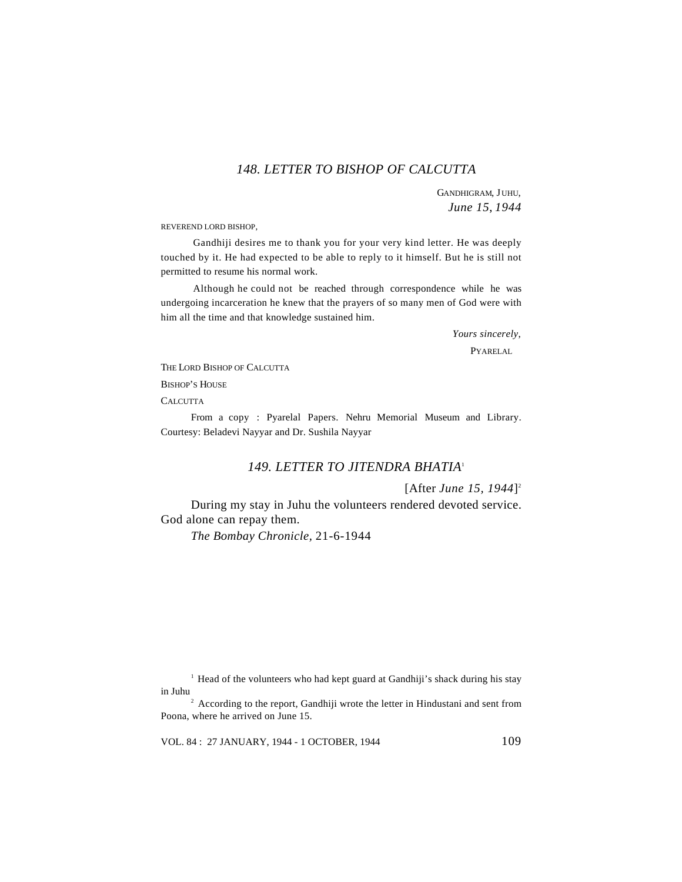# *148. LETTER TO BISHOP OF CALCUTTA*

GANDHIGRAM, JUHU, *June 15*, *1944*

REVEREND LORD BISHOP,

Gandhiji desires me to thank you for your very kind letter. He was deeply touched by it. He had expected to be able to reply to it himself. But he is still not permitted to resume his normal work.

Although he could not be reached through correspondence while he was undergoing incarceration he knew that the prayers of so many men of God were with him all the time and that knowledge sustained him.

> *Yours sincerely*, PYARELAL

THE LORD BISHOP OF CALCUTTA

BISHOP'S HOUSE

**CALCUTTA** 

From a copy : Pyarelal Papers. Nehru Memorial Museum and Library. Courtesy: Beladevi Nayyar and Dr. Sushila Nayyar

#### *149. LETTER TO JITENDRA BHATIA*<sup>1</sup>

[After *June 15, 1944*] 2

During my stay in Juhu the volunteers rendered devoted service. God alone can repay them.

*The Bombay Chronicle,* 21-6-1944

 $1$  Head of the volunteers who had kept guard at Gandhiji's shack during his stay in Juhu

<sup>2</sup> According to the report, Gandhiji wrote the letter in Hindustani and sent from Poona, where he arrived on June 15.

VOL. 84 : 27 JANUARY, 1944 - 1 OCTOBER, 1944 109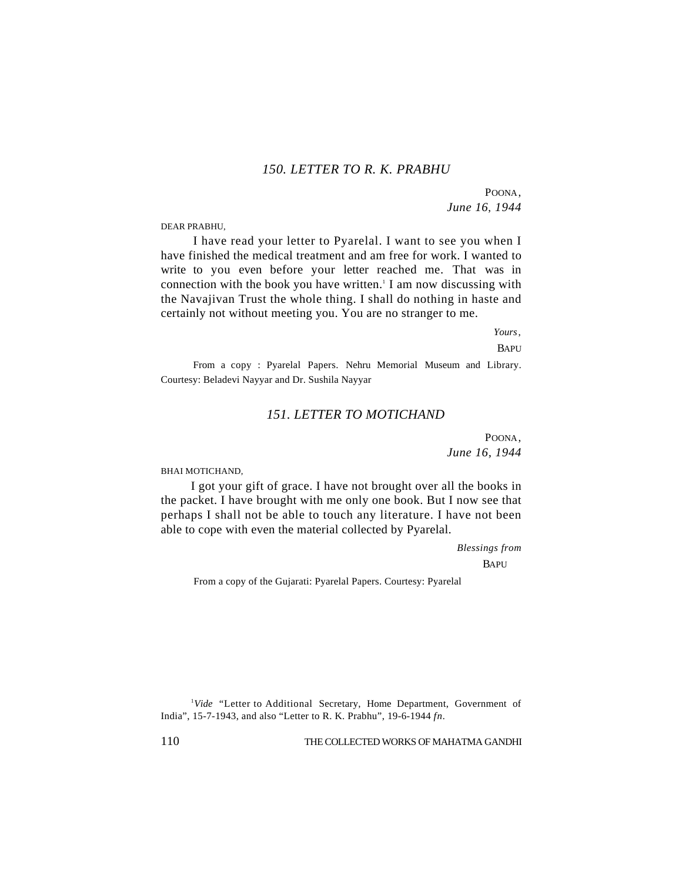# *150. LETTER TO R. K. PRABHU*

POONA, *June 16*, *1944*

DEAR PRABHU,

I have read your letter to Pyarelal. I want to see you when I have finished the medical treatment and am free for work. I wanted to write to you even before your letter reached me. That was in connection with the book you have written.<sup>1</sup> I am now discussing with the Navajivan Trust the whole thing. I shall do nothing in haste and certainly not without meeting you. You are no stranger to me.

*Yours*,

**BAPU** 

From a copy : Pyarelal Papers. Nehru Memorial Museum and Library. Courtesy: Beladevi Nayyar and Dr. Sushila Nayyar

#### *151. LETTER TO MOTICHAND*

POONA, *June 16, 1944*

BHAI MOTICHAND,

I got your gift of grace. I have not brought over all the books in the packet. I have brought with me only one book. But I now see that perhaps I shall not be able to touch any literature. I have not been able to cope with even the material collected by Pyarelal.

> *Blessings from* **BAPU**

From a copy of the Gujarati: Pyarelal Papers. Courtesy: Pyarelal

<sup>1</sup>Vide "Letter to Additional Secretary, Home Department, Government of India", 15-7-1943, and also "Letter to R. K. Prabhu", 19-6-1944 *fn.*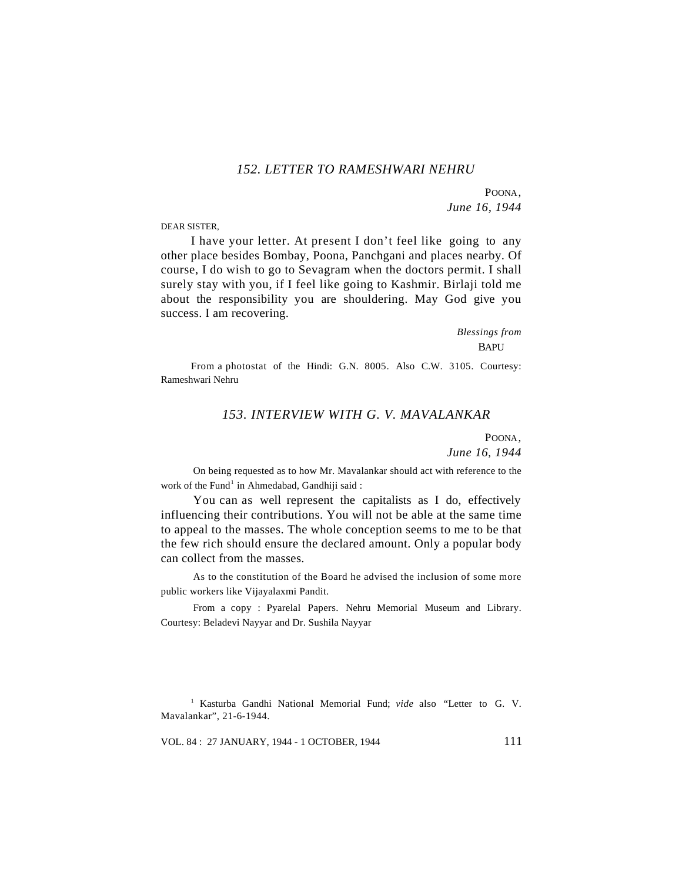# *152. LETTER TO RAMESHWARI NEHRU*

POONA, *June 16, 1944*

DEAR SISTER,

I have your letter. At present I don't feel like going to any other place besides Bombay, Poona, Panchgani and places nearby. Of course, I do wish to go to Sevagram when the doctors permit. I shall surely stay with you, if I feel like going to Kashmir. Birlaji told me about the responsibility you are shouldering. May God give you success. I am recovering.

> *Blessings from* BAPU

From a photostat of the Hindi: G.N. 8005. Also C.W. 3105. Courtesy: Rameshwari Nehru

#### *153. INTERVIEW WITH G. V. MAVALANKAR*

POONA, *June 16*, *1944*

On being requested as to how Mr. Mavalankar should act with reference to the work of the Fund<sup>1</sup> in Ahmedabad, Gandhiji said:

You can as well represent the capitalists as I do, effectively influencing their contributions. You will not be able at the same time to appeal to the masses. The whole conception seems to me to be that the few rich should ensure the declared amount. Only a popular body can collect from the masses.

As to the constitution of the Board he advised the inclusion of some more public workers like Vijayalaxmi Pandit.

From a copy : Pyarelal Papers. Nehru Memorial Museum and Library. Courtesy: Beladevi Nayyar and Dr. Sushila Nayyar

<sup>1</sup> Kasturba Gandhi National Memorial Fund; *vide* also "Letter to G. V. Mavalankar", 21-6-1944.

VOL. 84 : 27 JANUARY, 1944 - 1 OCTOBER, 1944 111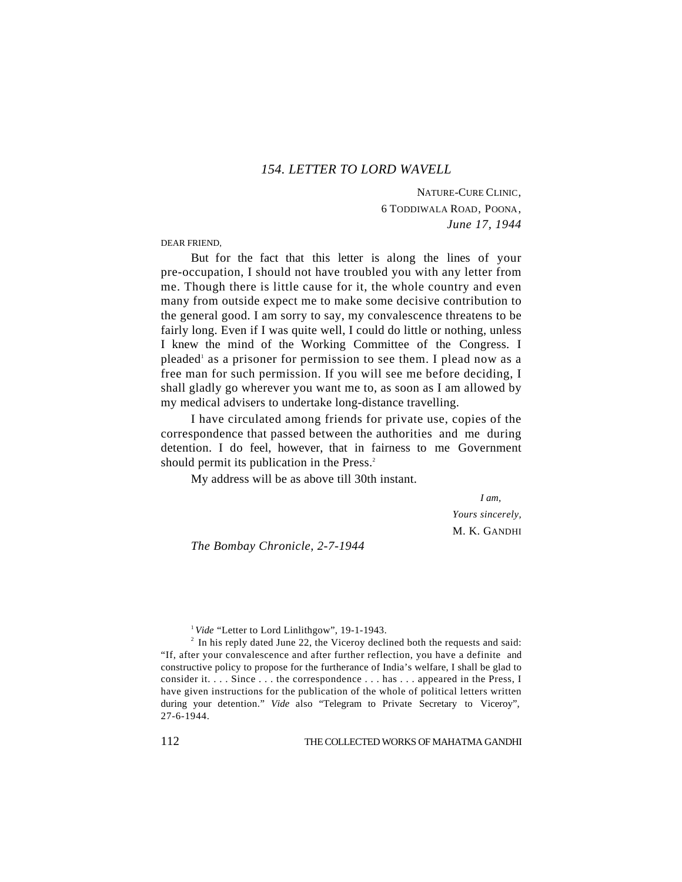### *154. LETTER TO LORD WAVELL*

NATURE-CURE CLINIC, 6 TODDIWALA ROAD, POONA, *June 17, 1944*

DEAR FRIEND,

But for the fact that this letter is along the lines of your pre-occupation, I should not have troubled you with any letter from me. Though there is little cause for it, the whole country and even many from outside expect me to make some decisive contribution to the general good. I am sorry to say, my convalescence threatens to be fairly long. Even if I was quite well, I could do little or nothing, unless I knew the mind of the Working Committee of the Congress. I pleaded<sup>1</sup> as a prisoner for permission to see them. I plead now as a free man for such permission. If you will see me before deciding, I shall gladly go wherever you want me to, as soon as I am allowed by my medical advisers to undertake long-distance travelling.

I have circulated among friends for private use, copies of the correspondence that passed between the authorities and me during detention. I do feel, however, that in fairness to me Government should permit its publication in the Press.<sup>2</sup>

My address will be as above till 30th instant.

*I am, Yours sincerely,* M. K. GANDHI

*The Bombay Chronicle, 2-7-1944*

<sup>1</sup> Vide "Letter to Lord Linlithgow", 19-1-1943.

 $2$  In his reply dated June 22, the Viceroy declined both the requests and said: "If, after your convalescence and after further reflection, you have a definite and constructive policy to propose for the furtherance of India's welfare, I shall be glad to consider it. . . . Since . . . the correspondence . . . has . . . appeared in the Press, I have given instructions for the publication of the whole of political letters written during your detention." Vide also "Telegram to Private Secretary to Viceroy", 27-6-1944.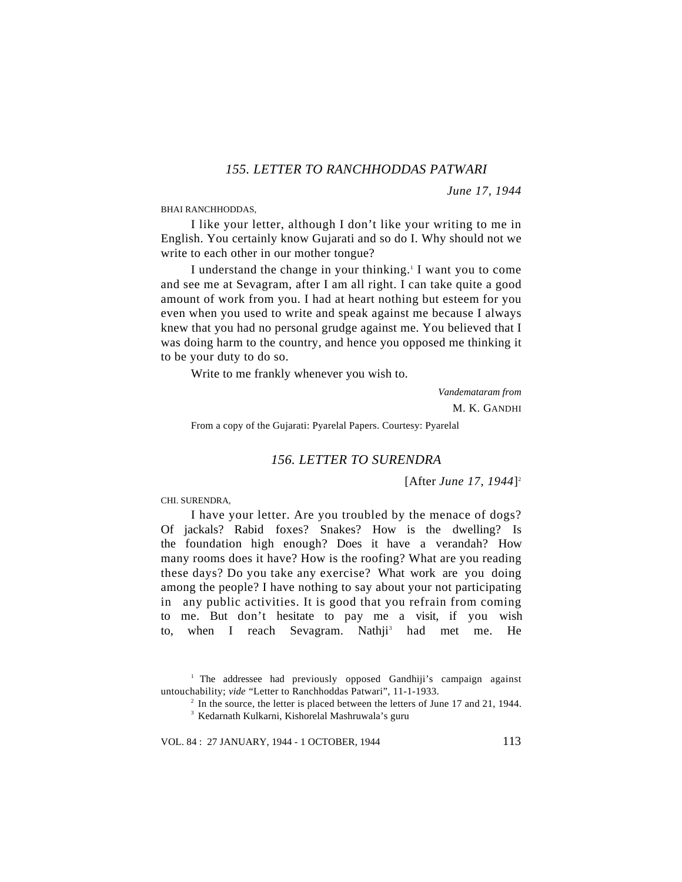*June 17, 1944*

BHAI RANCHHODDAS,

I like your letter, although I don't like your writing to me in English. You certainly know Gujarati and so do I. Why should not we write to each other in our mother tongue?

I understand the change in your thinking.<sup>1</sup> I want you to come and see me at Sevagram, after I am all right. I can take quite a good amount of work from you. I had at heart nothing but esteem for you even when you used to write and speak against me because I always knew that you had no personal grudge against me. You believed that I was doing harm to the country, and hence you opposed me thinking it to be your duty to do so.

Write to me frankly whenever you wish to.

*Vandemataram from* M. K. GANDHI

From a copy of the Gujarati: Pyarelal Papers. Courtesy: Pyarelal

#### *156. LETTER TO SURENDRA*

[After *June 17, 1944*] 2

CHI. SURENDRA,

I have your letter. Are you troubled by the menace of dogs? Of jackals? Rabid foxes? Snakes? How is the dwelling? Is the foundation high enough? Does it have a verandah? How many rooms does it have? How is the roofing? What are you reading these days? Do you take any exercise? What work are you doing among the people? I have nothing to say about your not participating in any public activities. It is good that you refrain from coming to me. But don't hesitate to pay me a visit, if you wish to, when I reach Sevagram. Nathi<sup>3</sup> had met me. He

<sup>&</sup>lt;sup>1</sup> The addressee had previously opposed Gandhiji's campaign against untouchability; *vide* "Letter to Ranchhoddas Patwari", 11-1-1933.

 $2$  In the source, the letter is placed between the letters of June 17 and 21, 1944. 3 Kedarnath Kulkarni, Kishorelal Mashruwala's guru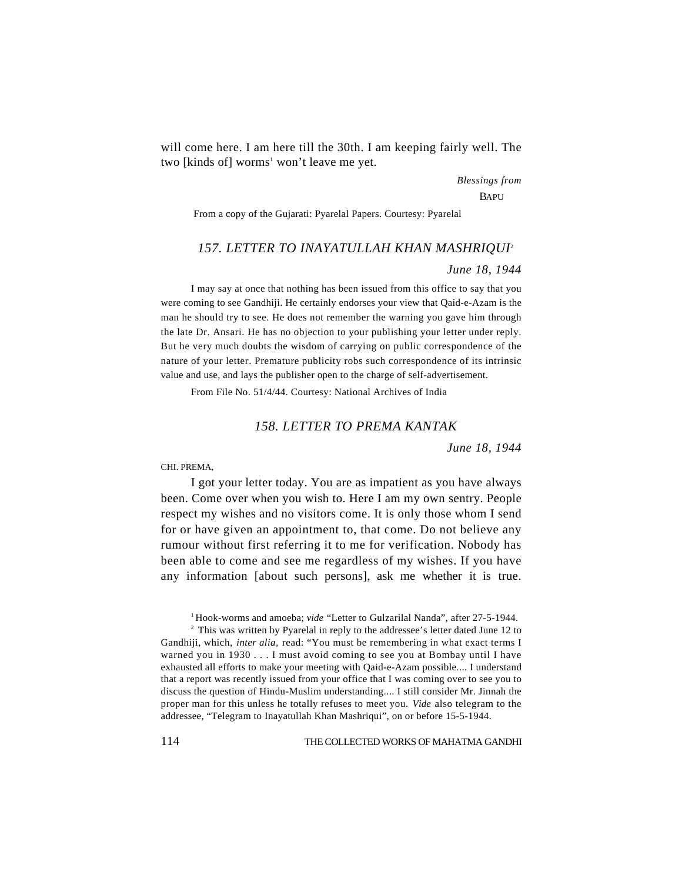will come here. I am here till the 30th. I am keeping fairly well. The two [kinds of] worms<sup>1</sup> won't leave me yet.

*Blessings from*

BAPU

From a copy of the Gujarati: Pyarelal Papers. Courtesy: Pyarelal

# *157. LETTER TO INAYATULLAH KHAN MASHRIQUI*<sup>2</sup> *June 18, 1944*

I may say at once that nothing has been issued from this office to say that you were coming to see Gandhiji. He certainly endorses your view that Qaid-e-Azam is the man he should try to see. He does not remember the warning you gave him through the late Dr. Ansari. He has no objection to your publishing your letter under reply. But he very much doubts the wisdom of carrying on public correspondence of the nature of your letter. Premature publicity robs such correspondence of its intrinsic value and use, and lays the publisher open to the charge of self-advertisement.

From File No. 51/4/44. Courtesy: National Archives of India

### *158. LETTER TO PREMA KANTAK*

*June 18, 1944*

CHI. PREMA,

I got your letter today. You are as impatient as you have always been. Come over when you wish to. Here I am my own sentry. People respect my wishes and no visitors come. It is only those whom I send for or have given an appointment to, that come. Do not believe any rumour without first referring it to me for verification. Nobody has been able to come and see me regardless of my wishes. If you have any information [about such persons], ask me whether it is true.

<sup>1</sup>Hook-worms and amoeba; *vide* "Letter to Gulzarilal Nanda", after 27-5-1944.

 $2$  This was written by Pyarelal in reply to the addressee's letter dated June 12 to Gandhiji, which, *inter alia,* read: "You must be remembering in what exact terms I warned you in 1930 . . . I must avoid coming to see you at Bombay until I have exhausted all efforts to make your meeting with Qaid-e-Azam possible.... I understand that a report was recently issued from your office that I was coming over to see you to discuss the question of Hindu-Muslim understanding.... I still consider Mr. Jinnah the proper man for this unless he totally refuses to meet you. *Vide* also telegram to the addressee, "Telegram to Inayatullah Khan Mashriqui", on or before 15-5-1944.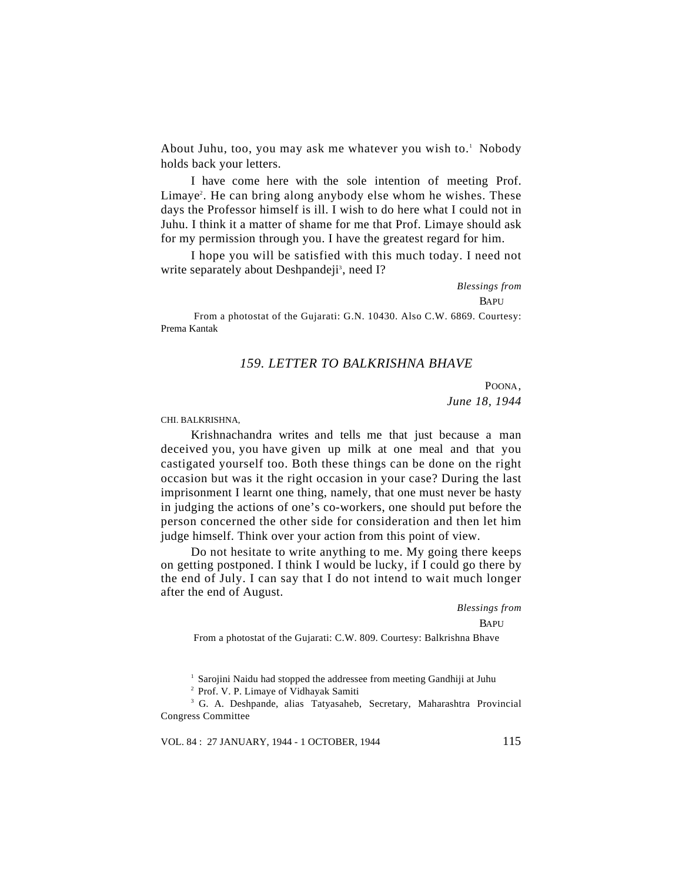About Juhu, too, you may ask me whatever you wish to. $<sup>1</sup>$  Nobody</sup> holds back your letters.

I have come here with the sole intention of meeting Prof. Limaye<sup>2</sup>. He can bring along anybody else whom he wishes. These days the Professor himself is ill. I wish to do here what I could not in Juhu. I think it a matter of shame for me that Prof. Limaye should ask for my permission through you. I have the greatest regard for him.

I hope you will be satisfied with this much today. I need not write separately about Deshpandeji<sup>3</sup>, need I?

> *Blessings from* **BAPU**

 From a photostat of the Gujarati: G.N. 10430. Also C.W. 6869. Courtesy: Prema Kantak

# *159. LETTER TO BALKRISHNA BHAVE*

POONA, *June 18, 1944*

CHI. BALKRISHNA,

Krishnachandra writes and tells me that just because a man deceived you, you have given up milk at one meal and that you castigated yourself too. Both these things can be done on the right occasion but was it the right occasion in your case? During the last imprisonment I learnt one thing, namely, that one must never be hasty in judging the actions of one's co-workers, one should put before the person concerned the other side for consideration and then let him judge himself. Think over your action from this point of view.

Do not hesitate to write anything to me. My going there keeps on getting postponed. I think I would be lucky, if I could go there by the end of July. I can say that I do not intend to wait much longer after the end of August.

*Blessings from*

BAPU

From a photostat of the Gujarati: C.W. 809. Courtesy: Balkrishna Bhave

 $1$  Sarojini Naidu had stopped the addressee from meeting Gandhiji at Juhu

<sup>2</sup> Prof. V. P. Limaye of Vidhayak Samiti

<sup>3</sup> G. A. Deshpande, alias Tatyasaheb, Secretary, Maharashtra Provincial Congress Committee

VOL. 84 : 27 JANUARY, 1944 - 1 OCTOBER, 1944 115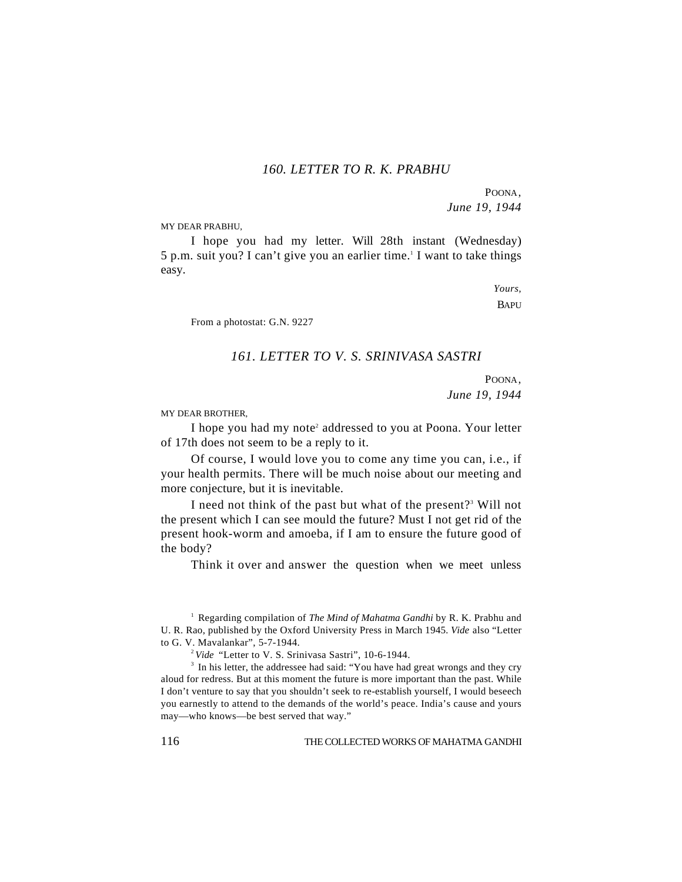#### *160. LETTER TO R. K. PRABHU*

POONA, *June 19, 1944*

MY DEAR PRABHU,

I hope you had my letter. Will 28th instant (Wednesday) 5 p.m. suit you? I can't give you an earlier time.<sup>1</sup> I want to take things easy.

> *Yours,* **BAPU**

From a photostat: G.N. 9227

#### *161. LETTER TO V. S. SRINIVASA SASTRI*

POONA, *June 19, 1944*

MY DEAR BROTHER,

I hope you had my note<sup>2</sup> addressed to you at Poona. Your letter of 17th does not seem to be a reply to it.

Of course, I would love you to come any time you can, i.e., if your health permits. There will be much noise about our meeting and more conjecture, but it is inevitable.

I need not think of the past but what of the present?<sup>3</sup> Will not the present which I can see mould the future? Must I not get rid of the present hook-worm and amoeba, if I am to ensure the future good of the body?

Think it over and answer the question when we meet unless

<sup>1</sup> Regarding compilation of *The Mind of Mahatma Gandhi* by R. K. Prabhu and U. R. Rao, published by the Oxford University Press in March 1945*. Vide* also "Letter to G. V. Mavalankar", 5-7-1944.

<sup>2</sup>*Vide* "Letter to V. S. Srinivasa Sastri", 10-6-1944.

<sup>3</sup> In his letter, the addressee had said: "You have had great wrongs and they cry aloud for redress. But at this moment the future is more important than the past. While I don't venture to say that you shouldn't seek to re-establish yourself, I would beseech you earnestly to attend to the demands of the world's peace. India's cause and yours may—who knows—be best served that way."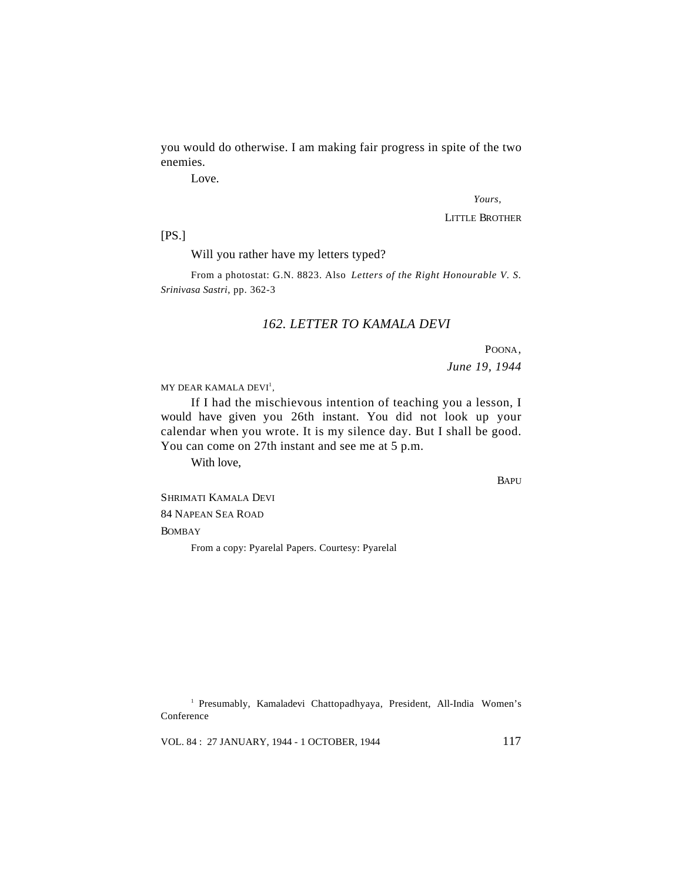you would do otherwise. I am making fair progress in spite of the two enemies.

Love.

*Yours,*

#### LITTLE BROTHER

[PS.]

Will you rather have my letters typed?

From a photostat: G.N. 8823. Also *Letters of the Right Honourable V. S. Srinivasa Sastri*, pp. 362-3

### *162. LETTER TO KAMALA DEVI*

POONA, *June 19, 1944*

 $MY$  DEAR KAMALA DEVI $^1$ ,

If I had the mischievous intention of teaching you a lesson, I would have given you 26th instant. You did not look up your calendar when you wrote. It is my silence day. But I shall be good. You can come on 27th instant and see me at 5 p.m.

With love,

**BAPU** 

SHRIMATI KAMALA DEVI 84 NAPEAN SEA ROAD BOMBAY

From a copy: Pyarelal Papers. Courtesy: Pyarelal

<sup>1</sup> Presumably, Kamaladevi Chattopadhyaya, President, All-India Women's Conference

VOL. 84 : 27 JANUARY, 1944 - 1 OCTOBER, 1944 117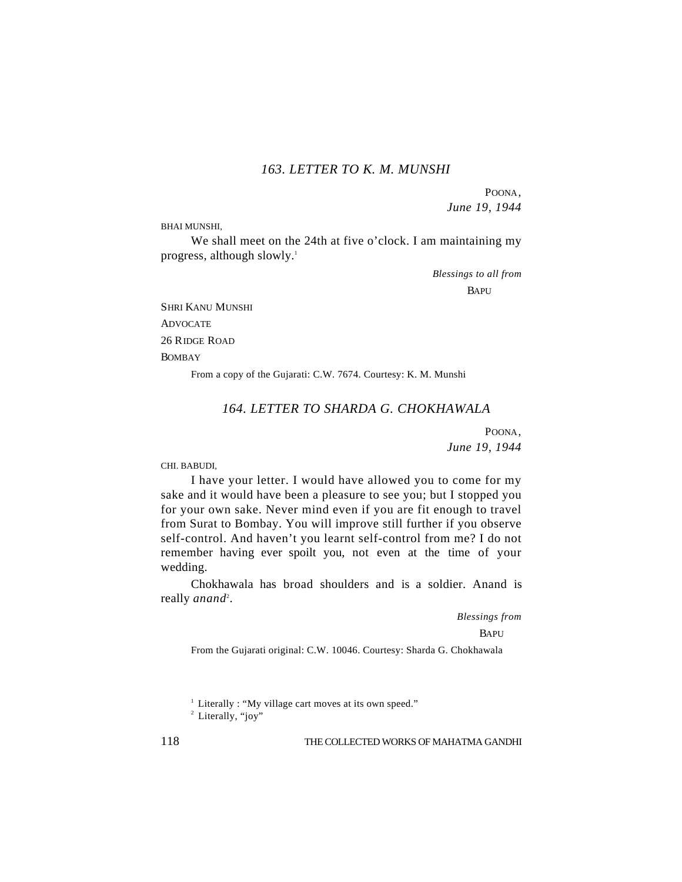# *163. LETTER TO K. M. MUNSHI*

POONA, *June 19, 1944*

BHAI MUNSHI,

We shall meet on the 24th at five o'clock. I am maintaining my progress, although slowly.<sup>1</sup>

> *Blessings to all from* **BAPU**

SHRI KANU MUNSHI ADVOCATE 26 RIDGE ROAD

BOMBAY

From a copy of the Gujarati: C.W. 7674. Courtesy: K. M. Munshi

# *164. LETTER TO SHARDA G. CHOKHAWALA*

POONA, *June 19, 1944*

CHI. BABUDI,

I have your letter. I would have allowed you to come for my sake and it would have been a pleasure to see you; but I stopped you for your own sake. Never mind even if you are fit enough to travel from Surat to Bombay. You will improve still further if you observe self-control. And haven't you learnt self-control from me? I do not remember having ever spoilt you, not even at the time of your wedding.

Chokhawala has broad shoulders and is a soldier. Anand is really *anand*<sup>2</sup>.

*Blessings from*

**BAPU** 

From the Gujarati original: C.W. 10046. Courtesy: Sharda G. Chokhawala

<sup>&</sup>lt;sup>1</sup> Literally : "My village cart moves at its own speed."

 $2$  Literally, "joy"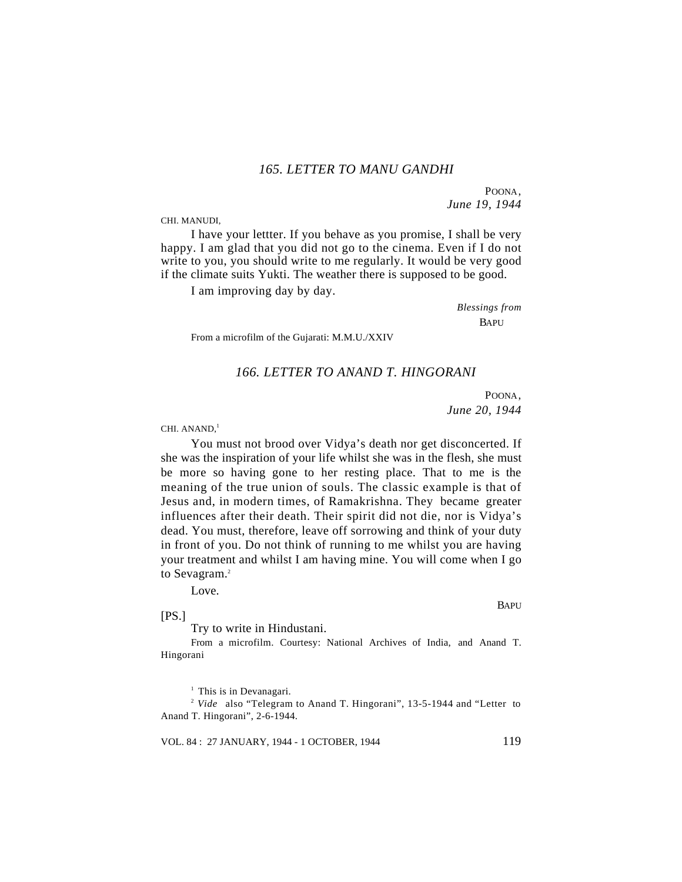### *165. LETTER TO MANU GANDHI*

POONA, *June 19, 1944*

#### CHI. MANUDI,

I have your lettter. If you behave as you promise, I shall be very happy. I am glad that you did not go to the cinema. Even if I do not write to you, you should write to me regularly. It would be very good if the climate suits Yukti. The weather there is supposed to be good.

I am improving day by day.

*Blessings from* BAPU

From a microfilm of the Gujarati: M.M.U./XXIV

#### *166. LETTER TO ANAND T. HINGORANI*

POONA, *June 20, 1944*

CHI.  $ANAND<sup>1</sup>$ 

You must not brood over Vidya's death nor get disconcerted. If she was the inspiration of your life whilst she was in the flesh, she must be more so having gone to her resting place. That to me is the meaning of the true union of souls. The classic example is that of Jesus and, in modern times, of Ramakrishna. They became greater influences after their death. Their spirit did not die, nor is Vidya's dead. You must, therefore, leave off sorrowing and think of your duty in front of you. Do not think of running to me whilst you are having your treatment and whilst I am having mine. You will come when I go to Sevagram.<sup>2</sup>

Love.

[PS.]

Try to write in Hindustani.

From a microfilm. Courtesy: National Archives of India, and Anand T. Hingorani

 $<sup>1</sup>$  This is in Devanagari.</sup>

<sup>2</sup>*Vide* also "Telegram to Anand T. Hingorani", 13-5-1944 and "Letter to Anand T. Hingorani", 2-6-1944.

VOL. 84 : 27 JANUARY, 1944 - 1 OCTOBER, 1944 119

**BAPU**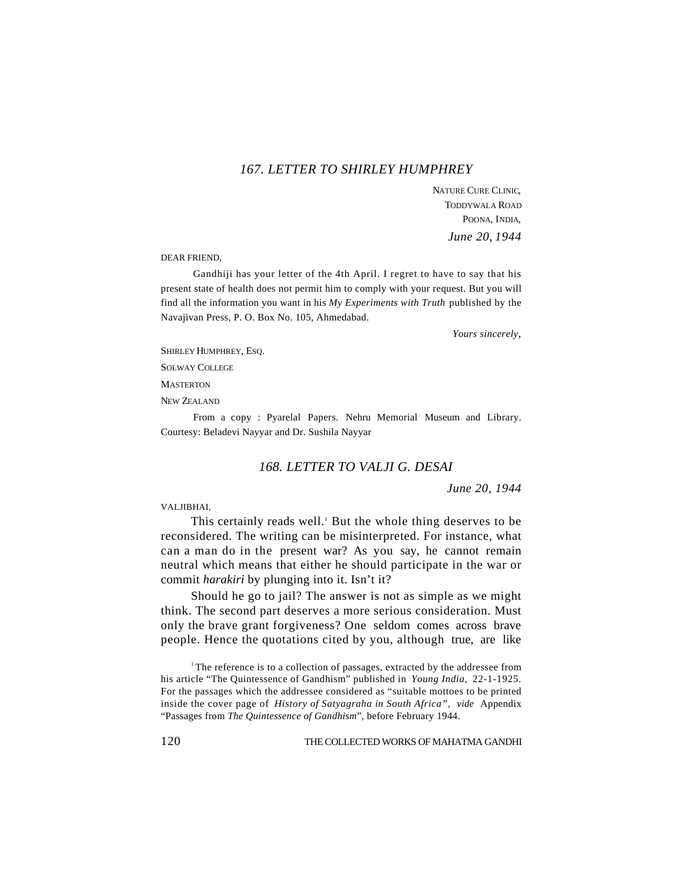# *167. LETTER TO SHIRLEY HUMPHREY*

NATURE CURE CLINIC, TODDYWALA ROAD POONA, INDIA, *June 20*, *1944*

#### DEAR FRIEND,

Gandhiji has your letter of the 4th April. I regret to have to say that his present state of health does not permit him to comply with your request. But you will find all the information you want in his *My Experiments with Truth* published by the Navajivan Press, P. O. Box No. 105, Ahmedabad.

*Yours sincerely*,

SHIRLEY HUMPHREY, ESQ.

SOLWAY COLLEGE

**MASTERTON** 

NEW ZEALAND

From a copy : Pyarelal Papers. Nehru Memorial Museum and Library. Courtesy: Beladevi Nayyar and Dr. Sushila Nayyar

# *168. LETTER TO VALJI G. DESAI*

*June 20, 1944*

VALJIBHAI,

This certainly reads well.<sup>1</sup> But the whole thing deserves to be reconsidered. The writing can be misinterpreted. For instance, what can a man do in the present war? As you say, he cannot remain neutral which means that either he should participate in the war or commit *harakiri* by plunging into it. Isn't it?

Should he go to jail? The answer is not as simple as we might think. The second part deserves a more serious consideration. Must only the brave grant forgiveness? One seldom comes across brave people. Hence the quotations cited by you, although true, are like

<sup>1</sup>The reference is to a collection of passages, extracted by the addressee from his article "The Quintessence of Gandhism" published in *Young India,* 22-1-1925. For the passages which the addressee considered as "suitable mottoes to be printed inside the cover page of *History of Satyagraha in South Africa", vide* Appendix "Passages from *The Quintessence of Gandhism*", before February 1944.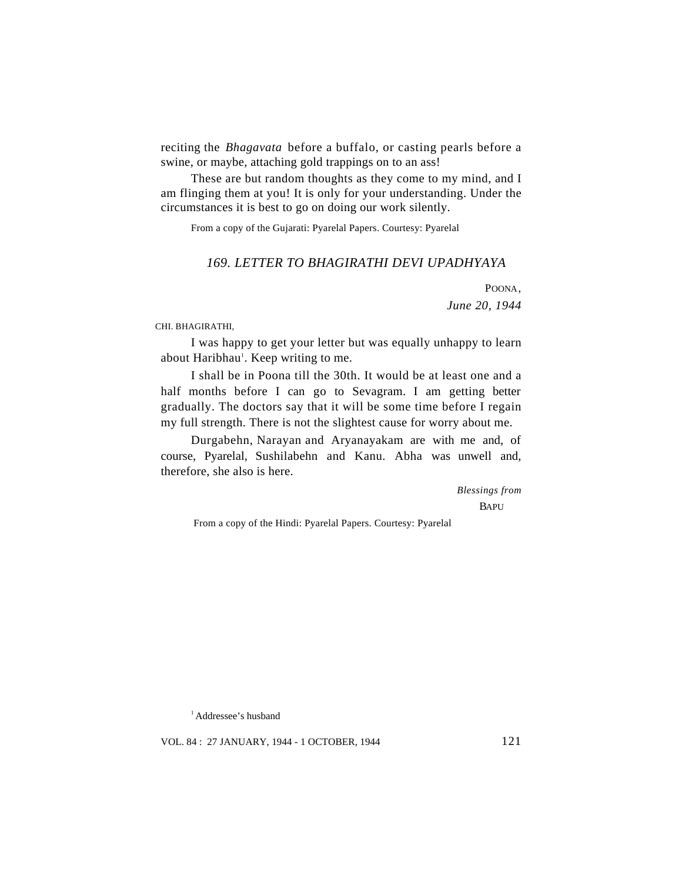reciting the *Bhagavata* before a buffalo, or casting pearls before a swine, or maybe, attaching gold trappings on to an ass!

These are but random thoughts as they come to my mind, and I am flinging them at you! It is only for your understanding. Under the circumstances it is best to go on doing our work silently.

From a copy of the Gujarati: Pyarelal Papers. Courtesy: Pyarelal

# *169. LETTER TO BHAGIRATHI DEVI UPADHYAYA*

POONA, *June 20, 1944*

CHI. BHAGIRATHI,

I was happy to get your letter but was equally unhappy to learn about Haribhau<sup>1</sup>. Keep writing to me.

I shall be in Poona till the 30th. It would be at least one and a half months before I can go to Sevagram. I am getting better gradually. The doctors say that it will be some time before I regain my full strength. There is not the slightest cause for worry about me.

Durgabehn, Narayan and Aryanayakam are with me and, of course, Pyarelal, Sushilabehn and Kanu. Abha was unwell and, therefore, she also is here.

> *Blessings from* **BAPU**

From a copy of the Hindi: Pyarelal Papers. Courtesy: Pyarelal

<sup>1</sup> Addressee's husband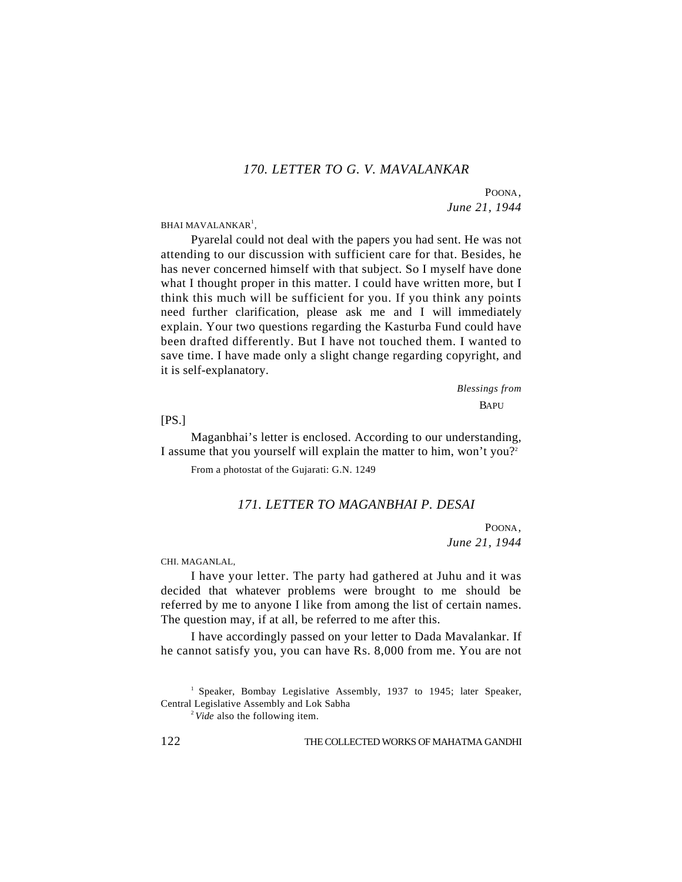# *170. LETTER TO G. V. MAVALANKAR*

POONA, *June 21, 1944*

#### $\mathbf B$ HAI MAVALANKAR $^1,$

Pyarelal could not deal with the papers you had sent. He was not attending to our discussion with sufficient care for that. Besides, he has never concerned himself with that subject. So I myself have done what I thought proper in this matter. I could have written more, but I think this much will be sufficient for you. If you think any points need further clarification, please ask me and I will immediately explain. Your two questions regarding the Kasturba Fund could have been drafted differently. But I have not touched them. I wanted to save time. I have made only a slight change regarding copyright, and it is self-explanatory.

> *Blessings from* **BAPU**

 $[PS.]$ 

Maganbhai's letter is enclosed. According to our understanding, I assume that you yourself will explain the matter to him, won't you?<sup>2</sup>

From a photostat of the Gujarati: G.N. 1249

### *171. LETTER TO MAGANBHAI P. DESAI*

POONA, *June 21, 1944*

CHI. MAGANLAL,

I have your letter. The party had gathered at Juhu and it was decided that whatever problems were brought to me should be referred by me to anyone I like from among the list of certain names. The question may, if at all, be referred to me after this.

I have accordingly passed on your letter to Dada Mavalankar. If he cannot satisfy you, you can have Rs. 8,000 from me. You are not

<sup>&</sup>lt;sup>1</sup> Speaker, Bombay Legislative Assembly, 1937 to 1945; later Speaker, Central Legislative Assembly and Lok Sabha

<sup>2</sup>*Vide* also the following item.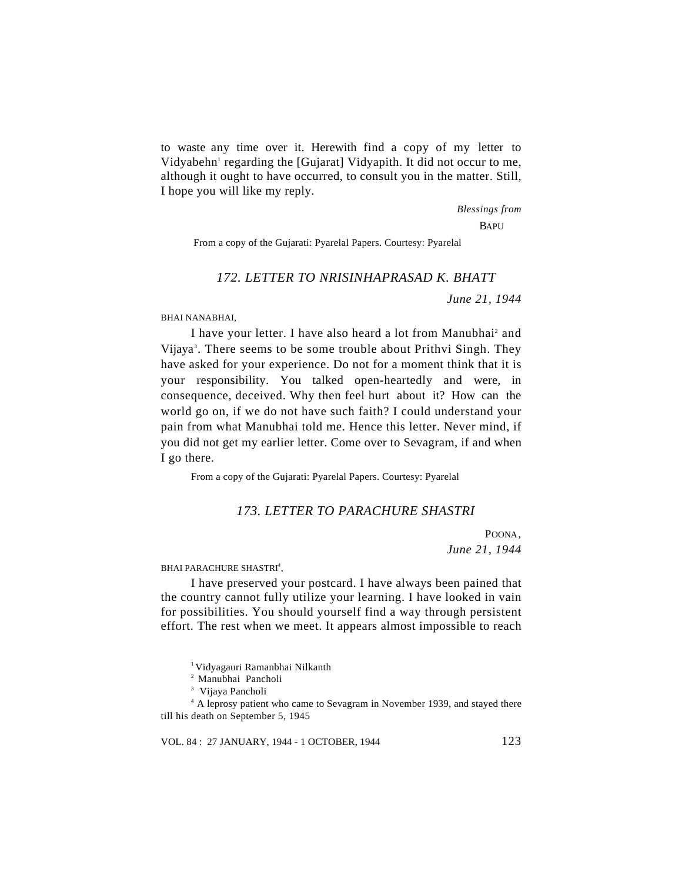to waste any time over it. Herewith find a copy of my letter to Vidyabehn<sup>1</sup> regarding the [Gujarat] Vidyapith. It did not occur to me, although it ought to have occurred, to consult you in the matter. Still, I hope you will like my reply.

*Blessings from*

BAPU

From a copy of the Gujarati: Pyarelal Papers. Courtesy: Pyarelal

#### *172. LETTER TO NRISINHAPRASAD K. BHATT*

*June 21, 1944*

#### BHAI NANABHAI,

I have your letter. I have also heard a lot from Manubhai<sup>2</sup> and Vijaya<sup>3</sup>. There seems to be some trouble about Prithvi Singh. They have asked for your experience. Do not for a moment think that it is your responsibility. You talked open-heartedly and were, in consequence, deceived. Why then feel hurt about it? How can the world go on, if we do not have such faith? I could understand your pain from what Manubhai told me. Hence this letter. Never mind, if you did not get my earlier letter. Come over to Sevagram, if and when I go there.

From a copy of the Gujarati: Pyarelal Papers. Courtesy: Pyarelal

# *173. LETTER TO PARACHURE SHASTRI*

POONA. *June 21, 1944*

BHAI PARACHURE SHASTRI<sup>4</sup>,

I have preserved your postcard. I have always been pained that the country cannot fully utilize your learning. I have looked in vain for possibilities. You should yourself find a way through persistent effort. The rest when we meet. It appears almost impossible to reach

<sup>1</sup>Vidyagauri Ramanbhai Nilkanth

<sup>2</sup> Manubhai Pancholi

<sup>3</sup> Vijaya Pancholi

<sup>4</sup> A leprosy patient who came to Sevagram in November 1939, and stayed there till his death on September 5, 1945

VOL. 84 : 27 JANUARY, 1944 - 1 OCTOBER, 1944 123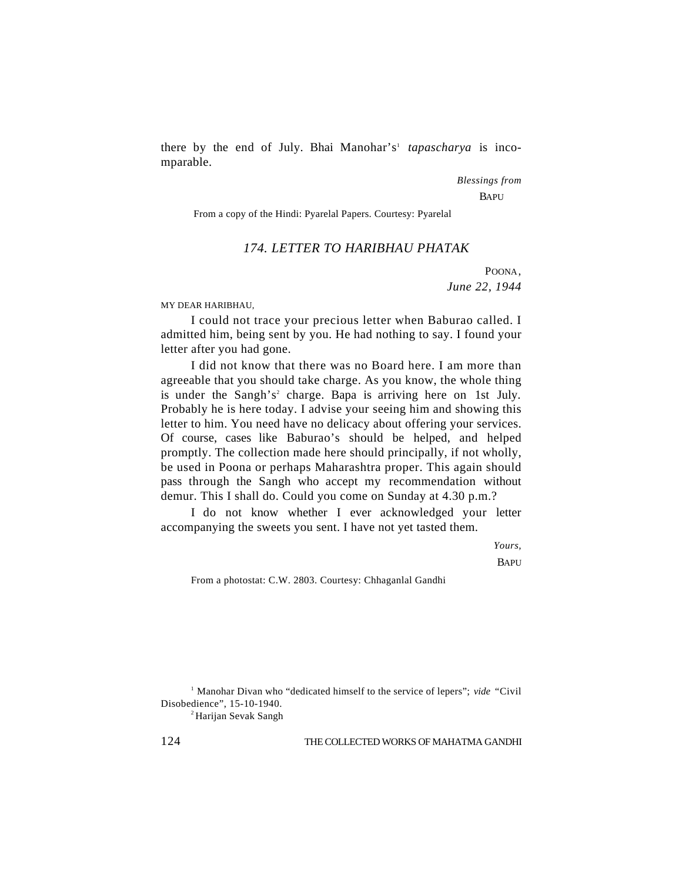there by the end of July. Bhai Manohar's<sup>1</sup> tapascharya is incomparable.

*Blessings from*

**BAPU** 

From a copy of the Hindi: Pyarelal Papers. Courtesy: Pyarelal

#### *174. LETTER TO HARIBHAU PHATAK*

POONA, *June 22, 1944*

MY DEAR HARIBHAU,

I could not trace your precious letter when Baburao called. I admitted him, being sent by you. He had nothing to say. I found your letter after you had gone.

I did not know that there was no Board here. I am more than agreeable that you should take charge. As you know, the whole thing is under the Sangh's<sup>2</sup> charge. Bapa is arriving here on 1st July. Probably he is here today. I advise your seeing him and showing this letter to him. You need have no delicacy about offering your services. Of course, cases like Baburao's should be helped, and helped promptly. The collection made here should principally, if not wholly, be used in Poona or perhaps Maharashtra proper. This again should pass through the Sangh who accept my recommendation without demur. This I shall do. Could you come on Sunday at 4.30 p.m.?

I do not know whether I ever acknowledged your letter accompanying the sweets you sent. I have not yet tasted them.

> *Yours,* **BAPU**

From a photostat: C.W. 2803. Courtesy: Chhaganlal Gandhi

<sup>1</sup> Manohar Divan who "dedicated himself to the service of lepers"; *vide* "Civil Disobedience", 15-10-1940.

2 Harijan Sevak Sangh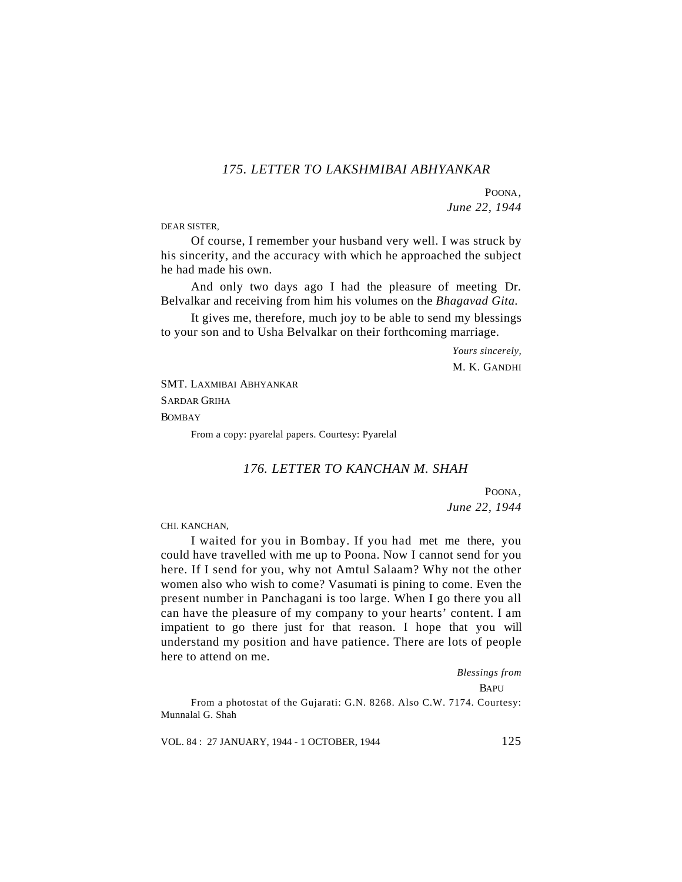# *175. LETTER TO LAKSHMIBAI ABHYANKAR*

POONA, *June 22, 1944*

DEAR SISTER,

Of course, I remember your husband very well. I was struck by his sincerity, and the accuracy with which he approached the subject he had made his own.

And only two days ago I had the pleasure of meeting Dr. Belvalkar and receiving from him his volumes on the *Bhagavad Gita.*

It gives me, therefore, much joy to be able to send my blessings to your son and to Usha Belvalkar on their forthcoming marriage.

> *Yours sincerely,* M. K. GANDHI

SMT. LAXMIBAI ABHYANKAR SARDAR GRIHA **BOMBAY** 

From a copy: pyarelal papers. Courtesy: Pyarelal

# *176. LETTER TO KANCHAN M. SHAH*

**POONA** *June 22, 1944*

CHI. KANCHAN,

I waited for you in Bombay. If you had met me there, you could have travelled with me up to Poona. Now I cannot send for you here. If I send for you, why not Amtul Salaam? Why not the other women also who wish to come? Vasumati is pining to come. Even the present number in Panchagani is too large. When I go there you all can have the pleasure of my company to your hearts' content. I am impatient to go there just for that reason. I hope that you will understand my position and have patience. There are lots of people here to attend on me.

> *Blessings from* BAPU

From a photostat of the Gujarati: G.N. 8268. Also C.W. 7174. Courtesy: Munnalal G. Shah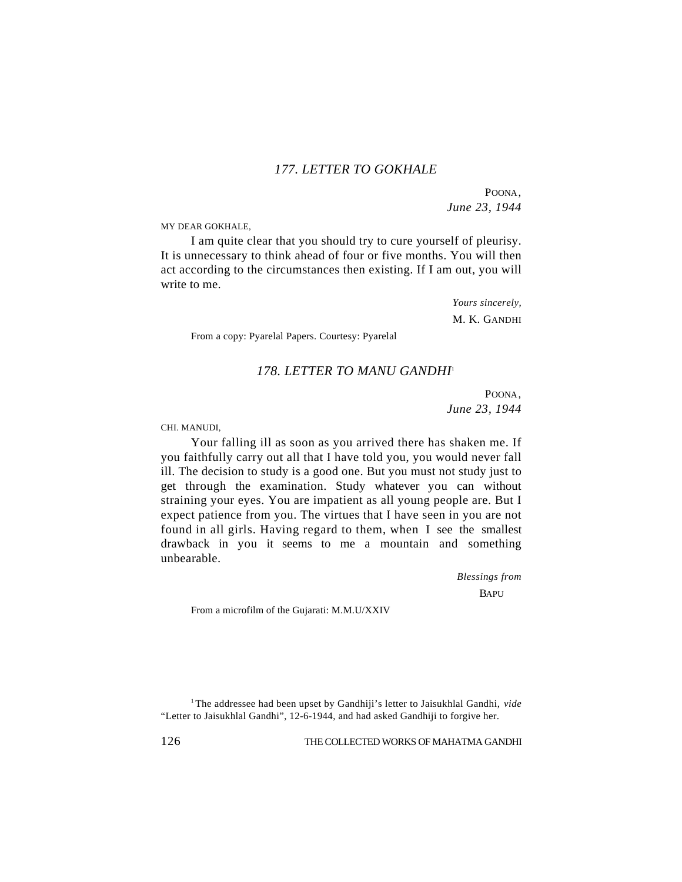# *177. LETTER TO GOKHALE*

POONA, *June 23, 1944*

MY DEAR GOKHALE,

I am quite clear that you should try to cure yourself of pleurisy. It is unnecessary to think ahead of four or five months. You will then act according to the circumstances then existing. If I am out, you will write to me.

> *Yours sincerely,* M. K. GANDHI

From a copy: Pyarelal Papers. Courtesy: Pyarelal

### *178. LETTER TO MANU GANDHI*<sup>1</sup>

POONA, *June 23, 1944*

CHI. MANUDI,

Your falling ill as soon as you arrived there has shaken me. If you faithfully carry out all that I have told you, you would never fall ill. The decision to study is a good one. But you must not study just to get through the examination. Study whatever you can without straining your eyes. You are impatient as all young people are. But I expect patience from you. The virtues that I have seen in you are not found in all girls. Having regard to them, when I see the smallest drawback in you it seems to me a mountain and something unbearable.

> *Blessings from* **BAPU**

From a microfilm of the Gujarati: M.M.U/XXIV

<sup>1</sup>The addressee had been upset by Gandhiji's letter to Jaisukhlal Gandhi, vide "Letter to Jaisukhlal Gandhi", 12-6-1944, and had asked Gandhiji to forgive her.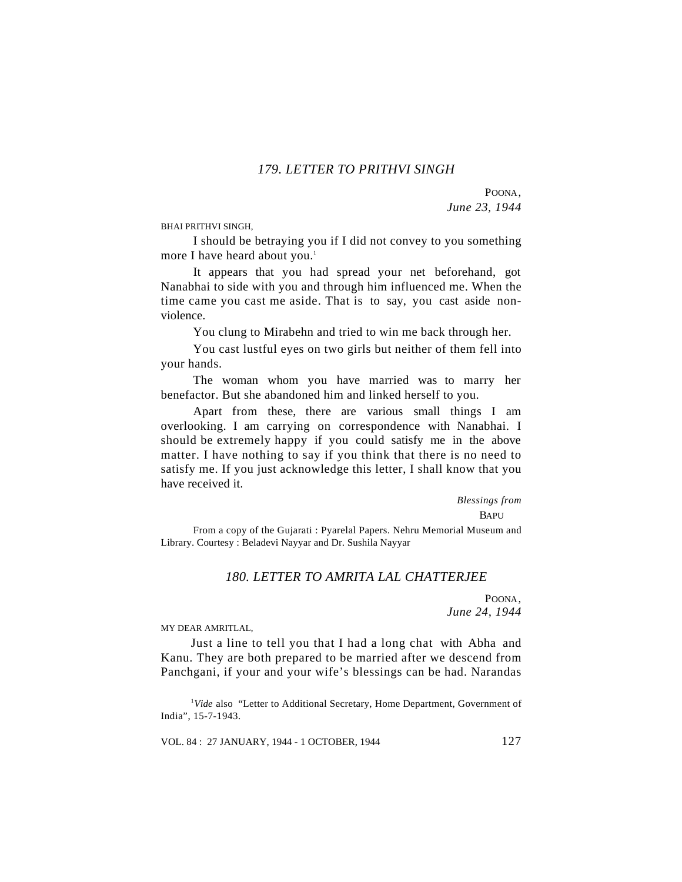POONA, *June 23*, *1944*

BHAI PRITHVI SINGH,

I should be betraying you if I did not convey to you something more I have heard about you.<sup>1</sup>

It appears that you had spread your net beforehand, got Nanabhai to side with you and through him influenced me. When the time came you cast me aside. That is to say, you cast aside nonviolence.

You clung to Mirabehn and tried to win me back through her.

You cast lustful eyes on two girls but neither of them fell into your hands.

The woman whom you have married was to marry her benefactor. But she abandoned him and linked herself to you.

Apart from these, there are various small things I am overlooking. I am carrying on correspondence with Nanabhai. I should be extremely happy if you could satisfy me in the above matter. I have nothing to say if you think that there is no need to satisfy me. If you just acknowledge this letter, I shall know that you have received it.

> *Blessings from* **BAPU**

From a copy of the Gujarati : Pyarelal Papers. Nehru Memorial Museum and Library. Courtesy : Beladevi Nayyar and Dr. Sushila Nayyar

### *180. LETTER TO AMRITA LAL CHATTERJEE*

**POONA** *June 24, 1944*

MY DEAR AMRITLAL,

Just a line to tell you that I had a long chat with Abha and Kanu. They are both prepared to be married after we descend from Panchgani, if your and your wife's blessings can be had. Narandas

<sup>1</sup>Vide also "Letter to Additional Secretary, Home Department, Government of India", 15-7-1943.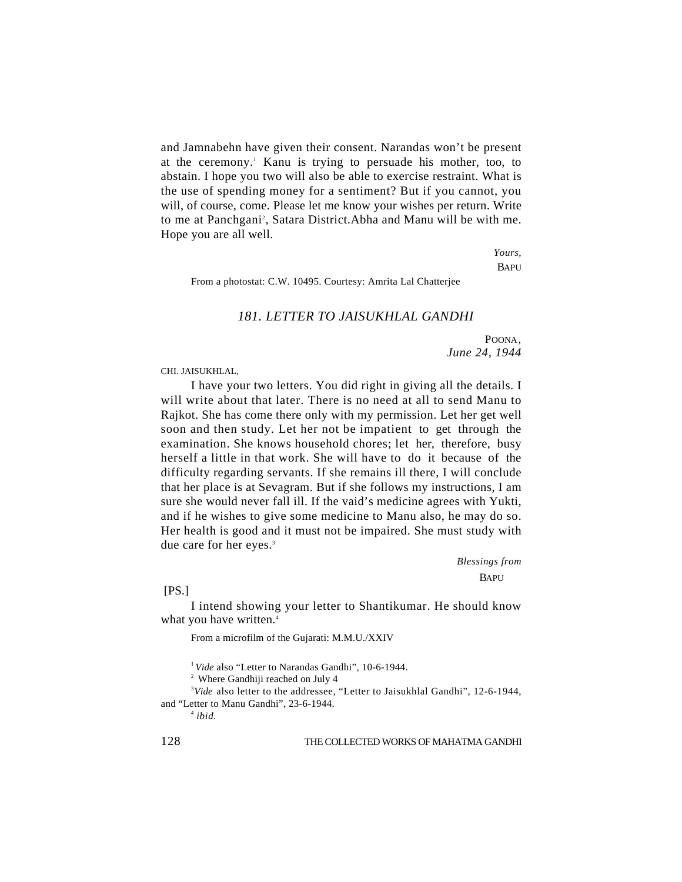and Jamnabehn have given their consent. Narandas won't be present at the ceremony.<sup>1</sup> Kanu is trying to persuade his mother, too, to abstain. I hope you two will also be able to exercise restraint. What is the use of spending money for a sentiment? But if you cannot, you will, of course, come. Please let me know your wishes per return. Write to me at Panchgani<sup>2</sup>, Satara District. Abha and Manu will be with me. Hope you are all well.

> *Yours,* BAPU

From a photostat: C.W. 10495. Courtesy: Amrita Lal Chatterjee

#### *181. LETTER TO JAISUKHLAL GANDHI*

POONA, *June 24, 1944*

#### CHI. JAISUKHLAL,

I have your two letters. You did right in giving all the details. I will write about that later. There is no need at all to send Manu to Rajkot. She has come there only with my permission. Let her get well soon and then study. Let her not be impatient to get through the examination. She knows household chores; let her, therefore, busy herself a little in that work. She will have to do it because of the difficulty regarding servants. If she remains ill there, I will conclude that her place is at Sevagram. But if she follows my instructions, I am sure she would never fall ill. If the vaid's medicine agrees with Yukti, and if he wishes to give some medicine to Manu also, he may do so. Her health is good and it must not be impaired. She must study with due care for her eyes.<sup>3</sup>

> *Blessings from* **BAPU**

[PS.]

I intend showing your letter to Shantikumar. He should know what you have written.<sup>4</sup>

From a microfilm of the Gujarati: M.M.U./XXIV

<sup>1</sup> Vide also "Letter to Narandas Gandhi", 10-6-1944.

 $2$  Where Gandhiji reached on July 4

<sup>3</sup>Vide also letter to the addressee, "Letter to Jaisukhlal Gandhi", 12-6-1944, and "Letter to Manu Gandhi", 23-6-1944.

4 *ibid.*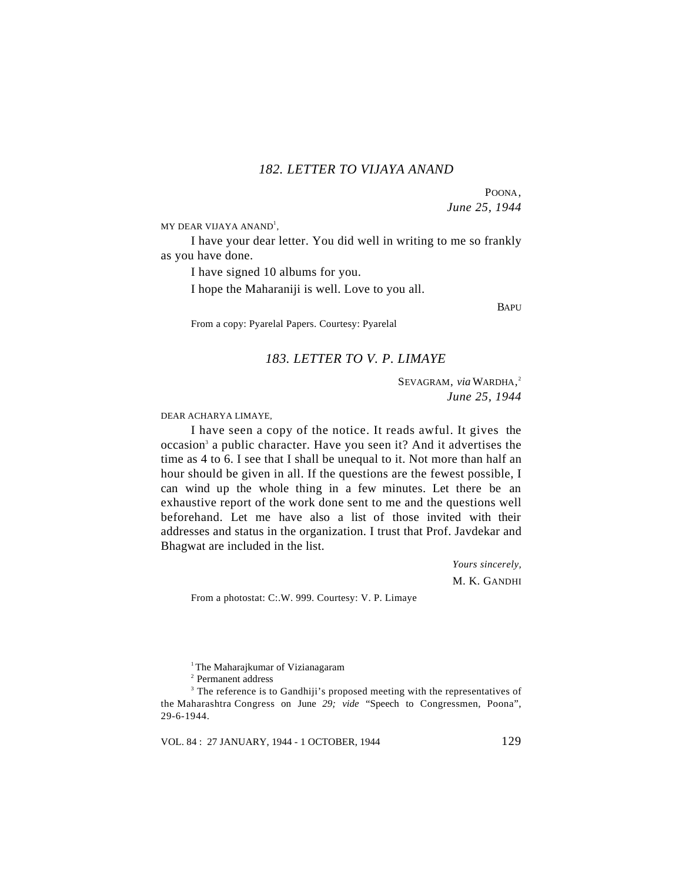POONA, *June 25, 1944*

MY DEAR VIJAYA ANAN $\mathbf{D}^1$ ,

I have your dear letter. You did well in writing to me so frankly as you have done.

I have signed 10 albums for you.

I hope the Maharaniji is well. Love to you all.

**BAPU** 

From a copy: Pyarelal Papers. Courtesy: Pyarelal

### *183. LETTER TO V. P. LIMAYE*

SEVAGRAM, *via* WARDHA, 2 *June 25, 1944*

#### DEAR ACHARYA LIMAYE,

I have seen a copy of the notice. It reads awful. It gives the occasion<sup>3</sup> a public character. Have you seen it? And it advertises the time as 4 to 6. I see that I shall be unequal to it. Not more than half an hour should be given in all. If the questions are the fewest possible, I can wind up the whole thing in a few minutes. Let there be an exhaustive report of the work done sent to me and the questions well beforehand. Let me have also a list of those invited with their addresses and status in the organization. I trust that Prof. Javdekar and Bhagwat are included in the list.

> *Yours sincerely,* M. K. GANDHI

From a photostat: C:.W. 999. Courtesy: V. P. Limaye

<sup>1</sup>The Maharajkumar of Vizianagaram

2 Permanent address

<sup>3</sup> The reference is to Gandhiji's proposed meeting with the representatives of the Maharashtra Congress on June *29; vide* "Speech to Congressmen, Poona", 29-6-1944.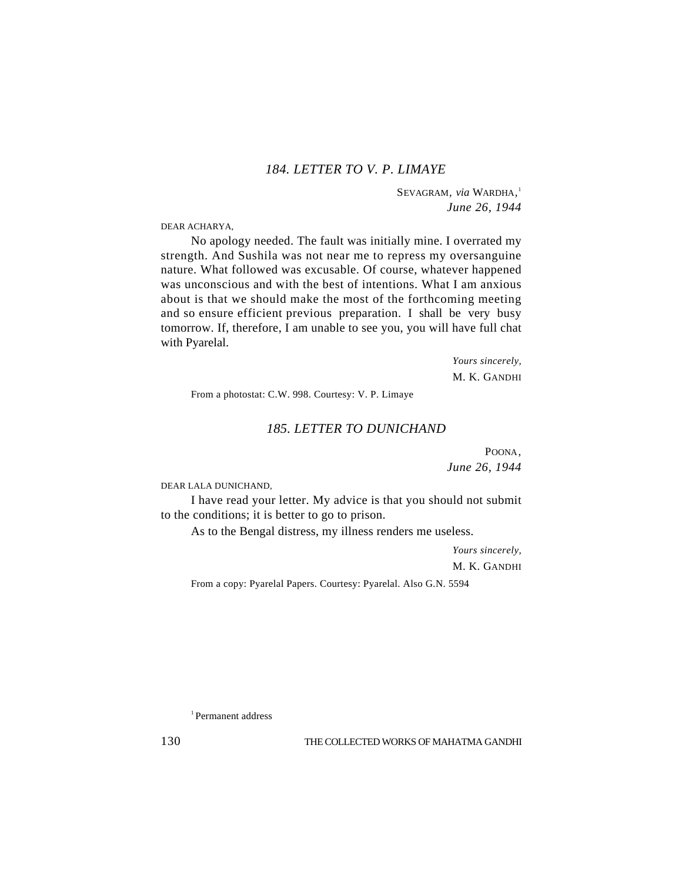# *184. LETTER TO V. P. LIMAYE*

SEVAGRAM, *via* WARDHA, 1 *June 26, 1944*

DEAR ACHARYA,

No apology needed. The fault was initially mine. I overrated my strength. And Sushila was not near me to repress my oversanguine nature. What followed was excusable. Of course, whatever happened was unconscious and with the best of intentions. What I am anxious about is that we should make the most of the forthcoming meeting and so ensure efficient previous preparation. I shall be very busy tomorrow. If, therefore, I am unable to see you, you will have full chat with Pyarelal.

> *Yours sincerely,* M. K. GANDHI

From a photostat: C.W. 998. Courtesy: V. P. Limaye

#### *185. LETTER TO DUNICHAND*

POONA, *June 26, 1944*

DEAR LALA DUNICHAND,

I have read your letter. My advice is that you should not submit to the conditions; it is better to go to prison.

As to the Bengal distress, my illness renders me useless.

*Yours sincerely,* M. K. GANDHI

From a copy: Pyarelal Papers. Courtesy: Pyarelal. Also G.N. 5594

<sup>1</sup> Permanent address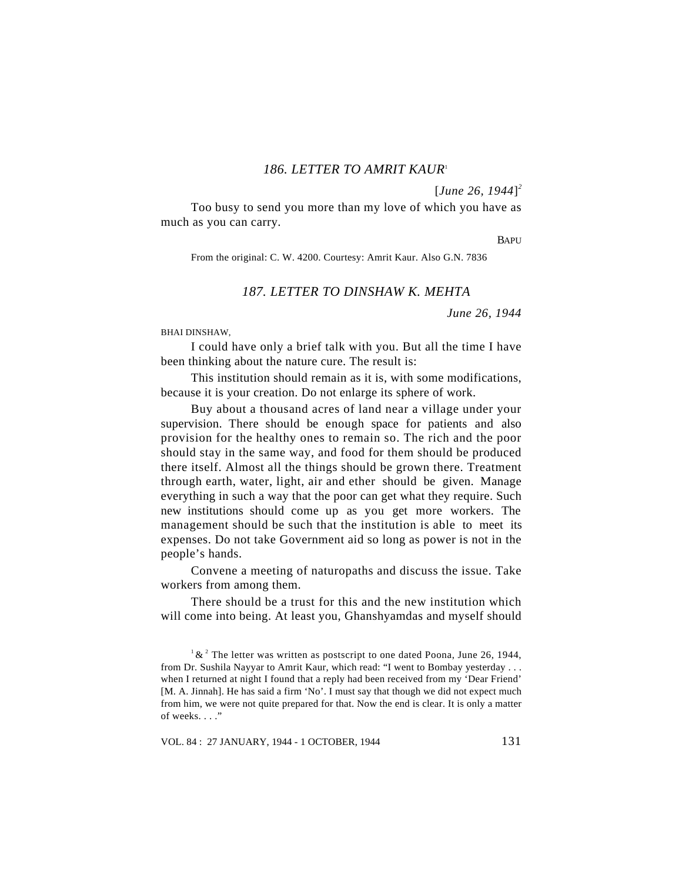### *186. LETTER TO AMRIT KAUR*<sup>1</sup>

[*June 26, 1944*] *2*

Too busy to send you more than my love of which you have as much as you can carry.

**BAPU** 

From the original: C. W. 4200. Courtesy: Amrit Kaur. Also G.N. 7836

#### *187. LETTER TO DINSHAW K. MEHTA*

*June 26, 1944*

BHAI DINSHAW,

I could have only a brief talk with you. But all the time I have been thinking about the nature cure. The result is:

This institution should remain as it is, with some modifications, because it is your creation. Do not enlarge its sphere of work.

Buy about a thousand acres of land near a village under your supervision. There should be enough space for patients and also provision for the healthy ones to remain so. The rich and the poor should stay in the same way, and food for them should be produced there itself. Almost all the things should be grown there. Treatment through earth, water, light, air and ether should be given. Manage everything in such a way that the poor can get what they require. Such new institutions should come up as you get more workers. The management should be such that the institution is able to meet its expenses. Do not take Government aid so long as power is not in the people's hands.

Convene a meeting of naturopaths and discuss the issue. Take workers from among them.

There should be a trust for this and the new institution which will come into being. At least you, Ghanshyamdas and myself should

 $1 \& 2$  The letter was written as postscript to one dated Poona, June 26, 1944, from Dr. Sushila Nayyar to Amrit Kaur, which read: "I went to Bombay yesterday . . . when I returned at night I found that a reply had been received from my 'Dear Friend' [M. A. Jinnah]. He has said a firm 'No'. I must say that though we did not expect much from him, we were not quite prepared for that. Now the end is clear. It is only a matter of weeks.  $\ldots$ ."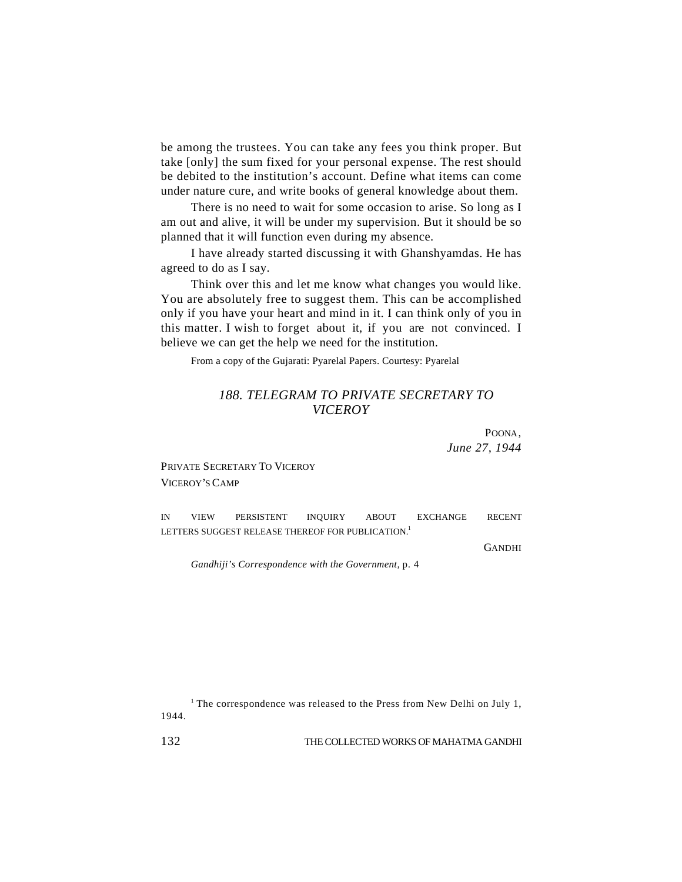be among the trustees. You can take any fees you think proper. But take [only] the sum fixed for your personal expense. The rest should be debited to the institution's account. Define what items can come under nature cure, and write books of general knowledge about them.

There is no need to wait for some occasion to arise. So long as I am out and alive, it will be under my supervision. But it should be so planned that it will function even during my absence.

I have already started discussing it with Ghanshyamdas. He has agreed to do as I say.

Think over this and let me know what changes you would like. You are absolutely free to suggest them. This can be accomplished only if you have your heart and mind in it. I can think only of you in this matter. I wish to forget about it, if you are not convinced. I believe we can get the help we need for the institution.

From a copy of the Gujarati: Pyarelal Papers. Courtesy: Pyarelal

# *188. TELEGRAM TO PRIVATE SECRETARY TO VICEROY*

POONA, *June 27, 1944*

PRIVATE SECRETARY TO VICEROY VICEROY'S CAMP

IN VIEW PERSISTENT INQUIRY ABOUT EXCHANGE RECENT LETTERS SUGGEST RELEASE THEREOF FOR PUBLICATION.<sup>1</sup>

**GANDHI** 

*Gandhiji's Correspondence with the Government,* p. 4

<sup>1</sup> The correspondence was released to the Press from New Delhi on July 1, 1944.

132 THE COLLECTED WORKS OF MAHATMA GANDHI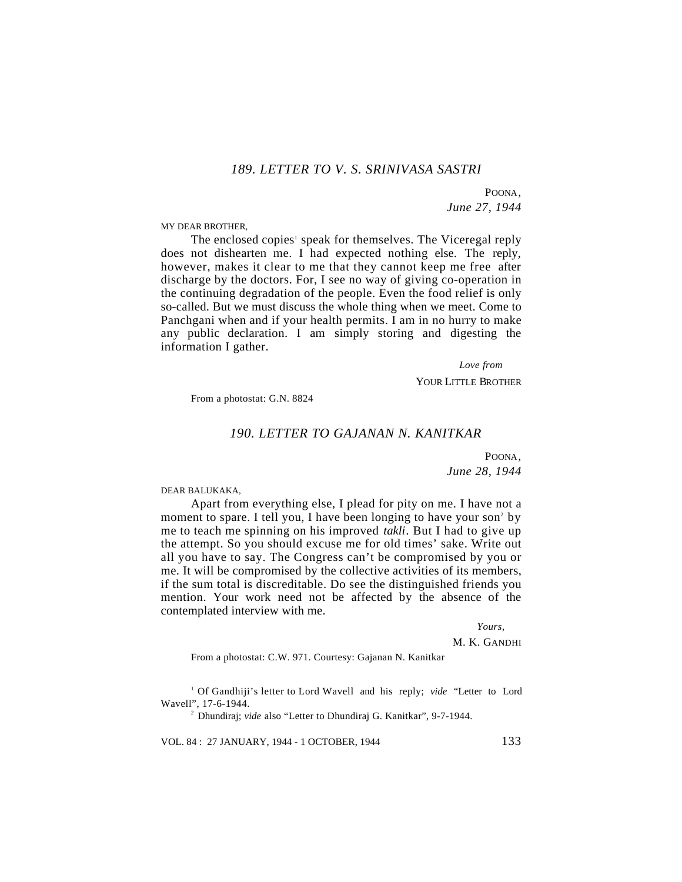POONA, *June 27, 1944*

MY DEAR BROTHER,

The enclosed copies<sup>1</sup> speak for themselves. The Viceregal reply does not dishearten me. I had expected nothing else. The reply, however, makes it clear to me that they cannot keep me free after discharge by the doctors. For, I see no way of giving co-operation in the continuing degradation of the people. Even the food relief is only so-called. But we must discuss the whole thing when we meet. Come to Panchgani when and if your health permits. I am in no hurry to make any public declaration. I am simply storing and digesting the information I gather.

*Love from*

YOUR LITTLE BROTHER

From a photostat: G.N. 8824

#### *190. LETTER TO GAJANAN N. KANITKAR*

POONA, *June 28, 1944*

DEAR BALUKAKA,

Apart from everything else, I plead for pity on me. I have not a moment to spare. I tell you, I have been longing to have your son<sup>2</sup> by me to teach me spinning on his improved *takli*. But I had to give up the attempt. So you should excuse me for old times' sake. Write out all you have to say. The Congress can't be compromised by you or me. It will be compromised by the collective activities of its members, if the sum total is discreditable. Do see the distinguished friends you mention. Your work need not be affected by the absence of the contemplated interview with me.

> *Yours,* M. K. GANDHI

From a photostat: C.W. 971. Courtesy: Gajanan N. Kanitkar

<sup>1</sup> Of Gandhiji's letter to Lord Wavell and his reply; *vide* "Letter to Lord Wavell", 17-6-1944.

<sup>2</sup> Dhundiraj; *vide* also "Letter to Dhundiraj G. Kanitkar", 9-7-1944.

VOL. 84 : 27 JANUARY, 1944 - 1 OCTOBER, 1944 133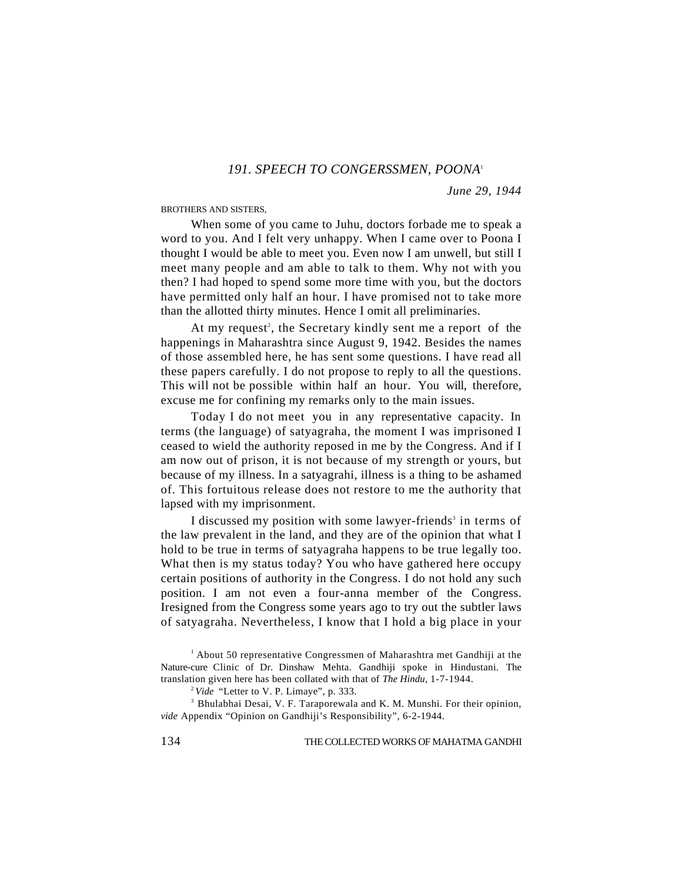*June 29, 1944*

BROTHERS AND SISTERS,

When some of you came to Juhu, doctors forbade me to speak a word to you. And I felt very unhappy. When I came over to Poona I thought I would be able to meet you. Even now I am unwell, but still I meet many people and am able to talk to them. Why not with you then? I had hoped to spend some more time with you, but the doctors have permitted only half an hour. I have promised not to take more than the allotted thirty minutes. Hence I omit all preliminaries.

At my request<sup>2</sup>, the Secretary kindly sent me a report of the happenings in Maharashtra since August 9, 1942. Besides the names of those assembled here, he has sent some questions. I have read all these papers carefully. I do not propose to reply to all the questions. This will not be possible within half an hour. You will, therefore, excuse me for confining my remarks only to the main issues.

Today I do not meet you in any representative capacity. In terms (the language) of satyagraha, the moment I was imprisoned I ceased to wield the authority reposed in me by the Congress. And if I am now out of prison, it is not because of my strength or yours, but because of my illness. In a satyagrahi, illness is a thing to be ashamed of. This fortuitous release does not restore to me the authority that lapsed with my imprisonment.

I discussed my position with some lawyer-friends<sup>3</sup> in terms of the law prevalent in the land, and they are of the opinion that what I hold to be true in terms of satyagraha happens to be true legally too. What then is my status today? You who have gathered here occupy certain positions of authority in the Congress. I do not hold any such position. I am not even a four-anna member of the Congress. Iresigned from the Congress some years ago to try out the subtler laws of satyagraha. Nevertheless, I know that I hold a big place in your

 $1$  About 50 representative Congressmen of Maharashtra met Gandhiji at the Nature-cure Clinic of Dr. Dinshaw Mehta. Gandhiji spoke in Hindustani. The translation given here has been collated with that of *The Hindu,* 1-7-1944.

<sup>3</sup> Bhulabhai Desai, V. F. Taraporewala and K. M. Munshi. For their opinion, *vide* Appendix "Opinion on Gandhiji's Responsibility", 6-2-1944.

<sup>2</sup>*Vide* "Letter to V. P. Limaye", p. 333.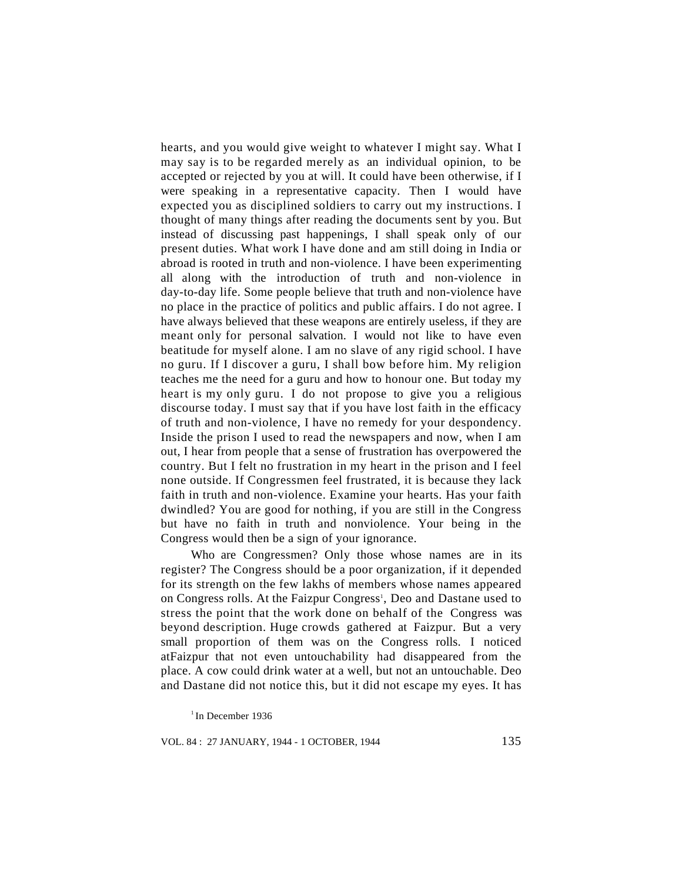hearts, and you would give weight to whatever I might say. What I may say is to be regarded merely as an individual opinion, to be accepted or rejected by you at will. It could have been otherwise, if I were speaking in a representative capacity. Then I would have expected you as disciplined soldiers to carry out my instructions. I thought of many things after reading the documents sent by you. But instead of discussing past happenings, I shall speak only of our present duties. What work I have done and am still doing in India or abroad is rooted in truth and non-violence. I have been experimenting all along with the introduction of truth and non-violence in day-to-day life. Some people believe that truth and non-violence have no place in the practice of politics and public affairs. I do not agree. I have always believed that these weapons are entirely useless, if they are meant only for personal salvation. I would not like to have even beatitude for myself alone. I am no slave of any rigid school. I have no guru. If I discover a guru, I shall bow before him. My religion teaches me the need for a guru and how to honour one. But today my heart is my only guru. I do not propose to give you a religious discourse today. I must say that if you have lost faith in the efficacy of truth and non-violence, I have no remedy for your despondency. Inside the prison I used to read the newspapers and now, when I am out, I hear from people that a sense of frustration has overpowered the country. But I felt no frustration in my heart in the prison and I feel none outside. If Congressmen feel frustrated, it is because they lack faith in truth and non-violence. Examine your hearts. Has your faith dwindled? You are good for nothing, if you are still in the Congress but have no faith in truth and nonviolence. Your being in the Congress would then be a sign of your ignorance.

Who are Congressmen? Only those whose names are in its register? The Congress should be a poor organization, if it depended for its strength on the few lakhs of members whose names appeared on Congress rolls. At the Faizpur Congress<sup>1</sup>, Deo and Dastane used to stress the point that the work done on behalf of the Congress was beyond description. Huge crowds gathered at Faizpur. But a very small proportion of them was on the Congress rolls. I noticed atFaizpur that not even untouchability had disappeared from the place. A cow could drink water at a well, but not an untouchable. Deo and Dastane did not notice this, but it did not escape my eyes. It has

 $1$ In December 1936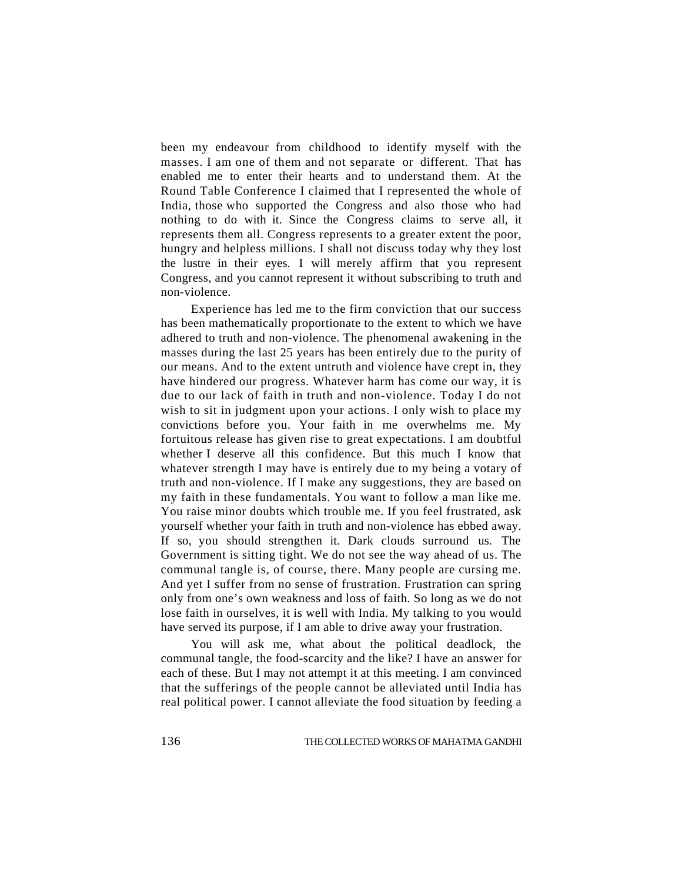been my endeavour from childhood to identify myself with the masses. I am one of them and not separate or different. That has enabled me to enter their hearts and to understand them. At the Round Table Conference I claimed that I represented the whole of India, those who supported the Congress and also those who had nothing to do with it. Since the Congress claims to serve all, it represents them all. Congress represents to a greater extent the poor, hungry and helpless millions. I shall not discuss today why they lost the lustre in their eyes. I will merely affirm that you represent Congress, and you cannot represent it without subscribing to truth and non-violence.

Experience has led me to the firm conviction that our success has been mathematically proportionate to the extent to which we have adhered to truth and non-violence. The phenomenal awakening in the masses during the last 25 years has been entirely due to the purity of our means. And to the extent untruth and violence have crept in, they have hindered our progress. Whatever harm has come our way, it is due to our lack of faith in truth and non-violence. Today I do not wish to sit in judgment upon your actions. I only wish to place my convictions before you. Your faith in me overwhelms me. My fortuitous release has given rise to great expectations. I am doubtful whether I deserve all this confidence. But this much I know that whatever strength I may have is entirely due to my being a votary of truth and non-violence. If I make any suggestions, they are based on my faith in these fundamentals. You want to follow a man like me. You raise minor doubts which trouble me. If you feel frustrated, ask yourself whether your faith in truth and non-violence has ebbed away. If so, you should strengthen it. Dark clouds surround us. The Government is sitting tight. We do not see the way ahead of us. The communal tangle is, of course, there. Many people are cursing me. And yet I suffer from no sense of frustration. Frustration can spring only from one's own weakness and loss of faith. So long as we do not lose faith in ourselves, it is well with India. My talking to you would have served its purpose, if I am able to drive away your frustration.

You will ask me, what about the political deadlock, the communal tangle, the food-scarcity and the like? I have an answer for each of these. But I may not attempt it at this meeting. I am convinced that the sufferings of the people cannot be alleviated until India has real political power. I cannot alleviate the food situation by feeding a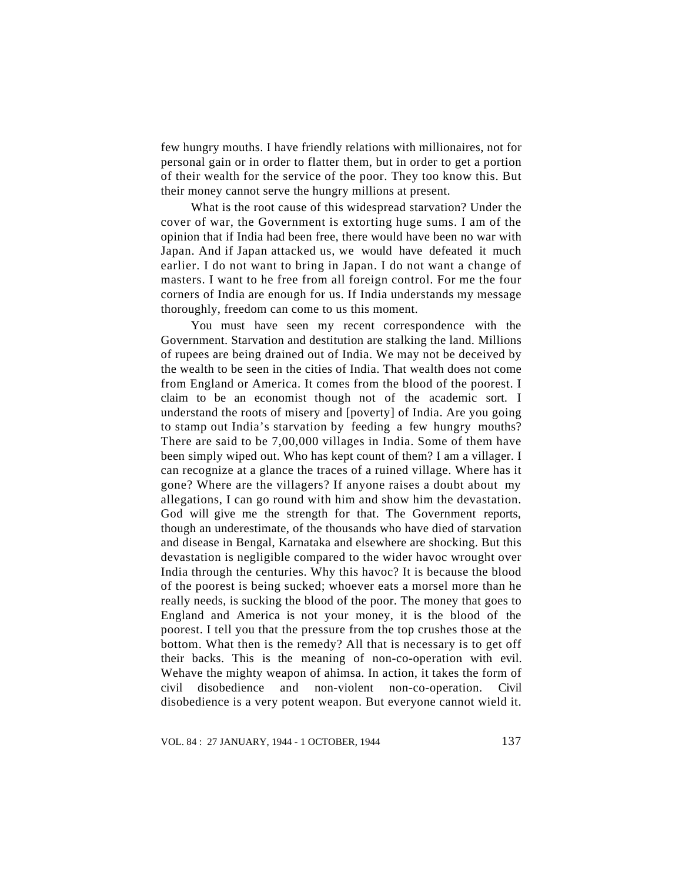few hungry mouths. I have friendly relations with millionaires, not for personal gain or in order to flatter them, but in order to get a portion of their wealth for the service of the poor. They too know this. But their money cannot serve the hungry millions at present.

What is the root cause of this widespread starvation? Under the cover of war, the Government is extorting huge sums. I am of the opinion that if India had been free, there would have been no war with Japan. And if Japan attacked us, we would have defeated it much earlier. I do not want to bring in Japan. I do not want a change of masters. I want to he free from all foreign control. For me the four corners of India are enough for us. If India understands my message thoroughly, freedom can come to us this moment.

You must have seen my recent correspondence with the Government. Starvation and destitution are stalking the land. Millions of rupees are being drained out of India. We may not be deceived by the wealth to be seen in the cities of India. That wealth does not come from England or America. It comes from the blood of the poorest. I claim to be an economist though not of the academic sort. I understand the roots of misery and [poverty] of India. Are you going to stamp out India's starvation by feeding a few hungry mouths? There are said to be 7,00,000 villages in India. Some of them have been simply wiped out. Who has kept count of them? I am a villager. I can recognize at a glance the traces of a ruined village. Where has it gone? Where are the villagers? If anyone raises a doubt about my allegations, I can go round with him and show him the devastation. God will give me the strength for that. The Government reports, though an underestimate, of the thousands who have died of starvation and disease in Bengal, Karnataka and elsewhere are shocking. But this devastation is negligible compared to the wider havoc wrought over India through the centuries. Why this havoc? It is because the blood of the poorest is being sucked; whoever eats a morsel more than he really needs, is sucking the blood of the poor. The money that goes to England and America is not your money, it is the blood of the poorest. I tell you that the pressure from the top crushes those at the bottom. What then is the remedy? All that is necessary is to get off their backs. This is the meaning of non-co-operation with evil. Wehave the mighty weapon of ahimsa. In action, it takes the form of civil disobedience and non-violent non-co-operation. Civil disobedience is a very potent weapon. But everyone cannot wield it.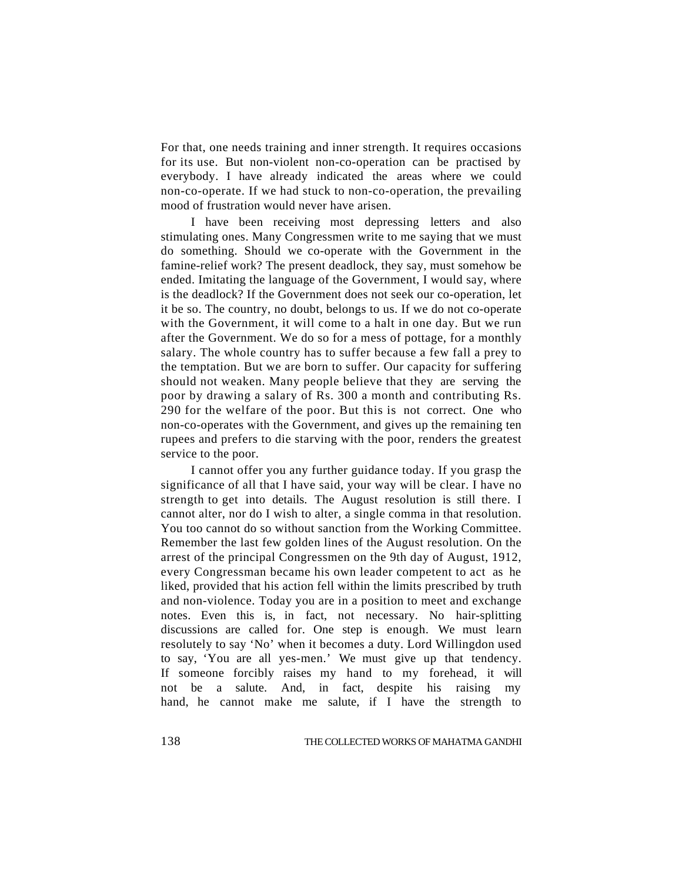For that, one needs training and inner strength. It requires occasions for its use. But non-violent non-co-operation can be practised by everybody. I have already indicated the areas where we could non-co-operate. If we had stuck to non-co-operation, the prevailing mood of frustration would never have arisen.

I have been receiving most depressing letters and also stimulating ones. Many Congressmen write to me saying that we must do something. Should we co-operate with the Government in the famine-relief work? The present deadlock, they say, must somehow be ended. Imitating the language of the Government, I would say, where is the deadlock? If the Government does not seek our co-operation, let it be so. The country, no doubt, belongs to us. If we do not co-operate with the Government, it will come to a halt in one day. But we run after the Government. We do so for a mess of pottage, for a monthly salary. The whole country has to suffer because a few fall a prey to the temptation. But we are born to suffer. Our capacity for suffering should not weaken. Many people believe that they are serving the poor by drawing a salary of Rs. 300 a month and contributing Rs. 290 for the welfare of the poor. But this is not correct. One who non-co-operates with the Government, and gives up the remaining ten rupees and prefers to die starving with the poor, renders the greatest service to the poor.

I cannot offer you any further guidance today. If you grasp the significance of all that I have said, your way will be clear. I have no strength to get into details. The August resolution is still there. I cannot alter, nor do I wish to alter, a single comma in that resolution. You too cannot do so without sanction from the Working Committee. Remember the last few golden lines of the August resolution. On the arrest of the principal Congressmen on the 9th day of August, 1912, every Congressman became his own leader competent to act as he liked, provided that his action fell within the limits prescribed by truth and non-violence. Today you are in a position to meet and exchange notes. Even this is, in fact, not necessary. No hair-splitting discussions are called for. One step is enough. We must learn resolutely to say 'No' when it becomes a duty. Lord Willingdon used to say, 'You are all yes-men.' We must give up that tendency. If someone forcibly raises my hand to my forehead, it will not be a salute. And, in fact, despite his raising my hand, he cannot make me salute, if I have the strength to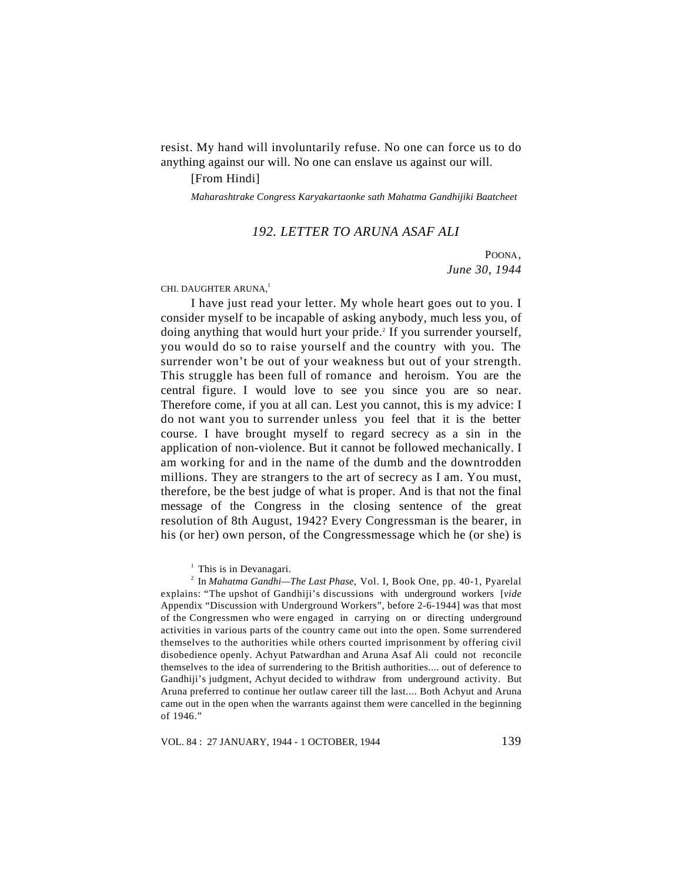resist. My hand will involuntarily refuse. No one can force us to do anything against our will. No one can enslave us against our will.

[From Hindi]

*Maharashtrake Congress Karyakartaonke sath Mahatma Gandhijiki Baatcheet*

### *192. LETTER TO ARUNA ASAF ALI*

POONA, *June 30, 1944*

CHI. DAUGHTER ARUNA.<sup>1</sup>

I have just read your letter. My whole heart goes out to you. I consider myself to be incapable of asking anybody, much less you, of doing anything that would hurt your pride.<sup>2</sup> If you surrender yourself, you would do so to raise yourself and the country with you. The surrender won't be out of your weakness but out of your strength. This struggle has been full of romance and heroism. You are the central figure. I would love to see you since you are so near. Therefore come, if you at all can. Lest you cannot, this is my advice: I do not want you to surrender unless you feel that it is the better course. I have brought myself to regard secrecy as a sin in the application of non-violence. But it cannot be followed mechanically. I am working for and in the name of the dumb and the downtrodden millions. They are strangers to the art of secrecy as I am. You must, therefore, be the best judge of what is proper. And is that not the final message of the Congress in the closing sentence of the great resolution of 8th August, 1942? Every Congressman is the bearer, in his (or her) own person, of the Congressmessage which he (or she) is

 $<sup>1</sup>$  This is in Devanagari.</sup>

<sup>2</sup> In *Mahatma Gandhi-The Last Phase*, Vol. I, Book One, pp. 40-1, Pyarelal explains: "The upshot of Gandhiji's discussions with underground workers [*vide* Appendix "Discussion with Underground Workers", before 2-6-1944] was that most of the Congressmen who were engaged in carrying on or directing underground activities in various parts of the country came out into the open. Some surrendered themselves to the authorities while others courted imprisonment by offering civil disobedience openly. Achyut Patwardhan and Aruna Asaf Ali could not reconcile themselves to the idea of surrendering to the British authorities.... out of deference to Gandhiji's judgment, Achyut decided to withdraw from underground activity. But Aruna preferred to continue her outlaw career till the last.... Both Achyut and Aruna came out in the open when the warrants against them were cancelled in the beginning of 1946."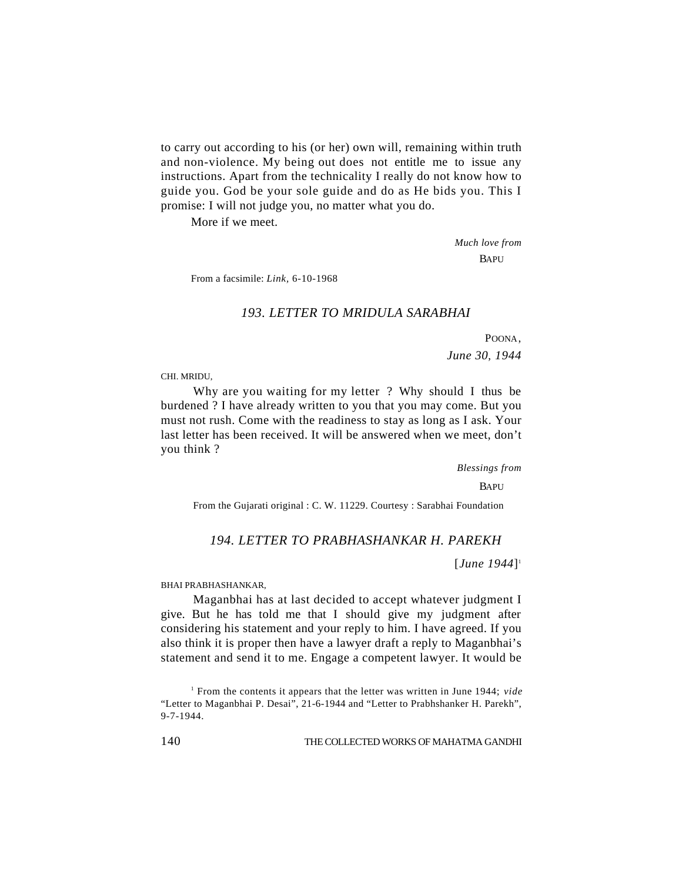to carry out according to his (or her) own will, remaining within truth and non-violence. My being out does not entitle me to issue any instructions. Apart from the technicality I really do not know how to guide you. God be your sole guide and do as He bids you. This I promise: I will not judge you, no matter what you do.

More if we meet.

*Much love from* **BAPU** 

From a facsimile: *Link,* 6-10-1968

### *193. LETTER TO MRIDULA SARABHAI*

POONA, *June 30*, *1944*

CHI. MRIDU,

Why are you waiting for my letter ? Why should I thus be burdened ? I have already written to you that you may come. But you must not rush. Come with the readiness to stay as long as I ask. Your last letter has been received. It will be answered when we meet, don't you think ?

*Blessings from*

BAPU

From the Gujarati original : C. W. 11229. Courtesy : Sarabhai Foundation

#### *194. LETTER TO PRABHASHANKAR H. PAREKH*

[*June 1944*] 1

BHAI PRABHASHANKAR,

Maganbhai has at last decided to accept whatever judgment I give. But he has told me that I should give my judgment after considering his statement and your reply to him. I have agreed. If you also think it is proper then have a lawyer draft a reply to Maganbhai's statement and send it to me. Engage a competent lawyer. It would be

<sup>1</sup> From the contents it appears that the letter was written in June 1944; *vide*  "Letter to Maganbhai P. Desai", 21-6-1944 and "Letter to Prabhshanker H. Parekh", 9-7-1944.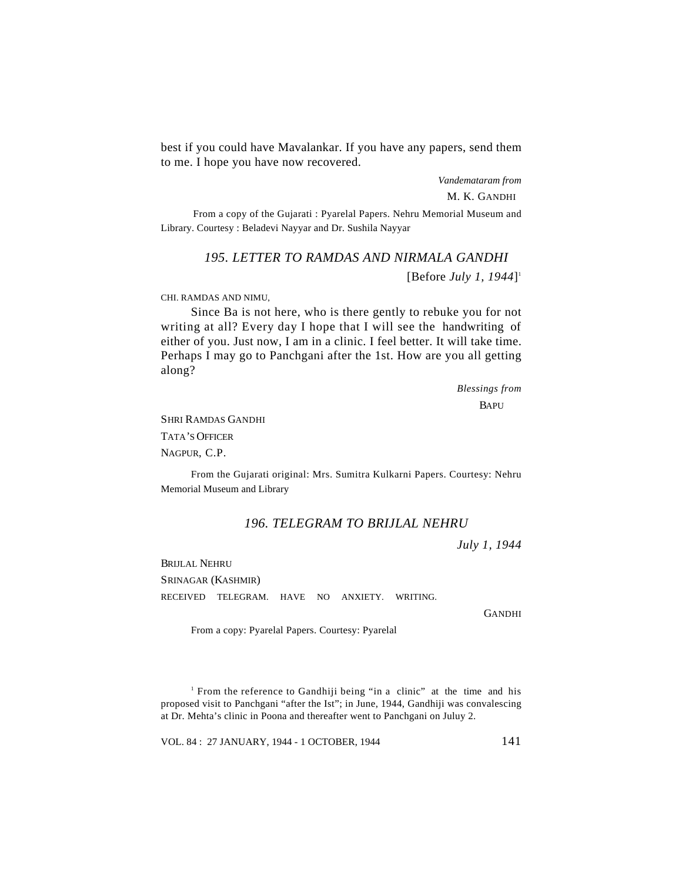best if you could have Mavalankar. If you have any papers, send them to me. I hope you have now recovered.

*Vandemataram from*

M. K. GANDHI

From a copy of the Gujarati : Pyarelal Papers. Nehru Memorial Museum and Library. Courtesy : Beladevi Nayyar and Dr. Sushila Nayyar

> *195. LETTER TO RAMDAS AND NIRMALA GANDHI* [Before *July 1, 1944*] 1

CHI. RAMDAS AND NIMU,

Since Ba is not here, who is there gently to rebuke you for not writing at all? Every day I hope that I will see the handwriting of either of you. Just now, I am in a clinic. I feel better. It will take time. Perhaps I may go to Panchgani after the 1st. How are you all getting along?

> *Blessings from* **BAPU**

SHRI RAMDAS GANDHI TATA'S OFFICER NAGPUR, C.P.

From the Gujarati original: Mrs. Sumitra Kulkarni Papers. Courtesy: Nehru Memorial Museum and Library

# *196. TELEGRAM TO BRIJLAL NEHRU*

*July 1, 1944*

BRIJLAL NEHRU SRINAGAR (KASHMIR) RECEIVED TELEGRAM. HAVE NO ANXIETY. WRITING.

GANDHI

From a copy: Pyarelal Papers. Courtesy: Pyarelal

<sup>1</sup> From the reference to Gandhiji being "in a clinic" at the time and his proposed visit to Panchgani "after the Ist"; in June, 1944, Gandhiji was convalescing at Dr. Mehta's clinic in Poona and thereafter went to Panchgani on Juluy 2.

VOL. 84 : 27 JANUARY, 1944 - 1 OCTOBER, 1944 141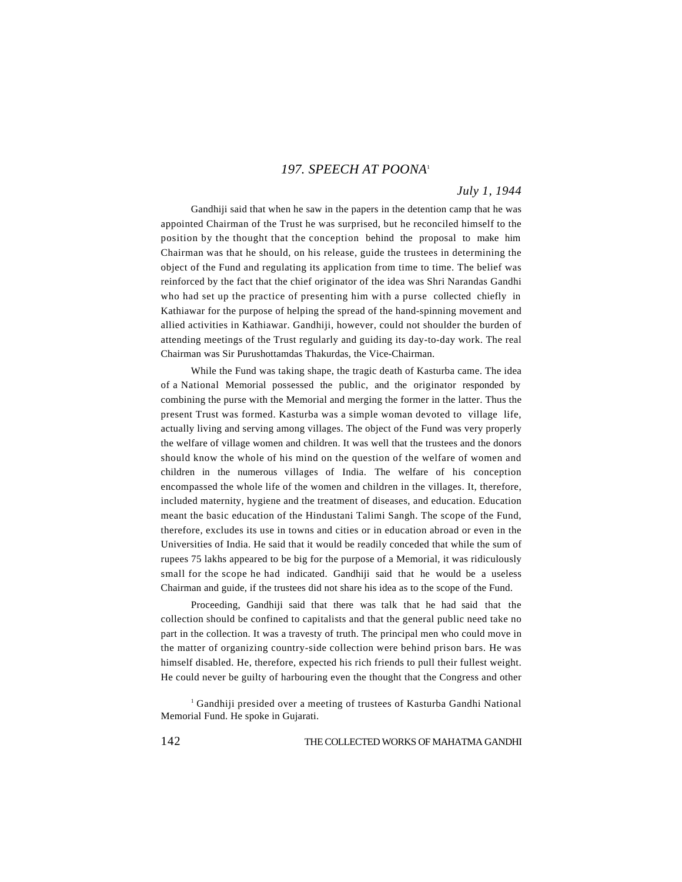### *197. SPEECH AT POONA*<sup>1</sup>

### *July 1, 1944*

Gandhiji said that when he saw in the papers in the detention camp that he was appointed Chairman of the Trust he was surprised, but he reconciled himself to the position by the thought that the conception behind the proposal to make him Chairman was that he should, on his release, guide the trustees in determining the object of the Fund and regulating its application from time to time. The belief was reinforced by the fact that the chief originator of the idea was Shri Narandas Gandhi who had set up the practice of presenting him with a purse collected chiefly in Kathiawar for the purpose of helping the spread of the hand-spinning movement and allied activities in Kathiawar. Gandhiji, however, could not shoulder the burden of attending meetings of the Trust regularly and guiding its day-to-day work. The real Chairman was Sir Purushottamdas Thakurdas, the Vice-Chairman.

While the Fund was taking shape, the tragic death of Kasturba came. The idea of a National Memorial possessed the public, and the originator responded by combining the purse with the Memorial and merging the former in the latter. Thus the present Trust was formed. Kasturba was a simple woman devoted to village life, actually living and serving among villages. The object of the Fund was very properly the welfare of village women and children. It was well that the trustees and the donors should know the whole of his mind on the question of the welfare of women and children in the numerous villages of India. The welfare of his conception encompassed the whole life of the women and children in the villages. It, therefore, included maternity, hygiene and the treatment of diseases, and education. Education meant the basic education of the Hindustani Talimi Sangh. The scope of the Fund, therefore, excludes its use in towns and cities or in education abroad or even in the Universities of India. He said that it would be readily conceded that while the sum of rupees 75 lakhs appeared to be big for the purpose of a Memorial, it was ridiculously small for the scope he had indicated. Gandhiji said that he would be a useless Chairman and guide, if the trustees did not share his idea as to the scope of the Fund.

Proceeding, Gandhiji said that there was talk that he had said that the collection should be confined to capitalists and that the general public need take no part in the collection. It was a travesty of truth. The principal men who could move in the matter of organizing country-side collection were behind prison bars. He was himself disabled. He, therefore, expected his rich friends to pull their fullest weight. He could never be guilty of harbouring even the thought that the Congress and other

<sup>&</sup>lt;sup>1</sup> Gandhiji presided over a meeting of trustees of Kasturba Gandhi National Memorial Fund. He spoke in Gujarati.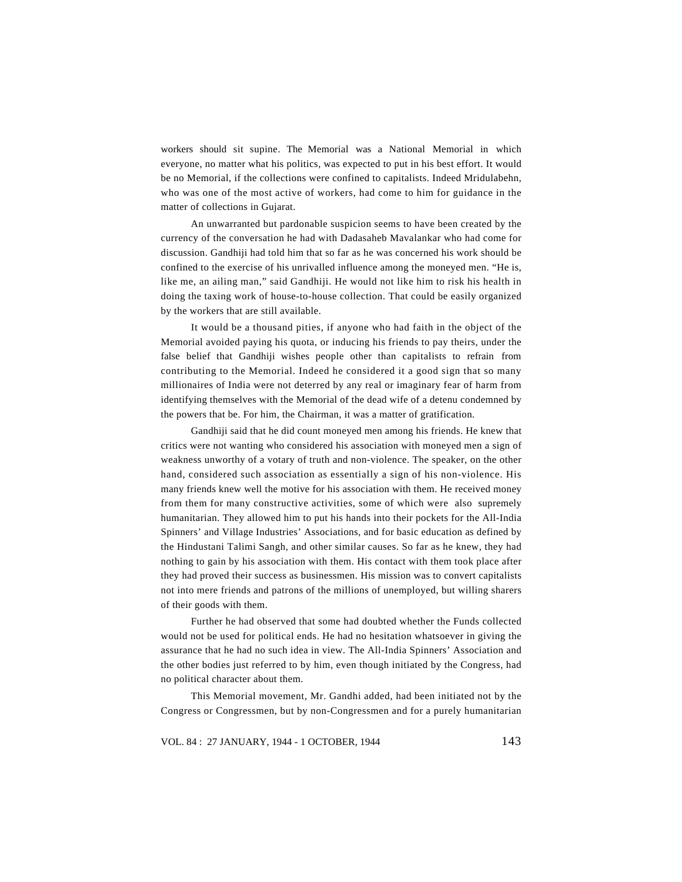workers should sit supine. The Memorial was a National Memorial in which everyone, no matter what his politics, was expected to put in his best effort. It would be no Memorial, if the collections were confined to capitalists. Indeed Mridulabehn, who was one of the most active of workers, had come to him for guidance in the matter of collections in Gujarat.

An unwarranted but pardonable suspicion seems to have been created by the currency of the conversation he had with Dadasaheb Mavalankar who had come for discussion. Gandhiji had told him that so far as he was concerned his work should be confined to the exercise of his unrivalled influence among the moneyed men. "He is, like me, an ailing man," said Gandhiji. He would not like him to risk his health in doing the taxing work of house-to-house collection. That could be easily organized by the workers that are still available.

It would be a thousand pities, if anyone who had faith in the object of the Memorial avoided paying his quota, or inducing his friends to pay theirs, under the false belief that Gandhiji wishes people other than capitalists to refrain from contributing to the Memorial. Indeed he considered it a good sign that so many millionaires of India were not deterred by any real or imaginary fear of harm from identifying themselves with the Memorial of the dead wife of a detenu condemned by the powers that be. For him, the Chairman, it was a matter of gratification.

Gandhiji said that he did count moneyed men among his friends. He knew that critics were not wanting who considered his association with moneyed men a sign of weakness unworthy of a votary of truth and non-violence. The speaker, on the other hand, considered such association as essentially a sign of his non-violence. His many friends knew well the motive for his association with them. He received money from them for many constructive activities, some of which were also supremely humanitarian. They allowed him to put his hands into their pockets for the All-India Spinners' and Village Industries' Associations, and for basic education as defined by the Hindustani Talimi Sangh, and other similar causes. So far as he knew, they had nothing to gain by his association with them. His contact with them took place after they had proved their success as businessmen. His mission was to convert capitalists not into mere friends and patrons of the millions of unemployed, but willing sharers of their goods with them.

Further he had observed that some had doubted whether the Funds collected would not be used for political ends. He had no hesitation whatsoever in giving the assurance that he had no such idea in view. The All-India Spinners' Association and the other bodies just referred to by him, even though initiated by the Congress, had no political character about them.

This Memorial movement, Mr. Gandhi added, had been initiated not by the Congress or Congressmen, but by non-Congressmen and for a purely humanitarian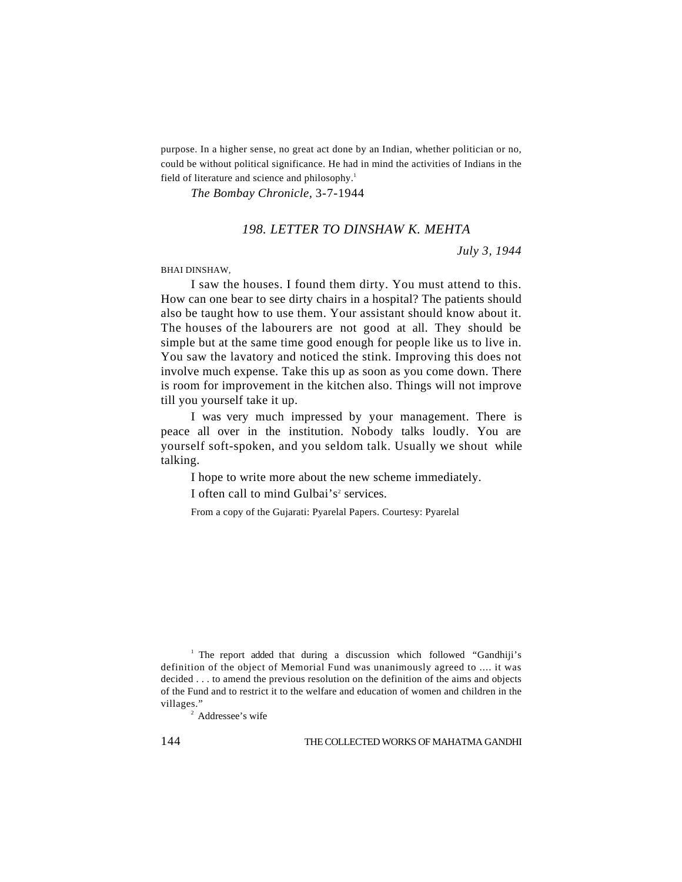purpose. In a higher sense, no great act done by an Indian, whether politician or no, could be without political significance. He had in mind the activities of Indians in the field of literature and science and philosophy.<sup>1</sup>

*The Bombay Chronicle,* 3-7-1944

# *198. LETTER TO DINSHAW K. MEHTA*

*July 3, 1944*

BHAI DINSHAW,

I saw the houses. I found them dirty. You must attend to this. How can one bear to see dirty chairs in a hospital? The patients should also be taught how to use them. Your assistant should know about it. The houses of the labourers are not good at all. They should be simple but at the same time good enough for people like us to live in. You saw the lavatory and noticed the stink. Improving this does not involve much expense. Take this up as soon as you come down. There is room for improvement in the kitchen also. Things will not improve till you yourself take it up.

I was very much impressed by your management. There is peace all over in the institution. Nobody talks loudly. You are yourself soft-spoken, and you seldom talk. Usually we shout while talking.

I hope to write more about the new scheme immediately.

I often call to mind Gulbai's<sup>2</sup> services.

From a copy of the Gujarati: Pyarelal Papers. Courtesy: Pyarelal

<sup>1</sup> The report added that during a discussion which followed "Gandhiji's definition of the object of Memorial Fund was unanimously agreed to .... it was decided . . . to amend the previous resolution on the definition of the aims and objects of the Fund and to restrict it to the welfare and education of women and children in the villages."

 $<sup>2</sup>$  Addressee's wife</sup>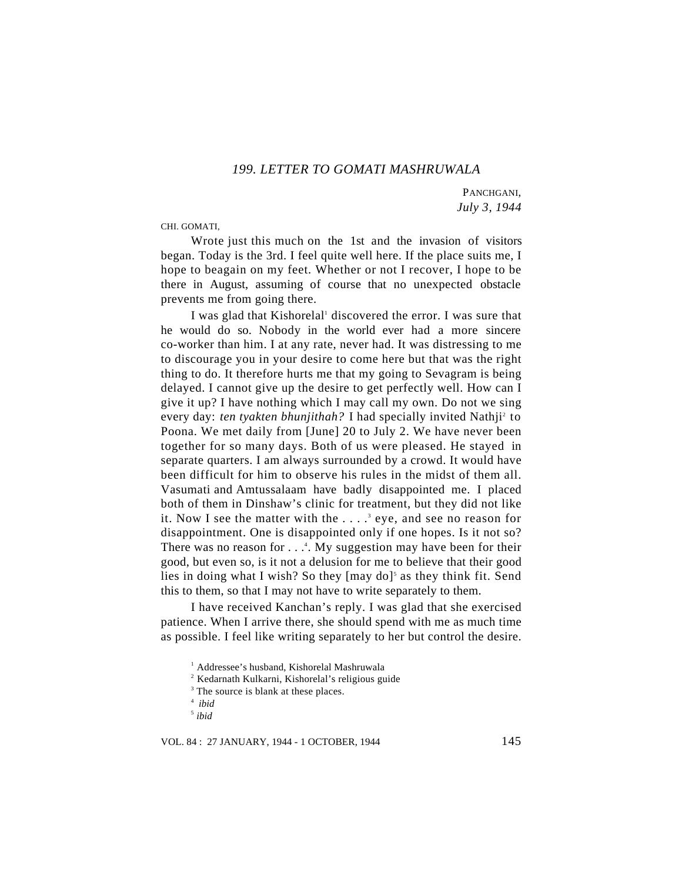## *199. LETTER TO GOMATI MASHRUWALA*

PANCHGANI, *July 3, 1944*

#### CHI. GOMATI,

Wrote just this much on the 1st and the invasion of visitors began. Today is the 3rd. I feel quite well here. If the place suits me, I hope to beagain on my feet. Whether or not I recover, I hope to be there in August, assuming of course that no unexpected obstacle prevents me from going there.

I was glad that Kishorelal<sup>1</sup> discovered the error. I was sure that he would do so. Nobody in the world ever had a more sincere co-worker than him. I at any rate, never had. It was distressing to me to discourage you in your desire to come here but that was the right thing to do. It therefore hurts me that my going to Sevagram is being delayed. I cannot give up the desire to get perfectly well. How can I give it up? I have nothing which I may call my own. Do not we sing every day: *ten tyakten bhunjithah?* I had specially invited Nathji<sup>2</sup> to Poona. We met daily from [June] 20 to July 2. We have never been together for so many days. Both of us were pleased. He stayed in separate quarters. I am always surrounded by a crowd. It would have been difficult for him to observe his rules in the midst of them all. Vasumati and Amtussalaam have badly disappointed me. I placed both of them in Dinshaw's clinic for treatment, but they did not like it. Now I see the matter with the  $\dots$   $\frac{3}{5}$  eye, and see no reason for disappointment. One is disappointed only if one hopes. Is it not so? There was no reason for  $\dots$ <sup>4</sup>. My suggestion may have been for their good, but even so, is it not a delusion for me to believe that their good lies in doing what I wish? So they [may do]<sup>5</sup> as they think fit. Send this to them, so that I may not have to write separately to them.

I have received Kanchan's reply. I was glad that she exercised patience. When I arrive there, she should spend with me as much time as possible. I feel like writing separately to her but control the desire.

<sup>1</sup> Addressee's husband, Kishorelal Mashruwala

<sup>&</sup>lt;sup>2</sup> Kedarnath Kulkarni, Kishorelal's religious guide

<sup>&</sup>lt;sup>3</sup> The source is blank at these places.

<sup>4</sup> *ibid*

<sup>5</sup> *ibid*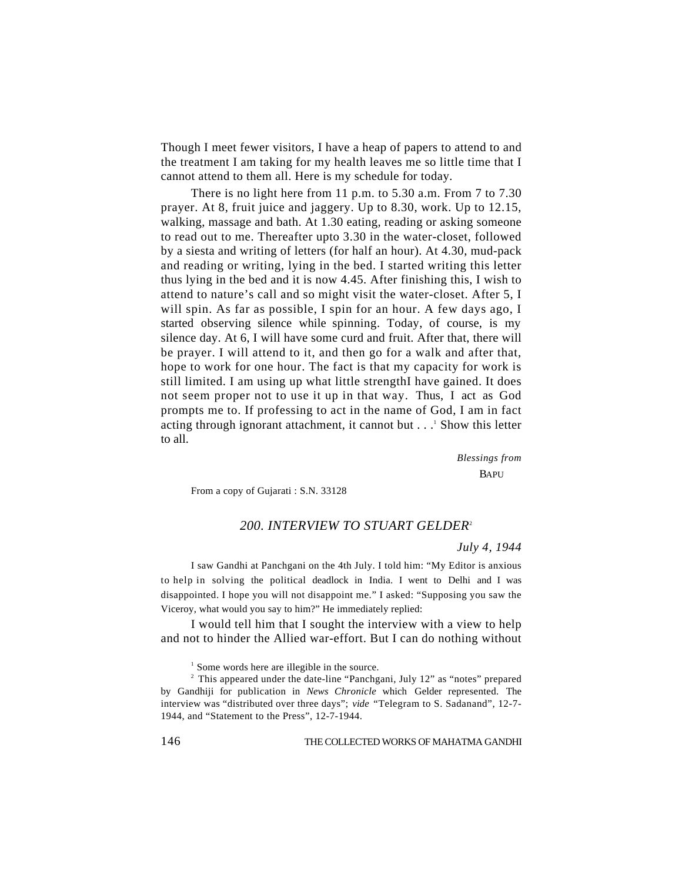Though I meet fewer visitors, I have a heap of papers to attend to and the treatment I am taking for my health leaves me so little time that I cannot attend to them all. Here is my schedule for today.

There is no light here from 11 p.m. to 5.30 a.m. From 7 to 7.30 prayer. At 8, fruit juice and jaggery. Up to 8.30, work. Up to 12.15, walking, massage and bath. At 1.30 eating, reading or asking someone to read out to me. Thereafter upto 3.30 in the water-closet, followed by a siesta and writing of letters (for half an hour). At 4.30, mud-pack and reading or writing, lying in the bed. I started writing this letter thus lying in the bed and it is now 4.45. After finishing this, I wish to attend to nature's call and so might visit the water-closet. After 5, I will spin. As far as possible, I spin for an hour. A few days ago, I started observing silence while spinning. Today, of course, is my silence day. At 6, I will have some curd and fruit. After that, there will be prayer. I will attend to it, and then go for a walk and after that, hope to work for one hour. The fact is that my capacity for work is still limited. I am using up what little strengthI have gained. It does not seem proper not to use it up in that way. Thus, I act as God prompts me to. If professing to act in the name of God, I am in fact acting through ignorant attachment, it cannot but . . .<sup>1</sup> Show this letter to all.

*Blessings from* BAPU

From a copy of Gujarati : S.N. 33128

### *200. INTERVIEW TO STUART GELDER*<sup>2</sup>

*July 4, 1944*

I saw Gandhi at Panchgani on the 4th July. I told him: "My Editor is anxious to help in solving the political deadlock in India. I went to Delhi and I was disappointed. I hope you will not disappoint me." I asked: "Supposing you saw the Viceroy, what would you say to him?" He immediately replied:

I would tell him that I sought the interview with a view to help and not to hinder the Allied war-effort. But I can do nothing without

<sup>1</sup> Some words here are illegible in the source.

<sup>2</sup> This appeared under the date-line "Panchgani, July 12" as "notes" prepared by Gandhiji for publication in *News Chronicle* which Gelder represented. The interview was "distributed over three days"; *vide* "Telegram to S. Sadanand", 12-7- 1944, and "Statement to the Press", 12-7-1944.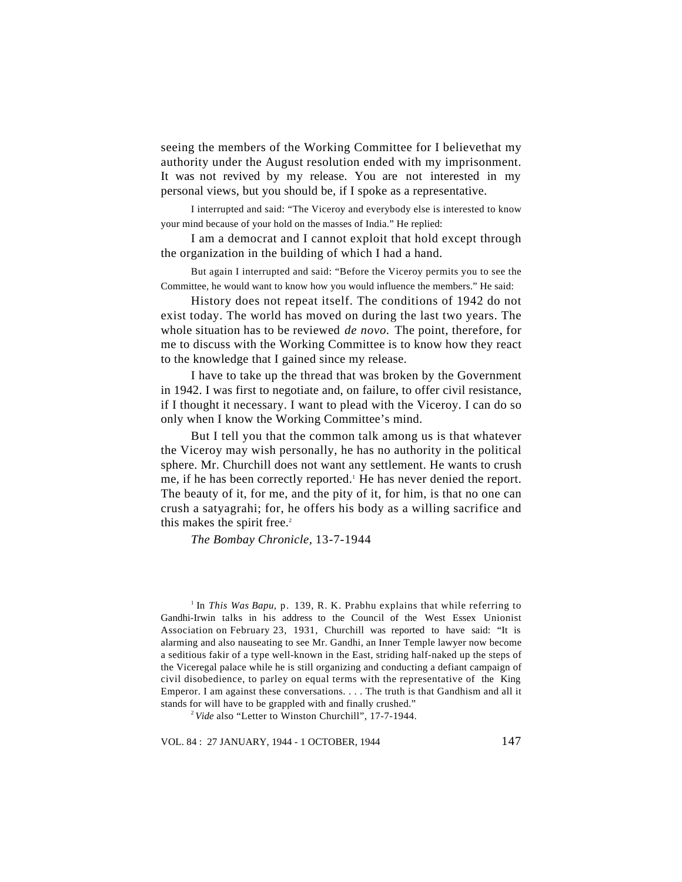seeing the members of the Working Committee for I believethat my authority under the August resolution ended with my imprisonment. It was not revived by my release. You are not interested in my personal views, but you should be, if I spoke as a representative.

I interrupted and said: "The Viceroy and everybody else is interested to know your mind because of your hold on the masses of India." He replied:

I am a democrat and I cannot exploit that hold except through the organization in the building of which I had a hand.

But again I interrupted and said: "Before the Viceroy permits you to see the Committee, he would want to know how you would influence the members." He said:

History does not repeat itself. The conditions of 1942 do not exist today. The world has moved on during the last two years. The whole situation has to be reviewed *de novo.* The point, therefore, for me to discuss with the Working Committee is to know how they react to the knowledge that I gained since my release.

I have to take up the thread that was broken by the Government in 1942. I was first to negotiate and, on failure, to offer civil resistance, if I thought it necessary. I want to plead with the Viceroy. I can do so only when I know the Working Committee's mind.

But I tell you that the common talk among us is that whatever the Viceroy may wish personally, he has no authority in the political sphere. Mr. Churchill does not want any settlement. He wants to crush me, if he has been correctly reported.<sup>1</sup> He has never denied the report. The beauty of it, for me, and the pity of it, for him, is that no one can crush a satyagrahi; for, he offers his body as a willing sacrifice and this makes the spirit free.<sup>2</sup>

*The Bombay Chronicle,* 13-7-1944

<sup>1</sup> In *This Was Bapu*, p. 139, R. K. Prabhu explains that while referring to Gandhi-Irwin talks in his address to the Council of the West Essex Unionist Association on February 23, 1931, Churchill was reported to have said: "It is alarming and also nauseating to see Mr. Gandhi, an Inner Temple lawyer now become a seditious fakir of a type well-known in the East, striding half-naked up the steps of the Viceregal palace while he is still organizing and conducting a defiant campaign of civil disobedience, to parley on equal terms with the representative of the King Emperor. I am against these conversations. . . . The truth is that Gandhism and all it stands for will have to be grappled with and finally crushed."

<sup>2</sup>*Vide* also "Letter to Winston Churchill", 17-7-1944.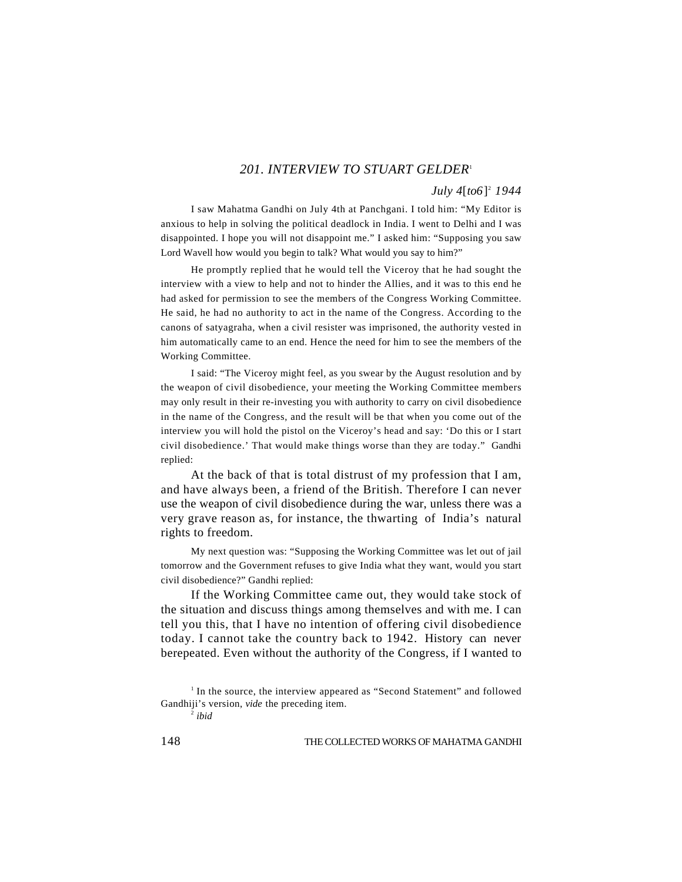## *201. INTERVIEW TO STUART GELDER*<sup>1</sup>

#### *July 4*[*to6*] 2  *1944*

I saw Mahatma Gandhi on July 4th at Panchgani. I told him: "My Editor is anxious to help in solving the political deadlock in India. I went to Delhi and I was disappointed. I hope you will not disappoint me." I asked him: "Supposing you saw Lord Wavell how would you begin to talk? What would you say to him?"

He promptly replied that he would tell the Viceroy that he had sought the interview with a view to help and not to hinder the Allies, and it was to this end he had asked for permission to see the members of the Congress Working Committee. He said, he had no authority to act in the name of the Congress. According to the canons of satyagraha, when a civil resister was imprisoned, the authority vested in him automatically came to an end. Hence the need for him to see the members of the Working Committee.

I said: "The Viceroy might feel, as you swear by the August resolution and by the weapon of civil disobedience, your meeting the Working Committee members may only result in their re-investing you with authority to carry on civil disobedience in the name of the Congress, and the result will be that when you come out of the interview you will hold the pistol on the Viceroy's head and say: 'Do this or I start civil disobedience.' That would make things worse than they are today." Gandhi replied:

At the back of that is total distrust of my profession that I am, and have always been, a friend of the British. Therefore I can never use the weapon of civil disobedience during the war, unless there was a very grave reason as, for instance, the thwarting of India's natural rights to freedom.

My next question was: "Supposing the Working Committee was let out of jail tomorrow and the Government refuses to give India what they want, would you start civil disobedience?" Gandhi replied:

If the Working Committee came out, they would take stock of the situation and discuss things among themselves and with me. I can tell you this, that I have no intention of offering civil disobedience today. I cannot take the country back to 1942. History can never berepeated. Even without the authority of the Congress, if I wanted to

2 *ibid*

<sup>&</sup>lt;sup>1</sup> In the source, the interview appeared as "Second Statement" and followed Gandhiji's version, *vide* the preceding item.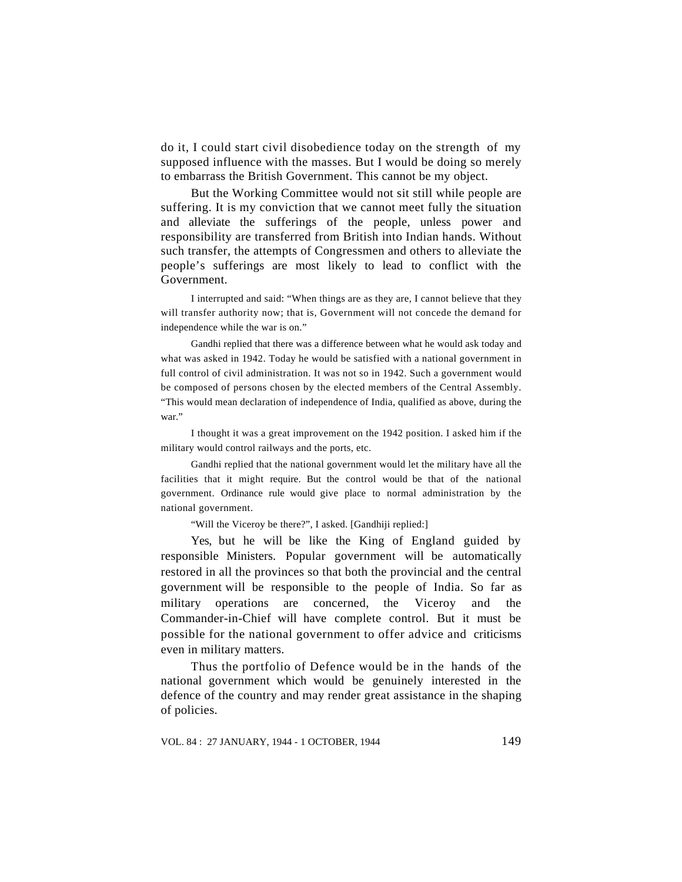do it, I could start civil disobedience today on the strength of my supposed influence with the masses. But I would be doing so merely to embarrass the British Government. This cannot be my object.

But the Working Committee would not sit still while people are suffering. It is my conviction that we cannot meet fully the situation and alleviate the sufferings of the people, unless power and responsibility are transferred from British into Indian hands. Without such transfer, the attempts of Congressmen and others to alleviate the people's sufferings are most likely to lead to conflict with the Government.

I interrupted and said: "When things are as they are, I cannot believe that they will transfer authority now; that is, Government will not concede the demand for independence while the war is on."

Gandhi replied that there was a difference between what he would ask today and what was asked in 1942. Today he would be satisfied with a national government in full control of civil administration. It was not so in 1942. Such a government would be composed of persons chosen by the elected members of the Central Assembly. "This would mean declaration of independence of India, qualified as above, during the war."

I thought it was a great improvement on the 1942 position. I asked him if the military would control railways and the ports, etc.

Gandhi replied that the national government would let the military have all the facilities that it might require. But the control would be that of the national government. Ordinance rule would give place to normal administration by the national government.

"Will the Viceroy be there?", I asked. [Gandhiji replied:]

Yes, but he will be like the King of England guided by responsible Ministers. Popular government will be automatically restored in all the provinces so that both the provincial and the central government will be responsible to the people of India. So far as military operations are concerned, the Viceroy and the Commander-in-Chief will have complete control. But it must be possible for the national government to offer advice and criticisms even in military matters.

Thus the portfolio of Defence would be in the hands of the national government which would be genuinely interested in the defence of the country and may render great assistance in the shaping of policies.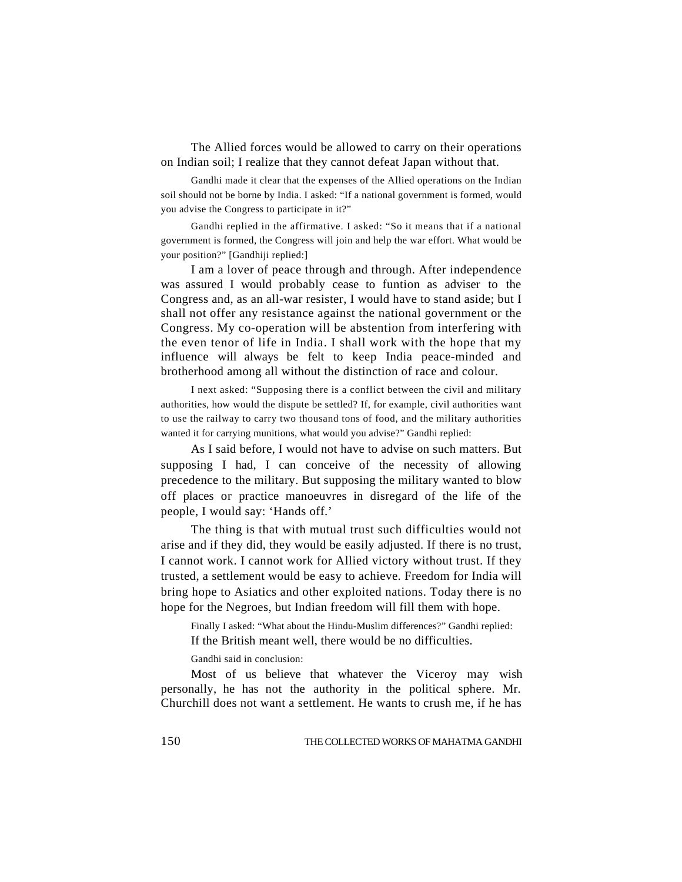The Allied forces would be allowed to carry on their operations on Indian soil; I realize that they cannot defeat Japan without that.

Gandhi made it clear that the expenses of the Allied operations on the Indian soil should not be borne by India. I asked: "If a national government is formed, would you advise the Congress to participate in it?"

Gandhi replied in the affirmative. I asked: "So it means that if a national government is formed, the Congress will join and help the war effort. What would be your position?" [Gandhiji replied:]

I am a lover of peace through and through. After independence was assured I would probably cease to funtion as adviser to the Congress and, as an all-war resister, I would have to stand aside; but I shall not offer any resistance against the national government or the Congress. My co-operation will be abstention from interfering with the even tenor of life in India. I shall work with the hope that my influence will always be felt to keep India peace-minded and brotherhood among all without the distinction of race and colour.

I next asked: "Supposing there is a conflict between the civil and military authorities, how would the dispute be settled? If, for example, civil authorities want to use the railway to carry two thousand tons of food, and the military authorities wanted it for carrying munitions, what would you advise?" Gandhi replied:

As I said before, I would not have to advise on such matters. But supposing I had, I can conceive of the necessity of allowing precedence to the military. But supposing the military wanted to blow off places or practice manoeuvres in disregard of the life of the people, I would say: 'Hands off.'

The thing is that with mutual trust such difficulties would not arise and if they did, they would be easily adjusted. If there is no trust, I cannot work. I cannot work for Allied victory without trust. If they trusted, a settlement would be easy to achieve. Freedom for India will bring hope to Asiatics and other exploited nations. Today there is no hope for the Negroes, but Indian freedom will fill them with hope.

Finally I asked: "What about the Hindu-Muslim differences?" Gandhi replied:

If the British meant well, there would be no difficulties.

Gandhi said in conclusion:

Most of us believe that whatever the Viceroy may wish personally, he has not the authority in the political sphere. Mr. Churchill does not want a settlement. He wants to crush me, if he has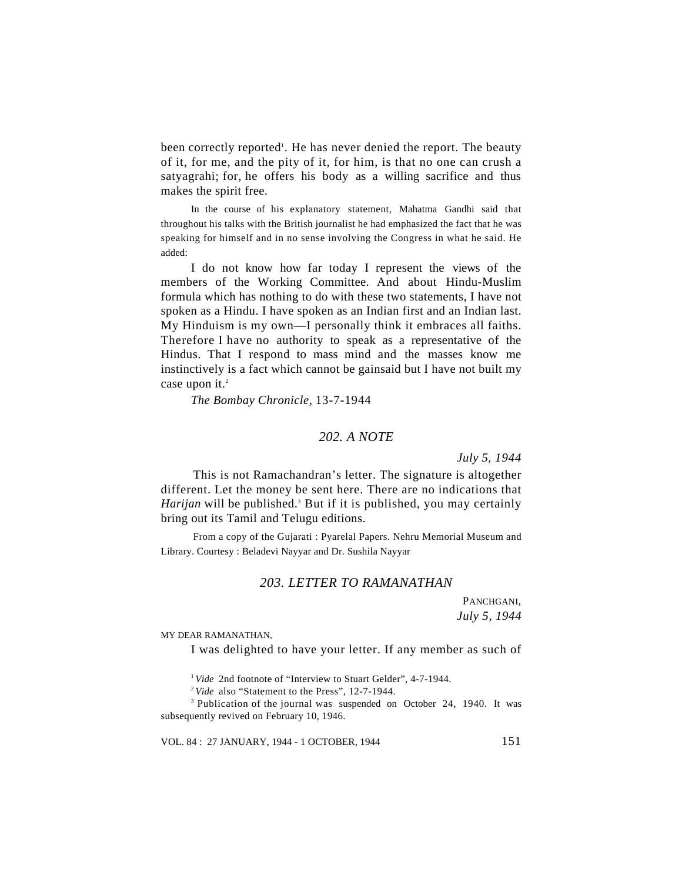been correctly reported<sup>1</sup>. He has never denied the report. The beauty of it, for me, and the pity of it, for him, is that no one can crush a satyagrahi; for, he offers his body as a willing sacrifice and thus makes the spirit free.

In the course of his explanatory statement, Mahatma Gandhi said that throughout his talks with the British journalist he had emphasized the fact that he was speaking for himself and in no sense involving the Congress in what he said. He added:

I do not know how far today I represent the views of the members of the Working Committee. And about Hindu-Muslim formula which has nothing to do with these two statements, I have not spoken as a Hindu. I have spoken as an Indian first and an Indian last. My Hinduism is my own—I personally think it embraces all faiths. Therefore I have no authority to speak as a representative of the Hindus. That I respond to mass mind and the masses know me instinctively is a fact which cannot be gainsaid but I have not built my case upon it.<sup>2</sup>

*The Bombay Chronicle,* 13-7-1944

# *202. A NOTE*

*July 5*, *1944*

This is not Ramachandran's letter. The signature is altogether different. Let the money be sent here. There are no indications that Harijan will be published.<sup>3</sup> But if it is published, you may certainly bring out its Tamil and Telugu editions.

From a copy of the Gujarati : Pyarelal Papers. Nehru Memorial Museum and Library. Courtesy : Beladevi Nayyar and Dr. Sushila Nayyar

## *203. LETTER TO RAMANATHAN*

PANCHGANI, *July 5, 1944*

#### MY DEAR RAMANATHAN,

I was delighted to have your letter. If any member as such of

<sup>1</sup> Vide 2nd footnote of "Interview to Stuart Gelder", 4-7-1944.

<sup>2</sup>*Vide* also "Statement to the Press", 12-7-1944.

<sup>3</sup> Publication of the journal was suspended on October 24, 1940. It was subsequently revived on February 10, 1946.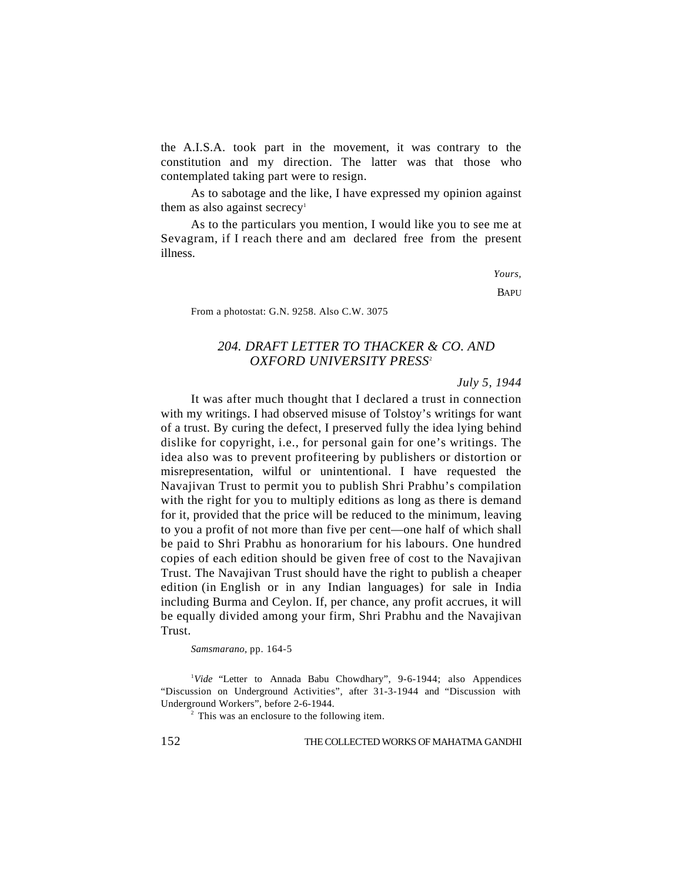the A.I.S.A. took part in the movement, it was contrary to the constitution and my direction. The latter was that those who contemplated taking part were to resign.

As to sabotage and the like, I have expressed my opinion against them as also against secrecy<sup>1</sup>

As to the particulars you mention, I would like you to see me at Sevagram, if I reach there and am declared free from the present illness.

*Yours,*

**BAPU** 

From a photostat: G.N. 9258. Also C.W. 3075

## *204. DRAFT LETTER TO THACKER & CO. AND OXFORD UNIVERSITY PRESS*<sup>2</sup>

*July 5, 1944*

It was after much thought that I declared a trust in connection with my writings. I had observed misuse of Tolstoy's writings for want of a trust. By curing the defect, I preserved fully the idea lying behind dislike for copyright, i.e., for personal gain for one's writings. The idea also was to prevent profiteering by publishers or distortion or misrepresentation, wilful or unintentional. I have requested the Navajivan Trust to permit you to publish Shri Prabhu's compilation with the right for you to multiply editions as long as there is demand for it, provided that the price will be reduced to the minimum, leaving to you a profit of not more than five per cent—one half of which shall be paid to Shri Prabhu as honorarium for his labours. One hundred copies of each edition should be given free of cost to the Navajivan Trust. The Navajivan Trust should have the right to publish a cheaper edition (in English or in any Indian languages) for sale in India including Burma and Ceylon. If, per chance, any profit accrues, it will be equally divided among your firm, Shri Prabhu and the Navajivan Trust.

*Samsmarano,* pp. 164-5

<sup>1</sup>Vide "Letter to Annada Babu Chowdhary", 9-6-1944; also Appendices "Discussion on Underground Activities", after 31-3-1944 and "Discussion with Underground Workers", before 2-6-1944.

 $2$  This was an enclosure to the following item.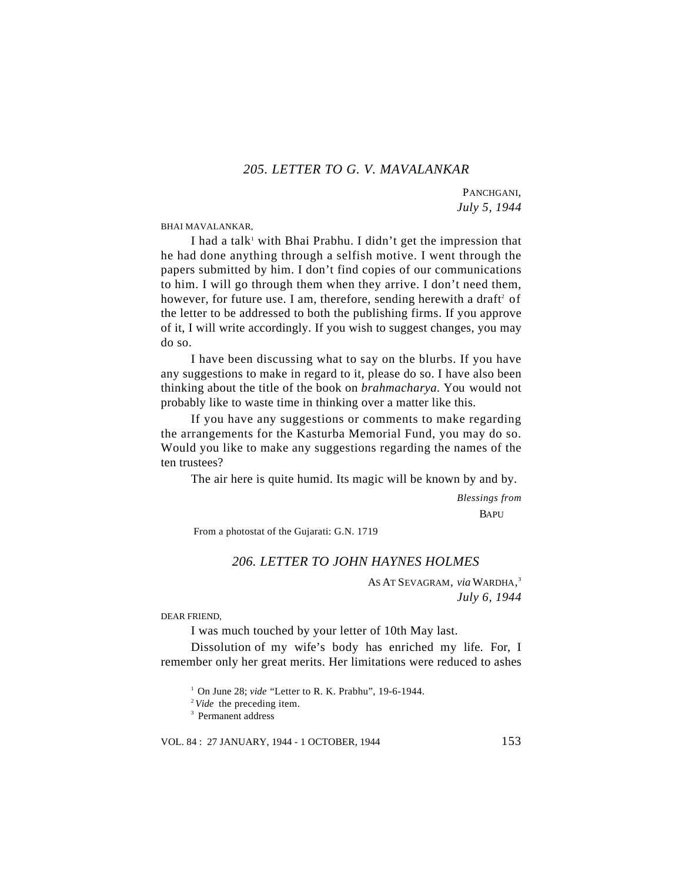## *205. LETTER TO G. V. MAVALANKAR*

PANCHGANI, *July 5, 1944*

BHAI MAVALANKAR,

I had a talk<sup>1</sup> with Bhai Prabhu. I didn't get the impression that he had done anything through a selfish motive. I went through the papers submitted by him. I don't find copies of our communications to him. I will go through them when they arrive. I don't need them, however, for future use. I am, therefore, sending herewith a draft<sup>2</sup> of the letter to be addressed to both the publishing firms. If you approve of it, I will write accordingly. If you wish to suggest changes, you may do so.

I have been discussing what to say on the blurbs. If you have any suggestions to make in regard to it, please do so. I have also been thinking about the title of the book on *brahmacharya.* You would not probably like to waste time in thinking over a matter like this.

If you have any suggestions or comments to make regarding the arrangements for the Kasturba Memorial Fund, you may do so. Would you like to make any suggestions regarding the names of the ten trustees?

The air here is quite humid. Its magic will be known by and by.

*Blessings from* **BAPU** 

From a photostat of the Gujarati: G.N. 1719

## *206. LETTER TO JOHN HAYNES HOLMES*

AS AT SEVAGRAM, *via* WARDHA, 3 *July 6, 1944*

DEAR FRIEND,

I was much touched by your letter of 10th May last.

Dissolution of my wife's body has enriched my life. For, I remember only her great merits. Her limitations were reduced to ashes

<sup>1</sup> On June 28; *vide* "Letter to R. K. Prabhu", 19-6-1944.

<sup>2</sup>*Vide* the preceding item.

3 Permanent address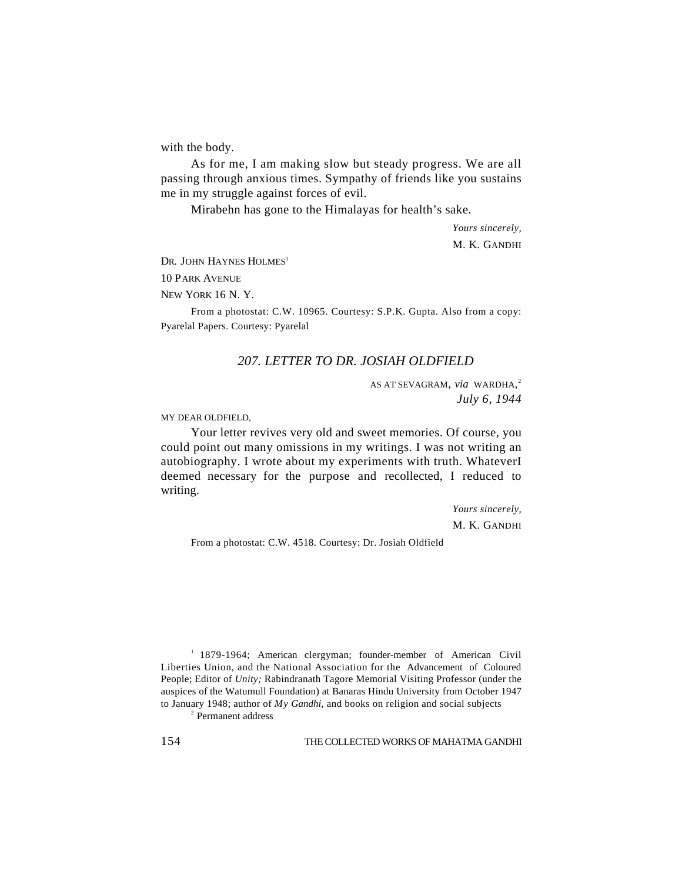with the body.

As for me, I am making slow but steady progress. We are all passing through anxious times. Sympathy of friends like you sustains me in my struggle against forces of evil.

Mirabehn has gone to the Himalayas for health's sake.

*Yours sincerely,* M. K. GANDHI

DR **JOHN HAYNES HOLMES**<sup>1</sup>

10 PARK AVENUE

NEW YORK 16 N. Y.

From a photostat: C.W. 10965. Courtesy: S.P.K. Gupta. Also from a copy: Pyarelal Papers. Courtesy: Pyarelal

## *207. LETTER TO DR. JOSIAH OLDFIELD*

AS AT SEVAGRAM, *via* WARDHA, 2 *July 6, 1944*

MY DEAR OLDFIELD,

Your letter revives very old and sweet memories. Of course, you could point out many omissions in my writings. I was not writing an autobiography. I wrote about my experiments with truth. WhateverI deemed necessary for the purpose and recollected, I reduced to writing.

> *Yours sincerely,* M. K. GANDHI

From a photostat: C.W. 4518. Courtesy: Dr. Josiah Oldfield

<sup>1</sup> 1879-1964; American clergyman; founder-member of American Civil Liberties Union, and the National Association for the Advancement of Coloured People; Editor of *Unity;* Rabindranath Tagore Memorial Visiting Professor (under the auspices of the Watumull Foundation) at Banaras Hindu University from October 1947 to January 1948; author of *My Gandhi,* and books on religion and social subjects

2 Permanent address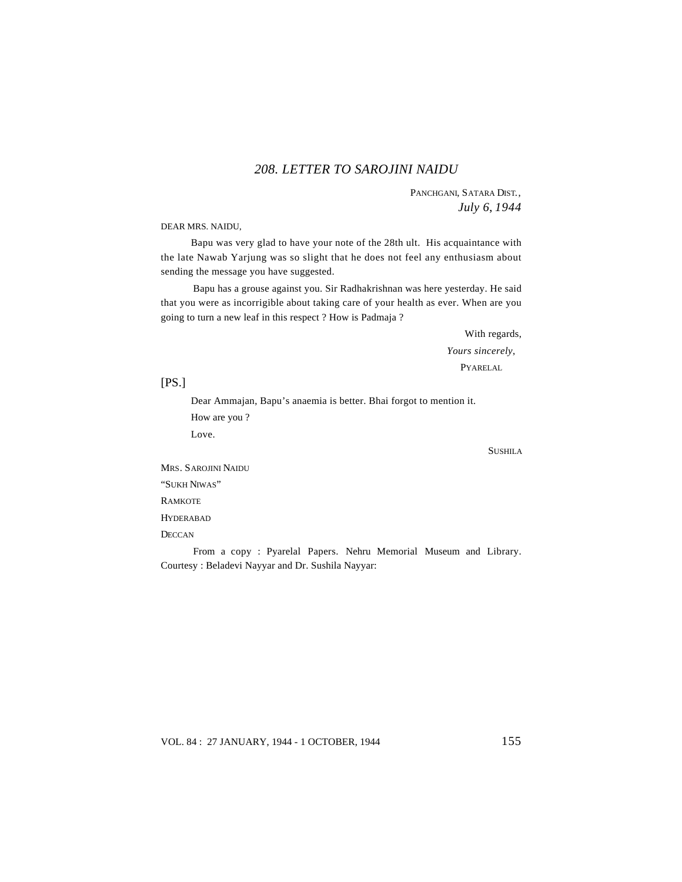# VOL. 84 : 27 JANUARY, 1944 - 1 OCTOBER, 1944 155

## *208. LETTER TO SAROJINI NAIDU*

PANCHGANI, SATARA DIST., *July 6*, *1944*

DEAR MRS. NAIDU,

Bapu was very glad to have your note of the 28th ult. His acquaintance with the late Nawab Yarjung was so slight that he does not feel any enthusiasm about sending the message you have suggested.

Bapu has a grouse against you. Sir Radhakrishnan was here yesterday. He said that you were as incorrigible about taking care of your health as ever. When are you going to turn a new leaf in this respect ? How is Padmaja ?

With regards,

*Yours sincerely*, PYARELAL

[PS.]

Dear Ammajan, Bapu's anaemia is better. Bhai forgot to mention it. How are you ? Love.

SUSHILA

MRS. SAROJINI NAIDU "SUKH NIWAS" RAMKOTE

HYDERABAD

**DECCAN** 

From a copy : Pyarelal Papers. Nehru Memorial Museum and Library. Courtesy : Beladevi Nayyar and Dr. Sushila Nayyar: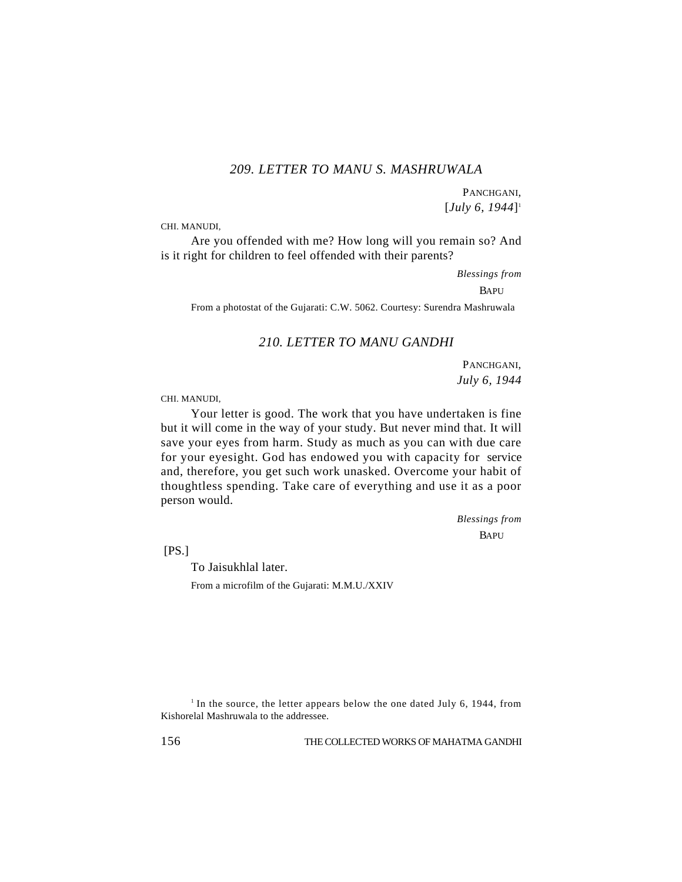## *209. LETTER TO MANU S. MASHRUWALA*

PANCHGANI, [*July 6, 1944*] 1

CHI. MANUDI,

Are you offended with me? How long will you remain so? And is it right for children to feel offended with their parents?

*Blessings from*

**BAPU** 

From a photostat of the Gujarati: C.W. 5062. Courtesy: Surendra Mashruwala

## *210. LETTER TO MANU GANDHI*

PANCHGANI, *July 6, 1944*

CHI. MANUDI,

Your letter is good. The work that you have undertaken is fine but it will come in the way of your study. But never mind that. It will save your eyes from harm. Study as much as you can with due care for your eyesight. God has endowed you with capacity for service and, therefore, you get such work unasked. Overcome your habit of thoughtless spending. Take care of everything and use it as a poor person would.

> *Blessings from* **BAPU**

 $[PS.]$ 

To Jaisukhlal later.

From a microfilm of the Gujarati: M.M.U./XXIV

<sup>1</sup> In the source, the letter appears below the one dated July 6, 1944, from Kishorelal Mashruwala to the addressee.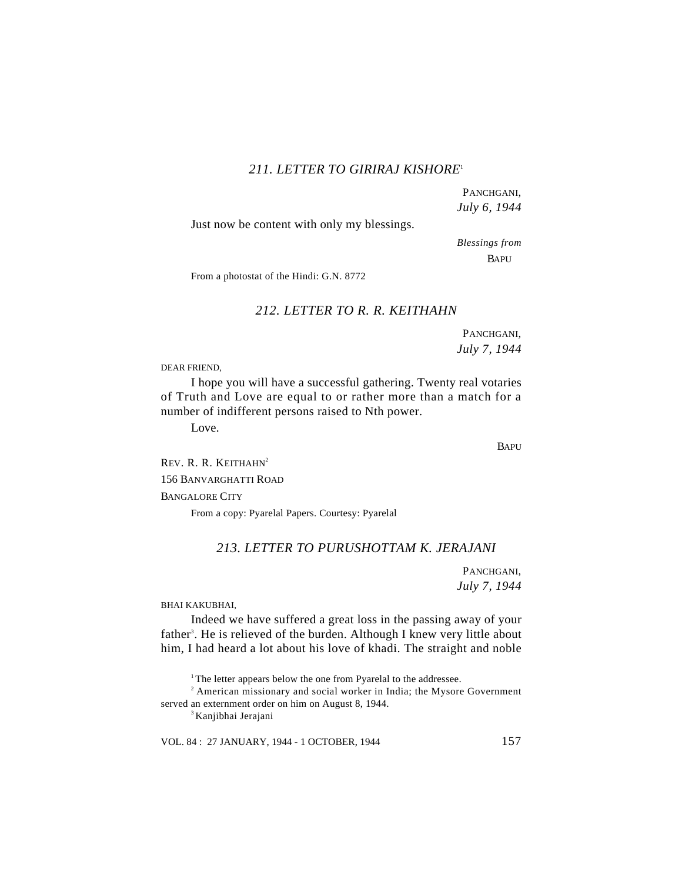## *211. LETTER TO GIRIRAJ KISHORE*<sup>1</sup>

PANCHGANI, *July 6, 1944*

Just now be content with only my blessings.

*Blessings from* **BAPU** 

From a photostat of the Hindi: G.N. 8772

## *212. LETTER TO R. R. KEITHAHN*

PANCHGANI, *July 7, 1944*

DEAR FRIEND,

I hope you will have a successful gathering. Twenty real votaries of Truth and Love are equal to or rather more than a match for a number of indifferent persons raised to Nth power.

Love.

**BAPU** 

REV. R. R. KEITHAHN<sup>2</sup> 156 BANVARGHATTI ROAD BANGALORE CITY

From a copy: Pyarelal Papers. Courtesy: Pyarelal

# *213. LETTER TO PURUSHOTTAM K. JERAJANI*

PANCHGANI, *July 7, 1944*

BHAI KAKUBHAI,

Indeed we have suffered a great loss in the passing away of your father<sup>3</sup>. He is relieved of the burden. Although I knew very little about him, I had heard a lot about his love of khadi. The straight and noble

 $1$ <sup>1</sup>The letter appears below the one from Pyarelal to the addressee.

 $2^2$  American missionary and social worker in India; the Mysore Government served an externment order on him on August 8, 1944.

<sup>3</sup> Kanjibhai Jerajani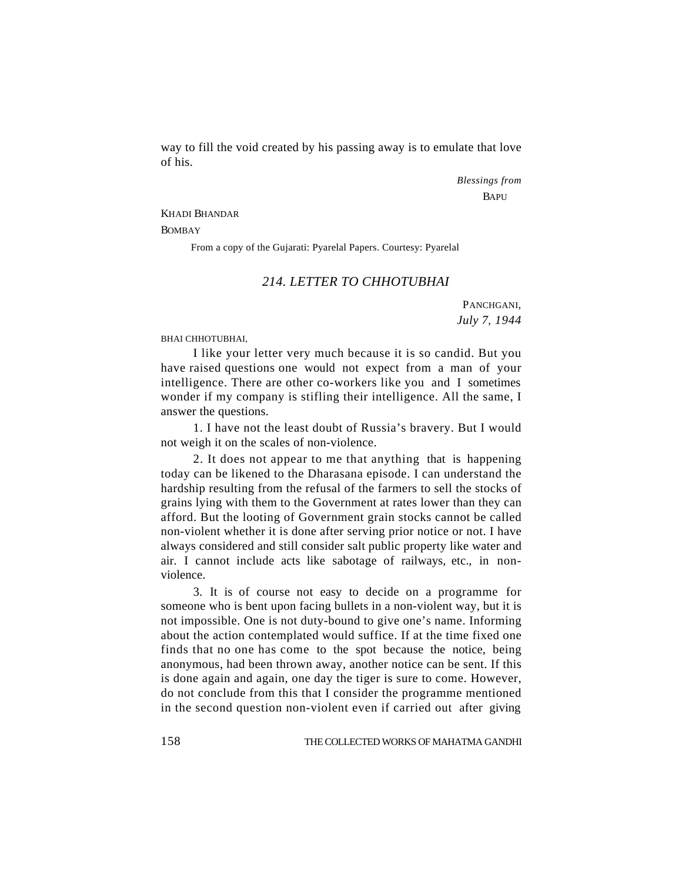way to fill the void created by his passing away is to emulate that love of his.

> *Blessings from* **BAPU**

#### KHADI BHANDAR

**BOMBAY** 

From a copy of the Gujarati: Pyarelal Papers. Courtesy: Pyarelal

# *214. LETTER TO CHHOTUBHAI*

**PANCHGANI** *July 7*, *1944*

BHAI CHHOTUBHAI,

I like your letter very much because it is so candid. But you have raised questions one would not expect from a man of your intelligence. There are other co-workers like you and I sometimes wonder if my company is stifling their intelligence. All the same, I answer the questions.

1. I have not the least doubt of Russia's bravery. But I would not weigh it on the scales of non-violence.

2. It does not appear to me that anything that is happening today can be likened to the Dharasana episode. I can understand the hardship resulting from the refusal of the farmers to sell the stocks of grains lying with them to the Government at rates lower than they can afford. But the looting of Government grain stocks cannot be called non-violent whether it is done after serving prior notice or not. I have always considered and still consider salt public property like water and air. I cannot include acts like sabotage of railways, etc., in nonviolence.

3. It is of course not easy to decide on a programme for someone who is bent upon facing bullets in a non-violent way, but it is not impossible. One is not duty-bound to give one's name. Informing about the action contemplated would suffice. If at the time fixed one finds that no one has come to the spot because the notice, being anonymous, had been thrown away, another notice can be sent. If this is done again and again, one day the tiger is sure to come. However, do not conclude from this that I consider the programme mentioned in the second question non-violent even if carried out after giving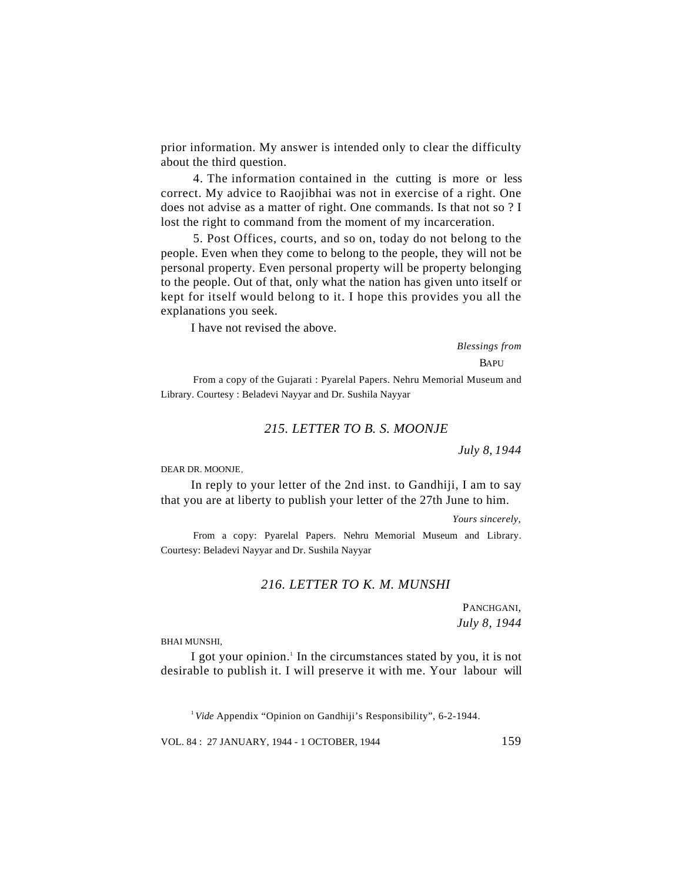prior information. My answer is intended only to clear the difficulty about the third question.

4. The information contained in the cutting is more or less correct. My advice to Raojibhai was not in exercise of a right. One does not advise as a matter of right. One commands. Is that not so ? I lost the right to command from the moment of my incarceration.

5. Post Offices, courts, and so on, today do not belong to the people. Even when they come to belong to the people, they will not be personal property. Even personal property will be property belonging to the people. Out of that, only what the nation has given unto itself or kept for itself would belong to it. I hope this provides you all the explanations you seek.

I have not revised the above.

*Blessings from*

**BAPU** 

From a copy of the Gujarati : Pyarelal Papers. Nehru Memorial Museum and Library. Courtesy : Beladevi Nayyar and Dr. Sushila Nayyar

### *215. LETTER TO B. S. MOONJE*

*July 8*, *1944*

DEAR DR. MOONJE,

In reply to your letter of the 2nd inst. to Gandhiji, I am to say that you are at liberty to publish your letter of the 27th June to him.

*Yours sincerely*,

From a copy: Pyarelal Papers. Nehru Memorial Museum and Library. Courtesy: Beladevi Nayyar and Dr. Sushila Nayyar

## *216. LETTER TO K. M. MUNSHI*

PANCHGANI, *July 8, 1944*

BHAI MUNSHI,

I got your opinion.<sup>1</sup> In the circumstances stated by you, it is not desirable to publish it. I will preserve it with me. Your labour will

<sup>1</sup>*Vide* Appendix "Opinion on Gandhiji's Responsibility", 6-2-1944.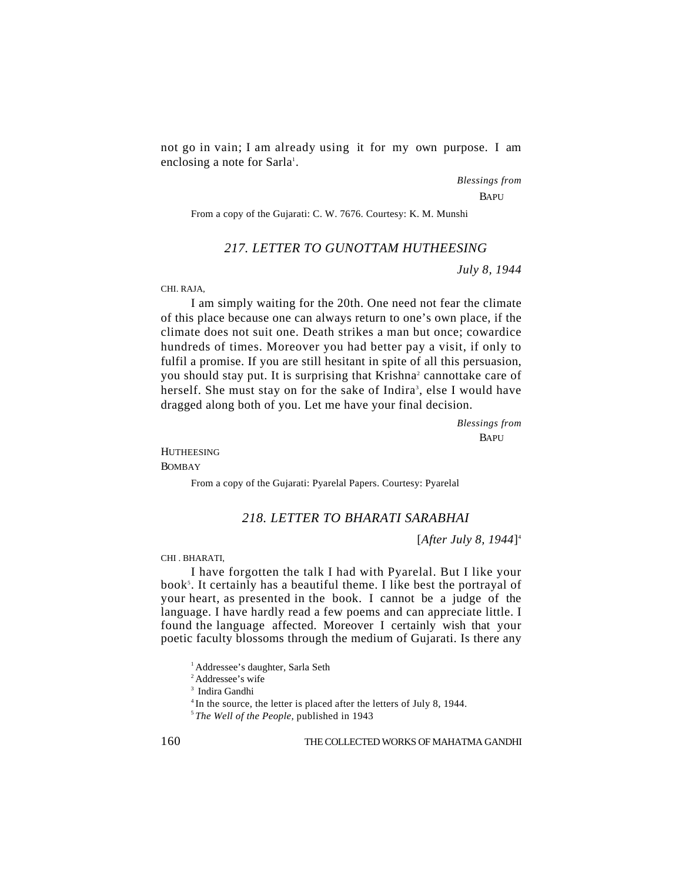not go in vain; I am already using it for my own purpose. I am enclosing a note for Sarla<sup>1</sup>.

*Blessings from*

BAPU

From a copy of the Gujarati: C. W. 7676. Courtesy: K. M. Munshi

## *217. LETTER TO GUNOTTAM HUTHEESING*

*July 8, 1944*

CHI. RAJA,

I am simply waiting for the 20th. One need not fear the climate of this place because one can always return to one's own place, if the climate does not suit one. Death strikes a man but once; cowardice hundreds of times. Moreover you had better pay a visit, if only to fulfil a promise. If you are still hesitant in spite of all this persuasion, you should stay put. It is surprising that Krishna<sup>2</sup> cannottake care of herself. She must stay on for the sake of Indira<sup>3</sup>, else I would have dragged along both of you. Let me have your final decision.

> *Blessings from* BAPU

**HUTHEESING** BOMBAY

From a copy of the Gujarati: Pyarelal Papers. Courtesy: Pyarelal

## *218. LETTER TO BHARATI SARABHAI*

[*After July 8, 1944*] 4

CHI . BHARATI,

I have forgotten the talk I had with Pyarelal. But I like your book<sup>5</sup>. It certainly has a beautiful theme. I like best the portrayal of your heart, as presented in the book. I cannot be a judge of the language. I have hardly read a few poems and can appreciate little. I found the language affected. Moreover I certainly wish that your poetic faculty blossoms through the medium of Gujarati. Is there any

<sup>1</sup> Addressee's daughter, Sarla Seth

<sup>2</sup> Addressee's wife

<sup>3</sup> Indira Gandhi

<sup>4</sup> In the source, the letter is placed after the letters of July 8, 1944.

<sup>5</sup>*The Well of the People,* published in 1943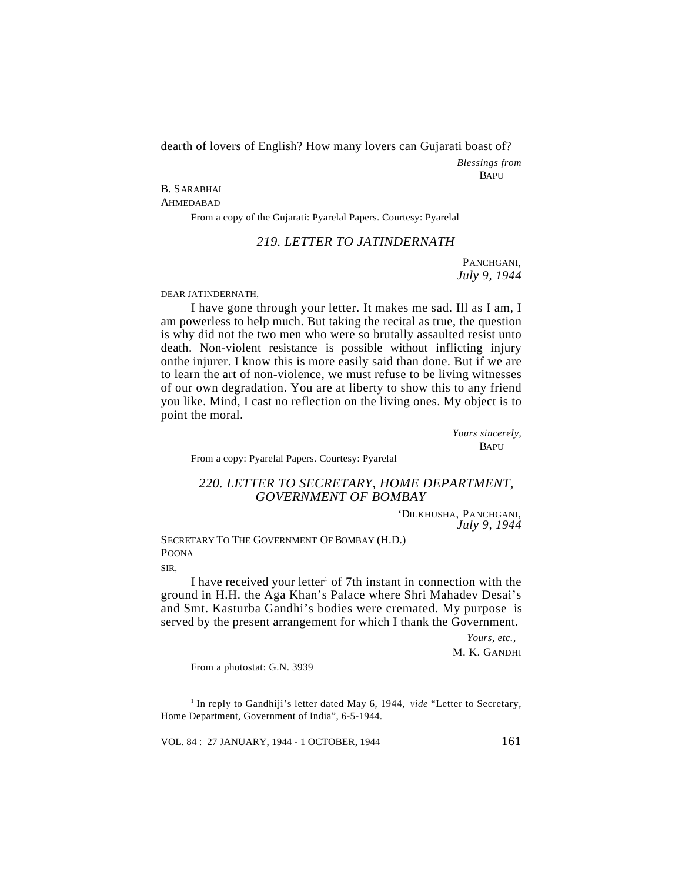dearth of lovers of English? How many lovers can Gujarati boast of?

*Blessings from* **BAPU** 

# B. SARABHAI

AHMEDABAD

From a copy of the Gujarati: Pyarelal Papers. Courtesy: Pyarelal

## *219. LETTER TO JATINDERNATH*

PANCHGANI, *July 9, 1944*

#### DEAR JATINDERNATH,

I have gone through your letter. It makes me sad. Ill as I am, I am powerless to help much. But taking the recital as true, the question is why did not the two men who were so brutally assaulted resist unto death. Non-violent resistance is possible without inflicting injury onthe injurer. I know this is more easily said than done. But if we are to learn the art of non-violence, we must refuse to be living witnesses of our own degradation. You are at liberty to show this to any friend you like. Mind, I cast no reflection on the living ones. My object is to point the moral.

> *Yours sincerely,* **BAPU**

From a copy: Pyarelal Papers. Courtesy: Pyarelal

## *220. LETTER TO SECRETARY, HOME DEPARTMENT, GOVERNMENT OF BOMBAY*

'DILKHUSHA, PANCHGANI, *July 9, 1944*

SECRETARY TO THE GOVERNMENT OF BOMBAY (H.D.) POONA

SIR,

I have received your letter<sup>1</sup> of 7th instant in connection with the ground in H.H. the Aga Khan's Palace where Shri Mahadev Desai's and Smt. Kasturba Gandhi's bodies were cremated. My purpose is served by the present arrangement for which I thank the Government.

> *Yours, etc.,* M. K. GANDHI

From a photostat: G.N. 3939

<sup>1</sup> In reply to Gandhiji's letter dated May 6, 1944, *vide* "Letter to Secretary, Home Department, Government of India", 6-5-1944.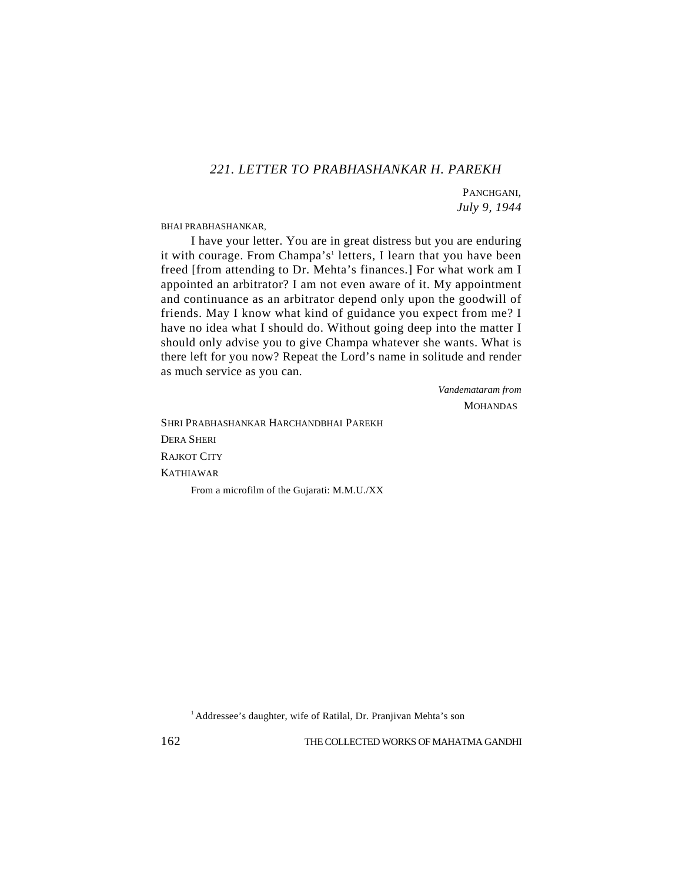# *221. LETTER TO PRABHASHANKAR H. PAREKH*

PANCHGANI, *July 9, 1944*

#### BHAI PRABHASHANKAR,

I have your letter. You are in great distress but you are enduring it with courage. From Champa's<sup>1</sup> letters, I learn that you have been freed [from attending to Dr. Mehta's finances.] For what work am I appointed an arbitrator? I am not even aware of it. My appointment and continuance as an arbitrator depend only upon the goodwill of friends. May I know what kind of guidance you expect from me? I have no idea what I should do. Without going deep into the matter I should only advise you to give Champa whatever she wants. What is there left for you now? Repeat the Lord's name in solitude and render as much service as you can.

> *Vandemataram from* **MOHANDAS**

SHRI PRABHASHANKAR HARCHANDBHAI PAREKH DERA SHERI RAJKOT CITY KATHIAWAR From a microfilm of the Gujarati: M.M.U./XX

<sup>1</sup> Addressee's daughter, wife of Ratilal, Dr. Pranjivan Mehta's son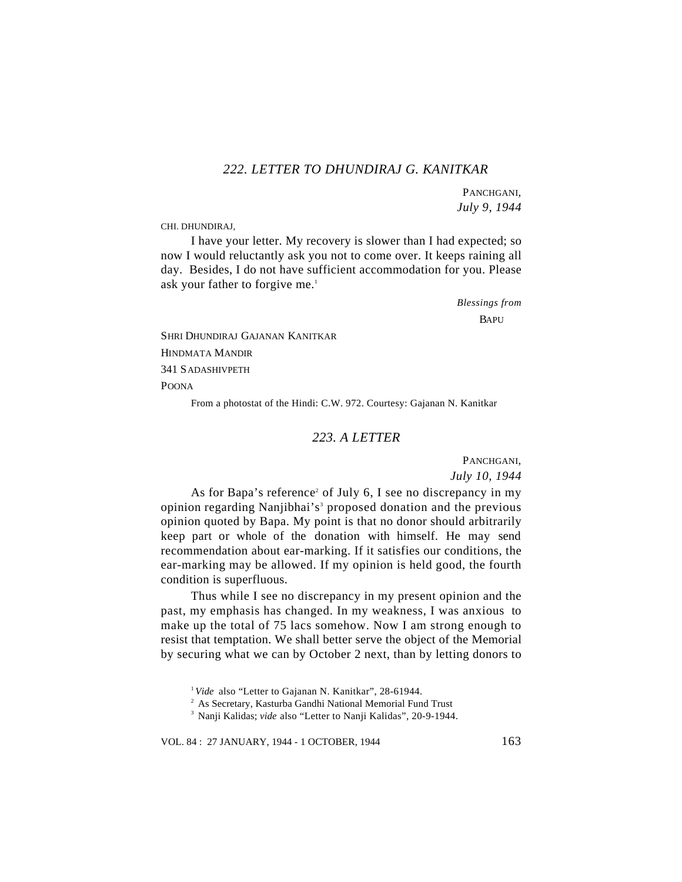## *222. LETTER TO DHUNDIRAJ G. KANITKAR*

PANCHGANI, *July 9, 1944*

CHI. DHUNDIRAJ,

I have your letter. My recovery is slower than I had expected; so now I would reluctantly ask you not to come over. It keeps raining all day. Besides, I do not have sufficient accommodation for you. Please ask your father to forgive me.<sup>1</sup>

> *Blessings from* **BAPU**

SHRI DHUNDIRAJ GAJANAN KANITKAR HINDMATA MANDIR 341 SADASHIVPETH POONA

From a photostat of the Hindi: C.W. 972. Courtesy: Gajanan N. Kanitkar

## *223. A LETTER*

PANCHGANI, *July 10, 1944*

As for Bapa's reference<sup>2</sup> of July 6, I see no discrepancy in my opinion regarding Nanjibhai's<sup>3</sup> proposed donation and the previous opinion quoted by Bapa. My point is that no donor should arbitrarily keep part or whole of the donation with himself. He may send recommendation about ear-marking. If it satisfies our conditions, the ear-marking may be allowed. If my opinion is held good, the fourth condition is superfluous.

Thus while I see no discrepancy in my present opinion and the past, my emphasis has changed. In my weakness, I was anxious to make up the total of 75 lacs somehow. Now I am strong enough to resist that temptation. We shall better serve the object of the Memorial by securing what we can by October 2 next, than by letting donors to

<sup>1</sup> Vide also "Letter to Gajanan N. Kanitkar", 28-61944.

<sup>2</sup> As Secretary, Kasturba Gandhi National Memorial Fund Trust

<sup>3</sup> Nanji Kalidas; *vide* also "Letter to Nanji Kalidas", 20-9-1944.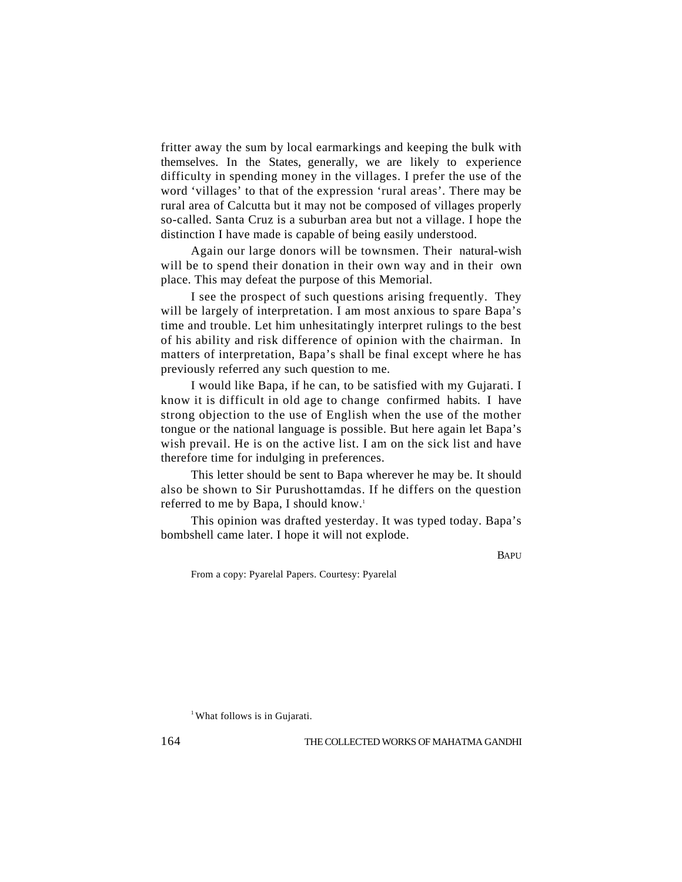fritter away the sum by local earmarkings and keeping the bulk with themselves. In the States, generally, we are likely to experience difficulty in spending money in the villages. I prefer the use of the word 'villages' to that of the expression 'rural areas'. There may be rural area of Calcutta but it may not be composed of villages properly so-called. Santa Cruz is a suburban area but not a village. I hope the distinction I have made is capable of being easily understood.

Again our large donors will be townsmen. Their natural-wish will be to spend their donation in their own way and in their own place. This may defeat the purpose of this Memorial.

I see the prospect of such questions arising frequently. They will be largely of interpretation. I am most anxious to spare Bapa's time and trouble. Let him unhesitatingly interpret rulings to the best of his ability and risk difference of opinion with the chairman. In matters of interpretation, Bapa's shall be final except where he has previously referred any such question to me.

I would like Bapa, if he can, to be satisfied with my Gujarati. I know it is difficult in old age to change confirmed habits. I have strong objection to the use of English when the use of the mother tongue or the national language is possible. But here again let Bapa's wish prevail. He is on the active list. I am on the sick list and have therefore time for indulging in preferences.

This letter should be sent to Bapa wherever he may be. It should also be shown to Sir Purushottamdas. If he differs on the question referred to me by Bapa, I should know.<sup>1</sup>

This opinion was drafted yesterday. It was typed today. Bapa's bombshell came later. I hope it will not explode.

**BAPU** 

From a copy: Pyarelal Papers. Courtesy: Pyarelal

<sup>1</sup> What follows is in Gujarati.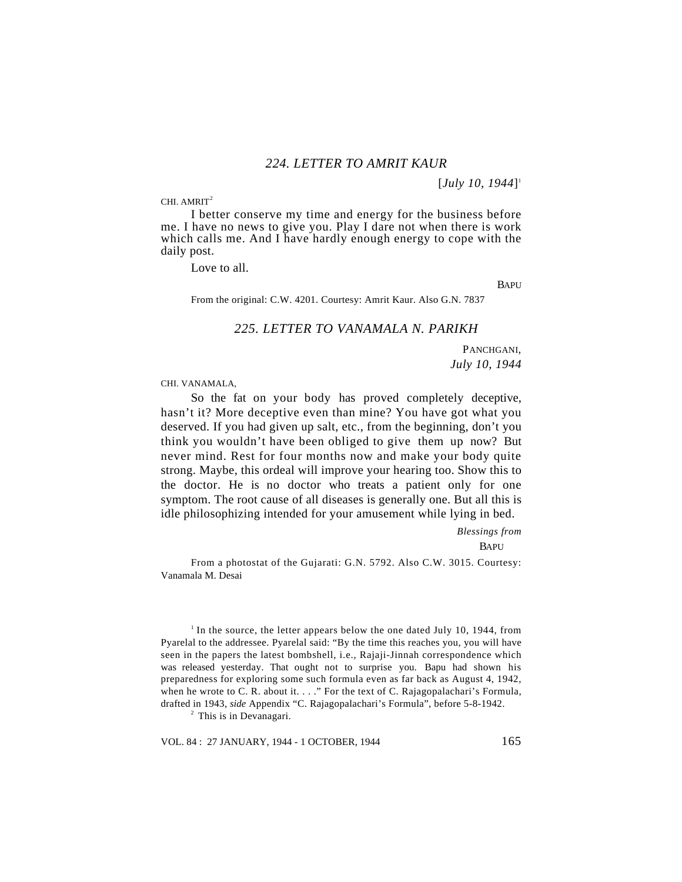[*July 10, 1944*] 1

CHI AMRIT $2$ 

I better conserve my time and energy for the business before me. I have no news to give you. Play I dare not when there is work which calls me. And I have hardly enough energy to cope with the daily post.

Love to all.

**BAPU** 

From the original: C.W. 4201. Courtesy: Amrit Kaur. Also G.N. 7837

#### *225. LETTER TO VANAMALA N. PARIKH*

PANCHGANI, *July 10, 1944*

CHI. VANAMALA,

So the fat on your body has proved completely deceptive, hasn't it? More deceptive even than mine? You have got what you deserved. If you had given up salt, etc., from the beginning, don't you think you wouldn't have been obliged to give them up now? But never mind. Rest for four months now and make your body quite strong. Maybe, this ordeal will improve your hearing too. Show this to the doctor. He is no doctor who treats a patient only for one symptom. The root cause of all diseases is generally one. But all this is idle philosophizing intended for your amusement while lying in bed.

*Blessings from*

BAPU

From a photostat of the Gujarati: G.N. 5792. Also C.W. 3015. Courtesy: Vanamala M. Desai

 $1$  In the source, the letter appears below the one dated July 10, 1944, from Pyarelal to the addressee. Pyarelal said: "By the time this reaches you, you will have seen in the papers the latest bombshell, i.e., Rajaji-Jinnah correspondence which was released yesterday. That ought not to surprise you. Bapu had shown his preparedness for exploring some such formula even as far back as August 4, 1942, when he wrote to C. R. about it. . . . " For the text of C. Rajagopalachari's Formula, drafted in 1943, *side* Appendix "C. Rajagopalachari's Formula", before 5-8-1942.

<sup>2</sup> This is in Devanagari.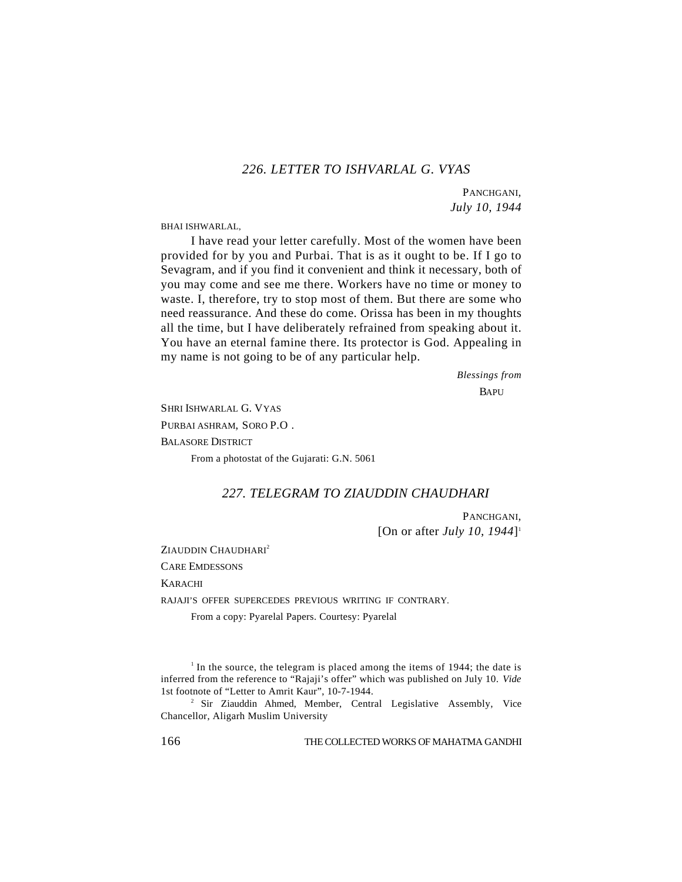## *226. LETTER TO ISHVARLAL G. VYAS*

PANCHGANI, *July 10, 1944*

#### BHAI ISHWARLAL,

I have read your letter carefully. Most of the women have been provided for by you and Purbai. That is as it ought to be. If I go to Sevagram, and if you find it convenient and think it necessary, both of you may come and see me there. Workers have no time or money to waste. I, therefore, try to stop most of them. But there are some who need reassurance. And these do come. Orissa has been in my thoughts all the time, but I have deliberately refrained from speaking about it. You have an eternal famine there. Its protector is God. Appealing in my name is not going to be of any particular help.

> *Blessings from* **BAPU**

SHRI ISHWARLAL G. VYAS PURBAI ASHRAM, SORO P.O . BALASORE DISTRICT

From a photostat of the Gujarati: G.N. 5061

## *227. TELEGRAM TO ZIAUDDIN CHAUDHARI*

PANCHGANI, [On or after *July 10, 1944*] 1

ZIAUDDIN CHAUDHARI<sup>2</sup>

CARE EMDESSONS

KARACHI

RAJAJI'S OFFER SUPERCEDES PREVIOUS WRITING IF CONTRARY.

From a copy: Pyarelal Papers. Courtesy: Pyarelal

 $1$  In the source, the telegram is placed among the items of 1944; the date is inferred from the reference to "Rajaji's offer" which was published on July 10. *Vide* 1st footnote of "Letter to Amrit Kaur", 10-7-1944.

<sup>2</sup> Sir Ziauddin Ahmed, Member, Central Legislative Assembly, Vice Chancellor, Aligarh Muslim University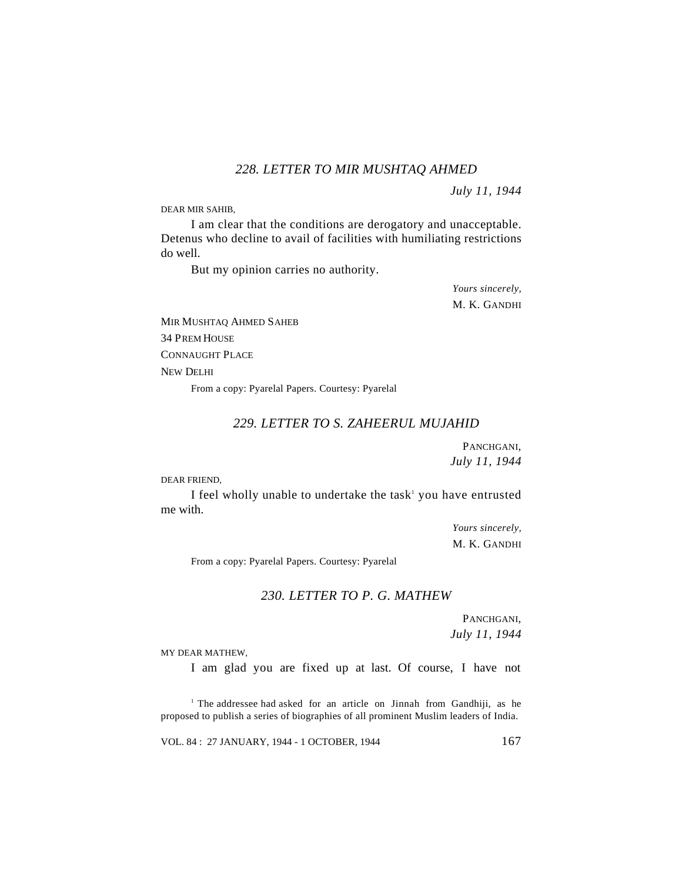## *228. LETTER TO MIR MUSHTAQ AHMED*

*July 11, 1944*

DEAR MIR SAHIB,

I am clear that the conditions are derogatory and unacceptable. Detenus who decline to avail of facilities with humiliating restrictions do well.

But my opinion carries no authority.

*Yours sincerely,* M. K. GANDHI

MIR MUSHTAQ AHMED SAHEB 34 PREM HOUSE CONNAUGHT PLACE NEW DELHI From a copy: Pyarelal Papers. Courtesy: Pyarelal

# *229. LETTER TO S. ZAHEERUL MUJAHID*

PANCHGANI, *July 11, 1944*

DEAR FRIEND,

I feel wholly unable to undertake the task<sup>1</sup> you have entrusted me with.

> *Yours sincerely,* M. K. GANDHI

From a copy: Pyarelal Papers. Courtesy: Pyarelal

## *230. LETTER TO P. G. MATHEW*

PANCHGANI, *July 11, 1944*

MY DEAR MATHEW,

I am glad you are fixed up at last. Of course, I have not

 $1$  The addressee had asked for an article on Jinnah from Gandhiji, as he proposed to publish a series of biographies of all prominent Muslim leaders of India.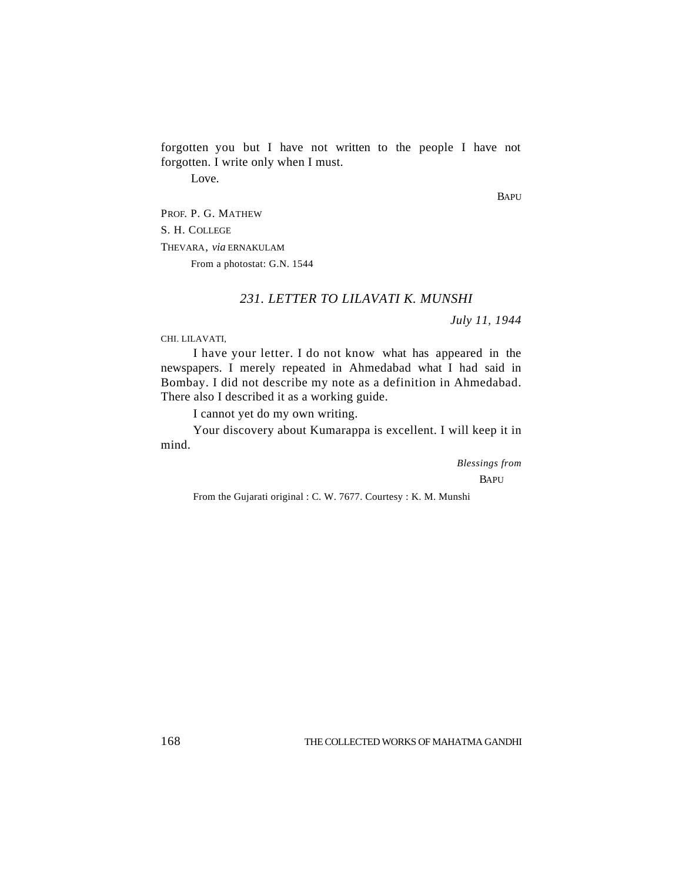forgotten you but I have not written to the people I have not forgotten. I write only when I must.

Love.

BAPU

PROF. P. G. MATHEW S. H. COLLEGE THEVARA, *via* ERNAKULAM From a photostat: G.N. 1544

# *231. LETTER TO LILAVATI K. MUNSHI*

*July 11*, *1944*

#### CHI. LILAVATI,

I have your letter. I do not know what has appeared in the newspapers. I merely repeated in Ahmedabad what I had said in Bombay. I did not describe my note as a definition in Ahmedabad. There also I described it as a working guide.

I cannot yet do my own writing.

Your discovery about Kumarappa is excellent. I will keep it in mind.

*Blessings from*

**BAPU** 

From the Gujarati original : C. W. 7677. Courtesy : K. M. Munshi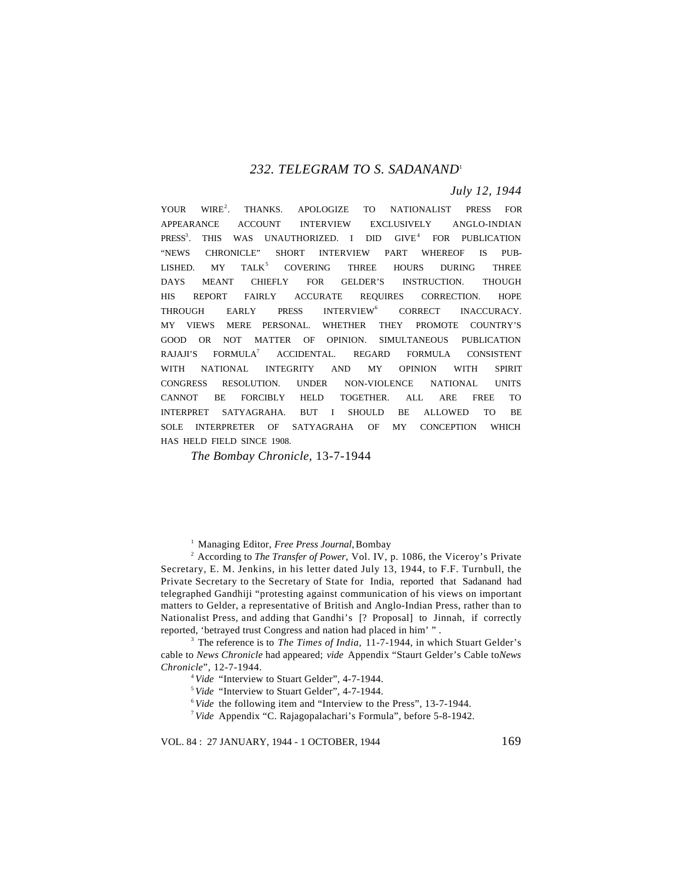## *232. TELEGRAM TO S. SADANAND*<sup>1</sup>

#### *July 12, 1944*

YOUR WIRE<sup>2</sup>. . THANKS. APOLOGIZE TO NATIONALIST PRESS FOR APPEARANCE ACCOUNT INTERVIEW EXCLUSIVELY ANGLO-INDIAN  $PRESS<sup>3</sup>$ THIS WAS UNAUTHORIZED. I DID GIVE<sup>4</sup> FOR PUBLICATION "NEWS CHRONICLE" SHORT INTERVIEW PART WHEREOF IS PUB- $LISHED.$  MY  $TALK<sup>5</sup>$  COVERING THREE HOURS DURING THREE DAYS MEANT CHIEFLY FOR GELDER'S INSTRUCTION. THOUGH HIS REPORT FAIRLY ACCURATE REQUIRES CORRECTION. HOPE THROUGH EARLY PRESS INTERVIEW<sup>6</sup> CORRECT INACCURACY. MY VIEWS MERE PERSONAL. WHETHER THEY PROMOTE COUNTRY'S GOOD OR NOT MATTER OF OPINION. SIMULTANEOUS PUBLICATION RAJAJI'S FORMULA<sup>7</sup> ACCIDENTAL. REGARD FORMULA CONSISTENT WITH NATIONAL INTEGRITY AND MY OPINION WITH SPIRIT CONGRESS RESOLUTION. UNDER NON-VIOLENCE NATIONAL UNITS CANNOT BE FORCIBLY HELD TOGETHER. ALL ARE FREE TO INTERPRET SATYAGRAHA. BUT I SHOULD BE ALLOWED TO BE SOLE INTERPRETER OF SATYAGRAHA OF MY CONCEPTION WHICH HAS HELD FIELD SINCE 1908.

*The Bombay Chronicle,* 13-7-1944

<sup>1</sup> Managing Editor, *Free Press Journal*, Bombay

<sup>2</sup> According to *The Transfer of Power*, Vol. IV, p. 1086, the Viceroy's Private Secretary, E. M. Jenkins, in his letter dated July 13, 1944, to F.F. Turnbull, the Private Secretary to the Secretary of State for India, reported that Sadanand had telegraphed Gandhiji "protesting against communication of his views on important matters to Gelder, a representative of British and Anglo-Indian Press, rather than to Nationalist Press, and adding that Gandhi's [? Proposal] to Jinnah, if correctly reported, 'betrayed trust Congress and nation had placed in him' " .

<sup>3</sup> The reference is to *The Times of India*, 11-7-1944, in which Stuart Gelder's cable to *News Chronicle* had appeared; *vide* Appendix "Staurt Gelder's Cable to*News Chronicle*", 12-7-1944.

<sup>4</sup>*Vide* "Interview to Stuart Gelder", 4-7-1944.

<sup>5</sup>*Vide* "Interview to Stuart Gelder", 4-7-1944.

<sup>6</sup>*Vide* the following item and "Interview to the Press", 13-7-1944.

<sup>7</sup>*Vide* Appendix "C. Rajagopalachari's Formula", before 5-8-1942.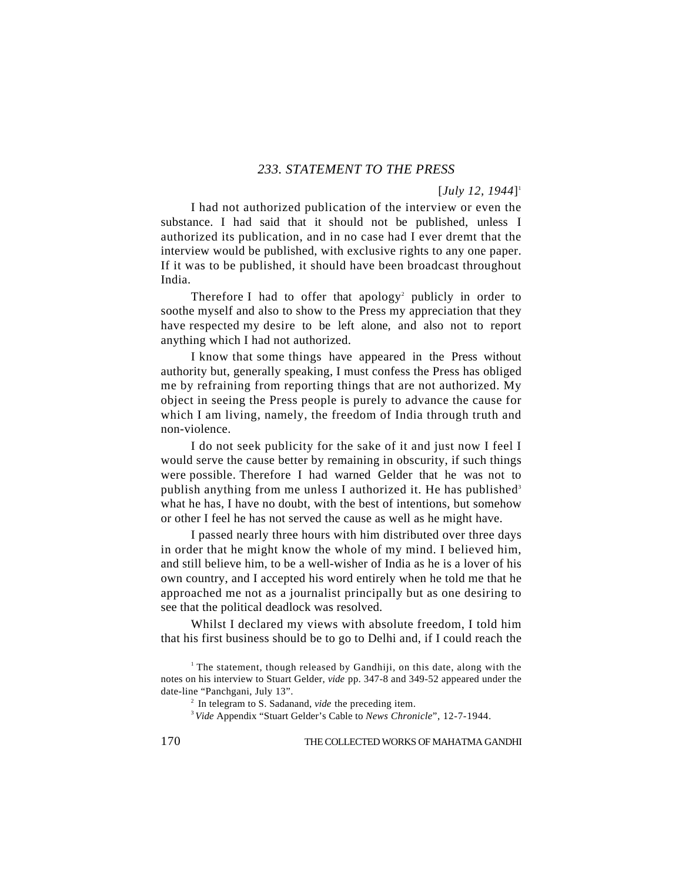## *233. STATEMENT TO THE PRESS*

## [*July 12, 1944*] 1

I had not authorized publication of the interview or even the substance. I had said that it should not be published, unless I authorized its publication, and in no case had I ever dremt that the interview would be published, with exclusive rights to any one paper. If it was to be published, it should have been broadcast throughout India.

Therefore I had to offer that apology<sup>2</sup> publicly in order to soothe myself and also to show to the Press my appreciation that they have respected my desire to be left alone, and also not to report anything which I had not authorized.

I know that some things have appeared in the Press without authority but, generally speaking, I must confess the Press has obliged me by refraining from reporting things that are not authorized. My object in seeing the Press people is purely to advance the cause for which I am living, namely, the freedom of India through truth and non-violence.

I do not seek publicity for the sake of it and just now I feel I would serve the cause better by remaining in obscurity, if such things were possible. Therefore I had warned Gelder that he was not to publish anything from me unless I authorized it. He has published<sup>3</sup> what he has, I have no doubt, with the best of intentions, but somehow or other I feel he has not served the cause as well as he might have.

I passed nearly three hours with him distributed over three days in order that he might know the whole of my mind. I believed him, and still believe him, to be a well-wisher of India as he is a lover of his own country, and I accepted his word entirely when he told me that he approached me not as a journalist principally but as one desiring to see that the political deadlock was resolved.

Whilst I declared my views with absolute freedom, I told him that his first business should be to go to Delhi and, if I could reach the

<sup>&</sup>lt;sup>1</sup> The statement, though released by Gandhiji, on this date, along with the notes on his interview to Stuart Gelder, *vide* pp. 347-8 and 349-52 appeared under the date-line "Panchgani, July 13".

<sup>&</sup>lt;sup>2</sup> In telegram to S. Sadanand, *vide* the preceding item.

<sup>3</sup>*Vide* Appendix "Stuart Gelder's Cable to *News Chronicle*", 12-7-1944.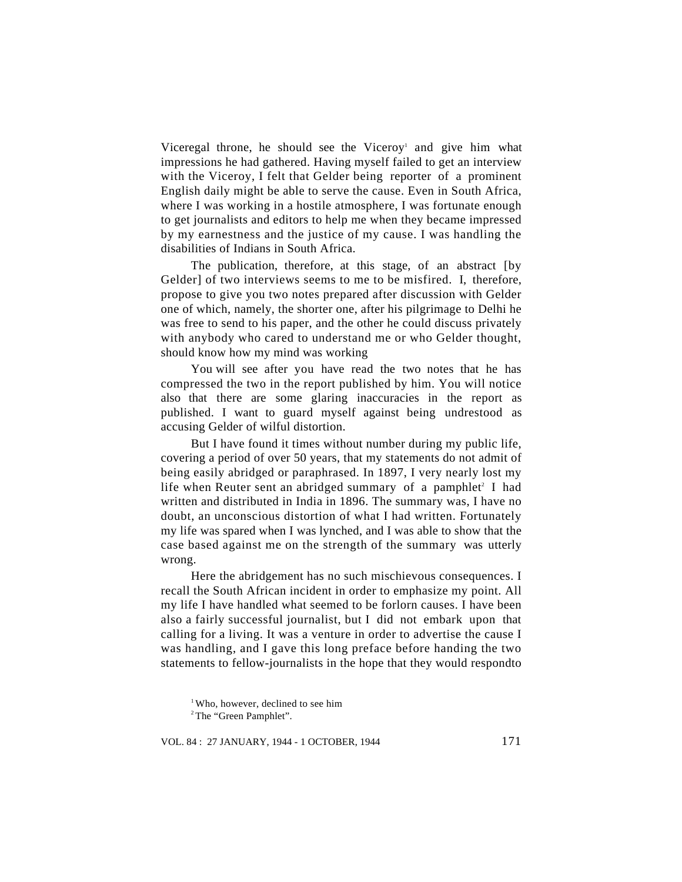Viceregal throne, he should see the Viceroy' and give him what impressions he had gathered. Having myself failed to get an interview with the Viceroy, I felt that Gelder being reporter of a prominent English daily might be able to serve the cause. Even in South Africa, where I was working in a hostile atmosphere, I was fortunate enough to get journalists and editors to help me when they became impressed by my earnestness and the justice of my cause. I was handling the disabilities of Indians in South Africa.

The publication, therefore, at this stage, of an abstract [by Gelder] of two interviews seems to me to be misfired. I, therefore, propose to give you two notes prepared after discussion with Gelder one of which, namely, the shorter one, after his pilgrimage to Delhi he was free to send to his paper, and the other he could discuss privately with anybody who cared to understand me or who Gelder thought, should know how my mind was working

You will see after you have read the two notes that he has compressed the two in the report published by him. You will notice also that there are some glaring inaccuracies in the report as published. I want to guard myself against being undrestood as accusing Gelder of wilful distortion.

But I have found it times without number during my public life, covering a period of over 50 years, that my statements do not admit of being easily abridged or paraphrased. In 1897, I very nearly lost my life when Reuter sent an abridged summary of a pamphlet<sup>2</sup> I had written and distributed in India in 1896. The summary was, I have no doubt, an unconscious distortion of what I had written. Fortunately my life was spared when I was lynched, and I was able to show that the case based against me on the strength of the summary was utterly wrong.

Here the abridgement has no such mischievous consequences. I recall the South African incident in order to emphasize my point. All my life I have handled what seemed to be forlorn causes. I have been also a fairly successful journalist, but I did not embark upon that calling for a living. It was a venture in order to advertise the cause I was handling, and I gave this long preface before handing the two statements to fellow-journalists in the hope that they would respondto

<sup>&</sup>lt;sup>1</sup>Who, however, declined to see him

<sup>&</sup>lt;sup>2</sup> The "Green Pamphlet".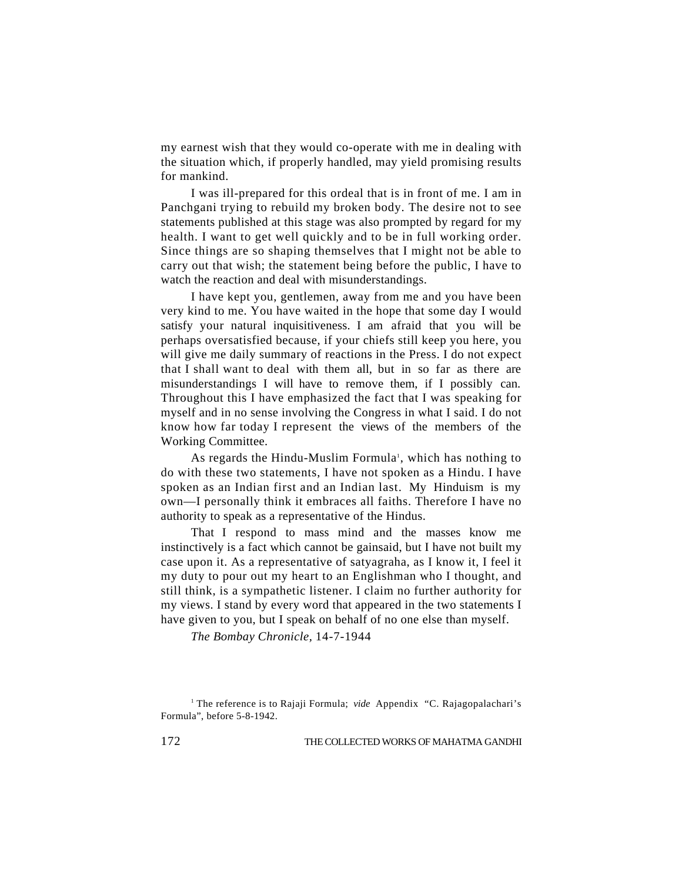my earnest wish that they would co-operate with me in dealing with the situation which, if properly handled, may yield promising results for mankind.

I was ill-prepared for this ordeal that is in front of me. I am in Panchgani trying to rebuild my broken body. The desire not to see statements published at this stage was also prompted by regard for my health. I want to get well quickly and to be in full working order. Since things are so shaping themselves that I might not be able to carry out that wish; the statement being before the public, I have to watch the reaction and deal with misunderstandings.

I have kept you, gentlemen, away from me and you have been very kind to me. You have waited in the hope that some day I would satisfy your natural inquisitiveness. I am afraid that you will be perhaps oversatisfied because, if your chiefs still keep you here, you will give me daily summary of reactions in the Press. I do not expect that I shall want to deal with them all, but in so far as there are misunderstandings I will have to remove them, if I possibly can. Throughout this I have emphasized the fact that I was speaking for myself and in no sense involving the Congress in what I said. I do not know how far today I represent the views of the members of the Working Committee.

As regards the Hindu-Muslim Formula<sup>1</sup>, which has nothing to do with these two statements, I have not spoken as a Hindu. I have spoken as an Indian first and an Indian last. My Hinduism is my own—I personally think it embraces all faiths. Therefore I have no authority to speak as a representative of the Hindus.

That I respond to mass mind and the masses know me instinctively is a fact which cannot be gainsaid, but I have not built my case upon it. As a representative of satyagraha, as I know it, I feel it my duty to pour out my heart to an Englishman who I thought, and still think, is a sympathetic listener. I claim no further authority for my views. I stand by every word that appeared in the two statements I have given to you, but I speak on behalf of no one else than myself.

*The Bombay Chronicle,* 14-7-1944

<sup>&</sup>lt;sup>1</sup> The reference is to Rajaji Formula; *vide* Appendix "C. Rajagopalachari's Formula", before 5-8-1942.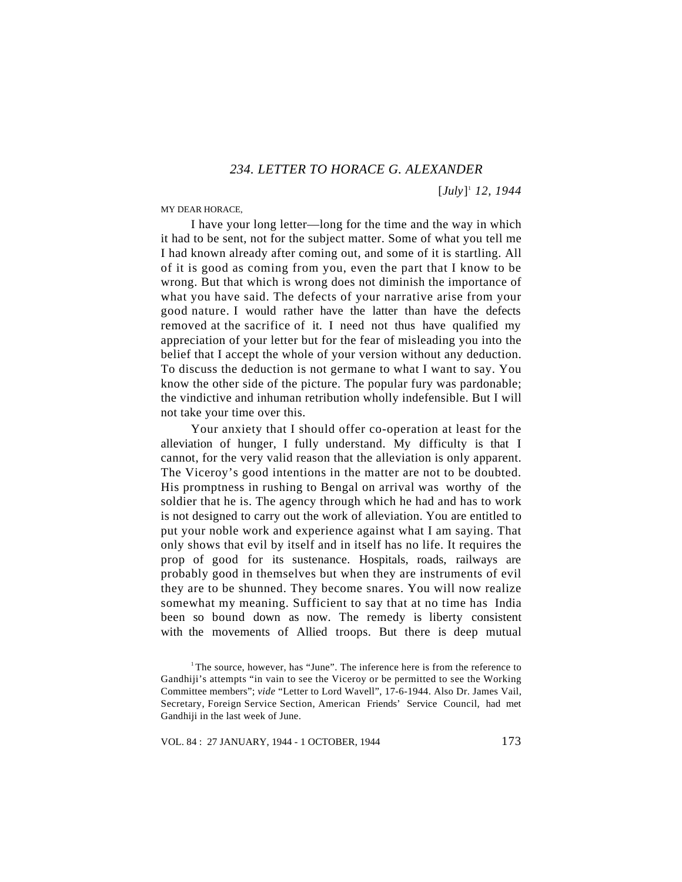## *234. LETTER TO HORACE G. ALEXANDER*

[*July*] 1  *12, 1944*

MY DEAR HORACE,

I have your long letter—long for the time and the way in which it had to be sent, not for the subject matter. Some of what you tell me I had known already after coming out, and some of it is startling. All of it is good as coming from you, even the part that I know to be wrong. But that which is wrong does not diminish the importance of what you have said. The defects of your narrative arise from your good nature. I would rather have the latter than have the defects removed at the sacrifice of it. I need not thus have qualified my appreciation of your letter but for the fear of misleading you into the belief that I accept the whole of your version without any deduction. To discuss the deduction is not germane to what I want to say. You know the other side of the picture. The popular fury was pardonable; the vindictive and inhuman retribution wholly indefensible. But I will not take your time over this.

Your anxiety that I should offer co-operation at least for the alleviation of hunger, I fully understand. My difficulty is that I cannot, for the very valid reason that the alleviation is only apparent. The Viceroy's good intentions in the matter are not to be doubted. His promptness in rushing to Bengal on arrival was worthy of the soldier that he is. The agency through which he had and has to work is not designed to carry out the work of alleviation. You are entitled to put your noble work and experience against what I am saying. That only shows that evil by itself and in itself has no life. It requires the prop of good for its sustenance. Hospitals, roads, railways are probably good in themselves but when they are instruments of evil they are to be shunned. They become snares. You will now realize somewhat my meaning. Sufficient to say that at no time has India been so bound down as now. The remedy is liberty consistent with the movements of Allied troops. But there is deep mutual

 $1$ <sup>1</sup>The source, however, has "June". The inference here is from the reference to Gandhiji's attempts "in vain to see the Viceroy or be permitted to see the Working Committee members"; *vide* "Letter to Lord Wavell", 17-6-1944. Also Dr. James Vail, Secretary, Foreign Service Section, American Friends' Service Council, had met Gandhiji in the last week of June.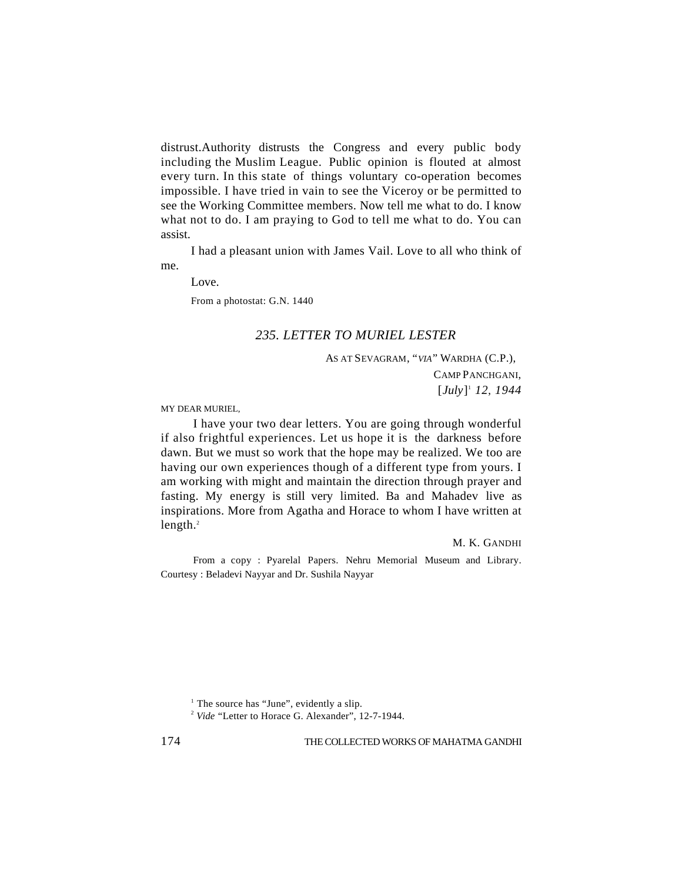distrust.Authority distrusts the Congress and every public body including the Muslim League. Public opinion is flouted at almost every turn. In this state of things voluntary co-operation becomes impossible. I have tried in vain to see the Viceroy or be permitted to see the Working Committee members. Now tell me what to do. I know what not to do. I am praying to God to tell me what to do. You can assist.

I had a pleasant union with James Vail. Love to all who think of me.

Love.

From a photostat: G.N. 1440

# *235. LETTER TO MURIEL LESTER*

AS AT SEVAGRAM, "*VIA*" WARDHA (C.P.), CAMP PANCHGANI,

[*July*] 1  *12*, *1944*

MY DEAR MURIEL,

I have your two dear letters. You are going through wonderful if also frightful experiences. Let us hope it is the darkness before dawn. But we must so work that the hope may be realized. We too are having our own experiences though of a different type from yours. I am working with might and maintain the direction through prayer and fasting. My energy is still very limited. Ba and Mahadev live as inspirations. More from Agatha and Horace to whom I have written at length. $2$ 

M. K. GANDHI

From a copy : Pyarelal Papers. Nehru Memorial Museum and Library. Courtesy : Beladevi Nayyar and Dr. Sushila Nayyar

<sup>&</sup>lt;sup>1</sup> The source has "June", evidently a slip.

<sup>2</sup> *Vide* "Letter to Horace G. Alexander", 12-7-1944.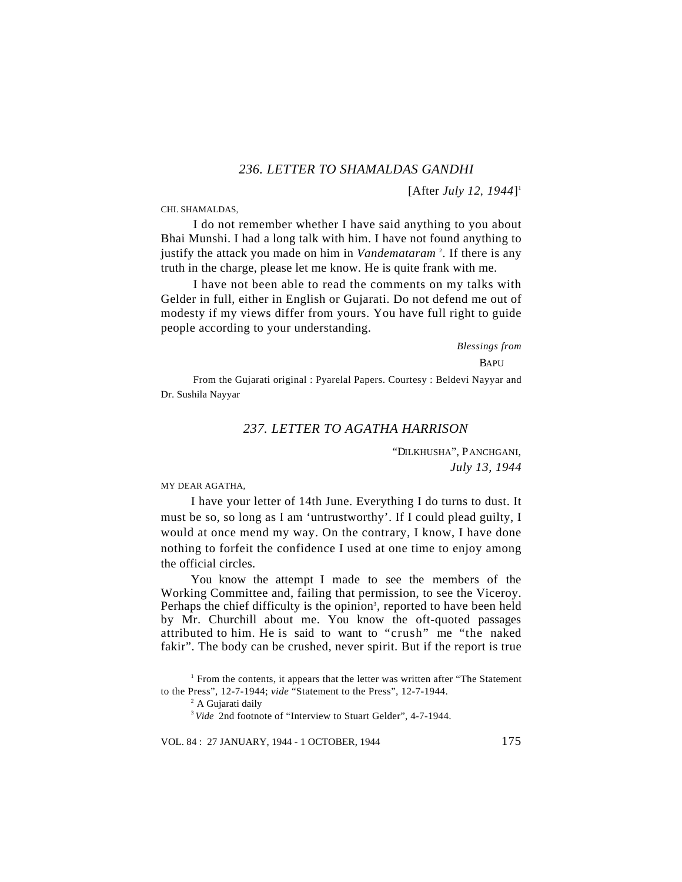## *236. LETTER TO SHAMALDAS GANDHI*

[After *July 12*, *1944*] 1

CHI. SHAMALDAS,

I do not remember whether I have said anything to you about Bhai Munshi. I had a long talk with him. I have not found anything to justify the attack you made on him in *Vandemataram*<sup>2</sup>. If there is any truth in the charge, please let me know. He is quite frank with me.

I have not been able to read the comments on my talks with Gelder in full, either in English or Gujarati. Do not defend me out of modesty if my views differ from yours. You have full right to guide people according to your understanding.

*Blessings from*

BAPU

From the Gujarati original : Pyarelal Papers. Courtesy : Beldevi Nayyar and Dr. Sushila Nayyar

## *237. LETTER TO AGATHA HARRISON*

"DILKHUSHA", PANCHGANI, *July 13, 1944*

MY DEAR AGATHA,

I have your letter of 14th June. Everything I do turns to dust. It must be so, so long as I am 'untrustworthy'. If I could plead guilty, I would at once mend my way. On the contrary, I know, I have done nothing to forfeit the confidence I used at one time to enjoy among the official circles.

You know the attempt I made to see the members of the Working Committee and, failing that permission, to see the Viceroy. Perhaps the chief difficulty is the opinion<sup>3</sup>, reported to have been held by Mr. Churchill about me. You know the oft-quoted passages attributed to him. He is said to want to "crush" me "the naked fakir". The body can be crushed, never spirit. But if the report is true

<sup>&</sup>lt;sup>1</sup> From the contents, it appears that the letter was written after "The Statement" to the Press", 12-7-1944; *vide* "Statement to the Press", 12-7-1944.

<sup>&</sup>lt;sup>2</sup> A Gujarati daily

<sup>3</sup>*Vide* 2nd footnote of "Interview to Stuart Gelder", 4-7-1944.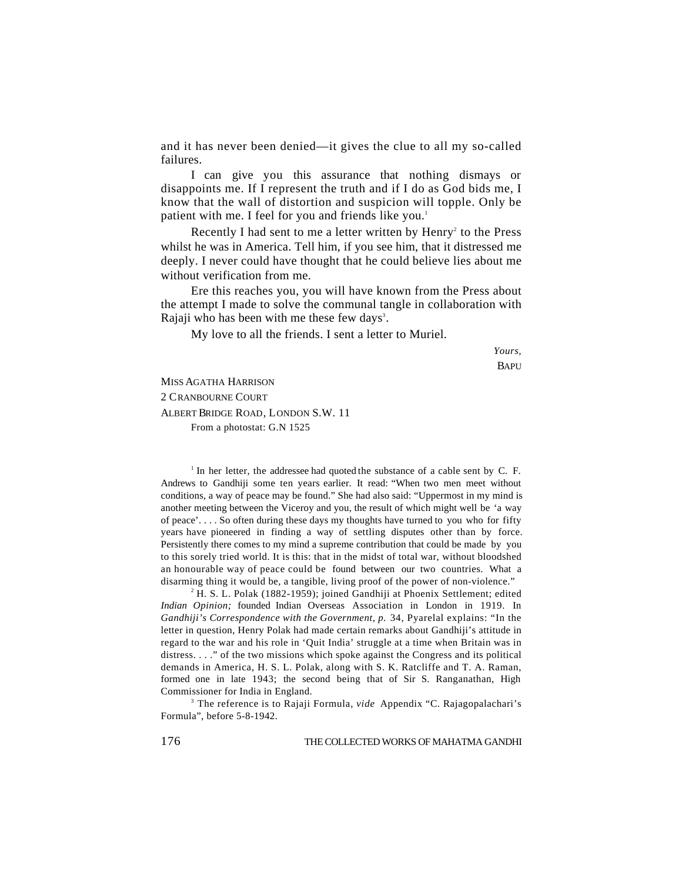and it has never been denied—it gives the clue to all my so-called failures.

I can give you this assurance that nothing dismays or disappoints me. If I represent the truth and if I do as God bids me, I know that the wall of distortion and suspicion will topple. Only be patient with me. I feel for you and friends like you.<sup>1</sup>

Recently I had sent to me a letter written by Henry<sup>2</sup> to the Press whilst he was in America. Tell him, if you see him, that it distressed me deeply. I never could have thought that he could believe lies about me without verification from me.

Ere this reaches you, you will have known from the Press about the attempt I made to solve the communal tangle in collaboration with Rajaji who has been with me these few days<sup>3</sup>.

My love to all the friends. I sent a letter to Muriel.

*Yours,* BAPU

MISS AGATHA HARRISON 2 CRANBOURNE COURT ALBERT BRIDGE ROAD, LONDON S.W. 11 From a photostat: G.N 1525

 $<sup>1</sup>$  In her letter, the addressee had quoted the substance of a cable sent by C. F.</sup> Andrews to Gandhiji some ten years earlier. It read: "When two men meet without conditions, a way of peace may be found." She had also said: "Uppermost in my mind is another meeting between the Viceroy and you, the result of which might well be 'a way of peace'. . . . So often during these days my thoughts have turned to you who for fifty years have pioneered in finding a way of settling disputes other than by force. Persistently there comes to my mind a supreme contribution that could be made by you to this sorely tried world. It is this: that in the midst of total war, without bloodshed an honourable way of peace could be found between our two countries. What a disarming thing it would be, a tangible, living proof of the power of non-violence."

 $2$ H. S. L. Polak (1882-1959); joined Gandhiji at Phoenix Settlement; edited *Indian Opinion;* founded Indian Overseas Association in London in 1919. In *Gandhiji's Correspondence with the Government, p.* 34, Pyarelal explains: "In the letter in question, Henry Polak had made certain remarks about Gandhiji's attitude in regard to the war and his role in 'Quit India' struggle at a time when Britain was in distress. . . ." of the two missions which spoke against the Congress and its political demands in America, H. S. L. Polak, along with S. K. Ratcliffe and T. A. Raman, formed one in late 1943; the second being that of Sir S. Ranganathan, High Commissioner for India in England.

<sup>3</sup> The reference is to Rajaji Formula, vide Appendix "C. Rajagopalachari's Formula", before 5-8-1942.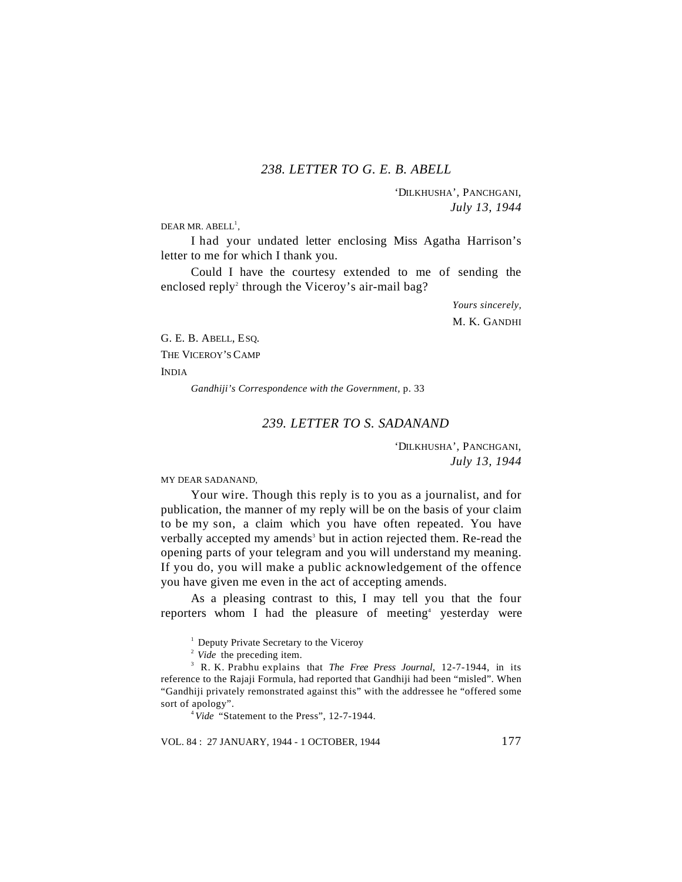'DILKHUSHA', PANCHGANI, *July 13, 1944*

DEAR MR.  $\mathrm{ABELL}^{1}$ ,

I had your undated letter enclosing Miss Agatha Harrison's letter to me for which I thank you.

Could I have the courtesy extended to me of sending the enclosed reply<sup>2</sup> through the Viceroy's air-mail bag?

> *Yours sincerely,* M. K. GANDHI

G. E. B. ABELL, ESQ. THE VICEROY'S CAMP INDIA

*Gandhiji's Correspondence with the Government,* p. 33

## *239. LETTER TO S. SADANAND*

'DILKHUSHA', PANCHGANI, *July 13, 1944*

MY DEAR SADANAND,

Your wire. Though this reply is to you as a journalist, and for publication, the manner of my reply will be on the basis of your claim to be my son, a claim which you have often repeated. You have verbally accepted my amends<sup>3</sup> but in action rejected them. Re-read the opening parts of your telegram and you will understand my meaning. If you do, you will make a public acknowledgement of the offence you have given me even in the act of accepting amends.

As a pleasing contrast to this, I may tell you that the four reporters whom I had the pleasure of meeting<sup>4</sup> yesterday were

 $<sup>1</sup>$  Deputy Private Secretary to the Viceroy</sup>

<sup>2</sup>*Vide* the preceding item.

<sup>3</sup> R. K. Prabhu explains that *The Free Press Journal*, 12-7-1944, in its reference to the Rajaji Formula, had reported that Gandhiji had been "misled". When "Gandhiji privately remonstrated against this" with the addressee he "offered some sort of apology".

<sup>4</sup>*Vide* "Statement to the Press", 12-7-1944.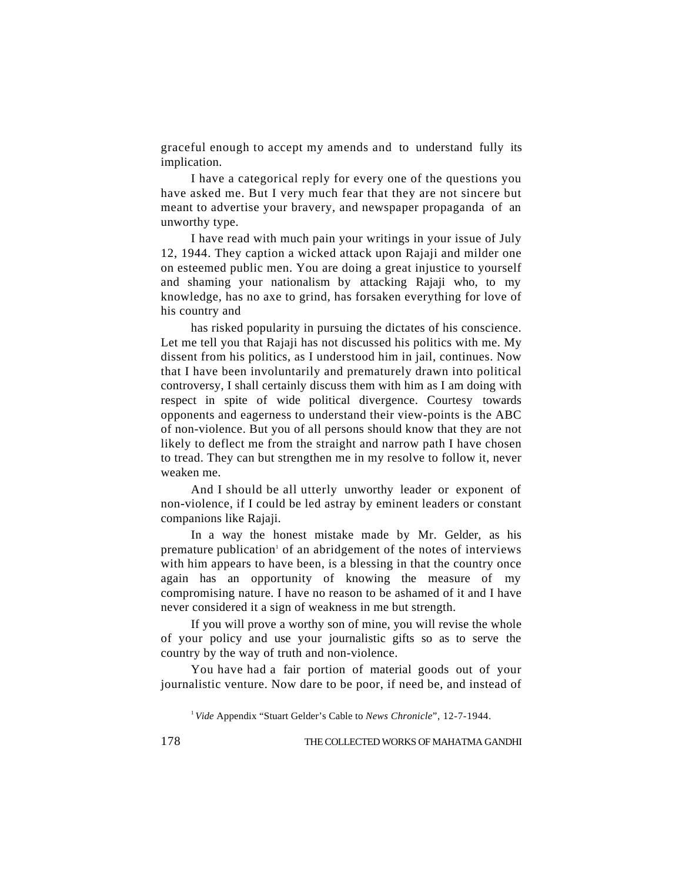graceful enough to accept my amends and to understand fully its implication.

I have a categorical reply for every one of the questions you have asked me. But I very much fear that they are not sincere but meant to advertise your bravery, and newspaper propaganda of an unworthy type.

I have read with much pain your writings in your issue of July 12, 1944. They caption a wicked attack upon Rajaji and milder one on esteemed public men. You are doing a great injustice to yourself and shaming your nationalism by attacking Rajaji who, to my knowledge, has no axe to grind, has forsaken everything for love of his country and

has risked popularity in pursuing the dictates of his conscience. Let me tell you that Rajaji has not discussed his politics with me. My dissent from his politics, as I understood him in jail, continues. Now that I have been involuntarily and prematurely drawn into political controversy, I shall certainly discuss them with him as I am doing with respect in spite of wide political divergence. Courtesy towards opponents and eagerness to understand their view-points is the ABC of non-violence. But you of all persons should know that they are not likely to deflect me from the straight and narrow path I have chosen to tread. They can but strengthen me in my resolve to follow it, never weaken me.

And I should be all utterly unworthy leader or exponent of non-violence, if I could be led astray by eminent leaders or constant companions like Rajaji.

In a way the honest mistake made by Mr. Gelder, as his premature publication<sup>1</sup> of an abridgement of the notes of interviews with him appears to have been, is a blessing in that the country once again has an opportunity of knowing the measure of my compromising nature. I have no reason to be ashamed of it and I have never considered it a sign of weakness in me but strength.

If you will prove a worthy son of mine, you will revise the whole of your policy and use your journalistic gifts so as to serve the country by the way of truth and non-violence.

You have had a fair portion of material goods out of your journalistic venture. Now dare to be poor, if need be, and instead of

<sup>1</sup>*Vide* Appendix "Stuart Gelder's Cable to *News Chronicle*", 12-7-1944.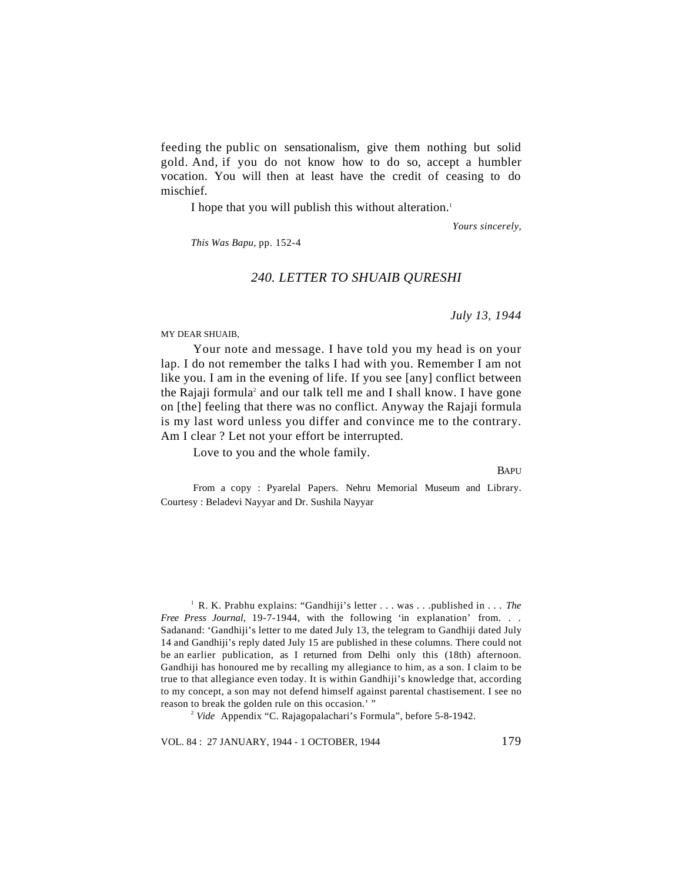feeding the public on sensationalism, give them nothing but solid gold. And, if you do not know how to do so, accept a humbler vocation. You will then at least have the credit of ceasing to do mischief.

I hope that you will publish this without alteration.<sup>1</sup>

*Yours sincerely,*

*This Was Bapu,* pp. 152-4

# *240. LETTER TO SHUAIB QURESHI*

*July 13*, *1944*

MY DEAR SHUAIB,

Your note and message. I have told you my head is on your lap. I do not remember the talks I had with you. Remember I am not like you. I am in the evening of life. If you see [any] conflict between the Rajaji formula<sup>2</sup> and our talk tell me and I shall know. I have gone on [the] feeling that there was no conflict. Anyway the Rajaji formula is my last word unless you differ and convince me to the contrary. Am I clear ? Let not your effort be interrupted.

Love to you and the whole family.

**BAPU** 

From a copy : Pyarelal Papers. Nehru Memorial Museum and Library. Courtesy : Beladevi Nayyar and Dr. Sushila Nayyar

<sup>1</sup> R. K. Prabhu explains: "Gandhiji's letter  $\dots$  was  $\dots$  published in  $\dots$  *The Free Press Journal,* 19-7-1944, with the following 'in explanation' from. . . Sadanand: 'Gandhiji's letter to me dated July 13, the telegram to Gandhiji dated July 14 and Gandhiji's reply dated July 15 are published in these columns. There could not be an earlier publication, as I returned from Delhi only this (18th) afternoon. Gandhiji has honoured me by recalling my allegiance to him, as a son. I claim to be true to that allegiance even today. It is within Gandhiji's knowledge that, according to my concept, a son may not defend himself against parental chastisement. I see no reason to break the golden rule on this occasion.' "

<sup>2</sup> *Vide* Appendix "C. Rajagopalachari's Formula", before 5-8-1942.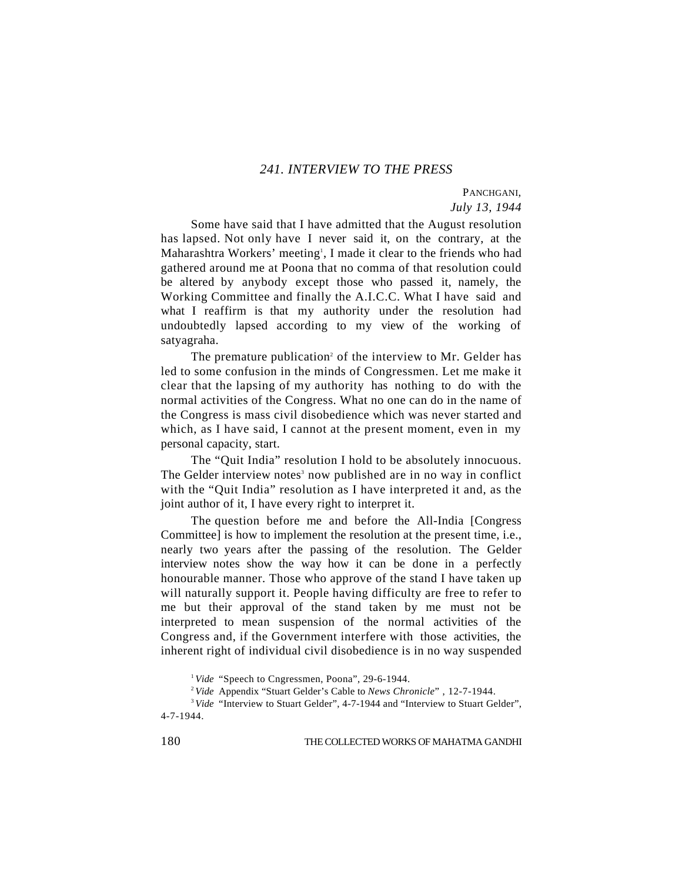## *241. INTERVIEW TO THE PRESS*

PANCHGANI, *July 13, 1944*

Some have said that I have admitted that the August resolution has lapsed. Not only have I never said it, on the contrary, at the Maharashtra Workers' meeting<sup>1</sup>, I made it clear to the friends who had gathered around me at Poona that no comma of that resolution could be altered by anybody except those who passed it, namely, the Working Committee and finally the A.I.C.C. What I have said and what I reaffirm is that my authority under the resolution had undoubtedly lapsed according to my view of the working of satyagraha.

The premature publication<sup>2</sup> of the interview to Mr. Gelder has led to some confusion in the minds of Congressmen. Let me make it clear that the lapsing of my authority has nothing to do with the normal activities of the Congress. What no one can do in the name of the Congress is mass civil disobedience which was never started and which, as I have said, I cannot at the present moment, even in my personal capacity, start.

The "Quit India" resolution I hold to be absolutely innocuous. The Gelder interview notes<sup>3</sup> now published are in no way in conflict with the "Quit India" resolution as I have interpreted it and, as the joint author of it, I have every right to interpret it.

The question before me and before the All-India [Congress Committee] is how to implement the resolution at the present time, i.e., nearly two years after the passing of the resolution. The Gelder interview notes show the way how it can be done in a perfectly honourable manner. Those who approve of the stand I have taken up will naturally support it. People having difficulty are free to refer to me but their approval of the stand taken by me must not be interpreted to mean suspension of the normal activities of the Congress and, if the Government interfere with those activities, the inherent right of individual civil disobedience is in no way suspended

<sup>1</sup> Vide "Speech to Cngressmen, Poona", 29-6-1944.

<sup>2</sup>*Vide* Appendix "Stuart Gelder's Cable to *News Chronicle*" , 12-7-1944.

<sup>3</sup> Vide "Interview to Stuart Gelder", 4-7-1944 and "Interview to Stuart Gelder", 4-7-1944.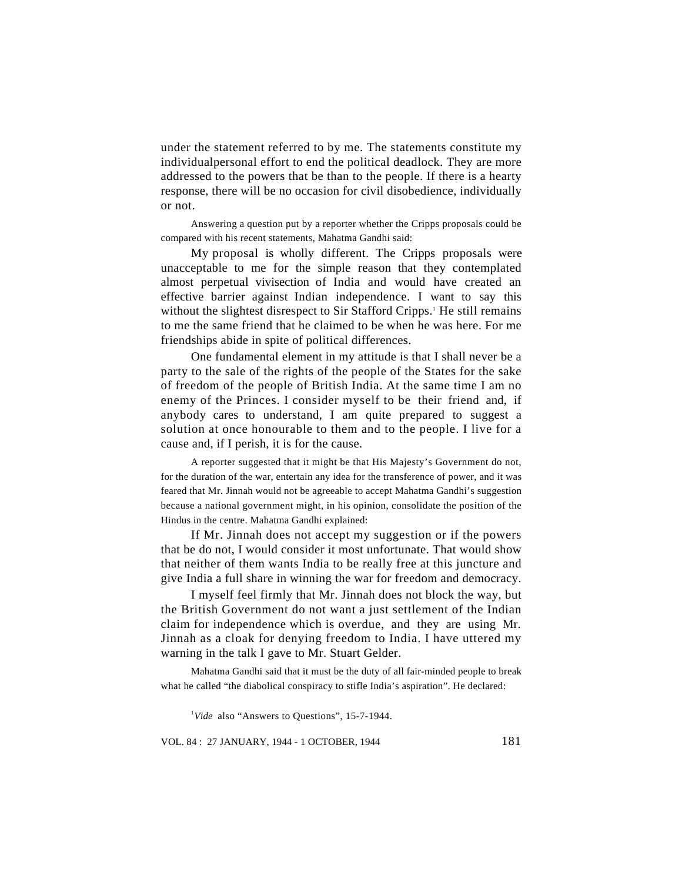under the statement referred to by me. The statements constitute my individualpersonal effort to end the political deadlock. They are more addressed to the powers that be than to the people. If there is a hearty response, there will be no occasion for civil disobedience, individually or not.

Answering a question put by a reporter whether the Cripps proposals could be compared with his recent statements, Mahatma Gandhi said:

My proposal is wholly different. The Cripps proposals were unacceptable to me for the simple reason that they contemplated almost perpetual vivisection of India and would have created an effective barrier against Indian independence. I want to say this without the slightest disrespect to Sir Stafford Cripps.<sup>1</sup> He still remains to me the same friend that he claimed to be when he was here. For me friendships abide in spite of political differences.

One fundamental element in my attitude is that I shall never be a party to the sale of the rights of the people of the States for the sake of freedom of the people of British India. At the same time I am no enemy of the Princes. I consider myself to be their friend and, if anybody cares to understand, I am quite prepared to suggest a solution at once honourable to them and to the people. I live for a cause and, if I perish, it is for the cause.

A reporter suggested that it might be that His Majesty's Government do not, for the duration of the war, entertain any idea for the transference of power, and it was feared that Mr. Jinnah would not be agreeable to accept Mahatma Gandhi's suggestion because a national government might, in his opinion, consolidate the position of the Hindus in the centre. Mahatma Gandhi explained:

If Mr. Jinnah does not accept my suggestion or if the powers that be do not, I would consider it most unfortunate. That would show that neither of them wants India to be really free at this juncture and give India a full share in winning the war for freedom and democracy.

I myself feel firmly that Mr. Jinnah does not block the way, but the British Government do not want a just settlement of the Indian claim for independence which is overdue, and they are using Mr. Jinnah as a cloak for denying freedom to India. I have uttered my warning in the talk I gave to Mr. Stuart Gelder.

Mahatma Gandhi said that it must be the duty of all fair-minded people to break what he called "the diabolical conspiracy to stifle India's aspiration". He declared:

<sup>1</sup>*Vide* also "Answers to Questions", 15-7-1944.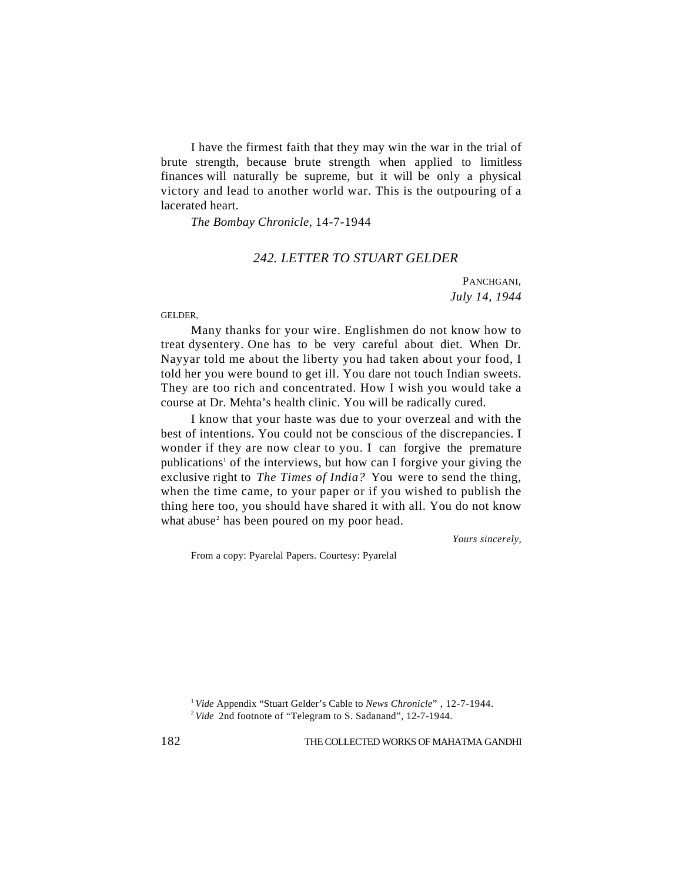I have the firmest faith that they may win the war in the trial of brute strength, because brute strength when applied to limitless finances will naturally be supreme, but it will be only a physical victory and lead to another world war. This is the outpouring of a lacerated heart.

*The Bombay Chronicle,* 14-7-1944

# *242. LETTER TO STUART GELDER*

PANCHGANI, *July 14, 1944*

GELDER,

Many thanks for your wire. Englishmen do not know how to treat dysentery. One has to be very careful about diet. When Dr. Nayyar told me about the liberty you had taken about your food, I told her you were bound to get ill. You dare not touch Indian sweets. They are too rich and concentrated. How I wish you would take a course at Dr. Mehta's health clinic. You will be radically cured.

I know that your haste was due to your overzeal and with the best of intentions. You could not be conscious of the discrepancies. I wonder if they are now clear to you. I can forgive the premature publications<sup>1</sup> of the interviews, but how can I forgive your giving the exclusive right to *The Times of India?* You were to send the thing, when the time came, to your paper or if you wished to publish the thing here too, you should have shared it with all. You do not know what abuse<sup>2</sup> has been poured on my poor head.

*Yours sincerely,*

From a copy: Pyarelal Papers. Courtesy: Pyarelal

<sup>1</sup>*Vide* Appendix "Stuart Gelder's Cable to *News Chronicle*" , 12-7-1944. <sup>2</sup>*Vide* 2nd footnote of "Telegram to S. Sadanand", 12-7-1944.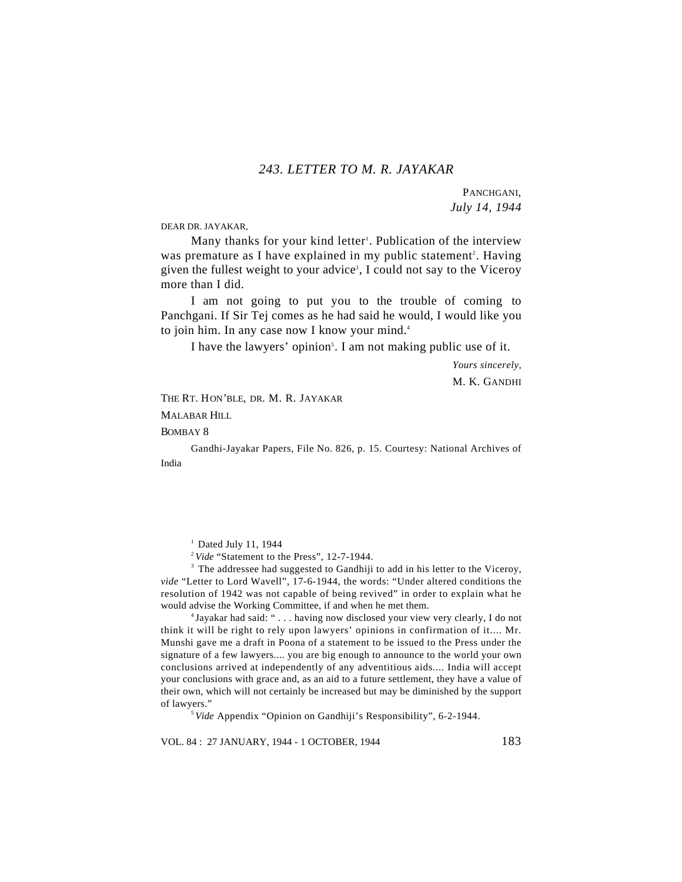## *243. LETTER TO M. R. JAYAKAR*

PANCHGANI, *July 14, 1944*

DEAR DR. JAYAKAR,

Many thanks for your kind letter<sup>1</sup>. Publication of the interview was premature as I have explained in my public statement<sup>2</sup>. Having given the fullest weight to your advice<sup>3</sup>, I could not say to the Viceroy more than I did.

I am not going to put you to the trouble of coming to Panchgani. If Sir Tej comes as he had said he would, I would like you to join him. In any case now I know your mind.<sup>4</sup>

I have the lawyers' opinion<sup>5</sup>. I am not making public use of it.

*Yours sincerely,* M. K. GANDHI

THE RT. HON'BLE, DR. M. R. JAYAKAR

MALABAR HILL

BOMBAY 8

Gandhi-Jayakar Papers, File No. 826, p. 15. Courtesy: National Archives of India

 $<sup>1</sup>$  Dated July 11, 1944</sup>

<sup>2</sup>*Vide* "Statement to the Press", 12-7-1944.

<sup>3</sup> The addressee had suggested to Gandhiji to add in his letter to the Viceroy, *vide* "Letter to Lord Wavell", 17-6-1944, the words: "Under altered conditions the resolution of 1942 was not capable of being revived" in order to explain what he would advise the Working Committee, if and when he met them.

<sup>4</sup> Jayakar had said: " . . . having now disclosed your view very clearly, I do not think it will be right to rely upon lawyers' opinions in confirmation of it.... Mr. Munshi gave me a draft in Poona of a statement to be issued to the Press under the signature of a few lawyers.... you are big enough to announce to the world your own conclusions arrived at independently of any adventitious aids.... India will accept your conclusions with grace and, as an aid to a future settlement, they have a value of their own, which will not certainly be increased but may be diminished by the support of lawyers."

<sup>5</sup>*Vide* Appendix "Opinion on Gandhiji's Responsibility", 6-2-1944.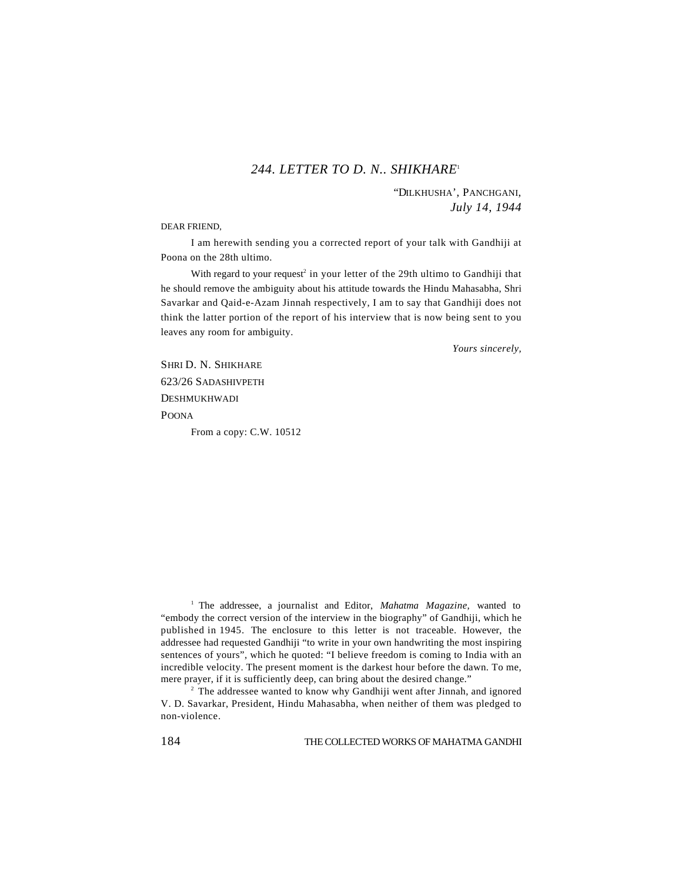# *244. LETTER TO D. N.. SHIKHARE*<sup>1</sup>

"DILKHUSHA', PANCHGANI, *July 14, 1944*

DEAR FRIEND,

I am herewith sending you a corrected report of your talk with Gandhiji at Poona on the 28th ultimo.

With regard to your request<sup>2</sup> in your letter of the 29th ultimo to Gandhiji that he should remove the ambiguity about his attitude towards the Hindu Mahasabha, Shri Savarkar and Qaid-e-Azam Jinnah respectively, I am to say that Gandhiji does not think the latter portion of the report of his interview that is now being sent to you leaves any room for ambiguity.

*Yours sincerely,*

SHRI D. N. SHIKHARE 623/26 SADASHIVPETH DESHMUKHWADI **POONA** 

From a copy: C.W. 10512

<sup>1</sup> The addressee, a journalist and Editor, *Mahatma Magazine*, wanted to "embody the correct version of the interview in the biography" of Gandhiji, which he published in 1945. The enclosure to this letter is not traceable. However, the addressee had requested Gandhiji "to write in your own handwriting the most inspiring sentences of yours", which he quoted: "I believe freedom is coming to India with an incredible velocity. The present moment is the darkest hour before the dawn. To me, mere prayer, if it is sufficiently deep, can bring about the desired change."

 $2$  The addressee wanted to know why Gandhiji went after Jinnah, and ignored V. D. Savarkar, President, Hindu Mahasabha, when neither of them was pledged to non-violence.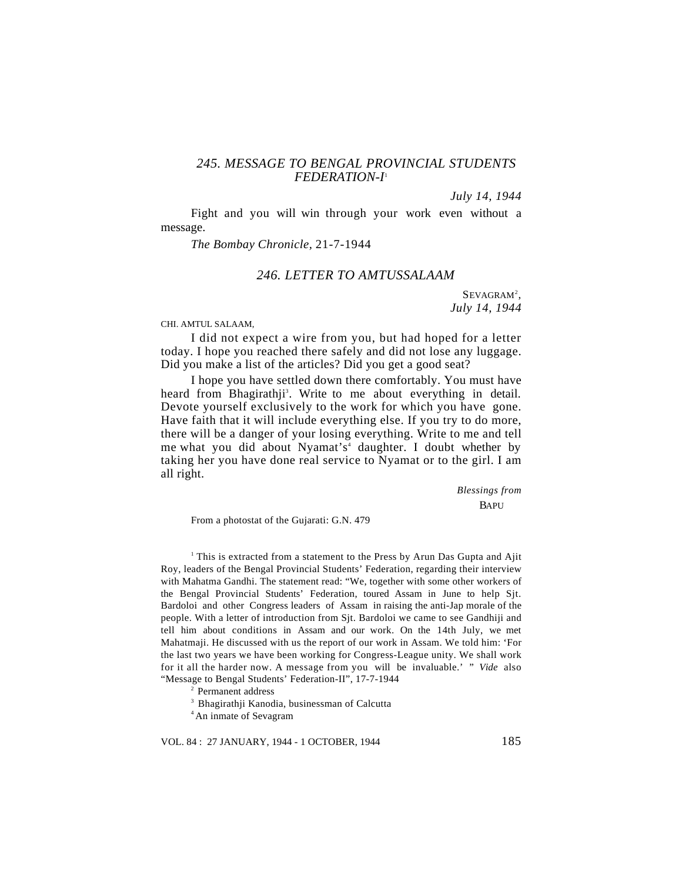## *245. MESSAGE TO BENGAL PROVINCIAL STUDENTS FEDERATION-I*<sup>1</sup>

*July 14, 1944*

Fight and you will win through your work even without a message.

*The Bombay Chronicle,* 21-7-1944

## *246. LETTER TO AMTUSSALAAM*

 $SEVAGRAM<sup>2</sup>$ , *July 14, 1944*

#### CHI. AMTUL SALAAM,

I did not expect a wire from you, but had hoped for a letter today. I hope you reached there safely and did not lose any luggage. Did you make a list of the articles? Did you get a good seat?

I hope you have settled down there comfortably. You must have heard from Bhagirathji<sup>3</sup>. Write to me about everything in detail. Devote yourself exclusively to the work for which you have gone. Have faith that it will include everything else. If you try to do more, there will be a danger of your losing everything. Write to me and tell me what you did about Nyamat's<sup>4</sup> daughter. I doubt whether by taking her you have done real service to Nyamat or to the girl. I am all right.

> *Blessings from* **BAPU**

From a photostat of the Gujarati: G.N. 479

<sup>1</sup> This is extracted from a statement to the Press by Arun Das Gupta and Ajit Roy, leaders of the Bengal Provincial Students' Federation, regarding their interview with Mahatma Gandhi. The statement read: "We, together with some other workers of the Bengal Provincial Students' Federation, toured Assam in June to help Sjt. Bardoloi and other Congress leaders of Assam in raising the anti-Jap morale of the people. With a letter of introduction from Sjt. Bardoloi we came to see Gandhiji and tell him about conditions in Assam and our work. On the 14th July, we met Mahatmaji. He discussed with us the report of our work in Assam. We told him: 'For the last two years we have been working for Congress-League unity. We shall work for it all the harder now. A message from you will be invaluable.' " *Vide* also "Message to Bengal Students' Federation-II", 17-7-1944

2 Permanent address

<sup>3</sup> Bhagirathji Kanodia, businessman of Calcutta

<sup>4</sup> An inmate of Sevagram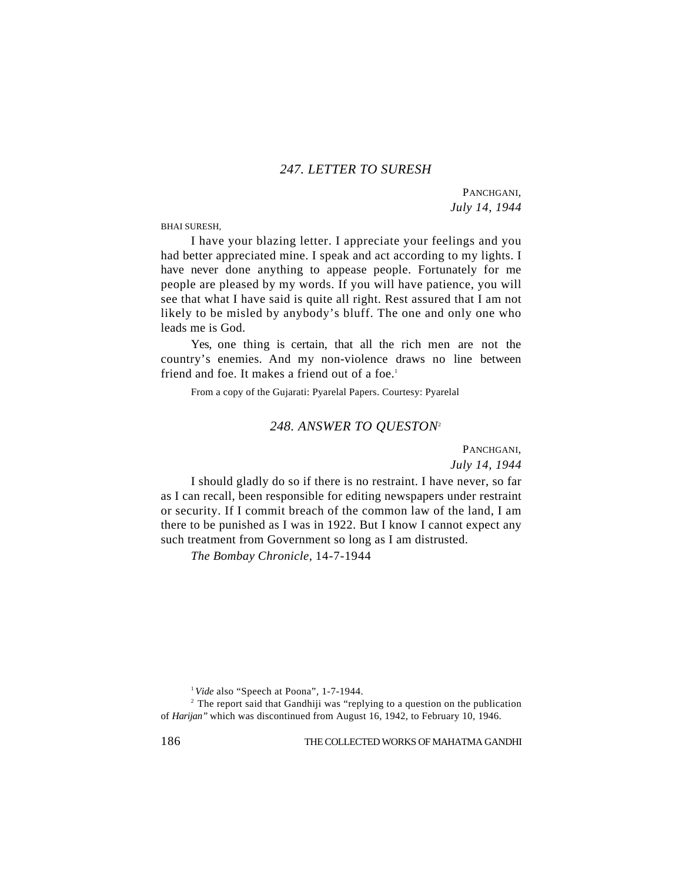# *247. LETTER TO SURESH*

PANCHGANI, *July 14, 1944*

BHAI SURESH,

I have your blazing letter. I appreciate your feelings and you had better appreciated mine. I speak and act according to my lights. I have never done anything to appease people. Fortunately for me people are pleased by my words. If you will have patience, you will see that what I have said is quite all right. Rest assured that I am not likely to be misled by anybody's bluff. The one and only one who leads me is God.

Yes, one thing is certain, that all the rich men are not the country's enemies. And my non-violence draws no line between friend and foe. It makes a friend out of a foe.<sup>1</sup>

From a copy of the Gujarati: Pyarelal Papers. Courtesy: Pyarelal

## *248. ANSWER TO QUESTON*<sup>2</sup>

PANCHGANI, *July 14, 1944*

I should gladly do so if there is no restraint. I have never, so far as I can recall, been responsible for editing newspapers under restraint or security. If I commit breach of the common law of the land, I am there to be punished as I was in 1922. But I know I cannot expect any such treatment from Government so long as I am distrusted.

*The Bombay Chronicle,* 14-7-1944

<sup>1</sup> Vide also "Speech at Poona", 1-7-1944.

<sup>2</sup> The report said that Gandhiji was "replying to a question on the publication of *Harijan"* which was discontinued from August 16, 1942, to February 10, 1946.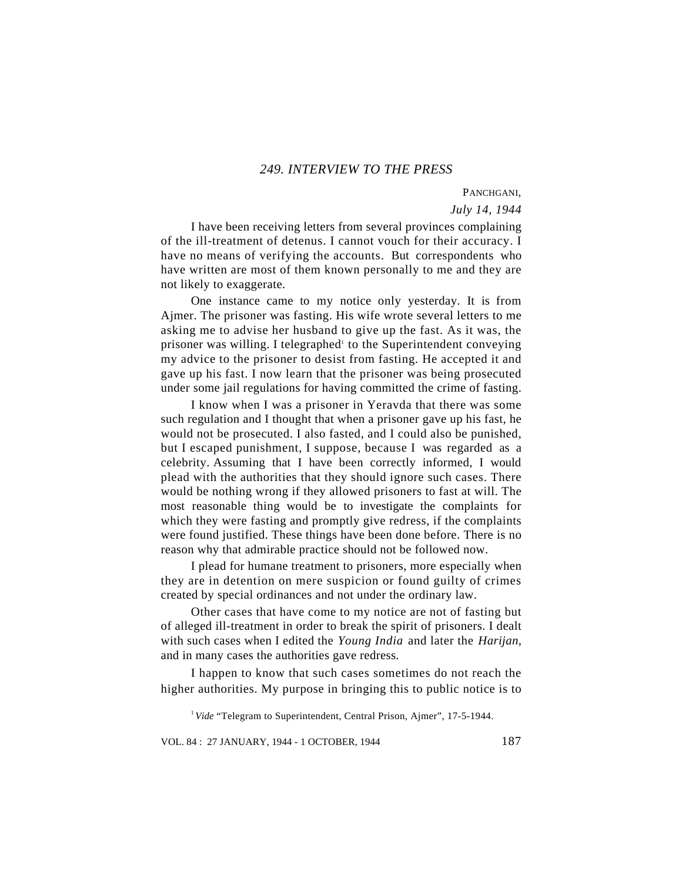## *249. INTERVIEW TO THE PRESS*

PANCHGANI, *July 14, 1944*

I have been receiving letters from several provinces complaining of the ill-treatment of detenus. I cannot vouch for their accuracy. I have no means of verifying the accounts. But correspondents who have written are most of them known personally to me and they are not likely to exaggerate.

One instance came to my notice only yesterday. It is from Ajmer. The prisoner was fasting. His wife wrote several letters to me asking me to advise her husband to give up the fast. As it was, the prisoner was willing. I telegraphed<sup>1</sup> to the Superintendent conveying my advice to the prisoner to desist from fasting. He accepted it and gave up his fast. I now learn that the prisoner was being prosecuted under some jail regulations for having committed the crime of fasting.

I know when I was a prisoner in Yeravda that there was some such regulation and I thought that when a prisoner gave up his fast, he would not be prosecuted. I also fasted, and I could also be punished, but I escaped punishment, I suppose, because I was regarded as a celebrity. Assuming that I have been correctly informed, I would plead with the authorities that they should ignore such cases. There would be nothing wrong if they allowed prisoners to fast at will. The most reasonable thing would be to investigate the complaints for which they were fasting and promptly give redress, if the complaints were found justified. These things have been done before. There is no reason why that admirable practice should not be followed now.

I plead for humane treatment to prisoners, more especially when they are in detention on mere suspicion or found guilty of crimes created by special ordinances and not under the ordinary law.

Other cases that have come to my notice are not of fasting but of alleged ill-treatment in order to break the spirit of prisoners. I dealt with such cases when I edited the *Young India* and later the *Harijan,* and in many cases the authorities gave redress.

I happen to know that such cases sometimes do not reach the higher authorities. My purpose in bringing this to public notice is to

<sup>1</sup> Vide "Telegram to Superintendent, Central Prison, Ajmer", 17-5-1944.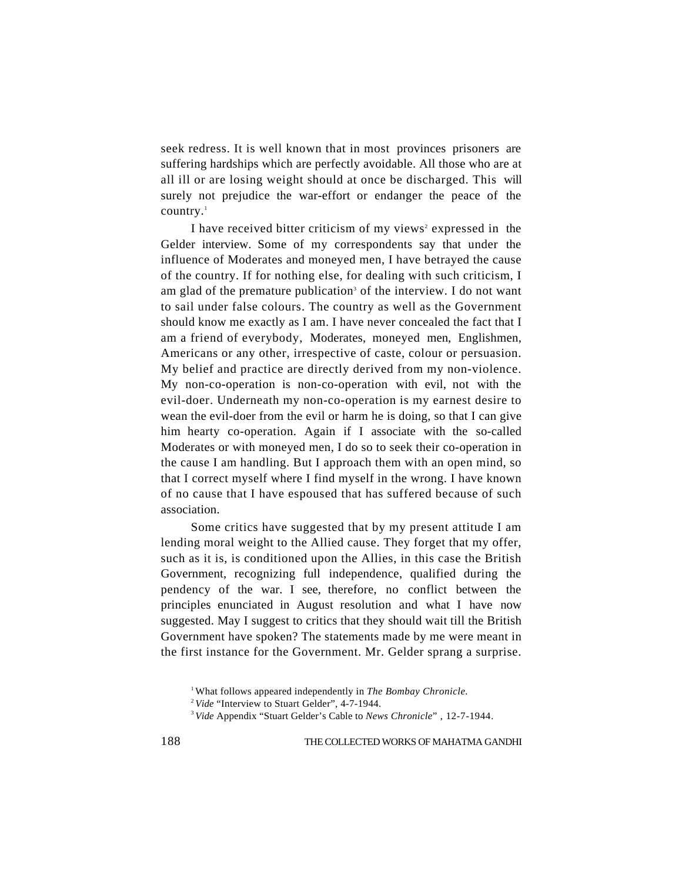seek redress. It is well known that in most provinces prisoners are suffering hardships which are perfectly avoidable. All those who are at all ill or are losing weight should at once be discharged. This will surely not prejudice the war-effort or endanger the peace of the country.<sup>1</sup>

I have received bitter criticism of my views<sup>2</sup> expressed in the Gelder interview. Some of my correspondents say that under the influence of Moderates and moneyed men, I have betrayed the cause of the country. If for nothing else, for dealing with such criticism, I am glad of the premature publication<sup>3</sup> of the interview. I do not want to sail under false colours. The country as well as the Government should know me exactly as I am. I have never concealed the fact that I am a friend of everybody, Moderates, moneyed men, Englishmen, Americans or any other, irrespective of caste, colour or persuasion. My belief and practice are directly derived from my non-violence. My non-co-operation is non-co-operation with evil, not with the evil-doer. Underneath my non-co-operation is my earnest desire to wean the evil-doer from the evil or harm he is doing, so that I can give him hearty co-operation. Again if I associate with the so-called Moderates or with moneyed men, I do so to seek their co-operation in the cause I am handling. But I approach them with an open mind, so that I correct myself where I find myself in the wrong. I have known of no cause that I have espoused that has suffered because of such association.

Some critics have suggested that by my present attitude I am lending moral weight to the Allied cause. They forget that my offer, such as it is, is conditioned upon the Allies, in this case the British Government, recognizing full independence, qualified during the pendency of the war. I see, therefore, no conflict between the principles enunciated in August resolution and what I have now suggested. May I suggest to critics that they should wait till the British Government have spoken? The statements made by me were meant in the first instance for the Government. Mr. Gelder sprang a surprise.

<sup>&</sup>lt;sup>1</sup> What follows appeared independently in *The Bombay Chronicle*.

<sup>2</sup>*Vide* "Interview to Stuart Gelder", 4-7-1944.

<sup>3</sup>*Vide* Appendix "Stuart Gelder's Cable to *News Chronicle*" , 12-7-1944.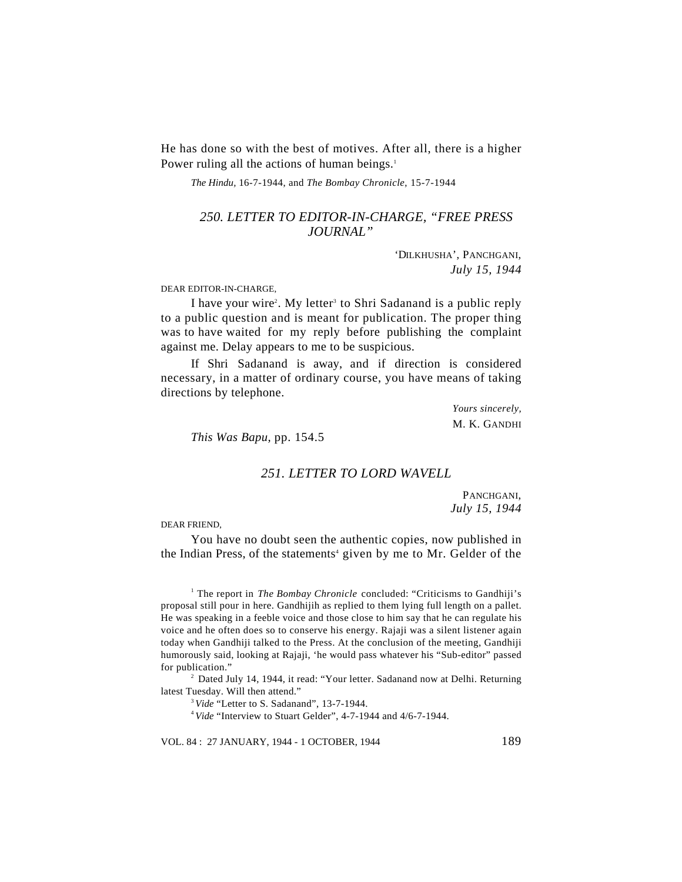He has done so with the best of motives. After all, there is a higher Power ruling all the actions of human beings.<sup>1</sup>

*The Hindu,* 16-7-1944, and *The Bombay Chronicle*, 15-7-1944

# *250. LETTER TO EDITOR-IN-CHARGE, "FREE PRESS JOURNAL"*

'DILKHUSHA', PANCHGANI, *July 15, 1944*

DEAR EDITOR-IN-CHARGE,

I have your wire<sup>2</sup>. My letter<sup>3</sup> to Shri Sadanand is a public reply to a public question and is meant for publication. The proper thing was to have waited for my reply before publishing the complaint against me. Delay appears to me to be suspicious.

If Shri Sadanand is away, and if direction is considered necessary, in a matter of ordinary course, you have means of taking directions by telephone.

> *Yours sincerely,* M. K. GANDHI

*This Was Bapu,* pp. 154.5

### *251. LETTER TO LORD WAVELL*

PANCHGANI,  *July 15, 1944*

DEAR FRIEND,

You have no doubt seen the authentic copies, now published in the Indian Press, of the statements<sup>4</sup> given by me to Mr. Gelder of the

<sup>1</sup> The report in *The Bombay Chronicle* concluded: "Criticisms to Gandhiji's proposal still pour in here. Gandhijih as replied to them lying full length on a pallet. He was speaking in a feeble voice and those close to him say that he can regulate his voice and he often does so to conserve his energy. Rajaji was a silent listener again today when Gandhiji talked to the Press. At the conclusion of the meeting, Gandhiji humorously said, looking at Rajaji, 'he would pass whatever his "Sub-editor" passed for publication."

 $2$  Dated July 14, 1944, it read: "Your letter. Sadanand now at Delhi. Returning latest Tuesday. Will then attend."

<sup>3</sup>*Vide* "Letter to S. Sadanand", 13-7-1944.

<sup>4</sup>*Vide* "Interview to Stuart Gelder", 4-7-1944 and 4/6-7-1944.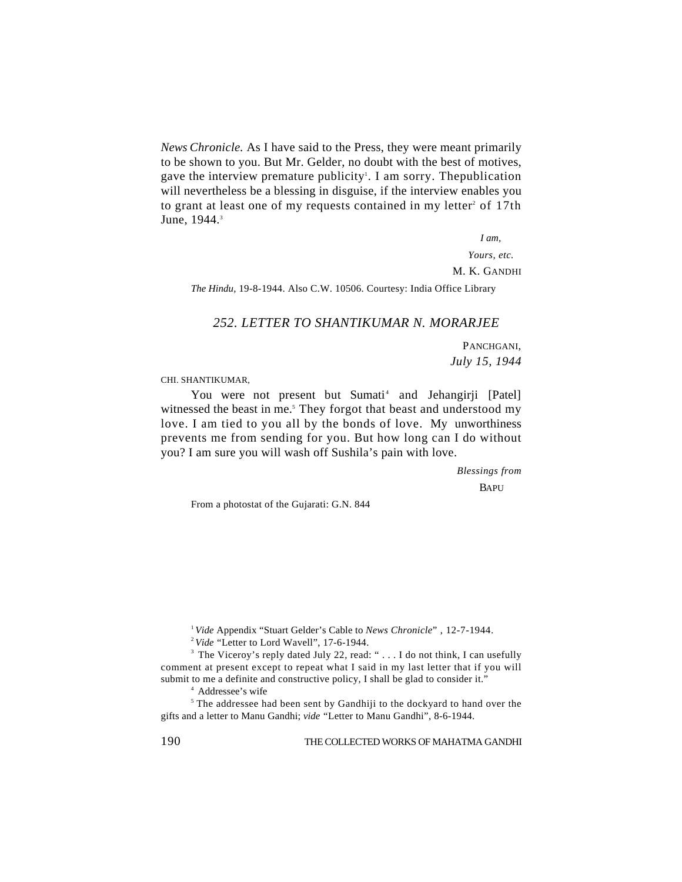*News Chronicle.* As I have said to the Press, they were meant primarily to be shown to you. But Mr. Gelder, no doubt with the best of motives, gave the interview premature publicity<sup>1</sup>. I am sorry. Thepublication will nevertheless be a blessing in disguise, if the interview enables you to grant at least one of my requests contained in my letter<sup>2</sup> of 17th June, 1944.<sup>3</sup>

> *I am, Yours, etc.* M. K. GANDHI

*The Hindu,* 19-8-1944. Also C.W. 10506. Courtesy: India Office Library

## *252. LETTER TO SHANTIKUMAR N. MORARJEE*

PANCHGANI, *July 15, 1944*

CHI. SHANTIKUMAR,

You were not present but Sumati<sup>4</sup> and Jehangirji [Patel] witnessed the beast in me.<sup>5</sup> They forgot that beast and understood my love. I am tied to you all by the bonds of love. My unworthiness prevents me from sending for you. But how long can I do without you? I am sure you will wash off Sushila's pain with love.

> *Blessings from* **BAPU**

From a photostat of the Gujarati: G.N. 844

<sup>1</sup>*Vide* Appendix "Stuart Gelder's Cable to *News Chronicle*" , 12-7-1944.

<sup>2</sup> Vide "Letter to Lord Wavell", 17-6-1944.

 $3$  The Viceroy's reply dated July 22, read: "... I do not think, I can usefully comment at present except to repeat what I said in my last letter that if you will submit to me a definite and constructive policy, I shall be glad to consider it."

<sup>4</sup> Addressee's wife

<sup>5</sup>The addressee had been sent by Gandhiji to the dockyard to hand over the gifts and a letter to Manu Gandhi; *vide* "Letter to Manu Gandhi", 8-6-1944.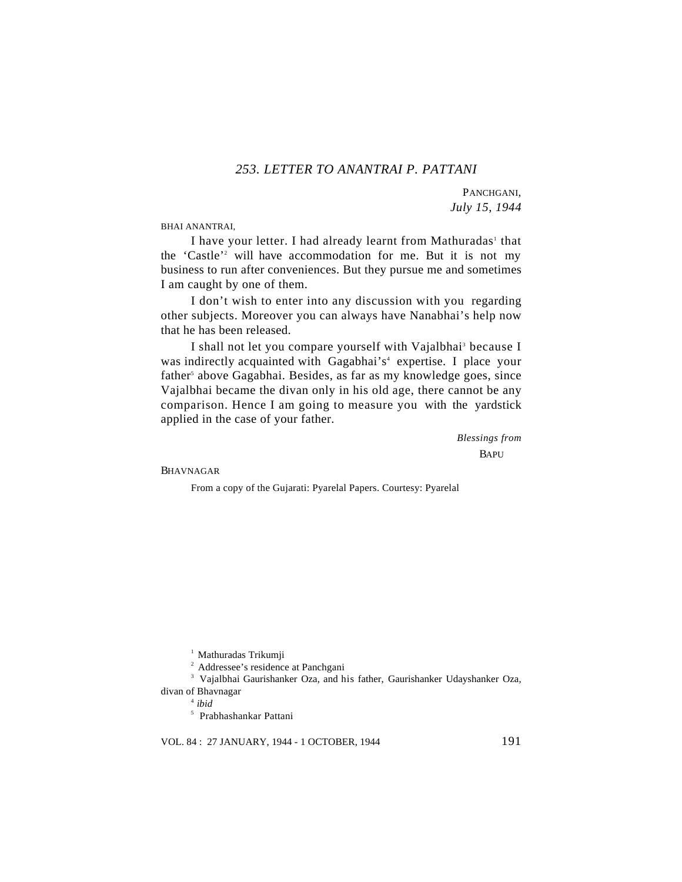# *253. LETTER TO ANANTRAI P. PATTANI*

PANCHGANI, *July 15, 1944*

BHAI ANANTRAI,

I have your letter. I had already learnt from Mathuradas<sup>1</sup> that the 'Castle'<sup>2</sup> will have accommodation for me. But it is not my business to run after conveniences. But they pursue me and sometimes I am caught by one of them.

I don't wish to enter into any discussion with you regarding other subjects. Moreover you can always have Nanabhai's help now that he has been released.

I shall not let you compare yourself with Vajalbhai<sup>3</sup> because I was indirectly acquainted with Gagabhai's<sup>4</sup> expertise. I place your father<sup>s</sup> above Gagabhai. Besides, as far as my knowledge goes, since Vajalbhai became the divan only in his old age, there cannot be any comparison. Hence I am going to measure you with the yardstick applied in the case of your father.

> *Blessings from* **BAPU**

BHAVNAGAR

From a copy of the Gujarati: Pyarelal Papers. Courtesy: Pyarelal

<sup>1</sup> Mathuradas Trikumji

<sup>2</sup> Addressee's residence at Panchgani

<sup>3</sup> Vajalbhai Gaurishanker Oza, and his father, Gaurishanker Udayshanker Oza, divan of Bhavnagar

5 Prabhashankar Pattani

<sup>4</sup>  *ibid*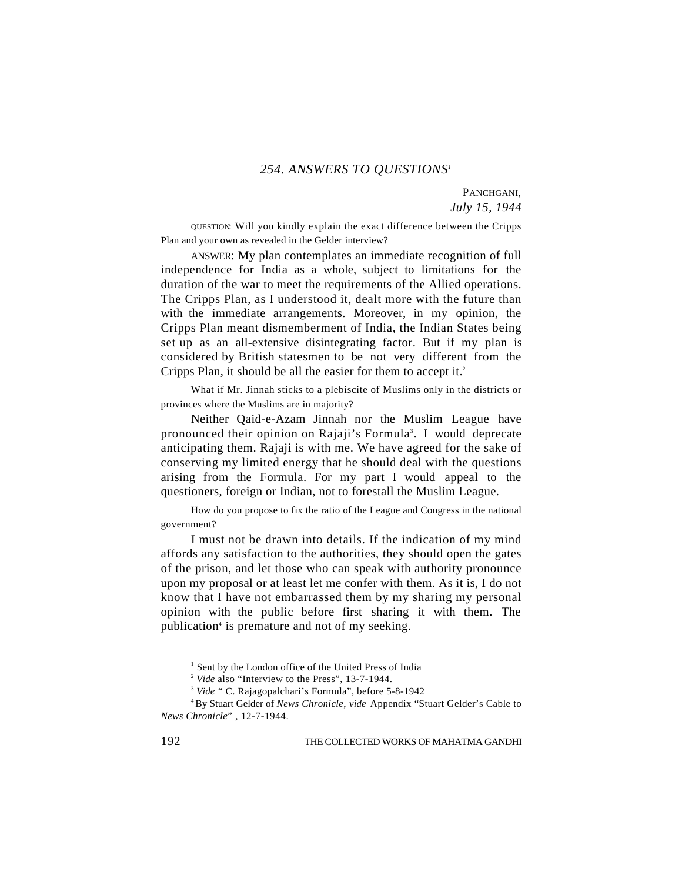### *254. ANSWERS TO QUESTIONS<sup>1</sup>*

PANCHGANI, *July 15, 1944*

QUESTION: Will you kindly explain the exact difference between the Cripps Plan and your own as revealed in the Gelder interview?

ANSWER: My plan contemplates an immediate recognition of full independence for India as a whole, subject to limitations for the duration of the war to meet the requirements of the Allied operations. The Cripps Plan, as I understood it, dealt more with the future than with the immediate arrangements. Moreover, in my opinion, the Cripps Plan meant dismemberment of India, the Indian States being set up as an all-extensive disintegrating factor. But if my plan is considered by British statesmen to be not very different from the Cripps Plan, it should be all the easier for them to accept it.<sup>2</sup>

What if Mr. Jinnah sticks to a plebiscite of Muslims only in the districts or provinces where the Muslims are in majority?

Neither Qaid-e-Azam Jinnah nor the Muslim League have pronounced their opinion on Rajaji's Formula<sup>3</sup>. I would deprecate anticipating them. Rajaji is with me. We have agreed for the sake of conserving my limited energy that he should deal with the questions arising from the Formula. For my part I would appeal to the questioners, foreign or Indian, not to forestall the Muslim League.

How do you propose to fix the ratio of the League and Congress in the national government?

I must not be drawn into details. If the indication of my mind affords any satisfaction to the authorities, they should open the gates of the prison, and let those who can speak with authority pronounce upon my proposal or at least let me confer with them. As it is, I do not know that I have not embarrassed them by my sharing my personal opinion with the public before first sharing it with them. The publication<sup>4</sup> is premature and not of my seeking.

<sup>1</sup> Sent by the London office of the United Press of India

<sup>2</sup> *Vide* also "Interview to the Press", 13-7-1944.

<sup>3</sup> *Vide* " C. Rajagopalchari's Formula", before 5-8-1942

<sup>4</sup>By Stuart Gelder of *News Chronicle*, *vide* Appendix "Stuart Gelder's Cable to *News Chronicle*" , 12-7-1944.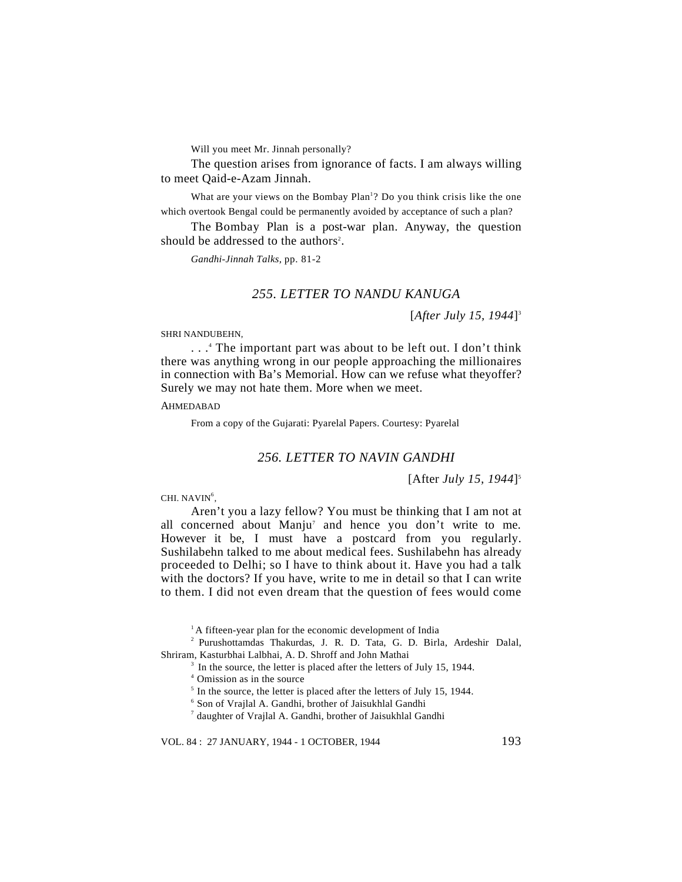Will you meet Mr. Jinnah personally?

The question arises from ignorance of facts. I am always willing to meet Qaid-e-Azam Jinnah.

What are your views on the Bombay Plan<sup>1</sup>? Do you think crisis like the one which overtook Bengal could be permanently avoided by acceptance of such a plan?

The Bombay Plan is a post-war plan. Anyway, the question should be addressed to the authors<sup>2</sup>.

*Gandhi-Jinnah Talks,* pp. 81-2

## *255. LETTER TO NANDU KANUGA*

[*After July 15, 1944*] 3

SHRI NANDUBEHN,

. . . 4 The important part was about to be left out. I don't think there was anything wrong in our people approaching the millionaires in connection with Ba's Memorial. How can we refuse what theyoffer? Surely we may not hate them. More when we meet.

AHMEDABAD

From a copy of the Gujarati: Pyarelal Papers. Courtesy: Pyarelal

### *256. LETTER TO NAVIN GANDHI*

[After *July 15, 1944*] 5

CHI. NAVIN $^6$ ,

Aren't you a lazy fellow? You must be thinking that I am not at all concerned about Manju<sup>7</sup> and hence you don't write to me. However it be, I must have a postcard from you regularly. Sushilabehn talked to me about medical fees. Sushilabehn has already proceeded to Delhi; so I have to think about it. Have you had a talk with the doctors? If you have, write to me in detail so that I can write to them. I did not even dream that the question of fees would come

<sup>1</sup>A fifteen-year plan for the economic development of India

<sup>2</sup> Purushottamdas Thakurdas, J. R. D. Tata, G. D. Birla, Ardeshir Dalal, Shriram, Kasturbhai Lalbhai, A. D. Shroff and John Mathai

<sup>3</sup> In the source, the letter is placed after the letters of July 15, 1944.

4 Omission as in the source

<sup>5</sup> In the source, the letter is placed after the letters of July 15, 1944.

6 Son of Vrajlal A. Gandhi, brother of Jaisukhlal Gandhi

<sup>7</sup> daughter of Vrajlal A. Gandhi, brother of Jaisukhlal Gandhi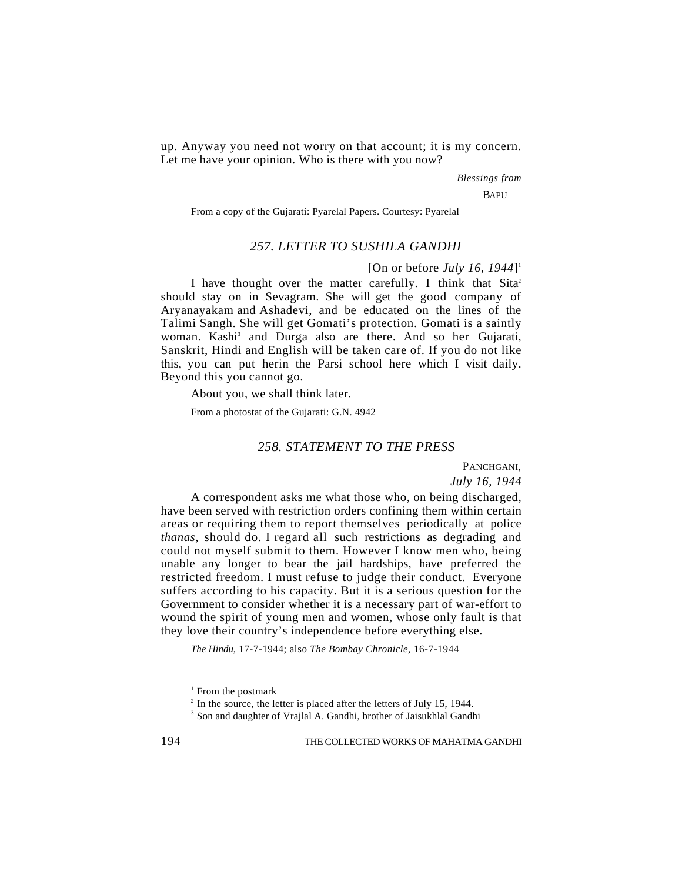up. Anyway you need not worry on that account; it is my concern. Let me have your opinion. Who is there with you now?

*Blessings from*

**BAPU** 

From a copy of the Gujarati: Pyarelal Papers. Courtesy: Pyarelal

## *257. LETTER TO SUSHILA GANDHI*

[On or before *July 16, 1944*] 1

I have thought over the matter carefully. I think that Sita<sup>2</sup> should stay on in Sevagram. She will get the good company of Aryanayakam and Ashadevi, and be educated on the lines of the Talimi Sangh. She will get Gomati's protection. Gomati is a saintly woman. Kashi<sup>3</sup> and Durga also are there. And so her Gujarati, Sanskrit, Hindi and English will be taken care of. If you do not like this, you can put herin the Parsi school here which I visit daily. Beyond this you cannot go.

About you, we shall think later.

From a photostat of the Gujarati: G.N. 4942

## *258. STATEMENT TO THE PRESS*

PANCHGANI, *July 16, 1944*

A correspondent asks me what those who, on being discharged, have been served with restriction orders confining them within certain areas or requiring them to report themselves periodically at police *thanas,* should do. I regard all such restrictions as degrading and could not myself submit to them. However I know men who, being unable any longer to bear the jail hardships, have preferred the restricted freedom. I must refuse to judge their conduct. Everyone suffers according to his capacity. But it is a serious question for the Government to consider whether it is a necessary part of war-effort to wound the spirit of young men and women, whose only fault is that they love their country's independence before everything else.

*The Hindu*, 17-7-1944; also *The Bombay Chronicle*, 16-7-1944

<sup>1</sup> From the postmark

 $2<sup>2</sup>$  In the source, the letter is placed after the letters of July 15, 1944.

<sup>3</sup> Son and daughter of Vrajlal A. Gandhi, brother of Jaisukhlal Gandhi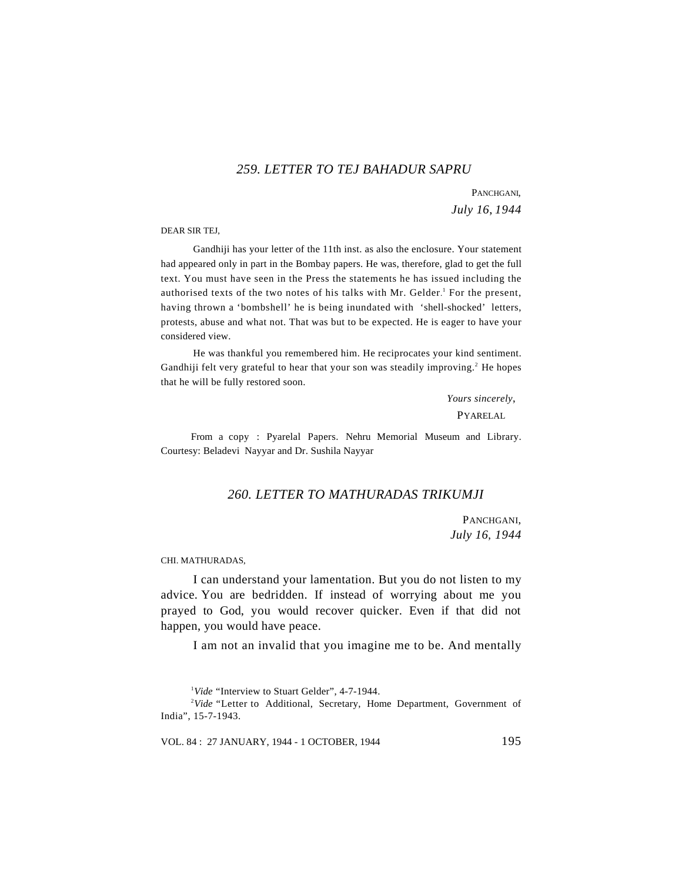# *259. LETTER TO TEJ BAHADUR SAPRU*

PANCHGANI, *July 16*, *1944*

#### DEAR SIR TEJ,

Gandhiji has your letter of the 11th inst. as also the enclosure. Your statement had appeared only in part in the Bombay papers. He was, therefore, glad to get the full text. You must have seen in the Press the statements he has issued including the authorised texts of the two notes of his talks with Mr. Gelder.<sup>1</sup> For the present, having thrown a 'bombshell' he is being inundated with 'shell-shocked' letters, protests, abuse and what not. That was but to be expected. He is eager to have your considered view.

He was thankful you remembered him. He reciprocates your kind sentiment. Gandhiji felt very grateful to hear that your son was steadily improving.<sup>2</sup> He hopes that he will be fully restored soon.

> *Yours sincerely*, PYARELAL

From a copy : Pyarelal Papers. Nehru Memorial Museum and Library. Courtesy: Beladevi Nayyar and Dr. Sushila Nayyar

### *260. LETTER TO MATHURADAS TRIKUMJI*

PANCHGANI, *July 16*, *1944*

#### CHI. MATHURADAS,

I can understand your lamentation. But you do not listen to my advice. You are bedridden. If instead of worrying about me you prayed to God, you would recover quicker. Even if that did not happen, you would have peace.

I am not an invalid that you imagine me to be. And mentally

<sup>&</sup>lt;sup>1</sup>Vide "Interview to Stuart Gelder", 4-7-1944.

<sup>&</sup>lt;sup>2</sup>Vide "Letter to Additional, Secretary, Home Department, Government of India", 15-7-1943.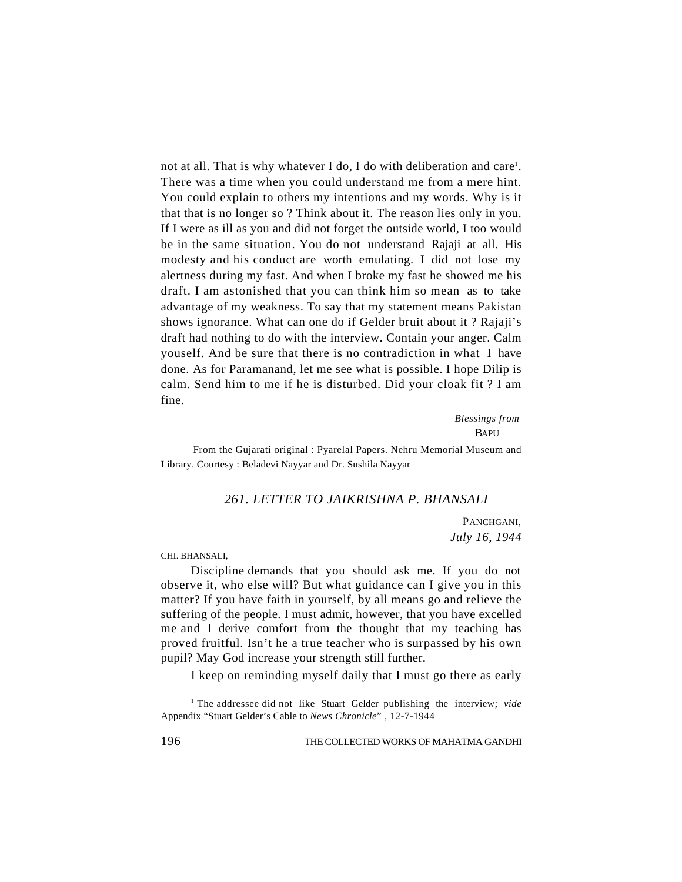not at all. That is why whatever I do, I do with deliberation and care<sup>1</sup>. There was a time when you could understand me from a mere hint. You could explain to others my intentions and my words. Why is it that that is no longer so ? Think about it. The reason lies only in you. If I were as ill as you and did not forget the outside world, I too would be in the same situation. You do not understand Rajaji at all. His modesty and his conduct are worth emulating. I did not lose my alertness during my fast. And when I broke my fast he showed me his draft. I am astonished that you can think him so mean as to take advantage of my weakness. To say that my statement means Pakistan shows ignorance. What can one do if Gelder bruit about it ? Rajaji's draft had nothing to do with the interview. Contain your anger. Calm youself. And be sure that there is no contradiction in what I have done. As for Paramanand, let me see what is possible. I hope Dilip is calm. Send him to me if he is disturbed. Did your cloak fit ? I am fine.

> *Blessings from* **BAPU**

From the Gujarati original : Pyarelal Papers. Nehru Memorial Museum and Library. Courtesy : Beladevi Nayyar and Dr. Sushila Nayyar

# *261. LETTER TO JAIKRISHNA P. BHANSALI*

PANCHGANI, *July 16, 1944*

CHI. BHANSALI,

Discipline demands that you should ask me. If you do not observe it, who else will? But what guidance can I give you in this matter? If you have faith in yourself, by all means go and relieve the suffering of the people. I must admit, however, that you have excelled me and I derive comfort from the thought that my teaching has proved fruitful. Isn't he a true teacher who is surpassed by his own pupil? May God increase your strength still further.

I keep on reminding myself daily that I must go there as early

<sup>&</sup>lt;sup>1</sup> The addressee did not like Stuart Gelder publishing the interview; *vide* Appendix "Stuart Gelder's Cable to *News Chronicle*" , 12-7-1944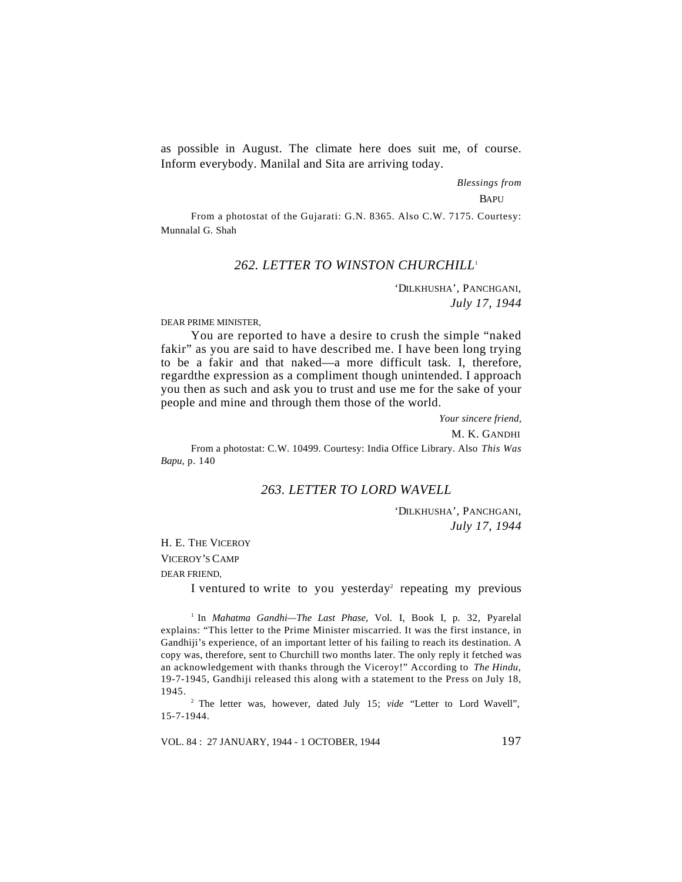as possible in August. The climate here does suit me, of course. Inform everybody. Manilal and Sita are arriving today.

*Blessings from*

BAPU

From a photostat of the Gujarati: G.N. 8365. Also C.W. 7175. Courtesy: Munnalal G. Shah

## *262. LETTER TO WINSTON CHURCHILL*<sup>1</sup>

'DILKHUSHA', PANCHGANI, *July 17, 1944*

DEAR PRIME MINISTER,

You are reported to have a desire to crush the simple "naked fakir" as you are said to have described me. I have been long trying to be a fakir and that naked—a more difficult task. I, therefore, regardthe expression as a compliment though unintended. I approach you then as such and ask you to trust and use me for the sake of your people and mine and through them those of the world.

*Your sincere friend,*

M. K. GANDHI

From a photostat: C.W. 10499. Courtesy: India Office Library. Also *This Was Bapu,* p*.* 140

## *263. LETTER TO LORD WAVELL*

'DILKHUSHA', PANCHGANI, *July 17, 1944*

H. E. THE VICEROY VICEROY'S CAMP DEAR FRIEND,

I ventured to write to you yesterday<sup>2</sup> repeating my previous

<sup>1</sup> In *Mahatma Gandhi*-The Last Phase, Vol. I, Book I, p. 32, Pyarelal explains: "This letter to the Prime Minister miscarried. It was the first instance, in Gandhiji's experience, of an important letter of his failing to reach its destination. A copy was, therefore, sent to Churchill two months later. The only reply it fetched was an acknowledgement with thanks through the Viceroy!" According to *The Hindu*, 19-7-1945, Gandhiji released this along with a statement to the Press on July 18, 1945.

<sup>2</sup> The letter was, however, dated July 15; *vide* "Letter to Lord Wavell", 15-7-1944.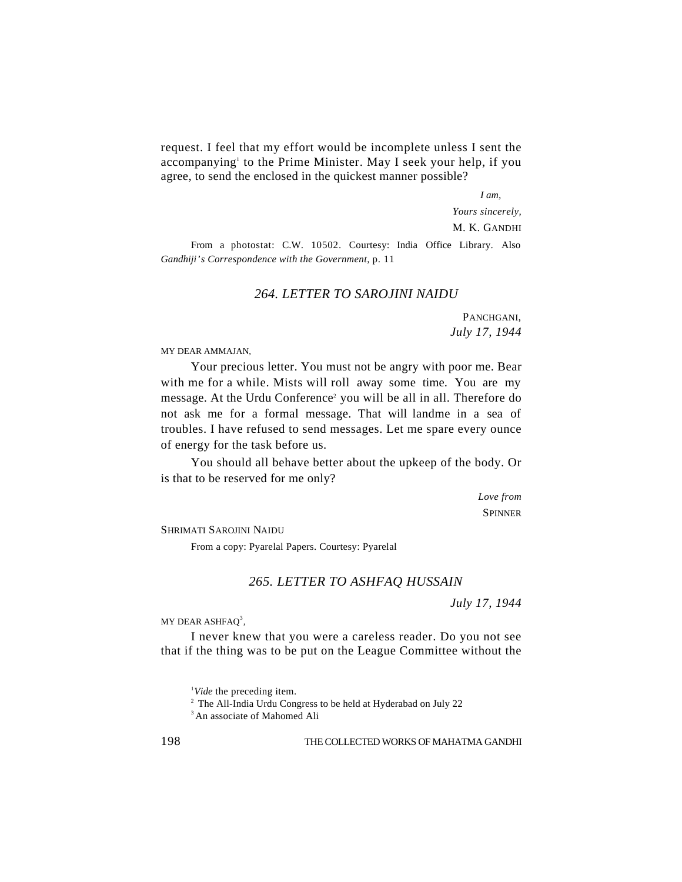request. I feel that my effort would be incomplete unless I sent the accompanying<sup>1</sup> to the Prime Minister. May I seek your help, if you agree, to send the enclosed in the quickest manner possible?

*I am,*

*Yours sincerely,*

M. K. GANDHI

From a photostat: C.W. 10502. Courtesy: India Office Library. Also *Gandhiji*'*s Correspondence with the Government,* p. 11

## *264. LETTER TO SAROJINI NAIDU*

PANCHGANI, *July 17, 1944*

MY DEAR AMMAJAN,

Your precious letter. You must not be angry with poor me. Bear with me for a while. Mists will roll away some time. You are my message. At the Urdu Conference<sup>2</sup> you will be all in all. Therefore do not ask me for a formal message. That will landme in a sea of troubles. I have refused to send messages. Let me spare every ounce of energy for the task before us.

You should all behave better about the upkeep of the body. Or is that to be reserved for me only?

> *Love from* **SPINNER**

SHRIMATI SAROJINI NAIDU

From a copy: Pyarelal Papers. Courtesy: Pyarelal

## *265. LETTER TO ASHFAQ HUSSAIN*

*July 17, 1944*

MY DEAR ASHFAQ<sup>3</sup>,

I never knew that you were a careless reader. Do you not see that if the thing was to be put on the League Committee without the

<sup>1</sup>Vide the preceding item.

<sup>2</sup> The All-India Urdu Congress to be held at Hyderabad on July 22

<sup>3</sup> An associate of Mahomed Ali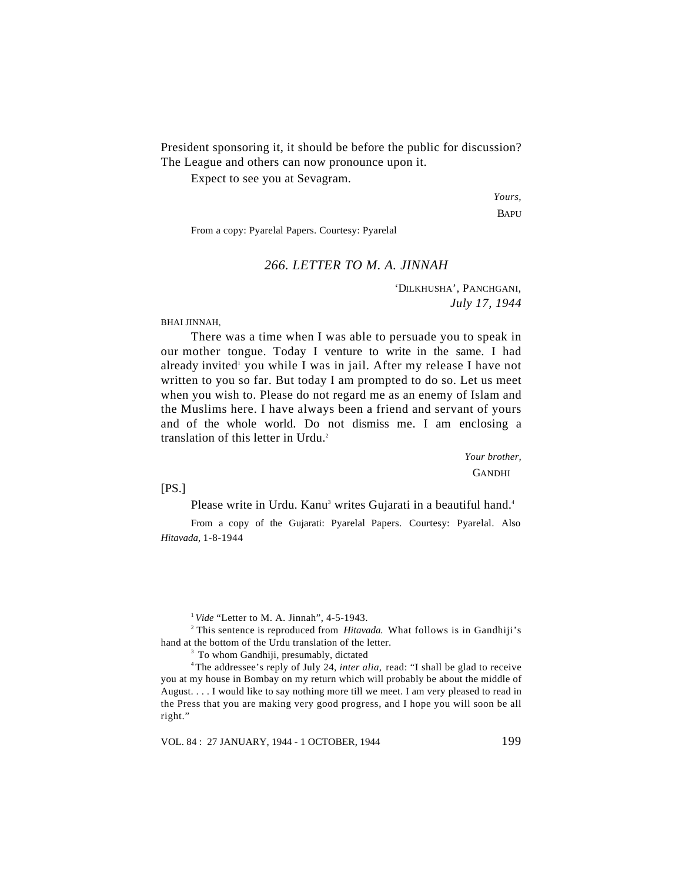President sponsoring it, it should be before the public for discussion? The League and others can now pronounce upon it.

Expect to see you at Sevagram.

*Yours,*

**BAPU** 

From a copy: Pyarelal Papers. Courtesy: Pyarelal

# *266. LETTER TO M. A. JINNAH*

'DILKHUSHA', PANCHGANI, *July 17, 1944*

BHAI JINNAH,

There was a time when I was able to persuade you to speak in our mother tongue. Today I venture to write in the same. I had already invited<sup>1</sup> you while I was in jail. After my release I have not written to you so far. But today I am prompted to do so. Let us meet when you wish to. Please do not regard me as an enemy of Islam and the Muslims here. I have always been a friend and servant of yours and of the whole world. Do not dismiss me. I am enclosing a translation of this letter in Urdu<sup>2</sup>

> *Your brother,* GANDHI

 $[PS.]$ 

Please write in Urdu. Kanu<sup>3</sup> writes Gujarati in a beautiful hand.<sup>4</sup>

From a copy of the Gujarati: Pyarelal Papers. Courtesy: Pyarelal. Also *Hitavada,* 1-8-1944

<sup>1</sup>*Vide* "Letter to M. A. Jinnah", 4-5-1943.

<sup>2</sup> This sentence is reproduced from *Hitavada*. What follows is in Gandhiji's hand at the bottom of the Urdu translation of the letter.

<sup>3</sup> To whom Gandhiji, presumably, dictated

<sup>4</sup>The addressee's reply of July 24, *inter alia,* read: "I shall be glad to receive you at my house in Bombay on my return which will probably be about the middle of August. . . . I would like to say nothing more till we meet. I am very pleased to read in the Press that you are making very good progress, and I hope you will soon be all right."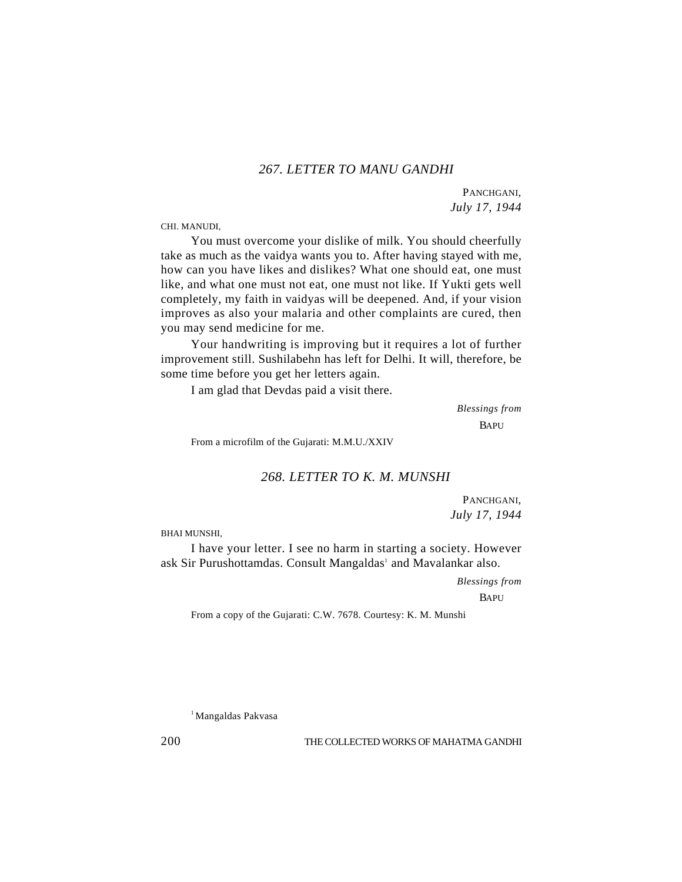# *267. LETTER TO MANU GANDHI*

PANCHGANI, *July 17, 1944*

CHI. MANUDI,

You must overcome your dislike of milk. You should cheerfully take as much as the vaidya wants you to. After having stayed with me, how can you have likes and dislikes? What one should eat, one must like, and what one must not eat, one must not like. If Yukti gets well completely, my faith in vaidyas will be deepened. And, if your vision improves as also your malaria and other complaints are cured, then you may send medicine for me.

Your handwriting is improving but it requires a lot of further improvement still. Sushilabehn has left for Delhi. It will, therefore, be some time before you get her letters again.

I am glad that Devdas paid a visit there.

*Blessings from* **BAPU** 

From a microfilm of the Gujarati: M.M.U./XXIV

## *268. LETTER TO K. M. MUNSHI*

PANCHGANI, *July 17, 1944*

BHAI MUNSHI,

I have your letter. I see no harm in starting a society. However ask Sir Purushottamdas. Consult Mangaldas<sup>1</sup> and Mavalankar also.

*Blessings from*

**BAPU** 

From a copy of the Gujarati: C.W. 7678. Courtesy: K. M. Munshi

1 Mangaldas Pakvasa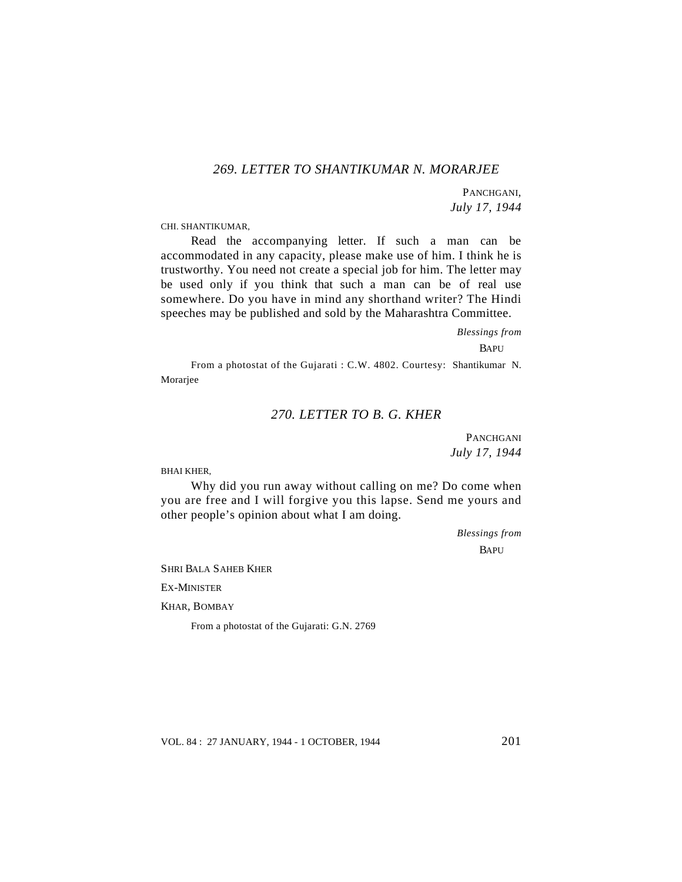VOL. 84 : 27 JANUARY, 1944 - 1 OCTOBER, 1944 201

# *269. LETTER TO SHANTIKUMAR N. MORARJEE*

PANCHGANI, *July 17, 1944*

CHI. SHANTIKUMAR,

Read the accompanying letter. If such a man can be accommodated in any capacity, please make use of him. I think he is trustworthy. You need not create a special job for him. The letter may be used only if you think that such a man can be of real use somewhere. Do you have in mind any shorthand writer? The Hindi speeches may be published and sold by the Maharashtra Committee.

*Blessings from*

**BAPU** 

From a photostat of the Gujarati : C.W. 4802. Courtesy: Shantikumar N. Morarjee

## *270. LETTER TO B. G. KHER*

PANCHGANI *July 17, 1944*

BHAI KHER,

Why did you run away without calling on me? Do come when you are free and I will forgive you this lapse. Send me yours and other people's opinion about what I am doing.

> *Blessings from* **BAPU**

SHRI BALA SAHEB KHER

EX-MINISTER

KHAR, BOMBAY

From a photostat of the Gujarati: G.N. 2769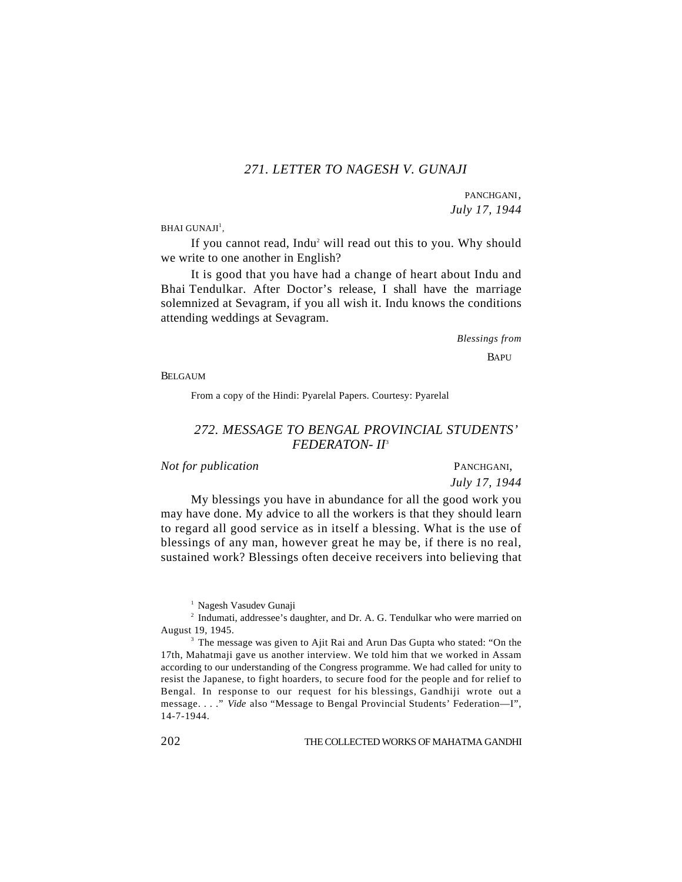# *271. LETTER TO NAGESH V. GUNAJI*

PANCHGANI, *July 17, 1944*

 $\mathbf B\mathbf H\mathbf A\mathbf I$  GUNAJI $^1,$ 

If you cannot read, Indu<sup>2</sup> will read out this to you. Why should we write to one another in English?

It is good that you have had a change of heart about Indu and Bhai Tendulkar. After Doctor's release, I shall have the marriage solemnized at Sevagram, if you all wish it. Indu knows the conditions attending weddings at Sevagram.

*Blessings from*

**BAPU** 

**BELGAUM** 

From a copy of the Hindi: Pyarelal Papers. Courtesy: Pyarelal

# *272. MESSAGE TO BENGAL PROVINCIAL STUDENTS' FEDERATON- II*<sup>3</sup>

*Not for publication* **PANCHGANI**,

*July 17, 1944*

My blessings you have in abundance for all the good work you may have done. My advice to all the workers is that they should learn to regard all good service as in itself a blessing. What is the use of blessings of any man, however great he may be, if there is no real, sustained work? Blessings often deceive receivers into believing that

<sup>1</sup> Nagesh Vasudev Gunaji

 $2$  Indumati, addressee's daughter, and Dr. A. G. Tendulkar who were married on August 19, 1945.

<sup>3</sup> The message was given to Ajit Rai and Arun Das Gupta who stated: "On the 17th, Mahatmaji gave us another interview. We told him that we worked in Assam according to our understanding of the Congress programme. We had called for unity to resist the Japanese, to fight hoarders, to secure food for the people and for relief to Bengal. In response to our request for his blessings, Gandhiji wrote out a message. . . ." *Vide* also "Message to Bengal Provincial Students' Federation—I", 14-7-1944.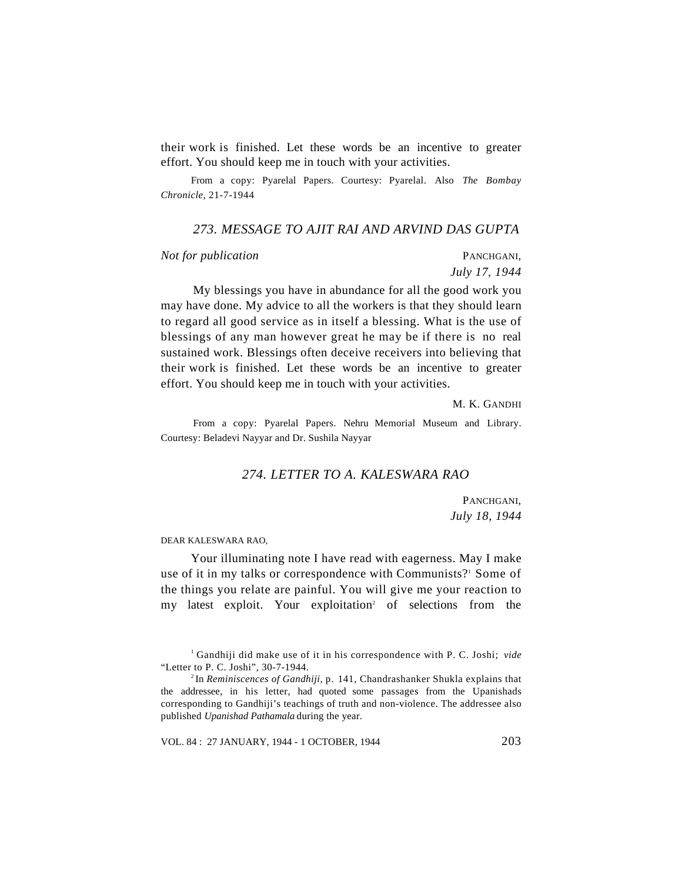their work is finished. Let these words be an incentive to greater effort. You should keep me in touch with your activities.

From a copy: Pyarelal Papers. Courtesy: Pyarelal. Also *The Bombay Chronicle,* 21-7-1944

## *273. MESSAGE TO AJIT RAI AND ARVIND DAS GUPTA*

*Not for publication*  $\blacksquare$  PANCHGANI,

*July 17*, *1944*

My blessings you have in abundance for all the good work you may have done. My advice to all the workers is that they should learn to regard all good service as in itself a blessing. What is the use of blessings of any man however great he may be if there is no real sustained work. Blessings often deceive receivers into believing that their work is finished. Let these words be an incentive to greater effort. You should keep me in touch with your activities.

M. K. GANDHI

From a copy: Pyarelal Papers. Nehru Memorial Museum and Library. Courtesy: Beladevi Nayyar and Dr. Sushila Nayyar

## *274. LETTER TO A. KALESWARA RAO*

PANCHGANI, *July 18, 1944*

#### DEAR KALESWARA RAO,

Your illuminating note I have read with eagerness. May I make use of it in my talks or correspondence with Communists?<sup>1</sup> Some of the things you relate are painful. You will give me your reaction to my latest exploit. Your exploitation<sup>2</sup> of selections from the

<sup>1</sup>Gandhiji did make use of it in his correspondence with P. C. Joshi; *vide* "Letter to P. C. Joshi", 30-7-1944.

<sup>2</sup>In *Reminiscences of Gandhiji,* p. 141, Chandrashanker Shukla explains that the addressee, in his letter, had quoted some passages from the Upanishads corresponding to Gandhiji's teachings of truth and non-violence. The addressee also published *Upanishad Pathamala* during the year.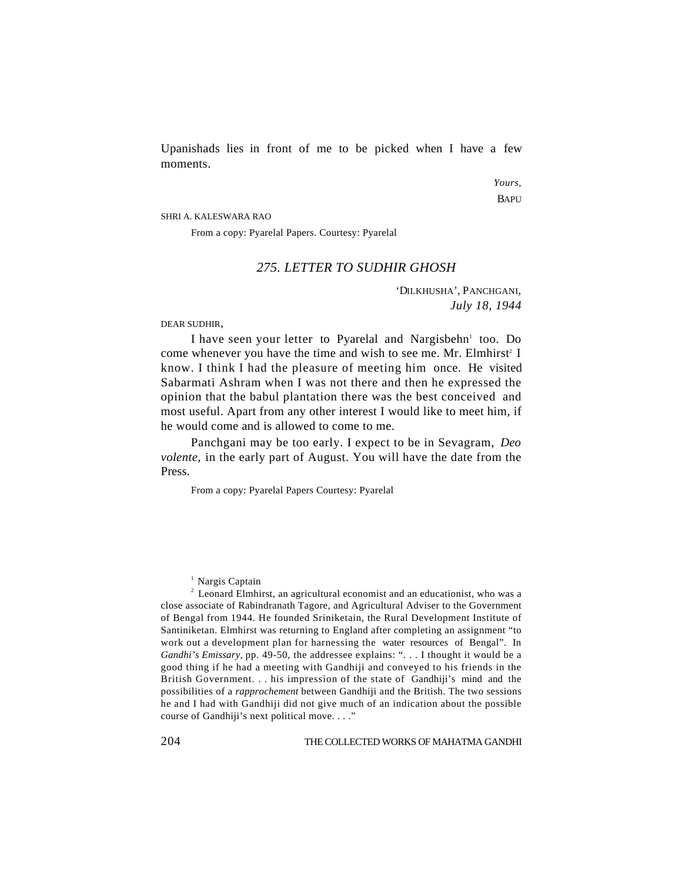Upanishads lies in front of me to be picked when I have a few moments.

> *Yours,* **BAPU**

#### SHRI A. KALESWARA RAO

From a copy: Pyarelal Papers. Courtesy: Pyarelal

## *275. LETTER TO SUDHIR GHOSH*

'DILKHUSHA', PANCHGANI, *July 18, 1944*

#### DEAR SUDHIR**,**

I have seen your letter to Pyarelal and Nargisbehn<sup>1</sup> too. Do come whenever you have the time and wish to see me. Mr. Elmhirst<sup>2</sup> I know. I think I had the pleasure of meeting him once. He visited Sabarmati Ashram when I was not there and then he expressed the opinion that the babul plantation there was the best conceived and most useful. Apart from any other interest I would like to meet him, if he would come and is allowed to come to me.

Panchgani may be too early. I expect to be in Sevagram, *Deo volente,* in the early part of August. You will have the date from the Press.

From a copy: Pyarelal Papers Courtesy: Pyarelal

<sup>1</sup> Nargis Captain

 $2$  Leonard Elmhirst, an agricultural economist and an educationist, who was a close associate of Rabindranath Tagore, and Agricultural Adviser to the Government of Bengal from 1944. He founded Sriniketain, the Rural Development Institute of Santiniketan. Elmhirst was returning to England after completing an assignment "to work out a development plan for harnessing the water resources of Bengal". In *Gandhi's Emissary*, pp. 49-50, the addressee explains: "... I thought it would be a good thing if he had a meeting with Gandhiji and conveyed to his friends in the British Government. . . his impression of the state of Gandhiji's mind and the possibilities of a *rapprochement* between Gandhiji and the British. The two sessions he and I had with Gandhiji did not give much of an indication about the possible course of Gandhiji's next political move. . . ."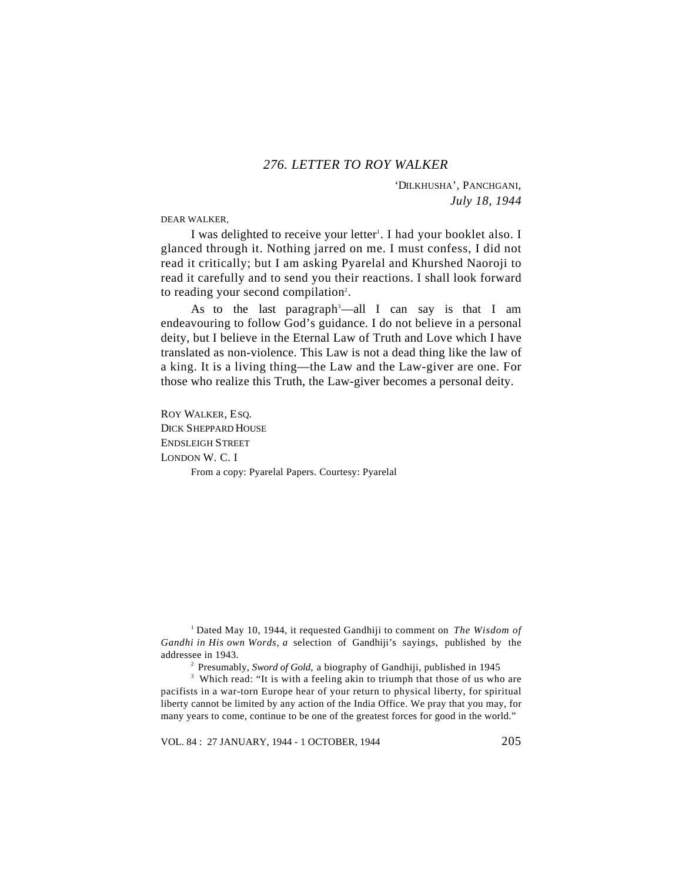# *276. LETTER TO ROY WALKER*

'DILKHUSHA', PANCHGANI, *July 18, 1944*

DEAR WALKER,

I was delighted to receive your letter<sup>1</sup>. I had your booklet also. I glanced through it. Nothing jarred on me. I must confess, I did not read it critically; but I am asking Pyarelal and Khurshed Naoroji to read it carefully and to send you their reactions. I shall look forward to reading your second compilation<sup>2</sup>.

As to the last paragraph<sup>3</sup>—all I can say is that I am endeavouring to follow God's guidance. I do not believe in a personal deity, but I believe in the Eternal Law of Truth and Love which I have translated as non-violence. This Law is not a dead thing like the law of a king. It is a living thing—the Law and the Law-giver are one. For those who realize this Truth, the Law-giver becomes a personal deity.

ROY WALKER, ESQ. DICK SHEPPARD HOUSE ENDSLEIGH STREET LONDON W. C. I From a copy: Pyarelal Papers. Courtesy: Pyarelal

<sup>1</sup> Dated May 10, 1944, it requested Gandhiji to comment on *The Wisdom of Gandhi in His own Words, a* selection of Gandhiji's sayings, published by the addressee in 1943.

<sup>2</sup> Presumably, *Sword of Gold*, a biography of Gandhiji, published in 1945

<sup>3</sup> Which read: "It is with a feeling akin to triumph that those of us who are pacifists in a war-torn Europe hear of your return to physical liberty, for spiritual liberty cannot be limited by any action of the India Office. We pray that you may, for many years to come, continue to be one of the greatest forces for good in the world."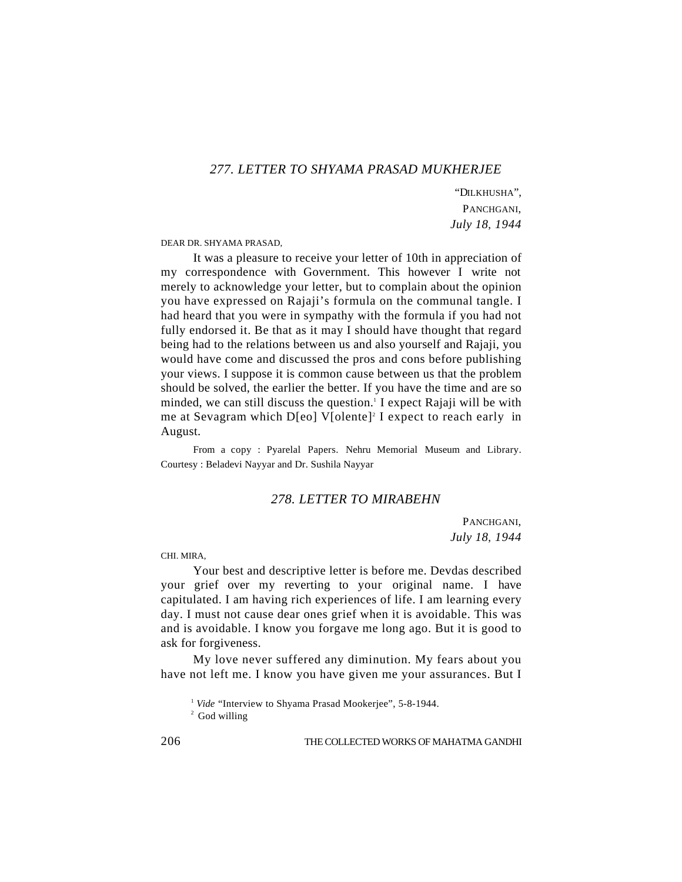# *277. LETTER TO SHYAMA PRASAD MUKHERJEE*

"DILKHUSHA", PANCHGANI, *July 18*, *1944*

#### DEAR DR. SHYAMA PRASAD,

It was a pleasure to receive your letter of 10th in appreciation of my correspondence with Government. This however I write not merely to acknowledge your letter, but to complain about the opinion you have expressed on Rajaji's formula on the communal tangle. I had heard that you were in sympathy with the formula if you had not fully endorsed it. Be that as it may I should have thought that regard being had to the relations between us and also yourself and Rajaji, you would have come and discussed the pros and cons before publishing your views. I suppose it is common cause between us that the problem should be solved, the earlier the better. If you have the time and are so minded, we can still discuss the question.<sup>1</sup> I expect Rajaji will be with me at Sevagram which D[eo] V[olente]<sup>2</sup> I expect to reach early in August.

From a copy : Pyarelal Papers. Nehru Memorial Museum and Library. Courtesy : Beladevi Nayyar and Dr. Sushila Nayyar

# *278. LETTER TO MIRABEHN*

PANCHGANI, *July 18*, *1944*

CHI. MIRA,

Your best and descriptive letter is before me. Devdas described your grief over my reverting to your original name. I have capitulated. I am having rich experiences of life. I am learning every day. I must not cause dear ones grief when it is avoidable. This was and is avoidable. I know you forgave me long ago. But it is good to ask for forgiveness.

My love never suffered any diminution. My fears about you have not left me. I know you have given me your assurances. But I

<sup>&</sup>lt;sup>1</sup> *Vide* "Interview to Shyama Prasad Mookerjee", 5-8-1944.

<sup>&</sup>lt;sup>2</sup> God willing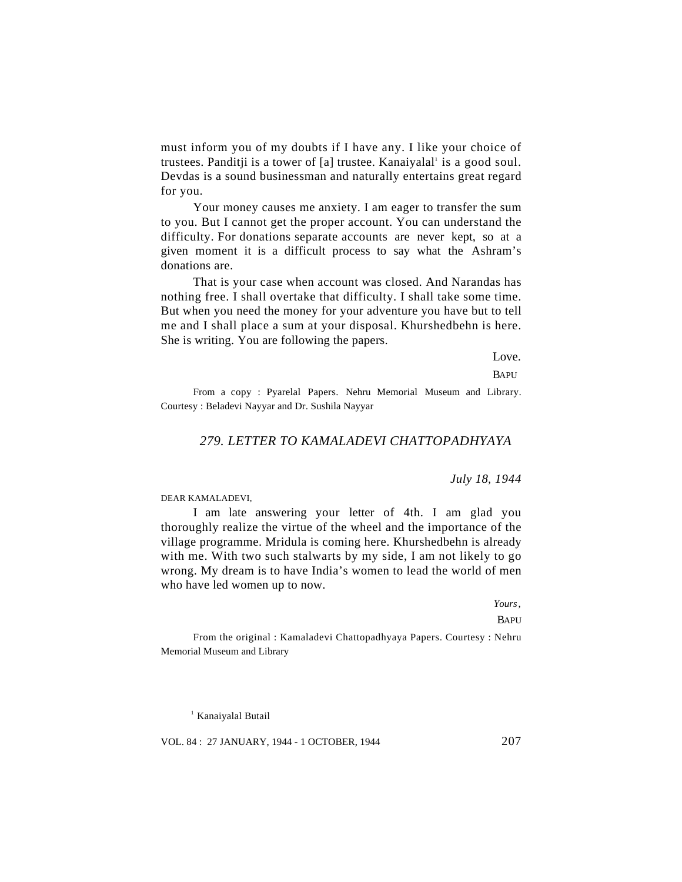must inform you of my doubts if I have any. I like your choice of trustees. Panditji is a tower of [a] trustee. Kanaiyalal' is a good soul. Devdas is a sound businessman and naturally entertains great regard for you.

Your money causes me anxiety. I am eager to transfer the sum to you. But I cannot get the proper account. You can understand the difficulty. For donations separate accounts are never kept, so at a given moment it is a difficult process to say what the Ashram's donations are.

That is your case when account was closed. And Narandas has nothing free. I shall overtake that difficulty. I shall take some time. But when you need the money for your adventure you have but to tell me and I shall place a sum at your disposal. Khurshedbehn is here. She is writing. You are following the papers.

Love.

**BAPU** 

From a copy : Pyarelal Papers. Nehru Memorial Museum and Library. Courtesy : Beladevi Nayyar and Dr. Sushila Nayyar

# *279. LETTER TO KAMALADEVI CHATTOPADHYAYA*

*July 18*, *1944*

DEAR KAMALADEVI,

I am late answering your letter of 4th. I am glad you thoroughly realize the virtue of the wheel and the importance of the village programme. Mridula is coming here. Khurshedbehn is already with me. With two such stalwarts by my side, I am not likely to go wrong. My dream is to have India's women to lead the world of men who have led women up to now.

*Yours*,

**BAPU** 

From the original : Kamaladevi Chattopadhyaya Papers. Courtesy : Nehru Memorial Museum and Library

1 Kanaiyalal Butail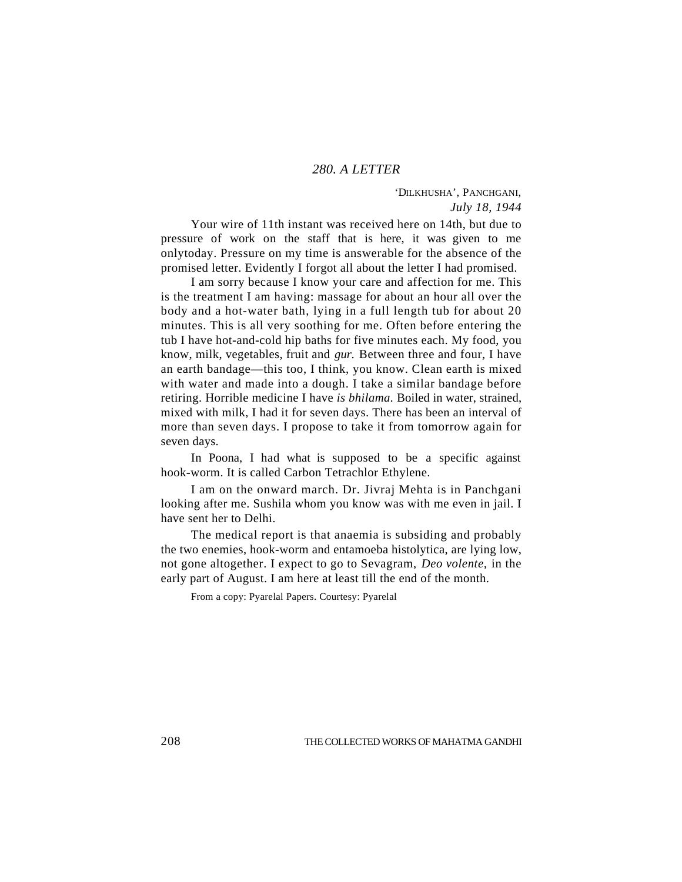# *280. A LETTER*

'DILKHUSHA', PANCHGANI, *July 18, 1944*

Your wire of 11th instant was received here on 14th, but due to pressure of work on the staff that is here, it was given to me onlytoday. Pressure on my time is answerable for the absence of the promised letter. Evidently I forgot all about the letter I had promised.

I am sorry because I know your care and affection for me. This is the treatment I am having: massage for about an hour all over the body and a hot-water bath, lying in a full length tub for about 20 minutes. This is all very soothing for me. Often before entering the tub I have hot-and-cold hip baths for five minutes each. My food, you know, milk, vegetables, fruit and *gur.* Between three and four, I have an earth bandage—this too, I think, you know. Clean earth is mixed with water and made into a dough. I take a similar bandage before retiring. Horrible medicine I have *is bhilama.* Boiled in water, strained, mixed with milk, I had it for seven days. There has been an interval of more than seven days. I propose to take it from tomorrow again for seven days.

In Poona, I had what is supposed to be a specific against hook-worm. It is called Carbon Tetrachlor Ethylene.

I am on the onward march. Dr. Jivraj Mehta is in Panchgani looking after me. Sushila whom you know was with me even in jail. I have sent her to Delhi.

The medical report is that anaemia is subsiding and probably the two enemies, hook-worm and entamoeba histolytica, are lying low, not gone altogether. I expect to go to Sevagram, *Deo volente,* in the early part of August. I am here at least till the end of the month.

From a copy: Pyarelal Papers. Courtesy: Pyarelal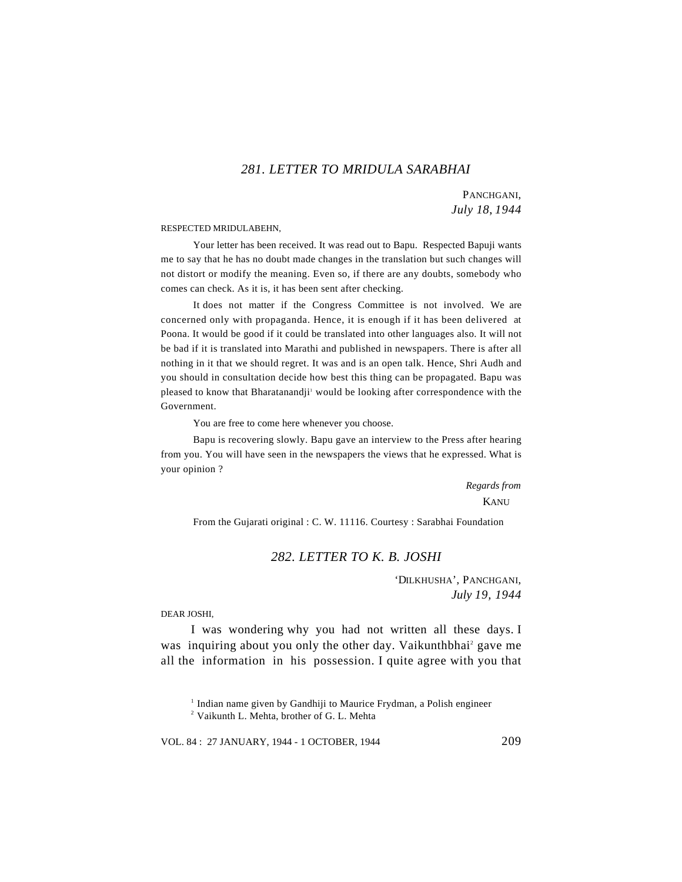# *281. LETTER TO MRIDULA SARABHAI*

PANCHGANI, *July 18*, *1944*

#### RESPECTED MRIDULABEHN,

Your letter has been received. It was read out to Bapu. Respected Bapuji wants me to say that he has no doubt made changes in the translation but such changes will not distort or modify the meaning. Even so, if there are any doubts, somebody who comes can check. As it is, it has been sent after checking.

It does not matter if the Congress Committee is not involved. We are concerned only with propaganda. Hence, it is enough if it has been delivered at Poona. It would be good if it could be translated into other languages also. It will not be bad if it is translated into Marathi and published in newspapers. There is after all nothing in it that we should regret. It was and is an open talk. Hence, Shri Audh and you should in consultation decide how best this thing can be propagated. Bapu was pleased to know that Bharatanandii<sup>1</sup> would be looking after correspondence with the Government.

You are free to come here whenever you choose.

Bapu is recovering slowly. Bapu gave an interview to the Press after hearing from you. You will have seen in the newspapers the views that he expressed. What is your opinion ?

> *Regards from* **KANU**

From the Gujarati original : C. W. 11116. Courtesy : Sarabhai Foundation

## *282. LETTER TO K. B. JOSHI*

'DILKHUSHA', PANCHGANI, *July 19, 1944*

DEAR JOSHI,

I was wondering why you had not written all these days. I was inquiring about you only the other day. Vaikunthbhai<sup>2</sup> gave me all the information in his possession. I quite agree with you that

<sup>&</sup>lt;sup>1</sup> Indian name given by Gandhiji to Maurice Frydman, a Polish engineer <sup>2</sup> Vaikunth L. Mehta, brother of G. L. Mehta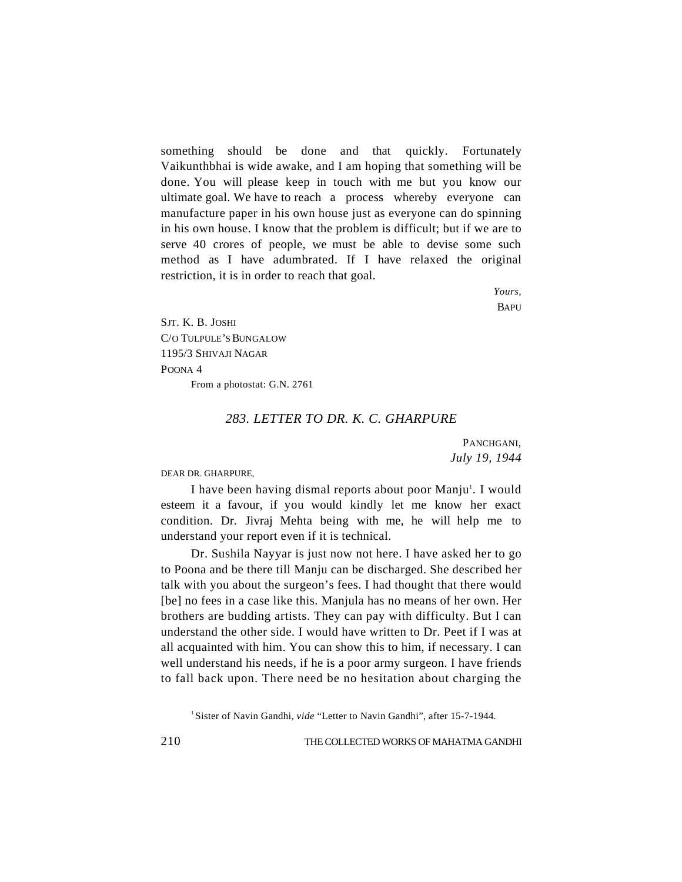something should be done and that quickly. Fortunately Vaikunthbhai is wide awake, and I am hoping that something will be done. You will please keep in touch with me but you know our ultimate goal. We have to reach a process whereby everyone can manufacture paper in his own house just as everyone can do spinning in his own house. I know that the problem is difficult; but if we are to serve 40 crores of people, we must be able to devise some such method as I have adumbrated. If I have relaxed the original restriction, it is in order to reach that goal.

> *Yours,* **BAPU**

SJT. K. B. JOSHI C/O TULPULE'S BUNGALOW 1195/3 SHIVAJI NAGAR POONA 4 From a photostat: G.N. 2761

# *283. LETTER TO DR. K. C. GHARPURE*

PANCHGANI, *July 19, 1944*

DEAR DR. GHARPURE,

I have been having dismal reports about poor Manju<sup>1</sup>. I would esteem it a favour, if you would kindly let me know her exact condition. Dr. Jivraj Mehta being with me, he will help me to understand your report even if it is technical.

Dr. Sushila Nayyar is just now not here. I have asked her to go to Poona and be there till Manju can be discharged. She described her talk with you about the surgeon's fees. I had thought that there would [be] no fees in a case like this. Manjula has no means of her own. Her brothers are budding artists. They can pay with difficulty. But I can understand the other side. I would have written to Dr. Peet if I was at all acquainted with him. You can show this to him, if necessary. I can well understand his needs, if he is a poor army surgeon. I have friends to fall back upon. There need be no hesitation about charging the

<sup>1</sup> Sister of Navin Gandhi, *vide* "Letter to Navin Gandhi", after 15-7-1944.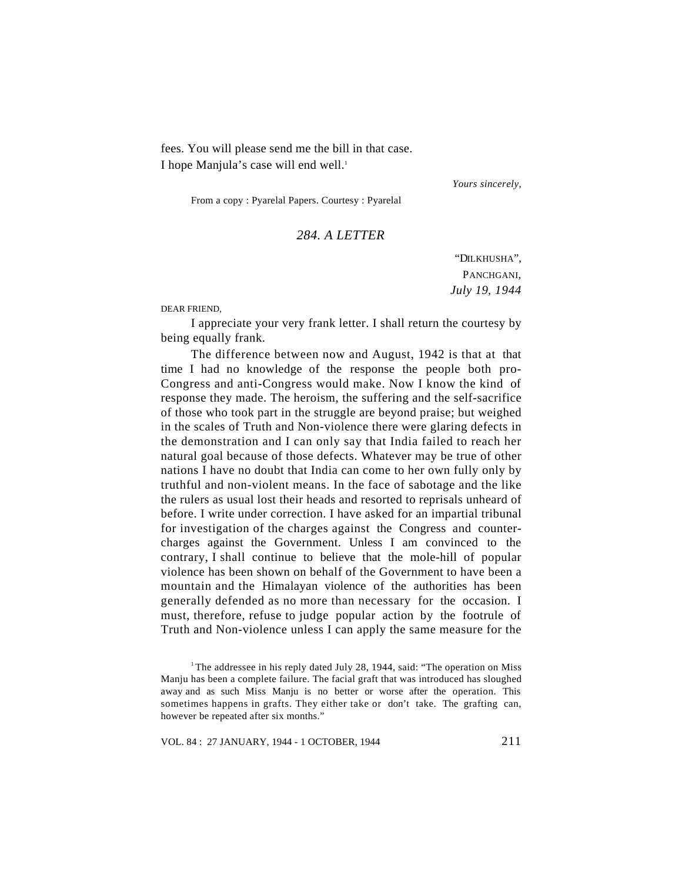fees. You will please send me the bill in that case. I hope Manjula's case will end well.<sup>1</sup>

*Yours sincerely,*

From a copy : Pyarelal Papers. Courtesy : Pyarelal

### *284. A LETTER*

"DILKHUSHA", PANCHGANI, *July 19*, *1944*

DEAR FRIEND,

I appreciate your very frank letter. I shall return the courtesy by being equally frank.

The difference between now and August, 1942 is that at that time I had no knowledge of the response the people both pro-Congress and anti-Congress would make. Now I know the kind of response they made. The heroism, the suffering and the self-sacrifice of those who took part in the struggle are beyond praise; but weighed in the scales of Truth and Non-violence there were glaring defects in the demonstration and I can only say that India failed to reach her natural goal because of those defects. Whatever may be true of other nations I have no doubt that India can come to her own fully only by truthful and non-violent means. In the face of sabotage and the like the rulers as usual lost their heads and resorted to reprisals unheard of before. I write under correction. I have asked for an impartial tribunal for investigation of the charges against the Congress and countercharges against the Government. Unless I am convinced to the contrary, I shall continue to believe that the mole-hill of popular violence has been shown on behalf of the Government to have been a mountain and the Himalayan violence of the authorities has been generally defended as no more than necessary for the occasion. I must, therefore, refuse to judge popular action by the footrule of Truth and Non-violence unless I can apply the same measure for the

<sup>1</sup>The addressee in his reply dated July 28, 1944, said: "The operation on Miss Manju has been a complete failure. The facial graft that was introduced has sloughed away and as such Miss Manju is no better or worse after the operation. This sometimes happens in grafts. They either take or don't take. The grafting can, however be repeated after six months."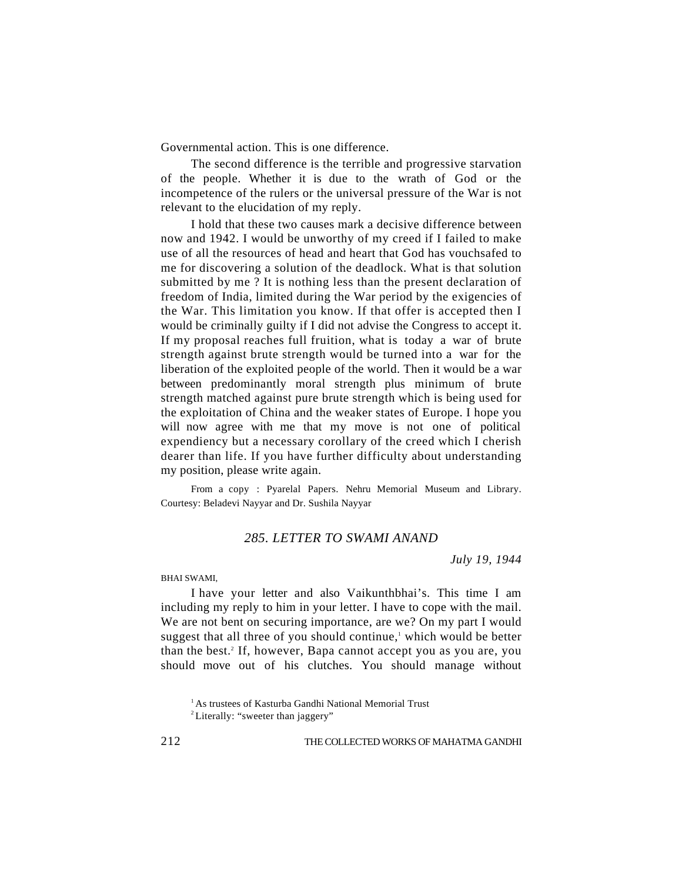Governmental action. This is one difference.

The second difference is the terrible and progressive starvation of the people. Whether it is due to the wrath of God or the incompetence of the rulers or the universal pressure of the War is not relevant to the elucidation of my reply.

I hold that these two causes mark a decisive difference between now and 1942. I would be unworthy of my creed if I failed to make use of all the resources of head and heart that God has vouchsafed to me for discovering a solution of the deadlock. What is that solution submitted by me ? It is nothing less than the present declaration of freedom of India, limited during the War period by the exigencies of the War. This limitation you know. If that offer is accepted then I would be criminally guilty if I did not advise the Congress to accept it. If my proposal reaches full fruition, what is today a war of brute strength against brute strength would be turned into a war for the liberation of the exploited people of the world. Then it would be a war between predominantly moral strength plus minimum of brute strength matched against pure brute strength which is being used for the exploitation of China and the weaker states of Europe. I hope you will now agree with me that my move is not one of political expendiency but a necessary corollary of the creed which I cherish dearer than life. If you have further difficulty about understanding my position, please write again.

From a copy : Pyarelal Papers. Nehru Memorial Museum and Library. Courtesy: Beladevi Nayyar and Dr. Sushila Nayyar

# *285. LETTER TO SWAMI ANAND*

*July 19, 1944*

BHAI SWAMI,

I have your letter and also Vaikunthbhai's. This time I am including my reply to him in your letter. I have to cope with the mail. We are not bent on securing importance, are we? On my part I would suggest that all three of you should continue,<sup>1</sup> which would be better than the best.<sup>2</sup> If, however, Bapa cannot accept you as you are, you should move out of his clutches. You should manage without

<sup>&</sup>lt;sup>1</sup> As trustees of Kasturba Gandhi National Memorial Trust

 ${}^{2}$ Literally: "sweeter than jaggery"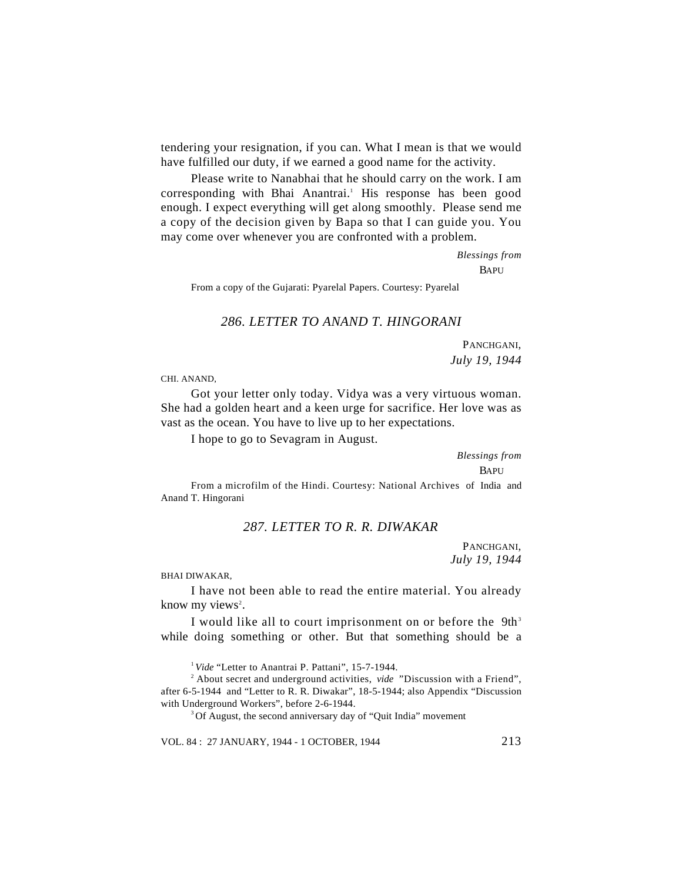tendering your resignation, if you can. What I mean is that we would have fulfilled our duty, if we earned a good name for the activity.

Please write to Nanabhai that he should carry on the work. I am corresponding with Bhai Anantrai.<sup>1</sup> His response has been good enough. I expect everything will get along smoothly. Please send me a copy of the decision given by Bapa so that I can guide you. You may come over whenever you are confronted with a problem.

> *Blessings from* **BAPU**

From a copy of the Gujarati: Pyarelal Papers. Courtesy: Pyarelal

### *286. LETTER TO ANAND T. HINGORANI*

PANCHGANI, *July 19, 1944*

CHI. ANAND,

Got your letter only today. Vidya was a very virtuous woman. She had a golden heart and a keen urge for sacrifice. Her love was as vast as the ocean. You have to live up to her expectations.

I hope to go to Sevagram in August.

*Blessings from*

**BAPU** 

From a microfilm of the Hindi. Courtesy: National Archives of India and Anand T. Hingorani

## *287. LETTER TO R. R. DIWAKAR*

PANCHGANI, *July 19, 1944*

BHAI DIWAKAR,

I have not been able to read the entire material. You already know my views<sup>2</sup>.

I would like all to court imprisonment on or before the 9th<sup>3</sup> while doing something or other. But that something should be a

<sup>2</sup> About secret and underground activities, *vide* "Discussion with a Friend", after 6-5-1944 and "Letter to R. R. Diwakar", 18-5-1944; also Appendix "Discussion with Underground Workers", before 2-6-1944.

<sup>3</sup> Of August, the second anniversary day of "Quit India" movement

<sup>&</sup>lt;sup>1</sup> Vide "Letter to Anantrai P. Pattani", 15-7-1944.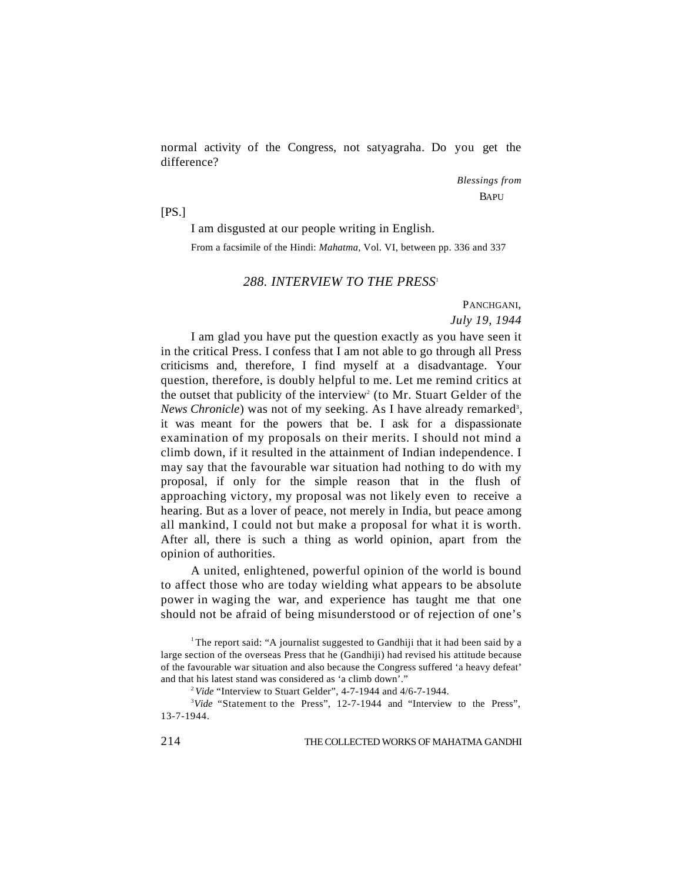normal activity of the Congress, not satyagraha. Do you get the difference?

> *Blessings from* BAPU

[PS.]

I am disgusted at our people writing in English.

From a facsimile of the Hindi: *Mahatma,* Vol. VI, between pp. 336 and 337

# *288. INTERVIEW TO THE PRESS*<sup>1</sup>

PANCHGANI, *July 19, 1944*

I am glad you have put the question exactly as you have seen it in the critical Press. I confess that I am not able to go through all Press criticisms and, therefore, I find myself at a disadvantage. Your question, therefore, is doubly helpful to me. Let me remind critics at the outset that publicity of the interview<sup>2</sup> (to Mr. Stuart Gelder of the News Chronicle) was not of my seeking. As I have already remarked<sup>3</sup>, it was meant for the powers that be. I ask for a dispassionate examination of my proposals on their merits. I should not mind a climb down, if it resulted in the attainment of Indian independence. I may say that the favourable war situation had nothing to do with my proposal, if only for the simple reason that in the flush of approaching victory, my proposal was not likely even to receive a hearing. But as a lover of peace, not merely in India, but peace among all mankind, I could not but make a proposal for what it is worth. After all, there is such a thing as world opinion, apart from the opinion of authorities.

A united, enlightened, powerful opinion of the world is bound to affect those who are today wielding what appears to be absolute power in waging the war, and experience has taught me that one should not be afraid of being misunderstood or of rejection of one's

<sup>1</sup>The report said: "A journalist suggested to Gandhiji that it had been said by a large section of the overseas Press that he (Gandhiji) had revised his attitude because of the favourable war situation and also because the Congress suffered 'a heavy defeat' and that his latest stand was considered as 'a climb down'."

<sup>2</sup>*Vide* "Interview to Stuart Gelder", 4-7-1944 and 4/6-7-1944.

<sup>3</sup>Vide "Statement to the Press", 12-7-1944 and "Interview to the Press", 13-7-1944.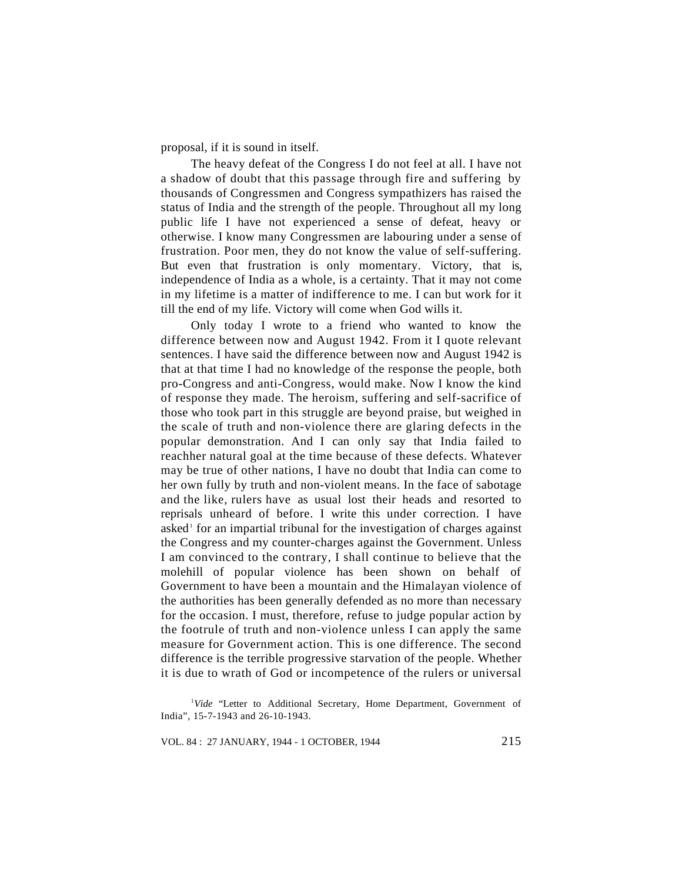proposal, if it is sound in itself.

The heavy defeat of the Congress I do not feel at all. I have not a shadow of doubt that this passage through fire and suffering by thousands of Congressmen and Congress sympathizers has raised the status of India and the strength of the people. Throughout all my long public life I have not experienced a sense of defeat, heavy or otherwise. I know many Congressmen are labouring under a sense of frustration. Poor men, they do not know the value of self-suffering. But even that frustration is only momentary. Victory, that is, independence of India as a whole, is a certainty. That it may not come in my lifetime is a matter of indifference to me. I can but work for it till the end of my life. Victory will come when God wills it.

Only today I wrote to a friend who wanted to know the difference between now and August 1942. From it I quote relevant sentences. I have said the difference between now and August 1942 is that at that time I had no knowledge of the response the people, both pro-Congress and anti-Congress, would make. Now I know the kind of response they made. The heroism, suffering and self-sacrifice of those who took part in this struggle are beyond praise, but weighed in the scale of truth and non-violence there are glaring defects in the popular demonstration. And I can only say that India failed to reachher natural goal at the time because of these defects. Whatever may be true of other nations, I have no doubt that India can come to her own fully by truth and non-violent means. In the face of sabotage and the like, rulers have as usual lost their heads and resorted to reprisals unheard of before. I write this under correction. I have asked<sup>1</sup> for an impartial tribunal for the investigation of charges against the Congress and my counter-charges against the Government. Unless I am convinced to the contrary, I shall continue to believe that the molehill of popular violence has been shown on behalf of Government to have been a mountain and the Himalayan violence of the authorities has been generally defended as no more than necessary for the occasion. I must, therefore, refuse to judge popular action by the footrule of truth and non-violence unless I can apply the same measure for Government action. This is one difference. The second difference is the terrible progressive starvation of the people. Whether it is due to wrath of God or incompetence of the rulers or universal

<sup>&</sup>lt;sup>1</sup>Vide "Letter to Additional Secretary, Home Department, Government of India", 15-7-1943 and 26-10-1943.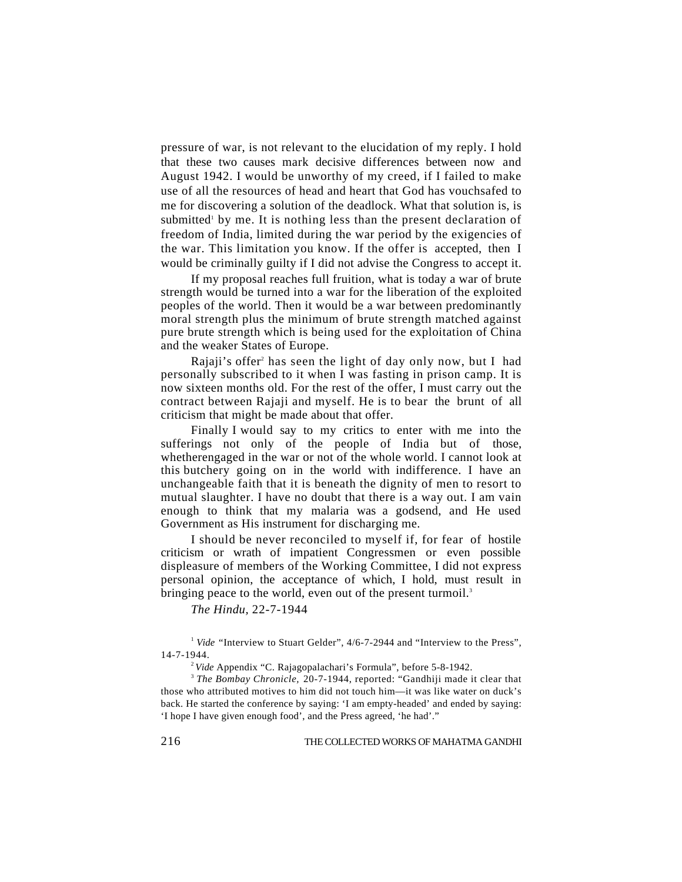pressure of war, is not relevant to the elucidation of my reply. I hold that these two causes mark decisive differences between now and August 1942. I would be unworthy of my creed, if I failed to make use of all the resources of head and heart that God has vouchsafed to me for discovering a solution of the deadlock. What that solution is, is submitted<sup>1</sup> by me. It is nothing less than the present declaration of freedom of India, limited during the war period by the exigencies of the war. This limitation you know. If the offer is accepted, then I would be criminally guilty if I did not advise the Congress to accept it.

If my proposal reaches full fruition, what is today a war of brute strength would be turned into a war for the liberation of the exploited peoples of the world. Then it would be a war between predominantly moral strength plus the minimum of brute strength matched against pure brute strength which is being used for the exploitation of China and the weaker States of Europe.

Rajaji's offer<sup>2</sup> has seen the light of day only now, but I had personally subscribed to it when I was fasting in prison camp. It is now sixteen months old. For the rest of the offer, I must carry out the contract between Rajaji and myself. He is to bear the brunt of all criticism that might be made about that offer.

Finally I would say to my critics to enter with me into the sufferings not only of the people of India but of those, whetherengaged in the war or not of the whole world. I cannot look at this butchery going on in the world with indifference. I have an unchangeable faith that it is beneath the dignity of men to resort to mutual slaughter. I have no doubt that there is a way out. I am vain enough to think that my malaria was a godsend, and He used Government as His instrument for discharging me.

I should be never reconciled to myself if, for fear of hostile criticism or wrath of impatient Congressmen or even possible displeasure of members of the Working Committee, I did not express personal opinion, the acceptance of which, I hold, must result in bringing peace to the world, even out of the present turmoil.<sup>3</sup>

*The Hindu,* 22-7-1944

<sup>1</sup> Vide "Interview to Stuart Gelder", 4/6-7-2944 and "Interview to the Press", 14-7-1944.

<sup>2</sup>*Vide* Appendix "C. Rajagopalachari's Formula", before 5-8-1942.

<sup>3</sup> The Bombay Chronicle, 20-7-1944, reported: "Gandhiji made it clear that those who attributed motives to him did not touch him—it was like water on duck's back. He started the conference by saying: 'I am empty-headed' and ended by saying: 'I hope I have given enough food', and the Press agreed, 'he had'."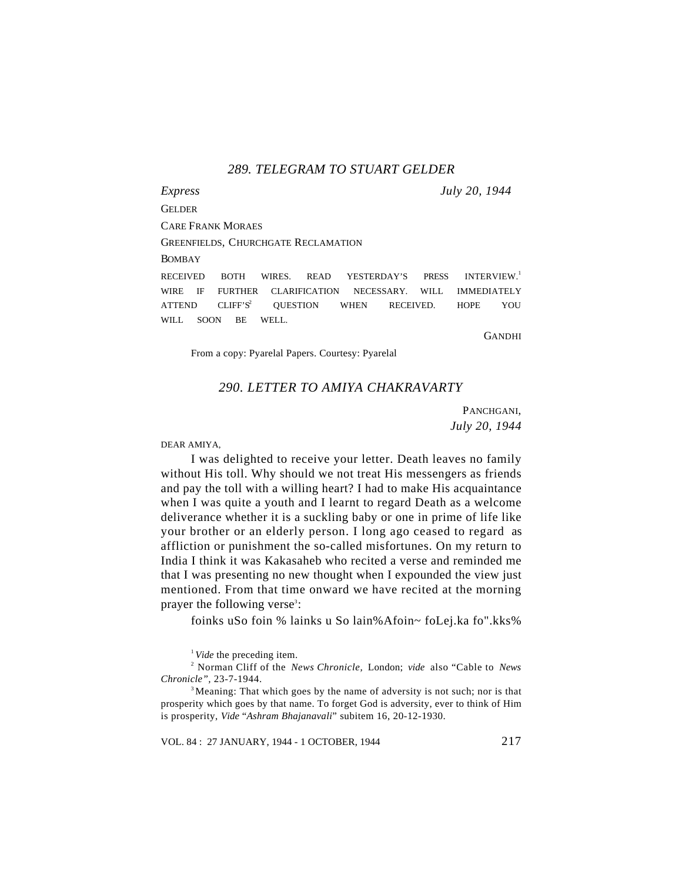GELDER

CARE FRANK MORAES

GREENFIELDS, CHURCHGATE RECLAMATION

BOMBAY

RECEIVED BOTH WIRES. READ YESTERDAY'S PRESS INTERVIEW.<sup>1</sup> WIRE IF FURTHER CLARIFICATION NECESSARY. WILL IMMEDIATELY  $ATTEND$   $CLIF'S^2$   $OUESTION$   $WHEN$   $RECEIVED$ . HOPE YOU WILL SOON BE WELL.

GANDHI

From a copy: Pyarelal Papers. Courtesy: Pyarelal

## *290. LETTER TO AMIYA CHAKRAVARTY*

PANCHGANI, *July 20, 1944*

DEAR AMIYA,

I was delighted to receive your letter. Death leaves no family without His toll. Why should we not treat His messengers as friends and pay the toll with a willing heart? I had to make His acquaintance when I was quite a youth and I learnt to regard Death as a welcome deliverance whether it is a suckling baby or one in prime of life like your brother or an elderly person. I long ago ceased to regard as affliction or punishment the so-called misfortunes. On my return to India I think it was Kakasaheb who recited a verse and reminded me that I was presenting no new thought when I expounded the view just mentioned. From that time onward we have recited at the morning prayer the following verse<sup>3</sup>:

foinks uSo foin % lainks u So lain%Afoin~ foLej.ka fo".kks%

<sup>1</sup> Vide the preceding item.

<sup>2</sup>Norman Cliff of the *News Chronicle,* London; *vide* also "Cable to *News Chronicle",* 23-7-1944.

<sup>3</sup>Meaning: That which goes by the name of adversity is not such; nor is that prosperity which goes by that name. To forget God is adversity, ever to think of Him is prosperity, *Vide* "*Ashram Bhajanavali*" subitem 16, 20-12-1930.

VOL. 84 : 27 JANUARY, 1944 - 1 OCTOBER, 1944 217

*Express July 20, 1944*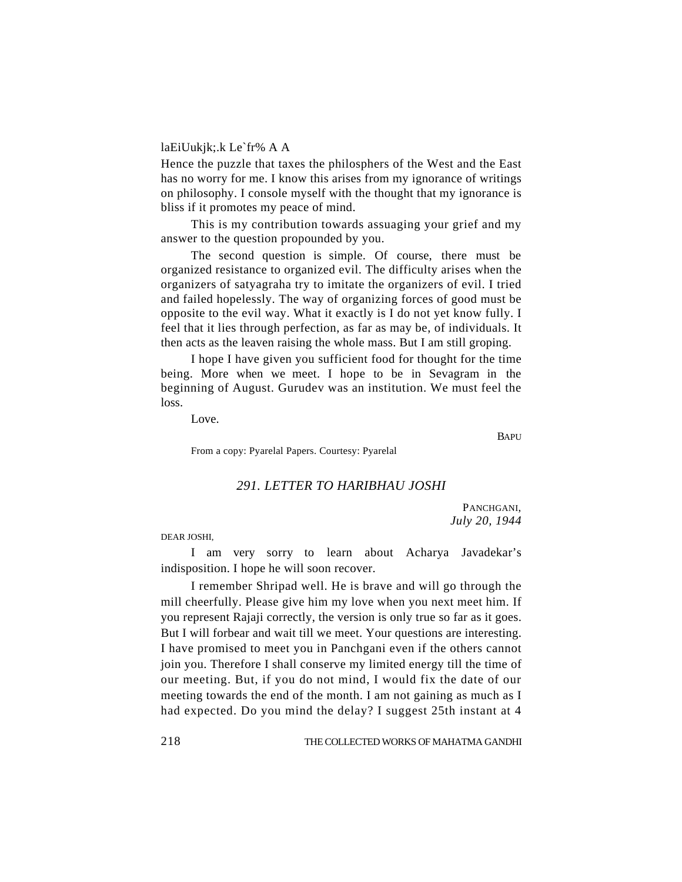laEiUukjk;.k Le`fr% A A

Hence the puzzle that taxes the philosphers of the West and the East has no worry for me. I know this arises from my ignorance of writings on philosophy. I console myself with the thought that my ignorance is bliss if it promotes my peace of mind.

This is my contribution towards assuaging your grief and my answer to the question propounded by you.

The second question is simple. Of course, there must be organized resistance to organized evil. The difficulty arises when the organizers of satyagraha try to imitate the organizers of evil. I tried and failed hopelessly. The way of organizing forces of good must be opposite to the evil way. What it exactly is I do not yet know fully. I feel that it lies through perfection, as far as may be, of individuals. It then acts as the leaven raising the whole mass. But I am still groping.

I hope I have given you sufficient food for thought for the time being. More when we meet. I hope to be in Sevagram in the beginning of August. Gurudev was an institution. We must feel the loss.

Love.

**BAPU** 

From a copy: Pyarelal Papers. Courtesy: Pyarelal

### *291. LETTER TO HARIBHAU JOSHI*

PANCHGANI, *July 20, 1944*

DEAR JOSHI,

I am very sorry to learn about Acharya Javadekar's indisposition. I hope he will soon recover.

I remember Shripad well. He is brave and will go through the mill cheerfully. Please give him my love when you next meet him. If you represent Rajaji correctly, the version is only true so far as it goes. But I will forbear and wait till we meet. Your questions are interesting. I have promised to meet you in Panchgani even if the others cannot join you. Therefore I shall conserve my limited energy till the time of our meeting. But, if you do not mind, I would fix the date of our meeting towards the end of the month. I am not gaining as much as I had expected. Do you mind the delay? I suggest 25th instant at 4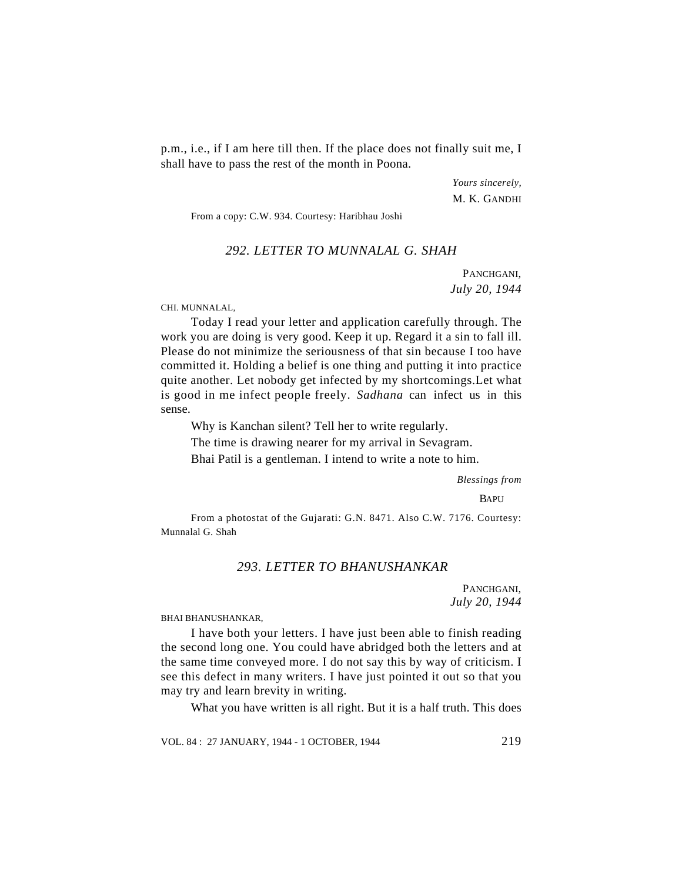p.m., i.e., if I am here till then. If the place does not finally suit me, I shall have to pass the rest of the month in Poona.

> *Yours sincerely,* M. K. GANDHI

From a copy: C.W. 934. Courtesy: Haribhau Joshi

#### *292. LETTER TO MUNNALAL G. SHAH*

PANCHGANI, *July 20, 1944*

CHI. MUNNALAL,

Today I read your letter and application carefully through. The work you are doing is very good. Keep it up. Regard it a sin to fall ill. Please do not minimize the seriousness of that sin because I too have committed it. Holding a belief is one thing and putting it into practice quite another. Let nobody get infected by my shortcomings.Let what is good in me infect people freely. *Sadhana* can infect us in this sense.

Why is Kanchan silent? Tell her to write regularly.

The time is drawing nearer for my arrival in Sevagram.

Bhai Patil is a gentleman. I intend to write a note to him.

*Blessings from*

**BAPU** 

From a photostat of the Gujarati: G.N. 8471. Also C.W. 7176. Courtesy: Munnalal G. Shah

#### *293. LETTER TO BHANUSHANKAR*

PANCHGANI, *July 20, 1944*

BHAI BHANUSHANKAR,

I have both your letters. I have just been able to finish reading the second long one. You could have abridged both the letters and at the same time conveyed more. I do not say this by way of criticism. I see this defect in many writers. I have just pointed it out so that you may try and learn brevity in writing.

What you have written is all right. But it is a half truth. This does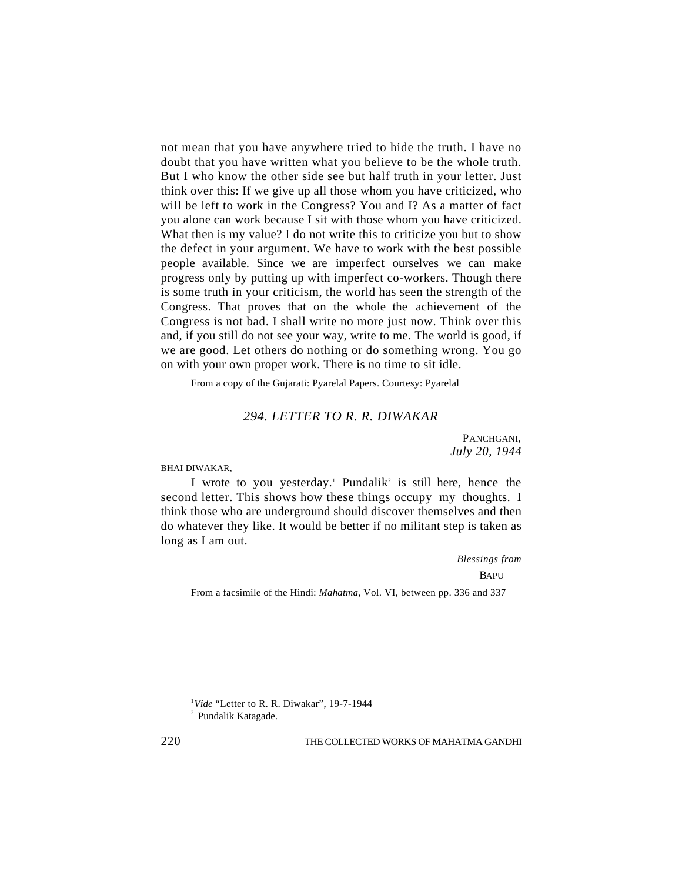not mean that you have anywhere tried to hide the truth. I have no doubt that you have written what you believe to be the whole truth. But I who know the other side see but half truth in your letter. Just think over this: If we give up all those whom you have criticized, who will be left to work in the Congress? You and I? As a matter of fact you alone can work because I sit with those whom you have criticized. What then is my value? I do not write this to criticize you but to show the defect in your argument. We have to work with the best possible people available. Since we are imperfect ourselves we can make progress only by putting up with imperfect co-workers. Though there is some truth in your criticism, the world has seen the strength of the Congress. That proves that on the whole the achievement of the Congress is not bad. I shall write no more just now. Think over this and, if you still do not see your way, write to me. The world is good, if we are good. Let others do nothing or do something wrong. You go on with your own proper work. There is no time to sit idle.

From a copy of the Gujarati: Pyarelal Papers. Courtesy: Pyarelal

# *294. LETTER TO R. R. DIWAKAR*

PANCHGANI, *July 20, 1944*

BHAI DIWAKAR,

I wrote to you yesterday.<sup>1</sup> Pundalik<sup>2</sup> is still here, hence the second letter. This shows how these things occupy my thoughts. I think those who are underground should discover themselves and then do whatever they like. It would be better if no militant step is taken as long as I am out.

*Blessings from*

**BAPU** 

From a facsimile of the Hindi: *Mahatma,* Vol. VI, between pp. 336 and 337

<sup>1</sup>*Vide* "Letter to R. R. Diwakar", 19-7-1944

2 Pundalik Katagade.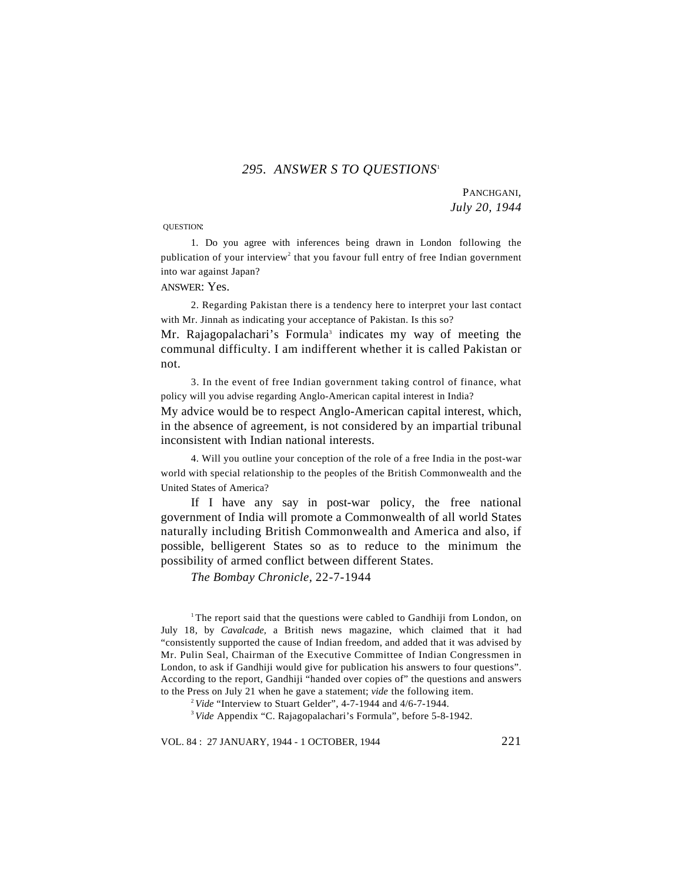## *295. ANSWER S TO QUESTIONS*<sup>1</sup>

PANCHGANI, *July 20, 1944*

QUESTION:

1. Do you agree with inferences being drawn in London following the publication of your interview<sup>2</sup> that you favour full entry of free Indian government into war against Japan?

ANSWER: Yes.

2. Regarding Pakistan there is a tendency here to interpret your last contact with Mr. Jinnah as indicating your acceptance of Pakistan. Is this so?

Mr. Rajagopalachari's Formula<sup>3</sup> indicates my way of meeting the communal difficulty. I am indifferent whether it is called Pakistan or not.

3. In the event of free Indian government taking control of finance, what policy will you advise regarding Anglo-American capital interest in India?

My advice would be to respect Anglo-American capital interest, which, in the absence of agreement, is not considered by an impartial tribunal inconsistent with Indian national interests.

4. Will you outline your conception of the role of a free India in the post-war world with special relationship to the peoples of the British Commonwealth and the United States of America?

If I have any say in post-war policy, the free national government of India will promote a Commonwealth of all world States naturally including British Commonwealth and America and also, if possible, belligerent States so as to reduce to the minimum the possibility of armed conflict between different States.

*The Bombay Chronicle,* 22-7-1944

<sup>1</sup>The report said that the questions were cabled to Gandhiji from London, on July 18, by *Cavalcade,* a British news magazine, which claimed that it had "consistently supported the cause of Indian freedom, and added that it was advised by Mr. Pulin Seal, Chairman of the Executive Committee of Indian Congressmen in London, to ask if Gandhiji would give for publication his answers to four questions". According to the report, Gandhiji "handed over copies of" the questions and answers to the Press on July 21 when he gave a statement; *vide* the following item.

<sup>2</sup>*Vide* "Interview to Stuart Gelder", 4-7-1944 and 4/6-7-1944.

<sup>3</sup>*Vide* Appendix "C. Rajagopalachari's Formula", before 5-8-1942.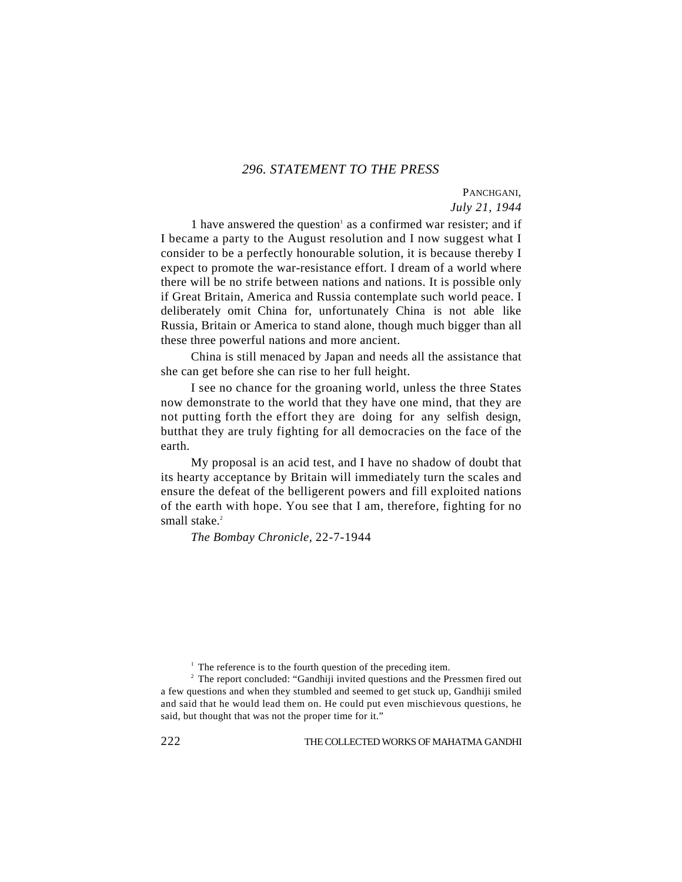## *296. STATEMENT TO THE PRESS*

PANCHGANI, *July 21, 1944*

1 have answered the question<sup>1</sup> as a confirmed war resister; and if I became a party to the August resolution and I now suggest what I consider to be a perfectly honourable solution, it is because thereby I expect to promote the war-resistance effort. I dream of a world where there will be no strife between nations and nations. It is possible only if Great Britain, America and Russia contemplate such world peace. I deliberately omit China for, unfortunately China is not able like Russia, Britain or America to stand alone, though much bigger than all these three powerful nations and more ancient.

China is still menaced by Japan and needs all the assistance that she can get before she can rise to her full height.

I see no chance for the groaning world, unless the three States now demonstrate to the world that they have one mind, that they are not putting forth the effort they are doing for any selfish design, butthat they are truly fighting for all democracies on the face of the earth.

My proposal is an acid test, and I have no shadow of doubt that its hearty acceptance by Britain will immediately turn the scales and ensure the defeat of the belligerent powers and fill exploited nations of the earth with hope. You see that I am, therefore, fighting for no small stake.<sup>2</sup>

*The Bombay Chronicle,* 22-7-1944

 $1$  The reference is to the fourth question of the preceding item.

 $2$  The report concluded: "Gandhiji invited questions and the Pressmen fired out a few questions and when they stumbled and seemed to get stuck up, Gandhiji smiled and said that he would lead them on. He could put even mischievous questions, he said, but thought that was not the proper time for it."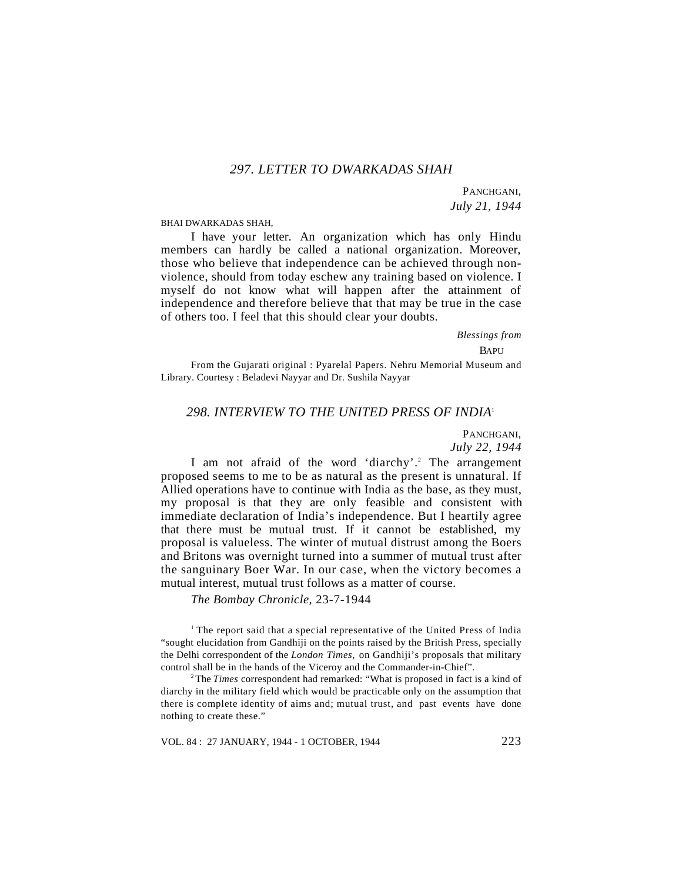## *297. LETTER TO DWARKADAS SHAH*

PANCHGANI, *July 21*, *1944*

#### BHAI DWARKADAS SHAH,

I have your letter. An organization which has only Hindu members can hardly be called a national organization. Moreover, those who believe that independence can be achieved through nonviolence, should from today eschew any training based on violence. I myself do not know what will happen after the attainment of independence and therefore believe that that may be true in the case of others too. I feel that this should clear your doubts.

*Blessings from*

**BAPU** 

From the Gujarati original : Pyarelal Papers. Nehru Memorial Museum and Library. Courtesy : Beladevi Nayyar and Dr. Sushila Nayyar

#### *298. INTERVIEW TO THE UNITED PRESS OF INDIA*<sup>1</sup>

PANCHGANI, *July 22, 1944*

I am not afraid of the word 'diarchy'.<sup>2</sup> The arrangement proposed seems to me to be as natural as the present is unnatural. If Allied operations have to continue with India as the base, as they must, my proposal is that they are only feasible and consistent with immediate declaration of India's independence. But I heartily agree that there must be mutual trust. If it cannot be established, my proposal is valueless. The winter of mutual distrust among the Boers and Britons was overnight turned into a summer of mutual trust after the sanguinary Boer War. In our case, when the victory becomes a mutual interest, mutual trust follows as a matter of course.

*The Bombay Chronicle,* 23-7-1944

<sup>1</sup> The report said that a special representative of the United Press of India "sought elucidation from Gandhiji on the points raised by the British Press, specially the Delhi correspondent of the *London Times,* on Gandhiji's proposals that military control shall be in the hands of the Viceroy and the Commander-in-Chief".

<sup>2</sup>The *Times* correspondent had remarked: "What is proposed in fact is a kind of diarchy in the military field which would be practicable only on the assumption that there is complete identity of aims and; mutual trust, and past events have done nothing to create these."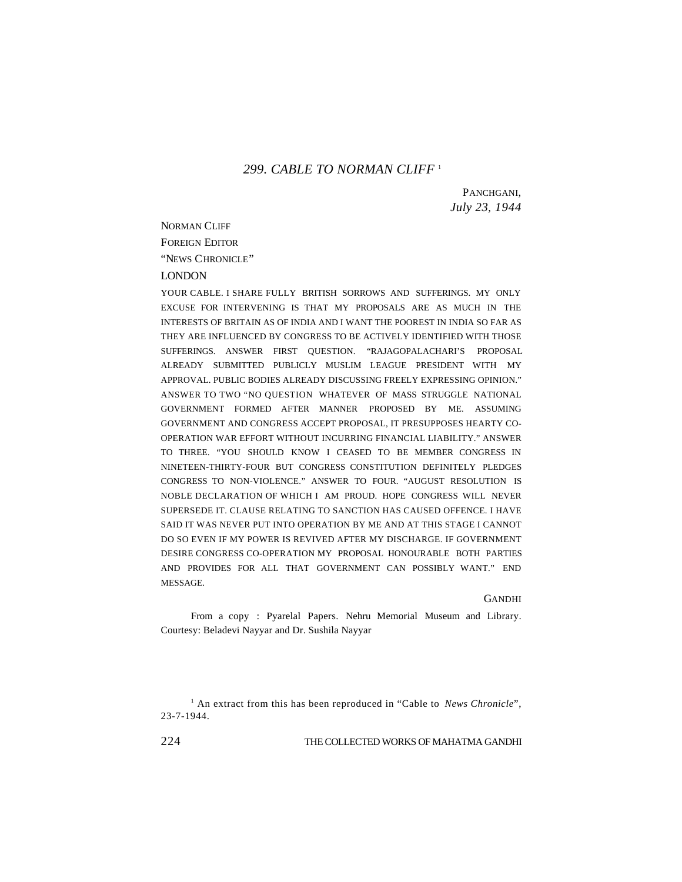# *299. CABLE TO NORMAN CLIFF* <sup>1</sup>

PANCHGANI, *July 23*, *1944*

#### NORMAN CLIFF FOREIGN EDITOR

"NEWS CHRONICLE"

#### LONDON

YOUR CABLE. I SHARE FULLY BRITISH SORROWS AND SUFFERINGS. MY ONLY EXCUSE FOR INTERVENING IS THAT MY PROPOSALS ARE AS MUCH IN THE INTERESTS OF BRITAIN AS OF INDIA AND I WANT THE POOREST IN INDIA SO FAR AS THEY ARE INFLUENCED BY CONGRESS TO BE ACTIVELY IDENTIFIED WITH THOSE SUFFERINGS. ANSWER FIRST QUESTION. "RAJAGOPALACHARI'S PROPOSAL ALREADY SUBMITTED PUBLICLY MUSLIM LEAGUE PRESIDENT WITH MY APPROVAL. PUBLIC BODIES ALREADY DISCUSSING FREELY EXPRESSING OPINION." ANSWER TO TWO "NO QUESTION WHATEVER OF MASS STRUGGLE NATIONAL GOVERNMENT FORMED AFTER MANNER PROPOSED BY ME. ASSUMING GOVERNMENT AND CONGRESS ACCEPT PROPOSAL, IT PRESUPPOSES HEARTY CO-OPERATION WAR EFFORT WITHOUT INCURRING FINANCIAL LIABILITY." ANSWER TO THREE. "YOU SHOULD KNOW I CEASED TO BE MEMBER CONGRESS IN NINETEEN-THIRTY-FOUR BUT CONGRESS CONSTITUTION DEFINITELY PLEDGES CONGRESS TO NON-VIOLENCE." ANSWER TO FOUR. "AUGUST RESOLUTION IS NOBLE DECLARATION OF WHICH I AM PROUD. HOPE CONGRESS WILL NEVER SUPERSEDE IT. CLAUSE RELATING TO SANCTION HAS CAUSED OFFENCE. I HAVE SAID IT WAS NEVER PUT INTO OPERATION BY ME AND AT THIS STAGE I CANNOT DO SO EVEN IF MY POWER IS REVIVED AFTER MY DISCHARGE. IF GOVERNMENT DESIRE CONGRESS CO-OPERATION MY PROPOSAL HONOURABLE BOTH PARTIES AND PROVIDES FOR ALL THAT GOVERNMENT CAN POSSIBLY WANT." END MESSAGE.

**GANDHI** 

From a copy : Pyarelal Papers. Nehru Memorial Museum and Library. Courtesy: Beladevi Nayyar and Dr. Sushila Nayyar

<sup>&</sup>lt;sup>1</sup> An extract from this has been reproduced in "Cable to *News Chronicle*", 23-7-1944.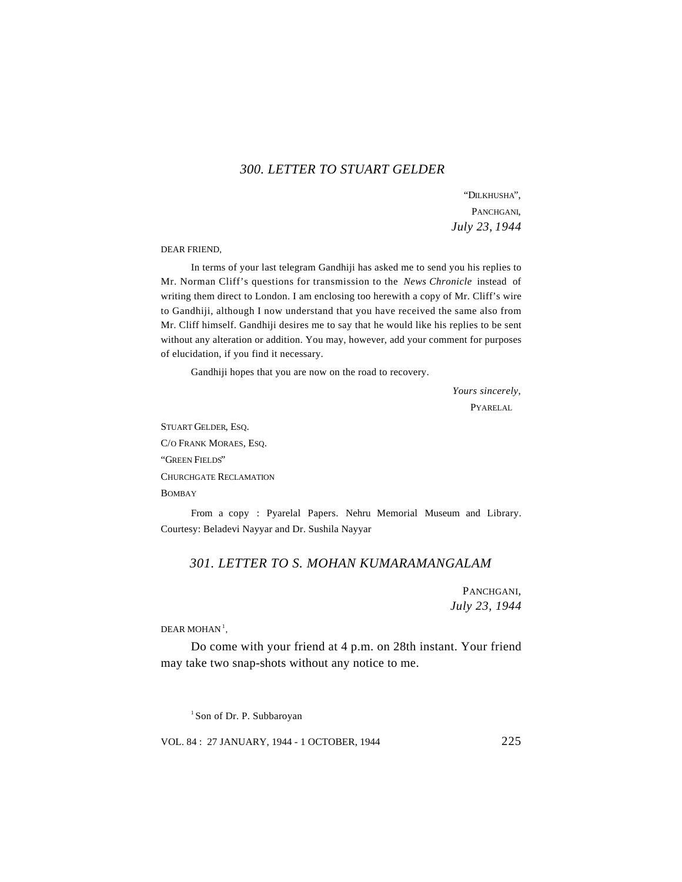# *300. LETTER TO STUART GELDER*

"DILKHUSHA", PANCHGANI, *July 23*, *1944*

#### DEAR FRIEND,

In terms of your last telegram Gandhiji has asked me to send you his replies to Mr. Norman Cliff's questions for transmission to the *News Chronicle* instead of writing them direct to London. I am enclosing too herewith a copy of Mr. Cliff's wire to Gandhiji, although I now understand that you have received the same also from Mr. Cliff himself. Gandhiji desires me to say that he would like his replies to be sent without any alteration or addition. You may, however, add your comment for purposes of elucidation, if you find it necessary.

Gandhiji hopes that you are now on the road to recovery.

*Yours sincerely*, PYARELAL

STUART GELDER, ESQ. C/O FRANK MORAES, ESQ. "GREEN FIELDS" CHURCHGATE RECLAMATION BOMBAY

From a copy : Pyarelal Papers. Nehru Memorial Museum and Library. Courtesy: Beladevi Nayyar and Dr. Sushila Nayyar

#### *301. LETTER TO S. MOHAN KUMARAMANGALAM*

PANCHGANI, *July 23, 1944*

 $DEAR MOHAN<sup>1</sup>$ ,

Do come with your friend at 4 p.m. on 28th instant. Your friend may take two snap-shots without any notice to me.

<sup>1</sup> Son of Dr. P. Subbaroyan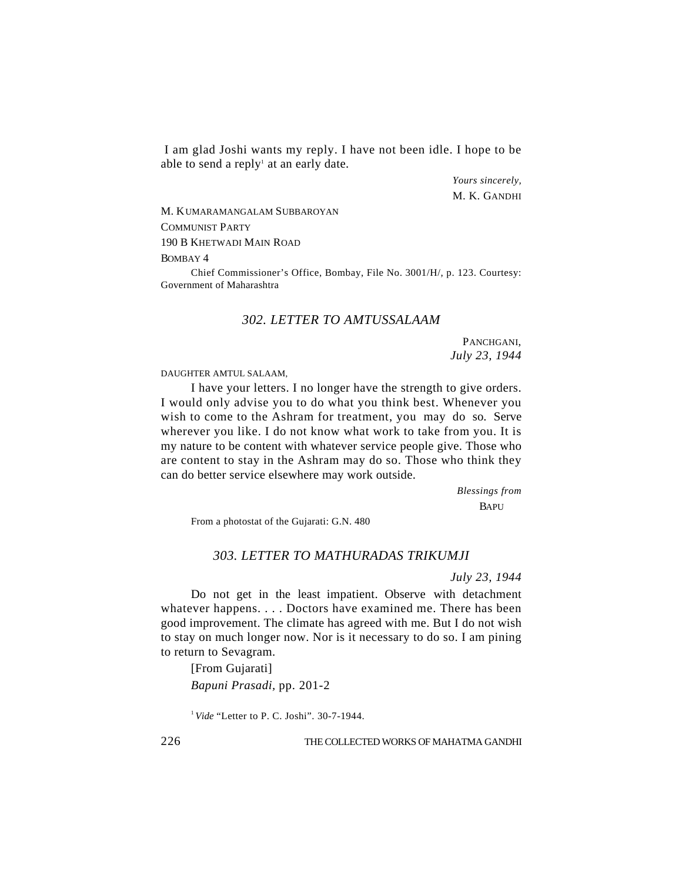I am glad Joshi wants my reply. I have not been idle. I hope to be able to send a reply<sup>1</sup> at an early date.

> *Yours sincerely,* M. K. GANDHI

M. KUMARAMANGALAM SUBBAROYAN COMMUNIST PARTY 190 B KHETWADI MAIN ROAD BOMBAY 4

Chief Commissioner's Office, Bombay, File No. 3001/H/, p. 123. Courtesy: Government of Maharashtra

# *302. LETTER TO AMTUSSALAAM*

PANCHGANI, *July 23, 1944*

DAUGHTER AMTUL SALAAM,

I have your letters. I no longer have the strength to give orders. I would only advise you to do what you think best. Whenever you wish to come to the Ashram for treatment, you may do so. Serve wherever you like. I do not know what work to take from you. It is my nature to be content with whatever service people give. Those who are content to stay in the Ashram may do so. Those who think they can do better service elsewhere may work outside.

> *Blessings from* **BAPU**

From a photostat of the Gujarati: G.N. 480

## *303. LETTER TO MATHURADAS TRIKUMJI*

*July 23, 1944*

Do not get in the least impatient. Observe with detachment whatever happens. . . . Doctors have examined me. There has been good improvement. The climate has agreed with me. But I do not wish to stay on much longer now. Nor is it necessary to do so. I am pining to return to Sevagram.

[From Gujarati] *Bapuni Prasadi,* pp. 201-2

<sup>1</sup>*Vide* "Letter to P. C. Joshi". 30-7-1944.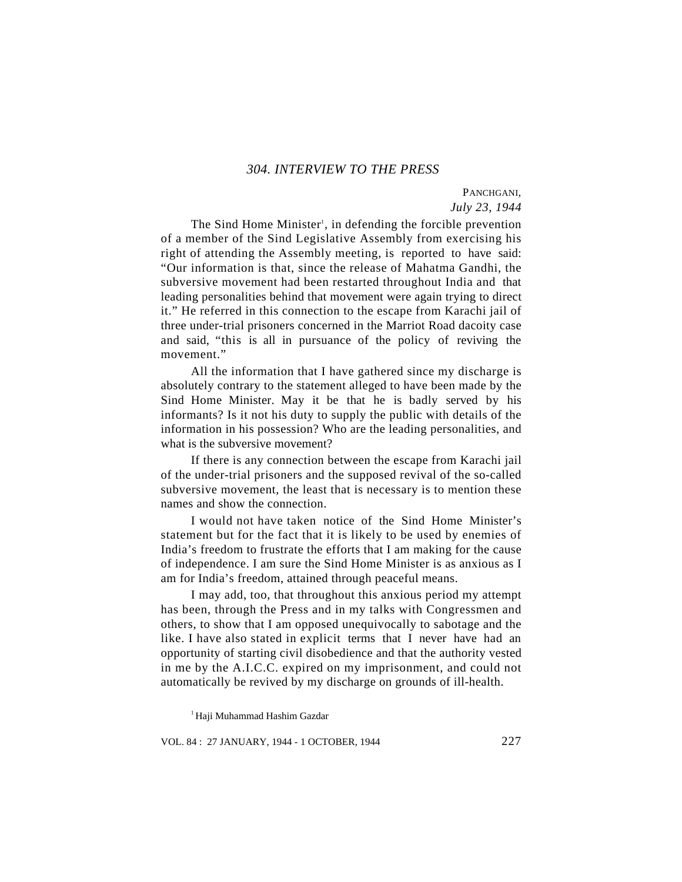### *304. INTERVIEW TO THE PRESS*

PANCHGANI, *July 23, 1944*

The Sind Home Minister<sup>1</sup>, in defending the forcible prevention of a member of the Sind Legislative Assembly from exercising his right of attending the Assembly meeting, is reported to have said: "Our information is that, since the release of Mahatma Gandhi, the subversive movement had been restarted throughout India and that leading personalities behind that movement were again trying to direct it." He referred in this connection to the escape from Karachi jail of three under-trial prisoners concerned in the Marriot Road dacoity case and said, "this is all in pursuance of the policy of reviving the movement"

All the information that I have gathered since my discharge is absolutely contrary to the statement alleged to have been made by the Sind Home Minister. May it be that he is badly served by his informants? Is it not his duty to supply the public with details of the information in his possession? Who are the leading personalities, and what is the subversive movement?

If there is any connection between the escape from Karachi jail of the under-trial prisoners and the supposed revival of the so-called subversive movement, the least that is necessary is to mention these names and show the connection.

I would not have taken notice of the Sind Home Minister's statement but for the fact that it is likely to be used by enemies of India's freedom to frustrate the efforts that I am making for the cause of independence. I am sure the Sind Home Minister is as anxious as I am for India's freedom, attained through peaceful means.

I may add, too, that throughout this anxious period my attempt has been, through the Press and in my talks with Congressmen and others, to show that I am opposed unequivocally to sabotage and the like. I have also stated in explicit terms that I never have had an opportunity of starting civil disobedience and that the authority vested in me by the A.I.C.C. expired on my imprisonment, and could not automatically be revived by my discharge on grounds of ill-health.

1 Haji Muhammad Hashim Gazdar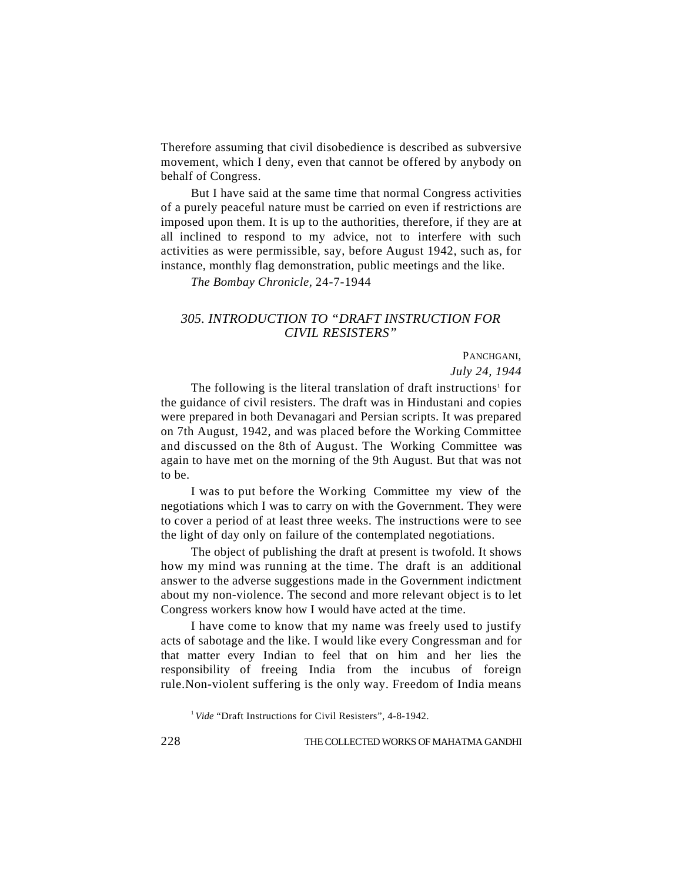Therefore assuming that civil disobedience is described as subversive movement, which I deny, even that cannot be offered by anybody on behalf of Congress.

But I have said at the same time that normal Congress activities of a purely peaceful nature must be carried on even if restrictions are imposed upon them. It is up to the authorities, therefore, if they are at all inclined to respond to my advice, not to interfere with such activities as were permissible, say, before August 1942, such as, for instance, monthly flag demonstration, public meetings and the like.

*The Bombay Chronicle,* 24-7-1944

# *305. INTRODUCTION TO "DRAFT INSTRUCTION FOR CIVIL RESISTERS"*

PANCHGANI, *July 24, 1944*

The following is the literal translation of draft instructions<sup>1</sup> for the guidance of civil resisters. The draft was in Hindustani and copies were prepared in both Devanagari and Persian scripts. It was prepared on 7th August, 1942, and was placed before the Working Committee and discussed on the 8th of August. The Working Committee was again to have met on the morning of the 9th August. But that was not to be.

I was to put before the Working Committee my view of the negotiations which I was to carry on with the Government. They were to cover a period of at least three weeks. The instructions were to see the light of day only on failure of the contemplated negotiations.

The object of publishing the draft at present is twofold. It shows how my mind was running at the time. The draft is an additional answer to the adverse suggestions made in the Government indictment about my non-violence. The second and more relevant object is to let Congress workers know how I would have acted at the time.

I have come to know that my name was freely used to justify acts of sabotage and the like. I would like every Congressman and for that matter every Indian to feel that on him and her lies the responsibility of freeing India from the incubus of foreign rule.Non-violent suffering is the only way. Freedom of India means

<sup>&</sup>lt;sup>1</sup> Vide "Draft Instructions for Civil Resisters", 4-8-1942.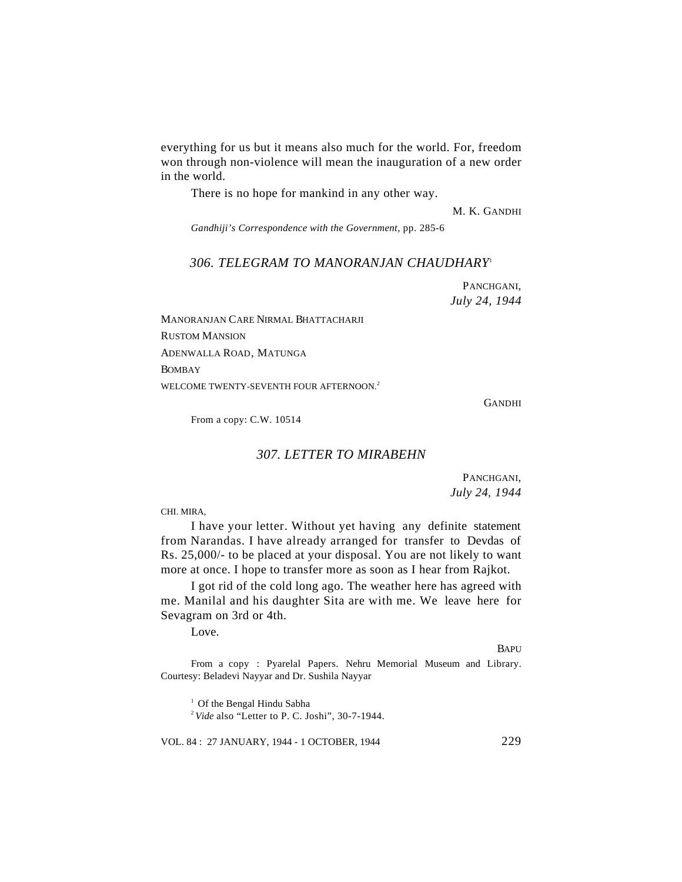everything for us but it means also much for the world. For, freedom won through non-violence will mean the inauguration of a new order in the world.

There is no hope for mankind in any other way.

M. K. GANDHI

*Gandhiji's Correspondence with the Government,* pp. 285-6

### *306. TELEGRAM TO MANORANJAN CHAUDHARY*<sup>1</sup>

PANCHGANI, *July 24, 1944*

MANORANJAN CARE NIRMAL BHATTACHARJI RUSTOM MANSION ADENWALLA ROAD, MATUNGA BOMBAY

WELCOME TWENTY-SEVENTH FOUR AFTERNOON.<sup>2</sup>

GANDHI

From a copy: C.W. 10514

## *307. LETTER TO MIRABEHN*

PANCHGANI, *July 24*, *1944*

CHI. MIRA,

I have your letter. Without yet having any definite statement from Narandas. I have already arranged for transfer to Devdas of Rs. 25,000/- to be placed at your disposal. You are not likely to want more at once. I hope to transfer more as soon as I hear from Rajkot.

I got rid of the cold long ago. The weather here has agreed with me. Manilal and his daughter Sita are with me. We leave here for Sevagram on 3rd or 4th.

 $L_{\alpha V}$ 

**BAPU** 

From a copy : Pyarelal Papers. Nehru Memorial Museum and Library. Courtesy: Beladevi Nayyar and Dr. Sushila Nayyar

<sup>1</sup> Of the Bengal Hindu Sabha

<sup>2</sup>*Vide* also "Letter to P. C. Joshi", 30-7-1944.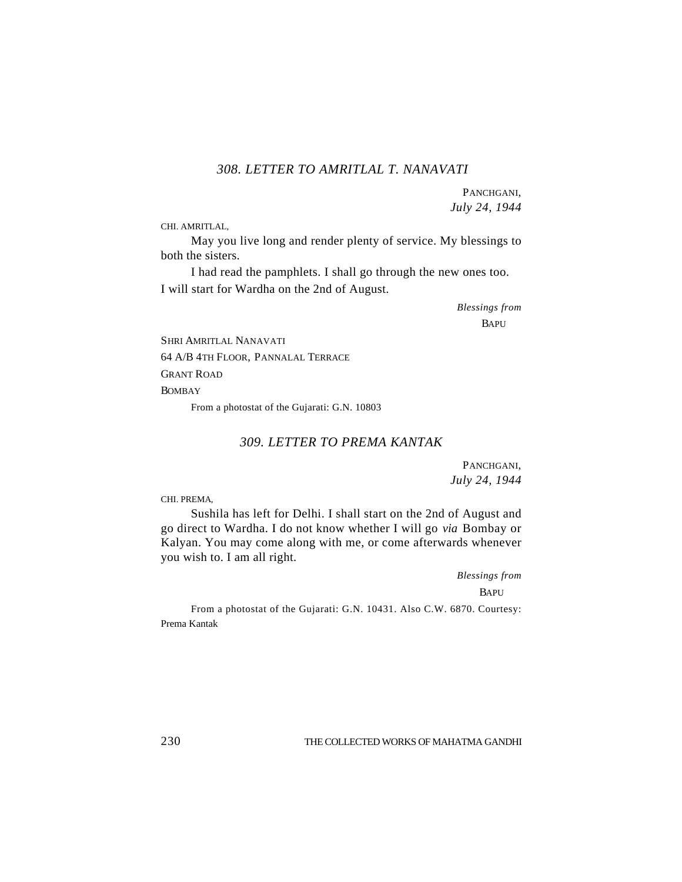# *308. LETTER TO AMRITLAL T. NANAVATI*

PANCHGANI, *July 24, 1944*

CHI. AMRITLAL,

May you live long and render plenty of service. My blessings to both the sisters.

I had read the pamphlets. I shall go through the new ones too. I will start for Wardha on the 2nd of August.

> *Blessings from* **BAPU**

SHRI AMRITLAL NANAVATI

64 A/B 4TH FLOOR, PANNALAL TERRACE

GRANT ROAD

**BOMBAY** 

From a photostat of the Gujarati: G.N. 10803

## *309. LETTER TO PREMA KANTAK*

PANCHGANI, *July 24, 1944*

CHI. PREMA*,*

Sushila has left for Delhi. I shall start on the 2nd of August and go direct to Wardha. I do not know whether I will go *via* Bombay or Kalyan. You may come along with me, or come afterwards whenever you wish to. I am all right.

> *Blessings from* **BAPU**

From a photostat of the Gujarati: G.N. 10431. Also C.W. 6870. Courtesy: Prema Kantak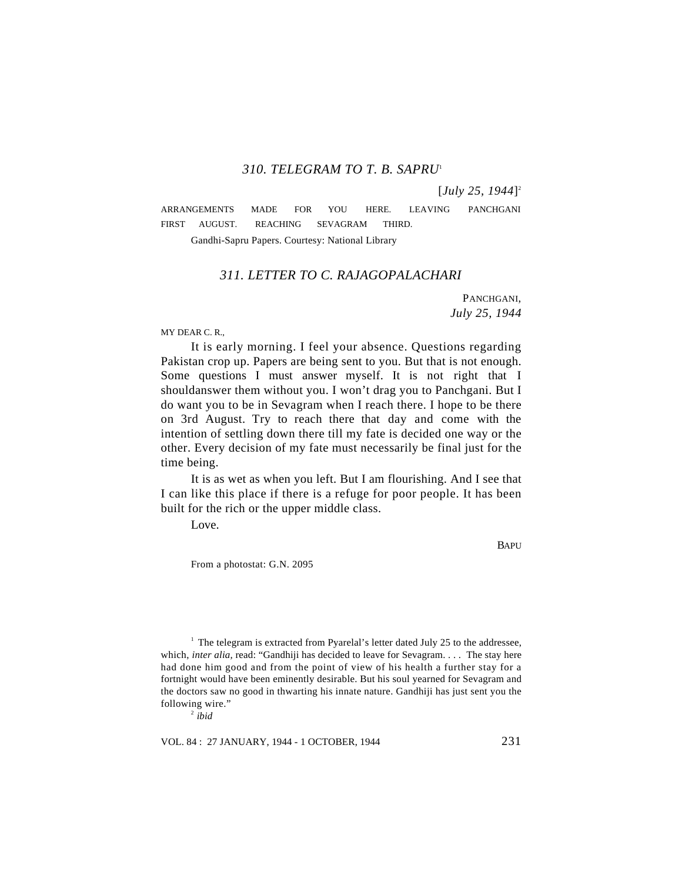### *310. TELEGRAM TO T. B. SAPRU*<sup>1</sup>

[*July 25, 1944*] 2

ARRANGEMENTS MADE FOR YOU HERE. LEAVING PANCHGANI FIRST AUGUST. REACHING SEVAGRAM THIRD.

Gandhi-Sapru Papers. Courtesy: National Library

#### *311. LETTER TO C. RAJAGOPALACHARI*

PANCHGANI, *July 25, 1944*

MY DEAR C. R.,

It is early morning. I feel your absence. Questions regarding Pakistan crop up. Papers are being sent to you. But that is not enough. Some questions I must answer myself. It is not right that I shouldanswer them without you. I won't drag you to Panchgani. But I do want you to be in Sevagram when I reach there. I hope to be there on 3rd August. Try to reach there that day and come with the intention of settling down there till my fate is decided one way or the other. Every decision of my fate must necessarily be final just for the time being.

It is as wet as when you left. But I am flourishing. And I see that I can like this place if there is a refuge for poor people. It has been built for the rich or the upper middle class.

Love.

From a photostat: G.N. 2095

 $1$  The telegram is extracted from Pyarelal's letter dated July 25 to the addressee, which, *inter alia*, read: "Gandhiji has decided to leave for Sevagram. . . . The stay here had done him good and from the point of view of his health a further stay for a fortnight would have been eminently desirable. But his soul yearned for Sevagram and the doctors saw no good in thwarting his innate nature. Gandhiji has just sent you the following wire."

2  *ibid*

**BAPU**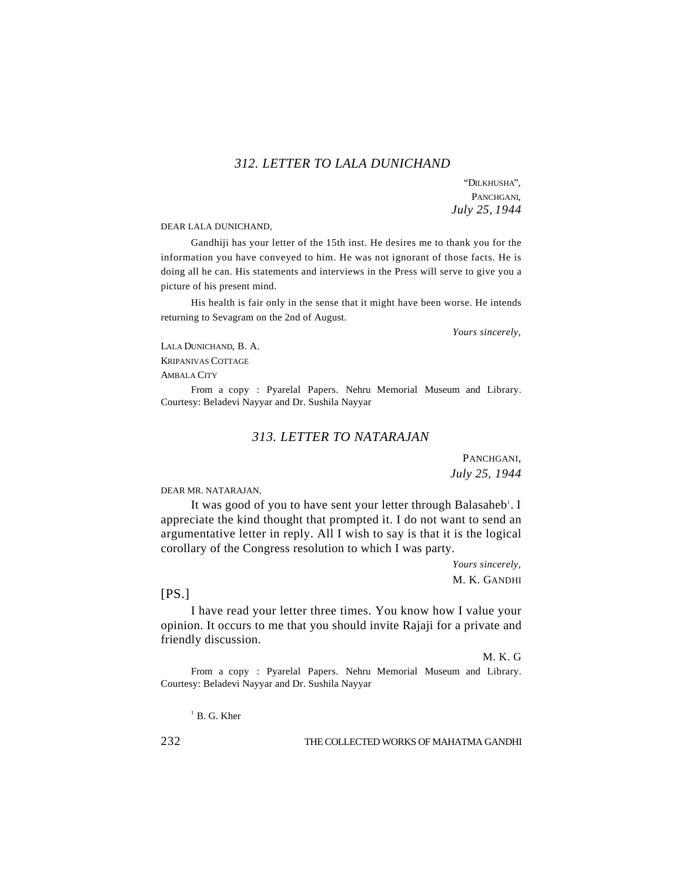# *312. LETTER TO LALA DUNICHAND*

"DILKHUSHA", PANCHGANI, *July 25*, *1944*

#### DEAR LALA DUNICHAND,

Gandhiji has your letter of the 15th inst. He desires me to thank you for the information you have conveyed to him. He was not ignorant of those facts. He is doing all he can. His statements and interviews in the Press will serve to give you a picture of his present mind.

His health is fair only in the sense that it might have been worse. He intends returning to Sevagram on the 2nd of August.

*Yours sincerely*,

LALA DUNICHAND, B. A. KRIPANIVAS COTTAGE AMBALA CITY

From a copy : Pyarelal Papers. Nehru Memorial Museum and Library. Courtesy: Beladevi Nayyar and Dr. Sushila Nayyar

#### *313. LETTER TO NATARAJAN*

PANCHGANI, *July 25*, *1944*

DEAR MR. NATARAJAN,

It was good of you to have sent your letter through Balasaheb<sup>1</sup>. I appreciate the kind thought that prompted it. I do not want to send an argumentative letter in reply. All I wish to say is that it is the logical corollary of the Congress resolution to which I was party.

> *Yours sincerely*, M. K. GANDHI

#### $[PS.]$

I have read your letter three times. You know how I value your opinion. It occurs to me that you should invite Rajaji for a private and friendly discussion.

M. K. G

From a copy : Pyarelal Papers. Nehru Memorial Museum and Library. Courtesy: Beladevi Nayyar and Dr. Sushila Nayyar

 $<sup>1</sup>$  B. G. Kher</sup>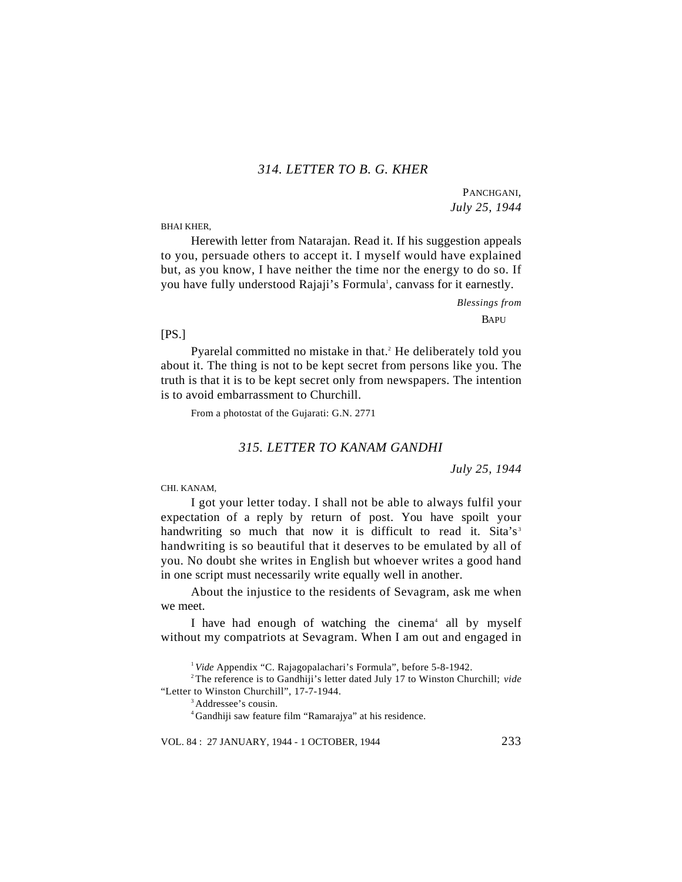## *314. LETTER TO B. G. KHER*

PANCHGANI, *July 25, 1944*

BHAI KHER,

Herewith letter from Natarajan. Read it. If his suggestion appeals to you, persuade others to accept it. I myself would have explained but, as you know, I have neither the time nor the energy to do so. If you have fully understood Rajaji's Formula<sup>1</sup>, canvass for it earnestly.

> *Blessings from* BAPU

#### [PS.]

Pyarelal committed no mistake in that.<sup>2</sup> He deliberately told you about it. The thing is not to be kept secret from persons like you. The truth is that it is to be kept secret only from newspapers. The intention is to avoid embarrassment to Churchill.

From a photostat of the Gujarati: G.N. 2771

## *315. LETTER TO KANAM GANDHI*

*July 25, 1944*

CHI. KANAM,

I got your letter today. I shall not be able to always fulfil your expectation of a reply by return of post. You have spoilt your handwriting so much that now it is difficult to read it. Sita's<sup>3</sup> handwriting is so beautiful that it deserves to be emulated by all of you. No doubt she writes in English but whoever writes a good hand in one script must necessarily write equally well in another.

About the injustice to the residents of Sevagram, ask me when we meet.

I have had enough of watching the cinema<sup>4</sup> all by myself without my compatriots at Sevagram. When I am out and engaged in

<sup>1</sup>*Vide* Appendix "C. Rajagopalachari's Formula", before 5-8-1942.

<sup>2</sup>The reference is to Gandhiji's letter dated July 17 to Winston Churchill; *vide* "Letter to Winston Churchill", 17-7-1944.

<sup>&</sup>lt;sup>3</sup> Addressee's cousin.

<sup>4</sup> Gandhiji saw feature film "Ramarajya" at his residence.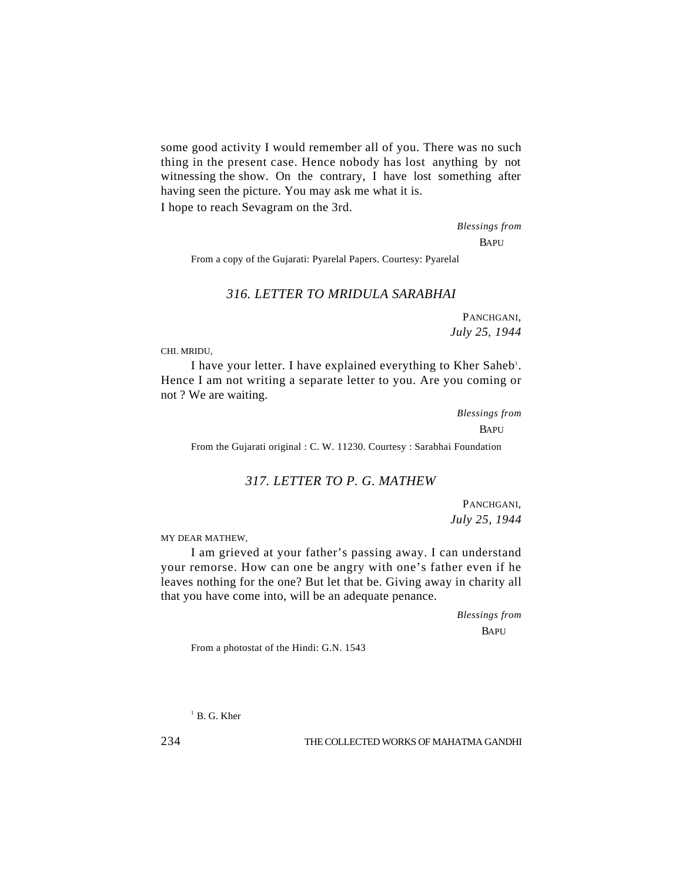some good activity I would remember all of you. There was no such thing in the present case. Hence nobody has lost anything by not witnessing the show. On the contrary, I have lost something after having seen the picture. You may ask me what it is.

I hope to reach Sevagram on the 3rd.

*Blessings from*

**BAPU** 

From a copy of the Gujarati: Pyarelal Papers. Courtesy: Pyarelal

## *316. LETTER TO MRIDULA SARABHAI*

PANCHGANI, *July 25*, *1944*

CHI. MRIDU,

I have your letter. I have explained everything to Kher Saheb<sup>1</sup>. Hence I am not writing a separate letter to you. Are you coming or not ? We are waiting.

*Blessings from*

**BAPU** 

From the Gujarati original : C. W. 11230. Courtesy : Sarabhai Foundation

#### *317. LETTER TO P. G. MATHEW*

PANCHGANI, *July 25, 1944*

MY DEAR MATHEW,

I am grieved at your father's passing away. I can understand your remorse. How can one be angry with one's father even if he leaves nothing for the one? But let that be. Giving away in charity all that you have come into, will be an adequate penance.

> *Blessings from* **BAPU**

From a photostat of the Hindi: G.N. 1543

 $<sup>1</sup>$  B. G. Kher</sup>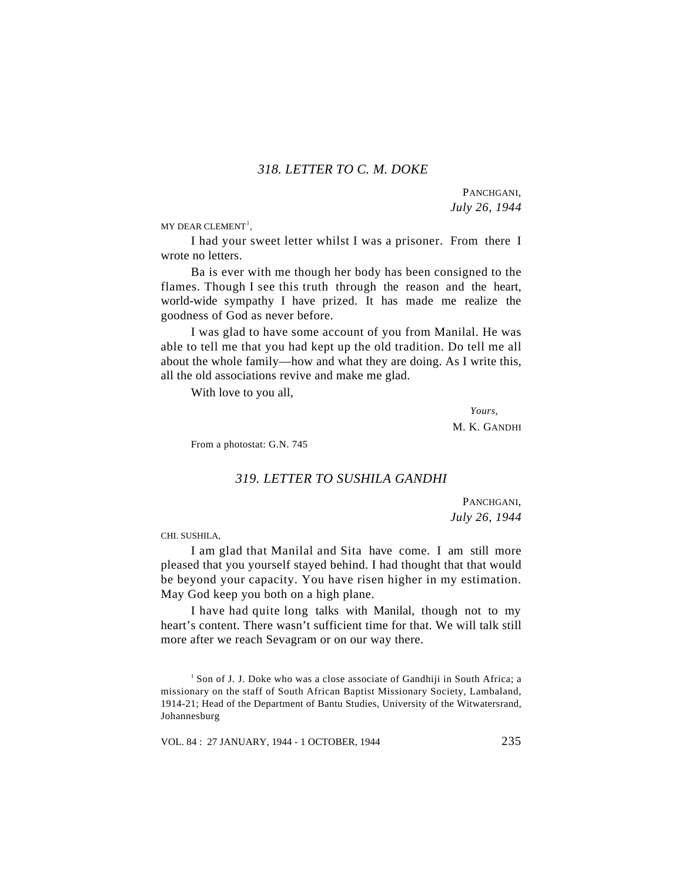PANCHGANI, *July 26, 1944*

 $MY$  DEAR CLEMENT<sup>1</sup>,

I had your sweet letter whilst I was a prisoner. From there I wrote no letters.

Ba is ever with me though her body has been consigned to the flames. Though I see this truth through the reason and the heart, world-wide sympathy I have prized. It has made me realize the goodness of God as never before.

I was glad to have some account of you from Manilal. He was able to tell me that you had kept up the old tradition. Do tell me all about the whole family—how and what they are doing. As I write this, all the old associations revive and make me glad.

With love to you all,

*Yours,* M. K. GANDHI

From a photostat: G.N. 745

### *319. LETTER TO SUSHILA GANDHI*

PANCHGANI, *July 26, 1944*

CHI. SUSHILA,

I am glad that Manilal and Sita have come. I am still more pleased that you yourself stayed behind. I had thought that that would be beyond your capacity. You have risen higher in my estimation. May God keep you both on a high plane.

I have had quite long talks with Manilal, though not to my heart's content. There wasn't sufficient time for that. We will talk still more after we reach Sevagram or on our way there.

 $1$  Son of J. J. Doke who was a close associate of Gandhiji in South Africa; a missionary on the staff of South African Baptist Missionary Society, Lambaland, 1914-21; Head of the Department of Bantu Studies, University of the Witwatersrand, Johannesburg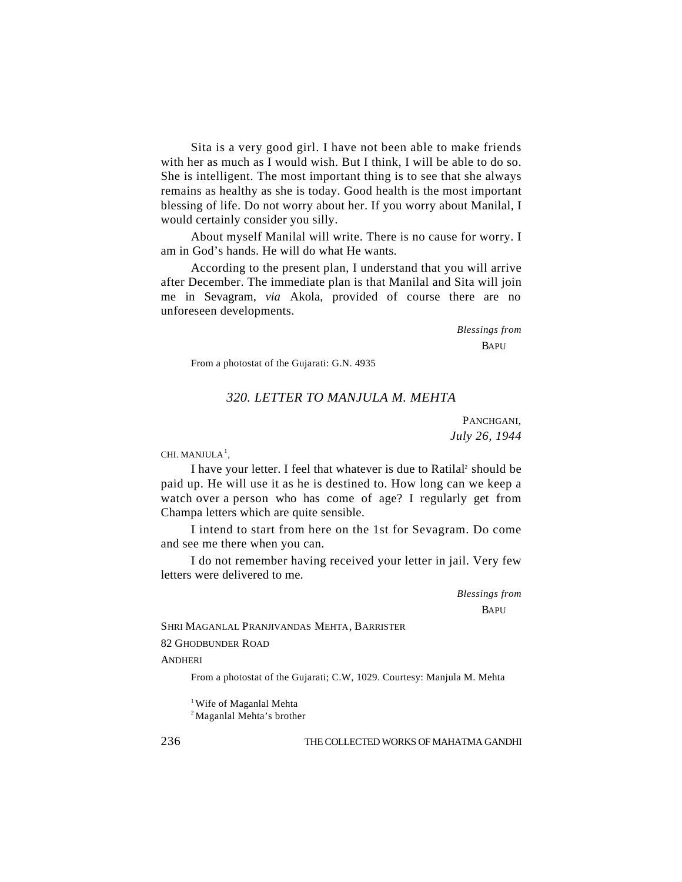Sita is a very good girl. I have not been able to make friends with her as much as I would wish. But I think, I will be able to do so. She is intelligent. The most important thing is to see that she always remains as healthy as she is today. Good health is the most important blessing of life. Do not worry about her. If you worry about Manilal, I would certainly consider you silly.

About myself Manilal will write. There is no cause for worry. I am in God's hands. He will do what He wants.

According to the present plan, I understand that you will arrive after December. The immediate plan is that Manilal and Sita will join me in Sevagram, *via* Akola, provided of course there are no unforeseen developments.

> *Blessings from* BAPU

From a photostat of the Gujarati: G.N. 4935

# *320. LETTER TO MANJULA M. MEHTA*

PANCHGANI, *July 26, 1944*

CHI. MANJULA $^1$ ,

I have your letter. I feel that whatever is due to Ratilal<sup>2</sup> should be paid up. He will use it as he is destined to. How long can we keep a watch over a person who has come of age? I regularly get from Champa letters which are quite sensible.

I intend to start from here on the 1st for Sevagram. Do come and see me there when you can.

I do not remember having received your letter in jail. Very few letters were delivered to me.

> *Blessings from* **BAPU**

SHRI MAGANLAL PRANJIVANDAS MEHTA, BARRISTER

82 GHODBUNDER ROAD

**ANDHERI** 

From a photostat of the Gujarati; C.W, 1029. Courtesy: Manjula M. Mehta

<sup>1</sup> Wife of Maganlal Mehta <sup>2</sup> Maganlal Mehta's brother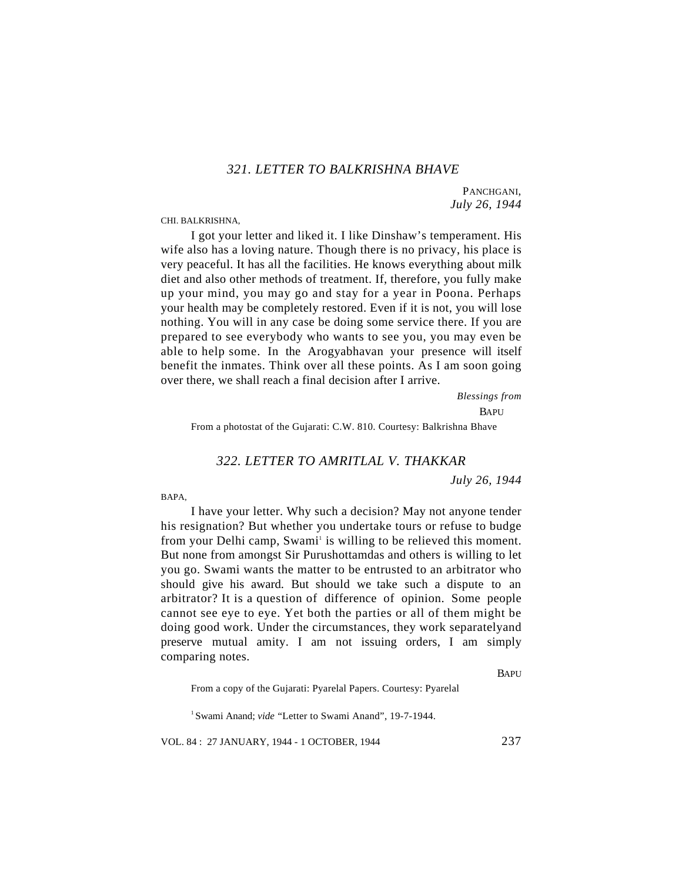## *321. LETTER TO BALKRISHNA BHAVE*

**PANCHGANI** *July 26, 1944*

#### CHI. BALKRISHNA,

I got your letter and liked it. I like Dinshaw's temperament. His wife also has a loving nature. Though there is no privacy, his place is very peaceful. It has all the facilities. He knows everything about milk diet and also other methods of treatment. If, therefore, you fully make up your mind, you may go and stay for a year in Poona. Perhaps your health may be completely restored. Even if it is not, you will lose nothing. You will in any case be doing some service there. If you are prepared to see everybody who wants to see you, you may even be able to help some. In the Arogyabhavan your presence will itself benefit the inmates. Think over all these points. As I am soon going over there, we shall reach a final decision after I arrive.

> *Blessings from* **BAPU**

From a photostat of the Gujarati: C.W. 810. Courtesy: Balkrishna Bhave

#### *322. LETTER TO AMRITLAL V. THAKKAR*

*July 26, 1944*

BAPA,

I have your letter. Why such a decision? May not anyone tender his resignation? But whether you undertake tours or refuse to budge from your Delhi camp, Swami' is willing to be relieved this moment. But none from amongst Sir Purushottamdas and others is willing to let you go. Swami wants the matter to be entrusted to an arbitrator who should give his award. But should we take such a dispute to an arbitrator? It is a question of difference of opinion. Some people cannot see eye to eye. Yet both the parties or all of them might be doing good work. Under the circumstances, they work separatelyand preserve mutual amity. I am not issuing orders, I am simply comparing notes.

**BAPU** 

From a copy of the Gujarati: Pyarelal Papers. Courtesy: Pyarelal

<sup>1</sup> Swami Anand; *vide* "Letter to Swami Anand", 19-7-1944.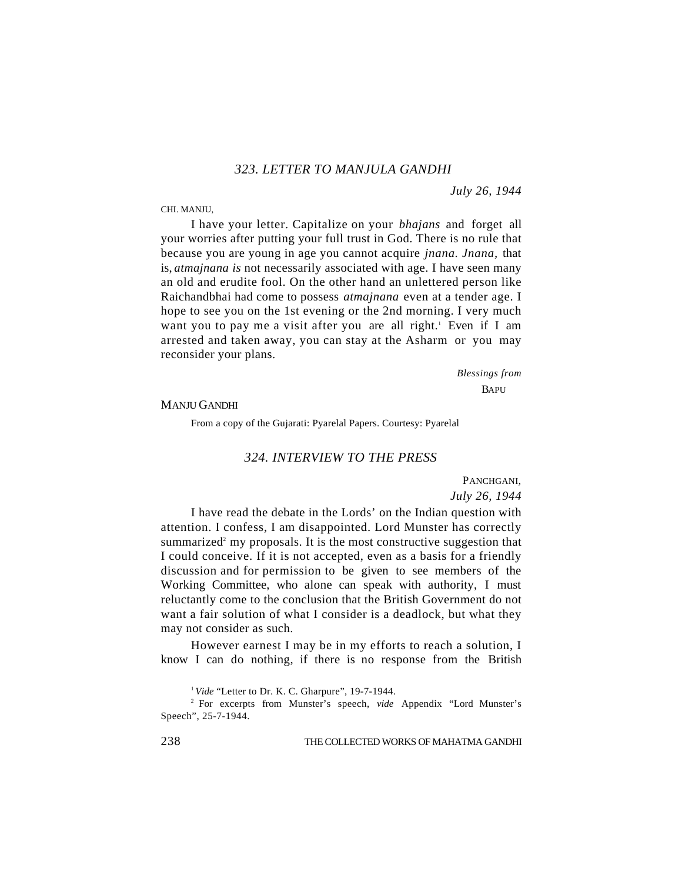## *323. LETTER TO MANJULA GANDHI*

*July 26, 1944*

CHI. MANJU,

I have your letter. Capitalize on your *bhajans* and forget all your worries after putting your full trust in God. There is no rule that because you are young in age you cannot acquire *jnana. Jnana,* that is, *atmajnana is* not necessarily associated with age. I have seen many an old and erudite fool. On the other hand an unlettered person like Raichandbhai had come to possess *atmajnana* even at a tender age. I hope to see you on the 1st evening or the 2nd morning. I very much want you to pay me a visit after you are all right.<sup>1</sup> Even if I am arrested and taken away, you can stay at the Asharm or you may reconsider your plans.

> *Blessings from* BAPU

MANJU GANDHI

From a copy of the Gujarati: Pyarelal Papers. Courtesy: Pyarelal

#### *324. INTERVIEW TO THE PRESS*

PANCHGANI, *July 26, 1944*

I have read the debate in the Lords' on the Indian question with attention. I confess, I am disappointed. Lord Munster has correctly summarized<sup>2</sup> my proposals. It is the most constructive suggestion that I could conceive. If it is not accepted, even as a basis for a friendly discussion and for permission to be given to see members of the Working Committee, who alone can speak with authority, I must reluctantly come to the conclusion that the British Government do not want a fair solution of what I consider is a deadlock, but what they may not consider as such.

However earnest I may be in my efforts to reach a solution, I know I can do nothing, if there is no response from the British

<sup>&</sup>lt;sup>1</sup> Vide "Letter to Dr. K. C. Gharpure", 19-7-1944.

<sup>&</sup>lt;sup>2</sup> For excerpts from Munster's speech, *vide* Appendix "Lord Munster's Speech", 25-7-1944.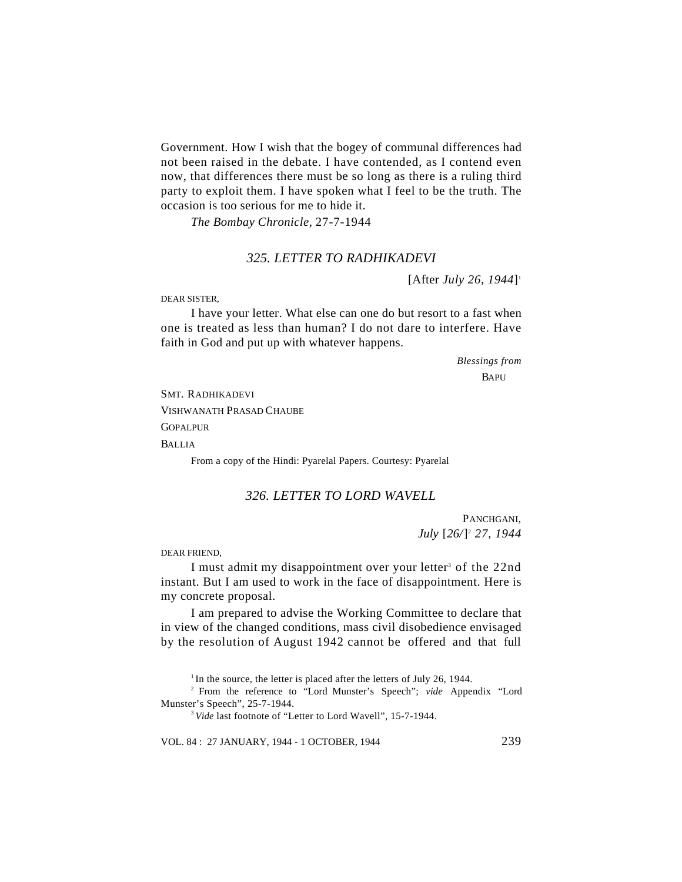Government. How I wish that the bogey of communal differences had not been raised in the debate. I have contended, as I contend even now, that differences there must be so long as there is a ruling third party to exploit them. I have spoken what I feel to be the truth. The occasion is too serious for me to hide it.

*The Bombay Chronicle,* 27-7-1944

# *325. LETTER TO RADHIKADEVI*

[After *July 26, 1944*] 1

DEAR SISTER,

I have your letter. What else can one do but resort to a fast when one is treated as less than human? I do not dare to interfere. Have faith in God and put up with whatever happens.

> *Blessings from* BAPU

SMT. RADHIKADEVI

VISHWANATH PRASAD CHAUBE

**GOPALPUR** 

**BALLIA** 

From a copy of the Hindi: Pyarelal Papers. Courtesy: Pyarelal

#### *326. LETTER TO LORD WAVELL*

PANCHGANI, *July* [*26/*] <sup>2</sup> *27, 1944*

DEAR FRIEND,

I must admit my disappointment over your letter<sup>3</sup> of the 22nd instant. But I am used to work in the face of disappointment. Here is my concrete proposal.

I am prepared to advise the Working Committee to declare that in view of the changed conditions, mass civil disobedience envisaged by the resolution of August 1942 cannot be offered and that full

<sup>&</sup>lt;sup>1</sup> In the source, the letter is placed after the letters of July 26, 1944.

<sup>&</sup>lt;sup>2</sup> From the reference to "Lord Munster's Speech"; *vide* Appendix "Lord Munster's Speech", 25-7-1944.

<sup>3</sup>*Vide* last footnote of "Letter to Lord Wavell", 15-7-1944.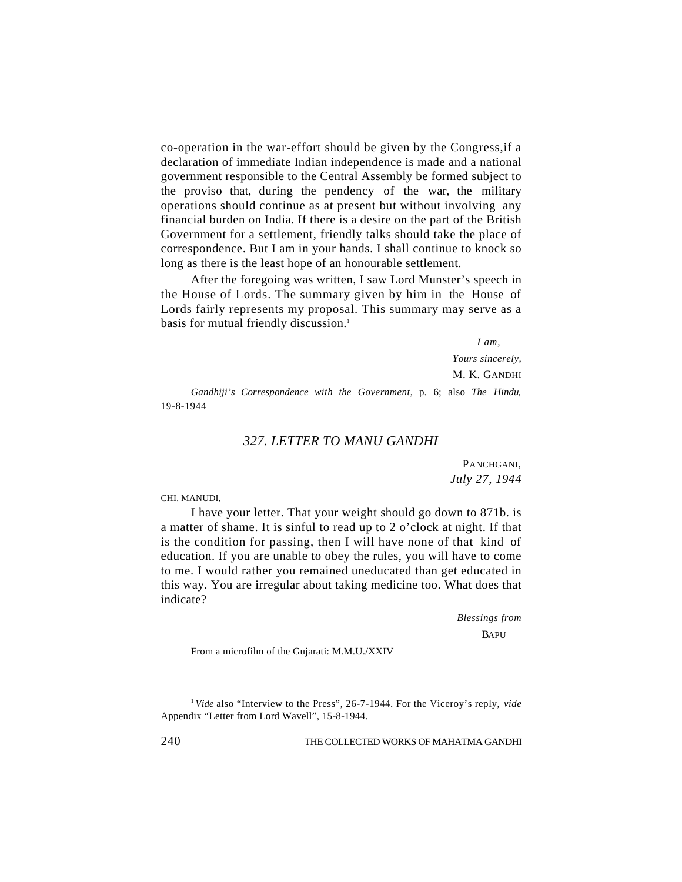co-operation in the war-effort should be given by the Congress,if a declaration of immediate Indian independence is made and a national government responsible to the Central Assembly be formed subject to the proviso that, during the pendency of the war, the military operations should continue as at present but without involving any financial burden on India. If there is a desire on the part of the British Government for a settlement, friendly talks should take the place of correspondence. But I am in your hands. I shall continue to knock so long as there is the least hope of an honourable settlement.

After the foregoing was written, I saw Lord Munster's speech in the House of Lords. The summary given by him in the House of Lords fairly represents my proposal. This summary may serve as a basis for mutual friendly discussion.<sup>1</sup>

> *I am, Yours sincerely,* M. K. GANDHI

*Gandhiji's Correspondence with the Government*, p. 6; also *The Hindu*, 19-8-1944

## *327. LETTER TO MANU GANDHI*

PANCHGANI, *July 27, 1944*

CHI. MANUDI,

I have your letter. That your weight should go down to 871b. is a matter of shame. It is sinful to read up to 2 o'clock at night. If that is the condition for passing, then I will have none of that kind of education. If you are unable to obey the rules, you will have to come to me. I would rather you remained uneducated than get educated in this way. You are irregular about taking medicine too. What does that indicate?

> *Blessings from* **BAPU**

From a microfilm of the Gujarati: M.M.U./XXIV

<sup>1</sup>*Vide* also "Interview to the Press", 26-7-1944. For the Viceroy's reply, *vide* Appendix "Letter from Lord Wavell", 15-8-1944.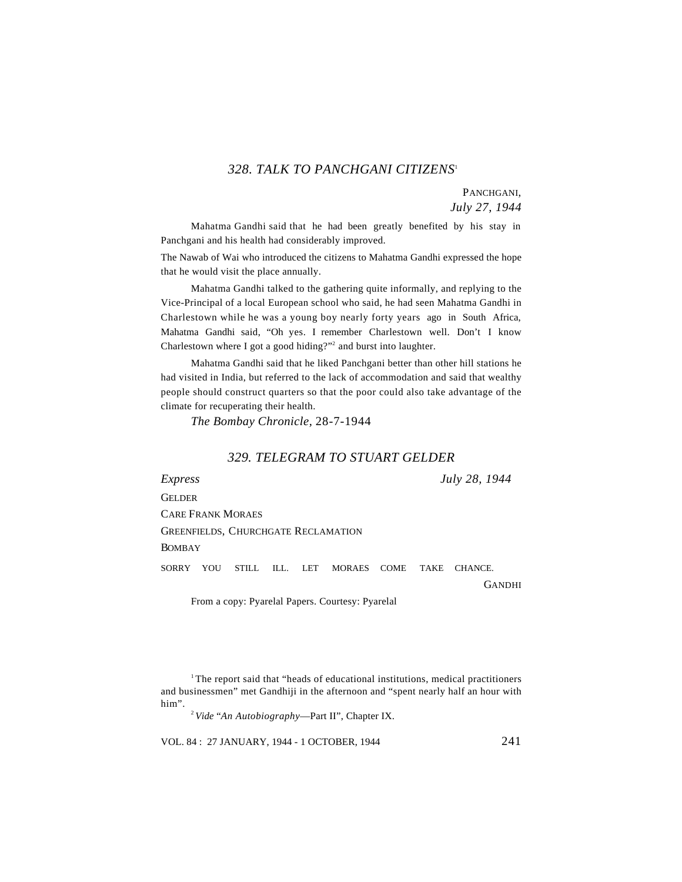## *328. TALK TO PANCHGANI CITIZENS*<sup>1</sup>

PANCHGANI, *July 27, 1944*

Mahatma Gandhi said that he had been greatly benefited by his stay in Panchgani and his health had considerably improved.

The Nawab of Wai who introduced the citizens to Mahatma Gandhi expressed the hope that he would visit the place annually.

Mahatma Gandhi talked to the gathering quite informally, and replying to the Vice-Principal of a local European school who said, he had seen Mahatma Gandhi in Charlestown while he was a young boy nearly forty years ago in South Africa, Mahatma Gandhi said, "Oh yes. I remember Charlestown well. Don't I know Charlestown where I got a good hiding?"<sup>2</sup> and burst into laughter.

Mahatma Gandhi said that he liked Panchgani better than other hill stations he had visited in India, but referred to the lack of accommodation and said that wealthy people should construct quarters so that the poor could also take advantage of the climate for recuperating their health.

*The Bombay Chronicle,* 28-7-1944

#### *329. TELEGRAM TO STUART GELDER*

*Express July 28, 1944* **GELDER** CARE FRANK MORAES GREENFIELDS, CHURCHGATE RECLAMATION **BOMBAY** SORRY YOU STILL ILL. LET MORAES COME TAKE CHANCE.

**GANDHI** 

From a copy: Pyarelal Papers. Courtesy: Pyarelal

<sup>1</sup>The report said that "heads of educational institutions, medical practitioners and businessmen" met Gandhiji in the afternoon and "spent nearly half an hour with him".

<sup>2</sup>*Vide* "*An Autobiography*—Part II", Chapter IX.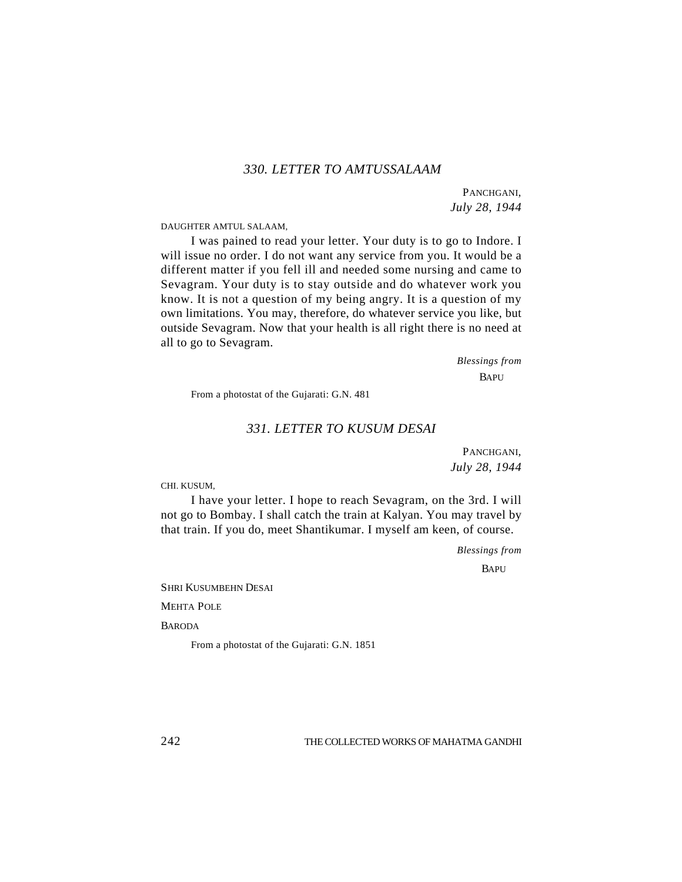## 242 THE COLLECTED WORKS OF MAHATMA GANDHI

## *330. LETTER TO AMTUSSALAAM*

PANCHGANI, *July 28, 1944*

#### DAUGHTER AMTUL SALAAM,

I was pained to read your letter. Your duty is to go to Indore. I will issue no order. I do not want any service from you. It would be a different matter if you fell ill and needed some nursing and came to Sevagram. Your duty is to stay outside and do whatever work you know. It is not a question of my being angry. It is a question of my own limitations. You may, therefore, do whatever service you like, but outside Sevagram. Now that your health is all right there is no need at all to go to Sevagram.

*Blessings from*

BAPU

From a photostat of the Gujarati: G.N. 481

## *331. LETTER TO KUSUM DESAI*

PANCHGANI,  *July 28, 1944*

CHI. KUSUM,

I have your letter. I hope to reach Sevagram, on the 3rd. I will not go to Bombay. I shall catch the train at Kalyan. You may travel by that train. If you do, meet Shantikumar. I myself am keen, of course.

> *Blessings from* **BAPU**

SHRI KUSUMBEHN DESAI

MEHTA POLE

BARODA

From a photostat of the Gujarati: G.N. 1851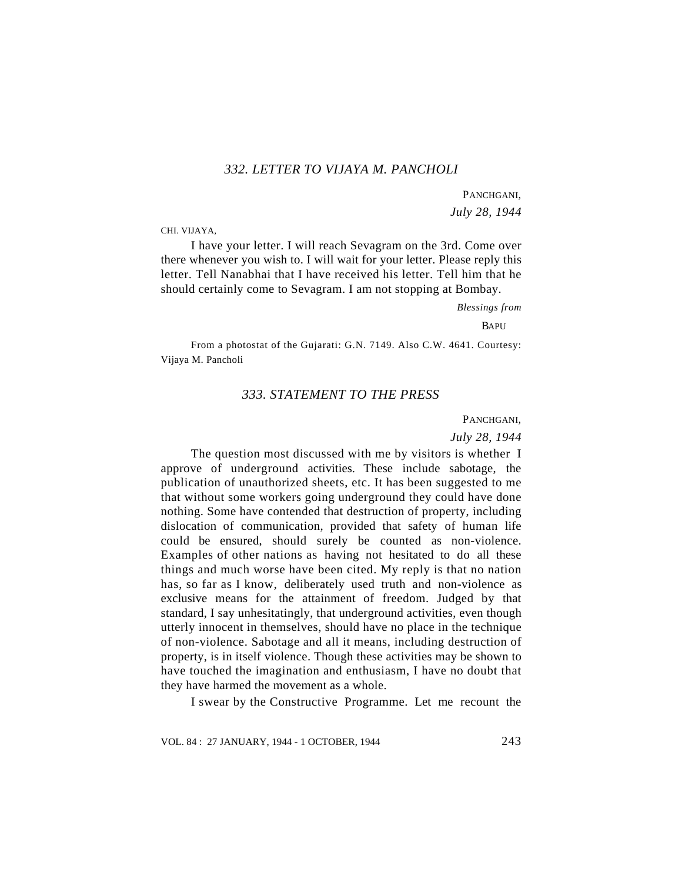## *332. LETTER TO VIJAYA M. PANCHOLI*

PANCHGANI, *July 28, 1944*

CHI. VIJAYA,

I have your letter. I will reach Sevagram on the 3rd. Come over there whenever you wish to. I will wait for your letter. Please reply this letter. Tell Nanabhai that I have received his letter. Tell him that he should certainly come to Sevagram. I am not stopping at Bombay.

*Blessings from*

**BAPU** 

From a photostat of the Gujarati: G.N. 7149. Also C.W. 4641. Courtesy: Vijaya M. Pancholi

## *333. STATEMENT TO THE PRESS*

PANCHGANI,

*July 28, 1944*

The question most discussed with me by visitors is whether I approve of underground activities. These include sabotage, the publication of unauthorized sheets, etc. It has been suggested to me that without some workers going underground they could have done nothing. Some have contended that destruction of property, including dislocation of communication, provided that safety of human life could be ensured, should surely be counted as non-violence. Examples of other nations as having not hesitated to do all these things and much worse have been cited. My reply is that no nation has, so far as I know, deliberately used truth and non-violence as exclusive means for the attainment of freedom. Judged by that standard, I say unhesitatingly, that underground activities, even though utterly innocent in themselves, should have no place in the technique of non-violence. Sabotage and all it means, including destruction of property, is in itself violence. Though these activities may be shown to have touched the imagination and enthusiasm, I have no doubt that they have harmed the movement as a whole.

I swear by the Constructive Programme. Let me recount the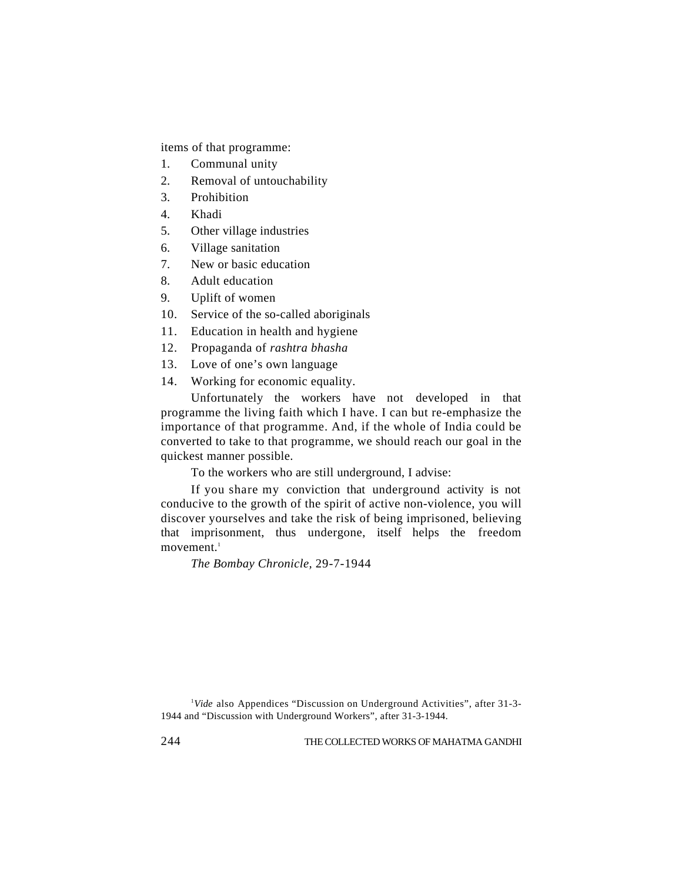items of that programme:

- 1. Communal unity
- 2. Removal of untouchability
- 3. Prohibition
- 4. Khadi
- 5. Other village industries
- 6. Village sanitation
- 7. New or basic education
- 8. Adult education
- 9. Uplift of women
- 10. Service of the so-called aboriginals
- 11. Education in health and hygiene
- 12. Propaganda of *rashtra bhasha*
- 13. Love of one's own language
- 14. Working for economic equality.

Unfortunately the workers have not developed in that programme the living faith which I have. I can but re-emphasize the importance of that programme. And, if the whole of India could be converted to take to that programme, we should reach our goal in the quickest manner possible.

To the workers who are still underground, I advise:

If you share my conviction that underground activity is not conducive to the growth of the spirit of active non-violence, you will discover yourselves and take the risk of being imprisoned, believing that imprisonment, thus undergone, itself helps the freedom  $move$ mnt.<sup>1</sup>

*The Bombay Chronicle,* 29-7-1944

<sup>1</sup>Vide also Appendices "Discussion on Underground Activities", after 31-3-1944 and "Discussion with Underground Workers", after 31-3-1944.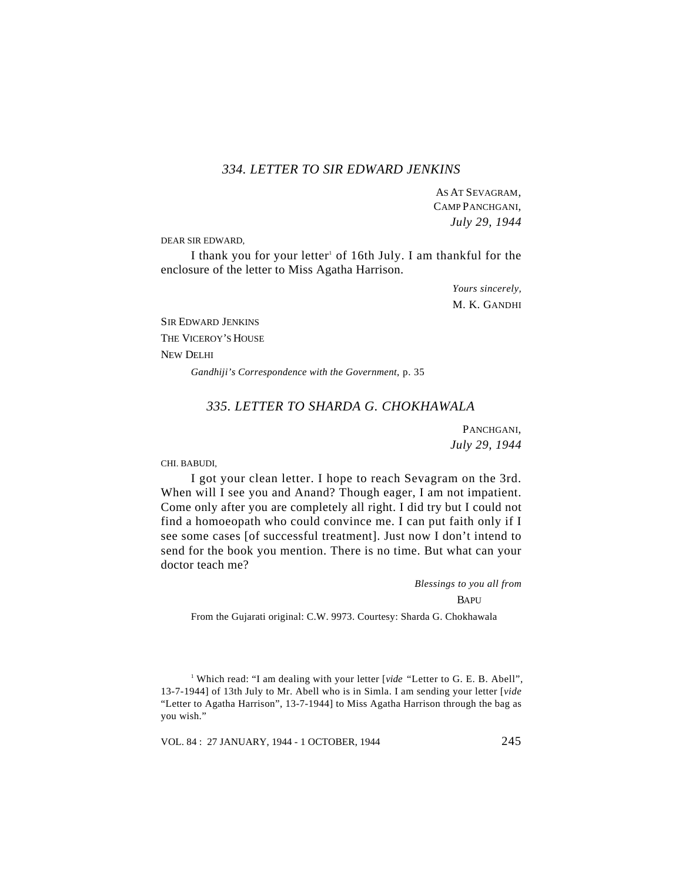## *334. LETTER TO SIR EDWARD JENKINS*

AS AT SEVAGRAM, CAMP PANCHGANI, *July 29, 1944*

DEAR SIR EDWARD,

I thank you for your letter<sup>1</sup> of 16th July. I am thankful for the enclosure of the letter to Miss Agatha Harrison.

> *Yours sincerely,* M. K. GANDHI

SIR EDWARD JENKINS THE VICEROY'S HOUSE NEW DELHI

*Gandhiji's Correspondence with the Government*, p. 35

# *335. LETTER TO SHARDA G. CHOKHAWALA*

PANCHGANI, *July 29, 1944*

CHI. BABUDI,

I got your clean letter. I hope to reach Sevagram on the 3rd. When will I see you and Anand? Though eager, I am not impatient. Come only after you are completely all right. I did try but I could not find a homoeopath who could convince me. I can put faith only if I see some cases [of successful treatment]. Just now I don't intend to send for the book you mention. There is no time. But what can your doctor teach me?

*Blessings to you all from*

**BAPU** 

From the Gujarati original: C.W. 9973. Courtesy: Sharda G. Chokhawala

<sup>1</sup> Which read: "I am dealing with your letter [*vide* "Letter to G. E. B. Abell", 13-7-1944] of 13th July to Mr. Abell who is in Simla. I am sending your letter [*vide* "Letter to Agatha Harrison", 13-7-1944] to Miss Agatha Harrison through the bag as you wish."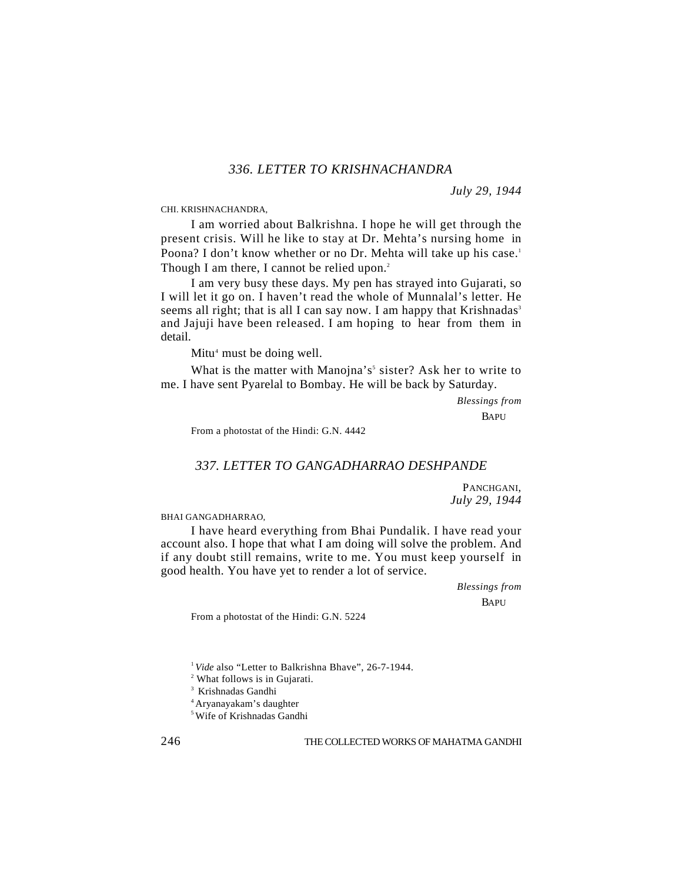*July 29, 1944*

CHI. KRISHNACHANDRA,

I am worried about Balkrishna. I hope he will get through the present crisis. Will he like to stay at Dr. Mehta's nursing home in Poona? I don't know whether or no Dr. Mehta will take up his case.<sup>1</sup> Though I am there, I cannot be relied upon.<sup>2</sup>

I am very busy these days. My pen has strayed into Gujarati, so I will let it go on. I haven't read the whole of Munnalal's letter. He seems all right; that is all I can say now. I am happy that Krishnadas<sup>3</sup> and Jajuji have been released. I am hoping to hear from them in detail.

Mitu<sup>4</sup> must be doing well.

What is the matter with Manojna's<sup>5</sup> sister? Ask her to write to me. I have sent Pyarelal to Bombay. He will be back by Saturday.

> *Blessings from* **BAPU**

From a photostat of the Hindi: G.N. 4442

### *337. LETTER TO GANGADHARRAO DESHPANDE*

PANCHGANI, *July 29, 1944*

BHAI GANGADHARRAO,

I have heard everything from Bhai Pundalik. I have read your account also. I hope that what I am doing will solve the problem. And if any doubt still remains, write to me. You must keep yourself in good health. You have yet to render a lot of service.

> *Blessings from* **BAPU**

From a photostat of the Hindi: G.N. 5224

<sup>1</sup> Vide also "Letter to Balkrishna Bhave", 26-7-1944.

<sup>2</sup> What follows is in Gujarati.

<sup>3</sup> Krishnadas Gandhi

<sup>4</sup>Aryanayakam's daughter

5 Wife of Krishnadas Gandhi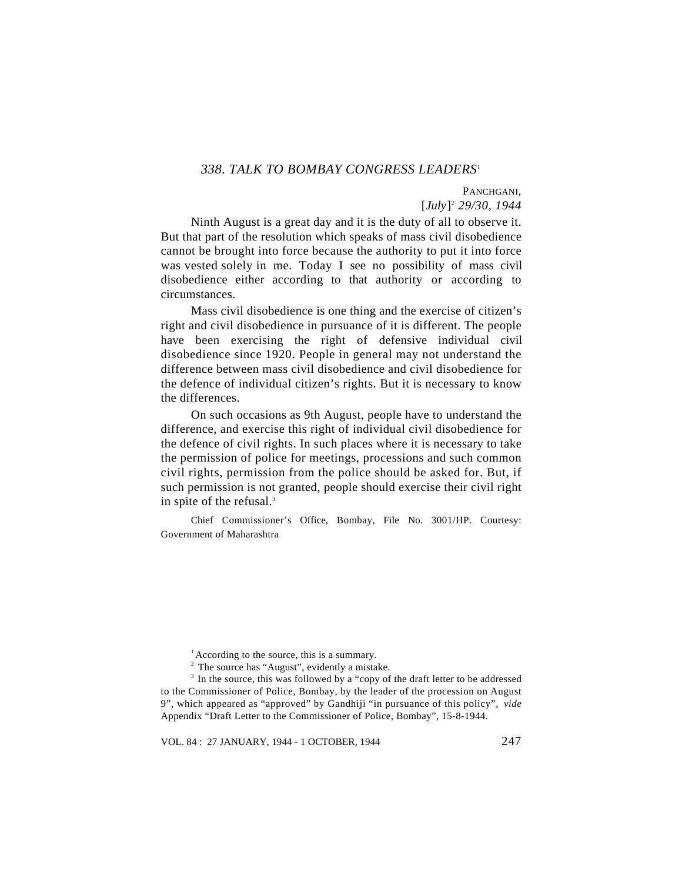## *338. TALK TO BOMBAY CONGRESS LEADERS*<sup>1</sup>

PANCHGANI, [*July*] 2  *29/30, 1944*

Ninth August is a great day and it is the duty of all to observe it. But that part of the resolution which speaks of mass civil disobedience cannot be brought into force because the authority to put it into force was vested solely in me. Today I see no possibility of mass civil disobedience either according to that authority or according to circumstances.

Mass civil disobedience is one thing and the exercise of citizen's right and civil disobedience in pursuance of it is different. The people have been exercising the right of defensive individual civil disobedience since 1920. People in general may not understand the difference between mass civil disobedience and civil disobedience for the defence of individual citizen's rights. But it is necessary to know the differences.

On such occasions as 9th August, people have to understand the difference, and exercise this right of individual civil disobedience for the defence of civil rights. In such places where it is necessary to take the permission of police for meetings, processions and such common civil rights, permission from the police should be asked for. But, if such permission is not granted, people should exercise their civil right in spite of the refusal.<sup>3</sup>

Chief Commissioner's Office, Bombay, File No. 3001/HP. Courtesy: Government of Maharashtra

 $<sup>1</sup>$  According to the source, this is a summary.</sup>

<sup>&</sup>lt;sup>2</sup> The source has "August", evidently a mistake.

<sup>&</sup>lt;sup>3</sup> In the source, this was followed by a "copy of the draft letter to be addressed to the Commissioner of Police, Bombay, by the leader of the procession on August 9", which appeared as "approved" by Gandhiji "in pursuance of this policy", *vide* Appendix "Draft Letter to the Commissioner of Police, Bombay", 15-8-1944.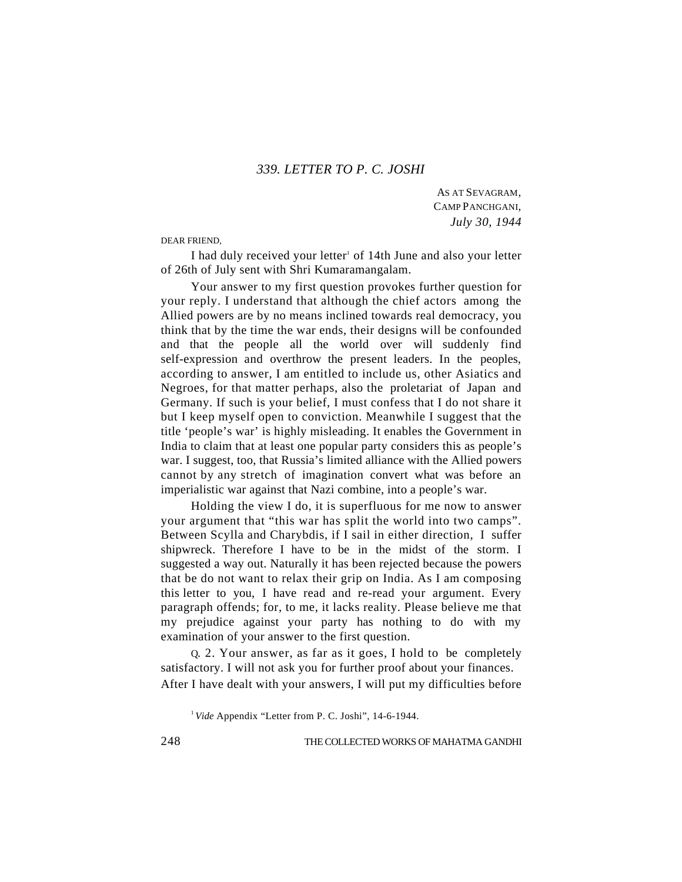## *339. LETTER TO P. C. JOSHI*

AS AT SEVAGRAM, CAMP PANCHGANI, *July 30, 1944*

DEAR FRIEND,

I had duly received your letter<sup>1</sup> of 14th June and also your letter of 26th of July sent with Shri Kumaramangalam.

Your answer to my first question provokes further question for your reply. I understand that although the chief actors among the Allied powers are by no means inclined towards real democracy, you think that by the time the war ends, their designs will be confounded and that the people all the world over will suddenly find self-expression and overthrow the present leaders. In the peoples, according to answer, I am entitled to include us, other Asiatics and Negroes, for that matter perhaps, also the proletariat of Japan and Germany. If such is your belief, I must confess that I do not share it but I keep myself open to conviction. Meanwhile I suggest that the title 'people's war' is highly misleading. It enables the Government in India to claim that at least one popular party considers this as people's war. I suggest, too, that Russia's limited alliance with the Allied powers cannot by any stretch of imagination convert what was before an imperialistic war against that Nazi combine, into a people's war.

Holding the view I do, it is superfluous for me now to answer your argument that "this war has split the world into two camps". Between Scylla and Charybdis, if I sail in either direction, I suffer shipwreck. Therefore I have to be in the midst of the storm. I suggested a way out. Naturally it has been rejected because the powers that be do not want to relax their grip on India. As I am composing this letter to you, I have read and re-read your argument. Every paragraph offends; for, to me, it lacks reality. Please believe me that my prejudice against your party has nothing to do with my examination of your answer to the first question.

Q. 2. Your answer, as far as it goes, I hold to be completely satisfactory. I will not ask you for further proof about your finances. After I have dealt with your answers, I will put my difficulties before

<sup>1</sup>*Vide* Appendix "Letter from P. C. Joshi", 14-6-1944.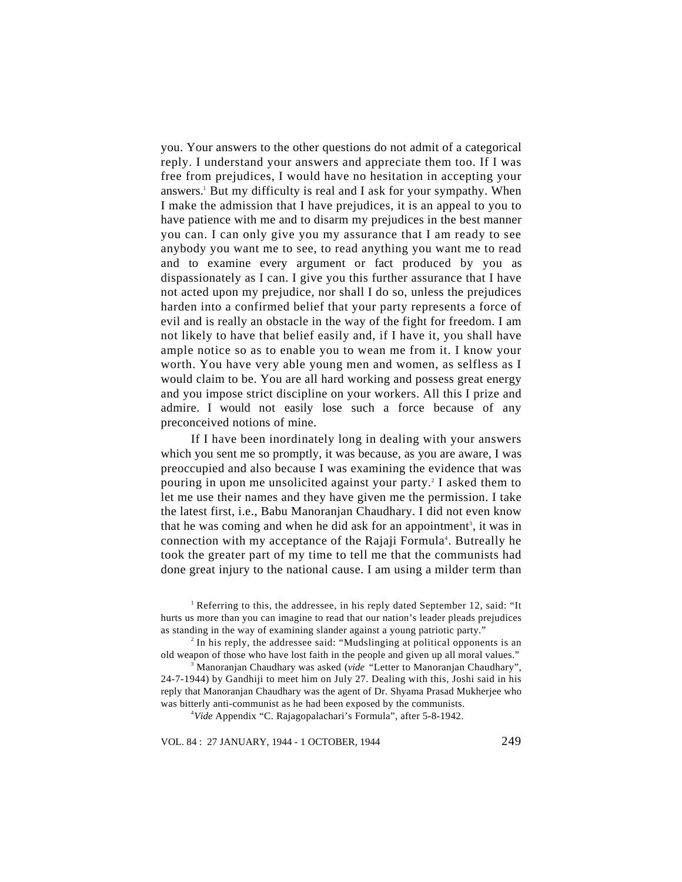you. Your answers to the other questions do not admit of a categorical reply. I understand your answers and appreciate them too. If I was free from prejudices, I would have no hesitation in accepting your answers.<sup>1</sup> But my difficulty is real and I ask for your sympathy. When I make the admission that I have prejudices, it is an appeal to you to have patience with me and to disarm my prejudices in the best manner you can. I can only give you my assurance that I am ready to see anybody you want me to see, to read anything you want me to read and to examine every argument or fact produced by you as dispassionately as I can. I give you this further assurance that I have not acted upon my prejudice, nor shall I do so, unless the prejudices harden into a confirmed belief that your party represents a force of evil and is really an obstacle in the way of the fight for freedom. I am not likely to have that belief easily and, if I have it, you shall have ample notice so as to enable you to wean me from it. I know your worth. You have very able young men and women, as selfless as I would claim to be. You are all hard working and possess great energy and you impose strict discipline on your workers. All this I prize and admire. I would not easily lose such a force because of any preconceived notions of mine.

If I have been inordinately long in dealing with your answers which you sent me so promptly, it was because, as you are aware, I was preoccupied and also because I was examining the evidence that was pouring in upon me unsolicited against your party.<sup>2</sup> I asked them to let me use their names and they have given me the permission. I take the latest first, i.e., Babu Manoranjan Chaudhary. I did not even know that he was coming and when he did ask for an appointment<sup>3</sup>, it was in connection with my acceptance of the Rajaji Formula<sup>4</sup>. Butreally he took the greater part of my time to tell me that the communists had done great injury to the national cause. I am using a milder term than

<sup>1</sup> Referring to this, the addressee, in his reply dated September 12, said: "It hurts us more than you can imagine to read that our nation's leader pleads prejudices as standing in the way of examining slander against a young patriotic party."

 $2$  In his reply, the addressee said: "Mudslinging at political opponents is an old weapon of those who have lost faith in the people and given up all moral values."

<sup>3</sup> Manoranjan Chaudhary was asked (vide "Letter to Manoranjan Chaudhary", 24-7-1944) by Gandhiji to meet him on July 27. Dealing with this, Joshi said in his reply that Manoranjan Chaudhary was the agent of Dr. Shyama Prasad Mukherjee who was bitterly anti-communist as he had been exposed by the communists.

<sup>4</sup>*Vide* Appendix "C. Rajagopalachari's Formula", after 5-8-1942.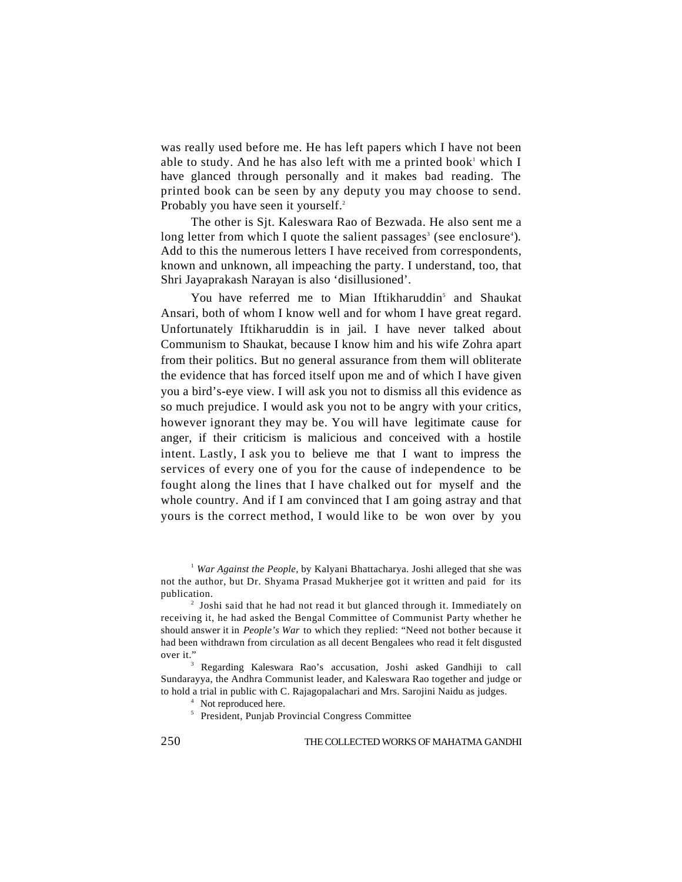was really used before me. He has left papers which I have not been able to study. And he has also left with me a printed book<sup>1</sup> which I have glanced through personally and it makes bad reading. The printed book can be seen by any deputy you may choose to send. Probably you have seen it yourself.<sup>2</sup>

The other is Sjt. Kaleswara Rao of Bezwada. He also sent me a long letter from which I quote the salient passages<sup>3</sup> (see enclosure<sup>4</sup>). Add to this the numerous letters I have received from correspondents, known and unknown, all impeaching the party. I understand, too, that Shri Jayaprakash Narayan is also 'disillusioned'.

You have referred me to Mian Iftikharuddin<sup>5</sup> and Shaukat Ansari, both of whom I know well and for whom I have great regard. Unfortunately Iftikharuddin is in jail. I have never talked about Communism to Shaukat, because I know him and his wife Zohra apart from their politics. But no general assurance from them will obliterate the evidence that has forced itself upon me and of which I have given you a bird's-eye view. I will ask you not to dismiss all this evidence as so much prejudice. I would ask you not to be angry with your critics, however ignorant they may be. You will have legitimate cause for anger, if their criticism is malicious and conceived with a hostile intent. Lastly, I ask you to believe me that I want to impress the services of every one of you for the cause of independence to be fought along the lines that I have chalked out for myself and the whole country. And if I am convinced that I am going astray and that yours is the correct method, I would like to be won over by you

<sup>1</sup> War Against the People, by Kalyani Bhattacharya. Joshi alleged that she was not the author, but Dr. Shyama Prasad Mukherjee got it written and paid for its publication.

 $2$  Joshi said that he had not read it but glanced through it. Immediately on receiving it, he had asked the Bengal Committee of Communist Party whether he should answer it in *People's War* to which they replied: "Need not bother because it had been withdrawn from circulation as all decent Bengalees who read it felt disgusted over it."

<sup>3</sup> Regarding Kaleswara Rao's accusation, Joshi asked Gandhiji to call Sundarayya, the Andhra Communist leader, and Kaleswara Rao together and judge or to hold a trial in public with C. Rajagopalachari and Mrs. Sarojini Naidu as judges.

<sup>4</sup> Not reproduced here.

5 President, Punjab Provincial Congress Committee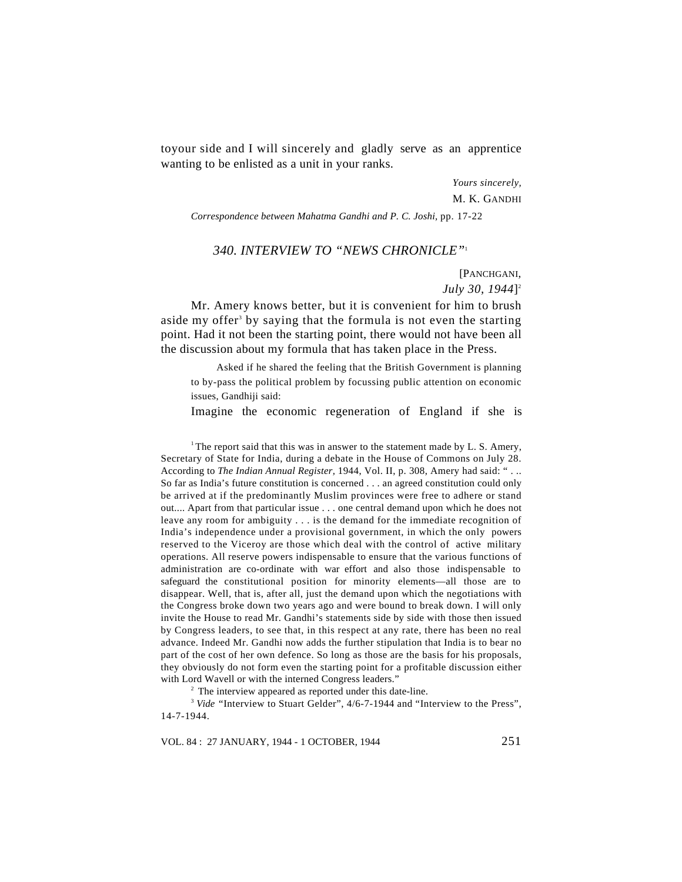toyour side and I will sincerely and gladly serve as an apprentice wanting to be enlisted as a unit in your ranks.

> *Yours sincerely,* M. K. GANDHI

*Correspondence between Mahatma Gandhi and P. C. Joshi,* pp. 17-22

### *340. INTERVIEW TO "NEWS CHRONICLE"*<sup>1</sup>

[PANCHGANI, *July 30, 1944*] 2

Mr. Amery knows better, but it is convenient for him to brush aside my offer<sup>3</sup> by saying that the formula is not even the starting point. Had it not been the starting point, there would not have been all the discussion about my formula that has taken place in the Press.

Asked if he shared the feeling that the British Government is planning to by-pass the political problem by focussing public attention on economic issues, Gandhiji said:

Imagine the economic regeneration of England if she is

<sup>1</sup>The report said that this was in answer to the statement made by L. S. Amery, Secretary of State for India, during a debate in the House of Commons on July 28. According to *The Indian Annual Register,* 1944, Vol. II, p. 308, Amery had said: " . .. So far as India's future constitution is concerned . . . an agreed constitution could only be arrived at if the predominantly Muslim provinces were free to adhere or stand out.... Apart from that particular issue . . . one central demand upon which he does not leave any room for ambiguity . . . is the demand for the immediate recognition of India's independence under a provisional government, in which the only powers reserved to the Viceroy are those which deal with the control of active military operations. All reserve powers indispensable to ensure that the various functions of administration are co-ordinate with war effort and also those indispensable to safeguard the constitutional position for minority elements—all those are to disappear. Well, that is, after all, just the demand upon which the negotiations with the Congress broke down two years ago and were bound to break down. I will only invite the House to read Mr. Gandhi's statements side by side with those then issued by Congress leaders, to see that, in this respect at any rate, there has been no real advance. Indeed Mr. Gandhi now adds the further stipulation that India is to bear no part of the cost of her own defence. So long as those are the basis for his proposals, they obviously do not form even the starting point for a profitable discussion either with Lord Wavell or with the interned Congress leaders."

 $2$  The interview appeared as reported under this date-line.

<sup>3</sup> Vide "Interview to Stuart Gelder", 4/6-7-1944 and "Interview to the Press", 14-7-1944.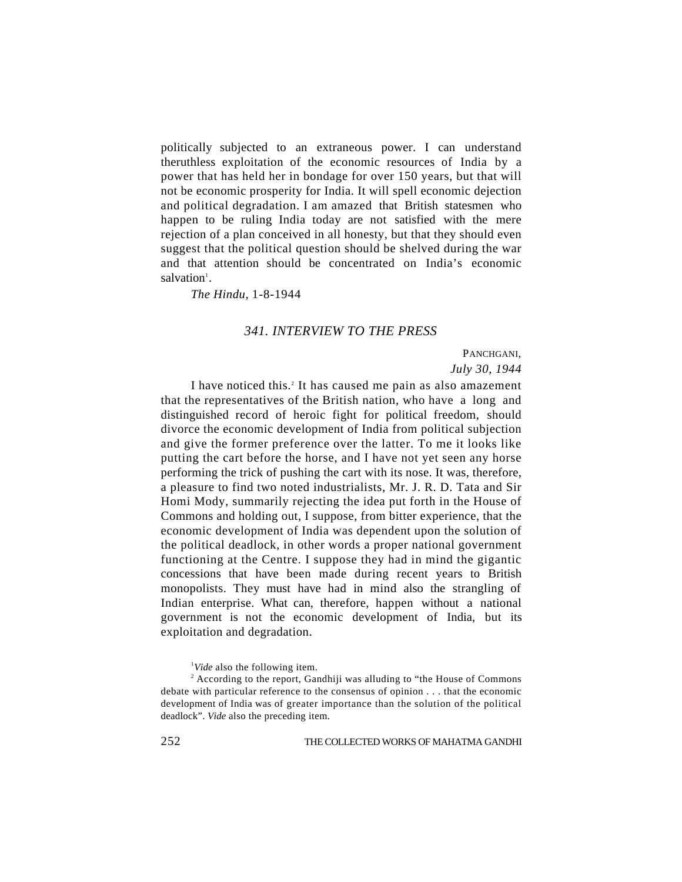politically subjected to an extraneous power. I can understand theruthless exploitation of the economic resources of India by a power that has held her in bondage for over 150 years, but that will not be economic prosperity for India. It will spell economic dejection and political degradation. I am amazed that British statesmen who happen to be ruling India today are not satisfied with the mere rejection of a plan conceived in all honesty, but that they should even suggest that the political question should be shelved during the war and that attention should be concentrated on India's economic salvation<sup>1</sup>.

*The Hindu,* 1-8-1944

#### *341. INTERVIEW TO THE PRESS*

PANCHGANI, *July 30, 1944*

I have noticed this.<sup>2</sup> It has caused me pain as also amazement that the representatives of the British nation, who have a long and distinguished record of heroic fight for political freedom, should divorce the economic development of India from political subjection and give the former preference over the latter. To me it looks like putting the cart before the horse, and I have not yet seen any horse performing the trick of pushing the cart with its nose. It was, therefore, a pleasure to find two noted industrialists, Mr. J. R. D. Tata and Sir Homi Mody, summarily rejecting the idea put forth in the House of Commons and holding out, I suppose, from bitter experience, that the economic development of India was dependent upon the solution of the political deadlock, in other words a proper national government functioning at the Centre. I suppose they had in mind the gigantic concessions that have been made during recent years to British monopolists. They must have had in mind also the strangling of Indian enterprise. What can, therefore, happen without a national government is not the economic development of India, but its exploitation and degradation.

<sup>1</sup>Vide also the following item.

 $2$  According to the report, Gandhiji was alluding to "the House of Commons" debate with particular reference to the consensus of opinion . . . that the economic development of India was of greater importance than the solution of the political deadlock". *Vide* also the preceding item.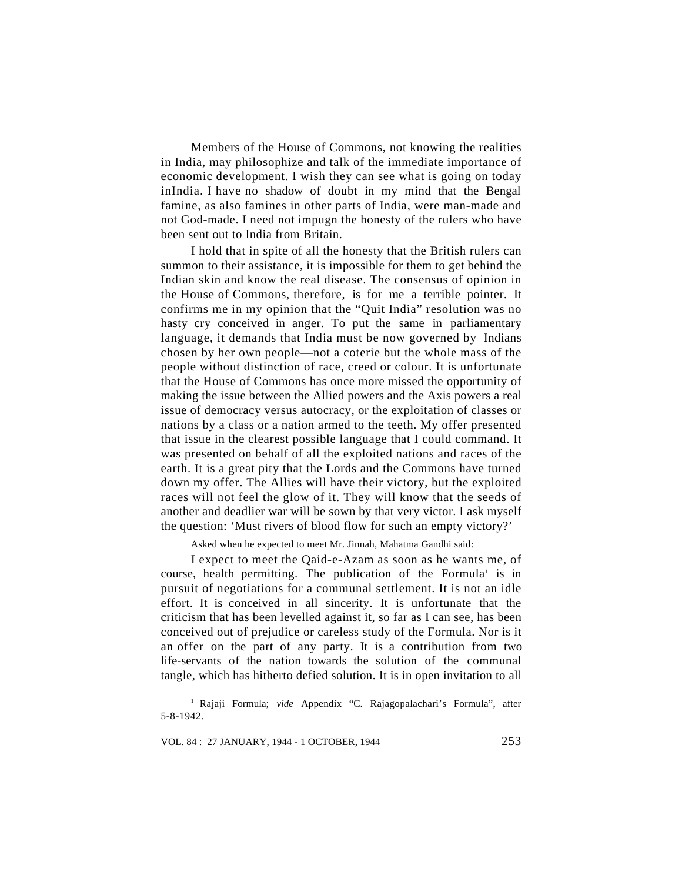Members of the House of Commons, not knowing the realities in India, may philosophize and talk of the immediate importance of economic development. I wish they can see what is going on today inIndia. I have no shadow of doubt in my mind that the Bengal famine, as also famines in other parts of India, were man-made and not God-made. I need not impugn the honesty of the rulers who have been sent out to India from Britain.

I hold that in spite of all the honesty that the British rulers can summon to their assistance, it is impossible for them to get behind the Indian skin and know the real disease. The consensus of opinion in the House of Commons, therefore, is for me a terrible pointer. It confirms me in my opinion that the "Quit India" resolution was no hasty cry conceived in anger. To put the same in parliamentary language, it demands that India must be now governed by Indians chosen by her own people—not a coterie but the whole mass of the people without distinction of race, creed or colour. It is unfortunate that the House of Commons has once more missed the opportunity of making the issue between the Allied powers and the Axis powers a real issue of democracy versus autocracy, or the exploitation of classes or nations by a class or a nation armed to the teeth. My offer presented that issue in the clearest possible language that I could command. It was presented on behalf of all the exploited nations and races of the earth. It is a great pity that the Lords and the Commons have turned down my offer. The Allies will have their victory, but the exploited races will not feel the glow of it. They will know that the seeds of another and deadlier war will be sown by that very victor. I ask myself the question: 'Must rivers of blood flow for such an empty victory?'

Asked when he expected to meet Mr. Jinnah, Mahatma Gandhi said:

I expect to meet the Qaid-e-Azam as soon as he wants me, of course, health permitting. The publication of the Formula<sup>1</sup> is in pursuit of negotiations for a communal settlement. It is not an idle effort. It is conceived in all sincerity. It is unfortunate that the criticism that has been levelled against it, so far as I can see, has been conceived out of prejudice or careless study of the Formula. Nor is it an offer on the part of any party. It is a contribution from two life-servants of the nation towards the solution of the communal tangle, which has hitherto defied solution. It is in open invitation to all

<sup>1</sup>Rajaji Formula; *vide* Appendix "C. Rajagopalachari's Formula", after 5-8-1942.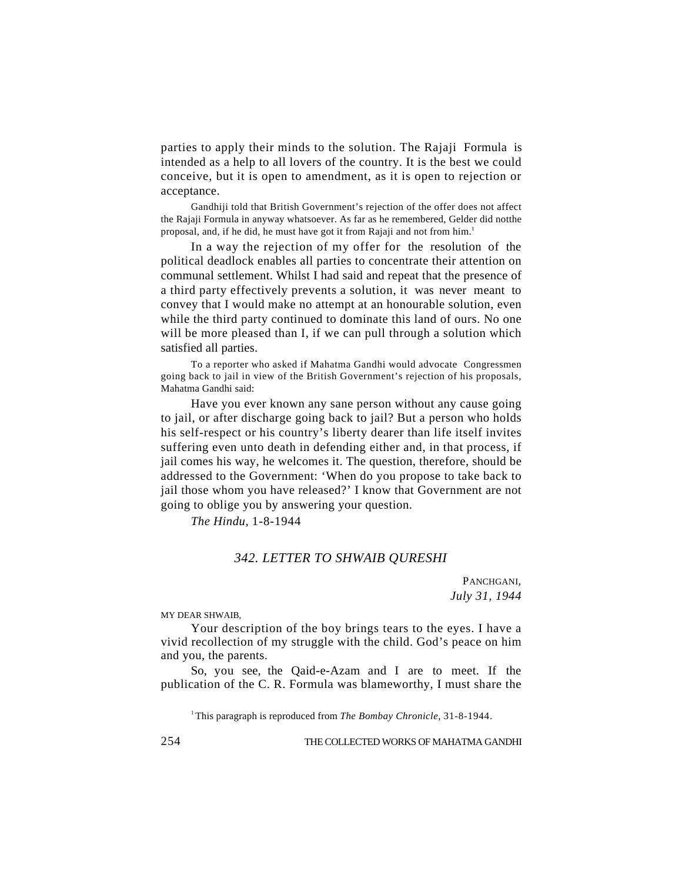parties to apply their minds to the solution. The Rajaji Formula is intended as a help to all lovers of the country. It is the best we could conceive, but it is open to amendment, as it is open to rejection or acceptance.

Gandhiji told that British Government's rejection of the offer does not affect the Rajaji Formula in anyway whatsoever. As far as he remembered, Gelder did notthe proposal, and, if he did, he must have got it from Rajaji and not from him.<sup>1</sup>

In a way the rejection of my offer for the resolution of the political deadlock enables all parties to concentrate their attention on communal settlement. Whilst I had said and repeat that the presence of a third party effectively prevents a solution, it was never meant to convey that I would make no attempt at an honourable solution, even while the third party continued to dominate this land of ours. No one will be more pleased than I, if we can pull through a solution which satisfied all parties.

To a reporter who asked if Mahatma Gandhi would advocate Congressmen going back to jail in view of the British Government's rejection of his proposals, Mahatma Gandhi said:

Have you ever known any sane person without any cause going to jail, or after discharge going back to jail? But a person who holds his self-respect or his country's liberty dearer than life itself invites suffering even unto death in defending either and, in that process, if jail comes his way, he welcomes it. The question, therefore, should be addressed to the Government: 'When do you propose to take back to jail those whom you have released?' I know that Government are not going to oblige you by answering your question.

*The Hindu,* 1-8-1944

### *342. LETTER TO SHWAIB QURESHI*

PANCHGANI, *July 31, 1944*

MY DEAR SHWAIB,

Your description of the boy brings tears to the eyes. I have a vivid recollection of my struggle with the child. God's peace on him and you, the parents.

So, you see, the Qaid-e-Azam and I are to meet. If the publication of the C. R. Formula was blameworthy, I must share the

<sup>1</sup>This paragraph is reproduced from *The Bombay Chronicle,* 31-8-1944.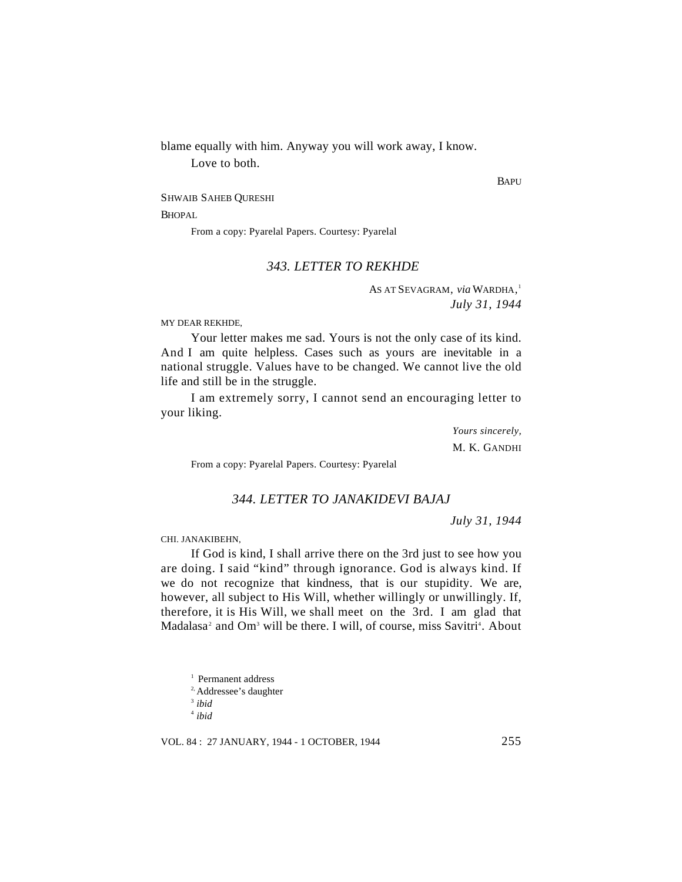blame equally with him. Anyway you will work away, I know. Love to both.

**BAPU** 

SHWAIB SAHEB QURESHI

**BHOPAL** 

From a copy: Pyarelal Papers. Courtesy: Pyarelal

## *343. LETTER TO REKHDE*

AS AT SEVAGRAM, *via* WARDHA, 1 *July 31, 1944*

MY DEAR REKHDE,

Your letter makes me sad. Yours is not the only case of its kind. And I am quite helpless. Cases such as yours are inevitable in a national struggle. Values have to be changed. We cannot live the old life and still be in the struggle.

I am extremely sorry, I cannot send an encouraging letter to your liking.

> *Yours sincerely,* M. K. GANDHI

From a copy: Pyarelal Papers. Courtesy: Pyarelal

## *344. LETTER TO JANAKIDEVI BAJAJ*

*July 31, 1944*

CHI. JANAKIBEHN,

If God is kind, I shall arrive there on the 3rd just to see how you are doing. I said "kind" through ignorance. God is always kind. If we do not recognize that kindness, that is our stupidity. We are, however, all subject to His Will, whether willingly or unwillingly. If, therefore, it is His Will, we shall meet on the 3rd. I am glad that Madalasa<sup>2</sup> and Om<sup>3</sup> will be there. I will, of course, miss Savitri<sup>4</sup>. About

 $<sup>1</sup>$  Permanent address</sup> <sup>2,</sup> Addressee's daughter 3 *ibid* 4 *ibid*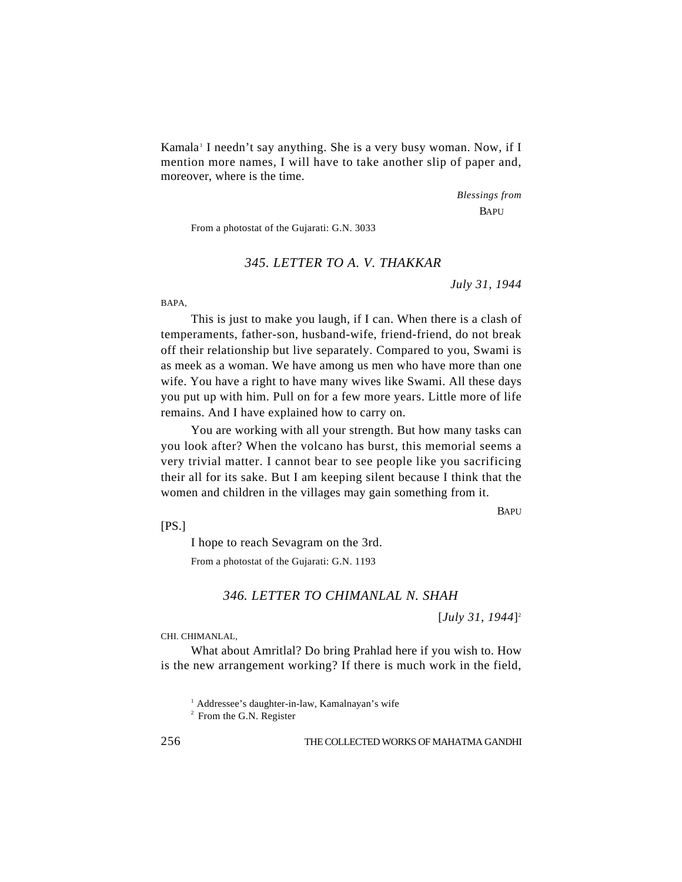Kamala<sup>1</sup> I needn't say anything. She is a very busy woman. Now, if I mention more names, I will have to take another slip of paper and, moreover, where is the time.

> *Blessings from* **BAPU**

From a photostat of the Gujarati: G.N. 3033

## *345. LETTER TO A. V. THAKKAR*

*July 31, 1944*

BAPA,

This is just to make you laugh, if I can. When there is a clash of temperaments, father-son, husband-wife, friend-friend, do not break off their relationship but live separately. Compared to you, Swami is as meek as a woman. We have among us men who have more than one wife. You have a right to have many wives like Swami. All these days you put up with him. Pull on for a few more years. Little more of life remains. And I have explained how to carry on.

You are working with all your strength. But how many tasks can you look after? When the volcano has burst, this memorial seems a very trivial matter. I cannot bear to see people like you sacrificing their all for its sake. But I am keeping silent because I think that the women and children in the villages may gain something from it.

**BAPU** 

[PS.]

I hope to reach Sevagram on the 3rd. From a photostat of the Gujarati: G.N. 1193

### *346. LETTER TO CHIMANLAL N. SHAH*

[*July 31, 1944*] 2

CHI. CHIMANLAL,

What about Amritlal? Do bring Prahlad here if you wish to. How is the new arrangement working? If there is much work in the field,

<sup>&</sup>lt;sup>1</sup> Addressee's daughter-in-law, Kamalnayan's wife

 $2$  From the G.N. Register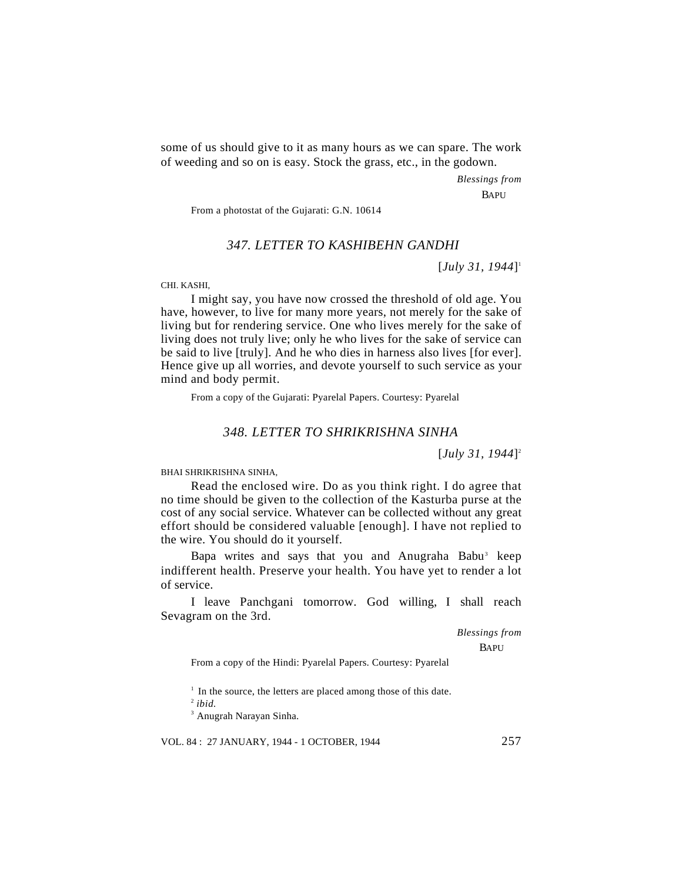some of us should give to it as many hours as we can spare. The work of weeding and so on is easy. Stock the grass, etc., in the godown.

> *Blessings from* **BAPU**

From a photostat of the Gujarati: G.N. 10614

### *347. LETTER TO KASHIBEHN GANDHI*

[*July 31, 1944*] 1

CHI. KASHI,

I might say, you have now crossed the threshold of old age. You have, however, to live for many more years, not merely for the sake of living but for rendering service. One who lives merely for the sake of living does not truly live; only he who lives for the sake of service can be said to live [truly]. And he who dies in harness also lives [for ever]. Hence give up all worries, and devote yourself to such service as your mind and body permit.

From a copy of the Gujarati: Pyarelal Papers. Courtesy: Pyarelal

#### *348. LETTER TO SHRIKRISHNA SINHA*

[*July 31, 1944*] 2

BHAI SHRIKRISHNA SINHA,

Read the enclosed wire. Do as you think right. I do agree that no time should be given to the collection of the Kasturba purse at the cost of any social service. Whatever can be collected without any great effort should be considered valuable [enough]. I have not replied to the wire. You should do it yourself.

Bapa writes and says that you and Anugraha Babu<sup>3</sup> keep indifferent health. Preserve your health. You have yet to render a lot of service.

I leave Panchgani tomorrow. God willing, I shall reach Sevagram on the 3rd.

*Blessings from*

BAPU

From a copy of the Hindi: Pyarelal Papers. Courtesy: Pyarelal

 $1$  In the source, the letters are placed among those of this date.

2 *ibid.*

<sup>3</sup> Anugrah Narayan Sinha.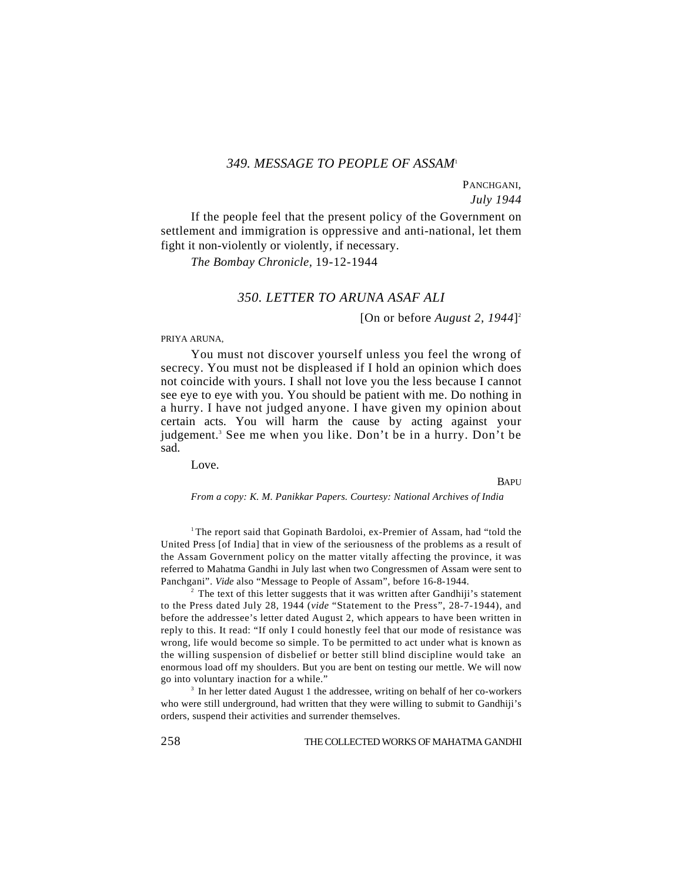## *349. MESSAGE TO PEOPLE OF ASSAM*<sup>1</sup>

PANCHGANI, *July 1944*

If the people feel that the present policy of the Government on settlement and immigration is oppressive and anti-national, let them fight it non-violently or violently, if necessary.

*The Bombay Chronicle,* 19-12-1944

### *350. LETTER TO ARUNA ASAF ALI*

[On or before *August 2, 1944*] 2

PRIYA ARUNA,

You must not discover yourself unless you feel the wrong of secrecy. You must not be displeased if I hold an opinion which does not coincide with yours. I shall not love you the less because I cannot see eye to eye with you. You should be patient with me. Do nothing in a hurry. I have not judged anyone. I have given my opinion about certain acts. You will harm the cause by acting against your judgement.<sup>3</sup> See me when you like. Don't be in a hurry. Don't be sad.

Love.

**BAPU** 

*From a copy: K. M. Panikkar Papers. Courtesy: National Archives of India*

<sup>1</sup>The report said that Gopinath Bardoloi, ex-Premier of Assam, had "told the United Press [of India] that in view of the seriousness of the problems as a result of the Assam Government policy on the matter vitally affecting the province, it was referred to Mahatma Gandhi in July last when two Congressmen of Assam were sent to Panchgani". *Vide* also "Message to People of Assam", before 16-8-1944.

<sup>2</sup>The text of this letter suggests that it was written after Gandhiji's statement to the Press dated July 28, 1944 (*vide* "Statement to the Press", 28-7-1944), and before the addressee's letter dated August 2, which appears to have been written in reply to this. It read: "If only I could honestly feel that our mode of resistance was wrong, life would become so simple. To be permitted to act under what is known as the willing suspension of disbelief or better still blind discipline would take an enormous load off my shoulders. But you are bent on testing our mettle. We will now go into voluntary inaction for a while."

 $3$  In her letter dated August 1 the addressee, writing on behalf of her co-workers who were still underground, had written that they were willing to submit to Gandhiji's orders, suspend their activities and surrender themselves.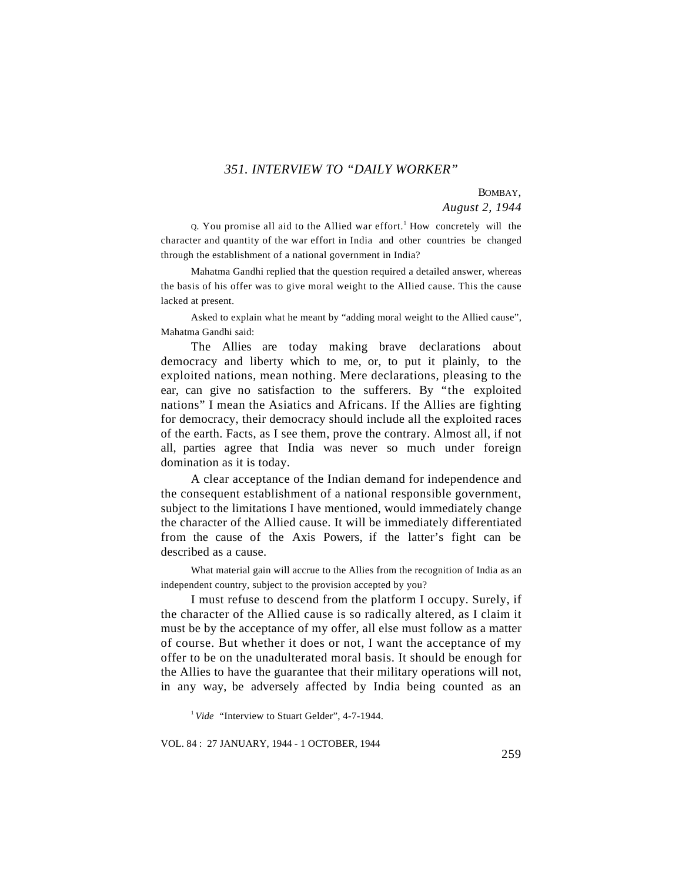## *351. INTERVIEW TO "DAILY WORKER"*

BOMBAY, *August 2, 1944*

Q. You promise all aid to the Allied war effort.<sup>1</sup> How concretely will the character and quantity of the war effort in India and other countries be changed through the establishment of a national government in India?

Mahatma Gandhi replied that the question required a detailed answer, whereas the basis of his offer was to give moral weight to the Allied cause. This the cause lacked at present.

Asked to explain what he meant by "adding moral weight to the Allied cause", Mahatma Gandhi said:

The Allies are today making brave declarations about democracy and liberty which to me, or, to put it plainly, to the exploited nations, mean nothing. Mere declarations, pleasing to the ear, can give no satisfaction to the sufferers. By "the exploited nations" I mean the Asiatics and Africans. If the Allies are fighting for democracy, their democracy should include all the exploited races of the earth. Facts, as I see them, prove the contrary. Almost all, if not all, parties agree that India was never so much under foreign domination as it is today.

A clear acceptance of the Indian demand for independence and the consequent establishment of a national responsible government, subject to the limitations I have mentioned, would immediately change the character of the Allied cause. It will be immediately differentiated from the cause of the Axis Powers, if the latter's fight can be described as a cause.

What material gain will accrue to the Allies from the recognition of India as an independent country, subject to the provision accepted by you?

I must refuse to descend from the platform I occupy. Surely, if the character of the Allied cause is so radically altered, as I claim it must be by the acceptance of my offer, all else must follow as a matter of course. But whether it does or not, I want the acceptance of my offer to be on the unadulterated moral basis. It should be enough for the Allies to have the guarantee that their military operations will not, in any way, be adversely affected by India being counted as an

<sup>1</sup> Vide "Interview to Stuart Gelder", 4-7-1944.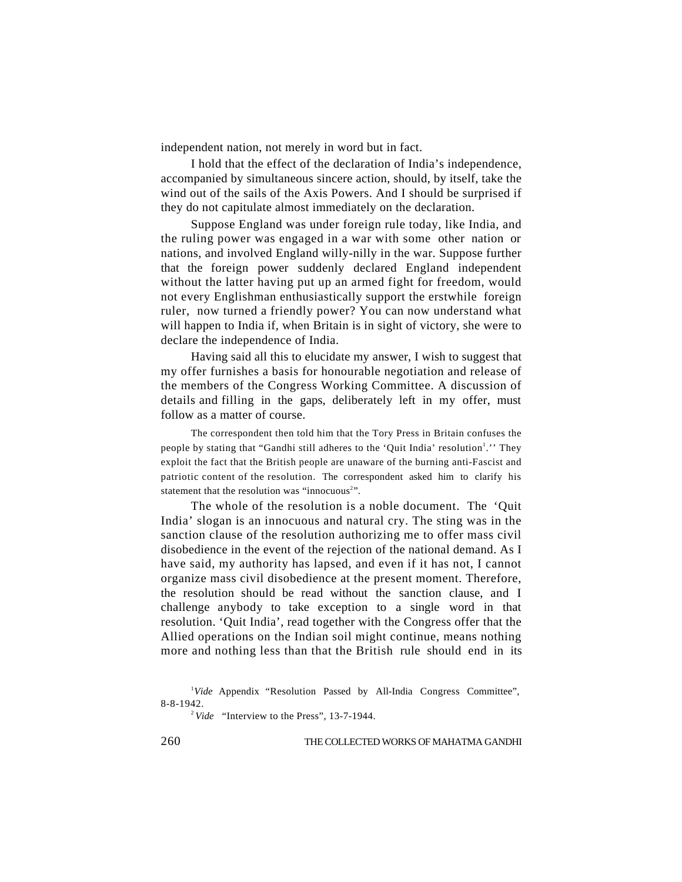independent nation, not merely in word but in fact.

I hold that the effect of the declaration of India's independence, accompanied by simultaneous sincere action, should, by itself, take the wind out of the sails of the Axis Powers. And I should be surprised if they do not capitulate almost immediately on the declaration.

Suppose England was under foreign rule today, like India, and the ruling power was engaged in a war with some other nation or nations, and involved England willy-nilly in the war. Suppose further that the foreign power suddenly declared England independent without the latter having put up an armed fight for freedom, would not every Englishman enthusiastically support the erstwhile foreign ruler, now turned a friendly power? You can now understand what will happen to India if, when Britain is in sight of victory, she were to declare the independence of India.

Having said all this to elucidate my answer, I wish to suggest that my offer furnishes a basis for honourable negotiation and release of the members of the Congress Working Committee. A discussion of details and filling in the gaps, deliberately left in my offer, must follow as a matter of course.

The correspondent then told him that the Tory Press in Britain confuses the people by stating that "Gandhi still adheres to the 'Quit India' resolution<sup>1</sup>.'' They exploit the fact that the British people are unaware of the burning anti-Fascist and patriotic content of the resolution. The correspondent asked him to clarify his statement that the resolution was "innocuous<sup>2</sup>".

The whole of the resolution is a noble document. The 'Quit India' slogan is an innocuous and natural cry. The sting was in the sanction clause of the resolution authorizing me to offer mass civil disobedience in the event of the rejection of the national demand. As I have said, my authority has lapsed, and even if it has not, I cannot organize mass civil disobedience at the present moment. Therefore, the resolution should be read without the sanction clause, and I challenge anybody to take exception to a single word in that resolution. 'Quit India', read together with the Congress offer that the Allied operations on the Indian soil might continue, means nothing more and nothing less than that the British rule should end in its

<sup>&</sup>lt;sup>1</sup>Vide Appendix "Resolution Passed by All-India Congress Committee", 8-8-1942.

<sup>2</sup>*Vide* "Interview to the Press", 13-7-1944.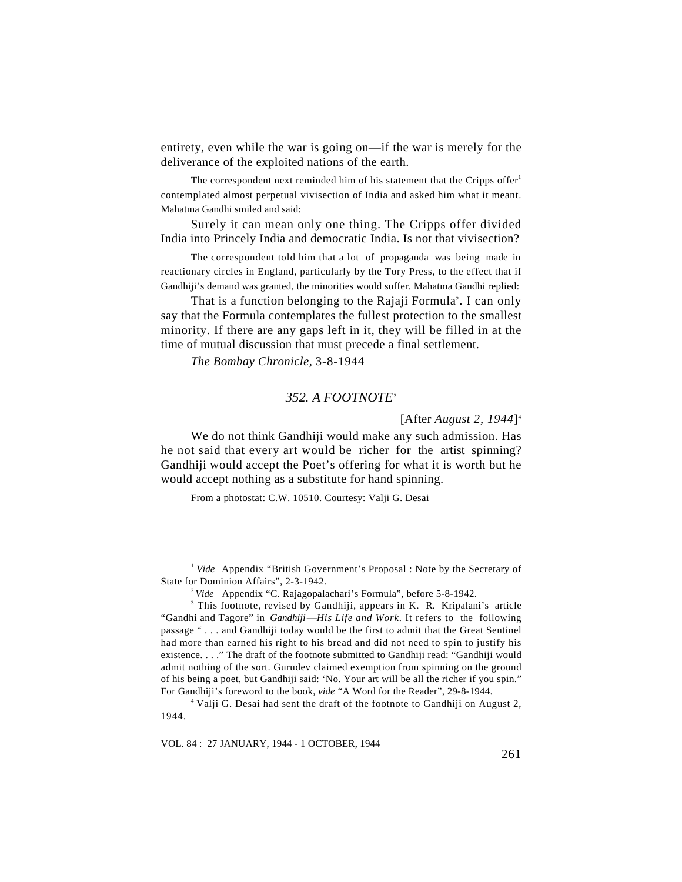entirety, even while the war is going on—if the war is merely for the deliverance of the exploited nations of the earth.

The correspondent next reminded him of his statement that the Cripps offer $<sup>1</sup>$ </sup> contemplated almost perpetual vivisection of India and asked him what it meant. Mahatma Gandhi smiled and said:

Surely it can mean only one thing. The Cripps offer divided India into Princely India and democratic India. Is not that vivisection?

The correspondent told him that a lot of propaganda was being made in reactionary circles in England, particularly by the Tory Press, to the effect that if Gandhiji's demand was granted, the minorities would suffer. Mahatma Gandhi replied:

That is a function belonging to the Rajaji Formula<sup>2</sup>. I can only say that the Formula contemplates the fullest protection to the smallest minority. If there are any gaps left in it, they will be filled in at the time of mutual discussion that must precede a final settlement.

*The Bombay Chronicle,* 3-8-1944

## *352. A FOOTNOTE*<sup>3</sup>

[After *August 2, 1944*] 4

We do not think Gandhiji would make any such admission. Has he not said that every art would be richer for the artist spinning? Gandhiji would accept the Poet's offering for what it is worth but he would accept nothing as a substitute for hand spinning.

From a photostat: C.W. 10510. Courtesy: Valji G. Desai

<sup>1</sup> Vide Appendix "British Government's Proposal : Note by the Secretary of State for Dominion Affairs", 2-3-1942.

<sup>2</sup>*Vide* Appendix "C. Rajagopalachari's Formula", before 5-8-1942.

<sup>3</sup> This footnote, revised by Gandhiji, appears in K. R. Kripalani's article "Gandhi and Tagore" in *Gandhiji*—*His Life and Work*. It refers to the following passage " . . . and Gandhiji today would be the first to admit that the Great Sentinel had more than earned his right to his bread and did not need to spin to justify his existence. . . ." The draft of the footnote submitted to Gandhiji read: "Gandhiji would admit nothing of the sort. Gurudev claimed exemption from spinning on the ground of his being a poet, but Gandhiji said: 'No. Your art will be all the richer if you spin." For Gandhiji's foreword to the book, *vide* "A Word for the Reader", 29-8-1944.

<sup>4</sup> Valji G. Desai had sent the draft of the footnote to Gandhiji on August 2, 1944.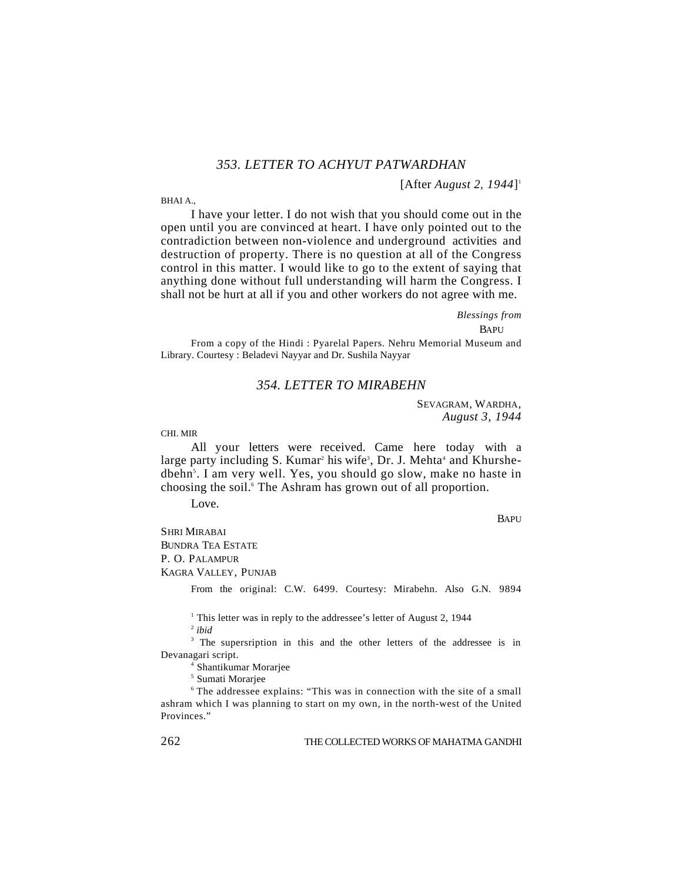# *353. LETTER TO ACHYUT PATWARDHAN*

[After *August 2*, *1944*] 1

BHAI A.,

I have your letter. I do not wish that you should come out in the open until you are convinced at heart. I have only pointed out to the contradiction between non-violence and underground activities and destruction of property. There is no question at all of the Congress control in this matter. I would like to go to the extent of saying that anything done without full understanding will harm the Congress. I shall not be hurt at all if you and other workers do not agree with me.

*Blessings from*

BAPU

From a copy of the Hindi : Pyarelal Papers. Nehru Memorial Museum and Library. Courtesy : Beladevi Nayyar and Dr. Sushila Nayyar

#### *354. LETTER TO MIRABEHN*

SEVAGRAM, WARDHA, *August 3, 1944*

CHI. MIR

All your letters were received. Came here today with a large party including S. Kumar<sup>2</sup> his wife<sup>3</sup>, Dr. J. Mehta<sup>4</sup> and Khurshedbehn<sup>5</sup> . I am very well. Yes, you should go slow, make no haste in choosing the soil.<sup>6</sup> The Ashram has grown out of all proportion.

Love.

**BAPU** 

SHRI MIRABAI BUNDRA TEA ESTATE P. O. PALAMPUR KAGRA VALLEY, PUNJAB

From the original: C.W. 6499. Courtesy: Mirabehn. Also G.N. 9894

<sup>1</sup> This letter was in reply to the addressee's letter of August 2, 1944

2 *ibid*

 $3$  The supersription in this and the other letters of the addressee is in Devanagari script.

4 Shantikumar Morarjee

<sup>5</sup> Sumati Morarjee

 $6$ <sup>6</sup> The addressee explains: "This was in connection with the site of a small ashram which I was planning to start on my own, in the north-west of the United Provinces."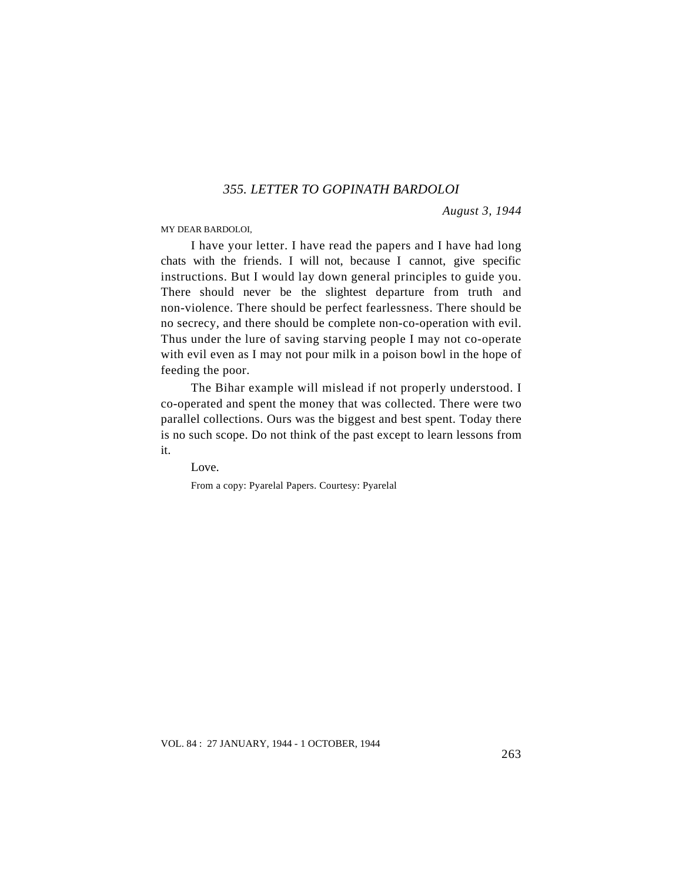## *355. LETTER TO GOPINATH BARDOLOI*

*August 3, 1944*

MY DEAR BARDOLOI,

I have your letter. I have read the papers and I have had long chats with the friends. I will not, because I cannot, give specific instructions. But I would lay down general principles to guide you. There should never be the slightest departure from truth and non-violence. There should be perfect fearlessness. There should be no secrecy, and there should be complete non-co-operation with evil. Thus under the lure of saving starving people I may not co-operate with evil even as I may not pour milk in a poison bowl in the hope of feeding the poor.

The Bihar example will mislead if not properly understood. I co-operated and spent the money that was collected. There were two parallel collections. Ours was the biggest and best spent. Today there is no such scope. Do not think of the past except to learn lessons from it.

Love.

From a copy: Pyarelal Papers. Courtesy: Pyarelal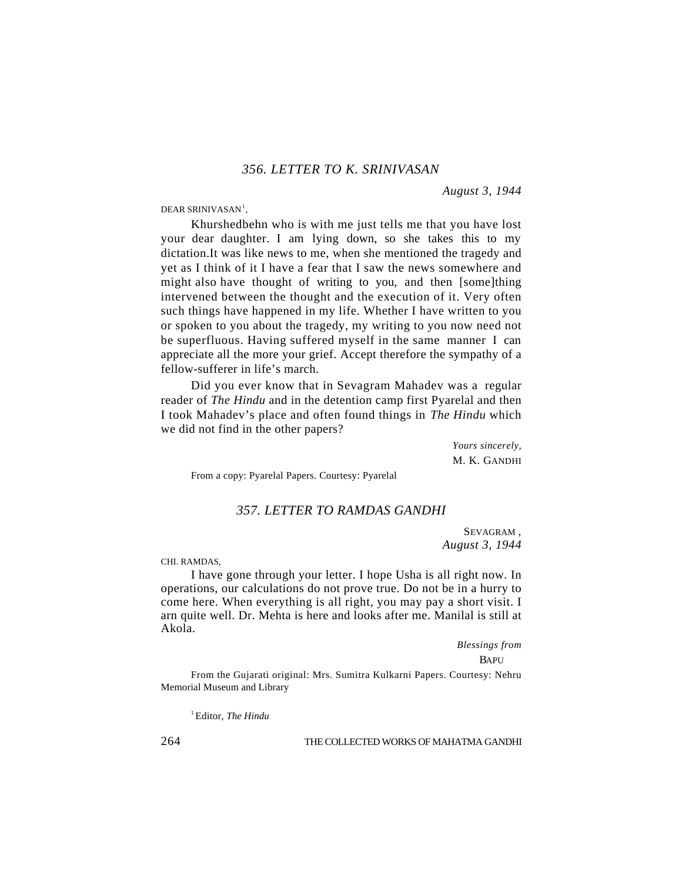*August 3, 1944*

 $DEAR$  SRINIVASAN<sup>1</sup>,

Khurshedbehn who is with me just tells me that you have lost your dear daughter. I am lying down, so she takes this to my dictation.It was like news to me, when she mentioned the tragedy and yet as I think of it I have a fear that I saw the news somewhere and might also have thought of writing to you, and then [some]thing intervened between the thought and the execution of it. Very often such things have happened in my life. Whether I have written to you or spoken to you about the tragedy, my writing to you now need not be superfluous. Having suffered myself in the same manner I can appreciate all the more your grief. Accept therefore the sympathy of a fellow-sufferer in life's march.

Did you ever know that in Sevagram Mahadev was a regular reader of *The Hindu* and in the detention camp first Pyarelal and then I took Mahadev's place and often found things in *The Hindu* which we did not find in the other papers?

> *Yours sincerely,* M. K. GANDHI

From a copy: Pyarelal Papers. Courtesy: Pyarelal

# *357. LETTER TO RAMDAS GANDHI*

SEVAGRAM , *August 3, 1944*

CHI. RAMDAS,

I have gone through your letter. I hope Usha is all right now. In operations, our calculations do not prove true. Do not be in a hurry to come here. When everything is all right, you may pay a short visit. I arn quite well. Dr. Mehta is here and looks after me. Manilal is still at Akola.

*Blessings from*

**BAPU** 

From the Gujarati original: Mrs. Sumitra Kulkarni Papers. Courtesy: Nehru Memorial Museum and Library

<sup>1</sup>Editor, *The Hindu*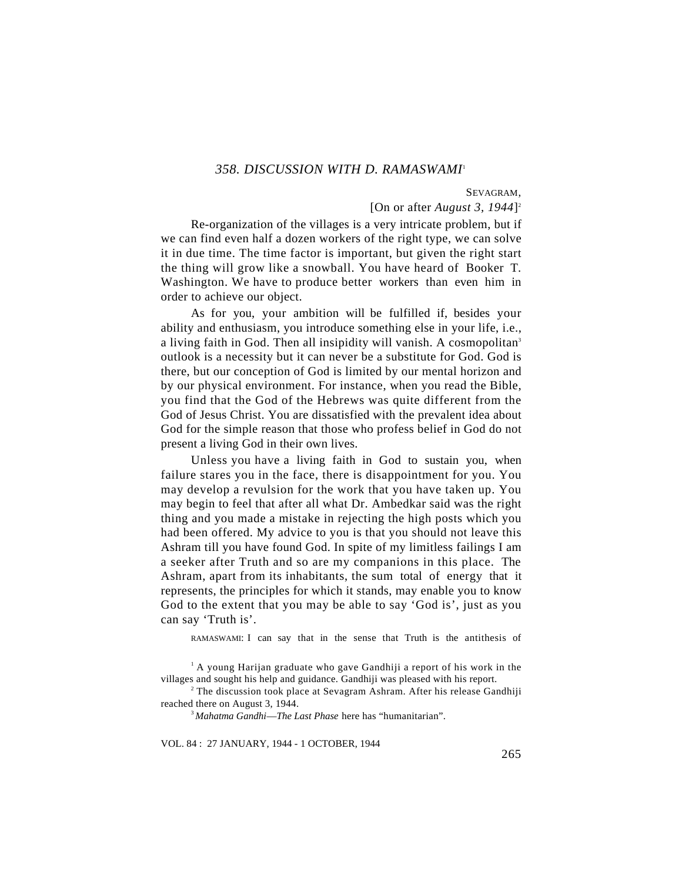SEVAGRAM, [On or after *August 3, 1944*] 2

Re-organization of the villages is a very intricate problem, but if we can find even half a dozen workers of the right type, we can solve it in due time. The time factor is important, but given the right start the thing will grow like a snowball. You have heard of Booker T. Washington. We have to produce better workers than even him in order to achieve our object.

As for you, your ambition will be fulfilled if, besides your ability and enthusiasm, you introduce something else in your life, i.e., a living faith in God. Then all insipidity will vanish. A cosmopolitan<sup>3</sup> outlook is a necessity but it can never be a substitute for God. God is there, but our conception of God is limited by our mental horizon and by our physical environment. For instance, when you read the Bible, you find that the God of the Hebrews was quite different from the God of Jesus Christ. You are dissatisfied with the prevalent idea about God for the simple reason that those who profess belief in God do not present a living God in their own lives.

Unless you have a living faith in God to sustain you, when failure stares you in the face, there is disappointment for you. You may develop a revulsion for the work that you have taken up. You may begin to feel that after all what Dr. Ambedkar said was the right thing and you made a mistake in rejecting the high posts which you had been offered. My advice to you is that you should not leave this Ashram till you have found God. In spite of my limitless failings I am a seeker after Truth and so are my companions in this place. The Ashram, apart from its inhabitants, the sum total of energy that it represents, the principles for which it stands, may enable you to know God to the extent that you may be able to say 'God is', just as you can say 'Truth is'.

RAMASWAMI: I can say that in the sense that Truth is the antithesis of

<sup>1</sup> A young Harijan graduate who gave Gandhiji a report of his work in the villages and sought his help and guidance. Gandhiji was pleased with his report.

 $2^2$  The discussion took place at Sevagram Ashram. After his release Gandhiji reached there on August 3, 1944.

<sup>3</sup>*Mahatma Gandhi*—*The Last Phase* here has "humanitarian".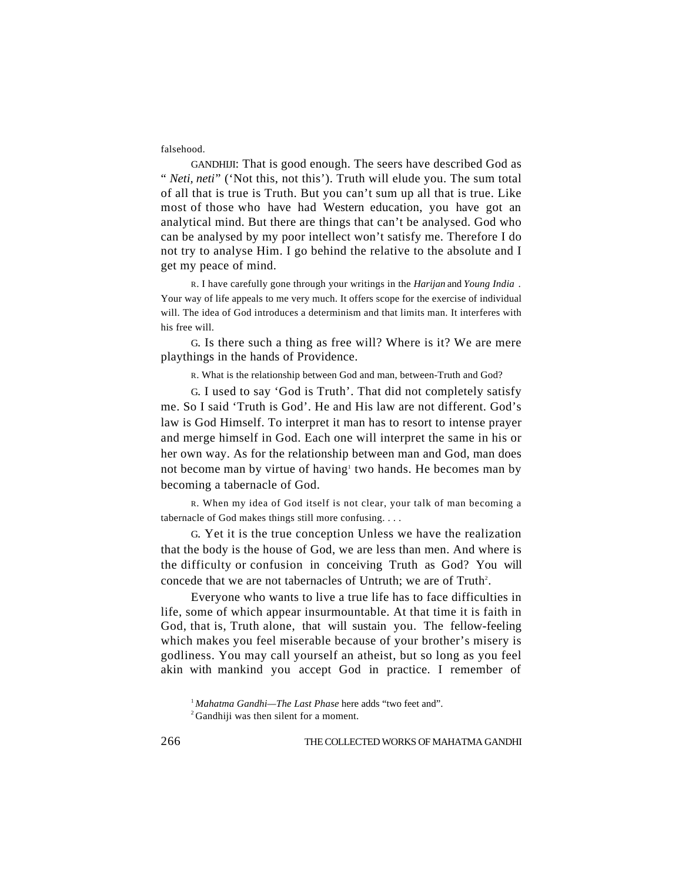falsehood.

GANDHIJI: That is good enough. The seers have described God as " *Neti, neti*" ('Not this, not this'). Truth will elude you. The sum total of all that is true is Truth. But you can't sum up all that is true. Like most of those who have had Western education, you have got an analytical mind. But there are things that can't be analysed. God who can be analysed by my poor intellect won't satisfy me. Therefore I do not try to analyse Him. I go behind the relative to the absolute and I get my peace of mind.

R. I have carefully gone through your writings in the *Harijan* and *Young India* . Your way of life appeals to me very much. It offers scope for the exercise of individual will. The idea of God introduces a determinism and that limits man. It interferes with his free will.

G. Is there such a thing as free will? Where is it? We are mere playthings in the hands of Providence.

R. What is the relationship between God and man, between-Truth and God?

G. I used to say 'God is Truth'. That did not completely satisfy me. So I said 'Truth is God'. He and His law are not different. God's law is God Himself. To interpret it man has to resort to intense prayer and merge himself in God. Each one will interpret the same in his or her own way. As for the relationship between man and God, man does not become man by virtue of having<sup>1</sup> two hands. He becomes man by becoming a tabernacle of God.

R. When my idea of God itself is not clear, your talk of man becoming a tabernacle of God makes things still more confusing. . . .

G. Yet it is the true conception Unless we have the realization that the body is the house of God, we are less than men. And where is the difficulty or confusion in conceiving Truth as God? You will concede that we are not tabernacles of Untruth; we are of Truth<sup>2</sup>.

Everyone who wants to live a true life has to face difficulties in life, some of which appear insurmountable. At that time it is faith in God, that is, Truth alone, that will sustain you. The fellow-feeling which makes you feel miserable because of your brother's misery is godliness. You may call yourself an atheist, but so long as you feel akin with mankind you accept God in practice. I remember of

<sup>&</sup>lt;sup>1</sup> Mahatma Gandhi-The Last Phase here adds "two feet and".

 $2$  Gandhiji was then silent for a moment.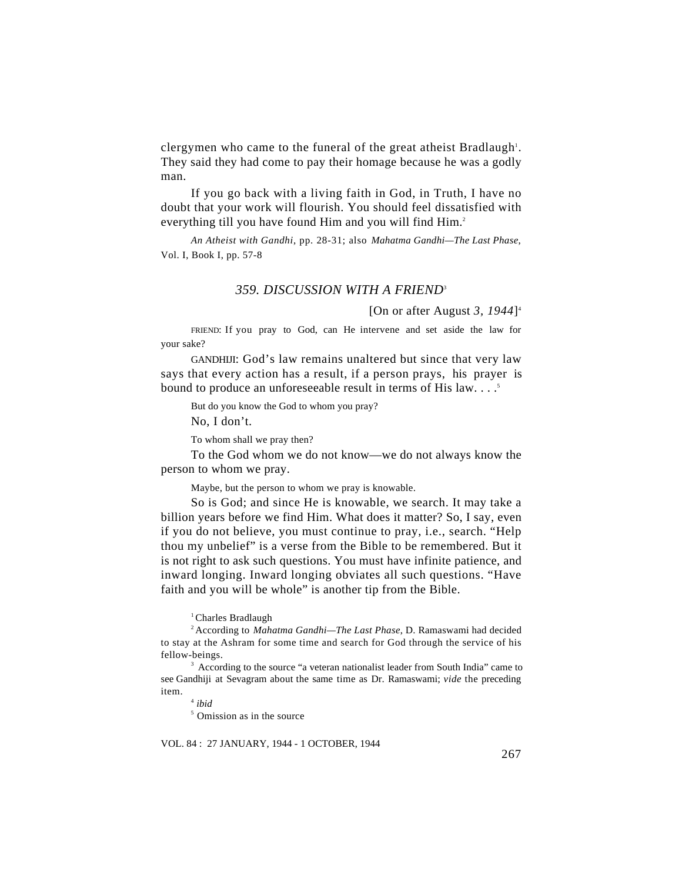clergymen who came to the funeral of the great atheist Bradlaugh<sup>1</sup>. They said they had come to pay their homage because he was a godly man.

If you go back with a living faith in God, in Truth, I have no doubt that your work will flourish. You should feel dissatisfied with everything till you have found Him and you will find Him.<sup>2</sup>

*An Atheist with Gandhi*, pp. 28-31; also *Mahatma Gandhi—The Last Phase*, Vol. I, Book I, pp. 57-8

# *359. DISCUSSION WITH A FRIEND*<sup>3</sup>

[On or after August *3, 1944*] 4

FRIEND: If you pray to God, can He intervene and set aside the law for your sake?

GANDHIJI: God's law remains unaltered but since that very law says that every action has a result, if a person prays, his prayer is bound to produce an unforeseeable result in terms of His law. . . .<sup>5</sup>

But do you know the God to whom you pray? No, I don't.

To whom shall we pray then?

To the God whom we do not know—we do not always know the person to whom we pray.

Maybe, but the person to whom we pray is knowable.

So is God; and since He is knowable, we search. It may take a billion years before we find Him. What does it matter? So, I say, even if you do not believe, you must continue to pray, i.e., search. "Help thou my unbelief" is a verse from the Bible to be remembered. But it is not right to ask such questions. You must have infinite patience, and inward longing. Inward longing obviates all such questions. "Have faith and you will be whole" is another tip from the Bible.

<sup>1</sup> Charles Bradlaugh

<sup>2</sup>According to *Mahatma Gandhi—The Last Phase*, D. Ramaswami had decided to stay at the Ashram for some time and search for God through the service of his fellow-beings.

 $3$  According to the source "a veteran nationalist leader from South India" came to see Gandhiji at Sevagram about the same time as Dr. Ramaswami; *vide* the preceding item.

4 *ibid* 5 Omission as in the source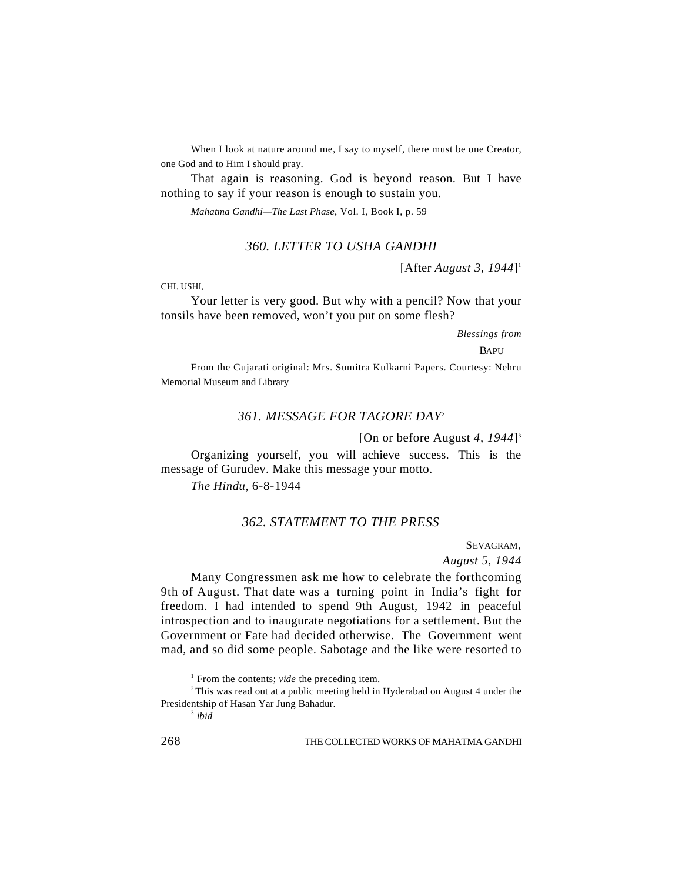When I look at nature around me, I say to myself, there must be one Creator, one God and to Him I should pray.

That again is reasoning. God is beyond reason. But I have nothing to say if your reason is enough to sustain you.

*Mahatma Gandhi—The Last Phase*, Vol. I, Book I, p. 59

## *360. LETTER TO USHA GANDHI*

[After *August 3, 1944*] 1

CHI. USHI,

Your letter is very good. But why with a pencil? Now that your tonsils have been removed, won't you put on some flesh?

*Blessings from*

**BAPU** 

From the Gujarati original: Mrs. Sumitra Kulkarni Papers. Courtesy: Nehru Memorial Museum and Library

## *361. MESSAGE FOR TAGORE DAY*<sup>2</sup>

[On or before August *4, 1944*] 3

Organizing yourself, you will achieve success. This is the message of Gurudev. Make this message your motto.

*The Hindu,* 6-8-1944

## *362. STATEMENT TO THE PRESS*

SEVAGRAM, *August 5, 1944*

Many Congressmen ask me how to celebrate the forthcoming 9th of August. That date was a turning point in India's fight for freedom. I had intended to spend 9th August, 1942 in peaceful introspection and to inaugurate negotiations for a settlement. But the Government or Fate had decided otherwise. The Government went mad, and so did some people. Sabotage and the like were resorted to

<sup>1</sup> From the contents; *vide* the preceding item.

 $2$ <sup>2</sup>This was read out at a public meeting held in Hyderabad on August 4 under the Presidentship of Hasan Yar Jung Bahadur.

3  *ibid*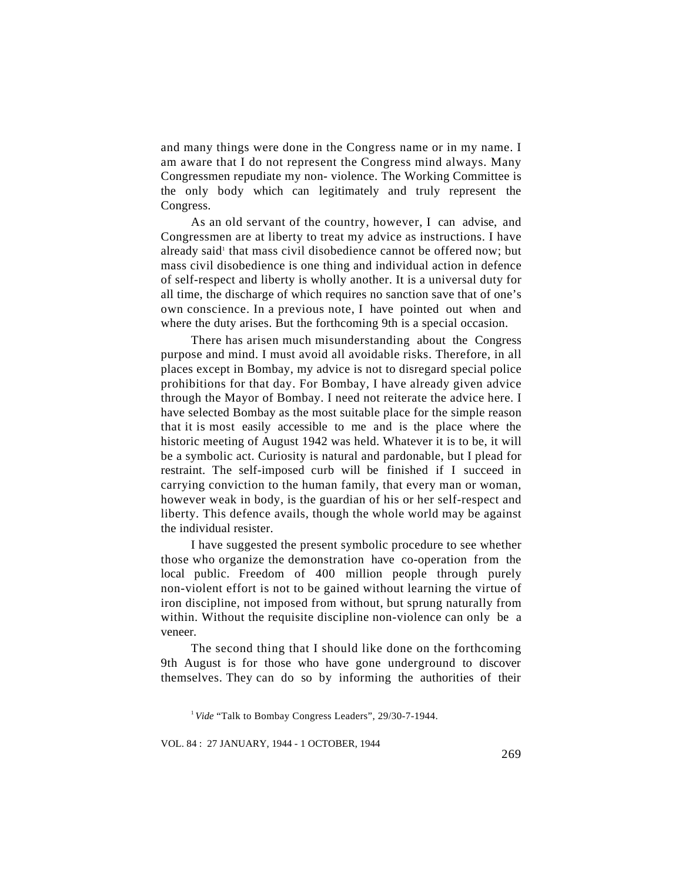and many things were done in the Congress name or in my name. I am aware that I do not represent the Congress mind always. Many Congressmen repudiate my non- violence. The Working Committee is the only body which can legitimately and truly represent the Congress.

As an old servant of the country, however, I can advise, and Congressmen are at liberty to treat my advice as instructions. I have already said<sup>1</sup> that mass civil disobedience cannot be offered now; but mass civil disobedience is one thing and individual action in defence of self-respect and liberty is wholly another. It is a universal duty for all time, the discharge of which requires no sanction save that of one's own conscience. In a previous note, I have pointed out when and where the duty arises. But the forthcoming 9th is a special occasion.

There has arisen much misunderstanding about the Congress purpose and mind. I must avoid all avoidable risks. Therefore, in all places except in Bombay, my advice is not to disregard special police prohibitions for that day. For Bombay, I have already given advice through the Mayor of Bombay. I need not reiterate the advice here. I have selected Bombay as the most suitable place for the simple reason that it is most easily accessible to me and is the place where the historic meeting of August 1942 was held. Whatever it is to be, it will be a symbolic act. Curiosity is natural and pardonable, but I plead for restraint. The self-imposed curb will be finished if I succeed in carrying conviction to the human family, that every man or woman, however weak in body, is the guardian of his or her self-respect and liberty. This defence avails, though the whole world may be against the individual resister.

I have suggested the present symbolic procedure to see whether those who organize the demonstration have co-operation from the local public. Freedom of 400 million people through purely non-violent effort is not to be gained without learning the virtue of iron discipline, not imposed from without, but sprung naturally from within. Without the requisite discipline non-violence can only be a veneer.

The second thing that I should like done on the forthcoming 9th August is for those who have gone underground to discover themselves. They can do so by informing the authorities of their

<sup>&</sup>lt;sup>1</sup> Vide "Talk to Bombay Congress Leaders", 29/30-7-1944.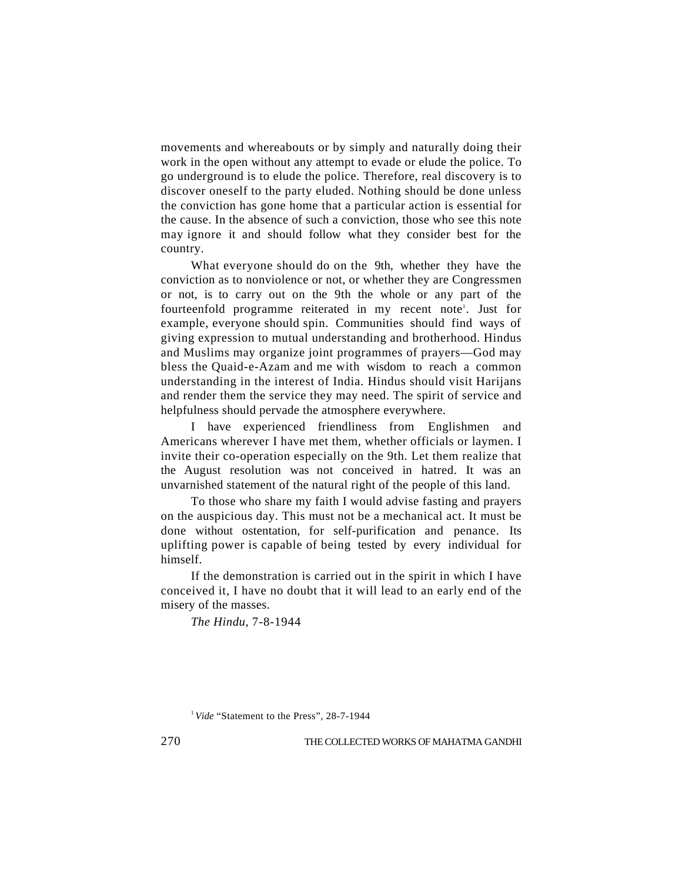movements and whereabouts or by simply and naturally doing their work in the open without any attempt to evade or elude the police. To go underground is to elude the police. Therefore, real discovery is to discover oneself to the party eluded. Nothing should be done unless the conviction has gone home that a particular action is essential for the cause. In the absence of such a conviction, those who see this note may ignore it and should follow what they consider best for the country.

What everyone should do on the 9th, whether they have the conviction as to nonviolence or not, or whether they are Congressmen or not, is to carry out on the 9th the whole or any part of the fourteenfold programme reiterated in my recent note<sup>1</sup>. Just for example, everyone should spin. Communities should find ways of giving expression to mutual understanding and brotherhood. Hindus and Muslims may organize joint programmes of prayers—God may bless the Quaid-e-Azam and me with wisdom to reach a common understanding in the interest of India. Hindus should visit Harijans and render them the service they may need. The spirit of service and helpfulness should pervade the atmosphere everywhere.

I have experienced friendliness from Englishmen and Americans wherever I have met them, whether officials or laymen. I invite their co-operation especially on the 9th. Let them realize that the August resolution was not conceived in hatred. It was an unvarnished statement of the natural right of the people of this land.

To those who share my faith I would advise fasting and prayers on the auspicious day. This must not be a mechanical act. It must be done without ostentation, for self-purification and penance. Its uplifting power is capable of being tested by every individual for himself.

If the demonstration is carried out in the spirit in which I have conceived it, I have no doubt that it will lead to an early end of the misery of the masses.

*The Hindu,* 7-8-1944

<sup>1</sup> Vide "Statement to the Press", 28-7-1944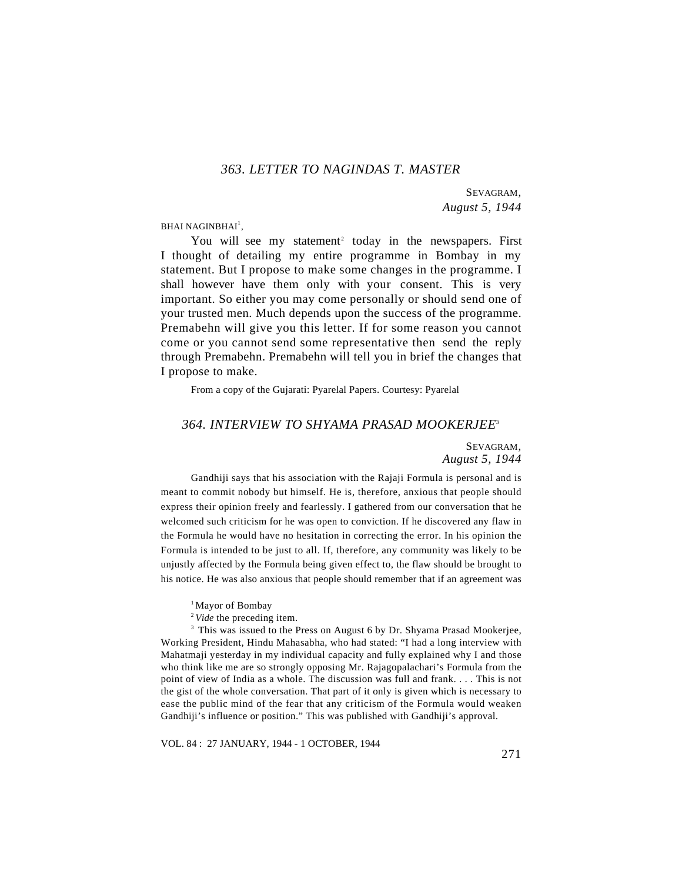## *363. LETTER TO NAGINDAS T. MASTER*

SEVAGRAM, *August 5, 1944*

 $BHAI$  NAGINBHAI $^1,$ 

You will see my statement<sup>2</sup> today in the newspapers. First I thought of detailing my entire programme in Bombay in my statement. But I propose to make some changes in the programme. I shall however have them only with your consent. This is very important. So either you may come personally or should send one of your trusted men. Much depends upon the success of the programme. Premabehn will give you this letter. If for some reason you cannot come or you cannot send some representative then send the reply through Premabehn. Premabehn will tell you in brief the changes that I propose to make.

From a copy of the Gujarati: Pyarelal Papers. Courtesy: Pyarelal

## *364. INTERVIEW TO SHYAMA PRASAD MOOKERJEE*<sup>3</sup>

SEVAGRAM, *August 5, 1944*

Gandhiji says that his association with the Rajaji Formula is personal and is meant to commit nobody but himself. He is, therefore, anxious that people should express their opinion freely and fearlessly. I gathered from our conversation that he welcomed such criticism for he was open to conviction. If he discovered any flaw in the Formula he would have no hesitation in correcting the error. In his opinion the Formula is intended to be just to all. If, therefore, any community was likely to be unjustly affected by the Formula being given effect to, the flaw should be brought to his notice. He was also anxious that people should remember that if an agreement was

<sup>1</sup>Mayor of Bombay

<sup>2</sup>*Vide* the preceding item.

<sup>3</sup> This was issued to the Press on August 6 by Dr. Shyama Prasad Mookerjee, Working President, Hindu Mahasabha, who had stated: "I had a long interview with Mahatmaji yesterday in my individual capacity and fully explained why I and those who think like me are so strongly opposing Mr. Rajagopalachari's Formula from the point of view of India as a whole. The discussion was full and frank. . . . This is not the gist of the whole conversation. That part of it only is given which is necessary to ease the public mind of the fear that any criticism of the Formula would weaken Gandhiji's influence or position." This was published with Gandhiji's approval.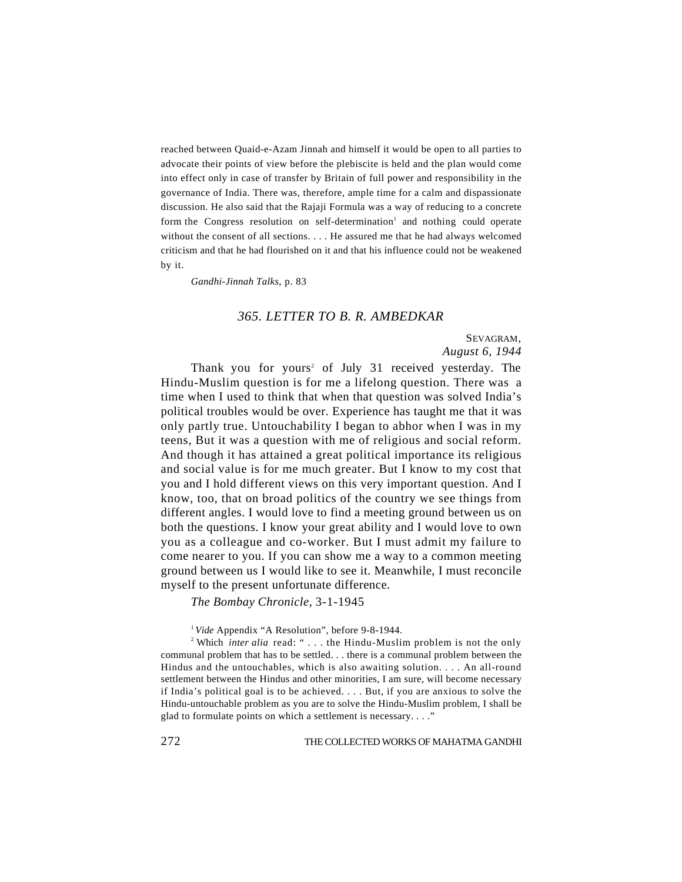reached between Quaid-e-Azam Jinnah and himself it would be open to all parties to advocate their points of view before the plebiscite is held and the plan would come into effect only in case of transfer by Britain of full power and responsibility in the governance of India. There was, therefore, ample time for a calm and dispassionate discussion. He also said that the Rajaji Formula was a way of reducing to a concrete form the Congress resolution on self-determination<sup>1</sup> and nothing could operate without the consent of all sections. . . . He assured me that he had always welcomed criticism and that he had flourished on it and that his influence could not be weakened by it.

*Gandhi-Jinnah Talks*, p. 83

## *365. LETTER TO B. R. AMBEDKAR*

### SEVAGRAM, *August 6, 1944*

Thank you for yours<sup>2</sup> of July 31 received yesterday. The Hindu-Muslim question is for me a lifelong question. There was a time when I used to think that when that question was solved India's political troubles would be over. Experience has taught me that it was only partly true. Untouchability I began to abhor when I was in my teens, But it was a question with me of religious and social reform. And though it has attained a great political importance its religious and social value is for me much greater. But I know to my cost that you and I hold different views on this very important question. And I know, too, that on broad politics of the country we see things from different angles. I would love to find a meeting ground between us on both the questions. I know your great ability and I would love to own you as a colleague and co-worker. But I must admit my failure to come nearer to you. If you can show me a way to a common meeting ground between us I would like to see it. Meanwhile, I must reconcile myself to the present unfortunate difference.

*The Bombay Chronicle,* 3-1-1945

<sup>1</sup>*Vide* Appendix "A Resolution", before 9-8-1944.

<sup>2</sup> Which *inter alia* read: " . . . the Hindu-Muslim problem is not the only communal problem that has to be settled. . . there is a communal problem between the Hindus and the untouchables, which is also awaiting solution. . . . An all-round settlement between the Hindus and other minorities, I am sure, will become necessary if India's political goal is to be achieved. . . . But, if you are anxious to solve the Hindu-untouchable problem as you are to solve the Hindu-Muslim problem, I shall be glad to formulate points on which a settlement is necessary. . . ."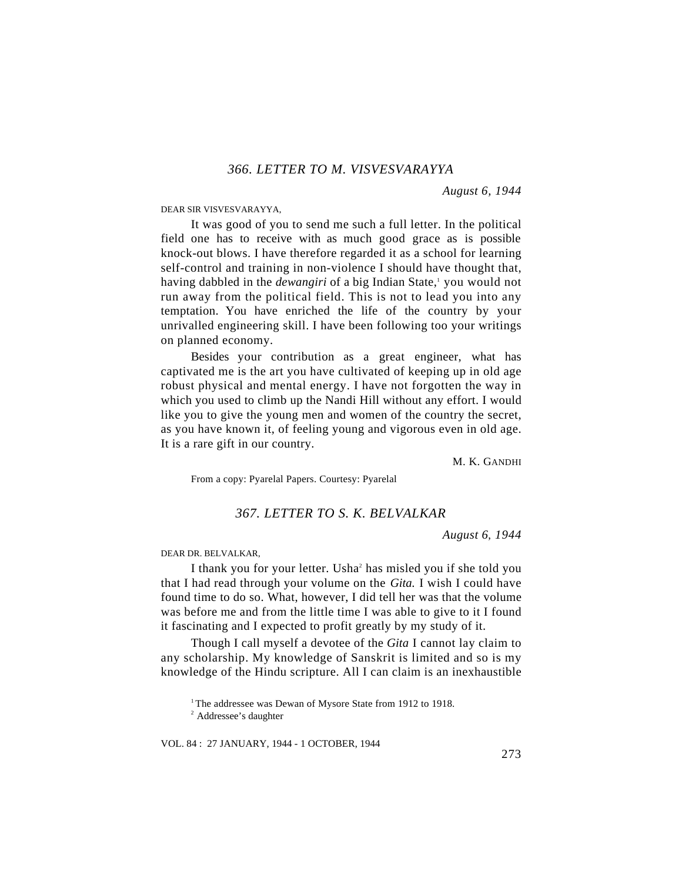## *366. LETTER TO M. VISVESVARAYYA*

*August 6, 1944*

DEAR SIR VISVESVARAYYA,

It was good of you to send me such a full letter. In the political field one has to receive with as much good grace as is possible knock-out blows. I have therefore regarded it as a school for learning self-control and training in non-violence I should have thought that, having dabbled in the *dewangiri* of a big Indian State,<sup>1</sup> you would not run away from the political field. This is not to lead you into any temptation. You have enriched the life of the country by your unrivalled engineering skill. I have been following too your writings on planned economy.

Besides your contribution as a great engineer, what has captivated me is the art you have cultivated of keeping up in old age robust physical and mental energy. I have not forgotten the way in which you used to climb up the Nandi Hill without any effort. I would like you to give the young men and women of the country the secret, as you have known it, of feeling young and vigorous even in old age. It is a rare gift in our country.

M. K. GANDHI

From a copy: Pyarelal Papers. Courtesy: Pyarelal

# *367. LETTER TO S. K. BELVALKAR*

*August 6*, *1944*

DEAR DR. BELVALKAR,

I thank you for your letter. Usha<sup>2</sup> has misled you if she told you that I had read through your volume on the *Gita.* I wish I could have found time to do so. What, however, I did tell her was that the volume was before me and from the little time I was able to give to it I found it fascinating and I expected to profit greatly by my study of it.

Though I call myself a devotee of the *Gita* I cannot lay claim to any scholarship. My knowledge of Sanskrit is limited and so is my knowledge of the Hindu scripture. All I can claim is an inexhaustible

<sup>&</sup>lt;sup>1</sup>The addressee was Dewan of Mysore State from 1912 to 1918.

<sup>&</sup>lt;sup>2</sup> Addressee's daughter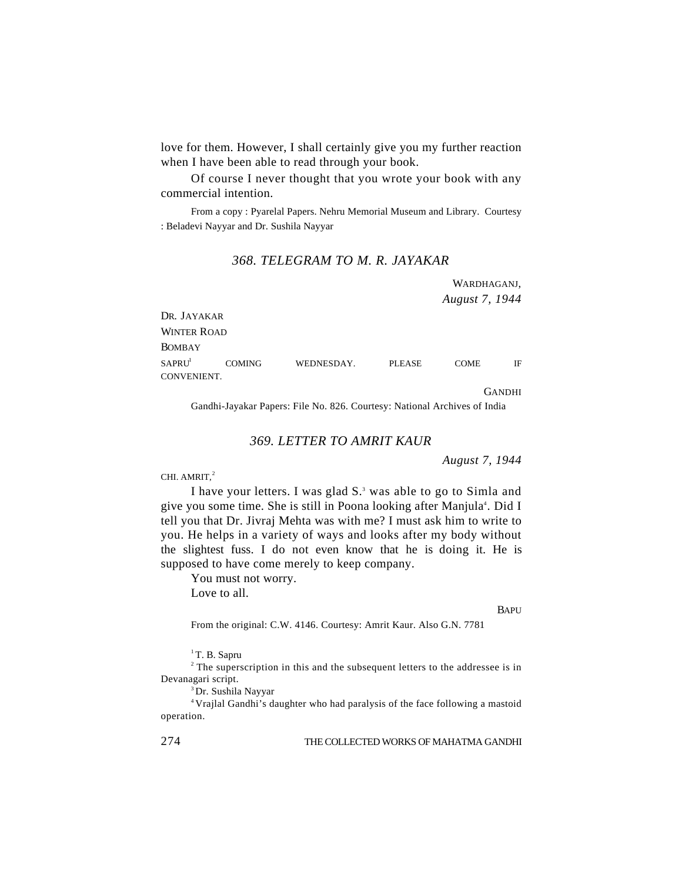love for them. However, I shall certainly give you my further reaction when I have been able to read through your book.

Of course I never thought that you wrote your book with any commercial intention.

From a copy : Pyarelal Papers. Nehru Memorial Museum and Library. Courtesy : Beladevi Nayyar and Dr. Sushila Nayyar

## *368. TELEGRAM TO M. R. JAYAKAR*

WARDHAGANJ, *August 7, 1944*

DR. JAYAKAR WINTER ROAD BOMBAY SAPRU<sup>1</sup> COMING WEDNESDAY. PLEASE COME IF CONVENIENT.

GANDHI

Gandhi-Jayakar Papers: File No. 826. Courtesy: National Archives of India

## *369. LETTER TO AMRIT KAUR*

*August 7, 1944*

CHI. AMRIT,<sup>2</sup>

I have your letters. I was glad S.<sup>3</sup> was able to go to Simla and give you some time. She is still in Poona looking after Manjula<sup>4</sup>. Did I tell you that Dr. Jivraj Mehta was with me? I must ask him to write to you. He helps in a variety of ways and looks after my body without the slightest fuss. I do not even know that he is doing it. He is supposed to have come merely to keep company.

You must not worry.

Love to all.

**BAPU** 

From the original: C.W. 4146. Courtesy: Amrit Kaur. Also G.N. 7781

<sup>1</sup>T. B. Sapru

 $2$ <sup>2</sup> The superscription in this and the subsequent letters to the addressee is in Devanagari script.

<sup>3</sup> Dr. Sushila Nayyar

<sup>4</sup>Vrajlal Gandhi's daughter who had paralysis of the face following a mastoid operation.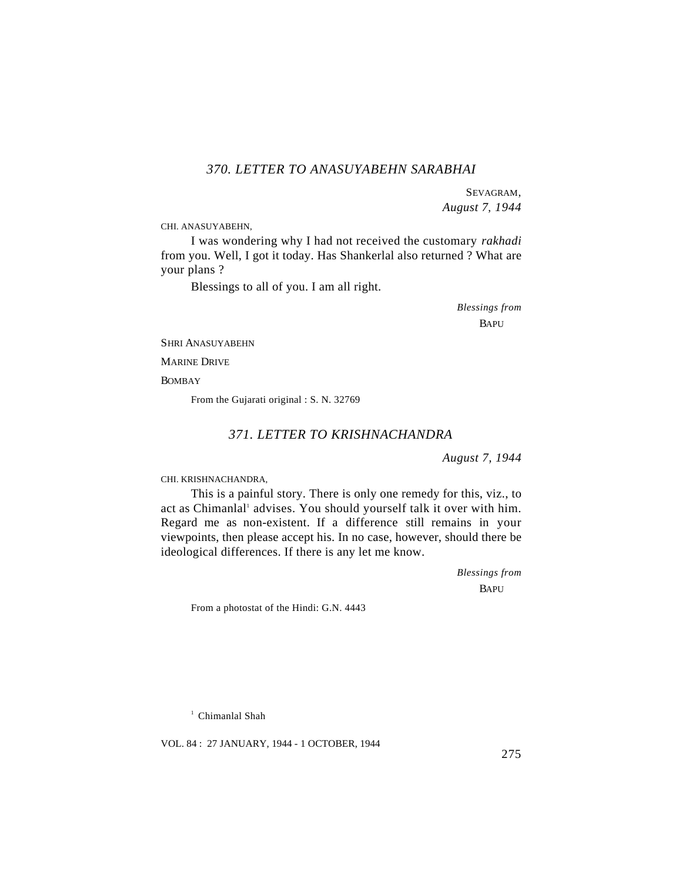## *370. LETTER TO ANASUYABEHN SARABHAI*

SEVAGRAM, *August 7*, *1944*

CHI. ANASUYABEHN,

I was wondering why I had not received the customary *rakhadi* from you. Well, I got it today. Has Shankerlal also returned ? What are your plans ?

Blessings to all of you. I am all right.

*Blessings from* **BAPU** 

SHRI ANASUYABEHN

MARINE DRIVE

**BOMBAY** 

From the Gujarati original : S. N. 32769

# *371. LETTER TO KRISHNACHANDRA*

*August 7, 1944*

CHI. KRISHNACHANDRA,

This is a painful story. There is only one remedy for this, viz., to act as Chimanlal<sup>1</sup> advises. You should yourself talk it over with him. Regard me as non-existent. If a difference still remains in your viewpoints, then please accept his. In no case, however, should there be ideological differences. If there is any let me know.

> *Blessings from* **BAPU**

From a photostat of the Hindi: G.N. 4443

<sup>1</sup> Chimanlal Shah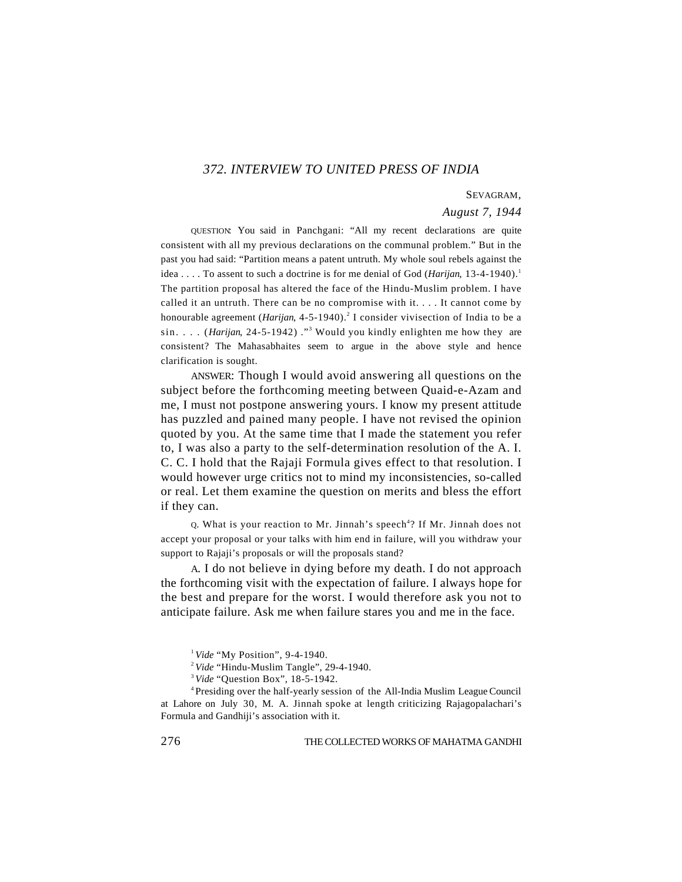## *372. INTERVIEW TO UNITED PRESS OF INDIA*

# SEVAGRAM, *August 7, 1944*

QUESTION: You said in Panchgani: "All my recent declarations are quite consistent with all my previous declarations on the communal problem." But in the past you had said: "Partition means a patent untruth. My whole soul rebels against the idea . . . . To assent to such a doctrine is for me denial of God (*Harijan*,  $13-4-1940$ ).<sup>1</sup> The partition proposal has altered the face of the Hindu-Muslim problem. I have called it an untruth. There can be no compromise with it. . . . It cannot come by honourable agreement (*Harijan*, 4-5-1940).<sup>2</sup> I consider vivisection of India to be a sin. . . . (*Harijan*, 24-5-1942) ."<sup>3</sup> Would you kindly enlighten me how they are consistent? The Mahasabhaites seem to argue in the above style and hence clarification is sought.

ANSWER: Though I would avoid answering all questions on the subject before the forthcoming meeting between Quaid-e-Azam and me, I must not postpone answering yours. I know my present attitude has puzzled and pained many people. I have not revised the opinion quoted by you. At the same time that I made the statement you refer to, I was also a party to the self-determination resolution of the A. I. C. C. I hold that the Rajaji Formula gives effect to that resolution. I would however urge critics not to mind my inconsistencies, so-called or real. Let them examine the question on merits and bless the effort if they can.

Q. What is your reaction to Mr. Jinnah's speech<sup>4</sup>? If Mr. Jinnah does not accept your proposal or your talks with him end in failure, will you withdraw your support to Rajaji's proposals or will the proposals stand?

A. I do not believe in dying before my death. I do not approach the forthcoming visit with the expectation of failure. I always hope for the best and prepare for the worst. I would therefore ask you not to anticipate failure. Ask me when failure stares you and me in the face.

<sup>4</sup> Presiding over the half-yearly session of the All-India Muslim League Council at Lahore on July 30, M. A. Jinnah spoke at length criticizing Rajagopalachari's Formula and Gandhiji's association with it.

<sup>1</sup>*Vide* "My Position", 9-4-1940.

<sup>2</sup>*Vide* "Hindu-Muslim Tangle", 29-4-1940.

<sup>3</sup>*Vide* "Question Box", 18-5-1942.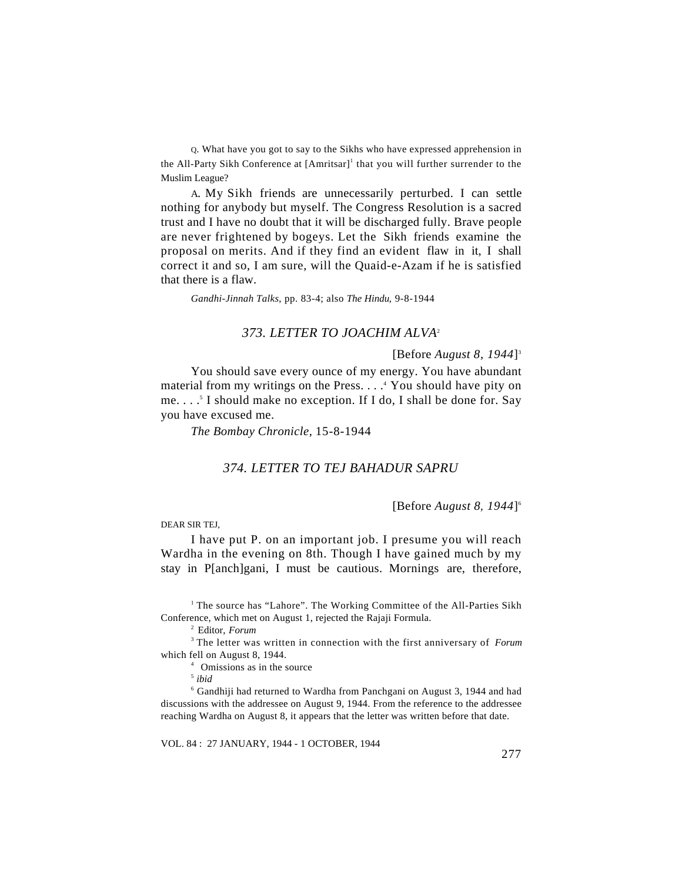Q. What have you got to say to the Sikhs who have expressed apprehension in the All-Party Sikh Conference at [Amritsar]<sup>1</sup> that you will further surrender to the Muslim League?

A. My Sikh friends are unnecessarily perturbed. I can settle nothing for anybody but myself. The Congress Resolution is a sacred trust and I have no doubt that it will be discharged fully. Brave people are never frightened by bogeys. Let the Sikh friends examine the proposal on merits. And if they find an evident flaw in it, I shall correct it and so, I am sure, will the Quaid-e-Azam if he is satisfied that there is a flaw.

*Gandhi-Jinnah Talks*, pp. 83-4; also *The Hindu*, 9-8-1944

## *373. LETTER TO JOACHIM ALVA*<sup>2</sup>

[Before *August 8, 1944*] 3

You should save every ounce of my energy. You have abundant material from my writings on the Press. . . .<sup>4</sup> You should have pity on me. . . .<sup>5</sup> I should make no exception. If I do, I shall be done for. Say you have excused me.

*The Bombay Chronicle,* 15-8-1944

## *374. LETTER TO TEJ BAHADUR SAPRU*

[Before *August 8, 1944*] 6

DEAR SIR TEJ,

I have put P. on an important job. I presume you will reach Wardha in the evening on 8th. Though I have gained much by my stay in P[anch]gani, I must be cautious. Mornings are, therefore,

 $1$ <sup>1</sup> The source has "Lahore". The Working Committee of the All-Parties Sikh Conference, which met on August 1, rejected the Rajaji Formula.

<sup>2</sup> Editor, *Forum* 

<sup>3</sup>The letter was written in connection with the first anniversary of *Forum* which fell on August 8, 1944.

<sup>4</sup> Omissions as in the source

5 *ibid*

<sup>6</sup> Gandhiji had returned to Wardha from Panchgani on August 3, 1944 and had discussions with the addressee on August 9, 1944. From the reference to the addressee reaching Wardha on August 8, it appears that the letter was written before that date.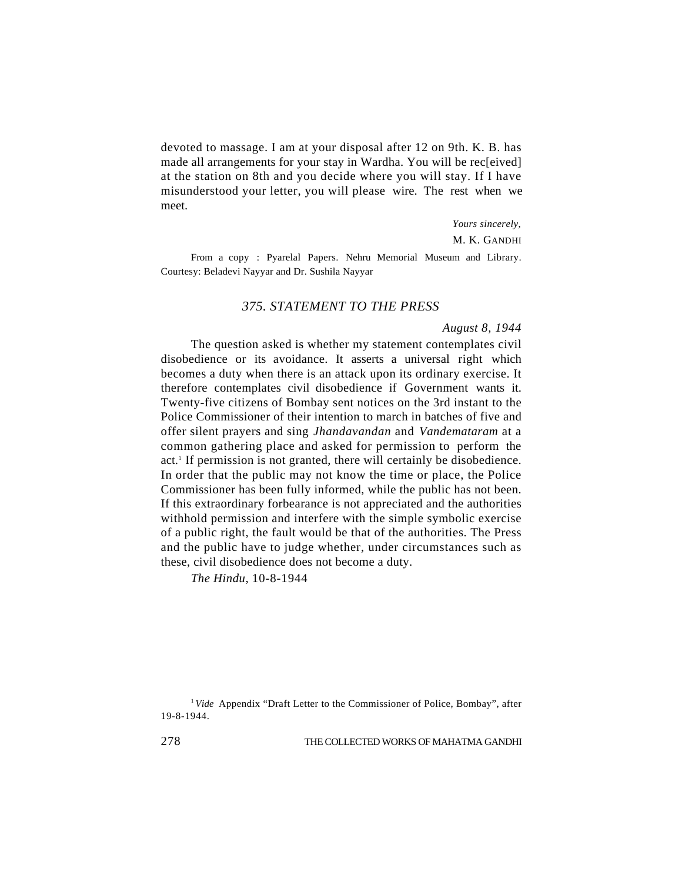devoted to massage. I am at your disposal after 12 on 9th. K. B. has made all arrangements for your stay in Wardha. You will be rec[eived] at the station on 8th and you decide where you will stay. If I have misunderstood your letter, you will please wire. The rest when we meet.

*Yours sincerely*,

M. K. GANDHI

From a copy : Pyarelal Papers. Nehru Memorial Museum and Library. Courtesy: Beladevi Nayyar and Dr. Sushila Nayyar

## *375. STATEMENT TO THE PRESS*

#### *August 8, 1944*

The question asked is whether my statement contemplates civil disobedience or its avoidance. It asserts a universal right which becomes a duty when there is an attack upon its ordinary exercise. It therefore contemplates civil disobedience if Government wants it. Twenty-five citizens of Bombay sent notices on the 3rd instant to the Police Commissioner of their intention to march in batches of five and offer silent prayers and sing *Jhandavandan* and *Vandemataram* at a common gathering place and asked for permission to perform the act.<sup>1</sup> If permission is not granted, there will certainly be disobedience. In order that the public may not know the time or place, the Police Commissioner has been fully informed, while the public has not been. If this extraordinary forbearance is not appreciated and the authorities withhold permission and interfere with the simple symbolic exercise of a public right, the fault would be that of the authorities. The Press and the public have to judge whether, under circumstances such as these, civil disobedience does not become a duty.

*The Hindu,* 10-8-1944

<sup>1</sup> Vide Appendix "Draft Letter to the Commissioner of Police, Bombay", after 19-8-1944.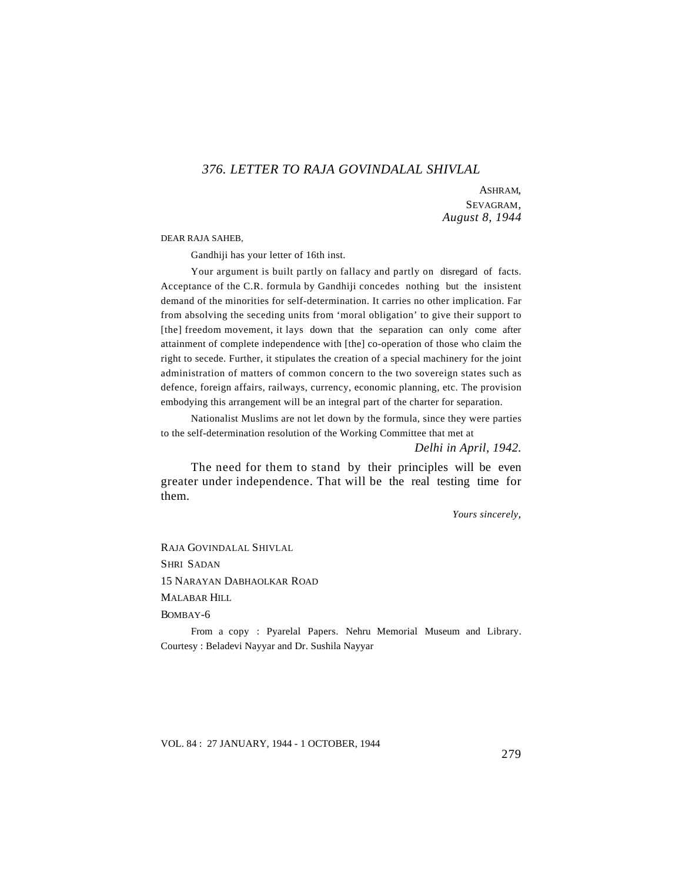## *376. LETTER TO RAJA GOVINDALAL SHIVLAL*

ASHRAM, SEVAGRAM, *August 8, 1944*

#### DEAR RAJA SAHEB,

Gandhiji has your letter of 16th inst.

Your argument is built partly on fallacy and partly on disregard of facts. Acceptance of the C.R. formula by Gandhiji concedes nothing but the insistent demand of the minorities for self-determination. It carries no other implication. Far from absolving the seceding units from 'moral obligation' to give their support to [the] freedom movement, it lays down that the separation can only come after attainment of complete independence with [the] co-operation of those who claim the right to secede. Further, it stipulates the creation of a special machinery for the joint administration of matters of common concern to the two sovereign states such as defence, foreign affairs, railways, currency, economic planning, etc. The provision embodying this arrangement will be an integral part of the charter for separation.

Nationalist Muslims are not let down by the formula, since they were parties to the self-determination resolution of the Working Committee that met at

*Delhi in April, 1942.*

The need for them to stand by their principles will be even greater under independence. That will be the real testing time for them.

*Yours sincerely,*

RAJA GOVINDALAL SHIVLAL SHRI SADAN 15 NARAYAN DABHAOLKAR ROAD MALABAR HILL BOMBAY-6

From a copy : Pyarelal Papers. Nehru Memorial Museum and Library. Courtesy : Beladevi Nayyar and Dr. Sushila Nayyar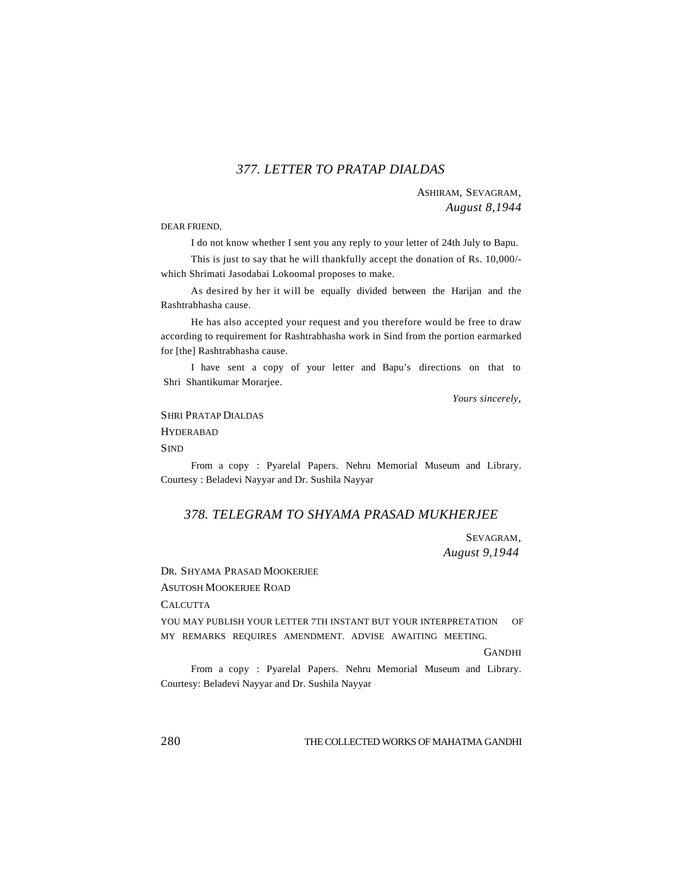## *377. LETTER TO PRATAP DIALDAS*

ASHIRAM, SEVAGRAM, *August 8,1944*

#### DEAR FRIEND,

I do not know whether I sent you any reply to your letter of 24th July to Bapu.

This is just to say that he will thankfully accept the donation of Rs. 10,000/ which Shrimati Jasodabai Lokoomal proposes to make.

As desired by her it will be equally divided between the Harijan and the Rashtrabhasha cause.

He has also accepted your request and you therefore would be free to draw according to requirement for Rashtrabhasha work in Sind from the portion earmarked for [the] Rashtrabhasha cause.

I have sent a copy of your letter and Bapu's directions on that to Shri Shantikumar Morarjee.

*Yours sincerely,*

#### SHRI PRATAP DIALDAS

**HYDERABAD** 

**SIND** 

From a copy : Pyarelal Papers. Nehru Memorial Museum and Library. Courtesy : Beladevi Nayyar and Dr. Sushila Nayyar

#### *378. TELEGRAM TO SHYAMA PRASAD MUKHERJEE*

SEVAGRAM, *August 9*,*1944*

DR. SHYAMA PRASAD MOOKERJEE

ASUTOSH MOOKERJEE ROAD

**CALCUTTA** 

YOU MAY PUBLISH YOUR LETTER 7TH INSTANT BUT YOUR INTERPRETATION OF MY REMARKS REQUIRES AMENDMENT. ADVISE AWAITING MEETING.

GANDHI

From a copy : Pyarelal Papers. Nehru Memorial Museum and Library. Courtesy: Beladevi Nayyar and Dr. Sushila Nayyar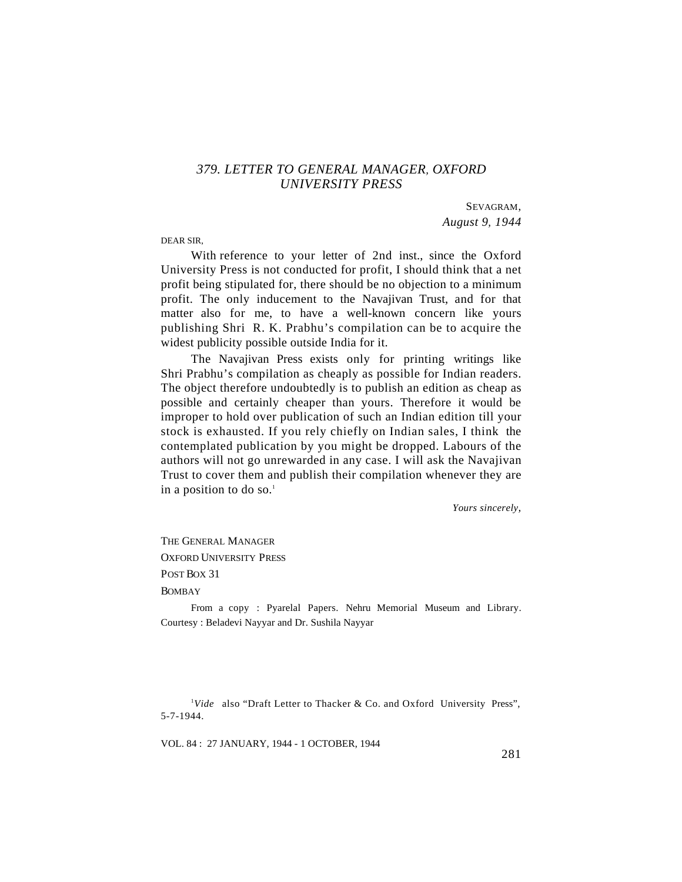## *379. LETTER TO GENERAL MANAGER, OXFORD UNIVERSITY PRESS*

SEVAGRAM, *August 9, 1944*

DEAR SIR,

With reference to your letter of 2nd inst., since the Oxford University Press is not conducted for profit, I should think that a net profit being stipulated for, there should be no objection to a minimum profit. The only inducement to the Navajivan Trust, and for that matter also for me, to have a well-known concern like yours publishing Shri R. K. Prabhu's compilation can be to acquire the widest publicity possible outside India for it.

The Navajivan Press exists only for printing writings like Shri Prabhu's compilation as cheaply as possible for Indian readers. The object therefore undoubtedly is to publish an edition as cheap as possible and certainly cheaper than yours. Therefore it would be improper to hold over publication of such an Indian edition till your stock is exhausted. If you rely chiefly on Indian sales, I think the contemplated publication by you might be dropped. Labours of the authors will not go unrewarded in any case. I will ask the Navajivan Trust to cover them and publish their compilation whenever they are in a position to do so. $<sup>1</sup>$ </sup>

*Yours sincerely,*

THE GENERAL MANAGER OXFORD UNIVERSITY PRESS POST BOX 31 **BOMBAY** 

From a copy : Pyarelal Papers. Nehru Memorial Museum and Library. Courtesy : Beladevi Nayyar and Dr. Sushila Nayyar

<sup>1</sup>Vide also "Draft Letter to Thacker & Co. and Oxford University Press", 5-7-1944.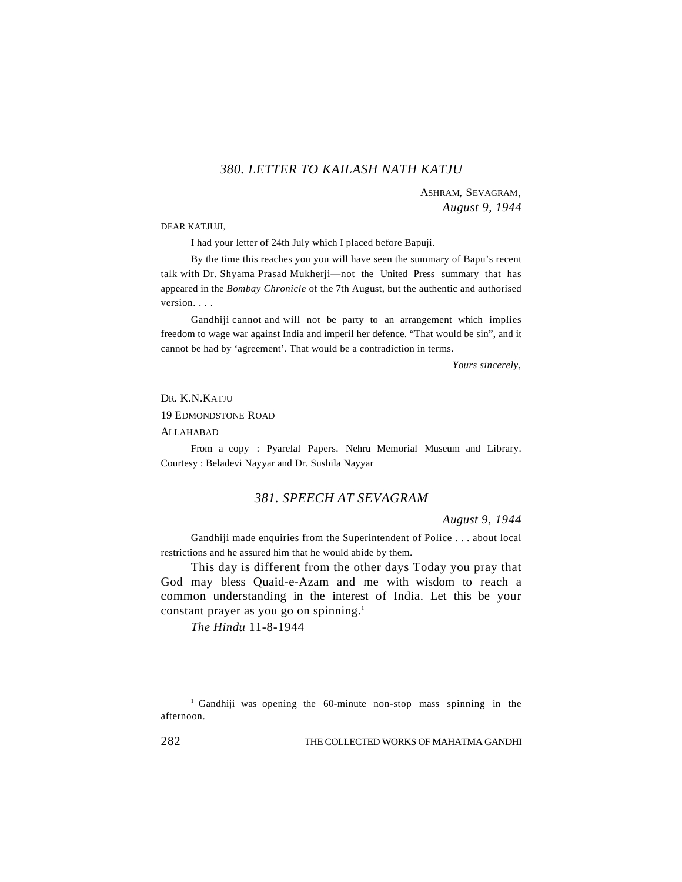## *380. LETTER TO KAILASH NATH KATJU*

ASHRAM, SEVAGRAM, *August 9, 1944*

#### DEAR KATJUJI,

I had your letter of 24th July which I placed before Bapuji.

By the time this reaches you you will have seen the summary of Bapu's recent talk with Dr. Shyama Prasad Mukherji—not the United Press summary that has appeared in the *Bombay Chronicle* of the 7th August, but the authentic and authorised version. . . .

Gandhiji cannot and will not be party to an arrangement which implies freedom to wage war against India and imperil her defence. "That would be sin", and it cannot be had by 'agreement'. That would be a contradiction in terms.

*Yours sincerely,*

DR. K.N.KATIU 19 EDMONDSTONE ROAD

**ALLAHABAD** 

From a copy : Pyarelal Papers. Nehru Memorial Museum and Library. Courtesy : Beladevi Nayyar and Dr. Sushila Nayyar

## *381. SPEECH AT SEVAGRAM*

*August 9, 1944*

Gandhiji made enquiries from the Superintendent of Police . . . about local restrictions and he assured him that he would abide by them.

This day is different from the other days Today you pray that God may bless Quaid-e-Azam and me with wisdom to reach a common understanding in the interest of India. Let this be your constant prayer as you go on spinning.<sup>1</sup>

*The Hindu* 11-8-1944

<sup>&</sup>lt;sup>1</sup> Gandhiji was opening the 60-minute non-stop mass spinning in the afternoon.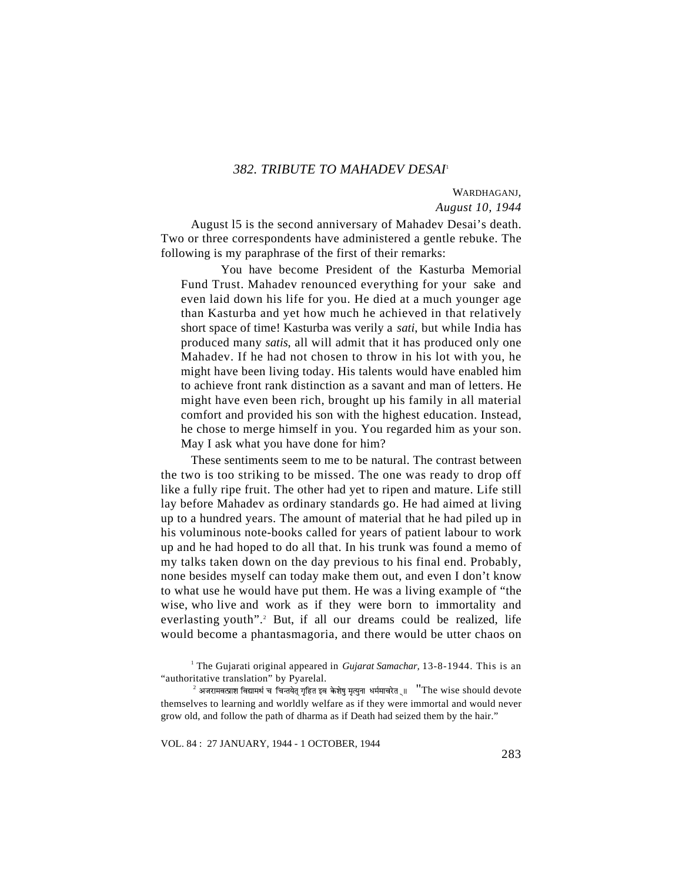## *382. TRIBUTE TO MAHADEV DESAI*<sup>1</sup>

WARDHAGANJ, *August 10, 1944*

August l5 is the second anniversary of Mahadev Desai's death. Two or three correspondents have administered a gentle rebuke. The following is my paraphrase of the first of their remarks:

You have become President of the Kasturba Memorial Fund Trust. Mahadev renounced everything for your sake and even laid down his life for you. He died at a much younger age than Kasturba and yet how much he achieved in that relatively short space of time! Kasturba was verily a *sati*, but while India has produced many *satis*, all will admit that it has produced only one Mahadev. If he had not chosen to throw in his lot with you, he might have been living today. His talents would have enabled him to achieve front rank distinction as a savant and man of letters. He might have even been rich, brought up his family in all material comfort and provided his son with the highest education. Instead, he chose to merge himself in you. You regarded him as your son. May I ask what you have done for him?

These sentiments seem to me to be natural. The contrast between the two is too striking to be missed. The one was ready to drop off like a fully ripe fruit. The other had yet to ripen and mature. Life still lay before Mahadev as ordinary standards go. He had aimed at living up to a hundred years. The amount of material that he had piled up in his voluminous note-books called for years of patient labour to work up and he had hoped to do all that. In his trunk was found a memo of my talks taken down on the day previous to his final end. Probably, none besides myself can today make them out, and even I don't know to what use he would have put them. He was a living example of "the wise, who live and work as if they were born to immortality and everlasting youth".<sup>2</sup> But, if all our dreams could be realized, life would become a phantasmagoria, and there would be utter chaos on

<sup>1</sup> The Gujarati original appeared in *Gujarat Samachar*, 13-8-1944. This is an "authoritative translation" by Pyarelal.

2 "The wise should devote themselves to learning and worldly welfare as if they were immortal and would never grow old, and follow the path of dharma as if Death had seized them by the hair."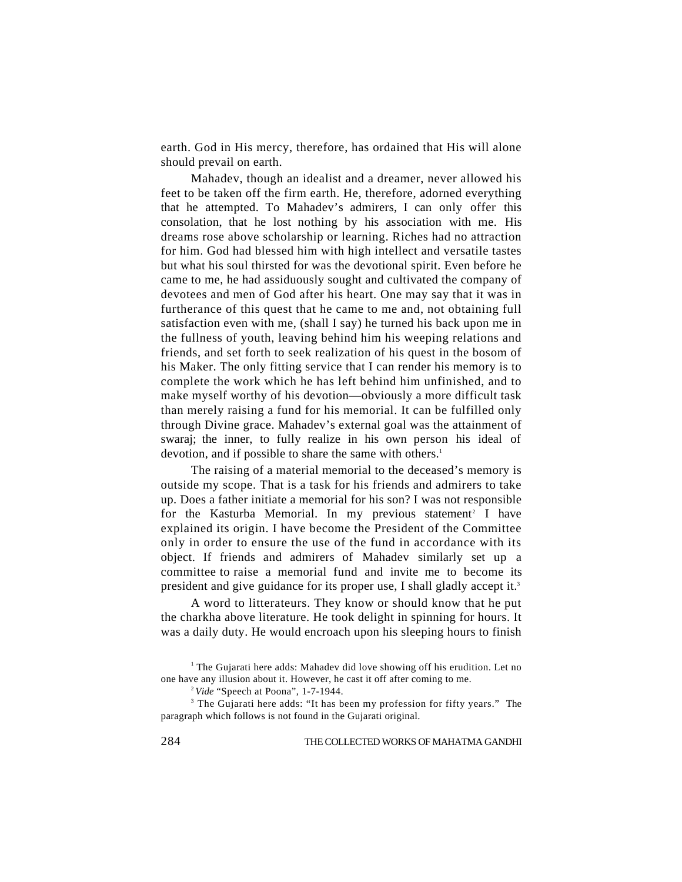earth. God in His mercy, therefore, has ordained that His will alone should prevail on earth.

Mahadev, though an idealist and a dreamer, never allowed his feet to be taken off the firm earth. He, therefore, adorned everything that he attempted. To Mahadev's admirers, I can only offer this consolation, that he lost nothing by his association with me. His dreams rose above scholarship or learning. Riches had no attraction for him. God had blessed him with high intellect and versatile tastes but what his soul thirsted for was the devotional spirit. Even before he came to me, he had assiduously sought and cultivated the company of devotees and men of God after his heart. One may say that it was in furtherance of this quest that he came to me and, not obtaining full satisfaction even with me, (shall I say) he turned his back upon me in the fullness of youth, leaving behind him his weeping relations and friends, and set forth to seek realization of his quest in the bosom of his Maker. The only fitting service that I can render his memory is to complete the work which he has left behind him unfinished, and to make myself worthy of his devotion—obviously a more difficult task than merely raising a fund for his memorial. It can be fulfilled only through Divine grace. Mahadev's external goal was the attainment of swaraj; the inner, to fully realize in his own person his ideal of devotion, and if possible to share the same with others.<sup>1</sup>

The raising of a material memorial to the deceased's memory is outside my scope. That is a task for his friends and admirers to take up. Does a father initiate a memorial for his son? I was not responsible for the Kasturba Memorial. In my previous statement<sup>2</sup> I have explained its origin. I have become the President of the Committee only in order to ensure the use of the fund in accordance with its object. If friends and admirers of Mahadev similarly set up a committee to raise a memorial fund and invite me to become its president and give guidance for its proper use, I shall gladly accept it.<sup>3</sup>

A word to litterateurs. They know or should know that he put the charkha above literature. He took delight in spinning for hours. It was a daily duty. He would encroach upon his sleeping hours to finish

<sup>&</sup>lt;sup>1</sup> The Gujarati here adds: Mahadev did love showing off his erudition. Let no one have any illusion about it. However, he cast it off after coming to me.

<sup>2</sup>*Vide* "Speech at Poona", 1-7-1944.

<sup>&</sup>lt;sup>3</sup> The Gujarati here adds: "It has been my profession for fifty years." The paragraph which follows is not found in the Gujarati original.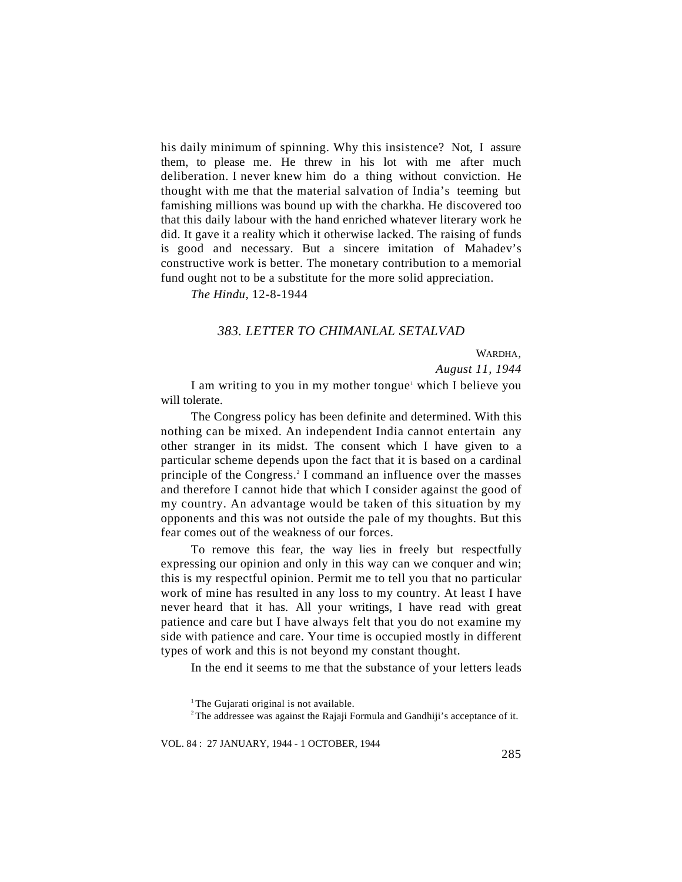his daily minimum of spinning. Why this insistence? Not, I assure them, to please me. He threw in his lot with me after much deliberation. I never knew him do a thing without conviction. He thought with me that the material salvation of India's teeming but famishing millions was bound up with the charkha. He discovered too that this daily labour with the hand enriched whatever literary work he did. It gave it a reality which it otherwise lacked. The raising of funds is good and necessary. But a sincere imitation of Mahadev's constructive work is better. The monetary contribution to a memorial fund ought not to be a substitute for the more solid appreciation.

*The Hindu,* 12-8-1944

## *383. LETTER TO CHIMANLAL SETALVAD*

WARDHA, *August 11, 1944*

I am writing to you in my mother tongue<sup>1</sup> which I believe you will tolerate.

The Congress policy has been definite and determined. With this nothing can be mixed. An independent India cannot entertain any other stranger in its midst. The consent which I have given to a particular scheme depends upon the fact that it is based on a cardinal principle of the Congress.<sup>2</sup> I command an influence over the masses and therefore I cannot hide that which I consider against the good of my country. An advantage would be taken of this situation by my opponents and this was not outside the pale of my thoughts. But this fear comes out of the weakness of our forces.

To remove this fear, the way lies in freely but respectfully expressing our opinion and only in this way can we conquer and win; this is my respectful opinion. Permit me to tell you that no particular work of mine has resulted in any loss to my country. At least I have never heard that it has. All your writings, I have read with great patience and care but I have always felt that you do not examine my side with patience and care. Your time is occupied mostly in different types of work and this is not beyond my constant thought.

In the end it seems to me that the substance of your letters leads

<sup>&</sup>lt;sup>1</sup>The Gujarati original is not available.

 $2$ <sup>2</sup> The addressee was against the Rajaji Formula and Gandhiji's acceptance of it.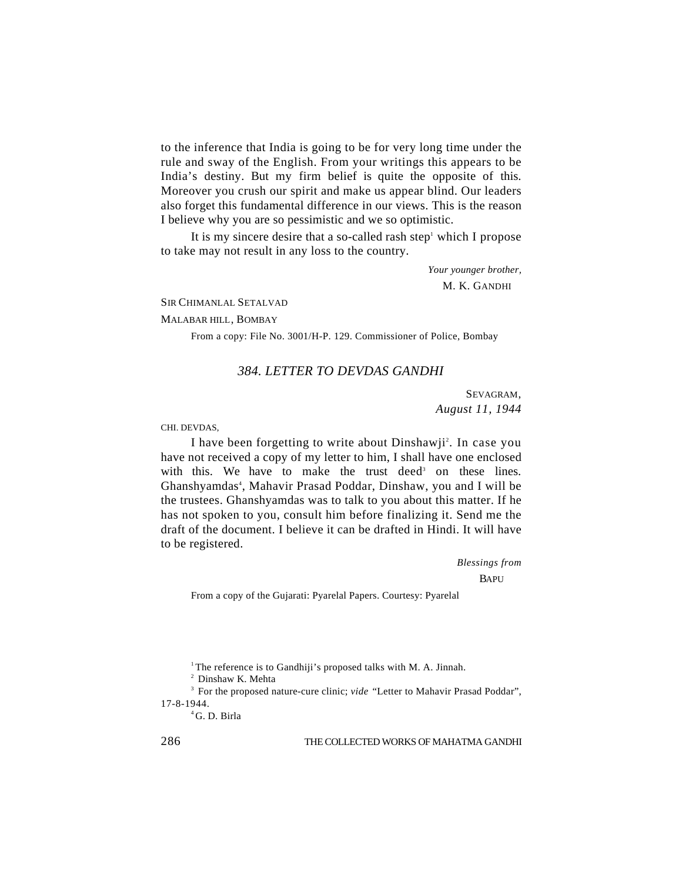to the inference that India is going to be for very long time under the rule and sway of the English. From your writings this appears to be India's destiny. But my firm belief is quite the opposite of this. Moreover you crush our spirit and make us appear blind. Our leaders also forget this fundamental difference in our views. This is the reason I believe why you are so pessimistic and we so optimistic.

It is my sincere desire that a so-called rash step<sup>1</sup> which I propose to take may not result in any loss to the country.

*Your younger brother,*

M. K. GANDHI

#### SIR CHIMANLAL SETALVAD

MALABAR HILL, BOMBAY

From a copy: File No. 3001/H-P. 129. Commissioner of Police, Bombay

## *384. LETTER TO DEVDAS GANDHI*

SEVAGRAM, *August 11, 1944*

CHI. DEVDAS,

I have been forgetting to write about Dinshawji<sup>2</sup>. In case you have not received a copy of my letter to him, I shall have one enclosed with this. We have to make the trust deed<sup>3</sup> on these lines. Ghanshyamdas<sup>4</sup>, Mahavir Prasad Poddar, Dinshaw, you and I will be the trustees. Ghanshyamdas was to talk to you about this matter. If he has not spoken to you, consult him before finalizing it. Send me the draft of the document. I believe it can be drafted in Hindi. It will have to be registered.

> *Blessings from* **BAPU**

From a copy of the Gujarati: Pyarelal Papers. Courtesy: Pyarelal

<sup>1</sup>The reference is to Gandhiji's proposed talks with M. A. Jinnah.

 $<sup>2</sup>$  Dinshaw K. Mehta</sup>

<sup>3</sup> For the proposed nature-cure clinic; *vide* "Letter to Mahavir Prasad Poddar", 17-8-1944.

 ${}^4$ G. D. Birla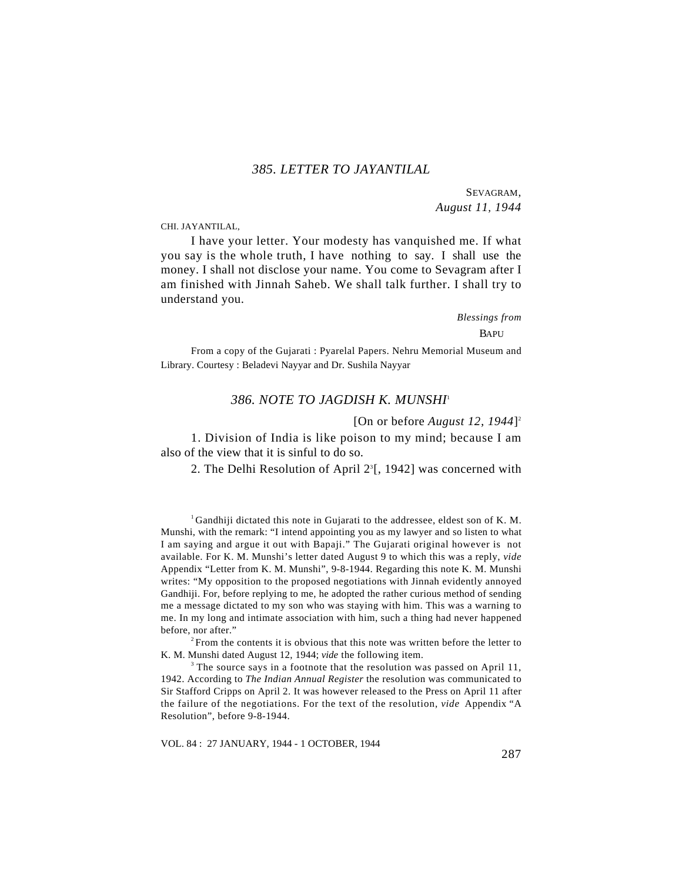## *385. LETTER TO JAYANTILAL*

SEVAGRAM, *August 11, 1944*

#### CHI. JAYANTILAL,

I have your letter. Your modesty has vanquished me. If what you say is the whole truth, I have nothing to say. I shall use the money. I shall not disclose your name. You come to Sevagram after I am finished with Jinnah Saheb. We shall talk further. I shall try to understand you.

*Blessings from*

**BAPU** 

From a copy of the Gujarati : Pyarelal Papers. Nehru Memorial Museum and Library. Courtesy : Beladevi Nayyar and Dr. Sushila Nayyar

## *386. NOTE TO JAGDISH K. MUNSHI*<sup>1</sup>

[On or before *August 12, 1944*] 2

1. Division of India is like poison to my mind; because I am also of the view that it is sinful to do so.

2. The Delhi Resolution of April 2<sup>3</sup>[, 1942] was concerned with

 $1$ Gandhiji dictated this note in Gujarati to the addressee, eldest son of K. M. Munshi, with the remark: "I intend appointing you as my lawyer and so listen to what I am saying and argue it out with Bapaji." The Gujarati original however is not available. For K. M. Munshi's letter dated August 9 to which this was a reply, *vide* Appendix "Letter from K. M. Munshi", 9-8-1944. Regarding this note K. M. Munshi writes: "My opposition to the proposed negotiations with Jinnah evidently annoyed Gandhiji. For, before replying to me, he adopted the rather curious method of sending me a message dictated to my son who was staying with him. This was a warning to me. In my long and intimate association with him, such a thing had never happened before, nor after."

 $2<sup>2</sup>$  From the contents it is obvious that this note was written before the letter to K. M. Munshi dated August 12, 1944; *vide* the following item.

<sup>3</sup> The source says in a footnote that the resolution was passed on April 11, 1942. According to *The Indian Annual Register* the resolution was communicated to Sir Stafford Cripps on April 2. It was however released to the Press on April 11 after the failure of the negotiations. For the text of the resolution, *vide* Appendix "A Resolution", before 9-8-1944.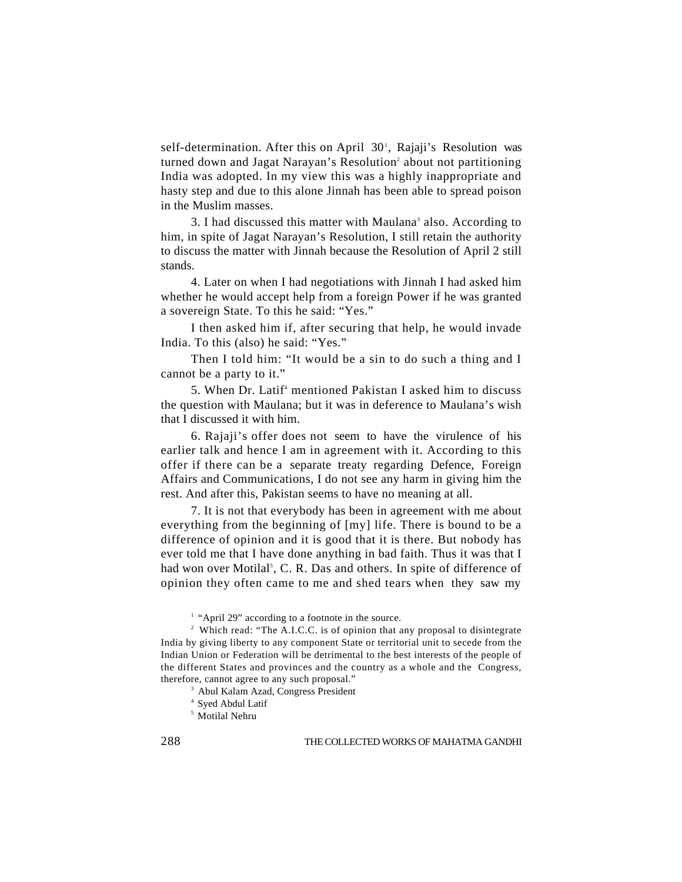self-determination. After this on April  $30<sup>1</sup>$ , Rajaji's Resolution was turned down and Jagat Narayan's Resolution<sup>2</sup> about not partitioning India was adopted. In my view this was a highly inappropriate and hasty step and due to this alone Jinnah has been able to spread poison in the Muslim masses.

3. I had discussed this matter with Maulana<sup>3</sup> also. According to him, in spite of Jagat Narayan's Resolution, I still retain the authority to discuss the matter with Jinnah because the Resolution of April 2 still stands.

4. Later on when I had negotiations with Jinnah I had asked him whether he would accept help from a foreign Power if he was granted a sovereign State. To this he said: "Yes."

I then asked him if, after securing that help, he would invade India. To this (also) he said: "Yes."

Then I told him: "It would be a sin to do such a thing and I cannot be a party to it."

5. When Dr. Latif<sup>4</sup> mentioned Pakistan I asked him to discuss the question with Maulana; but it was in deference to Maulana's wish that I discussed it with him.

6. Rajaji's offer does not seem to have the virulence of his earlier talk and hence I am in agreement with it. According to this offer if there can be a separate treaty regarding Defence, Foreign Affairs and Communications, I do not see any harm in giving him the rest. And after this, Pakistan seems to have no meaning at all.

7. It is not that everybody has been in agreement with me about everything from the beginning of [my] life. There is bound to be a difference of opinion and it is good that it is there. But nobody has ever told me that I have done anything in bad faith. Thus it was that I had won over Motilal<sup>5</sup>, C. R. Das and others. In spite of difference of opinion they often came to me and shed tears when they saw my

 $1$  "April 29" according to a footnote in the source.

<sup>2</sup> Which read: "The A.I.C.C. is of opinion that any proposal to disintegrate India by giving liberty to any component State or territorial unit to secede from the Indian Union or Federation will be detrimental to the best interests of the people of the different States and provinces and the country as a whole and the Congress, therefore, cannot agree to any such proposal."

<sup>3</sup> Abul Kalam Azad, Congress President

- 4 Syed Abdul Latif
- <sup>5</sup> Motilal Nehru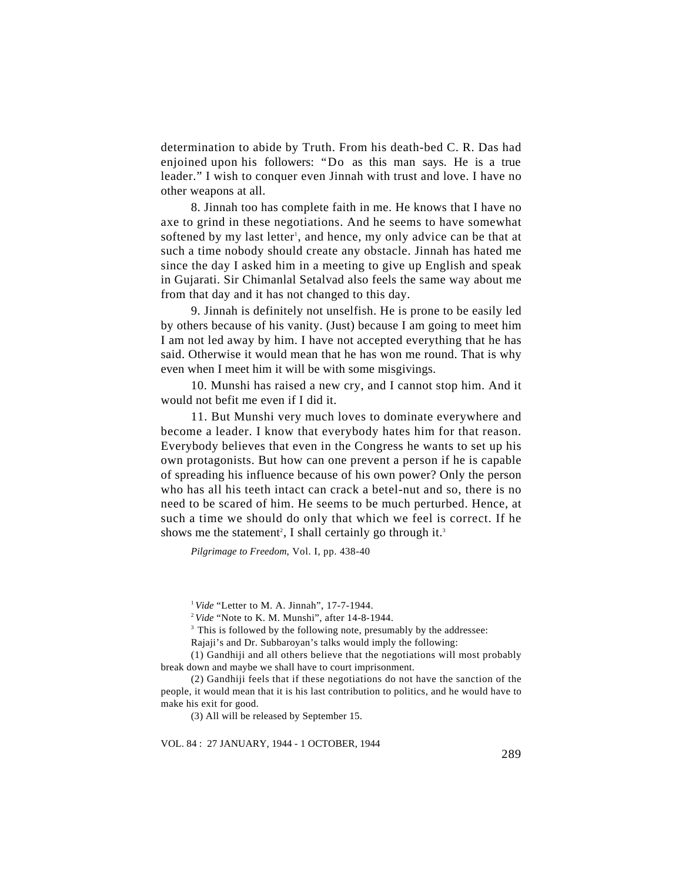determination to abide by Truth. From his death-bed C. R. Das had enjoined upon his followers: "Do as this man says. He is a true leader." I wish to conquer even Jinnah with trust and love. I have no other weapons at all.

8. Jinnah too has complete faith in me. He knows that I have no axe to grind in these negotiations. And he seems to have somewhat softened by my last letter<sup>1</sup>, and hence, my only advice can be that at such a time nobody should create any obstacle. Jinnah has hated me since the day I asked him in a meeting to give up English and speak in Gujarati. Sir Chimanlal Setalvad also feels the same way about me from that day and it has not changed to this day.

9. Jinnah is definitely not unselfish. He is prone to be easily led by others because of his vanity. (Just) because I am going to meet him I am not led away by him. I have not accepted everything that he has said. Otherwise it would mean that he has won me round. That is why even when I meet him it will be with some misgivings.

10. Munshi has raised a new cry, and I cannot stop him. And it would not befit me even if I did it.

11. But Munshi very much loves to dominate everywhere and become a leader. I know that everybody hates him for that reason. Everybody believes that even in the Congress he wants to set up his own protagonists. But how can one prevent a person if he is capable of spreading his influence because of his own power? Only the person who has all his teeth intact can crack a betel-nut and so, there is no need to be scared of him. He seems to be much perturbed. Hence, at such a time we should do only that which we feel is correct. If he shows me the statement<sup>2</sup>, I shall certainly go through it.<sup>3</sup>

*Pilgrimage to Freedom*, Vol. I, pp. 438-40

<sup>1</sup>*Vide* "Letter to M. A. Jinnah", 17-7-1944.

<sup>2</sup>*Vide* "Note to K. M. Munshi", after 14-8-1944.

 $3$  This is followed by the following note, presumably by the addressee:

Rajaji's and Dr. Subbaroyan's talks would imply the following:

(1) Gandhiji and all others believe that the negotiations will most probably break down and maybe we shall have to court imprisonment.

(2) Gandhiji feels that if these negotiations do not have the sanction of the people, it would mean that it is his last contribution to politics, and he would have to make his exit for good.

(3) All will be released by September 15.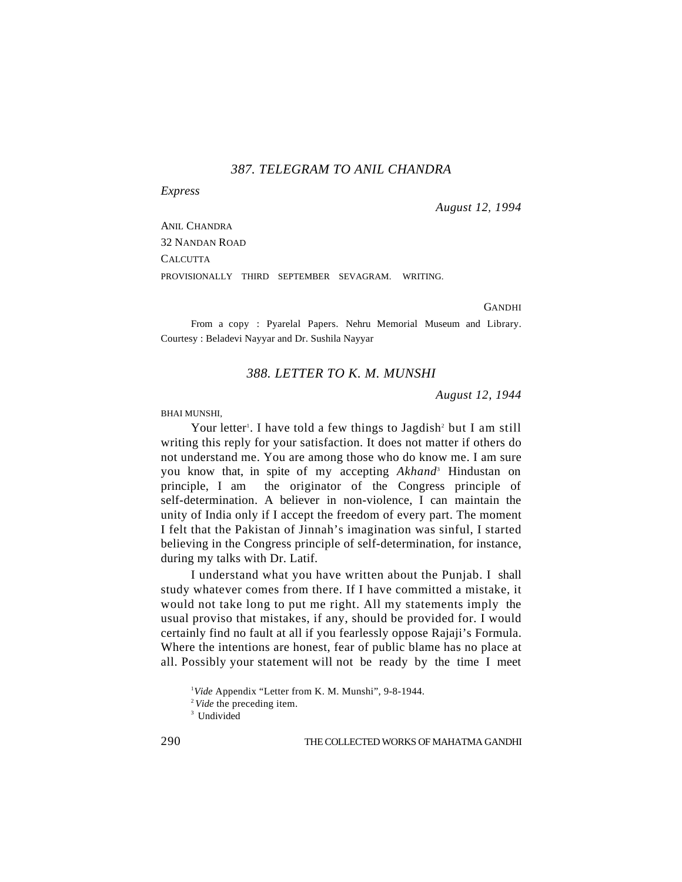*Express*

*August 12, 1994*

ANIL CHANDRA 32 NANDAN ROAD CALCUTTA PROVISIONALLY THIRD SEPTEMBER SEVAGRAM. WRITING.

GANDHI

From a copy : Pyarelal Papers. Nehru Memorial Museum and Library. Courtesy : Beladevi Nayyar and Dr. Sushila Nayyar

## *388. LETTER TO K. M. MUNSHI*

*August 12, 1944*

BHAI MUNSHI,

Your letter<sup>1</sup>. I have told a few things to Jagdish<sup>2</sup> but I am still writing this reply for your satisfaction. It does not matter if others do not understand me. You are among those who do know me. I am sure you know that, in spite of my accepting *Akhand*<sup>3</sup> Hindustan on principle, I am the originator of the Congress principle of self-determination. A believer in non-violence, I can maintain the unity of India only if I accept the freedom of every part. The moment I felt that the Pakistan of Jinnah's imagination was sinful, I started believing in the Congress principle of self-determination, for instance, during my talks with Dr. Latif.

I understand what you have written about the Punjab. I shall study whatever comes from there. If I have committed a mistake, it would not take long to put me right. All my statements imply the usual proviso that mistakes, if any, should be provided for. I would certainly find no fault at all if you fearlessly oppose Rajaji's Formula. Where the intentions are honest, fear of public blame has no place at all. Possibly your statement will not be ready by the time I meet

<sup>2</sup>*Vide* the preceding item.

<sup>3</sup> Undivided

<sup>&</sup>lt;sup>1</sup>Vide Appendix "Letter from K. M. Munshi", 9-8-1944.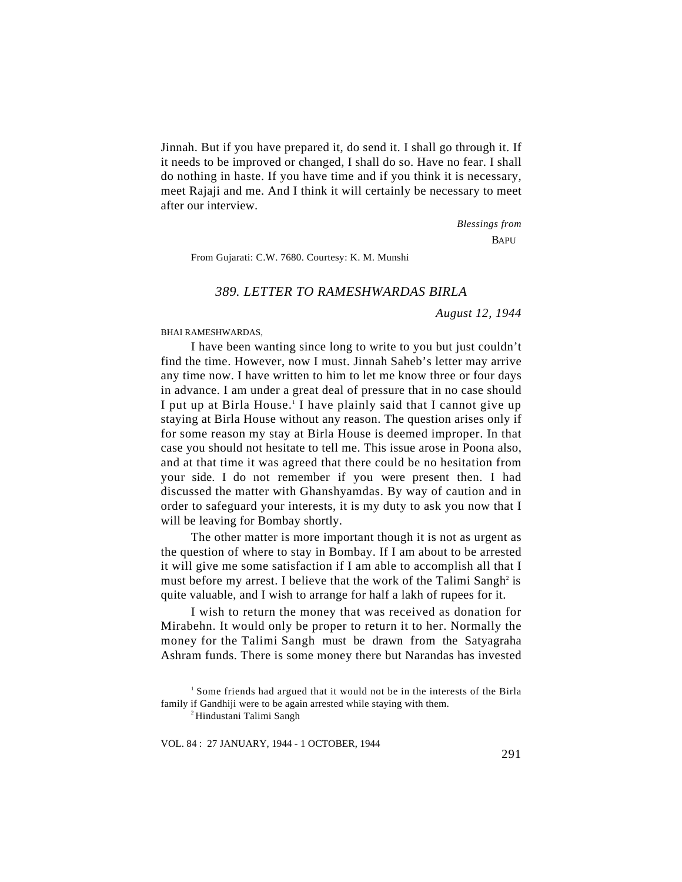Jinnah. But if you have prepared it, do send it. I shall go through it. If it needs to be improved or changed, I shall do so. Have no fear. I shall do nothing in haste. If you have time and if you think it is necessary, meet Rajaji and me. And I think it will certainly be necessary to meet after our interview.

> *Blessings from* **BAPU**

From Gujarati: C.W. 7680. Courtesy: K. M. Munshi

## *389. LETTER TO RAMESHWARDAS BIRLA*

*August 12, 1944*

#### BHAI RAMESHWARDAS,

I have been wanting since long to write to you but just couldn't find the time. However, now I must. Jinnah Saheb's letter may arrive any time now. I have written to him to let me know three or four days in advance. I am under a great deal of pressure that in no case should I put up at Birla House.<sup>1</sup> I have plainly said that I cannot give up staying at Birla House without any reason. The question arises only if for some reason my stay at Birla House is deemed improper. In that case you should not hesitate to tell me. This issue arose in Poona also, and at that time it was agreed that there could be no hesitation from your side. I do not remember if you were present then. I had discussed the matter with Ghanshyamdas. By way of caution and in order to safeguard your interests, it is my duty to ask you now that I will be leaving for Bombay shortly.

The other matter is more important though it is not as urgent as the question of where to stay in Bombay. If I am about to be arrested it will give me some satisfaction if I am able to accomplish all that I must before my arrest. I believe that the work of the Talimi Sangh<sup>2</sup> is quite valuable, and I wish to arrange for half a lakh of rupees for it.

I wish to return the money that was received as donation for Mirabehn. It would only be proper to return it to her. Normally the money for the Talimi Sangh must be drawn from the Satyagraha Ashram funds. There is some money there but Narandas has invested

 $1$  Some friends had argued that it would not be in the interests of the Birla family if Gandhiji were to be again arrested while staying with them.

<sup>2</sup> Hindustani Talimi Sangh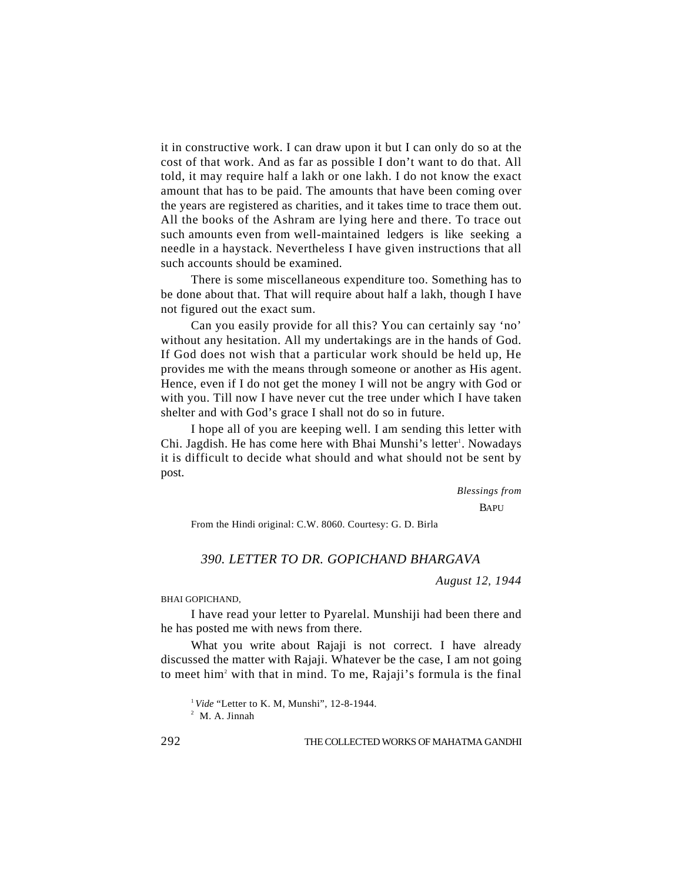it in constructive work. I can draw upon it but I can only do so at the cost of that work. And as far as possible I don't want to do that. All told, it may require half a lakh or one lakh. I do not know the exact amount that has to be paid. The amounts that have been coming over the years are registered as charities, and it takes time to trace them out. All the books of the Ashram are lying here and there. To trace out such amounts even from well-maintained ledgers is like seeking a needle in a haystack. Nevertheless I have given instructions that all such accounts should be examined.

There is some miscellaneous expenditure too. Something has to be done about that. That will require about half a lakh, though I have not figured out the exact sum.

Can you easily provide for all this? You can certainly say 'no' without any hesitation. All my undertakings are in the hands of God. If God does not wish that a particular work should be held up, He provides me with the means through someone or another as His agent. Hence, even if I do not get the money I will not be angry with God or with you. Till now I have never cut the tree under which I have taken shelter and with God's grace I shall not do so in future.

I hope all of you are keeping well. I am sending this letter with Chi. Jagdish. He has come here with Bhai Munshi's letter'. Nowadays it is difficult to decide what should and what should not be sent by post.

> *Blessings from* **BAPU**

From the Hindi original: C.W. 8060. Courtesy: G. D. Birla

## *390. LETTER TO DR. GOPICHAND BHARGAVA*

*August 12*, *1944*

BHAI GOPICHAND,

I have read your letter to Pyarelal. Munshiji had been there and he has posted me with news from there.

What you write about Rajaji is not correct. I have already discussed the matter with Rajaji. Whatever be the case, I am not going to meet him<sup>2</sup> with that in mind. To me, Rajaji's formula is the final

<sup>2</sup> M. A. Jinnah

<sup>&</sup>lt;sup>1</sup> Vide "Letter to K. M, Munshi", 12-8-1944.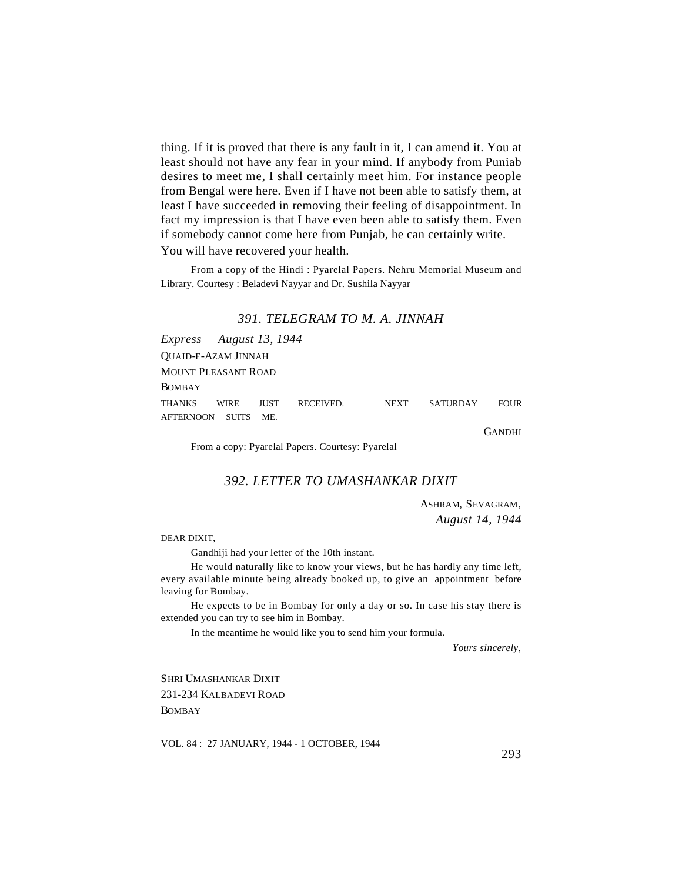thing. If it is proved that there is any fault in it, I can amend it. You at least should not have any fear in your mind. If anybody from Puniab desires to meet me, I shall certainly meet him. For instance people from Bengal were here. Even if I have not been able to satisfy them, at least I have succeeded in removing their feeling of disappointment. In fact my impression is that I have even been able to satisfy them. Even if somebody cannot come here from Punjab, he can certainly write.

You will have recovered your health.

From a copy of the Hindi : Pyarelal Papers. Nehru Memorial Museum and Library. Courtesy : Beladevi Nayyar and Dr. Sushila Nayyar

### *391. TELEGRAM TO M. A. JINNAH*

*Express August 13, 1944*

QUAID-E-AZAM JINNAH

MOUNT PLEASANT ROAD

BOMBAY

THANKS WIRE JUST RECEIVED. NEXT SATURDAY FOUR AFTERNOON SUITS ME.

**GANDHI** 

From a copy: Pyarelal Papers. Courtesy: Pyarelal

## *392. LETTER TO UMASHANKAR DIXIT*

ASHRAM, SEVAGRAM, *August 14, 1944*

DEAR DIXIT,

Gandhiji had your letter of the 10th instant.

He would naturally like to know your views, but he has hardly any time left, every available minute being already booked up, to give an appointment before leaving for Bombay.

He expects to be in Bombay for only a day or so. In case his stay there is extended you can try to see him in Bombay.

In the meantime he would like you to send him your formula.

*Yours sincerely,*

SHRI UMASHANKAR DIXIT 231-234 KALBADEVI ROAD BOMBAY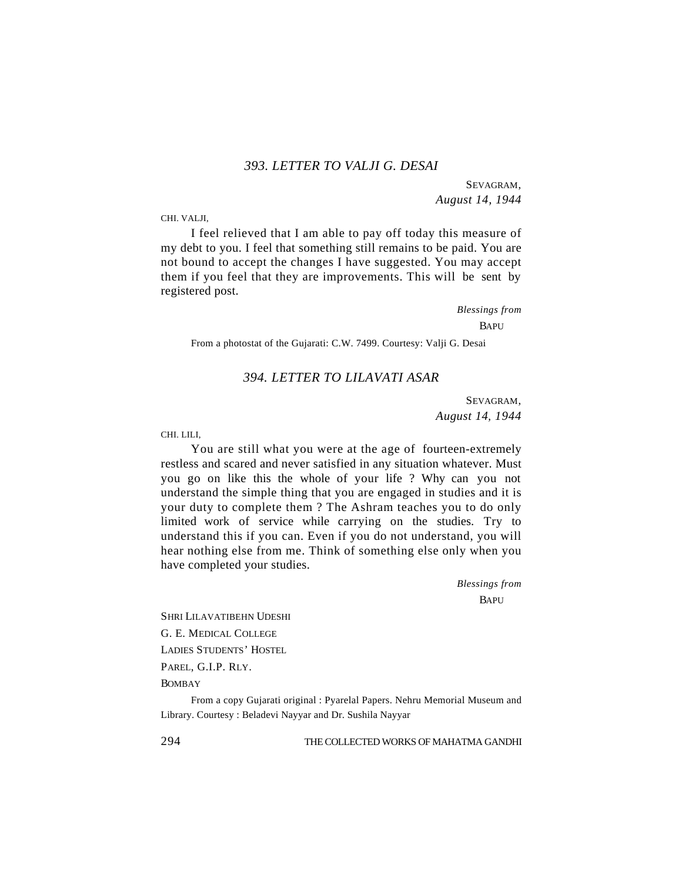## *393. LETTER TO VALJI G. DESAI*

SEVAGRAM, *August 14, 1944*

CHI. VALJI,

I feel relieved that I am able to pay off today this measure of my debt to you. I feel that something still remains to be paid. You are not bound to accept the changes I have suggested. You may accept them if you feel that they are improvements. This will be sent by registered post.

*Blessings from*

**BAPU** 

From a photostat of the Gujarati: C.W. 7499. Courtesy: Valji G. Desai

### *394. LETTER TO LILAVATI ASAR*

SEVAGRAM, *August 14, 1944*

CHI. LILI,

You are still what you were at the age of fourteen-extremely restless and scared and never satisfied in any situation whatever. Must you go on like this the whole of your life ? Why can you not understand the simple thing that you are engaged in studies and it is your duty to complete them ? The Ashram teaches you to do only limited work of service while carrying on the studies. Try to understand this if you can. Even if you do not understand, you will hear nothing else from me. Think of something else only when you have completed your studies.

> *Blessings from* **BAPU**

SHRI LILAVATIBEHN UDESHI G. E. MEDICAL COLLEGE LADIES STUDENTS' HOSTEL

PAREL, G.I.P. RLY.

BOMBAY

From a copy Gujarati original : Pyarelal Papers. Nehru Memorial Museum and Library. Courtesy : Beladevi Nayyar and Dr. Sushila Nayyar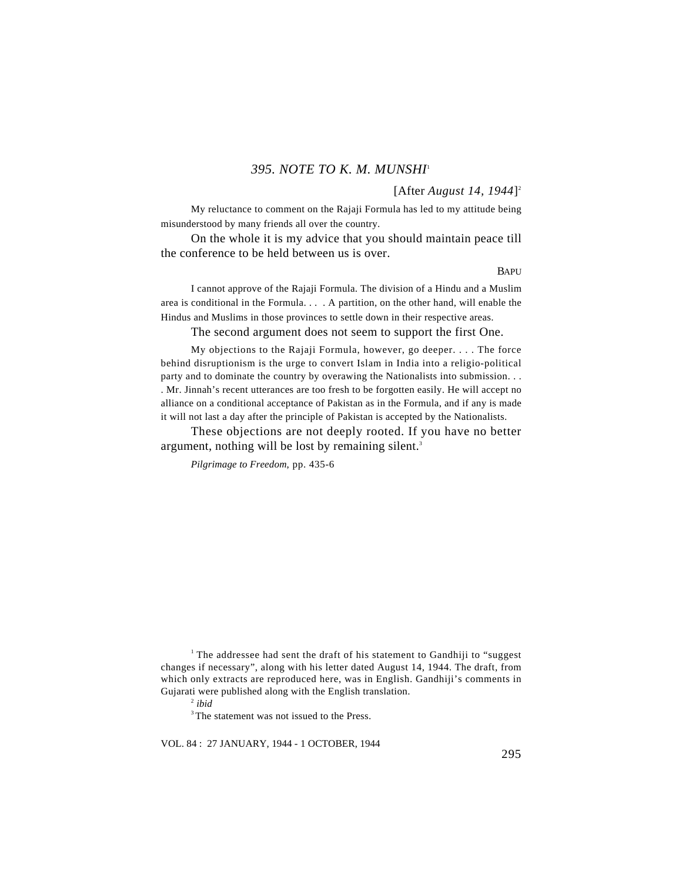# *395. NOTE TO K. M. MUNSHI*<sup>1</sup>

[After *August 14, 1944*] 2

My reluctance to comment on the Rajaji Formula has led to my attitude being misunderstood by many friends all over the country.

On the whole it is my advice that you should maintain peace till the conference to be held between us is over.

**BAPU** 

I cannot approve of the Rajaji Formula. The division of a Hindu and a Muslim area is conditional in the Formula. . . . A partition, on the other hand, will enable the Hindus and Muslims in those provinces to settle down in their respective areas.

The second argument does not seem to support the first One.

My objections to the Rajaji Formula, however, go deeper. . . . The force behind disruptionism is the urge to convert Islam in India into a religio-political party and to dominate the country by overawing the Nationalists into submission. . . . Mr. Jinnah's recent utterances are too fresh to be forgotten easily. He will accept no alliance on a conditional acceptance of Pakistan as in the Formula, and if any is made it will not last a day after the principle of Pakistan is accepted by the Nationalists.

These objections are not deeply rooted. If you have no better argument, nothing will be lost by remaining silent.<sup>3</sup>

*Pilgrimage to Freedom*, pp. 435-6

<sup>1</sup> The addressee had sent the draft of his statement to Gandhiji to "suggest" changes if necessary", along with his letter dated August 14, 1944. The draft, from which only extracts are reproduced here, was in English. Gandhiji's comments in Gujarati were published along with the English translation.

<sup>3</sup> The statement was not issued to the Press.

<sup>2</sup> *ibid*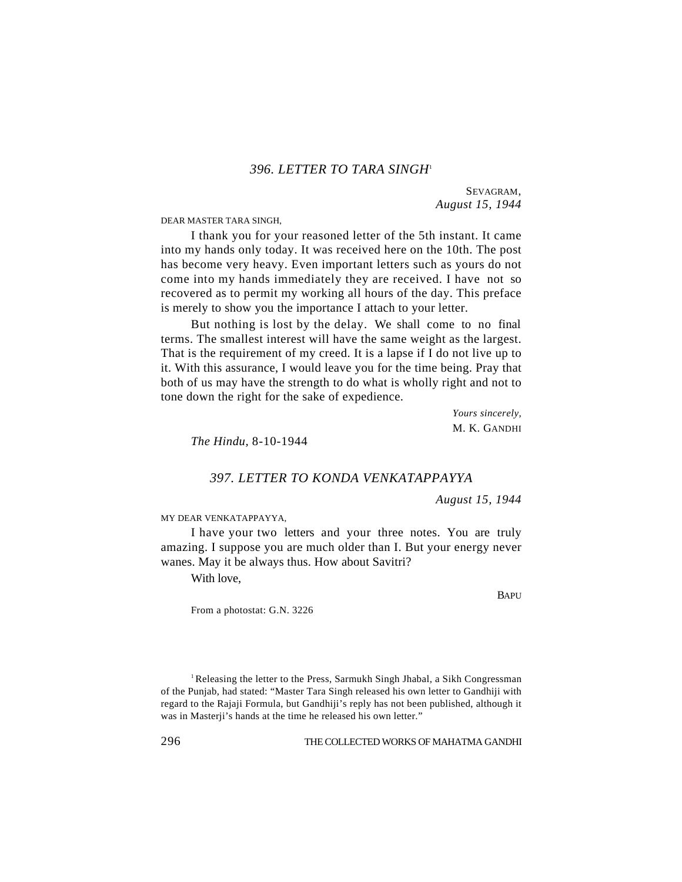## *396. LETTER TO TARA SINGH*<sup>1</sup>

SEVAGRAM, *August 15, 1944*

#### DEAR MASTER TARA SINGH,

I thank you for your reasoned letter of the 5th instant. It came into my hands only today. It was received here on the 10th. The post has become very heavy. Even important letters such as yours do not come into my hands immediately they are received. I have not so recovered as to permit my working all hours of the day. This preface is merely to show you the importance I attach to your letter.

But nothing is lost by the delay. We shall come to no final terms. The smallest interest will have the same weight as the largest. That is the requirement of my creed. It is a lapse if I do not live up to it. With this assurance, I would leave you for the time being. Pray that both of us may have the strength to do what is wholly right and not to tone down the right for the sake of expedience.

> *Yours sincerely,* M. K. GANDHI

*The Hindu,* 8-10-1944

#### *397. LETTER TO KONDA VENKATAPPAYYA*

*August 15, 1944*

#### MY DEAR VENKATAPPAYYA,

I have your two letters and your three notes. You are truly amazing. I suppose you are much older than I. But your energy never wanes. May it be always thus. How about Savitri?

With love,

**BAPU** 

From a photostat: G.N. 3226

<sup>1</sup> Releasing the letter to the Press, Sarmukh Singh Jhabal, a Sikh Congressman of the Punjab, had stated: "Master Tara Singh released his own letter to Gandhiji with regard to the Rajaji Formula, but Gandhiji's reply has not been published, although it was in Masterji's hands at the time he released his own letter."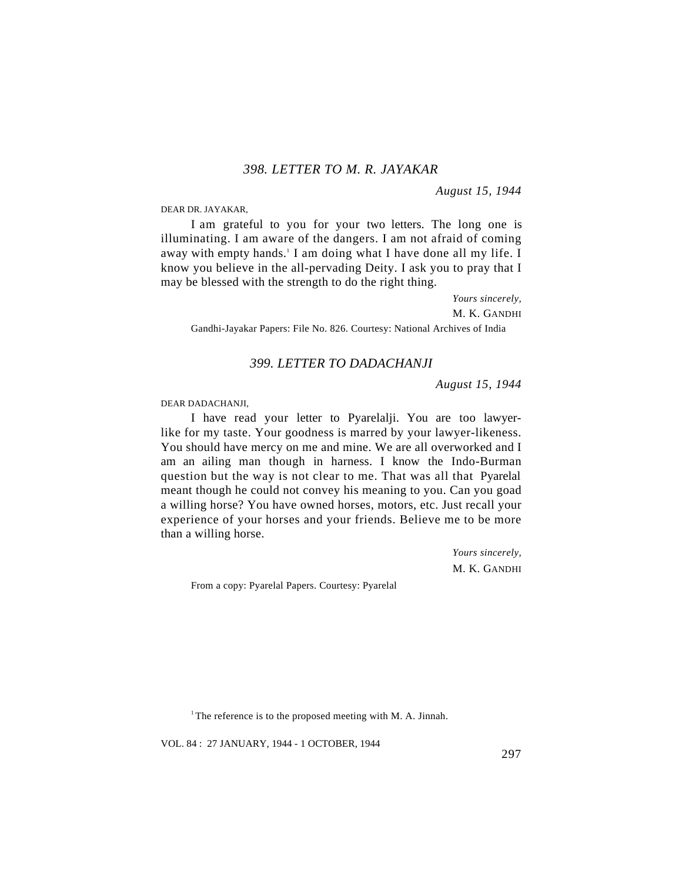*August 15, 1944*

DEAR DR. JAYAKAR,

I am grateful to you for your two letters. The long one is illuminating. I am aware of the dangers. I am not afraid of coming away with empty hands.<sup>1</sup> I am doing what I have done all my life. I know you believe in the all-pervading Deity. I ask you to pray that I may be blessed with the strength to do the right thing.

*Yours sincerely,*

M. K. GANDHI

Gandhi-Jayakar Papers: File No. 826. Courtesy: National Archives of India

### *399. LETTER TO DADACHANJI*

*August 15, 1944*

DEAR DADACHANJI,

I have read your letter to Pyarelalji. You are too lawyerlike for my taste. Your goodness is marred by your lawyer-likeness. You should have mercy on me and mine. We are all overworked and I am an ailing man though in harness. I know the Indo-Burman question but the way is not clear to me. That was all that Pyarelal meant though he could not convey his meaning to you. Can you goad a willing horse? You have owned horses, motors, etc. Just recall your experience of your horses and your friends. Believe me to be more than a willing horse.

> *Yours sincerely,* M. K. GANDHI

From a copy: Pyarelal Papers. Courtesy: Pyarelal

<sup>1</sup> The reference is to the proposed meeting with M. A. Jinnah.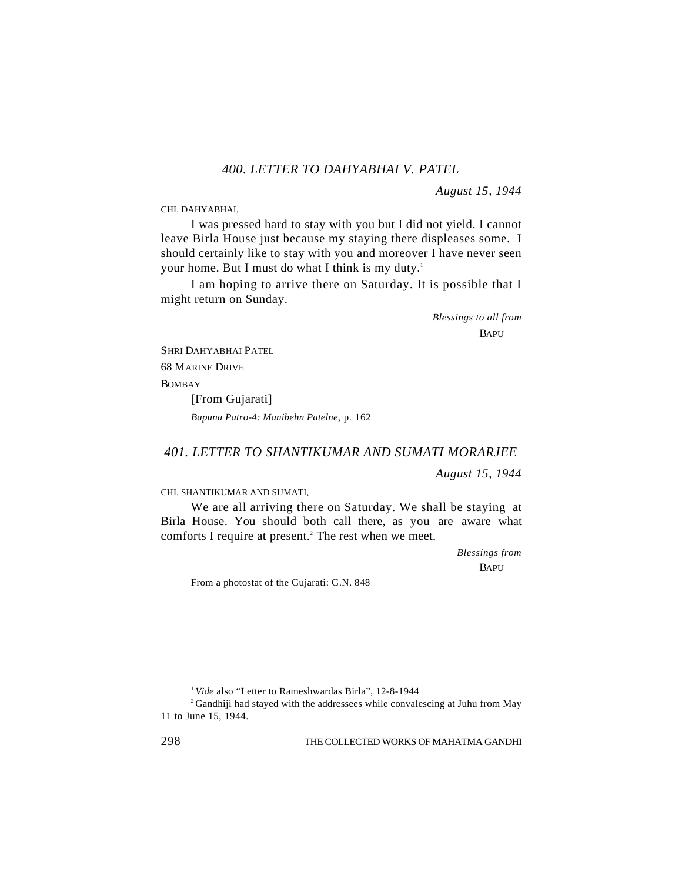## *400. LETTER TO DAHYABHAI V. PATEL*

*August 15, 1944*

CHI. DAHYABHAI,

I was pressed hard to stay with you but I did not yield. I cannot leave Birla House just because my staying there displeases some. I should certainly like to stay with you and moreover I have never seen your home. But I must do what I think is my duty.<sup>1</sup>

I am hoping to arrive there on Saturday. It is possible that I might return on Sunday.

> *Blessings to all from* **BAPU**

SHRI DAHYABHAI PATEL 68 MARINE DRIVE

BOMBAY

[From Gujarati]

*Bapuna Patro-4: Manibehn Patelne*, p. 162

## *401. LETTER TO SHANTIKUMAR AND SUMATI MORARJEE*

*August 15, 1944*

CHI. SHANTIKUMAR AND SUMATI,

We are all arriving there on Saturday. We shall be staying at Birla House. You should both call there, as you are aware what comforts I require at present.<sup>2</sup> The rest when we meet.

> *Blessings from* BAPU

From a photostat of the Gujarati: G.N. 848

<sup>1</sup>*Vide* also "Letter to Rameshwardas Birla", 12-8-1944

<sup>2</sup> Gandhiji had stayed with the addressees while convalescing at Juhu from May 11 to June 15, 1944.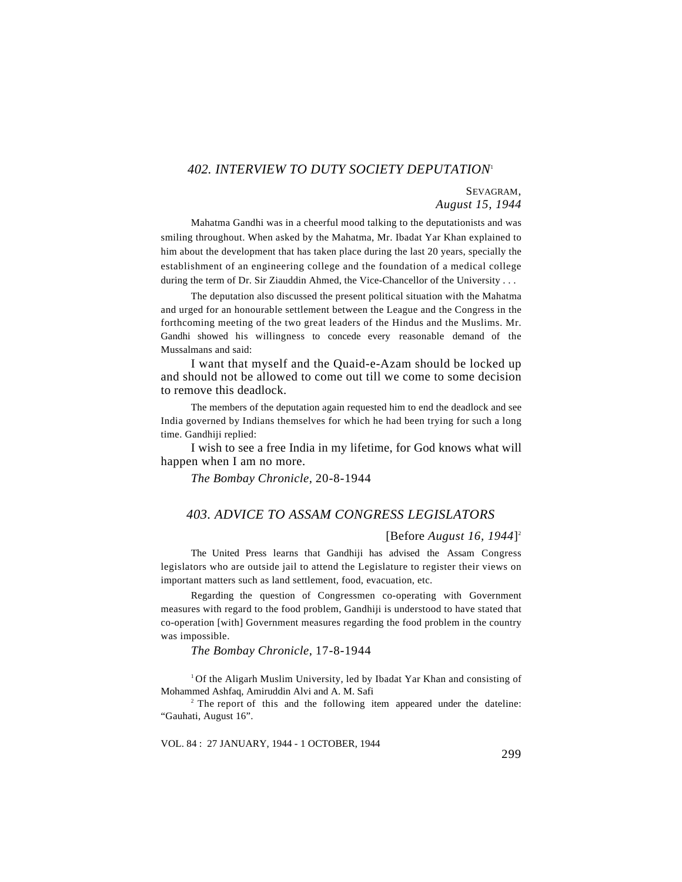## *402. INTERVIEW TO DUTY SOCIETY DEPUTATION*<sup>1</sup>

SEVAGRAM, *August 15, 1944*

Mahatma Gandhi was in a cheerful mood talking to the deputationists and was smiling throughout. When asked by the Mahatma, Mr. Ibadat Yar Khan explained to him about the development that has taken place during the last 20 years, specially the establishment of an engineering college and the foundation of a medical college during the term of Dr. Sir Ziauddin Ahmed, the Vice-Chancellor of the University . . .

The deputation also discussed the present political situation with the Mahatma and urged for an honourable settlement between the League and the Congress in the forthcoming meeting of the two great leaders of the Hindus and the Muslims. Mr. Gandhi showed his willingness to concede every reasonable demand of the Mussalmans and said:

I want that myself and the Quaid-e-Azam should be locked up and should not be allowed to come out till we come to some decision to remove this deadlock.

The members of the deputation again requested him to end the deadlock and see India governed by Indians themselves for which he had been trying for such a long time. Gandhiji replied:

I wish to see a free India in my lifetime, for God knows what will happen when I am no more.

*The Bombay Chronicle,* 20-8-1944

### *403. ADVICE TO ASSAM CONGRESS LEGISLATORS*

[Before *August 16, 1944*] 2

The United Press learns that Gandhiji has advised the Assam Congress legislators who are outside jail to attend the Legislature to register their views on important matters such as land settlement, food, evacuation, etc.

Regarding the question of Congressmen co-operating with Government measures with regard to the food problem, Gandhiji is understood to have stated that co-operation [with] Government measures regarding the food problem in the country was impossible.

*The Bombay Chronicle,* 17-8-1944

<sup>1</sup>Of the Aligarh Muslim University, led by Ibadat Yar Khan and consisting of Mohammed Ashfaq, Amiruddin Alvi and A. M. Safi

<sup>2</sup> The report of this and the following item appeared under the dateline: "Gauhati, August 16".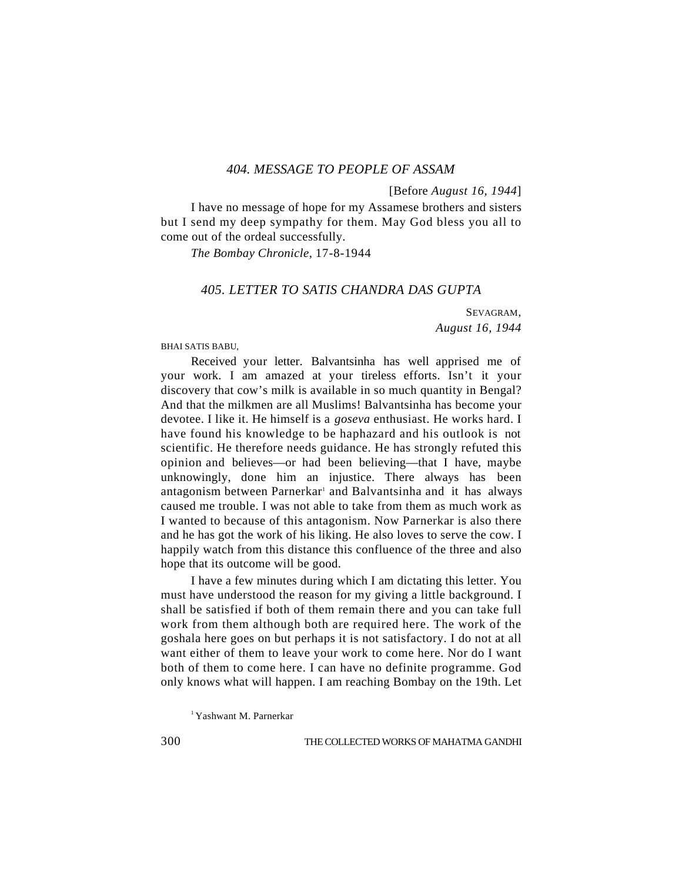## *404. MESSAGE TO PEOPLE OF ASSAM*

[Before *August 16, 1944*]

I have no message of hope for my Assamese brothers and sisters but I send my deep sympathy for them. May God bless you all to come out of the ordeal successfully.

*The Bombay Chronicle,* 17-8-1944

## *405. LETTER TO SATIS CHANDRA DAS GUPTA*

SEVAGRAM, *August 16, 1944*

#### BHAI SATIS BABU,

Received your letter. Balvantsinha has well apprised me of your work. I am amazed at your tireless efforts. Isn't it your discovery that cow's milk is available in so much quantity in Bengal? And that the milkmen are all Muslims! Balvantsinha has become your devotee. I like it. He himself is a *goseva* enthusiast. He works hard. I have found his knowledge to be haphazard and his outlook is not scientific. He therefore needs guidance. He has strongly refuted this opinion and believes—or had been believing—that I have, maybe unknowingly, done him an injustice. There always has been antagonism between Parnerkar<sup>1</sup> and Balvantsinha and it has always caused me trouble. I was not able to take from them as much work as I wanted to because of this antagonism. Now Parnerkar is also there and he has got the work of his liking. He also loves to serve the cow. I happily watch from this distance this confluence of the three and also hope that its outcome will be good.

I have a few minutes during which I am dictating this letter. You must have understood the reason for my giving a little background. I shall be satisfied if both of them remain there and you can take full work from them although both are required here. The work of the goshala here goes on but perhaps it is not satisfactory. I do not at all want either of them to leave your work to come here. Nor do I want both of them to come here. I can have no definite programme. God only knows what will happen. I am reaching Bombay on the 19th. Let

1 Yashwant M. Parnerkar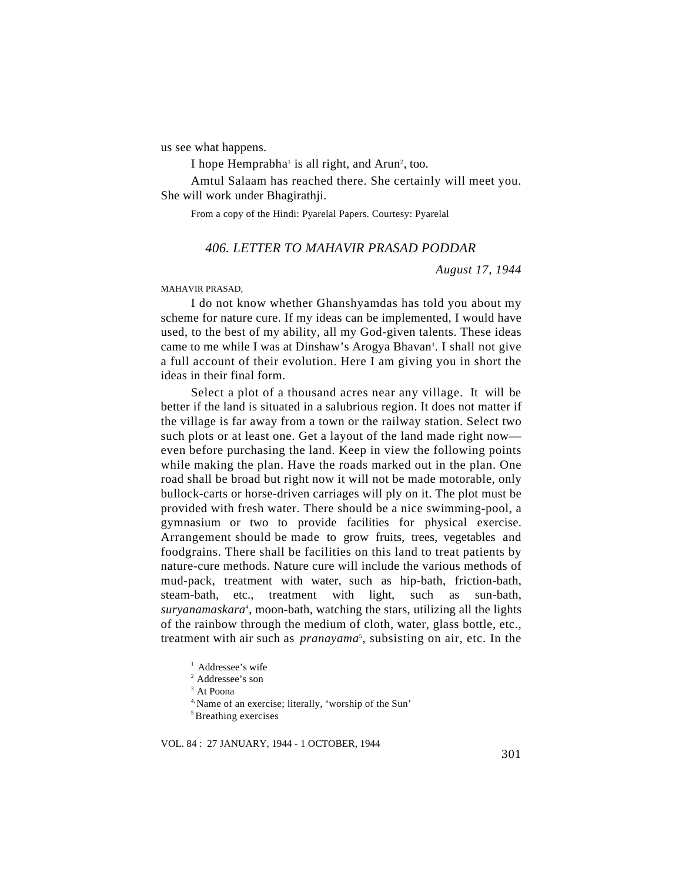us see what happens.

I hope Hemprabha<sup>1</sup> is all right, and Arun<sup>2</sup>, too.

Amtul Salaam has reached there. She certainly will meet you. She will work under Bhagirathji.

From a copy of the Hindi: Pyarelal Papers. Courtesy: Pyarelal

### *406. LETTER TO MAHAVIR PRASAD PODDAR*

*August 17, 1944*

#### MAHAVIR PRASAD,

I do not know whether Ghanshyamdas has told you about my scheme for nature cure. If my ideas can be implemented, I would have used, to the best of my ability, all my God-given talents. These ideas came to me while I was at Dinshaw's Arogya Bhavan<sup>3</sup>. I shall not give a full account of their evolution. Here I am giving you in short the ideas in their final form.

Select a plot of a thousand acres near any village. It will be better if the land is situated in a salubrious region. It does not matter if the village is far away from a town or the railway station. Select two such plots or at least one. Get a layout of the land made right now even before purchasing the land. Keep in view the following points while making the plan. Have the roads marked out in the plan. One road shall be broad but right now it will not be made motorable, only bullock-carts or horse-driven carriages will ply on it. The plot must be provided with fresh water. There should be a nice swimming-pool, a gymnasium or two to provide facilities for physical exercise. Arrangement should be made to grow fruits, trees, vegetables and foodgrains. There shall be facilities on this land to treat patients by nature-cure methods. Nature cure will include the various methods of mud-pack, treatment with water, such as hip-bath, friction-bath, steam-bath, etc., treatment with light, such as sun-bath, suryanamaskara<sup>4</sup>, moon-bath, watching the stars, utilizing all the lights of the rainbow through the medium of cloth, water, glass bottle, etc., treatment with air such as *pranayama*<sup>5</sup>, subsisting on air, etc. In the

<sup>1</sup> Addressee's wife 2 Addressee's son 3 At Poona

4, Name of an exercise; literally, 'worship of the Sun'

5 Breathing exercises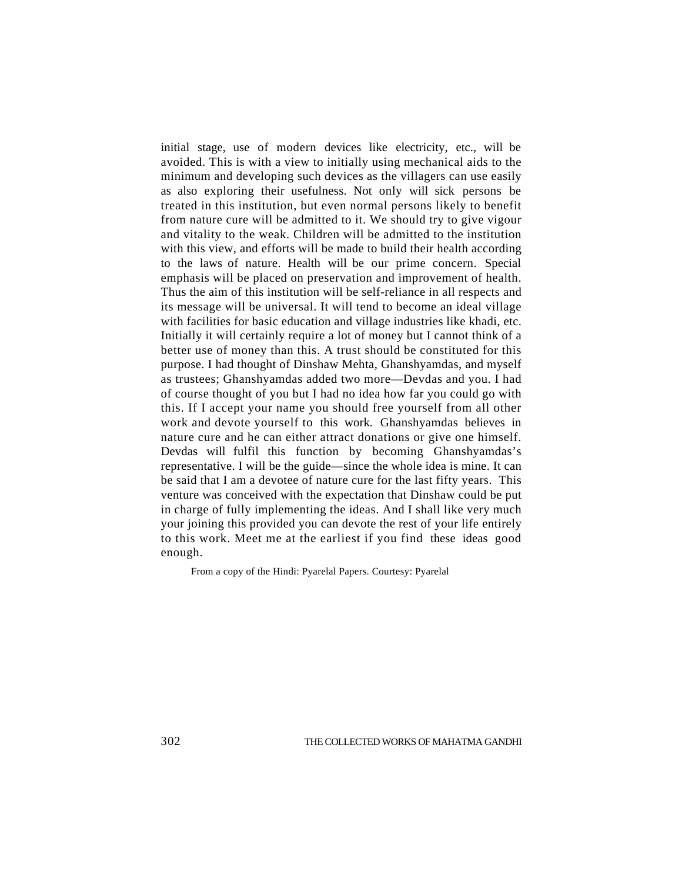initial stage, use of modern devices like electricity, etc., will be avoided. This is with a view to initially using mechanical aids to the minimum and developing such devices as the villagers can use easily as also exploring their usefulness. Not only will sick persons be treated in this institution, but even normal persons likely to benefit from nature cure will be admitted to it. We should try to give vigour and vitality to the weak. Children will be admitted to the institution with this view, and efforts will be made to build their health according to the laws of nature. Health will be our prime concern. Special emphasis will be placed on preservation and improvement of health. Thus the aim of this institution will be self-reliance in all respects and its message will be universal. It will tend to become an ideal village with facilities for basic education and village industries like khadi, etc. Initially it will certainly require a lot of money but I cannot think of a better use of money than this. A trust should be constituted for this purpose. I had thought of Dinshaw Mehta, Ghanshyamdas, and myself as trustees; Ghanshyamdas added two more—Devdas and you. I had of course thought of you but I had no idea how far you could go with this. If I accept your name you should free yourself from all other work and devote yourself to this work. Ghanshyamdas believes in nature cure and he can either attract donations or give one himself. Devdas will fulfil this function by becoming Ghanshyamdas's representative. I will be the guide—since the whole idea is mine. It can be said that I am a devotee of nature cure for the last fifty years. This venture was conceived with the expectation that Dinshaw could be put in charge of fully implementing the ideas. And I shall like very much your joining this provided you can devote the rest of your life entirely to this work. Meet me at the earliest if you find these ideas good enough.

From a copy of the Hindi: Pyarelal Papers. Courtesy: Pyarelal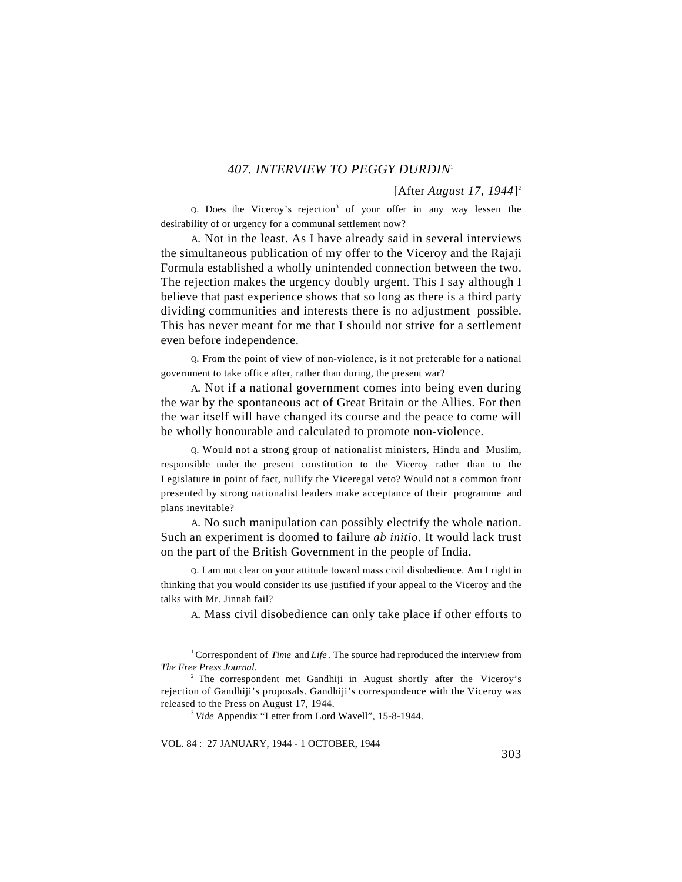## *407. INTERVIEW TO PEGGY DURDIN*<sup>1</sup>

### [After *August 17, 1944*] 2

Q. Does the Viceroy's rejection<sup>3</sup> of your offer in any way lessen the desirability of or urgency for a communal settlement now?

A. Not in the least. As I have already said in several interviews the simultaneous publication of my offer to the Viceroy and the Rajaji Formula established a wholly unintended connection between the two. The rejection makes the urgency doubly urgent. This I say although I believe that past experience shows that so long as there is a third party dividing communities and interests there is no adjustment possible. This has never meant for me that I should not strive for a settlement even before independence.

Q. From the point of view of non-violence, is it not preferable for a national government to take office after, rather than during, the present war?

A. Not if a national government comes into being even during the war by the spontaneous act of Great Britain or the Allies. For then the war itself will have changed its course and the peace to come will be wholly honourable and calculated to promote non-violence.

Q. Would not a strong group of nationalist ministers, Hindu and Muslim, responsible under the present constitution to the Viceroy rather than to the Legislature in point of fact, nullify the Viceregal veto? Would not a common front presented by strong nationalist leaders make acceptance of their programme and plans inevitable?

A. No such manipulation can possibly electrify the whole nation. Such an experiment is doomed to failure *ab initio*. It would lack trust on the part of the British Government in the people of India.

Q. I am not clear on your attitude toward mass civil disobedience. Am I right in thinking that you would consider its use justified if your appeal to the Viceroy and the talks with Mr. Jinnah fail?

A. Mass civil disobedience can only take place if other efforts to

<sup>1</sup> Correspondent of *Time* and *Life*. The source had reproduced the interview from *The Free Press Journal*.

<sup>2</sup> The correspondent met Gandhiji in August shortly after the Viceroy's rejection of Gandhiji's proposals. Gandhiji's correspondence with the Viceroy was released to the Press on August 17, 1944.

<sup>3</sup>*Vide* Appendix "Letter from Lord Wavell", 15-8-1944.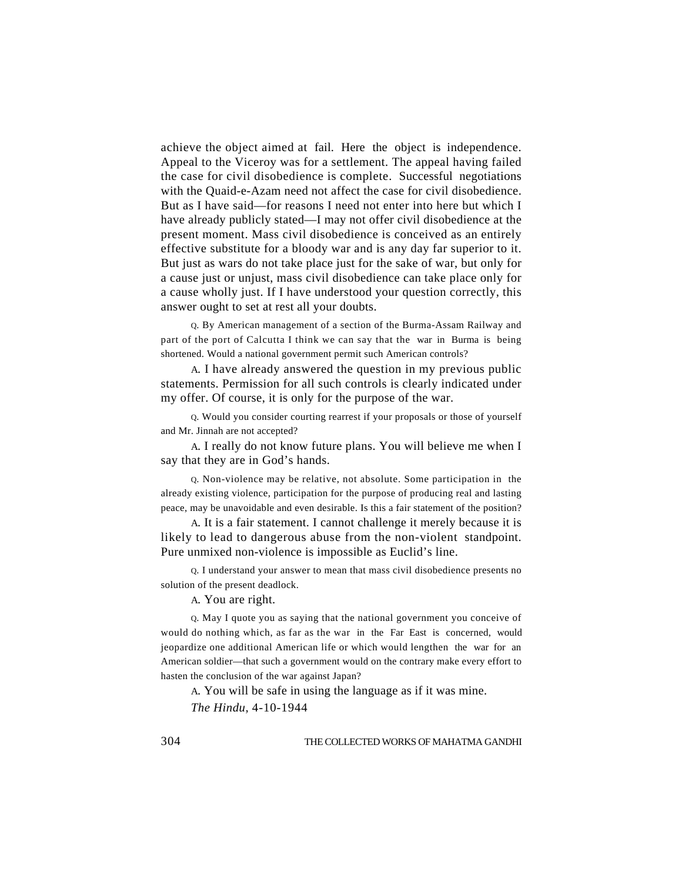achieve the object aimed at fail. Here the object is independence. Appeal to the Viceroy was for a settlement. The appeal having failed the case for civil disobedience is complete. Successful negotiations with the Quaid-e-Azam need not affect the case for civil disobedience. But as I have said—for reasons I need not enter into here but which I have already publicly stated—I may not offer civil disobedience at the present moment. Mass civil disobedience is conceived as an entirely effective substitute for a bloody war and is any day far superior to it. But just as wars do not take place just for the sake of war, but only for a cause just or unjust, mass civil disobedience can take place only for a cause wholly just. If I have understood your question correctly, this answer ought to set at rest all your doubts.

Q. By American management of a section of the Burma-Assam Railway and part of the port of Calcutta I think we can say that the war in Burma is being shortened. Would a national government permit such American controls?

A. I have already answered the question in my previous public statements. Permission for all such controls is clearly indicated under my offer. Of course, it is only for the purpose of the war.

Q. Would you consider courting rearrest if your proposals or those of yourself and Mr. Jinnah are not accepted?

A. I really do not know future plans. You will believe me when I say that they are in God's hands.

Q. Non-violence may be relative, not absolute. Some participation in the already existing violence, participation for the purpose of producing real and lasting peace, may be unavoidable and even desirable. Is this a fair statement of the position?

A. It is a fair statement. I cannot challenge it merely because it is likely to lead to dangerous abuse from the non-violent standpoint. Pure unmixed non-violence is impossible as Euclid's line.

Q. I understand your answer to mean that mass civil disobedience presents no solution of the present deadlock.

A. You are right.

Q. May I quote you as saying that the national government you conceive of would do nothing which, as far as the war in the Far East is concerned, would jeopardize one additional American life or which would lengthen the war for an American soldier—that such a government would on the contrary make every effort to hasten the conclusion of the war against Japan?

A. You will be safe in using the language as if it was mine. *The Hindu,* 4-10-1944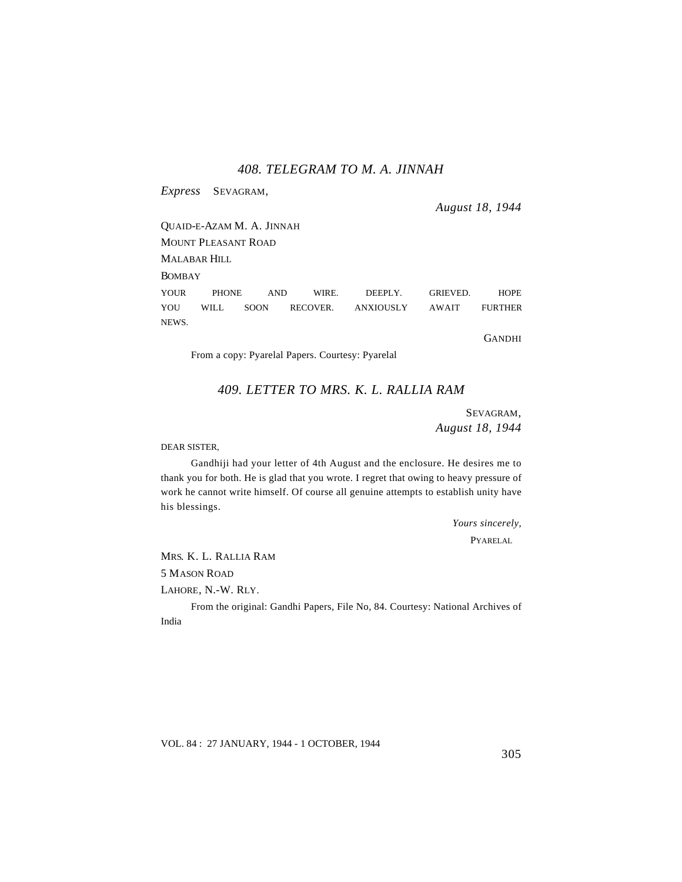### *408. TELEGRAM TO M. A. JINNAH*

|               | <i>Express</i> SEVAGRAM,   |                           |          |                  |                 |                 |
|---------------|----------------------------|---------------------------|----------|------------------|-----------------|-----------------|
|               |                            |                           |          |                  |                 | August 18, 1944 |
|               |                            | QUAID-E-AZAM M. A. JINNAH |          |                  |                 |                 |
|               | <b>MOUNT PLEASANT ROAD</b> |                           |          |                  |                 |                 |
|               | <b>MALABAR HILL</b>        |                           |          |                  |                 |                 |
| <b>BOMBAY</b> |                            |                           |          |                  |                 |                 |
| <b>YOUR</b>   | <b>PHONE</b>               | <b>AND</b>                | WIRE.    | DEEPLY.          | <b>GRIEVED.</b> | <b>HOPE</b>     |
| YOU           | WILL                       | <b>SOON</b>               | RECOVER. | <b>ANXIOUSLY</b> | AWAIT           | <b>FURTHER</b>  |
| NEWS.         |                            |                           |          |                  |                 |                 |
|               |                            |                           |          |                  |                 | <b>GANDHI</b>   |

From a copy: Pyarelal Papers. Courtesy: Pyarelal

## *409. LETTER TO MRS. K. L. RALLIA RAM*

SEVAGRAM, *August 18, 1944*

#### DEAR SISTER,

Gandhiji had your letter of 4th August and the enclosure. He desires me to thank you for both. He is glad that you wrote. I regret that owing to heavy pressure of work he cannot write himself. Of course all genuine attempts to establish unity have his blessings.

> *Yours sincerely,* PYARELAL

MRS. K. L. RALLIA RAM

5 MASON ROAD

LAHORE, N.-W. RLY.

From the original: Gandhi Papers, File No, 84. Courtesy: National Archives of India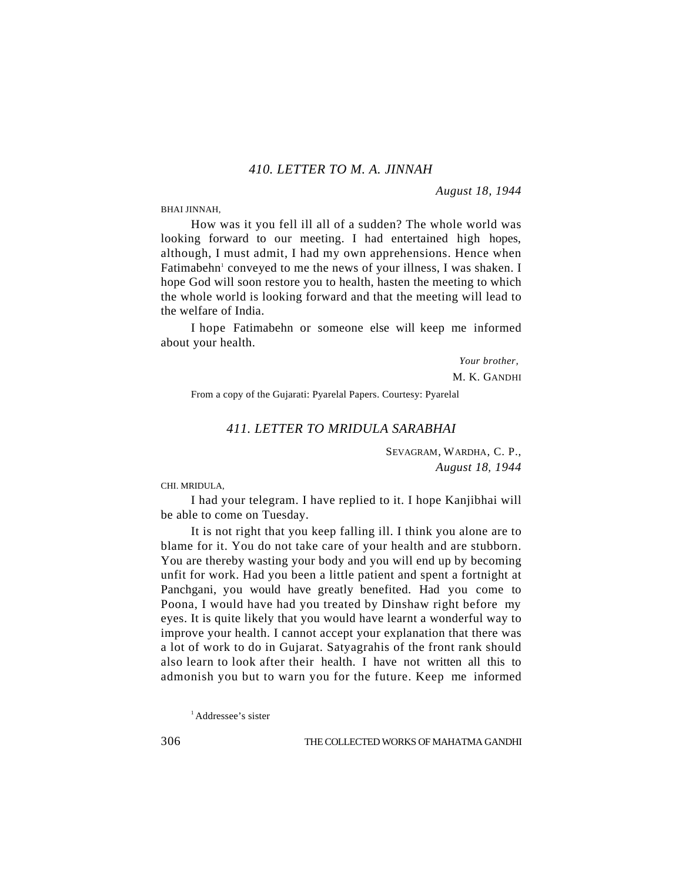*August 18, 1944*

BHAI JINNAH,

How was it you fell ill all of a sudden? The whole world was looking forward to our meeting. I had entertained high hopes, although, I must admit, I had my own apprehensions. Hence when Fatimabehn<sup>1</sup> conveyed to me the news of your illness, I was shaken. I hope God will soon restore you to health, hasten the meeting to which the whole world is looking forward and that the meeting will lead to the welfare of India.

I hope Fatimabehn or someone else will keep me informed about your health.

> *Your brother,*  M. K. GANDHI

From a copy of the Gujarati: Pyarelal Papers. Courtesy: Pyarelal

## *411. LETTER TO MRIDULA SARABHAI*

SEVAGRAM, WARDHA, C. P., *August 18, 1944*

CHI. MRIDULA,

I had your telegram. I have replied to it. I hope Kanjibhai will be able to come on Tuesday.

It is not right that you keep falling ill. I think you alone are to blame for it. You do not take care of your health and are stubborn. You are thereby wasting your body and you will end up by becoming unfit for work. Had you been a little patient and spent a fortnight at Panchgani, you would have greatly benefited. Had you come to Poona, I would have had you treated by Dinshaw right before my eyes. It is quite likely that you would have learnt a wonderful way to improve your health. I cannot accept your explanation that there was a lot of work to do in Gujarat. Satyagrahis of the front rank should also learn to look after their health. I have not written all this to admonish you but to warn you for the future. Keep me informed

<sup>1</sup> Addressee's sister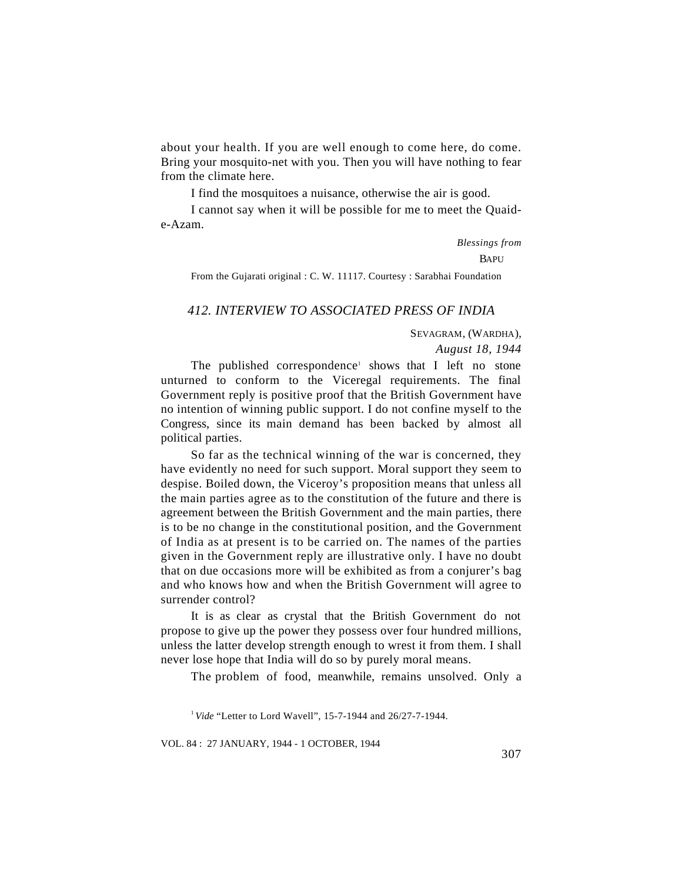about your health. If you are well enough to come here, do come. Bring your mosquito-net with you. Then you will have nothing to fear from the climate here.

I find the mosquitoes a nuisance, otherwise the air is good.

I cannot say when it will be possible for me to meet the Quaide-Azam.

*Blessings from*

#### **BAPU**

From the Gujarati original : C. W. 11117. Courtesy : Sarabhai Foundation

# *412. INTERVIEW TO ASSOCIATED PRESS OF INDIA*

### SEVAGRAM, (WARDHA),

### *August 18, 1944*

The published correspondence<sup>1</sup> shows that I left no stone unturned to conform to the Viceregal requirements. The final Government reply is positive proof that the British Government have no intention of winning public support. I do not confine myself to the Congress, since its main demand has been backed by almost all political parties.

So far as the technical winning of the war is concerned, they have evidently no need for such support. Moral support they seem to despise. Boiled down, the Viceroy's proposition means that unless all the main parties agree as to the constitution of the future and there is agreement between the British Government and the main parties, there is to be no change in the constitutional position, and the Government of India as at present is to be carried on. The names of the parties given in the Government reply are illustrative only. I have no doubt that on due occasions more will be exhibited as from a conjurer's bag and who knows how and when the British Government will agree to surrender control?

It is as clear as crystal that the British Government do not propose to give up the power they possess over four hundred millions, unless the latter develop strength enough to wrest it from them. I shall never lose hope that India will do so by purely moral means.

The problem of food, meanwhile, remains unsolved. Only a

<sup>1</sup>*Vide* "Letter to Lord Wavell", 15-7-1944 and 26/27-7-1944.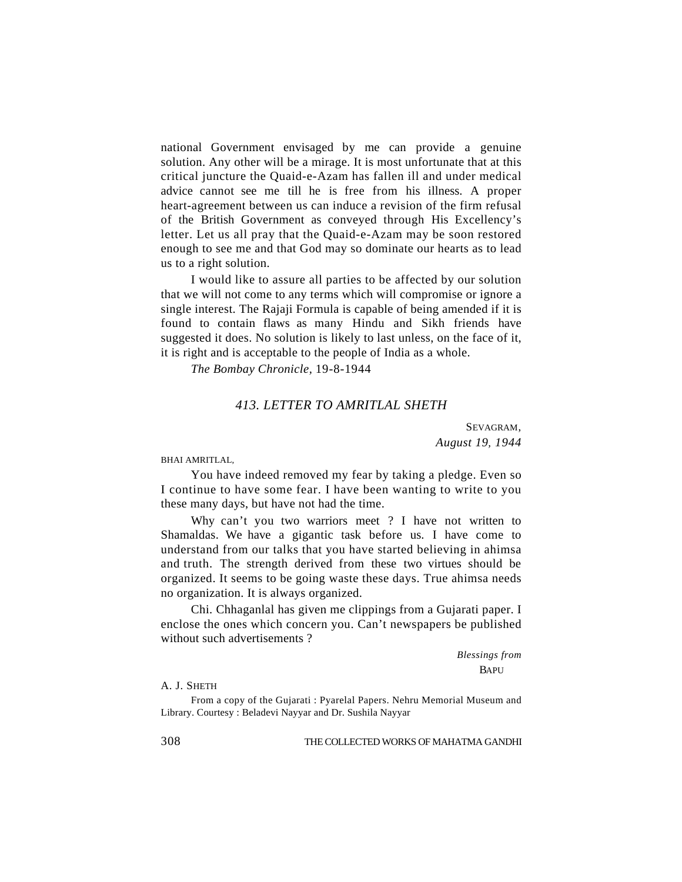national Government envisaged by me can provide a genuine solution. Any other will be a mirage. It is most unfortunate that at this critical juncture the Quaid-e-Azam has fallen ill and under medical advice cannot see me till he is free from his illness. A proper heart-agreement between us can induce a revision of the firm refusal of the British Government as conveyed through His Excellency's letter. Let us all pray that the Quaid-e-Azam may be soon restored enough to see me and that God may so dominate our hearts as to lead us to a right solution.

I would like to assure all parties to be affected by our solution that we will not come to any terms which will compromise or ignore a single interest. The Rajaji Formula is capable of being amended if it is found to contain flaws as many Hindu and Sikh friends have suggested it does. No solution is likely to last unless, on the face of it, it is right and is acceptable to the people of India as a whole.

*The Bombay Chronicle,* 19-8-1944

# *413. LETTER TO AMRITLAL SHETH*

SEVAGRAM, *August 19, 1944*

BHAI AMRITLAL,

You have indeed removed my fear by taking a pledge. Even so I continue to have some fear. I have been wanting to write to you these many days, but have not had the time.

Why can't you two warriors meet ? I have not written to Shamaldas. We have a gigantic task before us. I have come to understand from our talks that you have started believing in ahimsa and truth. The strength derived from these two virtues should be organized. It seems to be going waste these days. True ahimsa needs no organization. It is always organized.

Chi. Chhaganlal has given me clippings from a Gujarati paper. I enclose the ones which concern you. Can't newspapers be published without such advertisements ?

> *Blessings from* **BAPU**

### A. J. SHETH

From a copy of the Gujarati : Pyarelal Papers. Nehru Memorial Museum and Library. Courtesy : Beladevi Nayyar and Dr. Sushila Nayyar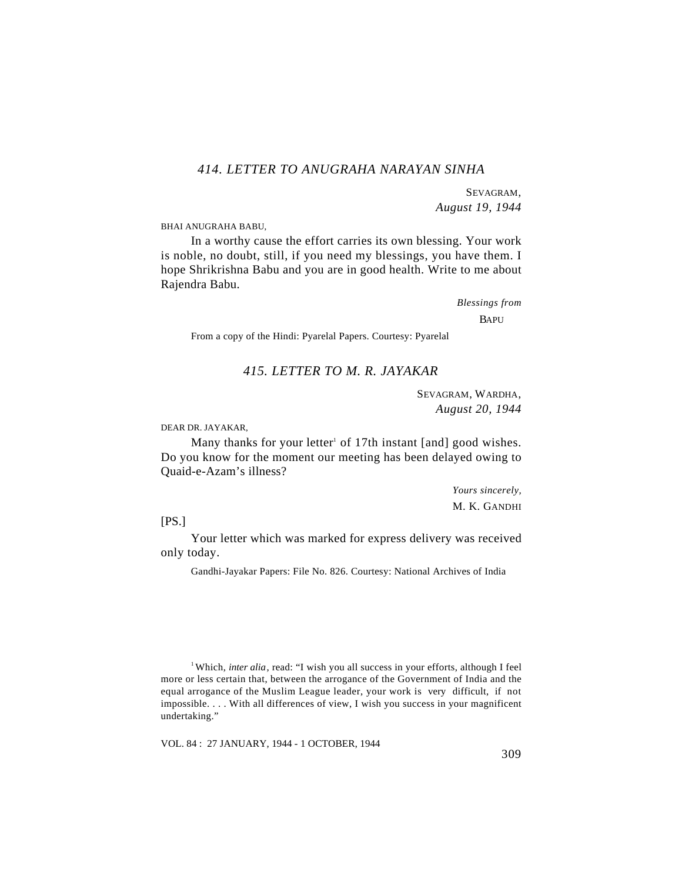# *414. LETTER TO ANUGRAHA NARAYAN SINHA*

SEVAGRAM, *August 19, 1944*

#### BHAI ANUGRAHA BABU,

In a worthy cause the effort carries its own blessing. Your work is noble, no doubt, still, if you need my blessings, you have them. I hope Shrikrishna Babu and you are in good health. Write to me about Rajendra Babu.

> *Blessings from* **BAPU**

From a copy of the Hindi: Pyarelal Papers. Courtesy: Pyarelal

## *415. LETTER TO M. R. JAYAKAR*

SEVAGRAM, WARDHA, *August 20, 1944*

DEAR DR. JAYAKAR,

Many thanks for your letter<sup>1</sup> of 17th instant [and] good wishes. Do you know for the moment our meeting has been delayed owing to Quaid-e-Azam's illness?

> *Yours sincerely,* M. K. GANDHI

[PS.]

Your letter which was marked for express delivery was received only today.

Gandhi-Jayakar Papers: File No. 826. Courtesy: National Archives of India

<sup>1</sup> Which, *inter alia*, read: "I wish you all success in your efforts, although I feel more or less certain that, between the arrogance of the Government of India and the equal arrogance of the Muslim League leader, your work is very difficult, if not impossible. . . . With all differences of view, I wish you success in your magnificent undertaking."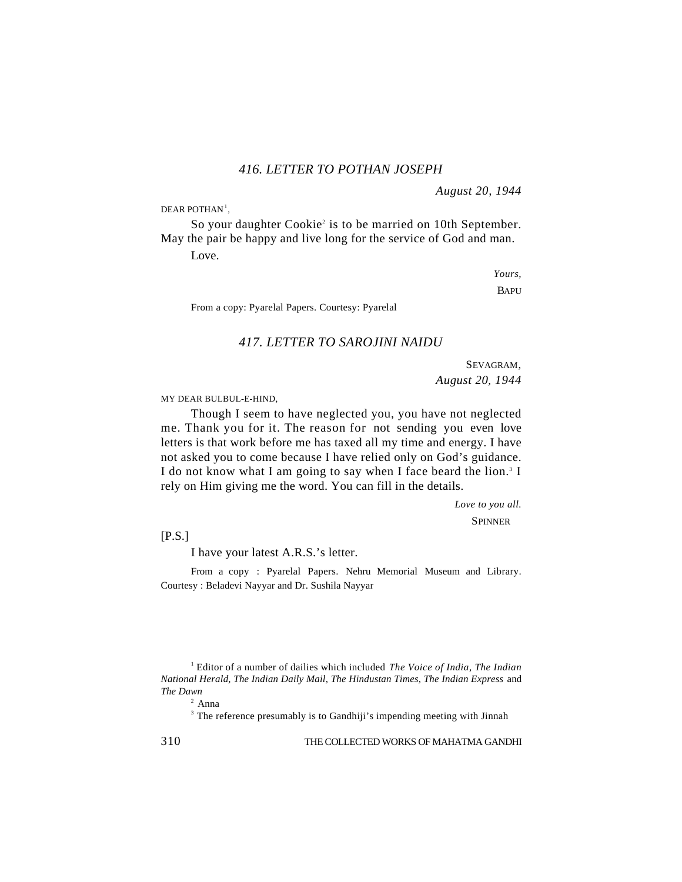*August 20, 1944*

 $DEAR$  POTHAN<sup>1</sup>,

So your daughter Cookie<sup>2</sup> is to be married on 10th September. May the pair be happy and live long for the service of God and man. Love.

*Yours,*

**BAPU** 

From a copy: Pyarelal Papers. Courtesy: Pyarelal

## *417. LETTER TO SAROJINI NAIDU*

SEVAGRAM, *August 20, 1944*

MY DEAR BULBUL-E-HIND,

Though I seem to have neglected you, you have not neglected me. Thank you for it. The reason for not sending you even love letters is that work before me has taxed all my time and energy. I have not asked you to come because I have relied only on God's guidance. I do not know what I am going to say when I face beard the lion.<sup>3</sup> I rely on Him giving me the word. You can fill in the details.

> *Love to you all.* **SPINNER**

 $[P.S.]$ 

I have your latest A.R.S.'s letter.

From a copy : Pyarelal Papers. Nehru Memorial Museum and Library. Courtesy : Beladevi Nayyar and Dr. Sushila Nayyar

<sup>1</sup> Editor of a number of dailies which included *The Voice of India, The Indian National Herald, The Indian Daily Mail, The Hindustan Times, The Indian Express* and *The Dawn*

<sup>2</sup> Anna

<sup>3</sup> The reference presumably is to Gandhiji's impending meeting with Jinnah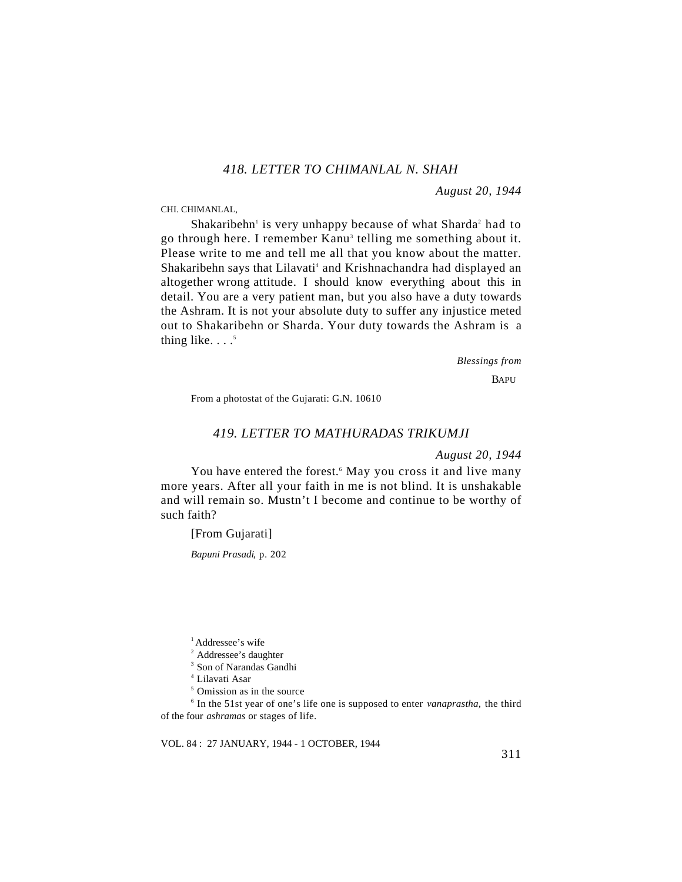*August 20, 1944*

CHI. CHIMANLAL,

Shakaribehn<sup>1</sup> is very unhappy because of what Sharda<sup>2</sup> had to go through here. I remember Kanu<sup>3</sup> telling me something about it. Please write to me and tell me all that you know about the matter. Shakaribehn says that Lilavati<sup>4</sup> and Krishnachandra had displayed an altogether wrong attitude. I should know everything about this in detail. You are a very patient man, but you also have a duty towards the Ashram. It is not your absolute duty to suffer any injustice meted out to Shakaribehn or Sharda. Your duty towards the Ashram is a thing like.  $\ldots$ <sup>5</sup>

*Blessings from*

**BAPU** 

From a photostat of the Gujarati: G.N. 10610

### *419. LETTER TO MATHURADAS TRIKUMJI*

*August 20, 1944*

You have entered the forest.<sup>6</sup> May you cross it and live many more years. After all your faith in me is not blind. It is unshakable and will remain so. Mustn't I become and continue to be worthy of such faith?

#### [From Gujarati]

*Bapuni Prasadi*, p. 202

<sup>1</sup> Addressee's wife

<sup>2</sup> Addressee's daughter

3 Son of Narandas Gandhi

4 Lilavati Asar

5 Omission as in the source

<sup>6</sup> In the 51st year of one's life one is supposed to enter *vanaprastha*, the third of the four *ashramas* or stages of life.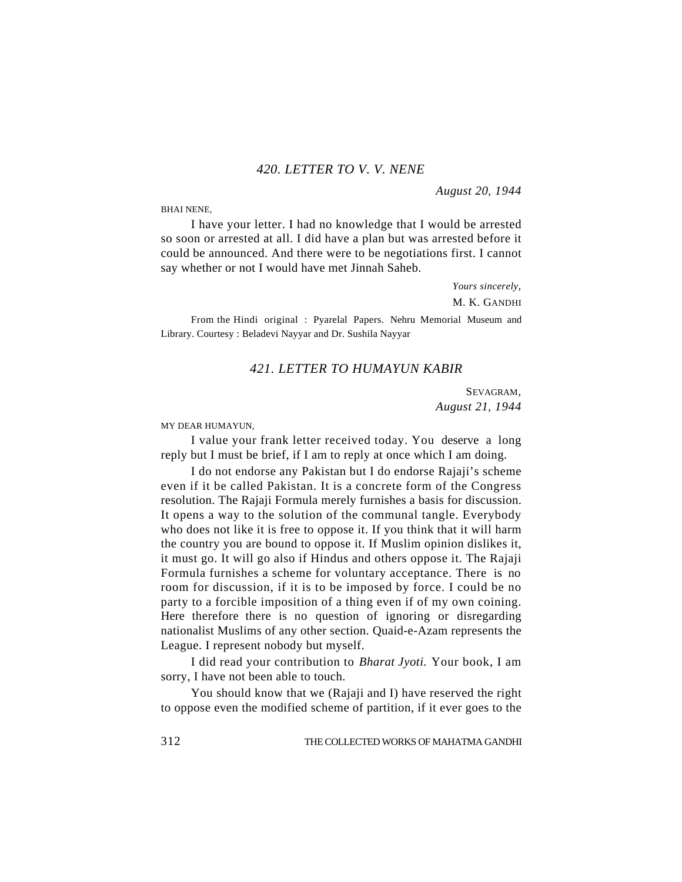### *420. LETTER TO V. V. NENE*

*August 20, 1944*

BHAI NENE,

I have your letter. I had no knowledge that I would be arrested so soon or arrested at all. I did have a plan but was arrested before it could be announced. And there were to be negotiations first. I cannot say whether or not I would have met Jinnah Saheb.

> *Yours sincerely,* M. K. GANDHI

From the Hindi original : Pyarelal Papers. Nehru Memorial Museum and Library. Courtesy : Beladevi Nayyar and Dr. Sushila Nayyar

### *421. LETTER TO HUMAYUN KABIR*

SEVAGRAM, *August 21, 1944*

MY DEAR HUMAYUN,

I value your frank letter received today. You deserve a long reply but I must be brief, if I am to reply at once which I am doing.

I do not endorse any Pakistan but I do endorse Rajaji's scheme even if it be called Pakistan. It is a concrete form of the Congress resolution. The Rajaji Formula merely furnishes a basis for discussion. It opens a way to the solution of the communal tangle. Everybody who does not like it is free to oppose it. If you think that it will harm the country you are bound to oppose it. If Muslim opinion dislikes it, it must go. It will go also if Hindus and others oppose it. The Rajaji Formula furnishes a scheme for voluntary acceptance. There is no room for discussion, if it is to be imposed by force. I could be no party to a forcible imposition of a thing even if of my own coining. Here therefore there is no question of ignoring or disregarding nationalist Muslims of any other section. Quaid-e-Azam represents the League. I represent nobody but myself.

I did read your contribution to *Bharat Jyoti.* Your book, I am sorry, I have not been able to touch.

You should know that we (Rajaji and I) have reserved the right to oppose even the modified scheme of partition, if it ever goes to the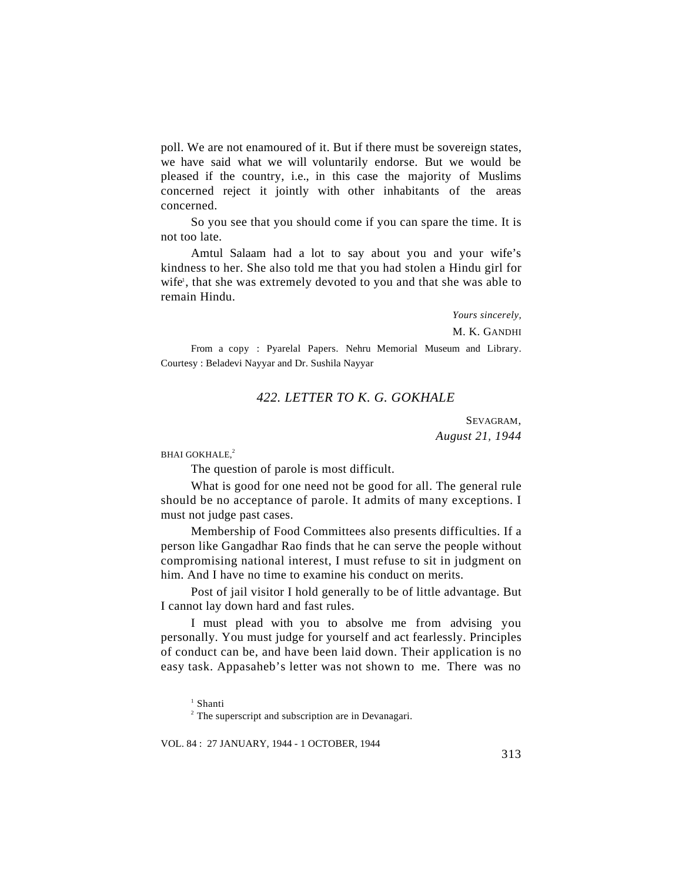poll. We are not enamoured of it. But if there must be sovereign states, we have said what we will voluntarily endorse. But we would be pleased if the country, i.e., in this case the majority of Muslims concerned reject it jointly with other inhabitants of the areas concerned.

So you see that you should come if you can spare the time. It is not too late.

Amtul Salaam had a lot to say about you and your wife's kindness to her. She also told me that you had stolen a Hindu girl for wife<sup>1</sup>, that she was extremely devoted to you and that she was able to remain Hindu.

> *Yours sincerely,* M. K. GANDHI

From a copy : Pyarelal Papers. Nehru Memorial Museum and Library. Courtesy : Beladevi Nayyar and Dr. Sushila Nayyar

# *422. LETTER TO K. G. GOKHALE*

SEVAGRAM, *August 21, 1944*

BHAI GOKHALE.<sup>2</sup>

The question of parole is most difficult.

What is good for one need not be good for all. The general rule should be no acceptance of parole. It admits of many exceptions. I must not judge past cases.

Membership of Food Committees also presents difficulties. If a person like Gangadhar Rao finds that he can serve the people without compromising national interest, I must refuse to sit in judgment on him. And I have no time to examine his conduct on merits.

Post of jail visitor I hold generally to be of little advantage. But I cannot lay down hard and fast rules.

I must plead with you to absolve me from advising you personally. You must judge for yourself and act fearlessly. Principles of conduct can be, and have been laid down. Their application is no easy task. Appasaheb's letter was not shown to me. There was no

<sup>1</sup> Shanti

<sup>&</sup>lt;sup>2</sup> The superscript and subscription are in Devanagari.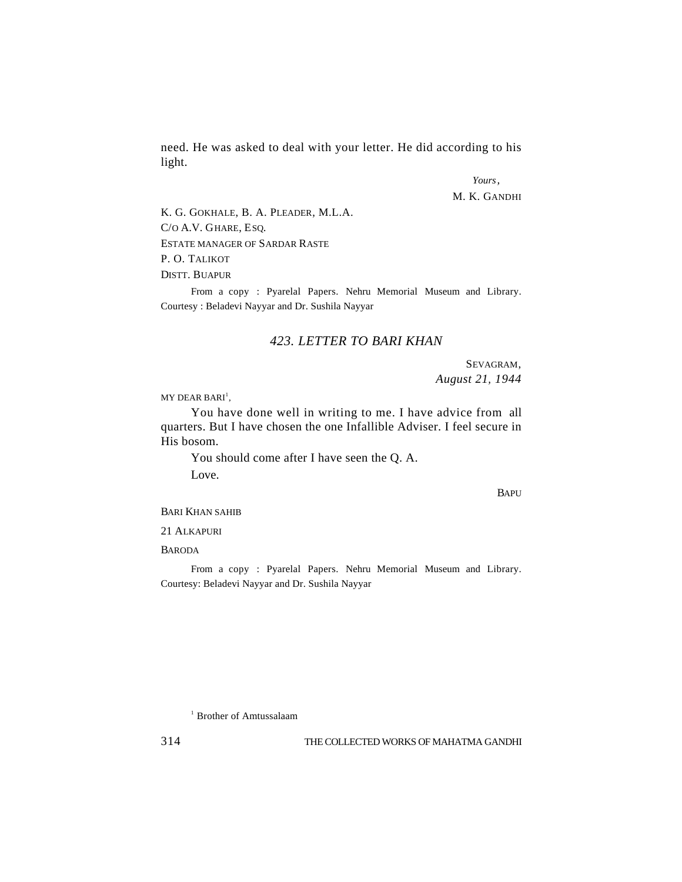need. He was asked to deal with your letter. He did according to his light.

*Yours,*

M. K. GANDHI

K. G. GOKHALE, B. A. PLEADER, M.L.A. C/O A.V. GHARE, ESQ. ESTATE MANAGER OF SARDAR RASTE P. O. TALIKOT DISTT. BUAPUR

From a copy : Pyarelal Papers. Nehru Memorial Museum and Library. Courtesy : Beladevi Nayyar and Dr. Sushila Nayyar

# *423. LETTER TO BARI KHAN*

SEVAGRAM, *August 21, 1944*

 $MY$  DEAR BARI $^1$ ,

You have done well in writing to me. I have advice from all quarters. But I have chosen the one Infallible Adviser. I feel secure in His bosom.

You should come after I have seen the Q. A. Love.

**BAPU** 

### BARI KHAN SAHIB

21 ALKAPURI

BARODA

From a copy : Pyarelal Papers. Nehru Memorial Museum and Library. Courtesy: Beladevi Nayyar and Dr. Sushila Nayyar

<sup>1</sup> Brother of Amtussalaam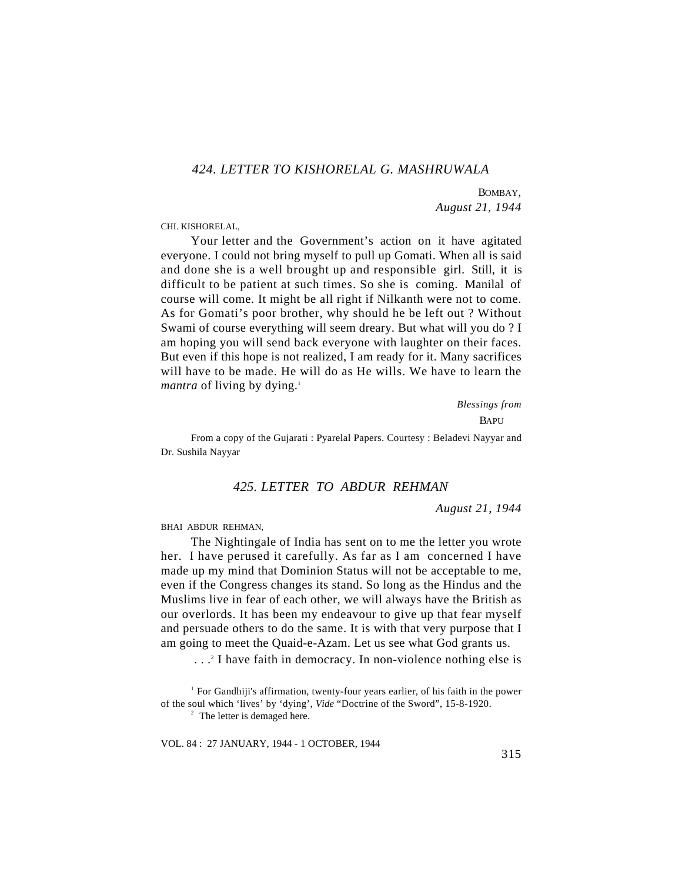## *424. LETTER TO KISHORELAL G. MASHRUWALA*

BOMBAY, *August 21, 1944*

CHI. KISHORELAL,

Your letter and the Government's action on it have agitated everyone. I could not bring myself to pull up Gomati. When all is said and done she is a well brought up and responsible girl. Still, it is difficult to be patient at such times. So she is coming. Manilal of course will come. It might be all right if Nilkanth were not to come. As for Gomati's poor brother, why should he be left out ? Without Swami of course everything will seem dreary. But what will you do ? I am hoping you will send back everyone with laughter on their faces. But even if this hope is not realized, I am ready for it. Many sacrifices will have to be made. He will do as He wills. We have to learn the *mantra* of living by dying.<sup>1</sup>

> *Blessings from* **BAPU**

From a copy of the Gujarati : Pyarelal Papers. Courtesy : Beladevi Nayyar and Dr. Sushila Nayyar

### *425. LETTER TO ABDUR REHMAN*

*August 21, 1944*

BHAI ABDUR REHMAN,

The Nightingale of India has sent on to me the letter you wrote her. I have perused it carefully. As far as I am concerned I have made up my mind that Dominion Status will not be acceptable to me, even if the Congress changes its stand. So long as the Hindus and the Muslims live in fear of each other, we will always have the British as our overlords. It has been my endeavour to give up that fear myself and persuade others to do the same. It is with that very purpose that I am going to meet the Quaid-e-Azam. Let us see what God grants us.

...<sup>2</sup> I have faith in democracy. In non-violence nothing else is

<sup>1</sup> For Gandhiji's affirmation, twenty-four years earlier, of his faith in the power of the soul which 'lives' by 'dying', *Vide* "Doctrine of the Sword", 15-8-1920.

 $2$  The letter is demaged here.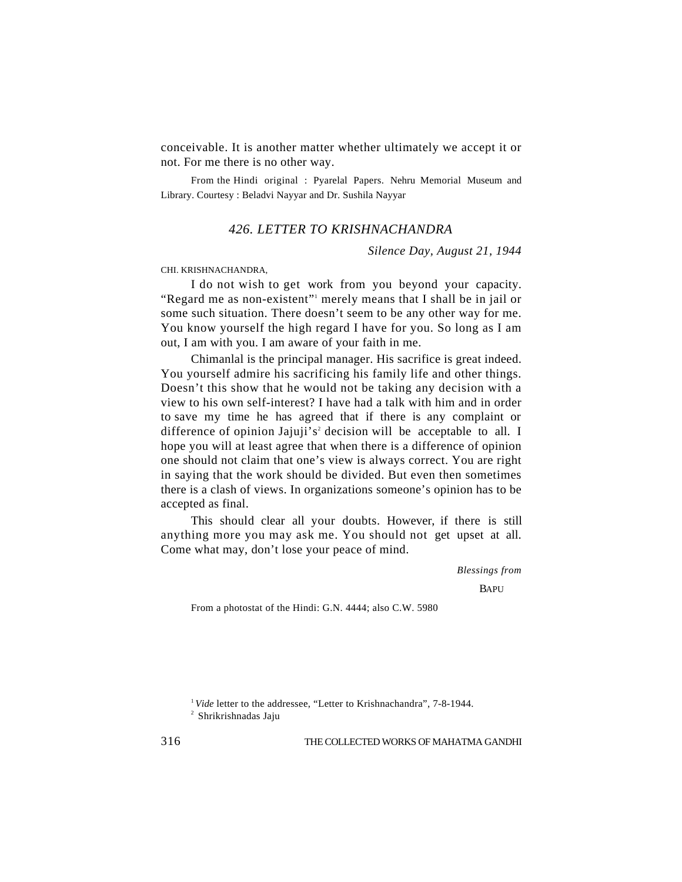conceivable. It is another matter whether ultimately we accept it or not. For me there is no other way.

From the Hindi original : Pyarelal Papers. Nehru Memorial Museum and Library. Courtesy : Beladvi Nayyar and Dr. Sushila Nayyar

# *426. LETTER TO KRISHNACHANDRA*

*Silence Day, August 21, 1944*

CHI. KRISHNACHANDRA,

I do not wish to get work from you beyond your capacity. "Regard me as non-existent" merely means that I shall be in jail or some such situation. There doesn't seem to be any other way for me. You know yourself the high regard I have for you. So long as I am out, I am with you. I am aware of your faith in me.

Chimanlal is the principal manager. His sacrifice is great indeed. You yourself admire his sacrificing his family life and other things. Doesn't this show that he would not be taking any decision with a view to his own self-interest? I have had a talk with him and in order to save my time he has agreed that if there is any complaint or difference of opinion Jajuji's<sup>2</sup> decision will be acceptable to all. I hope you will at least agree that when there is a difference of opinion one should not claim that one's view is always correct. You are right in saying that the work should be divided. But even then sometimes there is a clash of views. In organizations someone's opinion has to be accepted as final.

This should clear all your doubts. However, if there is still anything more you may ask me. You should not get upset at all. Come what may, don't lose your peace of mind.

*Blessings from*

**BAPU** 

From a photostat of the Hindi: G.N. 4444; also C.W. 5980

<sup>&</sup>lt;sup>1</sup> Vide letter to the addressee, "Letter to Krishnachandra", 7-8-1944.

<sup>2</sup> Shrikrishnadas Jaju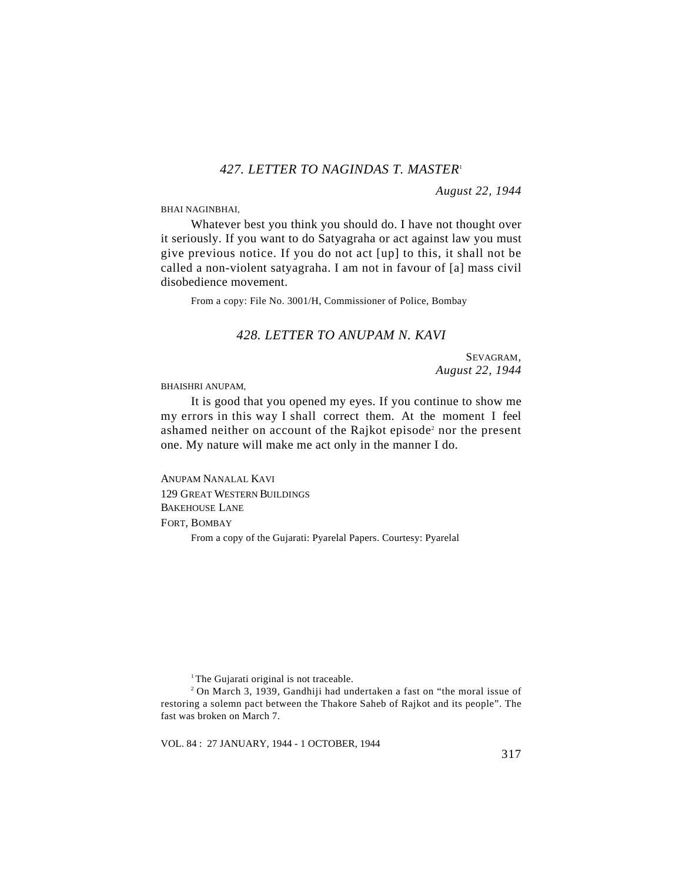## *427. LETTER TO NAGINDAS T. MASTER*<sup>1</sup>

*August 22, 1944*

BHAI NAGINBHAI,

Whatever best you think you should do. I have not thought over it seriously. If you want to do Satyagraha or act against law you must give previous notice. If you do not act [up] to this, it shall not be called a non-violent satyagraha. I am not in favour of [a] mass civil disobedience movement.

From a copy: File No. 3001/H, Commissioner of Police, Bombay

# *428. LETTER TO ANUPAM N. KAVI*

SEVAGRAM, *August 22, 1944*

BHAISHRI ANUPAM,

It is good that you opened my eyes. If you continue to show me my errors in this way I shall correct them. At the moment I feel ashamed neither on account of the Rajkot episode<sup>2</sup> nor the present one. My nature will make me act only in the manner I do.

ANUPAM NANALAL KAVI 129 GREAT WESTERN BUILDINGS BAKEHOUSE LANE FORT, BOMBAY From a copy of the Gujarati: Pyarelal Papers. Courtesy: Pyarelal

 $<sup>1</sup>$ The Gujarati original is not traceable.</sup>

 $2$  On March 3, 1939, Gandhiji had undertaken a fast on "the moral issue of restoring a solemn pact between the Thakore Saheb of Rajkot and its people". The fast was broken on March 7.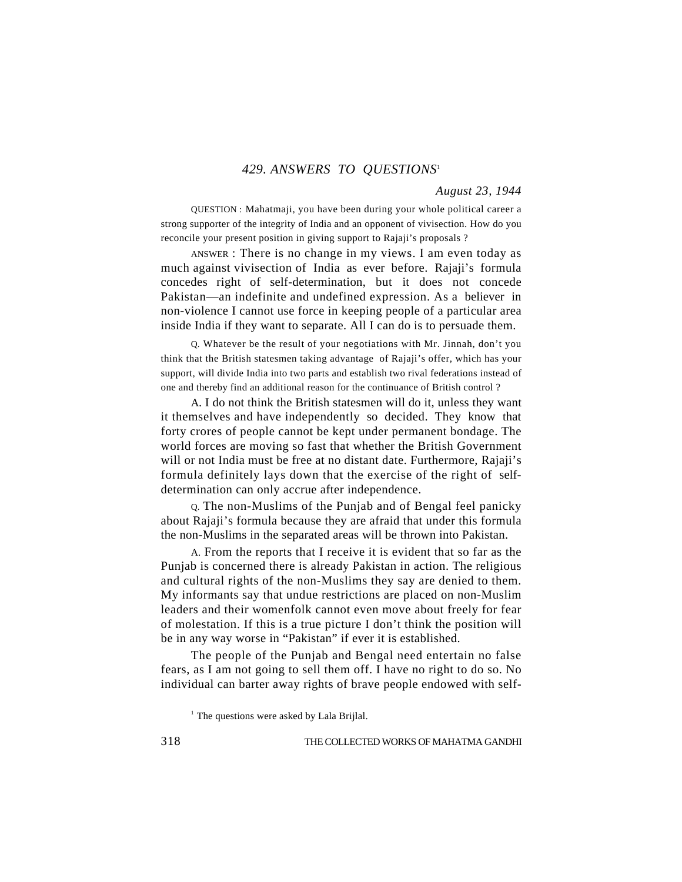## *429. ANSWERS TO QUESTIONS*<sup>1</sup>

#### *August 23, 1944*

QUESTION : Mahatmaji, you have been during your whole political career a strong supporter of the integrity of India and an opponent of vivisection. How do you reconcile your present position in giving support to Rajaji's proposals ?

ANSWER : There is no change in my views. I am even today as much against vivisection of India as ever before. Rajaji's formula concedes right of self-determination, but it does not concede Pakistan—an indefinite and undefined expression. As a believer in non-violence I cannot use force in keeping people of a particular area inside India if they want to separate. All I can do is to persuade them.

Q. Whatever be the result of your negotiations with Mr. Jinnah, don't you think that the British statesmen taking advantage of Rajaji's offer, which has your support, will divide India into two parts and establish two rival federations instead of one and thereby find an additional reason for the continuance of British control ?

A. I do not think the British statesmen will do it, unless they want it themselves and have independently so decided. They know that forty crores of people cannot be kept under permanent bondage. The world forces are moving so fast that whether the British Government will or not India must be free at no distant date. Furthermore, Rajaji's formula definitely lays down that the exercise of the right of selfdetermination can only accrue after independence.

Q. The non-Muslims of the Punjab and of Bengal feel panicky about Rajaji's formula because they are afraid that under this formula the non-Muslims in the separated areas will be thrown into Pakistan.

A. From the reports that I receive it is evident that so far as the Punjab is concerned there is already Pakistan in action. The religious and cultural rights of the non-Muslims they say are denied to them. My informants say that undue restrictions are placed on non-Muslim leaders and their womenfolk cannot even move about freely for fear of molestation. If this is a true picture I don't think the position will be in any way worse in "Pakistan" if ever it is established.

The people of the Punjab and Bengal need entertain no false fears, as I am not going to sell them off. I have no right to do so. No individual can barter away rights of brave people endowed with self-

<sup>1</sup> The questions were asked by Lala Brijlal.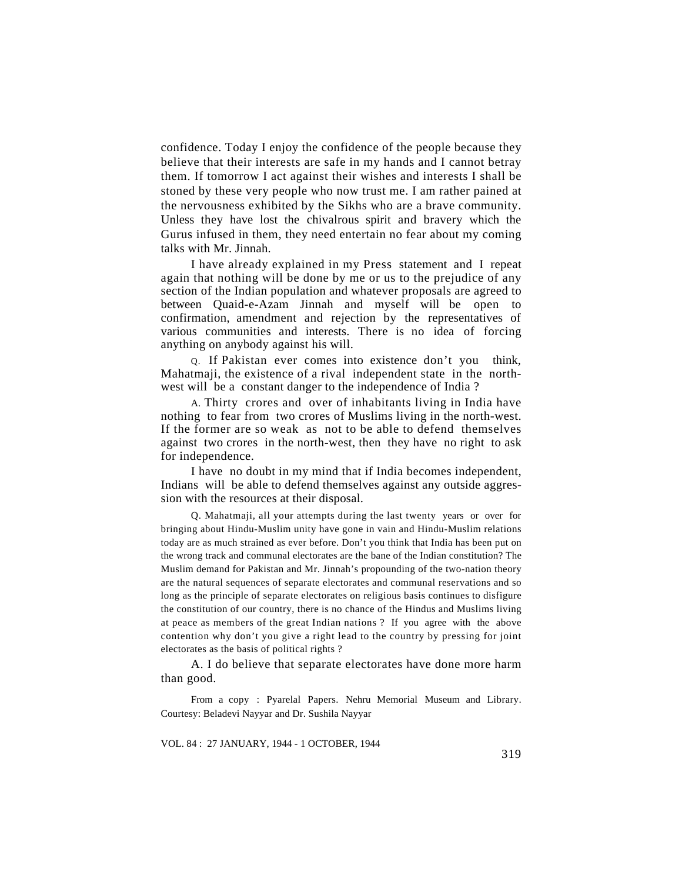confidence. Today I enjoy the confidence of the people because they believe that their interests are safe in my hands and I cannot betray them. If tomorrow I act against their wishes and interests I shall be stoned by these very people who now trust me. I am rather pained at the nervousness exhibited by the Sikhs who are a brave community. Unless they have lost the chivalrous spirit and bravery which the Gurus infused in them, they need entertain no fear about my coming talks with Mr. Jinnah.

I have already explained in my Press statement and I repeat again that nothing will be done by me or us to the prejudice of any section of the Indian population and whatever proposals are agreed to between Quaid-e-Azam Jinnah and myself will be open to confirmation, amendment and rejection by the representatives of various communities and interests. There is no idea of forcing anything on anybody against his will.

Q. If Pakistan ever comes into existence don't you think, Mahatmaji, the existence of a rival independent state in the northwest will be a constant danger to the independence of India ?

A. Thirty crores and over of inhabitants living in India have nothing to fear from two crores of Muslims living in the north-west. If the former are so weak as not to be able to defend themselves against two crores in the north-west, then they have no right to ask for independence.

I have no doubt in my mind that if India becomes independent, Indians will be able to defend themselves against any outside aggression with the resources at their disposal.

Q. Mahatmaji, all your attempts during the last twenty years or over for bringing about Hindu-Muslim unity have gone in vain and Hindu-Muslim relations today are as much strained as ever before. Don't you think that India has been put on the wrong track and communal electorates are the bane of the Indian constitution? The Muslim demand for Pakistan and Mr. Jinnah's propounding of the two-nation theory are the natural sequences of separate electorates and communal reservations and so long as the principle of separate electorates on religious basis continues to disfigure the constitution of our country, there is no chance of the Hindus and Muslims living at peace as members of the great Indian nations ? If you agree with the above contention why don't you give a right lead to the country by pressing for joint electorates as the basis of political rights ?

A. I do believe that separate electorates have done more harm than good.

From a copy : Pyarelal Papers. Nehru Memorial Museum and Library. Courtesy: Beladevi Nayyar and Dr. Sushila Nayyar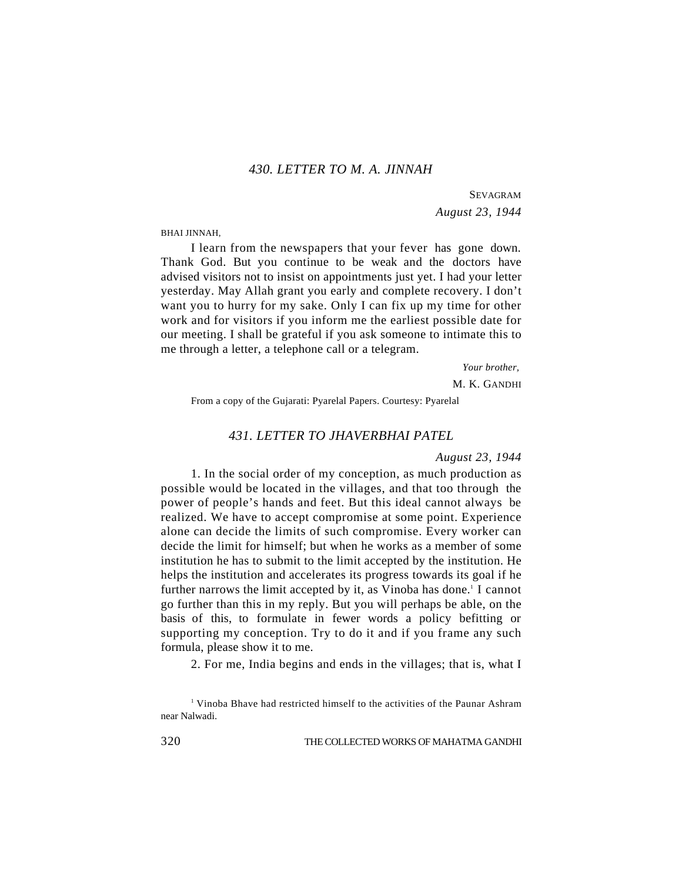SEVAGRAM *August 23, 1944*

#### BHAI JINNAH,

I learn from the newspapers that your fever has gone down. Thank God. But you continue to be weak and the doctors have advised visitors not to insist on appointments just yet. I had your letter yesterday. May Allah grant you early and complete recovery. I don't want you to hurry for my sake. Only I can fix up my time for other work and for visitors if you inform me the earliest possible date for our meeting. I shall be grateful if you ask someone to intimate this to me through a letter, a telephone call or a telegram.

> *Your brother,* M. K. GANDHI

From a copy of the Gujarati: Pyarelal Papers. Courtesy: Pyarelal

#### *431. LETTER TO JHAVERBHAI PATEL*

#### *August 23, 1944*

1. In the social order of my conception, as much production as possible would be located in the villages, and that too through the power of people's hands and feet. But this ideal cannot always be realized. We have to accept compromise at some point. Experience alone can decide the limits of such compromise. Every worker can decide the limit for himself; but when he works as a member of some institution he has to submit to the limit accepted by the institution. He helps the institution and accelerates its progress towards its goal if he further narrows the limit accepted by it, as Vinoba has done.<sup>1</sup> I cannot go further than this in my reply. But you will perhaps be able, on the basis of this, to formulate in fewer words a policy befitting or supporting my conception. Try to do it and if you frame any such formula, please show it to me.

2. For me, India begins and ends in the villages; that is, what I

 $1$  Vinoba Bhave had restricted himself to the activities of the Paunar Ashram near Nalwadi.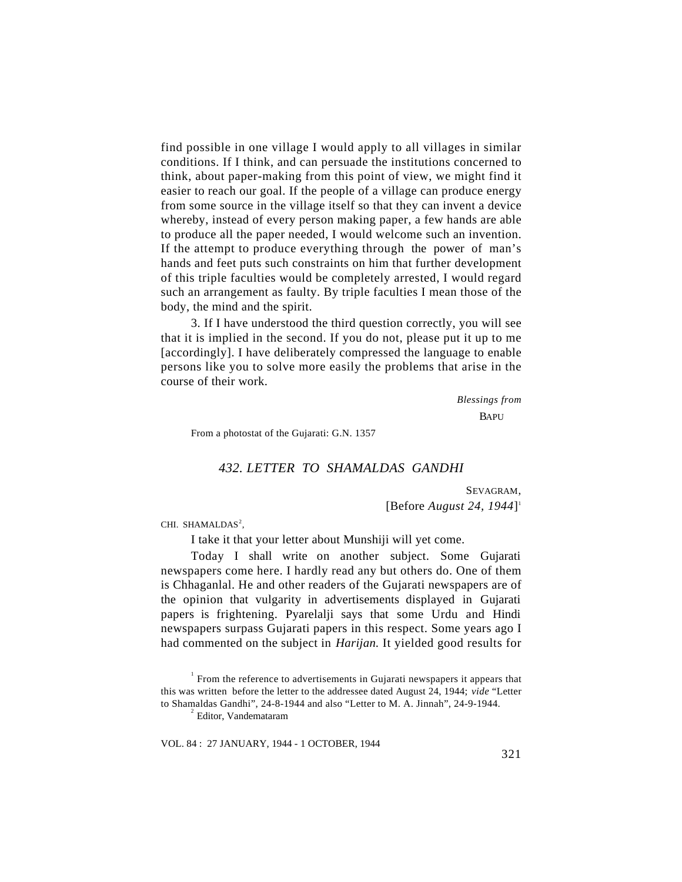find possible in one village I would apply to all villages in similar conditions. If I think, and can persuade the institutions concerned to think, about paper-making from this point of view, we might find it easier to reach our goal. If the people of a village can produce energy from some source in the village itself so that they can invent a device whereby, instead of every person making paper, a few hands are able to produce all the paper needed, I would welcome such an invention. If the attempt to produce everything through the power of man's hands and feet puts such constraints on him that further development of this triple faculties would be completely arrested, I would regard such an arrangement as faulty. By triple faculties I mean those of the body, the mind and the spirit.

3. If I have understood the third question correctly, you will see that it is implied in the second. If you do not, please put it up to me [accordingly]. I have deliberately compressed the language to enable persons like you to solve more easily the problems that arise in the course of their work.

> *Blessings from* **BAPU**

From a photostat of the Gujarati: G.N. 1357

### *432. LETTER TO SHAMALDAS GANDHI*

SEVAGRAM, [Before *August 24, 1944*] 1

CHI. SHAMALDAS $2$ ,

I take it that your letter about Munshiji will yet come.

Today I shall write on another subject. Some Gujarati newspapers come here. I hardly read any but others do. One of them is Chhaganlal. He and other readers of the Gujarati newspapers are of the opinion that vulgarity in advertisements displayed in Gujarati papers is frightening. Pyarelalji says that some Urdu and Hindi newspapers surpass Gujarati papers in this respect. Some years ago I had commented on the subject in *Harijan.* It yielded good results for

<sup>&</sup>lt;sup>1</sup> From the reference to advertisements in Gujarati newspapers it appears that this was written before the letter to the addressee dated August 24, 1944; *vide* "Letter to Shamaldas Gandhi", 24-8-1944 and also "Letter to M. A. Jinnah", 24-9-1944.

Editor, Vandemataram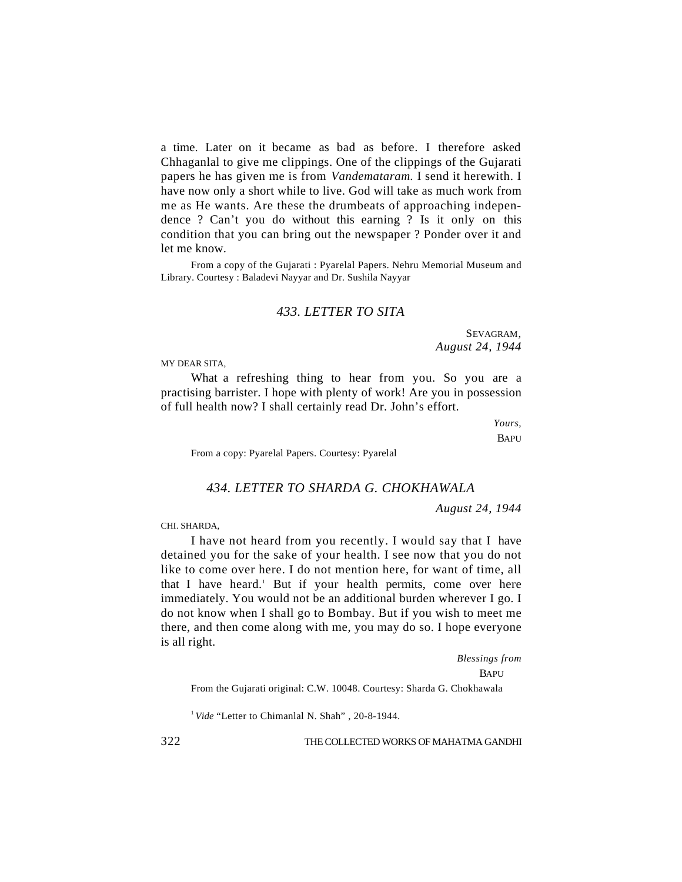a time. Later on it became as bad as before. I therefore asked Chhaganlal to give me clippings. One of the clippings of the Gujarati papers he has given me is from *Vandemataram.* I send it herewith. I have now only a short while to live. God will take as much work from me as He wants. Are these the drumbeats of approaching independence ? Can't you do without this earning ? Is it only on this condition that you can bring out the newspaper ? Ponder over it and let me know.

From a copy of the Gujarati : Pyarelal Papers. Nehru Memorial Museum and Library. Courtesy : Baladevi Nayyar and Dr. Sushila Nayyar

## *433. LETTER TO SITA*

SEVAGRAM, *August 24, 1944*

MY DEAR SITA,

What a refreshing thing to hear from you. So you are a practising barrister. I hope with plenty of work! Are you in possession of full health now? I shall certainly read Dr. John's effort.

> *Yours,* **BAPU**

From a copy: Pyarelal Papers. Courtesy: Pyarelal

#### *434. LETTER TO SHARDA G. CHOKHAWALA*

*August 24, 1944*

CHI. SHARDA,

I have not heard from you recently. I would say that I have detained you for the sake of your health. I see now that you do not like to come over here. I do not mention here, for want of time, all that I have heard.<sup>1</sup> But if your health permits, come over here immediately. You would not be an additional burden wherever I go. I do not know when I shall go to Bombay. But if you wish to meet me there, and then come along with me, you may do so. I hope everyone is all right.

*Blessings from*

**BAPU** 

From the Gujarati original: C.W. 10048. Courtesy: Sharda G. Chokhawala

<sup>1</sup> Vide "Letter to Chimanlal N. Shah", 20-8-1944.

322 THE COLLECTED WORKS OF MAHATMA GANDHI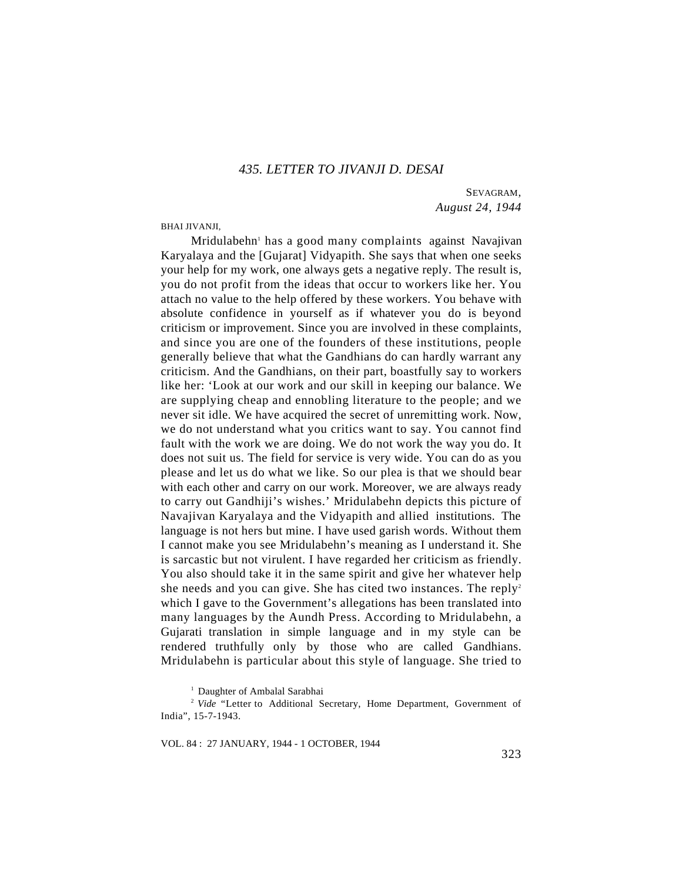## *435. LETTER TO JIVANJI D. DESAI*

SEVAGRAM, *August 24, 1944*

#### BHAI JIVANJI,

Mridulabehn<sup>1</sup> has a good many complaints against Navajivan Karyalaya and the [Gujarat] Vidyapith. She says that when one seeks your help for my work, one always gets a negative reply. The result is, you do not profit from the ideas that occur to workers like her. You attach no value to the help offered by these workers. You behave with absolute confidence in yourself as if whatever you do is beyond criticism or improvement. Since you are involved in these complaints, and since you are one of the founders of these institutions, people generally believe that what the Gandhians do can hardly warrant any criticism. And the Gandhians, on their part, boastfully say to workers like her: 'Look at our work and our skill in keeping our balance. We are supplying cheap and ennobling literature to the people; and we never sit idle. We have acquired the secret of unremitting work. Now, we do not understand what you critics want to say. You cannot find fault with the work we are doing. We do not work the way you do. It does not suit us. The field for service is very wide. You can do as you please and let us do what we like. So our plea is that we should bear with each other and carry on our work. Moreover, we are always ready to carry out Gandhiji's wishes.' Mridulabehn depicts this picture of Navajivan Karyalaya and the Vidyapith and allied institutions. The language is not hers but mine. I have used garish words. Without them I cannot make you see Mridulabehn's meaning as I understand it. She is sarcastic but not virulent. I have regarded her criticism as friendly. You also should take it in the same spirit and give her whatever help she needs and you can give. She has cited two instances. The reply<sup>2</sup> which I gave to the Government's allegations has been translated into many languages by the Aundh Press. According to Mridulabehn, a Gujarati translation in simple language and in my style can be rendered truthfully only by those who are called Gandhians. Mridulabehn is particular about this style of language. She tried to

<sup>1</sup> Daughter of Ambalal Sarabhai

<sup>2</sup> Vide "Letter to Additional Secretary, Home Department, Government of India", 15-7-1943.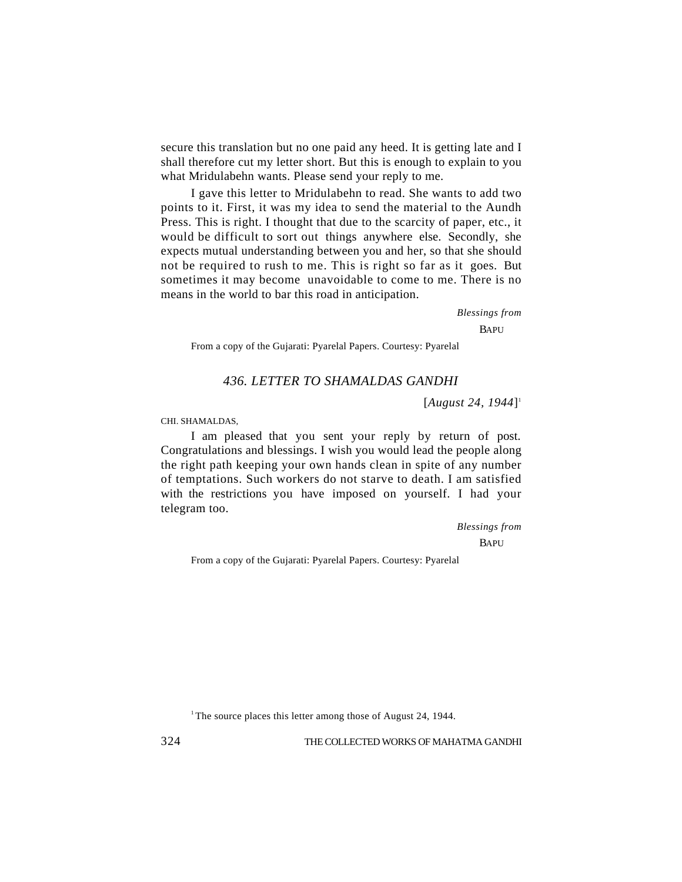secure this translation but no one paid any heed. It is getting late and I shall therefore cut my letter short. But this is enough to explain to you what Mridulabehn wants. Please send your reply to me.

I gave this letter to Mridulabehn to read. She wants to add two points to it. First, it was my idea to send the material to the Aundh Press. This is right. I thought that due to the scarcity of paper, etc., it would be difficult to sort out things anywhere else. Secondly, she expects mutual understanding between you and her, so that she should not be required to rush to me. This is right so far as it goes. But sometimes it may become unavoidable to come to me. There is no means in the world to bar this road in anticipation.

> *Blessings from* BAPU

From a copy of the Gujarati: Pyarelal Papers. Courtesy: Pyarelal

### *436. LETTER TO SHAMALDAS GANDHI*

[*August 24, 1944*] 1

CHI. SHAMALDAS,

I am pleased that you sent your reply by return of post. Congratulations and blessings. I wish you would lead the people along the right path keeping your own hands clean in spite of any number of temptations. Such workers do not starve to death. I am satisfied with the restrictions you have imposed on yourself. I had your telegram too.

*Blessings from*

**BAPU** 

From a copy of the Gujarati: Pyarelal Papers. Courtesy: Pyarelal

<sup>1</sup> The source places this letter among those of August 24, 1944.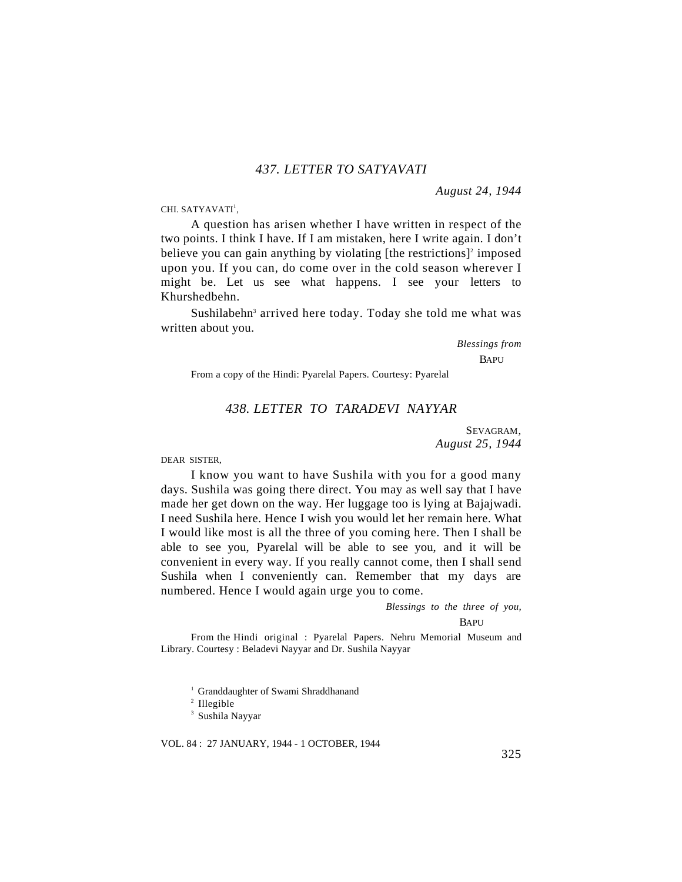*August 24, 1944*

CHI. SATYAVATI<sup>1</sup>,

A question has arisen whether I have written in respect of the two points. I think I have. If I am mistaken, here I write again. I don't believe you can gain anything by violating [the restrictions]<sup>2</sup> imposed upon you. If you can, do come over in the cold season wherever I might be. Let us see what happens. I see your letters to Khurshedbehn.

Sushilabehn<sup>3</sup> arrived here today. Today she told me what was written about you.

*Blessings from*

**BAPU** 

From a copy of the Hindi: Pyarelal Papers. Courtesy: Pyarelal

## *438. LETTER TO TARADEVI NAYYAR*

SEVAGRAM, *August 25, 1944*

DEAR SISTER,

I know you want to have Sushila with you for a good many days. Sushila was going there direct. You may as well say that I have made her get down on the way. Her luggage too is lying at Bajajwadi. I need Sushila here. Hence I wish you would let her remain here. What I would like most is all the three of you coming here. Then I shall be able to see you, Pyarelal will be able to see you, and it will be convenient in every way. If you really cannot come, then I shall send Sushila when I conveniently can. Remember that my days are numbered. Hence I would again urge you to come.

*Blessings to the three of you,*

**BAPU** 

From the Hindi original : Pyarelal Papers. Nehru Memorial Museum and Library. Courtesy : Beladevi Nayyar and Dr. Sushila Nayyar

<sup>1</sup> Granddaughter of Swami Shraddhanand

 $2$  Illegible

3 Sushila Nayyar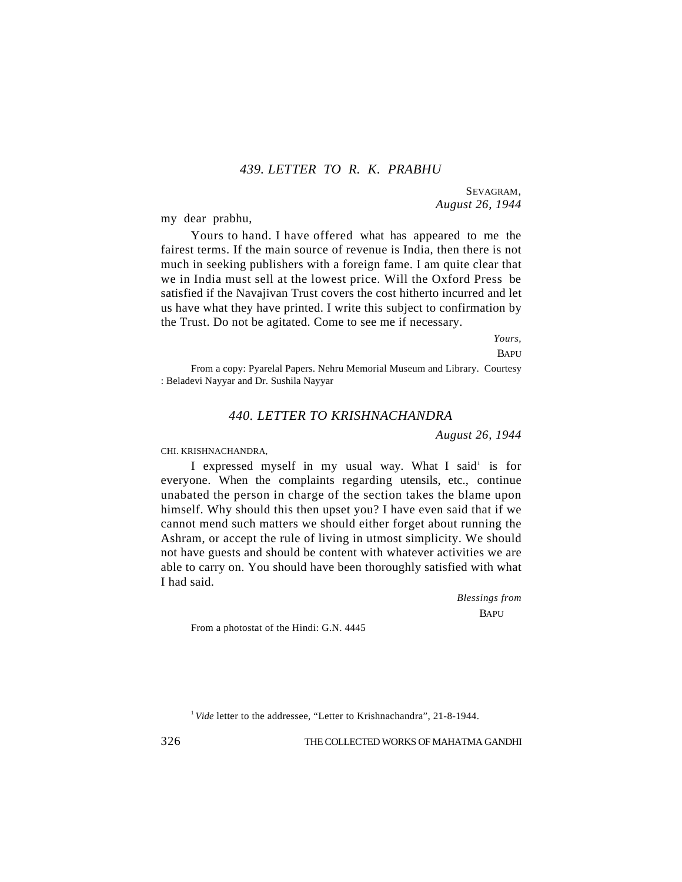### *439. LETTER TO R. K. PRABHU*

SEVAGRAM, *August 26, 1944*

my dear prabhu,

Yours to hand. I have offered what has appeared to me the fairest terms. If the main source of revenue is India, then there is not much in seeking publishers with a foreign fame. I am quite clear that we in India must sell at the lowest price. Will the Oxford Press be satisfied if the Navajivan Trust covers the cost hitherto incurred and let us have what they have printed. I write this subject to confirmation by the Trust. Do not be agitated. Come to see me if necessary.

*Yours,*

**BAPU** 

From a copy: Pyarelal Papers. Nehru Memorial Museum and Library. Courtesy : Beladevi Nayyar and Dr. Sushila Nayyar

#### *440. LETTER TO KRISHNACHANDRA*

*August 26, 1944*

CHI. KRISHNACHANDRA,

I expressed myself in my usual way. What I said<sup>1</sup> is for everyone. When the complaints regarding utensils, etc., continue unabated the person in charge of the section takes the blame upon himself. Why should this then upset you? I have even said that if we cannot mend such matters we should either forget about running the Ashram, or accept the rule of living in utmost simplicity. We should not have guests and should be content with whatever activities we are able to carry on. You should have been thoroughly satisfied with what I had said.

> *Blessings from* **BAPU**

From a photostat of the Hindi: G.N. 4445

<sup>1</sup> Vide letter to the addressee, "Letter to Krishnachandra", 21-8-1944.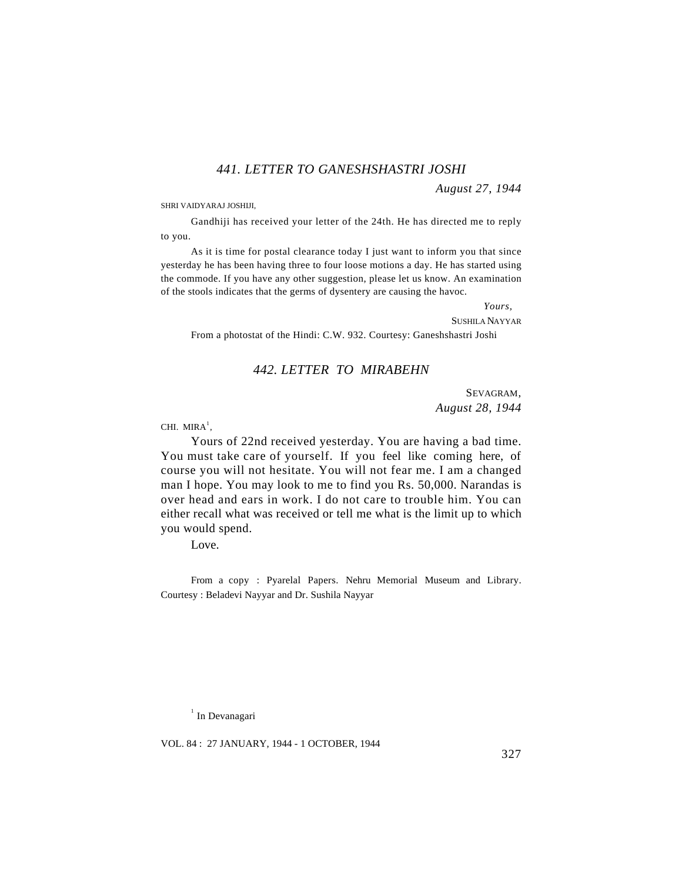*August 27, 1944*

SHRI VAIDYARAJ JOSHIJI,

Gandhiji has received your letter of the 24th. He has directed me to reply to you.

As it is time for postal clearance today I just want to inform you that since yesterday he has been having three to four loose motions a day. He has started using the commode. If you have any other suggestion, please let us know. An examination of the stools indicates that the germs of dysentery are causing the havoc.

> *Yours,*  SUSHILA NAYYAR

From a photostat of the Hindi: C.W. 932. Courtesy: Ganeshshastri Joshi

# *442. LETTER TO MIRABEHN*

SEVAGRAM, *August 28, 1944*

CHI. MIRA<sup>1</sup>,

Yours of 22nd received yesterday. You are having a bad time. You must take care of yourself. If you feel like coming here, of course you will not hesitate. You will not fear me. I am a changed man I hope. You may look to me to find you Rs. 50,000. Narandas is over head and ears in work. I do not care to trouble him. You can either recall what was received or tell me what is the limit up to which you would spend.

Love.

From a copy : Pyarelal Papers. Nehru Memorial Museum and Library. Courtesy : Beladevi Nayyar and Dr. Sushila Nayyar

<sup>1</sup> In Devanagari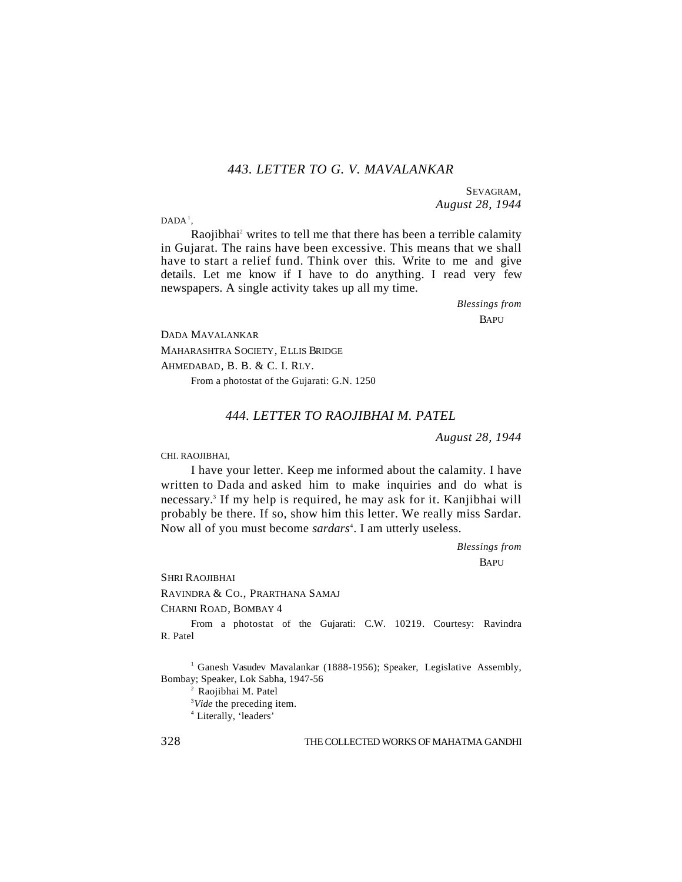### *443. LETTER TO G. V. MAVALANKAR*

SEVAGRAM, *August 28, 1944*

 $\text{DADA}^1$ ,

Raojibhai<sup>2</sup> writes to tell me that there has been a terrible calamity in Gujarat. The rains have been excessive. This means that we shall have to start a relief fund. Think over this. Write to me and give details. Let me know if I have to do anything. I read very few newspapers. A single activity takes up all my time.

> *Blessings from* **BAPU**

DADA MAVALANKAR

MAHARASHTRA SOCIETY, ELLIS BRIDGE

AHMEDABAD, B. B. & C. I. RLY.

From a photostat of the Gujarati: G.N. 1250

#### *444. LETTER TO RAOJIBHAI M. PATEL*

*August 28, 1944*

CHI. RAOJIBHAI,

I have your letter. Keep me informed about the calamity. I have written to Dada and asked him to make inquiries and do what is necessary.<sup>3</sup> If my help is required, he may ask for it. Kanjibhai will probably be there. If so, show him this letter. We really miss Sardar. Now all of you must become *sardars<sup>4</sup>*. I am utterly useless.

> *Blessings from* **BAPU**

SHRI RAOJIBHAI

RAVINDRA & CO., PRARTHANA SAMAJ

CHARNI ROAD, BOMBAY 4

From a photostat of the Gujarati: C.W. 10219. Courtesy: Ravindra R. Patel

<sup>1</sup> Ganesh Vasudev Mavalankar (1888-1956); Speaker, Legislative Assembly, Bombay; Speaker, Lok Sabha, 1947-56

<sup>2</sup> Raojibhai M. Patel

<sup>3</sup>*Vide* the preceding item.

4 Literally, 'leaders'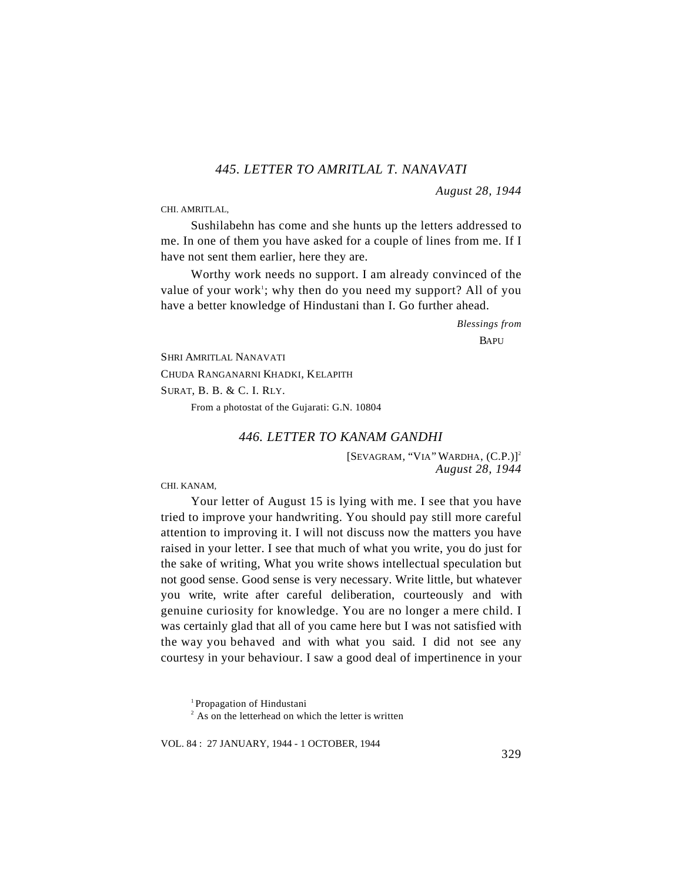*August 28, 1944*

CHI. AMRITLAL,

Sushilabehn has come and she hunts up the letters addressed to me. In one of them you have asked for a couple of lines from me. If I have not sent them earlier, here they are.

Worthy work needs no support. I am already convinced of the value of your work<sup>1</sup>; why then do you need my support? All of you have a better knowledge of Hindustani than I. Go further ahead.

> *Blessings from* **BAPU**

SHRI AMRITLAL NANAVATI

CHUDA RANGANARNI KHADKI, KELAPITH

SURAT, B. B. & C. I. RLY.

From a photostat of the Gujarati: G.N. 10804

# *446. LETTER TO KANAM GANDHI*

[SEVAGRAM, "VIA"WARDHA, (C.P.)]<sup>2</sup> *August 28, 1944*

CHI. KANAM,

Your letter of August 15 is lying with me. I see that you have tried to improve your handwriting. You should pay still more careful attention to improving it. I will not discuss now the matters you have raised in your letter. I see that much of what you write, you do just for the sake of writing, What you write shows intellectual speculation but not good sense. Good sense is very necessary. Write little, but whatever you write, write after careful deliberation, courteously and with genuine curiosity for knowledge. You are no longer a mere child. I was certainly glad that all of you came here but I was not satisfied with the way you behaved and with what you said. I did not see any courtesy in your behaviour. I saw a good deal of impertinence in your

<sup>1</sup>Propagation of Hindustani

 $2^2$  As on the letterhead on which the letter is written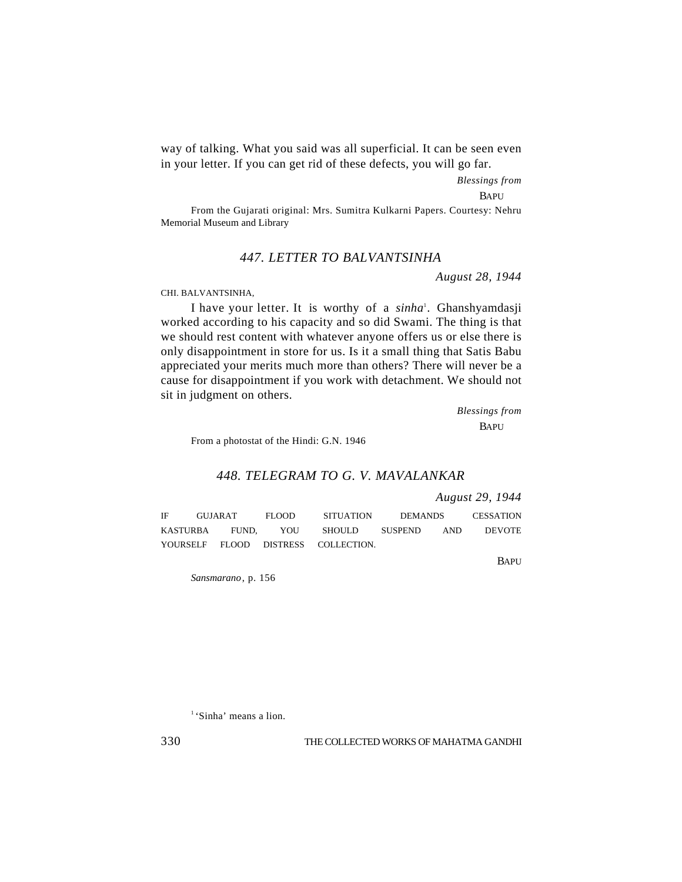way of talking. What you said was all superficial. It can be seen even in your letter. If you can get rid of these defects, you will go far.

*Blessings from*

**BAPU** 

From the Gujarati original: Mrs. Sumitra Kulkarni Papers. Courtesy: Nehru Memorial Museum and Library

## *447. LETTER TO BALVANTSINHA*

*August 28, 1944*

#### CHI. BALVANTSINHA,

I have your letter. It is worthy of a *sinha*<sup>1</sup>. Ghanshyamdasji worked according to his capacity and so did Swami. The thing is that we should rest content with whatever anyone offers us or else there is only disappointment in store for us. Is it a small thing that Satis Babu appreciated your merits much more than others? There will never be a cause for disappointment if you work with detachment. We should not sit in judgment on others.

> *Blessings from* BAPU

From a photostat of the Hindi: G.N. 1946

#### *448. TELEGRAM TO G. V. MAVALANKAR*

*August 29, 1944*

IF GUJARAT FLOOD SITUATION DEMANDS CESSATION KASTURBA FUND, YOU SHOULD SUSPEND AND DEVOTE YOURSELF FLOOD DISTRESS COLLECTION.

**BAPU** 

*Sansmarano*, p. 156

 $<sup>1</sup>$  'Sinha' means a lion.</sup>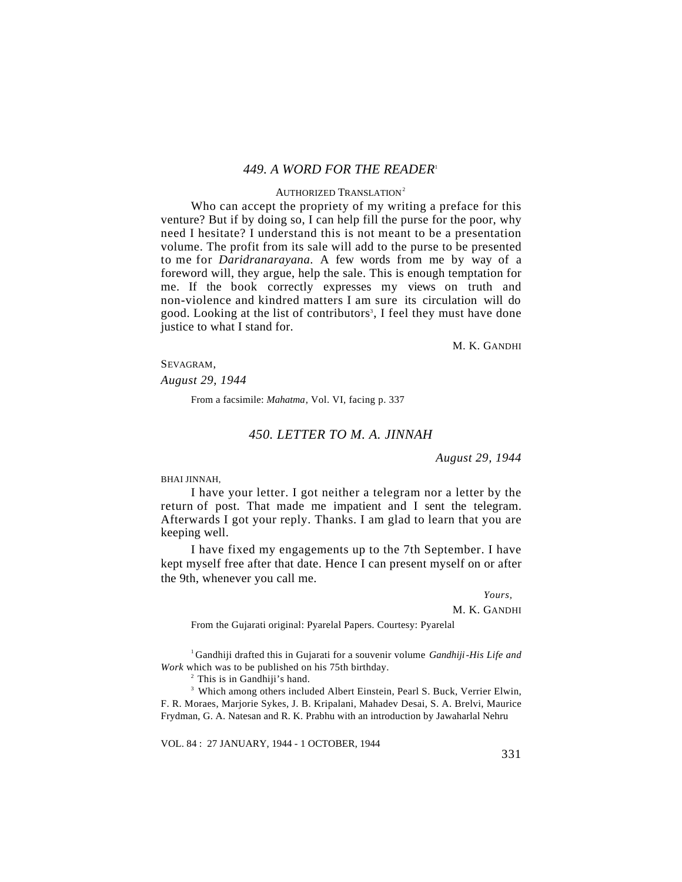### *449. A WORD FOR THE READER*<sup>1</sup>

#### AUTHORIZED TRANSLATION<sup>2</sup>

Who can accept the propriety of my writing a preface for this venture? But if by doing so, I can help fill the purse for the poor, why need I hesitate? I understand this is not meant to be a presentation volume. The profit from its sale will add to the purse to be presented to me for *Daridranarayana*. A few words from me by way of a foreword will, they argue, help the sale. This is enough temptation for me. If the book correctly expresses my views on truth and non-violence and kindred matters I am sure its circulation will do good. Looking at the list of contributors<sup>3</sup>, I feel they must have done justice to what I stand for.

M. K. GANDHI

SEVAGRAM, *August 29, 1944*

From a facsimile: *Mahatma*, Vol. VI, facing p. 337

#### *450. LETTER TO M. A. JINNAH*

*August 29, 1944*

BHAI JINNAH,

I have your letter. I got neither a telegram nor a letter by the return of post. That made me impatient and I sent the telegram. Afterwards I got your reply. Thanks. I am glad to learn that you are keeping well.

I have fixed my engagements up to the 7th September. I have kept myself free after that date. Hence I can present myself on or after the 9th, whenever you call me.

*Yours,* 

M. K. GANDHI

From the Gujarati original: Pyarelal Papers. Courtesy: Pyarelal

<sup>1</sup>Gandhiji drafted this in Gujarati for a souvenir volume *Gandhiji*-*His Life and Work* which was to be published on his 75th birthday.

<sup>2</sup> This is in Gandhiji's hand.

<sup>3</sup> Which among others included Albert Einstein, Pearl S. Buck, Verrier Elwin, F. R. Moraes, Marjorie Sykes, J. B. Kripalani, Mahadev Desai, S. A. Brelvi, Maurice Frydman, G. A. Natesan and R. K. Prabhu with an introduction by Jawaharlal Nehru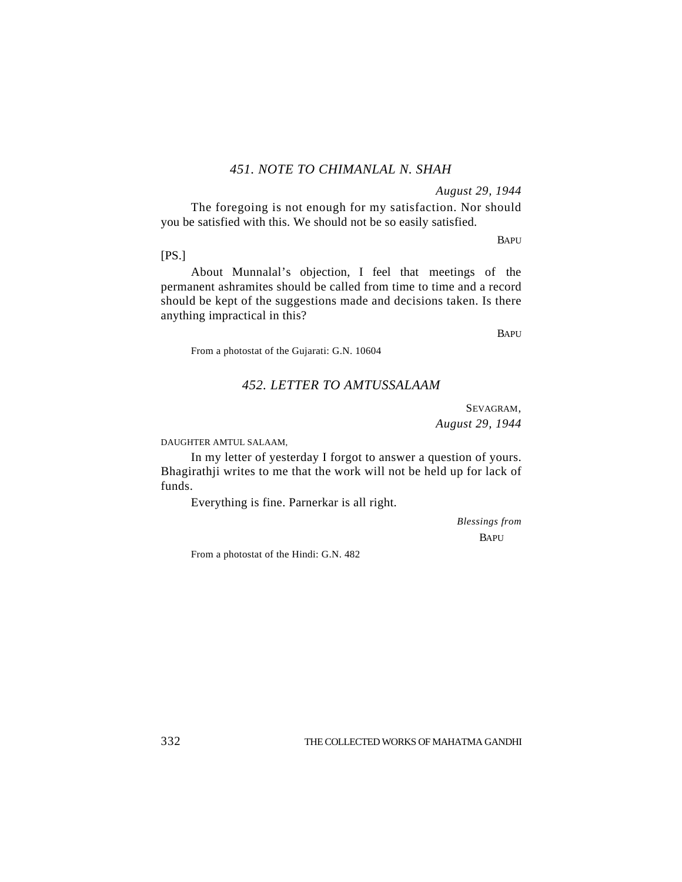# *451. NOTE TO CHIMANLAL N. SHAH*

*August 29, 1944*

The foregoing is not enough for my satisfaction. Nor should you be satisfied with this. We should not be so easily satisfied.

 $[PS.]$ 

About Munnalal's objection, I feel that meetings of the permanent ashramites should be called from time to time and a record should be kept of the suggestions made and decisions taken. Is there anything impractical in this?

**BAPU** 

**BAPU** 

From a photostat of the Gujarati: G.N. 10604

# *452. LETTER TO AMTUSSALAAM*

SEVAGRAM, *August 29, 1944*

DAUGHTER AMTUL SALAAM,

In my letter of yesterday I forgot to answer a question of yours. Bhagirathji writes to me that the work will not be held up for lack of funds.

Everything is fine. Parnerkar is all right.

*Blessings from* **BAPU** 

From a photostat of the Hindi: G.N. 482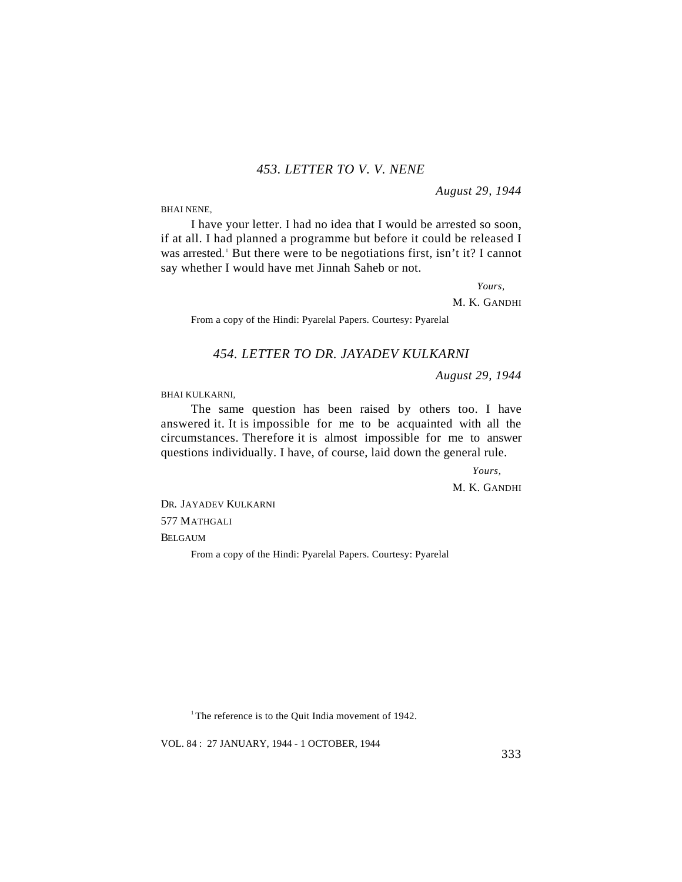### *453. LETTER TO V. V. NENE*

*August 29, 1944*

BHAI NENE,

I have your letter. I had no idea that I would be arrested so soon, if at all. I had planned a programme but before it could be released I was arrested.<sup>1</sup> But there were to be negotiations first, isn't it? I cannot say whether I would have met Jinnah Saheb or not.

*Yours,*

M. K. GANDHI

From a copy of the Hindi: Pyarelal Papers. Courtesy: Pyarelal

#### *454. LETTER TO DR. JAYADEV KULKARNI*

*August 29, 1944*

BHAI KULKARNI,

The same question has been raised by others too. I have answered it. It is impossible for me to be acquainted with all the circumstances. Therefore it is almost impossible for me to answer questions individually. I have, of course, laid down the general rule.

> *Yours,*  M. K. GANDHI

DR. JAYADEV KULKARNI 577 MATHGALI **BELGAUM** 

From a copy of the Hindi: Pyarelal Papers. Courtesy: Pyarelal

<sup>1</sup> The reference is to the Quit India movement of 1942.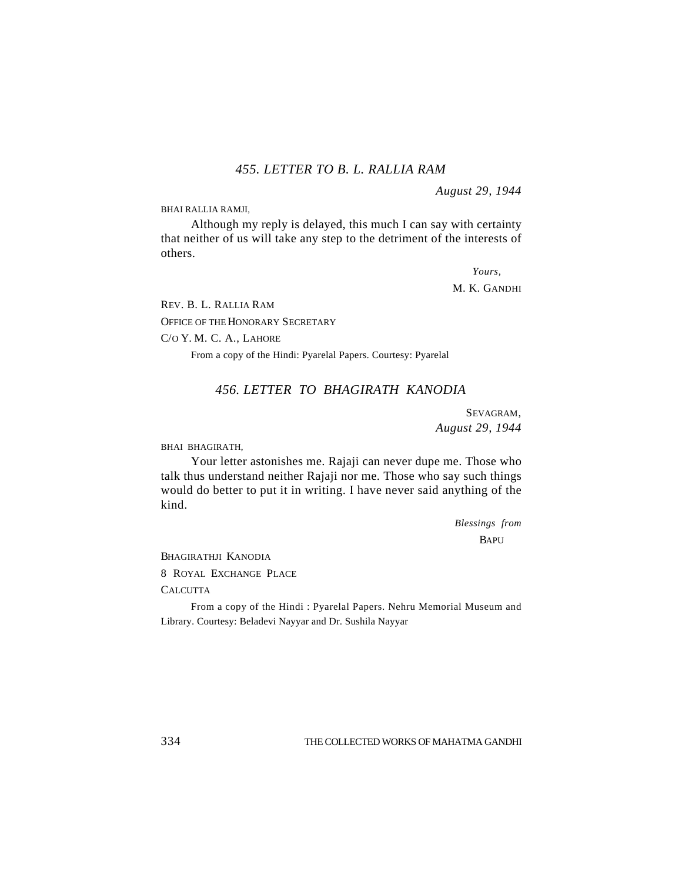*August 29, 1944*

BHAI RALLIA RAMJI,

Although my reply is delayed, this much I can say with certainty that neither of us will take any step to the detriment of the interests of others.

> *Yours,*  M. K. GANDHI

REV. B. L. RALLIA RAM OFFICE OF THE HONORARY SECRETARY C/O Y. M. C. A., LAHORE

From a copy of the Hindi: Pyarelal Papers. Courtesy: Pyarelal

# *456. LETTER TO BHAGIRATH KANODIA*

SEVAGRAM, *August 29, 1944*

BHAI BHAGIRATH,

Your letter astonishes me. Rajaji can never dupe me. Those who talk thus understand neither Rajaji nor me. Those who say such things would do better to put it in writing. I have never said anything of the kind.

> *Blessings from* **BAPU**

BHAGIRATHJI KANODIA

8 ROYAL EXCHANGE PLACE

**CALCUTTA** 

From a copy of the Hindi : Pyarelal Papers. Nehru Memorial Museum and Library. Courtesy: Beladevi Nayyar and Dr. Sushila Nayyar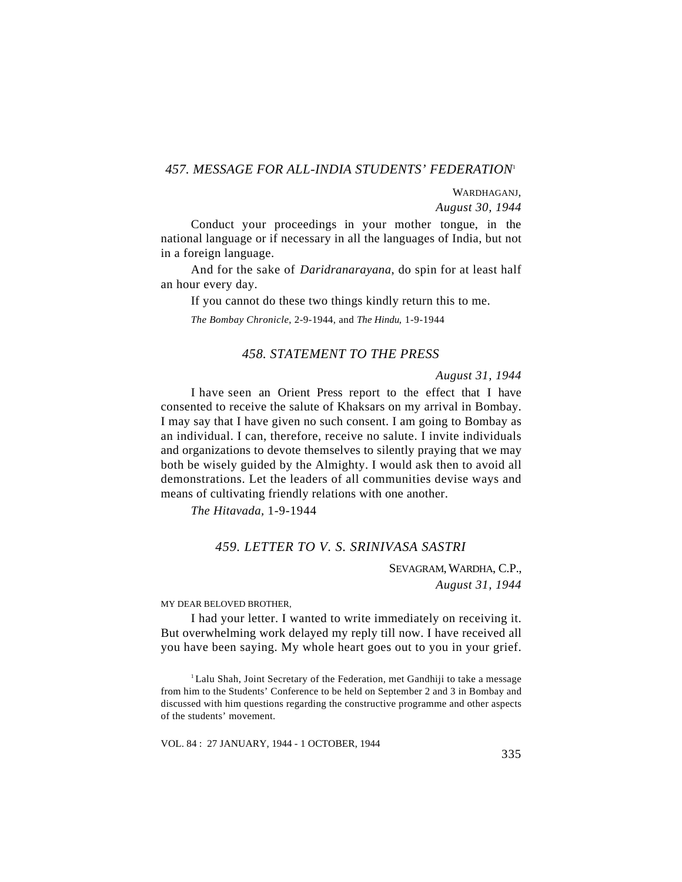WARDHAGANJ, *August 30, 1944*

Conduct your proceedings in your mother tongue, in the national language or if necessary in all the languages of India, but not in a foreign language.

And for the sake of *Daridranarayana*, do spin for at least half an hour every day.

If you cannot do these two things kindly return this to me.

*The Bombay Chronicle*, 2-9-1944, and *The Hindu*, 1-9-1944

### *458. STATEMENT TO THE PRESS*

#### *August 31, 1944*

I have seen an Orient Press report to the effect that I have consented to receive the salute of Khaksars on my arrival in Bombay. I may say that I have given no such consent. I am going to Bombay as an individual. I can, therefore, receive no salute. I invite individuals and organizations to devote themselves to silently praying that we may both be wisely guided by the Almighty. I would ask then to avoid all demonstrations. Let the leaders of all communities devise ways and means of cultivating friendly relations with one another.

*The Hitavada,* 1-9-1944

# *459. LETTER TO V. S. SRINIVASA SASTRI*

SEVAGRAM, WARDHA, C.P., *August 31, 1944*

MY DEAR BELOVED BROTHER,

I had your letter. I wanted to write immediately on receiving it. But overwhelming work delayed my reply till now. I have received all you have been saying. My whole heart goes out to you in your grief.

 $1$ Lalu Shah, Joint Secretary of the Federation, met Gandhiji to take a message from him to the Students' Conference to be held on September 2 and 3 in Bombay and discussed with him questions regarding the constructive programme and other aspects of the students' movement.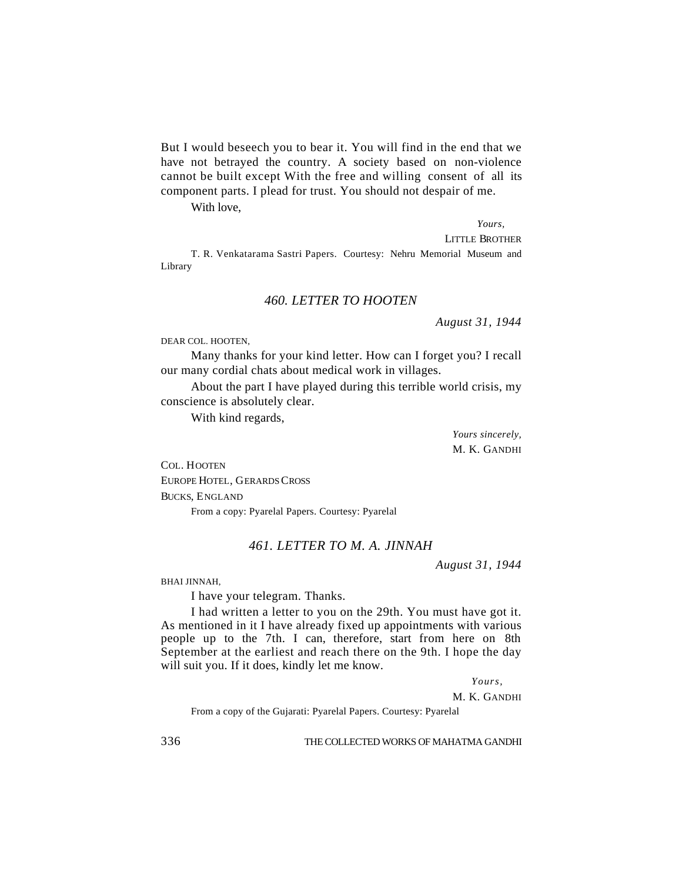But I would beseech you to bear it. You will find in the end that we have not betrayed the country. A society based on non-violence cannot be built except With the free and willing consent of all its component parts. I plead for trust. You should not despair of me.

With love,

*Yours,*

LITTLE BROTHER

T. R. Venkatarama Sastri Papers. Courtesy: Nehru Memorial Museum and Library

## *460. LETTER TO HOOTEN*

*August 31, 1944*

DEAR COL. HOOTEN,

Many thanks for your kind letter. How can I forget you? I recall our many cordial chats about medical work in villages.

About the part I have played during this terrible world crisis, my conscience is absolutely clear.

With kind regards,

*Yours sincerely,* M. K. GANDHI

COL. HOOTEN EUROPE HOTEL, GERARDS CROSS BUCKS, ENGLAND From a copy: Pyarelal Papers. Courtesy: Pyarelal

# *461. LETTER TO M. A. JINNAH*

*August 31, 1944*

BHAI JINNAH,

I have your telegram. Thanks.

I had written a letter to you on the 29th. You must have got it. As mentioned in it I have already fixed up appointments with various people up to the 7th. I can, therefore, start from here on 8th September at the earliest and reach there on the 9th. I hope the day will suit you. If it does, kindly let me know.

*Yours,* 

M. K. GANDHI

From a copy of the Gujarati: Pyarelal Papers. Courtesy: Pyarelal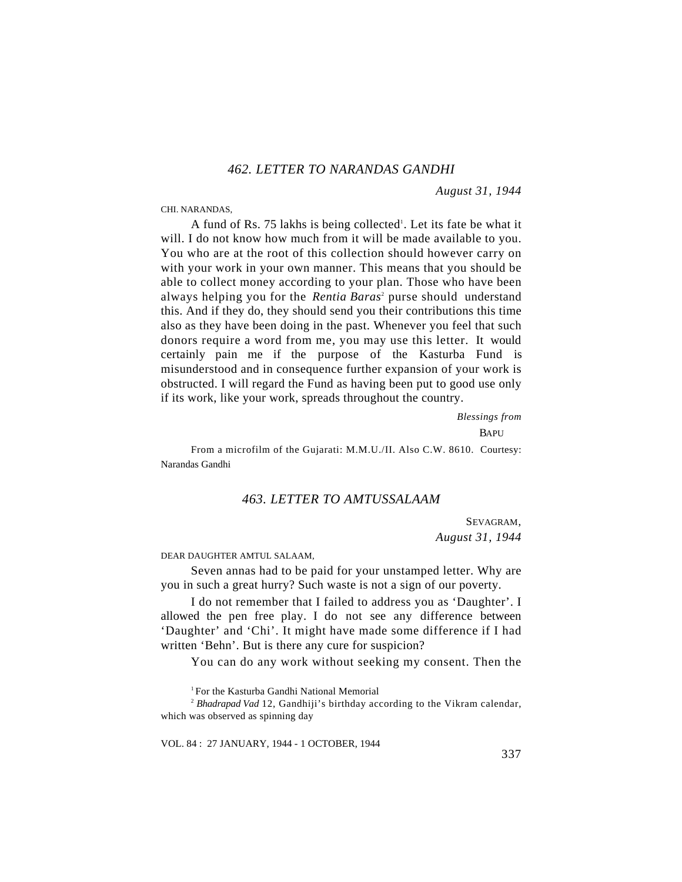### *462. LETTER TO NARANDAS GANDHI*

*August 31, 1944*

CHI. NARANDAS,

A fund of Rs. 75 lakhs is being collected<sup>1</sup>. Let its fate be what it will. I do not know how much from it will be made available to you. You who are at the root of this collection should however carry on with your work in your own manner. This means that you should be able to collect money according to your plan. Those who have been always helping you for the *Rentia Baras*<sup>2</sup> purse should understand this. And if they do, they should send you their contributions this time also as they have been doing in the past. Whenever you feel that such donors require a word from me, you may use this letter. It would certainly pain me if the purpose of the Kasturba Fund is misunderstood and in consequence further expansion of your work is obstructed. I will regard the Fund as having been put to good use only if its work, like your work, spreads throughout the country.

*Blessings from*

**BAPU** 

From a microfilm of the Gujarati: M.M.U./II. Also C.W. 8610. Courtesy: Narandas Gandhi

### *463. LETTER TO AMTUSSALAAM*

SEVAGRAM, *August 31, 1944*

DEAR DAUGHTER AMTUL SALAAM,

Seven annas had to be paid for your unstamped letter. Why are you in such a great hurry? Such waste is not a sign of our poverty.

I do not remember that I failed to address you as 'Daughter'. I allowed the pen free play. I do not see any difference between 'Daughter' and 'Chi'. It might have made some difference if I had written 'Behn'. But is there any cure for suspicion?

You can do any work without seeking my consent. Then the

<sup>1</sup> For the Kasturba Gandhi National Memorial

<sup>2</sup>*Bhadrapad Vad* 12, Gandhiji's birthday according to the Vikram calendar, which was observed as spinning day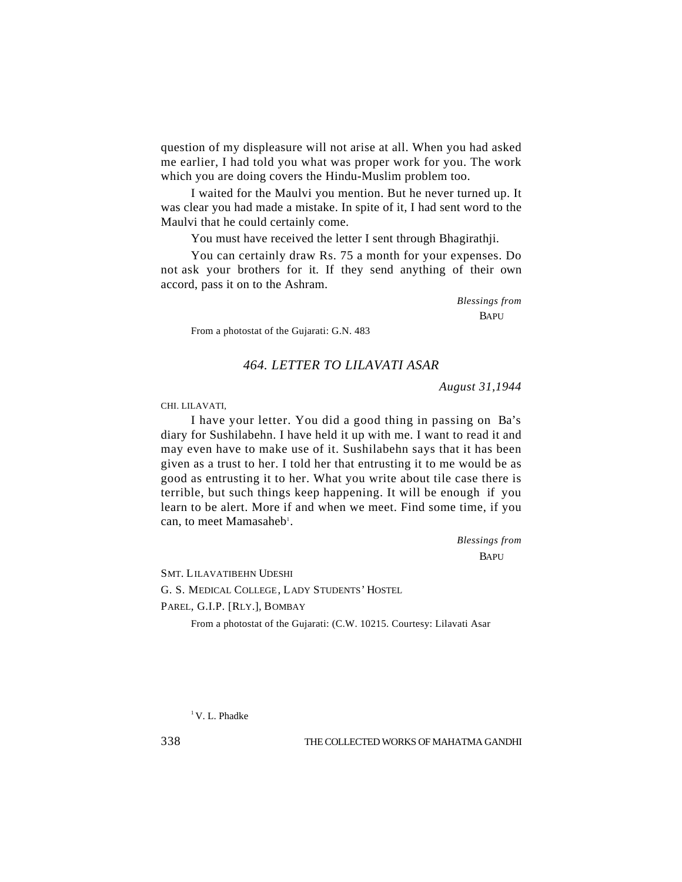question of my displeasure will not arise at all. When you had asked me earlier, I had told you what was proper work for you. The work which you are doing covers the Hindu-Muslim problem too.

I waited for the Maulvi you mention. But he never turned up. It was clear you had made a mistake. In spite of it, I had sent word to the Maulvi that he could certainly come.

You must have received the letter I sent through Bhagirathji.

You can certainly draw Rs. 75 a month for your expenses. Do not ask your brothers for it. If they send anything of their own accord, pass it on to the Ashram.

> *Blessings from* **BAPU**

From a photostat of the Gujarati: G.N. 483

### *464. LETTER TO LILAVATI ASAR*

*August 31,1944*

CHI. LILAVATI,

I have your letter. You did a good thing in passing on Ba's diary for Sushilabehn. I have held it up with me. I want to read it and may even have to make use of it. Sushilabehn says that it has been given as a trust to her. I told her that entrusting it to me would be as good as entrusting it to her. What you write about tile case there is terrible, but such things keep happening. It will be enough if you learn to be alert. More if and when we meet. Find some time, if you can, to meet Mamasaheb<sup>1</sup>.

> *Blessings from* **BAPU**

SMT. LILAVATIBEHN UDESHI

G. S. MEDICAL COLLEGE, LADY STUDENTS' HOSTEL

PAREL, G.I.P. [RLY.], BOMBAY

From a photostat of the Gujarati: (C.W. 10215. Courtesy: Lilavati Asar

 $1$  V. L. Phadke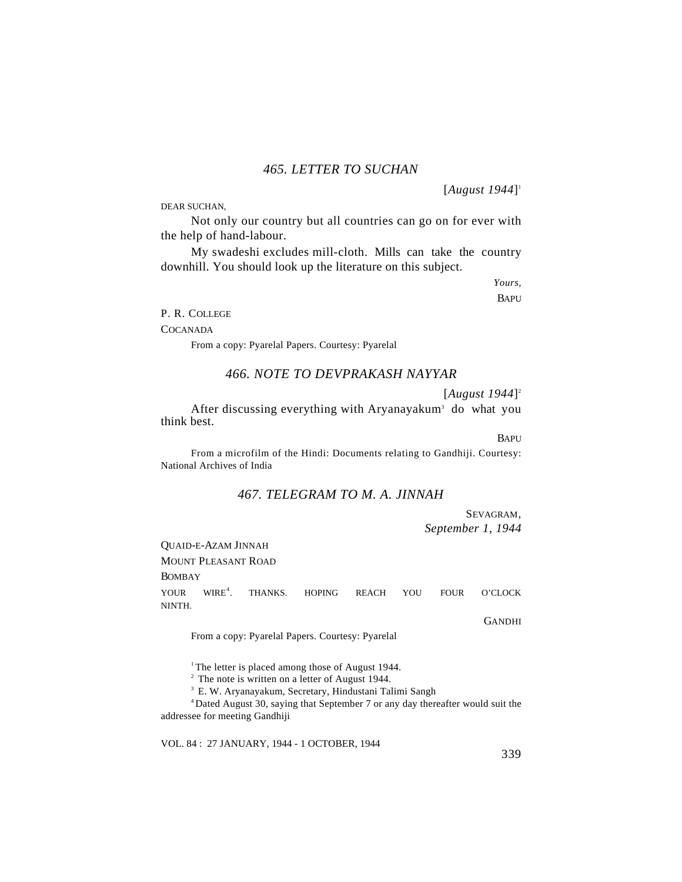[*August 1944*] 1

DEAR SUCHAN,

Not only our country but all countries can go on for ever with the help of hand-labour.

My swadeshi excludes mill-cloth. Mills can take the country downhill. You should look up the literature on this subject.

> *Yours,* **BAPU**

P. R. COLLEGE

COCANADA

From a copy: Pyarelal Papers. Courtesy: Pyarelal

## *466. NOTE TO DEVPRAKASH NAYYAR*

[*August 1944*] 2

After discussing everything with Aryanayakum<sup>3</sup> do what you think best.

**BAPU** 

From a microfilm of the Hindi: Documents relating to Gandhiji. Courtesy: National Archives of India

## *467. TELEGRAM TO M. A. JINNAH*

SEVAGRAM, *September 1, 1944*

QUAID-E-AZAM JINNAH

MOUNT PLEASANT ROAD

**BOMBAY** 

YOUR WIRE<sup>4</sup>. THANKS. HOPING REACH YOU FOUR O'CLOCK NINTH.

**GANDHI** 

From a copy: Pyarelal Papers. Courtesy: Pyarelal

<sup>1</sup>The letter is placed among those of August 1944.

 $2$  The note is written on a letter of August 1944.

<sup>3</sup> E. W. Aryanayakum, Secretary, Hindustani Talimi Sangh

<sup>4</sup>Dated August 30, saying that September 7 or any day thereafter would suit the addressee for meeting Gandhiji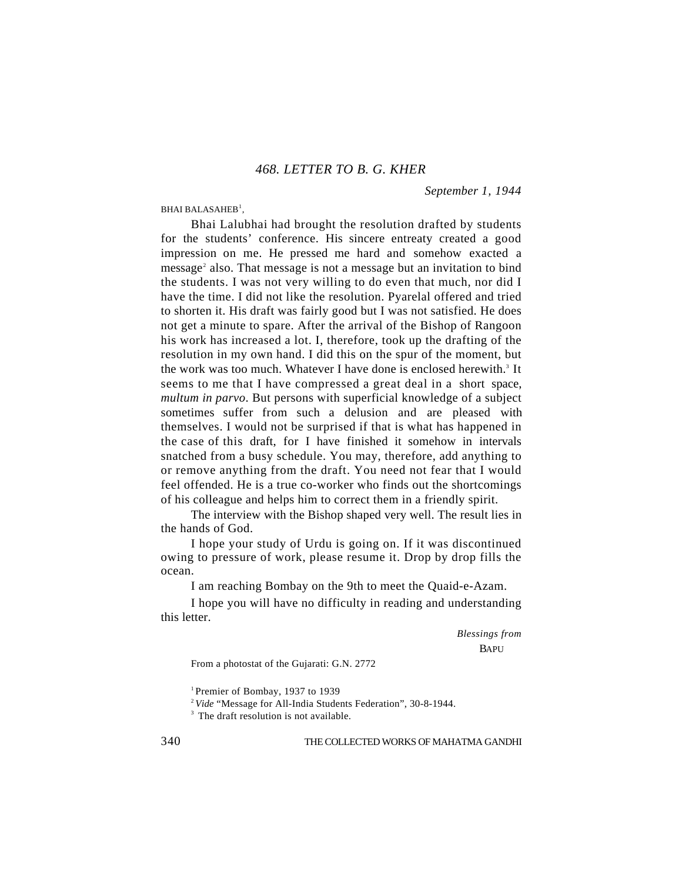*September 1, 1944*

 $BHAI$  BALASAHEB<sup>1</sup>,

Bhai Lalubhai had brought the resolution drafted by students for the students' conference. His sincere entreaty created a good impression on me. He pressed me hard and somehow exacted a message<sup>2</sup> also. That message is not a message but an invitation to bind the students. I was not very willing to do even that much, nor did I have the time. I did not like the resolution. Pyarelal offered and tried to shorten it. His draft was fairly good but I was not satisfied. He does not get a minute to spare. After the arrival of the Bishop of Rangoon his work has increased a lot. I, therefore, took up the drafting of the resolution in my own hand. I did this on the spur of the moment, but the work was too much. Whatever I have done is enclosed herewith.<sup>3</sup> It seems to me that I have compressed a great deal in a short space, *multum in parvo*. But persons with superficial knowledge of a subject sometimes suffer from such a delusion and are pleased with themselves. I would not be surprised if that is what has happened in the case of this draft, for I have finished it somehow in intervals snatched from a busy schedule. You may, therefore, add anything to or remove anything from the draft. You need not fear that I would feel offended. He is a true co-worker who finds out the shortcomings of his colleague and helps him to correct them in a friendly spirit.

The interview with the Bishop shaped very well. The result lies in the hands of God.

I hope your study of Urdu is going on. If it was discontinued owing to pressure of work, please resume it. Drop by drop fills the ocean.

I am reaching Bombay on the 9th to meet the Quaid-e-Azam.

I hope you will have no difficulty in reading and understanding this letter.

> *Blessings from* **BAPU**

From a photostat of the Gujarati: G.N. 2772

<sup>1</sup> Premier of Bombay, 1937 to 1939

<sup>2</sup>*Vide* "Message for All-India Students Federation", 30-8-1944.

<sup>3</sup> The draft resolution is not available.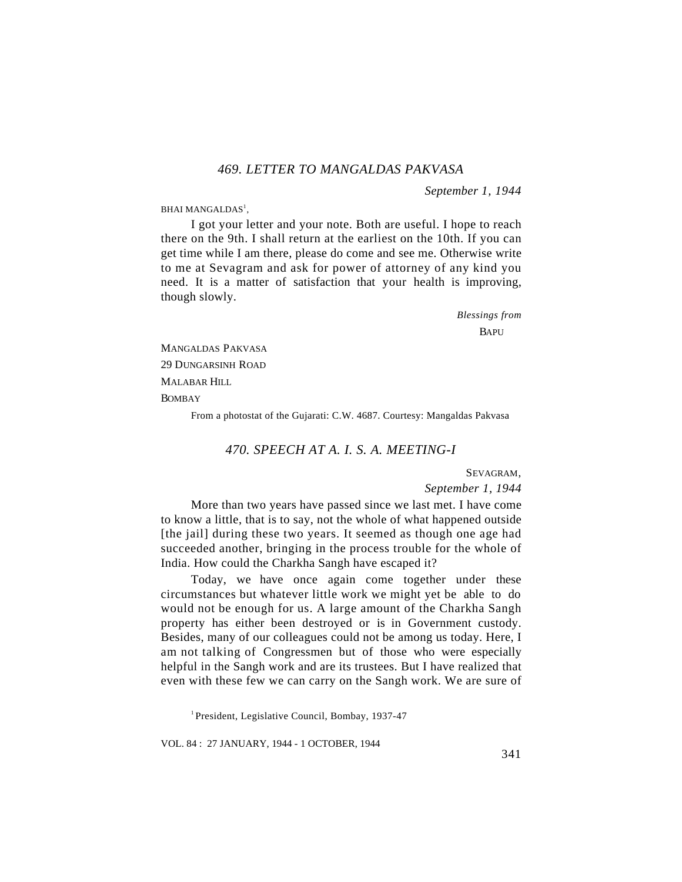*September 1, 1944*

 $BHAI$  MANGALDAS<sup>1</sup>,

I got your letter and your note. Both are useful. I hope to reach there on the 9th. I shall return at the earliest on the 10th. If you can get time while I am there, please do come and see me. Otherwise write to me at Sevagram and ask for power of attorney of any kind you need. It is a matter of satisfaction that your health is improving, though slowly.

> *Blessings from* **BAPU**

MANGALDAS PAKVASA 29 DUNGARSINH ROAD MALABAR HILL **BOMBAY** 

From a photostat of the Gujarati: C.W. 4687. Courtesy: Mangaldas Pakvasa

### *470. SPEECH AT A. I. S. A. MEETING-I*

SEVAGRAM, *September 1, 1944*

More than two years have passed since we last met. I have come to know a little, that is to say, not the whole of what happened outside [the jail] during these two years. It seemed as though one age had succeeded another, bringing in the process trouble for the whole of India. How could the Charkha Sangh have escaped it?

Today, we have once again come together under these circumstances but whatever little work we might yet be able to do would not be enough for us. A large amount of the Charkha Sangh property has either been destroyed or is in Government custody. Besides, many of our colleagues could not be among us today. Here, I am not talking of Congressmen but of those who were especially helpful in the Sangh work and are its trustees. But I have realized that even with these few we can carry on the Sangh work. We are sure of

1 President, Legislative Council, Bombay, 1937-47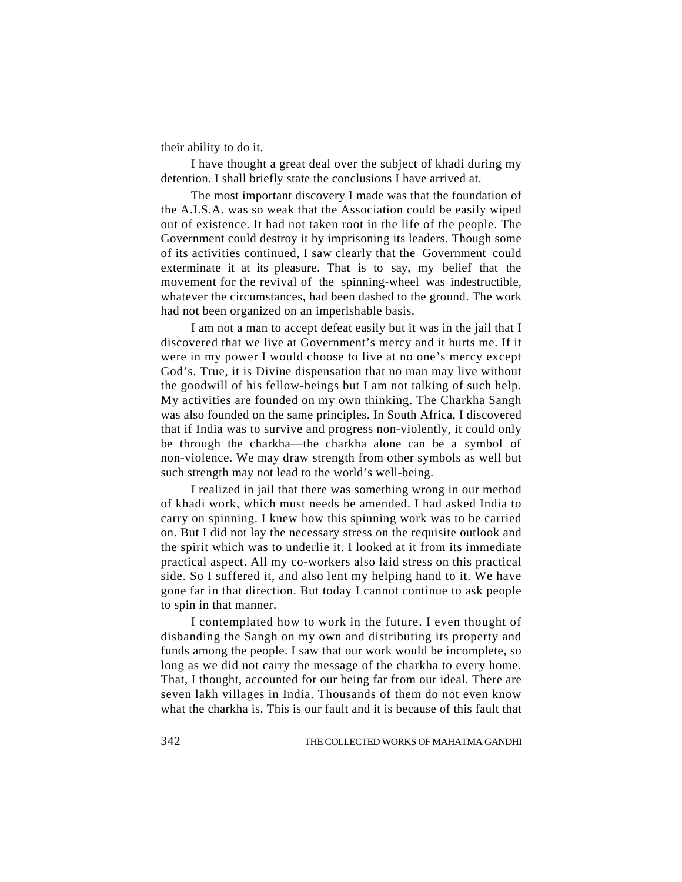their ability to do it.

I have thought a great deal over the subject of khadi during my detention. I shall briefly state the conclusions I have arrived at.

The most important discovery I made was that the foundation of the A.I.S.A. was so weak that the Association could be easily wiped out of existence. It had not taken root in the life of the people. The Government could destroy it by imprisoning its leaders. Though some of its activities continued, I saw clearly that the Government could exterminate it at its pleasure. That is to say, my belief that the movement for the revival of the spinning-wheel was indestructible, whatever the circumstances, had been dashed to the ground. The work had not been organized on an imperishable basis.

I am not a man to accept defeat easily but it was in the jail that I discovered that we live at Government's mercy and it hurts me. If it were in my power I would choose to live at no one's mercy except God's. True, it is Divine dispensation that no man may live without the goodwill of his fellow-beings but I am not talking of such help. My activities are founded on my own thinking. The Charkha Sangh was also founded on the same principles. In South Africa, I discovered that if India was to survive and progress non-violently, it could only be through the charkha—the charkha alone can be a symbol of non-violence. We may draw strength from other symbols as well but such strength may not lead to the world's well-being.

I realized in jail that there was something wrong in our method of khadi work, which must needs be amended. I had asked India to carry on spinning. I knew how this spinning work was to be carried on. But I did not lay the necessary stress on the requisite outlook and the spirit which was to underlie it. I looked at it from its immediate practical aspect. All my co-workers also laid stress on this practical side. So I suffered it, and also lent my helping hand to it. We have gone far in that direction. But today I cannot continue to ask people to spin in that manner.

I contemplated how to work in the future. I even thought of disbanding the Sangh on my own and distributing its property and funds among the people. I saw that our work would be incomplete, so long as we did not carry the message of the charkha to every home. That, I thought, accounted for our being far from our ideal. There are seven lakh villages in India. Thousands of them do not even know what the charkha is. This is our fault and it is because of this fault that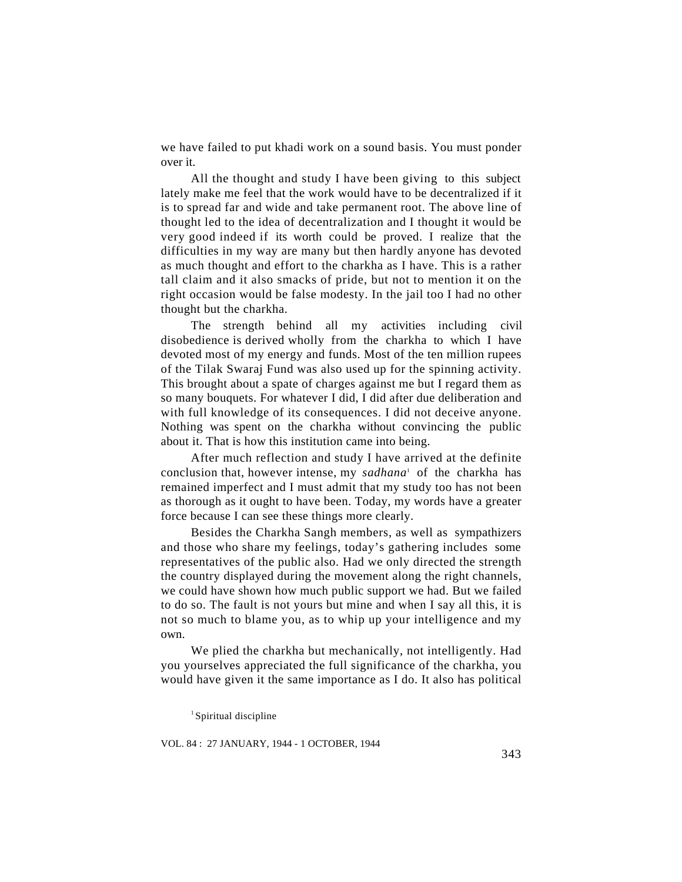we have failed to put khadi work on a sound basis. You must ponder over it.

All the thought and study I have been giving to this subject lately make me feel that the work would have to be decentralized if it is to spread far and wide and take permanent root. The above line of thought led to the idea of decentralization and I thought it would be very good indeed if its worth could be proved. I realize that the difficulties in my way are many but then hardly anyone has devoted as much thought and effort to the charkha as I have. This is a rather tall claim and it also smacks of pride, but not to mention it on the right occasion would be false modesty. In the jail too I had no other thought but the charkha.

The strength behind all my activities including civil disobedience is derived wholly from the charkha to which I have devoted most of my energy and funds. Most of the ten million rupees of the Tilak Swaraj Fund was also used up for the spinning activity. This brought about a spate of charges against me but I regard them as so many bouquets. For whatever I did, I did after due deliberation and with full knowledge of its consequences. I did not deceive anyone. Nothing was spent on the charkha without convincing the public about it. That is how this institution came into being.

After much reflection and study I have arrived at the definite conclusion that, however intense, my *sadhana*<sup>1</sup> of the charkha has remained imperfect and I must admit that my study too has not been as thorough as it ought to have been. Today, my words have a greater force because I can see these things more clearly.

Besides the Charkha Sangh members, as well as sympathizers and those who share my feelings, today's gathering includes some representatives of the public also. Had we only directed the strength the country displayed during the movement along the right channels, we could have shown how much public support we had. But we failed to do so. The fault is not yours but mine and when I say all this, it is not so much to blame you, as to whip up your intelligence and my own.

We plied the charkha but mechanically, not intelligently. Had you yourselves appreciated the full significance of the charkha, you would have given it the same importance as I do. It also has political

<sup>1</sup> Spiritual discipline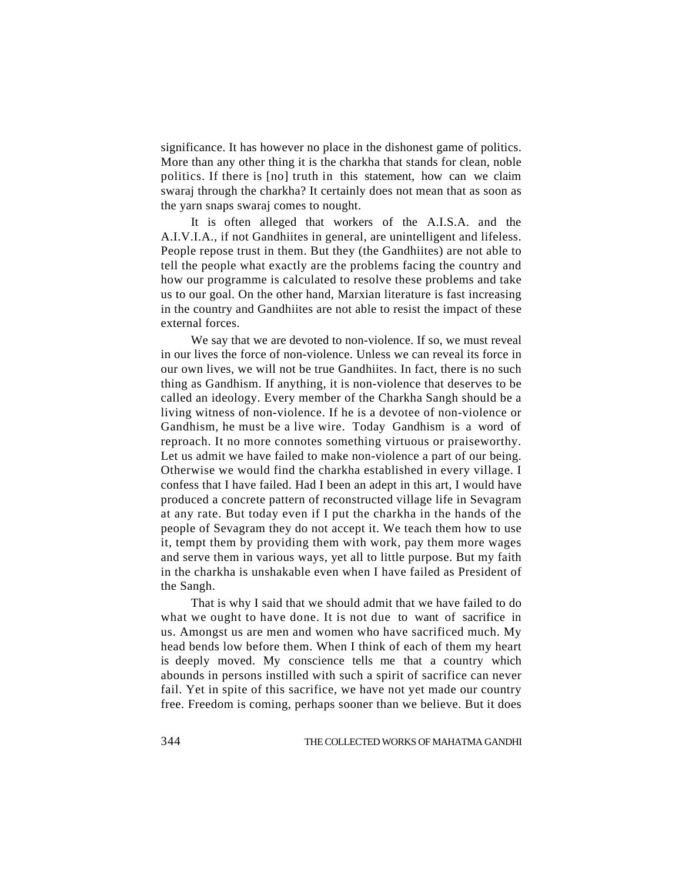significance. It has however no place in the dishonest game of politics. More than any other thing it is the charkha that stands for clean, noble politics. If there is [no] truth in this statement, how can we claim swaraj through the charkha? It certainly does not mean that as soon as the yarn snaps swaraj comes to nought.

It is often alleged that workers of the A.I.S.A. and the A.I.V.I.A., if not Gandhiites in general, are unintelligent and lifeless. People repose trust in them. But they (the Gandhiites) are not able to tell the people what exactly are the problems facing the country and how our programme is calculated to resolve these problems and take us to our goal. On the other hand, Marxian literature is fast increasing in the country and Gandhiites are not able to resist the impact of these external forces.

We say that we are devoted to non-violence. If so, we must reveal in our lives the force of non-violence. Unless we can reveal its force in our own lives, we will not be true Gandhiites. In fact, there is no such thing as Gandhism. If anything, it is non-violence that deserves to be called an ideology. Every member of the Charkha Sangh should be a living witness of non-violence. If he is a devotee of non-violence or Gandhism, he must be a live wire. Today Gandhism is a word of reproach. It no more connotes something virtuous or praiseworthy. Let us admit we have failed to make non-violence a part of our being. Otherwise we would find the charkha established in every village. I confess that I have failed. Had I been an adept in this art, I would have produced a concrete pattern of reconstructed village life in Sevagram at any rate. But today even if I put the charkha in the hands of the people of Sevagram they do not accept it. We teach them how to use it, tempt them by providing them with work, pay them more wages and serve them in various ways, yet all to little purpose. But my faith in the charkha is unshakable even when I have failed as President of the Sangh.

That is why I said that we should admit that we have failed to do what we ought to have done. It is not due to want of sacrifice in us. Amongst us are men and women who have sacrificed much. My head bends low before them. When I think of each of them my heart is deeply moved. My conscience tells me that a country which abounds in persons instilled with such a spirit of sacrifice can never fail. Yet in spite of this sacrifice, we have not yet made our country free. Freedom is coming, perhaps sooner than we believe. But it does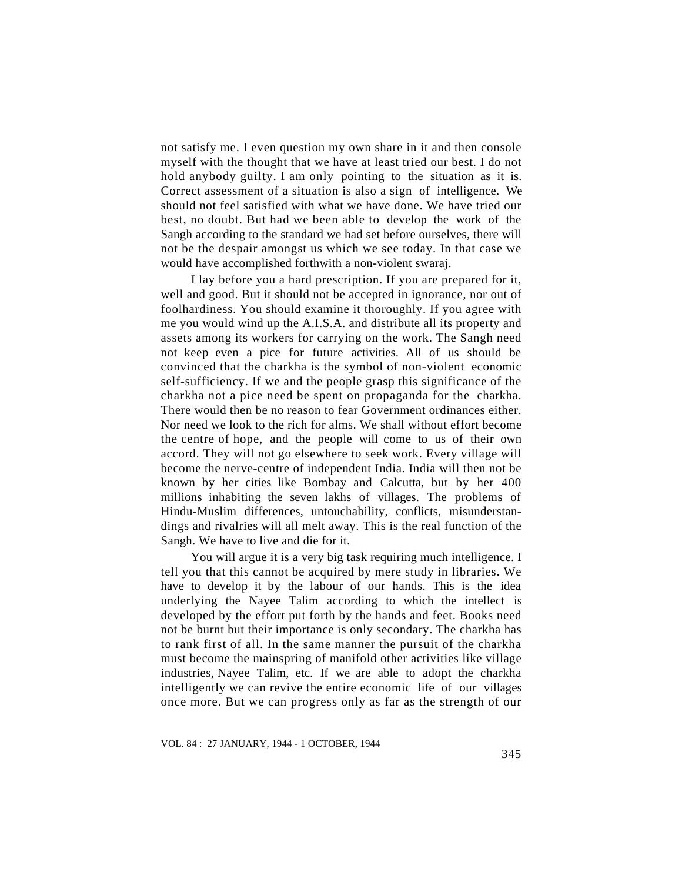not satisfy me. I even question my own share in it and then console myself with the thought that we have at least tried our best. I do not hold anybody guilty. I am only pointing to the situation as it is. Correct assessment of a situation is also a sign of intelligence. We should not feel satisfied with what we have done. We have tried our best, no doubt. But had we been able to develop the work of the Sangh according to the standard we had set before ourselves, there will not be the despair amongst us which we see today. In that case we would have accomplished forthwith a non-violent swaraj.

I lay before you a hard prescription. If you are prepared for it, well and good. But it should not be accepted in ignorance, nor out of foolhardiness. You should examine it thoroughly. If you agree with me you would wind up the A.I.S.A. and distribute all its property and assets among its workers for carrying on the work. The Sangh need not keep even a pice for future activities. All of us should be convinced that the charkha is the symbol of non-violent economic self-sufficiency. If we and the people grasp this significance of the charkha not a pice need be spent on propaganda for the charkha. There would then be no reason to fear Government ordinances either. Nor need we look to the rich for alms. We shall without effort become the centre of hope, and the people will come to us of their own accord. They will not go elsewhere to seek work. Every village will become the nerve-centre of independent India. India will then not be known by her cities like Bombay and Calcutta, but by her 400 millions inhabiting the seven lakhs of villages. The problems of Hindu-Muslim differences, untouchability, conflicts, misunderstandings and rivalries will all melt away. This is the real function of the Sangh. We have to live and die for it.

You will argue it is a very big task requiring much intelligence. I tell you that this cannot be acquired by mere study in libraries. We have to develop it by the labour of our hands. This is the idea underlying the Nayee Talim according to which the intellect is developed by the effort put forth by the hands and feet. Books need not be burnt but their importance is only secondary. The charkha has to rank first of all. In the same manner the pursuit of the charkha must become the mainspring of manifold other activities like village industries, Nayee Talim, etc. If we are able to adopt the charkha intelligently we can revive the entire economic life of our villages once more. But we can progress only as far as the strength of our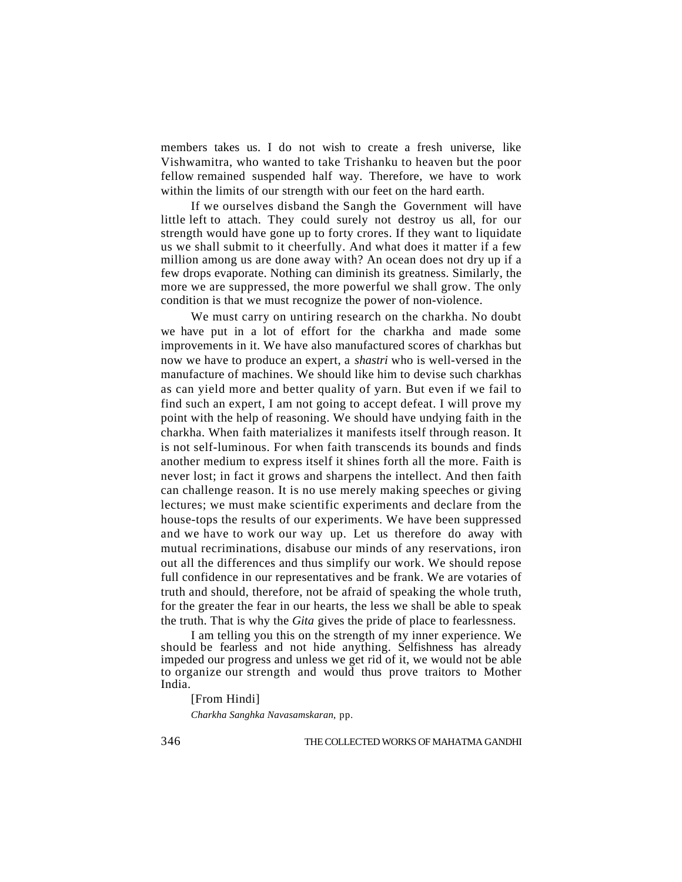members takes us. I do not wish to create a fresh universe, like Vishwamitra, who wanted to take Trishanku to heaven but the poor fellow remained suspended half way. Therefore, we have to work within the limits of our strength with our feet on the hard earth.

If we ourselves disband the Sangh the Government will have little left to attach. They could surely not destroy us all, for our strength would have gone up to forty crores. If they want to liquidate us we shall submit to it cheerfully. And what does it matter if a few million among us are done away with? An ocean does not dry up if a few drops evaporate. Nothing can diminish its greatness. Similarly, the more we are suppressed, the more powerful we shall grow. The only condition is that we must recognize the power of non-violence.

We must carry on untiring research on the charkha. No doubt we have put in a lot of effort for the charkha and made some improvements in it. We have also manufactured scores of charkhas but now we have to produce an expert, a *shastri* who is well-versed in the manufacture of machines. We should like him to devise such charkhas as can yield more and better quality of yarn. But even if we fail to find such an expert, I am not going to accept defeat. I will prove my point with the help of reasoning. We should have undying faith in the charkha. When faith materializes it manifests itself through reason. It is not self-luminous. For when faith transcends its bounds and finds another medium to express itself it shines forth all the more. Faith is never lost; in fact it grows and sharpens the intellect. And then faith can challenge reason. It is no use merely making speeches or giving lectures; we must make scientific experiments and declare from the house-tops the results of our experiments. We have been suppressed and we have to work our way up. Let us therefore do away with mutual recriminations, disabuse our minds of any reservations, iron out all the differences and thus simplify our work. We should repose full confidence in our representatives and be frank. We are votaries of truth and should, therefore, not be afraid of speaking the whole truth, for the greater the fear in our hearts, the less we shall be able to speak the truth. That is why the *Gita* gives the pride of place to fearlessness.

I am telling you this on the strength of my inner experience. We should be fearless and not hide anything. Selfishness has already impeded our progress and unless we get rid of it, we would not be able to organize our strength and would thus prove traitors to Mother India.

[From Hindi] *Charkha Sanghka Navasamskaran*, pp.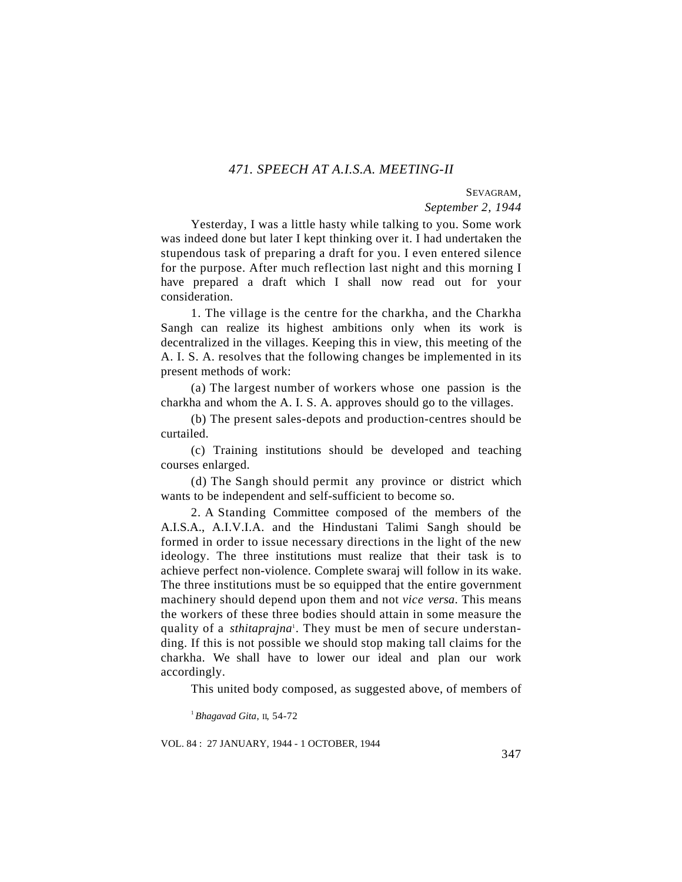# *471. SPEECH AT A.I.S.A. MEETING-II*

SEVAGRAM, *September 2, 1944*

Yesterday, I was a little hasty while talking to you. Some work was indeed done but later I kept thinking over it. I had undertaken the stupendous task of preparing a draft for you. I even entered silence for the purpose. After much reflection last night and this morning I have prepared a draft which I shall now read out for your consideration.

1. The village is the centre for the charkha, and the Charkha Sangh can realize its highest ambitions only when its work is decentralized in the villages. Keeping this in view, this meeting of the A. I. S. A. resolves that the following changes be implemented in its present methods of work:

(a) The largest number of workers whose one passion is the charkha and whom the A. I. S. A. approves should go to the villages.

(b) The present sales-depots and production-centres should be curtailed.

(c) Training institutions should be developed and teaching courses enlarged.

(d) The Sangh should permit any province or district which wants to be independent and self-sufficient to become so.

2. A Standing Committee composed of the members of the A.I.S.A., A.I.V.I.A. and the Hindustani Talimi Sangh should be formed in order to issue necessary directions in the light of the new ideology. The three institutions must realize that their task is to achieve perfect non-violence. Complete swaraj will follow in its wake. The three institutions must be so equipped that the entire government machinery should depend upon them and not *vice versa*. This means the workers of these three bodies should attain in some measure the quality of a *sthitaprajna*<sup>1</sup>. They must be men of secure understanding. If this is not possible we should stop making tall claims for the charkha. We shall have to lower our ideal and plan our work accordingly.

This united body composed, as suggested above, of members of

<sup>1</sup>*Bhagavad Gita*, II, 54-72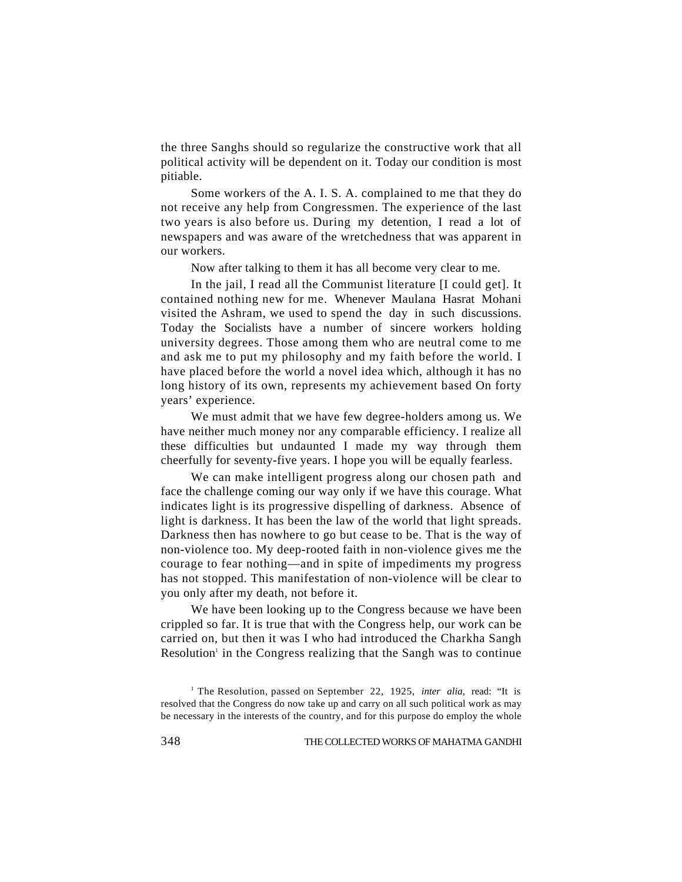the three Sanghs should so regularize the constructive work that all political activity will be dependent on it. Today our condition is most pitiable.

Some workers of the A. I. S. A. complained to me that they do not receive any help from Congressmen. The experience of the last two years is also before us. During my detention, I read a lot of newspapers and was aware of the wretchedness that was apparent in our workers.

Now after talking to them it has all become very clear to me.

In the jail, I read all the Communist literature [I could get]. It contained nothing new for me. Whenever Maulana Hasrat Mohani visited the Ashram, we used to spend the day in such discussions. Today the Socialists have a number of sincere workers holding university degrees. Those among them who are neutral come to me and ask me to put my philosophy and my faith before the world. I have placed before the world a novel idea which, although it has no long history of its own, represents my achievement based On forty years' experience.

We must admit that we have few degree-holders among us. We have neither much money nor any comparable efficiency. I realize all these difficulties but undaunted I made my way through them cheerfully for seventy-five years. I hope you will be equally fearless.

We can make intelligent progress along our chosen path and face the challenge coming our way only if we have this courage. What indicates light is its progressive dispelling of darkness. Absence of light is darkness. It has been the law of the world that light spreads. Darkness then has nowhere to go but cease to be. That is the way of non-violence too. My deep-rooted faith in non-violence gives me the courage to fear nothing—and in spite of impediments my progress has not stopped. This manifestation of non-violence will be clear to you only after my death, not before it.

We have been looking up to the Congress because we have been crippled so far. It is true that with the Congress help, our work can be carried on, but then it was I who had introduced the Charkha Sangh Resolution<sup>1</sup> in the Congress realizing that the Sangh was to continue

<sup>&</sup>lt;sup>1</sup> The Resolution, passed on September 22, 1925, *inter alia*, read: "It is resolved that the Congress do now take up and carry on all such political work as may be necessary in the interests of the country, and for this purpose do employ the whole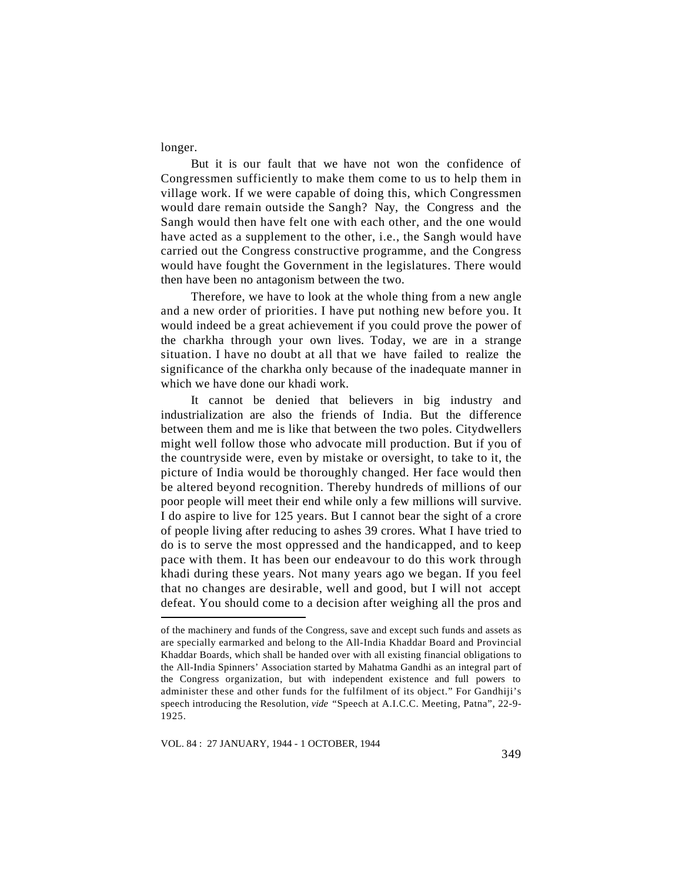longer.

But it is our fault that we have not won the confidence of Congressmen sufficiently to make them come to us to help them in village work. If we were capable of doing this, which Congressmen would dare remain outside the Sangh? Nay, the Congress and the Sangh would then have felt one with each other, and the one would have acted as a supplement to the other, i.e., the Sangh would have carried out the Congress constructive programme, and the Congress would have fought the Government in the legislatures. There would then have been no antagonism between the two.

Therefore, we have to look at the whole thing from a new angle and a new order of priorities. I have put nothing new before you. It would indeed be a great achievement if you could prove the power of the charkha through your own lives. Today, we are in a strange situation. I have no doubt at all that we have failed to realize the significance of the charkha only because of the inadequate manner in which we have done our khadi work.

It cannot be denied that believers in big industry and industrialization are also the friends of India. But the difference between them and me is like that between the two poles. Citydwellers might well follow those who advocate mill production. But if you of the countryside were, even by mistake or oversight, to take to it, the picture of India would be thoroughly changed. Her face would then be altered beyond recognition. Thereby hundreds of millions of our poor people will meet their end while only a few millions will survive. I do aspire to live for 125 years. But I cannot bear the sight of a crore of people living after reducing to ashes 39 crores. What I have tried to do is to serve the most oppressed and the handicapped, and to keep pace with them. It has been our endeavour to do this work through khadi during these years. Not many years ago we began. If you feel that no changes are desirable, well and good, but I will not accept defeat. You should come to a decision after weighing all the pros and

of the machinery and funds of the Congress, save and except such funds and assets as are specially earmarked and belong to the All-India Khaddar Board and Provincial Khaddar Boards, which shall be handed over with all existing financial obligations to the All-India Spinners' Association started by Mahatma Gandhi as an integral part of the Congress organization, but with independent existence and full powers to administer these and other funds for the fulfilment of its object." For Gandhiji's speech introducing the Resolution, *vide* "Speech at A.I.C.C. Meeting, Patna", 22-9- 1925.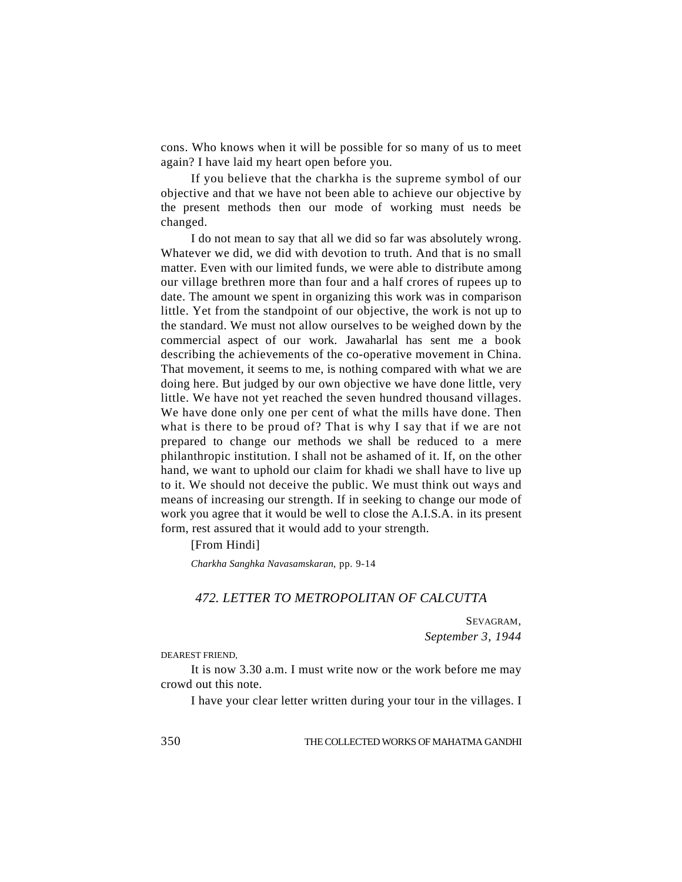cons. Who knows when it will be possible for so many of us to meet again? I have laid my heart open before you.

If you believe that the charkha is the supreme symbol of our objective and that we have not been able to achieve our objective by the present methods then our mode of working must needs be changed.

I do not mean to say that all we did so far was absolutely wrong. Whatever we did, we did with devotion to truth. And that is no small matter. Even with our limited funds, we were able to distribute among our village brethren more than four and a half crores of rupees up to date. The amount we spent in organizing this work was in comparison little. Yet from the standpoint of our objective, the work is not up to the standard. We must not allow ourselves to be weighed down by the commercial aspect of our work. Jawaharlal has sent me a book describing the achievements of the co-operative movement in China. That movement, it seems to me, is nothing compared with what we are doing here. But judged by our own objective we have done little, very little. We have not yet reached the seven hundred thousand villages. We have done only one per cent of what the mills have done. Then what is there to be proud of? That is why I say that if we are not prepared to change our methods we shall be reduced to a mere philanthropic institution. I shall not be ashamed of it. If, on the other hand, we want to uphold our claim for khadi we shall have to live up to it. We should not deceive the public. We must think out ways and means of increasing our strength. If in seeking to change our mode of work you agree that it would be well to close the A.I.S.A. in its present form, rest assured that it would add to your strength.

[From Hindi]

*Charkha Sanghka Navasamskaran*, pp. 9-14

# *472. LETTER TO METROPOLITAN OF CALCUTTA*

SEVAGRAM, *September 3, 1944*

DEAREST FRIEND,

It is now 3.30 a.m. I must write now or the work before me may crowd out this note.

I have your clear letter written during your tour in the villages. I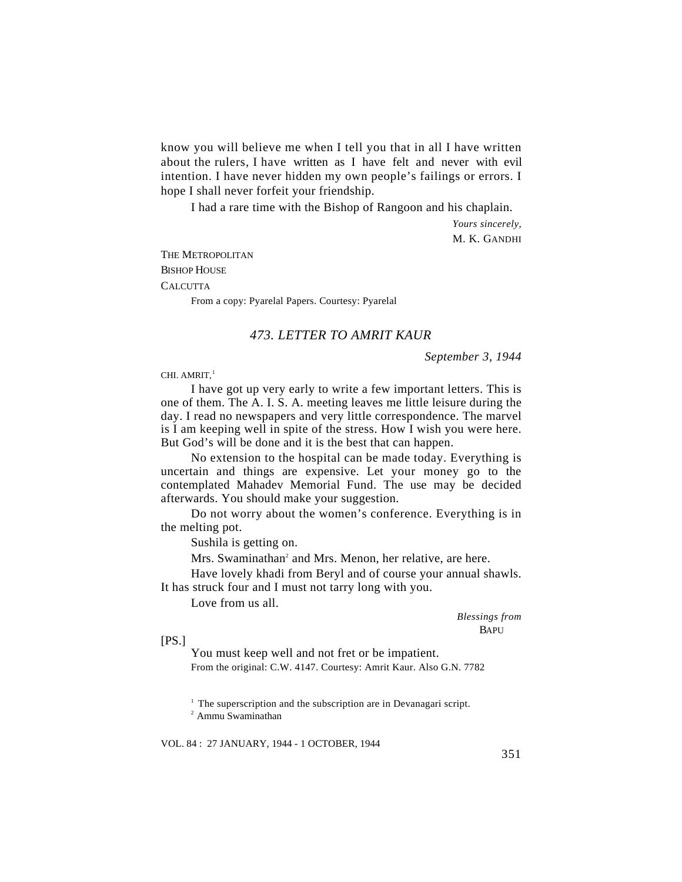know you will believe me when I tell you that in all I have written about the rulers, I have written as I have felt and never with evil intention. I have never hidden my own people's failings or errors. I hope I shall never forfeit your friendship.

I had a rare time with the Bishop of Rangoon and his chaplain.

*Yours sincerely,* M. K. GANDHI

THE METROPOLITAN BISHOP HOUSE CALCUTTA

From a copy: Pyarelal Papers. Courtesy: Pyarelal

### *473. LETTER TO AMRIT KAUR*

*September 3, 1944*

CHI. AMRIT. $1$ 

I have got up very early to write a few important letters. This is one of them. The A. I. S. A. meeting leaves me little leisure during the day. I read no newspapers and very little correspondence. The marvel is I am keeping well in spite of the stress. How I wish you were here. But God's will be done and it is the best that can happen.

No extension to the hospital can be made today. Everything is uncertain and things are expensive. Let your money go to the contemplated Mahadev Memorial Fund. The use may be decided afterwards. You should make your suggestion.

Do not worry about the women's conference. Everything is in the melting pot.

Sushila is getting on.

Mrs. Swaminathan<sup>2</sup> and Mrs. Menon, her relative, are here.

Have lovely khadi from Beryl and of course your annual shawls. It has struck four and I must not tarry long with you.

Love from us all.

*Blessings from* BAPU

[PS.]

You must keep well and not fret or be impatient. From the original: C.W. 4147. Courtesy: Amrit Kaur. Also G.N. 7782

<sup>1</sup> The superscription and the subscription are in Devanagari script.

<sup>2</sup> Ammu Swaminathan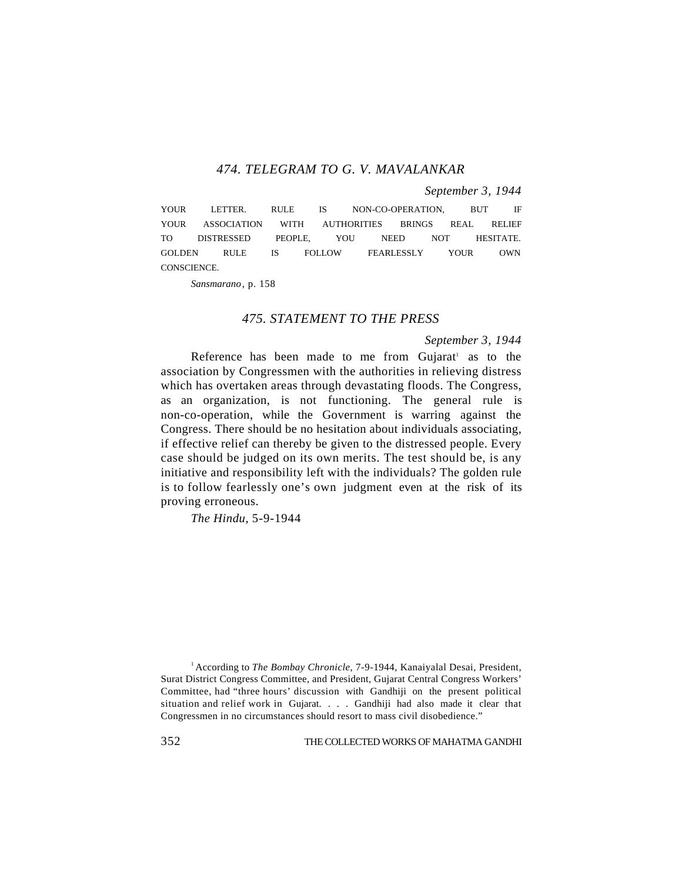#### *September 3, 1944*

YOUR LETTER. RULE IS NON-CO-OPERATION, BUT IF YOUR ASSOCIATION WITH AUTHORITIES BRINGS REAL RELIEF TO DISTRESSED PEOPLE, YOU NEED NOT HESITATE. GOLDEN RULE IS FOLLOW FEARLESSLY YOUR OWN CONSCIENCE.

*Sansmarano*, p. 158

#### *475. STATEMENT TO THE PRESS*

#### *September 3, 1944*

Reference has been made to me from Gujarat<sup>1</sup> as to the association by Congressmen with the authorities in relieving distress which has overtaken areas through devastating floods. The Congress, as an organization, is not functioning. The general rule is non-co-operation, while the Government is warring against the Congress. There should be no hesitation about individuals associating, if effective relief can thereby be given to the distressed people. Every case should be judged on its own merits. The test should be, is any initiative and responsibility left with the individuals? The golden rule is to follow fearlessly one's own judgment even at the risk of its proving erroneous.

*The Hindu,* 5-9-1944

<sup>1</sup> According to *The Bombay Chronicle*, 7-9-1944, Kanaiyalal Desai, President, Surat District Congress Committee, and President, Gujarat Central Congress Workers' Committee, had "three hours' discussion with Gandhiji on the present political situation and relief work in Gujarat. . . . Gandhiji had also made it clear that Congressmen in no circumstances should resort to mass civil disobedience."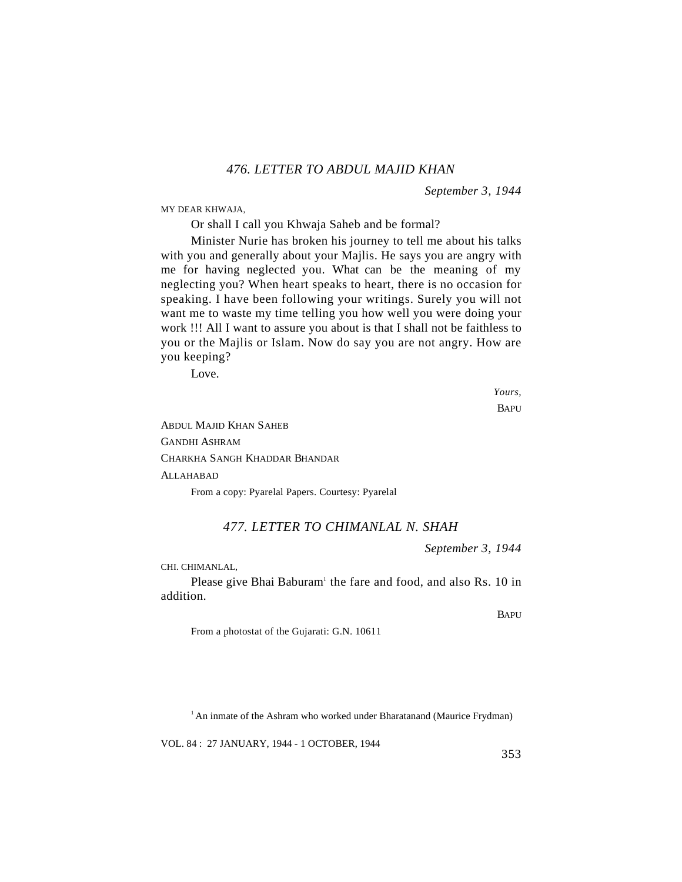*September 3, 1944*

MY DEAR KHWAJA,

Or shall I call you Khwaja Saheb and be formal?

Minister Nurie has broken his journey to tell me about his talks with you and generally about your Majlis. He says you are angry with me for having neglected you. What can be the meaning of my neglecting you? When heart speaks to heart, there is no occasion for speaking. I have been following your writings. Surely you will not want me to waste my time telling you how well you were doing your work !!! All I want to assure you about is that I shall not be faithless to you or the Majlis or Islam. Now do say you are not angry. How are you keeping?

Love.

*Yours,* **BAPU** 

ABDUL MAJID KHAN SAHEB GANDHI ASHRAM CHARKHA SANGH KHADDAR BHANDAR ALLAHABAD

From a copy: Pyarelal Papers. Courtesy: Pyarelal

### *477. LETTER TO CHIMANLAL N. SHAH*

*September 3, 1944*

CHI. CHIMANLAL,

Please give Bhai Baburam<sup>1</sup> the fare and food, and also Rs. 10 in addition.

**BAPU** 

From a photostat of the Gujarati: G.N. 10611

 $<sup>1</sup>$  An inmate of the Ashram who worked under Bharatanand (Maurice Frydman)</sup>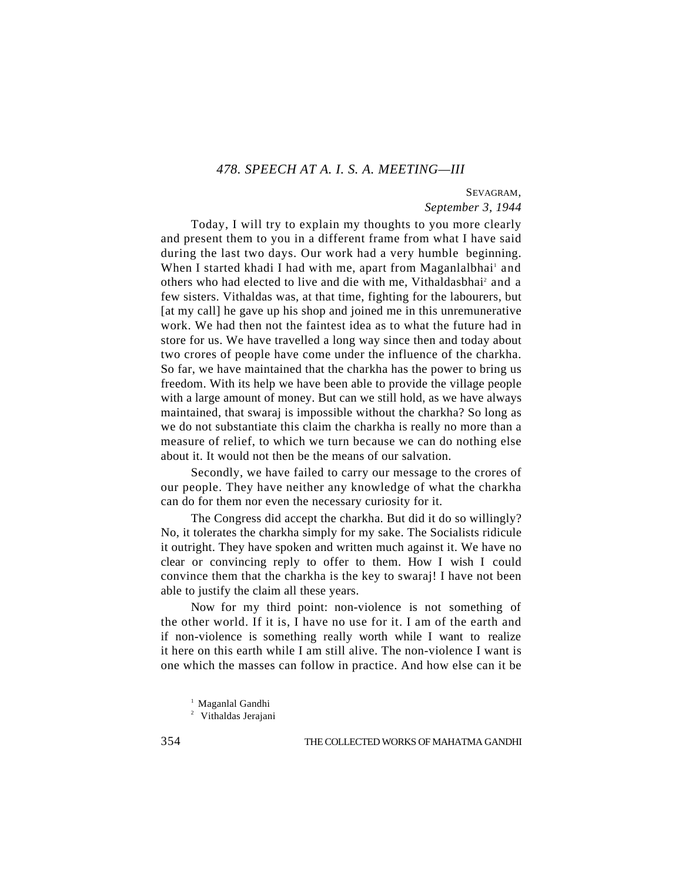## *478. SPEECH AT A. I. S. A. MEETING—III*

SEVAGRAM, *September 3, 1944*

Today, I will try to explain my thoughts to you more clearly and present them to you in a different frame from what I have said during the last two days. Our work had a very humble beginning. When I started khadi I had with me, apart from Maganlalbhai<sup>1</sup> and others who had elected to live and die with me, Vithaldasbhai<sup>2</sup> and a few sisters. Vithaldas was, at that time, fighting for the labourers, but [at my call] he gave up his shop and joined me in this unremunerative work. We had then not the faintest idea as to what the future had in store for us. We have travelled a long way since then and today about two crores of people have come under the influence of the charkha. So far, we have maintained that the charkha has the power to bring us freedom. With its help we have been able to provide the village people with a large amount of money. But can we still hold, as we have always maintained, that swaraj is impossible without the charkha? So long as we do not substantiate this claim the charkha is really no more than a measure of relief, to which we turn because we can do nothing else about it. It would not then be the means of our salvation.

Secondly, we have failed to carry our message to the crores of our people. They have neither any knowledge of what the charkha can do for them nor even the necessary curiosity for it.

The Congress did accept the charkha. But did it do so willingly? No, it tolerates the charkha simply for my sake. The Socialists ridicule it outright. They have spoken and written much against it. We have no clear or convincing reply to offer to them. How I wish I could convince them that the charkha is the key to swaraj! I have not been able to justify the claim all these years.

Now for my third point: non-violence is not something of the other world. If it is, I have no use for it. I am of the earth and if non-violence is something really worth while I want to realize it here on this earth while I am still alive. The non-violence I want is one which the masses can follow in practice. And how else can it be

<sup>&</sup>lt;sup>1</sup> Maganlal Gandhi

<sup>2</sup> Vithaldas Jerajani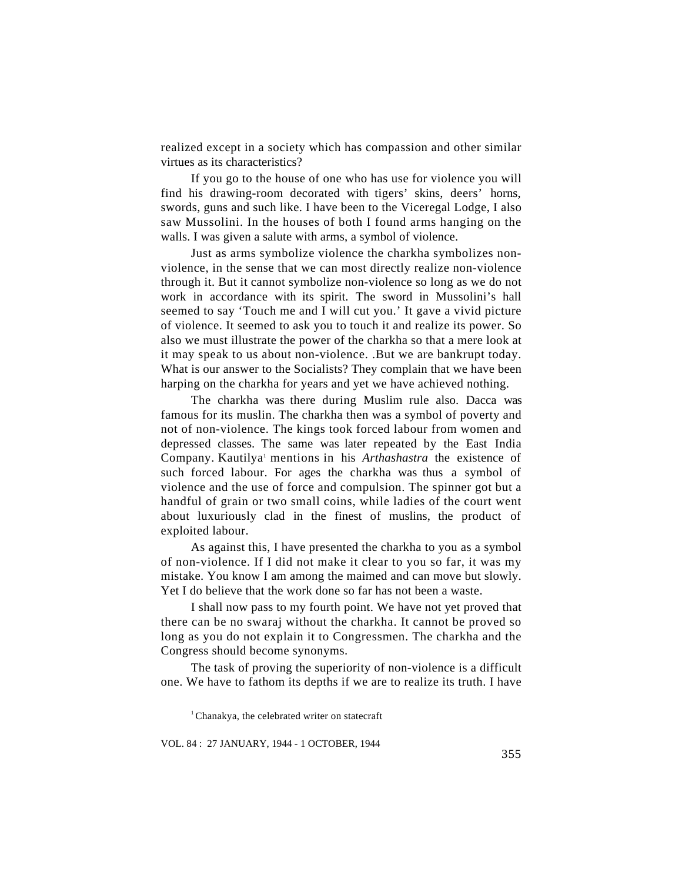realized except in a society which has compassion and other similar virtues as its characteristics?

If you go to the house of one who has use for violence you will find his drawing-room decorated with tigers' skins, deers' horns, swords, guns and such like. I have been to the Viceregal Lodge, I also saw Mussolini. In the houses of both I found arms hanging on the walls. I was given a salute with arms, a symbol of violence.

Just as arms symbolize violence the charkha symbolizes nonviolence, in the sense that we can most directly realize non-violence through it. But it cannot symbolize non-violence so long as we do not work in accordance with its spirit. The sword in Mussolini's hall seemed to say 'Touch me and I will cut you.' It gave a vivid picture of violence. It seemed to ask you to touch it and realize its power. So also we must illustrate the power of the charkha so that a mere look at it may speak to us about non-violence. .But we are bankrupt today. What is our answer to the Socialists? They complain that we have been harping on the charkha for years and yet we have achieved nothing.

The charkha was there during Muslim rule also. Dacca was famous for its muslin. The charkha then was a symbol of poverty and not of non-violence. The kings took forced labour from women and depressed classes. The same was later repeated by the East India Company. Kautilya<sup>1</sup> mentions in his Arthashastra the existence of such forced labour. For ages the charkha was thus a symbol of violence and the use of force and compulsion. The spinner got but a handful of grain or two small coins, while ladies of the court went about luxuriously clad in the finest of muslins, the product of exploited labour.

As against this, I have presented the charkha to you as a symbol of non-violence. If I did not make it clear to you so far, it was my mistake. You know I am among the maimed and can move but slowly. Yet I do believe that the work done so far has not been a waste.

I shall now pass to my fourth point. We have not yet proved that there can be no swaraj without the charkha. It cannot be proved so long as you do not explain it to Congressmen. The charkha and the Congress should become synonyms.

The task of proving the superiority of non-violence is a difficult one. We have to fathom its depths if we are to realize its truth. I have

 $1$ Chanakya, the celebrated writer on statecraft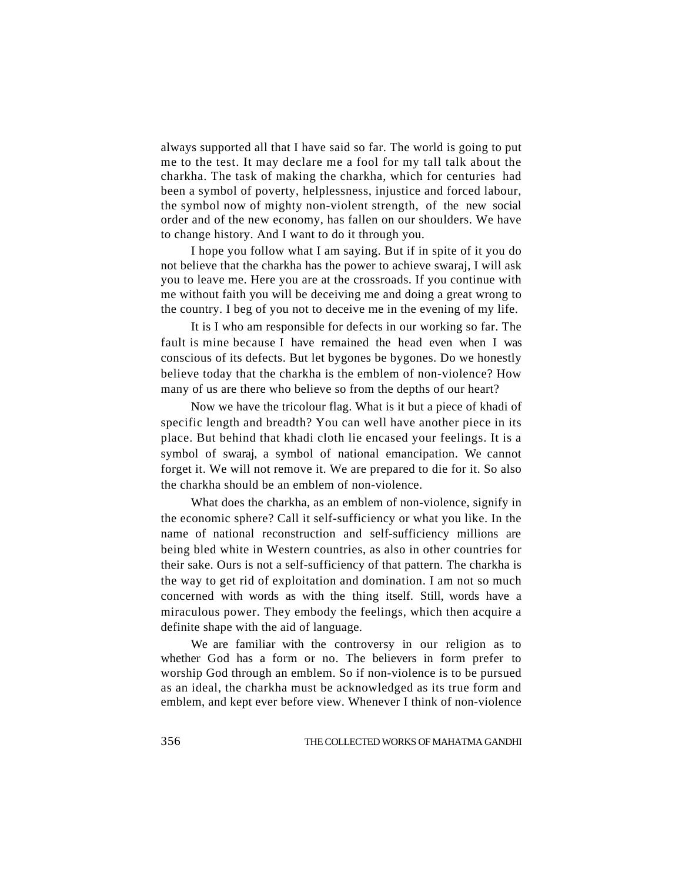always supported all that I have said so far. The world is going to put me to the test. It may declare me a fool for my tall talk about the charkha. The task of making the charkha, which for centuries had been a symbol of poverty, helplessness, injustice and forced labour, the symbol now of mighty non-violent strength, of the new social order and of the new economy, has fallen on our shoulders. We have to change history. And I want to do it through you.

I hope you follow what I am saying. But if in spite of it you do not believe that the charkha has the power to achieve swaraj, I will ask you to leave me. Here you are at the crossroads. If you continue with me without faith you will be deceiving me and doing a great wrong to the country. I beg of you not to deceive me in the evening of my life.

It is I who am responsible for defects in our working so far. The fault is mine because I have remained the head even when I was conscious of its defects. But let bygones be bygones. Do we honestly believe today that the charkha is the emblem of non-violence? How many of us are there who believe so from the depths of our heart?

Now we have the tricolour flag. What is it but a piece of khadi of specific length and breadth? You can well have another piece in its place. But behind that khadi cloth lie encased your feelings. It is a symbol of swaraj, a symbol of national emancipation. We cannot forget it. We will not remove it. We are prepared to die for it. So also the charkha should be an emblem of non-violence.

What does the charkha, as an emblem of non-violence, signify in the economic sphere? Call it self-sufficiency or what you like. In the name of national reconstruction and self-sufficiency millions are being bled white in Western countries, as also in other countries for their sake. Ours is not a self-sufficiency of that pattern. The charkha is the way to get rid of exploitation and domination. I am not so much concerned with words as with the thing itself. Still, words have a miraculous power. They embody the feelings, which then acquire a definite shape with the aid of language.

We are familiar with the controversy in our religion as to whether God has a form or no. The believers in form prefer to worship God through an emblem. So if non-violence is to be pursued as an ideal, the charkha must be acknowledged as its true form and emblem, and kept ever before view. Whenever I think of non-violence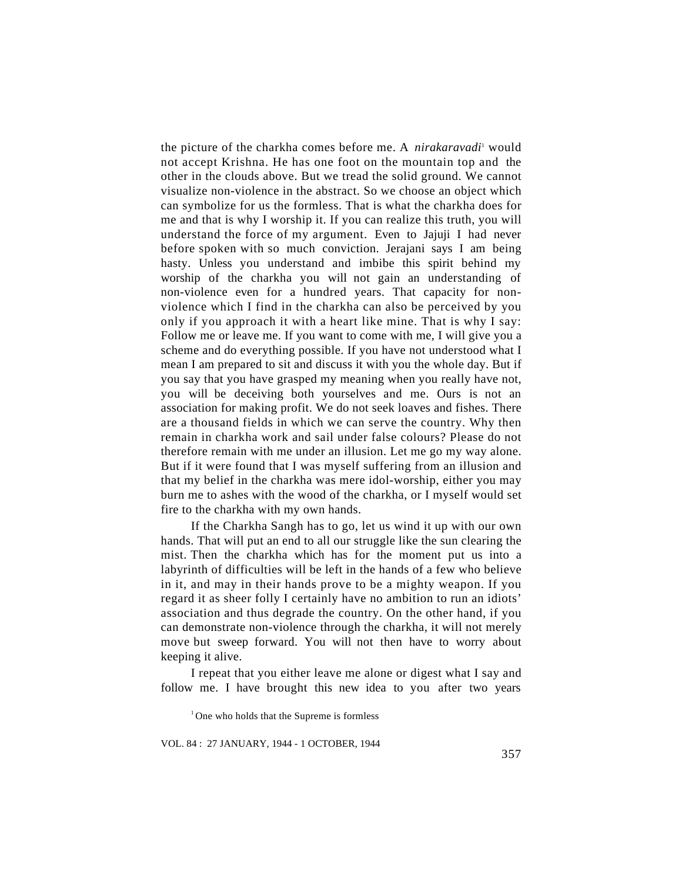the picture of the charkha comes before me. A *nirakaravadi*<sup>1</sup> would not accept Krishna. He has one foot on the mountain top and the other in the clouds above. But we tread the solid ground. We cannot visualize non-violence in the abstract. So we choose an object which can symbolize for us the formless. That is what the charkha does for me and that is why I worship it. If you can realize this truth, you will understand the force of my argument. Even to Jajuji I had never before spoken with so much conviction. Jerajani says I am being hasty. Unless you understand and imbibe this spirit behind my worship of the charkha you will not gain an understanding of non-violence even for a hundred years. That capacity for nonviolence which I find in the charkha can also be perceived by you only if you approach it with a heart like mine. That is why I say: Follow me or leave me. If you want to come with me, I will give you a scheme and do everything possible. If you have not understood what I mean I am prepared to sit and discuss it with you the whole day. But if you say that you have grasped my meaning when you really have not, you will be deceiving both yourselves and me. Ours is not an association for making profit. We do not seek loaves and fishes. There are a thousand fields in which we can serve the country. Why then remain in charkha work and sail under false colours? Please do not therefore remain with me under an illusion. Let me go my way alone. But if it were found that I was myself suffering from an illusion and that my belief in the charkha was mere idol-worship, either you may burn me to ashes with the wood of the charkha, or I myself would set fire to the charkha with my own hands.

If the Charkha Sangh has to go, let us wind it up with our own hands. That will put an end to all our struggle like the sun clearing the mist. Then the charkha which has for the moment put us into a labyrinth of difficulties will be left in the hands of a few who believe in it, and may in their hands prove to be a mighty weapon. If you regard it as sheer folly I certainly have no ambition to run an idiots' association and thus degrade the country. On the other hand, if you can demonstrate non-violence through the charkha, it will not merely move but sweep forward. You will not then have to worry about keeping it alive.

I repeat that you either leave me alone or digest what I say and follow me. I have brought this new idea to you after two years

 $1$ <sup>1</sup> One who holds that the Supreme is formless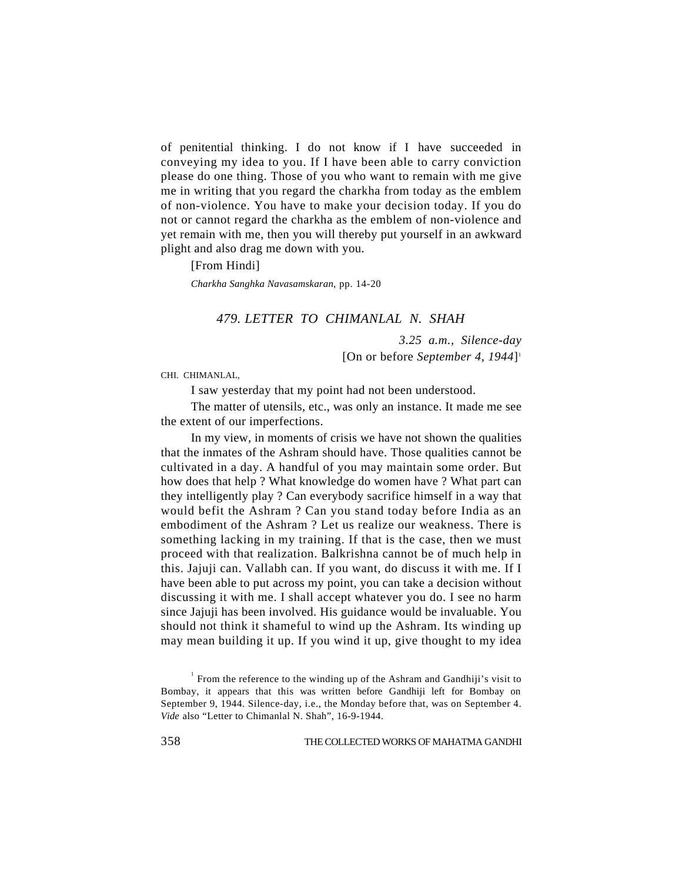of penitential thinking. I do not know if I have succeeded in conveying my idea to you. If I have been able to carry conviction please do one thing. Those of you who want to remain with me give me in writing that you regard the charkha from today as the emblem of non-violence. You have to make your decision today. If you do not or cannot regard the charkha as the emblem of non-violence and yet remain with me, then you will thereby put yourself in an awkward plight and also drag me down with you.

[From Hindi]

*Charkha Sanghka Navasamskaran*, pp. 14-20

# *479. LETTER TO CHIMANLAL N. SHAH*

*3.25 a.m., Silence-day* [On or before *September 4, 1944*] 1

CHI. CHIMANLAL,

I saw yesterday that my point had not been understood.

The matter of utensils, etc., was only an instance. It made me see the extent of our imperfections.

In my view, in moments of crisis we have not shown the qualities that the inmates of the Ashram should have. Those qualities cannot be cultivated in a day. A handful of you may maintain some order. But how does that help ? What knowledge do women have ? What part can they intelligently play ? Can everybody sacrifice himself in a way that would befit the Ashram ? Can you stand today before India as an embodiment of the Ashram ? Let us realize our weakness. There is something lacking in my training. If that is the case, then we must proceed with that realization. Balkrishna cannot be of much help in this. Jajuji can. Vallabh can. If you want, do discuss it with me. If I have been able to put across my point, you can take a decision without discussing it with me. I shall accept whatever you do. I see no harm since Jajuji has been involved. His guidance would be invaluable. You should not think it shameful to wind up the Ashram. Its winding up may mean building it up. If you wind it up, give thought to my idea

<sup>&</sup>lt;sup>1</sup> From the reference to the winding up of the Ashram and Gandhiji's visit to Bombay, it appears that this was written before Gandhiji left for Bombay on September 9, 1944. Silence-day, i.e., the Monday before that, was on September 4. *Vide* also "Letter to Chimanlal N. Shah", 16-9-1944.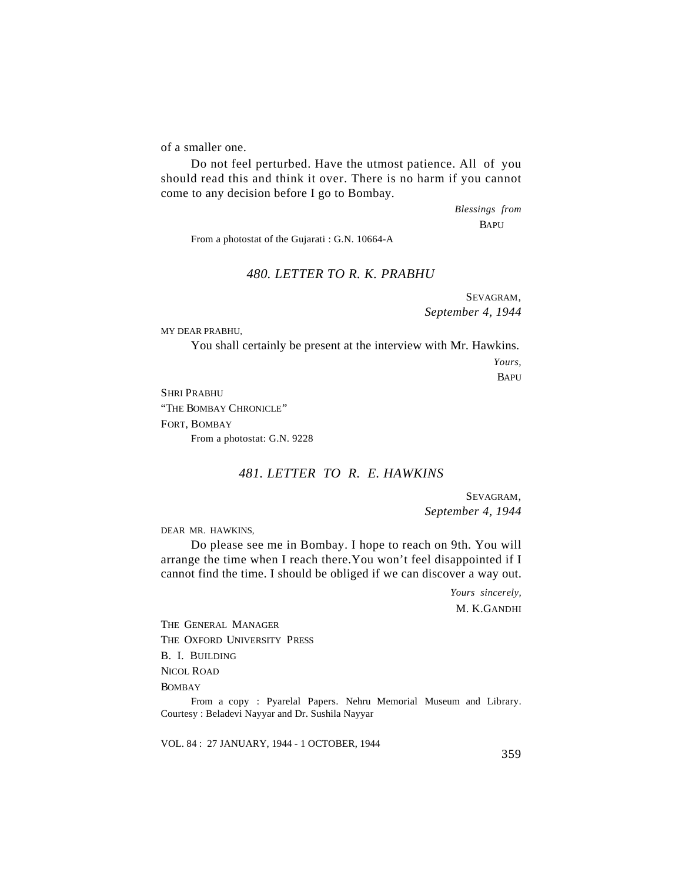of a smaller one.

Do not feel perturbed. Have the utmost patience. All of you should read this and think it over. There is no harm if you cannot come to any decision before I go to Bombay.

> *Blessings from* **BAPU**

From a photostat of the Gujarati : G.N. 10664-A

#### *480. LETTER TO R. K. PRABHU*

SEVAGRAM, *September 4, 1944*

MY DEAR PRABHU,

You shall certainly be present at the interview with Mr. Hawkins.

*Yours,*

**BAPU** 

SHRI PRABHU "THE BOMBAY CHRONICLE" FORT, BOMBAY From a photostat: G.N. 9228

## *481. LETTER TO R. E. HAWKINS*

SEVAGRAM, *September 4, 1944*

DEAR MR. HAWKINS,

Do please see me in Bombay. I hope to reach on 9th. You will arrange the time when I reach there.You won't feel disappointed if I cannot find the time. I should be obliged if we can discover a way out.

> *Yours sincerely,* M. K.GANDHI

THE GENERAL MANAGER THE OXFORD UNIVERSITY PRESS B. I. BUILDING NICOL ROAD BOMBAY

From a copy : Pyarelal Papers. Nehru Memorial Museum and Library. Courtesy : Beladevi Nayyar and Dr. Sushila Nayyar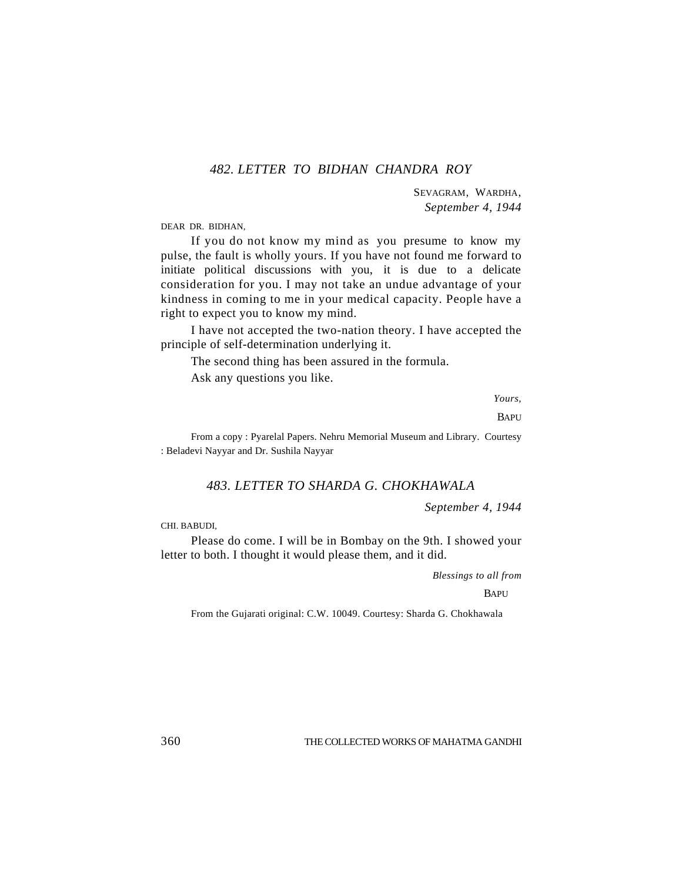## *482. LETTER TO BIDHAN CHANDRA ROY*

SEVAGRAM, WARDHA, *September 4, 1944*

DEAR DR. BIDHAN,

If you do not know my mind as you presume to know my pulse, the fault is wholly yours. If you have not found me forward to initiate political discussions with you, it is due to a delicate consideration for you. I may not take an undue advantage of your kindness in coming to me in your medical capacity. People have a right to expect you to know my mind.

I have not accepted the two-nation theory. I have accepted the principle of self-determination underlying it.

The second thing has been assured in the formula.

Ask any questions you like.

*Yours,*

**BAPU** 

From a copy : Pyarelal Papers. Nehru Memorial Museum and Library. Courtesy : Beladevi Nayyar and Dr. Sushila Nayyar

#### *483. LETTER TO SHARDA G. CHOKHAWALA*

*September 4, 1944*

CHI. BABUDI,

Please do come. I will be in Bombay on the 9th. I showed your letter to both. I thought it would please them, and it did.

*Blessings to all from*

**BAPU** 

From the Gujarati original: C.W. 10049. Courtesy: Sharda G. Chokhawala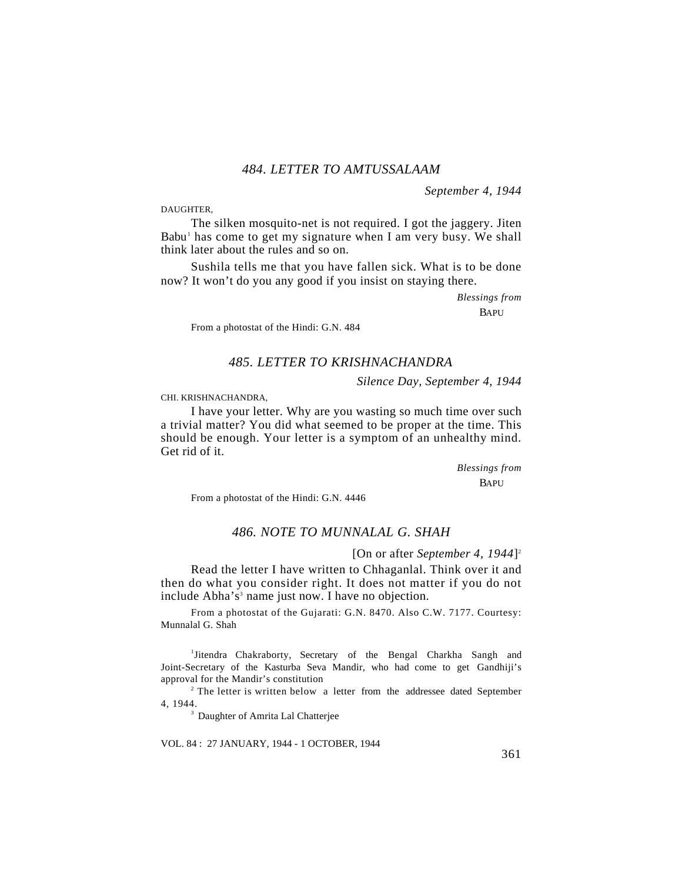*September 4, 1944*

DAUGHTER,

The silken mosquito-net is not required. I got the jaggery. Jiten Babu<sup>1</sup> has come to get my signature when I am very busy. We shall think later about the rules and so on.

Sushila tells me that you have fallen sick. What is to be done now? It won't do you any good if you insist on staying there.

*Blessings from*

**BAPU** 

From a photostat of the Hindi: G.N. 484

### *485. LETTER TO KRISHNACHANDRA*

*Silence Day, September 4, 1944*

CHI. KRISHNACHANDRA,

I have your letter. Why are you wasting so much time over such a trivial matter? You did what seemed to be proper at the time. This should be enough. Your letter is a symptom of an unhealthy mind. Get rid of it.

> *Blessings from* **BAPU**

From a photostat of the Hindi: G.N. 4446

### *486. NOTE TO MUNNALAL G. SHAH*

[On or after *September 4, 1944*] 2

Read the letter I have written to Chhaganlal. Think over it and then do what you consider right. It does not matter if you do not include Abha's<sup>3</sup> name just now. I have no objection.

From a photostat of the Gujarati: G.N. 8470. Also C.W. 7177. Courtesy: Munnalal G. Shah

1 Jitendra Chakraborty, Secretary of the Bengal Charkha Sangh and Joint-Secretary of the Kasturba Seva Mandir, who had come to get Gandhiji's approval for the Mandir's constitution

<sup>2</sup> The letter is written below a letter from the addressee dated September 4, 1944.

<sup>3</sup> Daughter of Amrita Lal Chatterjee

VOL. 84 : 27 JANUARY, 1944 - 1 OCTOBER, 1944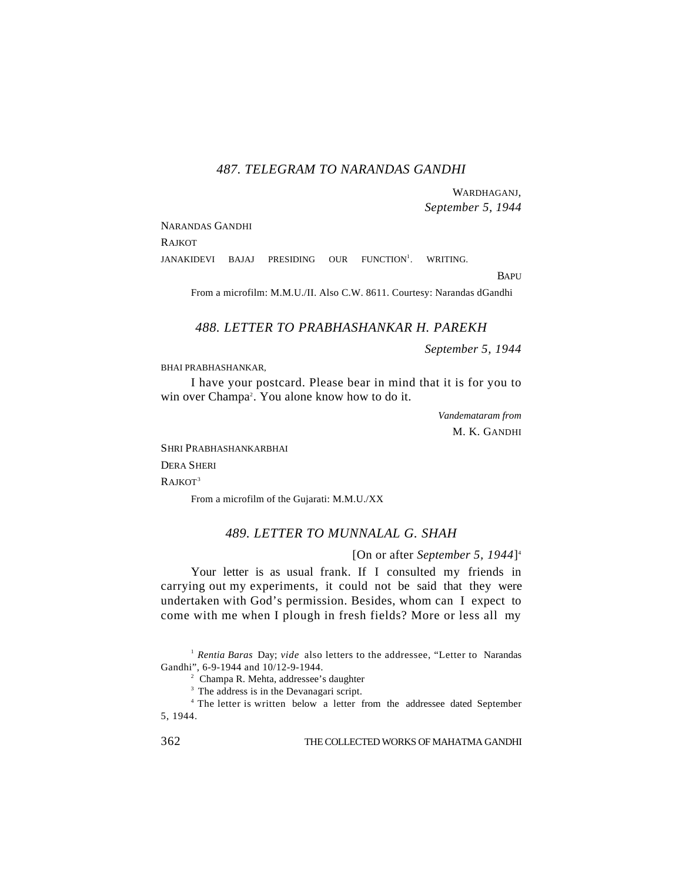## *487. TELEGRAM TO NARANDAS GANDHI*

WARDHAGANJ, *September 5, 1944*

NARANDAS GANDHI

RAJKOT

JANAKIDEVI BAJAJ PRESIDING OUR FUNCTION<sup>1</sup>. WRITING.

**BAPU** 

From a microfilm: M.M.U./II. Also C.W. 8611. Courtesy: Narandas dGandhi

### *488. LETTER TO PRABHASHANKAR H. PAREKH*

*September 5, 1944*

BHAI PRABHASHANKAR,

I have your postcard. Please bear in mind that it is for you to win over Champa<sup>2</sup>. You alone know how to do it.

> *Vandemataram from* M. K. GANDHI

SHRI PRABHASHANKARBHAI DERA SHERI  $R$  A  $IKOT<sup>3</sup>$ 

From a microfilm of the Gujarati: M.M.U./XX

### *489. LETTER TO MUNNALAL G. SHAH*

[On or after *September 5, 1944*] 4

Your letter is as usual frank. If I consulted my friends in carrying out my experiments, it could not be said that they were undertaken with God's permission. Besides, whom can I expect to come with me when I plough in fresh fields? More or less all my

<sup>1</sup>*Rentia Baras* Day; *vide* also letters to the addressee, "Letter to Narandas Gandhi", 6-9-1944 and 10/12-9-1944.

<sup>2</sup> Champa R. Mehta, addressee's daughter

 $3$  The address is in the Devanagari script.

<sup>4</sup> The letter is written below a letter from the addressee dated September 5, 1944.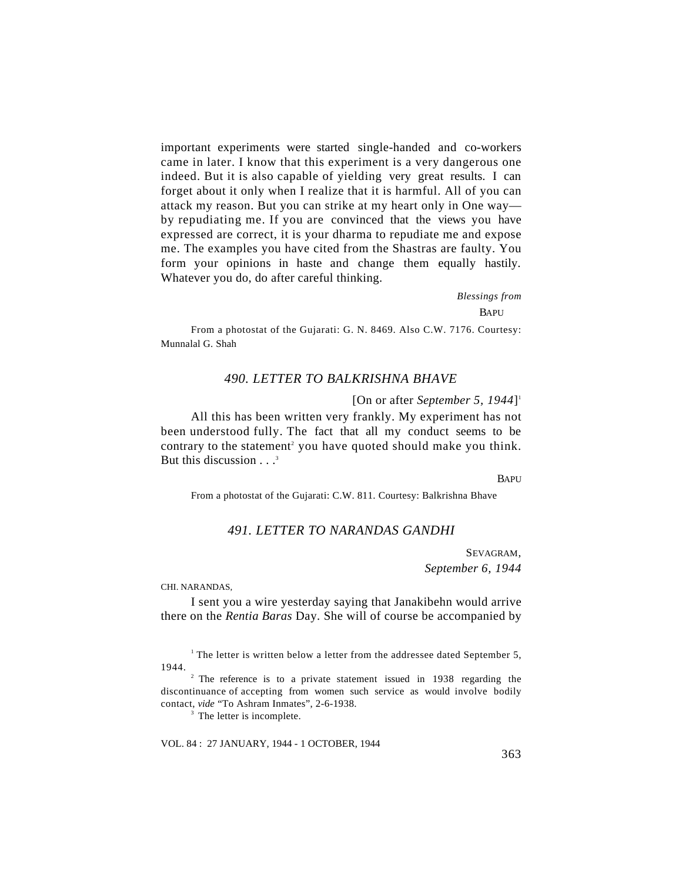important experiments were started single-handed and co-workers came in later. I know that this experiment is a very dangerous one indeed. But it is also capable of yielding very great results. I can forget about it only when I realize that it is harmful. All of you can attack my reason. But you can strike at my heart only in One way by repudiating me. If you are convinced that the views you have expressed are correct, it is your dharma to repudiate me and expose me. The examples you have cited from the Shastras are faulty. You form your opinions in haste and change them equally hastily. Whatever you do, do after careful thinking.

*Blessings from*

**BAPU** 

From a photostat of the Gujarati: G. N. 8469. Also C.W. 7176. Courtesy: Munnalal G. Shah

### *490. LETTER TO BALKRISHNA BHAVE*

[On or after *September 5, 1944*] 1

All this has been written very frankly. My experiment has not been understood fully. The fact that all my conduct seems to be contrary to the statement<sup>2</sup> you have quoted should make you think. But this discussion  $\mathbb{R}^3$ 

**BAPU** 

From a photostat of the Gujarati: C.W. 811. Courtesy: Balkrishna Bhave

## *491. LETTER TO NARANDAS GANDHI*

SEVAGRAM, *September 6, 1944*

CHI. NARANDAS,

I sent you a wire yesterday saying that Janakibehn would arrive there on the *Rentia Baras* Day. She will of course be accompanied by

 $1$ <sup>1</sup> The letter is written below a letter from the addressee dated September 5, 1944.

 $2$  The reference is to a private statement issued in 1938 regarding the discontinuance of accepting from women such service as would involve bodily contact, *vide* "To Ashram Inmates", 2-6-1938.

<sup>3</sup> The letter is incomplete.

VOL. 84 : 27 JANUARY, 1944 - 1 OCTOBER, 1944

363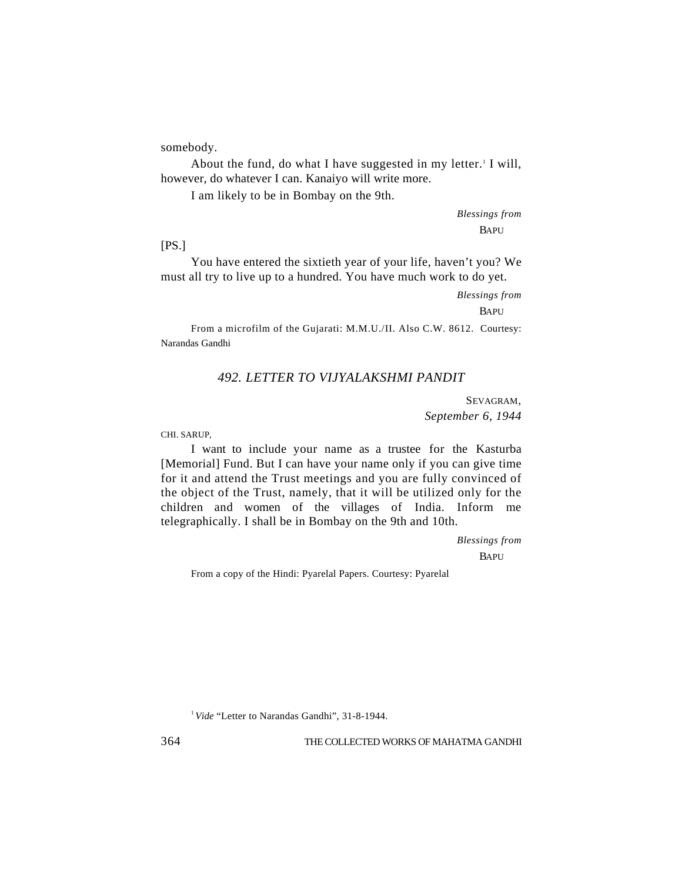somebody.

About the fund, do what I have suggested in my letter.<sup>1</sup> I will, however, do whatever I can. Kanaiyo will write more.

I am likely to be in Bombay on the 9th.

*Blessings from* **BAPU** 

[PS.]

You have entered the sixtieth year of your life, haven't you? We must all try to live up to a hundred. You have much work to do yet.

*Blessings from*

**BAPU** 

From a microfilm of the Gujarati: M.M.U./II. Also C.W. 8612. Courtesy: Narandas Gandhi

# *492. LETTER TO VIJYALAKSHMI PANDIT*

SEVAGRAM, *September 6, 1944*

CHI. SARUP,

I want to include your name as a trustee for the Kasturba [Memorial] Fund. But I can have your name only if you can give time for it and attend the Trust meetings and you are fully convinced of the object of the Trust, namely, that it will be utilized only for the children and women of the villages of India. Inform me telegraphically. I shall be in Bombay on the 9th and 10th.

*Blessings from*

**BAPU** 

From a copy of the Hindi: Pyarelal Papers. Courtesy: Pyarelal

<sup>1</sup> Vide "Letter to Narandas Gandhi", 31-8-1944.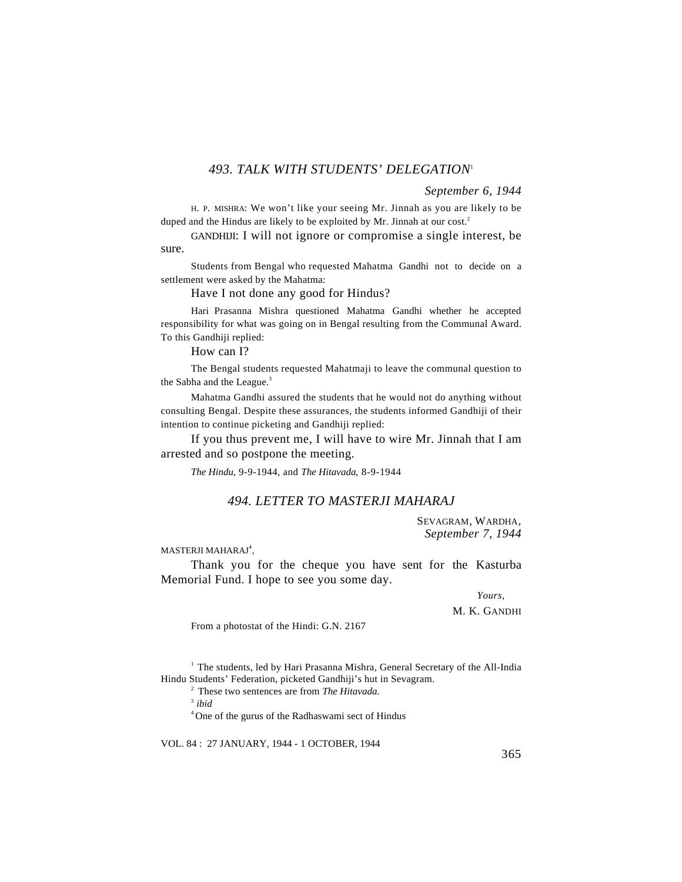### *493. TALK WITH STUDENTS' DELEGATION*<sup>1</sup>

#### *September 6, 1944*

H. P. MISHRA: We won't like your seeing Mr. Jinnah as you are likely to be duped and the Hindus are likely to be exploited by Mr. Jinnah at our cost.<sup>2</sup>

GANDHIJI: I will not ignore or compromise a single interest, be sure.

Students from Bengal who requested Mahatma Gandhi not to decide on a settlement were asked by the Mahatma:

Have I not done any good for Hindus?

Hari Prasanna Mishra questioned Mahatma Gandhi whether he accepted responsibility for what was going on in Bengal resulting from the Communal Award. To this Gandhiji replied:

How can I?

The Bengal students requested Mahatmaji to leave the communal question to the Sabha and the League.<sup>3</sup>

Mahatma Gandhi assured the students that he would not do anything without consulting Bengal. Despite these assurances, the students informed Gandhiji of their intention to continue picketing and Gandhiji replied:

If you thus prevent me, I will have to wire Mr. Jinnah that I am arrested and so postpone the meeting.

*The Hindu*, 9-9-1944, and *The Hitavada*, 8-9-1944

## *494. LETTER TO MASTERJI MAHARAJ*

SEVAGRAM, WARDHA, *September 7, 1944*

 $MASTERJI MAHARAJ<sup>4</sup>,$ 

Thank you for the cheque you have sent for the Kasturba Memorial Fund. I hope to see you some day.

*Yours,*

M. K. GANDHI

From a photostat of the Hindi: G.N. 2167

<sup>1</sup> The students, led by Hari Prasanna Mishra, General Secretary of the All-India Hindu Students' Federation, picketed Gandhiji's hut in Sevagram.

<sup>2</sup>These two sentences are from *The Hitavada*.

3 *ibid*

4 One of the gurus of the Radhaswami sect of Hindus

VOL. 84 : 27 JANUARY, 1944 - 1 OCTOBER, 1944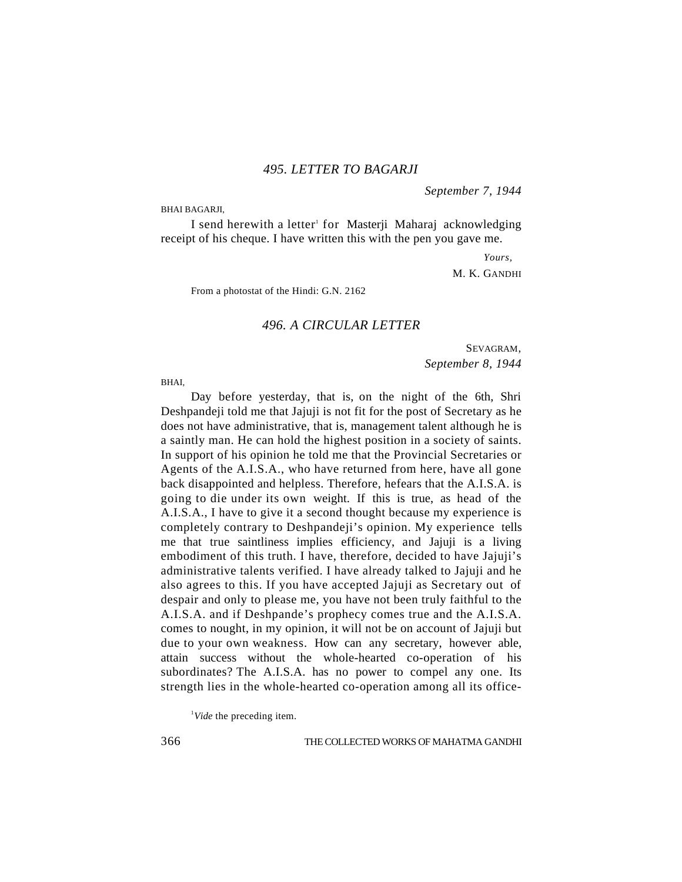*September 7, 1944*

BHAI BAGARJI,

I send herewith a letter<sup>1</sup> for Masterji Maharaj acknowledging receipt of his cheque. I have written this with the pen you gave me.

*Yours,* 

M. K. GANDHI

From a photostat of the Hindi: G.N. 2162

## *496. A CIRCULAR LETTER*

SEVAGRAM, *September 8, 1944*

BHAI,

Day before yesterday, that is, on the night of the 6th, Shri Deshpandeji told me that Jajuji is not fit for the post of Secretary as he does not have administrative, that is, management talent although he is a saintly man. He can hold the highest position in a society of saints. In support of his opinion he told me that the Provincial Secretaries or Agents of the A.I.S.A., who have returned from here, have all gone back disappointed and helpless. Therefore, hefears that the A.I.S.A. is going to die under its own weight. If this is true, as head of the A.I.S.A., I have to give it a second thought because my experience is completely contrary to Deshpandeji's opinion. My experience tells me that true saintliness implies efficiency, and Jajuji is a living embodiment of this truth. I have, therefore, decided to have Jajuji's administrative talents verified. I have already talked to Jajuji and he also agrees to this. If you have accepted Jajuji as Secretary out of despair and only to please me, you have not been truly faithful to the A.I.S.A. and if Deshpande's prophecy comes true and the A.I.S.A. comes to nought, in my opinion, it will not be on account of Jajuji but due to your own weakness. How can any secretary, however able, attain success without the whole-hearted co-operation of his subordinates? The A.I.S.A. has no power to compel any one. Its strength lies in the whole-hearted co-operation among all its office-

<sup>1</sup>*Vide* the preceding item.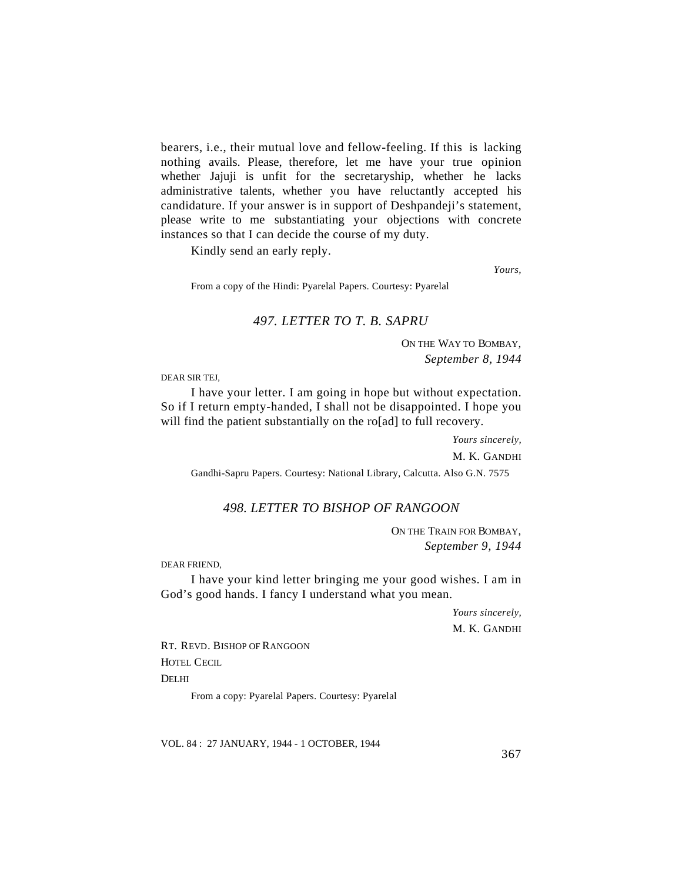bearers, i.e., their mutual love and fellow-feeling. If this is lacking nothing avails. Please, therefore, let me have your true opinion whether Jajuji is unfit for the secretaryship, whether he lacks administrative talents, whether you have reluctantly accepted his candidature. If your answer is in support of Deshpandeji's statement, please write to me substantiating your objections with concrete instances so that I can decide the course of my duty.

Kindly send an early reply.

*Yours,*

From a copy of the Hindi: Pyarelal Papers. Courtesy: Pyarelal

### *497. LETTER TO T. B. SAPRU*

ON THE WAY TO BOMBAY, *September 8, 1944*

DEAR SIR TEJ,

I have your letter. I am going in hope but without expectation. So if I return empty-handed, I shall not be disappointed. I hope you will find the patient substantially on the ro[ad] to full recovery.

*Yours sincerely,* M. K. GANDHI Gandhi-Sapru Papers. Courtesy: National Library, Calcutta. Also G.N. 7575

## *498. LETTER TO BISHOP OF RANGOON*

ON THE TRAIN FOR BOMBAY, *September 9, 1944*

DEAR FRIEND,

I have your kind letter bringing me your good wishes. I am in God's good hands. I fancy I understand what you mean.

> *Yours sincerely,* M. K. GANDHI

RT. REVD. BISHOP OF RANGOON HOTEL CECIL DELHI

From a copy: Pyarelal Papers. Courtesy: Pyarelal

VOL. 84 : 27 JANUARY, 1944 - 1 OCTOBER, 1944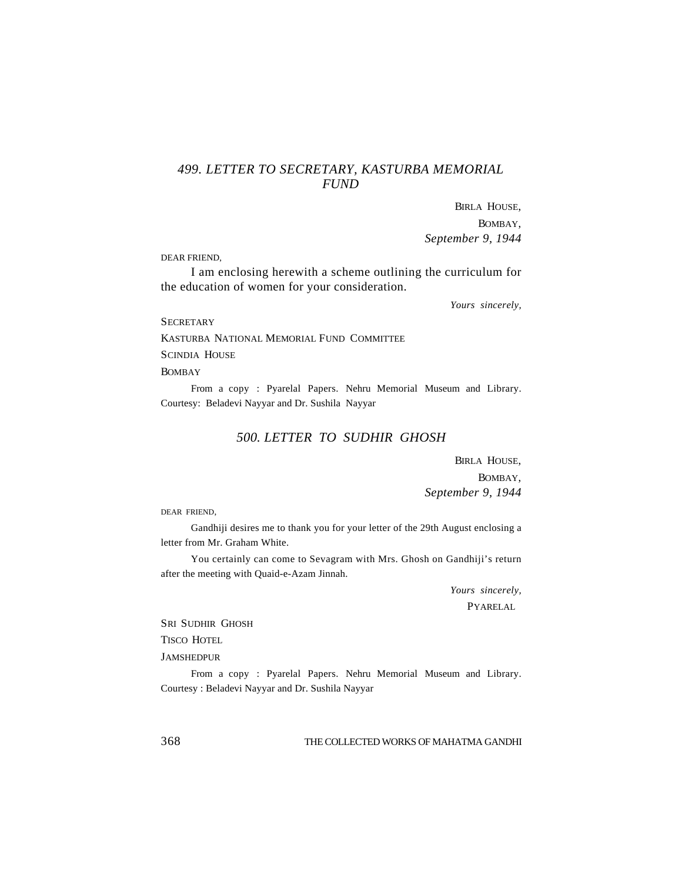## *499. LETTER TO SECRETARY, KASTURBA MEMORIAL FUND*

BIRLA HOUSE, BOMBAY, *September 9, 1944*

DEAR FRIEND,

I am enclosing herewith a scheme outlining the curriculum for the education of women for your consideration.

*Yours sincerely,*

**SECRETARY** 

KASTURBA NATIONAL MEMORIAL FUND COMMITTEE

SCINDIA HOUSE

**BOMBAY** 

From a copy : Pyarelal Papers. Nehru Memorial Museum and Library. Courtesy: Beladevi Nayyar and Dr. Sushila Nayyar

### *500. LETTER TO SUDHIR GHOSH*

BIRLA HOUSE, BOMBAY, *September 9, 1944*

DEAR FRIEND,

Gandhiji desires me to thank you for your letter of the 29th August enclosing a letter from Mr. Graham White.

You certainly can come to Sevagram with Mrs. Ghosh on Gandhiji's return after the meeting with Quaid-e-Azam Jinnah.

> *Yours sincerely,* PYARELAL

SRI SUDHIR GHOSH

TISCO HOTEL

JAMSHEDPUR

From a copy : Pyarelal Papers. Nehru Memorial Museum and Library. Courtesy : Beladevi Nayyar and Dr. Sushila Nayyar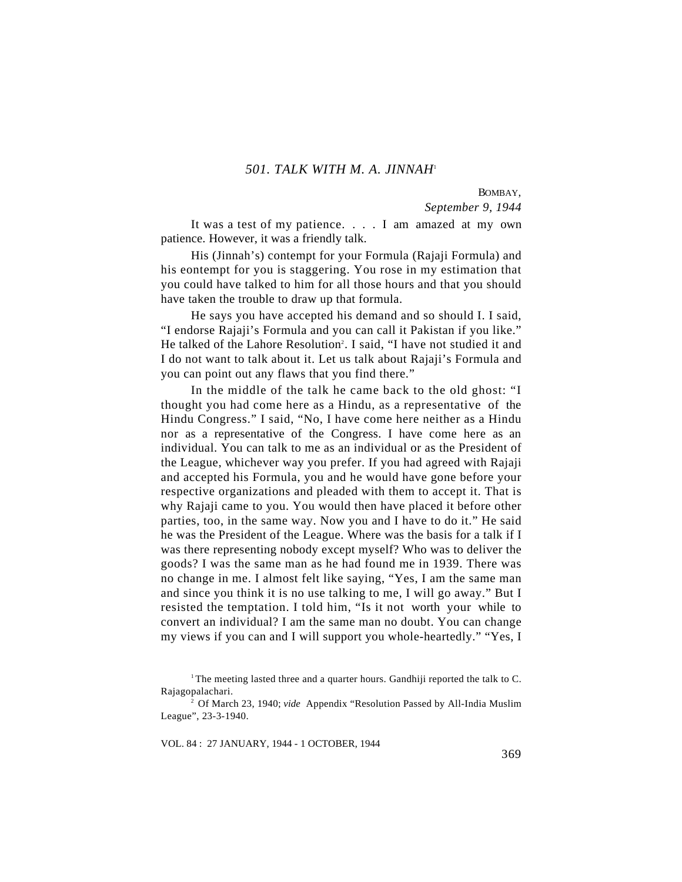## *501. TALK WITH M. A. JINNAH*<sup>1</sup>

BOMBAY, *September 9, 1944*

It was a test of my patience. . . . I am amazed at my own patience. However, it was a friendly talk.

His (Jinnah's) contempt for your Formula (Rajaji Formula) and his eontempt for you is staggering. You rose in my estimation that you could have talked to him for all those hours and that you should have taken the trouble to draw up that formula.

He says you have accepted his demand and so should I. I said, "I endorse Rajaji's Formula and you can call it Pakistan if you like." He talked of the Lahore Resolution<sup>2</sup>. I said, "I have not studied it and I do not want to talk about it. Let us talk about Rajaji's Formula and you can point out any flaws that you find there."

In the middle of the talk he came back to the old ghost: "I thought you had come here as a Hindu, as a representative of the Hindu Congress." I said, "No, I have come here neither as a Hindu nor as a representative of the Congress. I have come here as an individual. You can talk to me as an individual or as the President of the League, whichever way you prefer. If you had agreed with Rajaji and accepted his Formula, you and he would have gone before your respective organizations and pleaded with them to accept it. That is why Rajaji came to you. You would then have placed it before other parties, too, in the same way. Now you and I have to do it." He said he was the President of the League. Where was the basis for a talk if I was there representing nobody except myself? Who was to deliver the goods? I was the same man as he had found me in 1939. There was no change in me. I almost felt like saying, "Yes, I am the same man and since you think it is no use talking to me, I will go away." But I resisted the temptation. I told him, "Is it not worth your while to convert an individual? I am the same man no doubt. You can change my views if you can and I will support you whole-heartedly." "Yes, I

<sup>&</sup>lt;sup>1</sup>The meeting lasted three and a quarter hours. Gandhiji reported the talk to C. Rajagopalachari.

<sup>2</sup>Of March 23, 1940; *vide* Appendix "Resolution Passed by All-India Muslim League", 23-3-1940.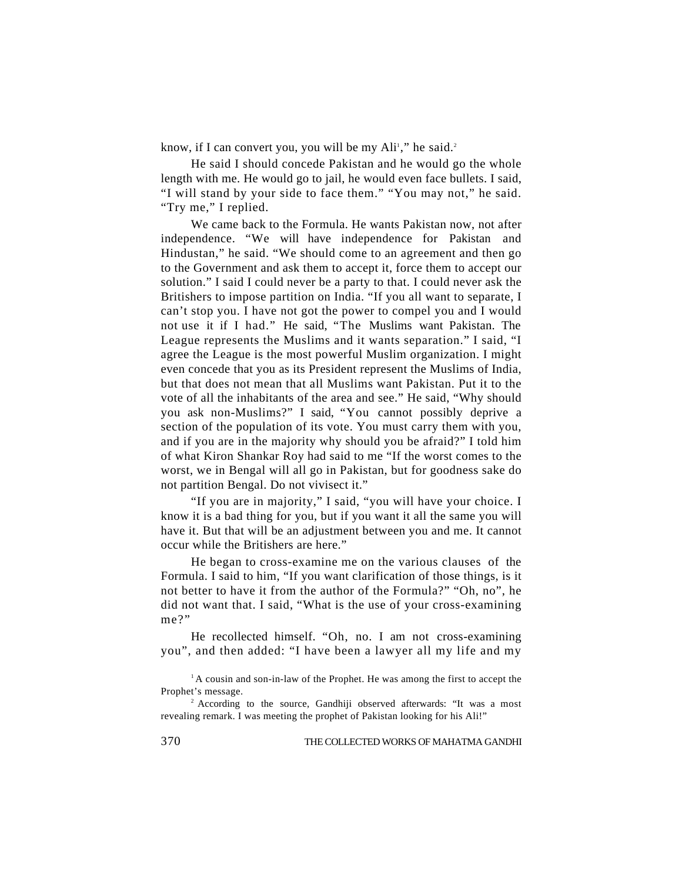know, if I can convert you, you will be my Ali<sup>1</sup>," he said.<sup>2</sup>

He said I should concede Pakistan and he would go the whole length with me. He would go to jail, he would even face bullets. I said, "I will stand by your side to face them." "You may not," he said. "Try me," I replied.

We came back to the Formula. He wants Pakistan now, not after independence. "We will have independence for Pakistan and Hindustan," he said. "We should come to an agreement and then go to the Government and ask them to accept it, force them to accept our solution." I said I could never be a party to that. I could never ask the Britishers to impose partition on India. "If you all want to separate, I can't stop you. I have not got the power to compel you and I would not use it if I had." He said, "The Muslims want Pakistan. The League represents the Muslims and it wants separation." I said, "I agree the League is the most powerful Muslim organization. I might even concede that you as its President represent the Muslims of India, but that does not mean that all Muslims want Pakistan. Put it to the vote of all the inhabitants of the area and see." He said, "Why should you ask non-Muslims?" I said, "You cannot possibly deprive a section of the population of its vote. You must carry them with you, and if you are in the majority why should you be afraid?" I told him of what Kiron Shankar Roy had said to me "If the worst comes to the worst, we in Bengal will all go in Pakistan, but for goodness sake do not partition Bengal. Do not vivisect it."

"If you are in majority," I said, "you will have your choice. I know it is a bad thing for you, but if you want it all the same you will have it. But that will be an adjustment between you and me. It cannot occur while the Britishers are here."

He began to cross-examine me on the various clauses of the Formula. I said to him, "If you want clarification of those things, is it not better to have it from the author of the Formula?" "Oh, no", he did not want that. I said, "What is the use of your cross-examining me?"

He recollected himself. "Oh, no. I am not cross-examining you", and then added: "I have been a lawyer all my life and my

 $<sup>1</sup>$ A cousin and son-in-law of the Prophet. He was among the first to accept the</sup> Prophet's message.

 $2$  According to the source, Gandhiji observed afterwards: "It was a most revealing remark. I was meeting the prophet of Pakistan looking for his Ali!"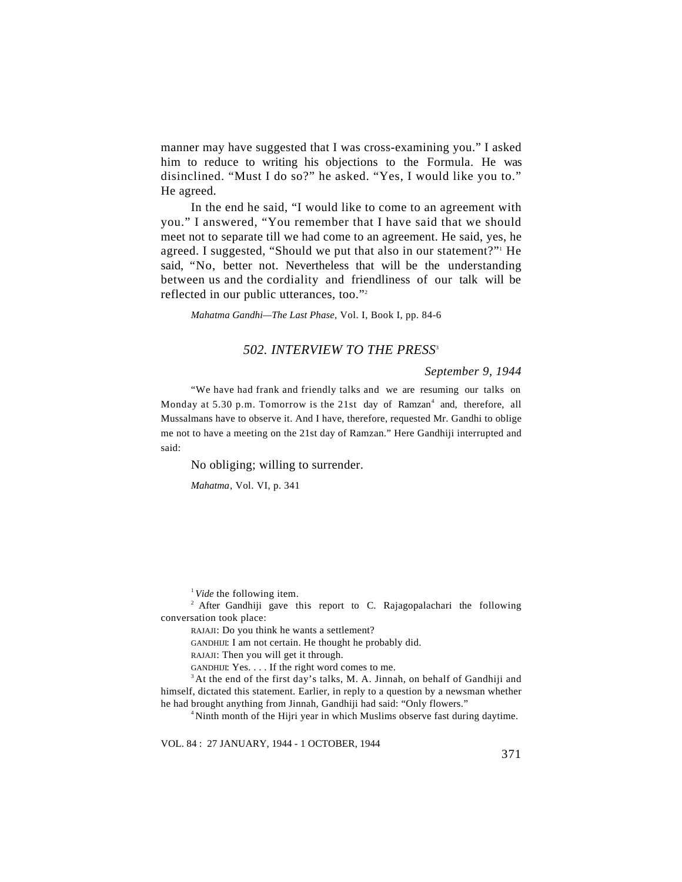manner may have suggested that I was cross-examining you." I asked him to reduce to writing his objections to the Formula. He was disinclined. "Must I do so?" he asked. "Yes, I would like you to." He agreed.

In the end he said, "I would like to come to an agreement with you." I answered, "You remember that I have said that we should meet not to separate till we had come to an agreement. He said, yes, he agreed. I suggested, "Should we put that also in our statement?"<sup>1</sup> He said, "No, better not. Nevertheless that will be the understanding between us and the cordiality and friendliness of our talk will be reflected in our public utterances, too."<sup>2</sup>

*Mahatma Gandhi—The Last Phase*, Vol. I, Book I, pp. 84-6

## *502. INTERVIEW TO THE PRESS*<sup>3</sup>

#### *September 9, 1944*

"We have had frank and friendly talks and we are resuming our talks on Monday at 5.30 p.m. Tomorrow is the 21st day of Ramzan<sup>4</sup> and, therefore, all Mussalmans have to observe it. And I have, therefore, requested Mr. Gandhi to oblige me not to have a meeting on the 21st day of Ramzan." Here Gandhiji interrupted and said:

No obliging; willing to surrender.

*Mahatma*, Vol. VI, p. 341

<sup>1</sup> Vide the following item.

 $2$  After Gandhiji gave this report to C. Rajagopalachari the following conversation took place:

RAJAJI: Do you think he wants a settlement?

GANDHIJI: I am not certain. He thought he probably did.

RAJAJI: Then you will get it through.

GANDHIJI: Yes. . . . If the right word comes to me.

 $3$  At the end of the first day's talks, M. A. Jinnah, on behalf of Gandhiji and himself, dictated this statement. Earlier, in reply to a question by a newsman whether he had brought anything from Jinnah, Gandhiji had said: "Only flowers."

<sup>4</sup> Ninth month of the Hijri year in which Muslims observe fast during daytime.

VOL. 84 : 27 JANUARY, 1944 - 1 OCTOBER, 1944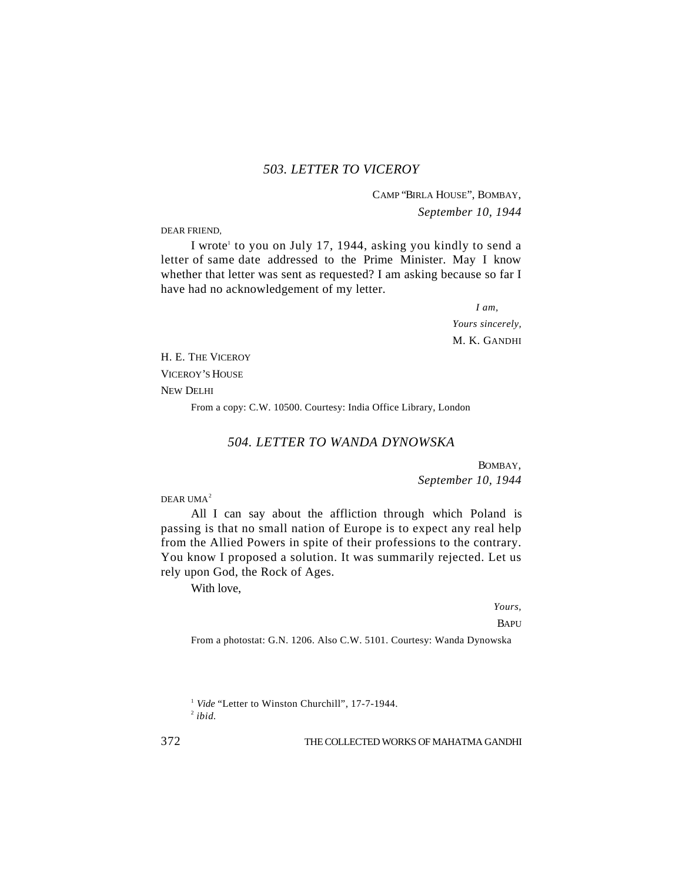## *503. LETTER TO VICEROY*

CAMP "BIRLA HOUSE", BOMBAY, *September 10, 1944*

DEAR FRIEND,

I wrote<sup>1</sup> to you on July 17, 1944, asking you kindly to send a letter of same date addressed to the Prime Minister. May I know whether that letter was sent as requested? I am asking because so far I have had no acknowledgement of my letter.

> *I am, Yours sincerely,* M. K. GANDHI

H. E. THE VICEROY VICEROY'S HOUSE NEW DELHI

From a copy: C.W. 10500. Courtesy: India Office Library, London

## *504. LETTER TO WANDA DYNOWSKA*

BOMBAY, *September 10, 1944*

DEAR  $IIMA<sup>2</sup>$ 

All I can say about the affliction through which Poland is passing is that no small nation of Europe is to expect any real help from the Allied Powers in spite of their professions to the contrary. You know I proposed a solution. It was summarily rejected. Let us rely upon God, the Rock of Ages.

With love,

*Yours,*

BAPU

From a photostat: G.N. 1206. Also C.W. 5101. Courtesy: Wanda Dynowska

<sup>1</sup> Vide "Letter to Winston Churchill", 17-7-1944. 2 *ibid.*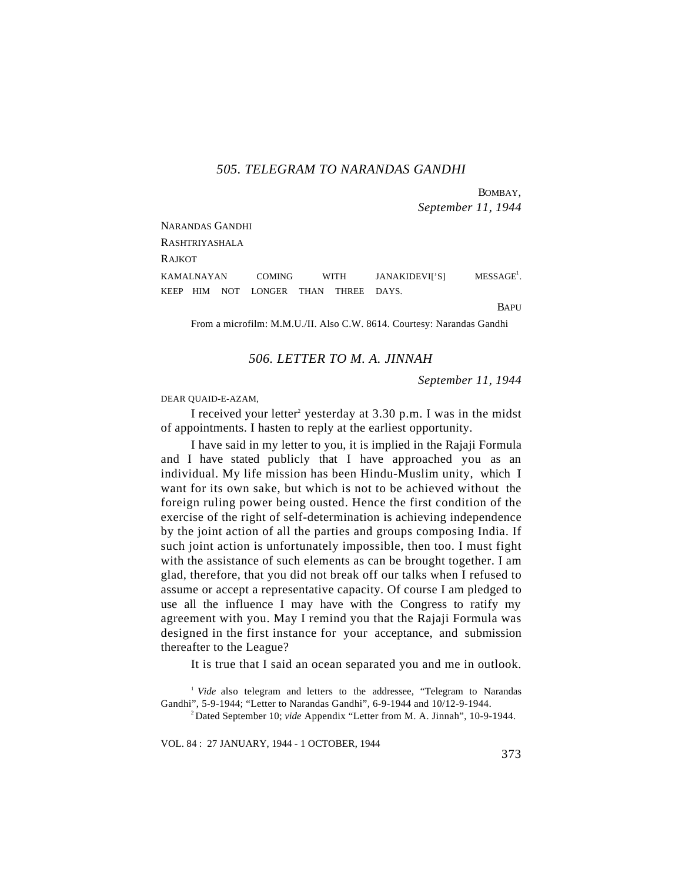## *505. TELEGRAM TO NARANDAS GANDHI*

BOMBAY, *September 11, 1944*

NARANDAS GANDHI

RASHTRIYASHALA

RAJKOT

KAMALNAYAN COMING WITH JANAKIDEVI['S]  $MESSAGE<sup>1</sup>$ . KEEP HIM NOT LONGER THAN THREE DAYS.

**BAPU** 

From a microfilm: M.M.U./II. Also C.W. 8614. Courtesy: Narandas Gandhi

#### *506. LETTER TO M. A. JINNAH*

*September 11, 1944*

#### DEAR QUAID-E-AZAM,

I received your letter<sup>2</sup> yesterday at 3.30 p.m. I was in the midst of appointments. I hasten to reply at the earliest opportunity.

I have said in my letter to you, it is implied in the Rajaji Formula and I have stated publicly that I have approached you as an individual. My life mission has been Hindu-Muslim unity, which I want for its own sake, but which is not to be achieved without the foreign ruling power being ousted. Hence the first condition of the exercise of the right of self-determination is achieving independence by the joint action of all the parties and groups composing India. If such joint action is unfortunately impossible, then too. I must fight with the assistance of such elements as can be brought together. I am glad, therefore, that you did not break off our talks when I refused to assume or accept a representative capacity. Of course I am pledged to use all the influence I may have with the Congress to ratify my agreement with you. May I remind you that the Rajaji Formula was designed in the first instance for your acceptance, and submission thereafter to the League?

It is true that I said an ocean separated you and me in outlook.

<sup>1</sup> Vide also telegram and letters to the addressee, "Telegram to Narandas Gandhi", 5-9-1944; "Letter to Narandas Gandhi", 6-9-1944 and 10/12-9-1944.

<sup>2</sup> Dated September 10; *vide* Appendix "Letter from M. A. Jinnah", 10-9-1944.

VOL. 84 : 27 JANUARY, 1944 - 1 OCTOBER, 1944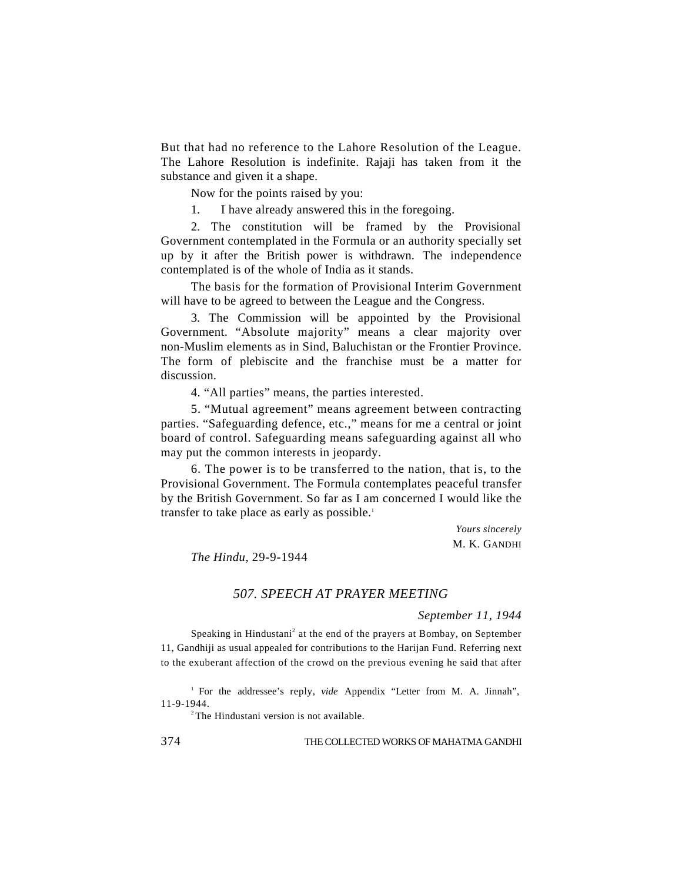But that had no reference to the Lahore Resolution of the League. The Lahore Resolution is indefinite. Rajaji has taken from it the substance and given it a shape.

Now for the points raised by you:

1. I have already answered this in the foregoing.

2. The constitution will be framed by the Provisional Government contemplated in the Formula or an authority specially set up by it after the British power is withdrawn. The independence contemplated is of the whole of India as it stands.

The basis for the formation of Provisional Interim Government will have to be agreed to between the League and the Congress.

3. The Commission will be appointed by the Provisional Government. "Absolute majority" means a clear majority over non-Muslim elements as in Sind, Baluchistan or the Frontier Province. The form of plebiscite and the franchise must be a matter for discussion.

4. "All parties" means, the parties interested.

5. "Mutual agreement" means agreement between contracting parties. "Safeguarding defence, etc.," means for me a central or joint board of control. Safeguarding means safeguarding against all who may put the common interests in jeopardy.

6. The power is to be transferred to the nation, that is, to the Provisional Government. The Formula contemplates peaceful transfer by the British Government. So far as I am concerned I would like the transfer to take place as early as possible.<sup>1</sup>

> *Yours sincerely* M. K. GANDHI

*The Hindu,* 29-9-1944

# *507. SPEECH AT PRAYER MEETING*

*September 11, 1944*

Speaking in Hindustani<sup>2</sup> at the end of the prayers at Bombay, on September 11, Gandhiji as usual appealed for contributions to the Harijan Fund. Referring next to the exuberant affection of the crowd on the previous evening he said that after

<sup>1</sup> For the addressee's reply, *vide* Appendix "Letter from M. A. Jinnah", 11-9-1944.

 $2$  The Hindustani version is not available.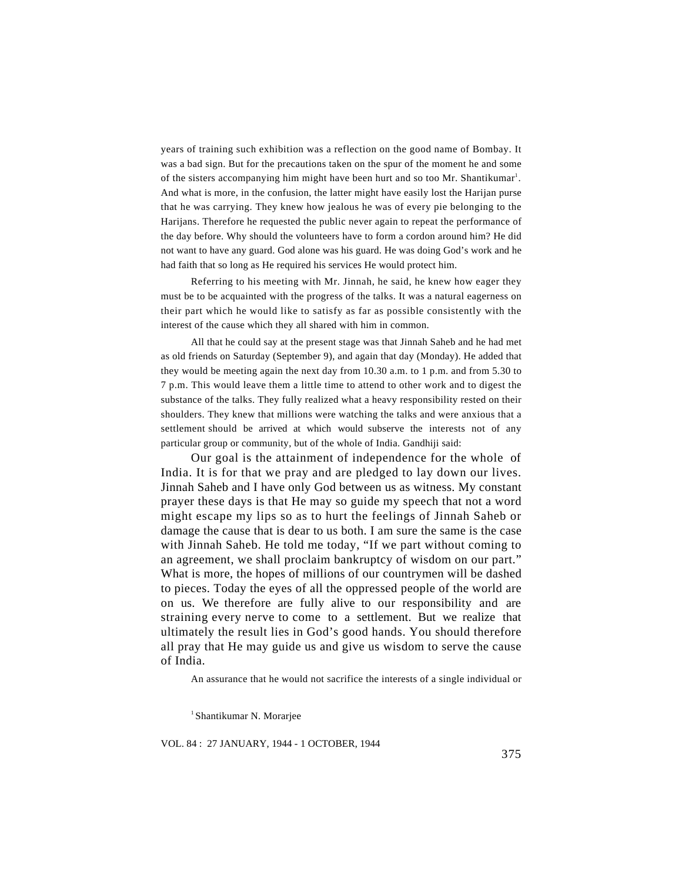years of training such exhibition was a reflection on the good name of Bombay. It was a bad sign. But for the precautions taken on the spur of the moment he and some of the sisters accompanying him might have been hurt and so too Mr. Shantikumar<sup>1</sup>. And what is more, in the confusion, the latter might have easily lost the Harijan purse that he was carrying. They knew how jealous he was of every pie belonging to the Harijans. Therefore he requested the public never again to repeat the performance of the day before. Why should the volunteers have to form a cordon around him? He did not want to have any guard. God alone was his guard. He was doing God's work and he had faith that so long as He required his services He would protect him.

Referring to his meeting with Mr. Jinnah, he said, he knew how eager they must be to be acquainted with the progress of the talks. It was a natural eagerness on their part which he would like to satisfy as far as possible consistently with the interest of the cause which they all shared with him in common.

All that he could say at the present stage was that Jinnah Saheb and he had met as old friends on Saturday (September 9), and again that day (Monday). He added that they would be meeting again the next day from 10.30 a.m. to 1 p.m. and from 5.30 to 7 p.m. This would leave them a little time to attend to other work and to digest the substance of the talks. They fully realized what a heavy responsibility rested on their shoulders. They knew that millions were watching the talks and were anxious that a settlement should be arrived at which would subserve the interests not of any particular group or community, but of the whole of India. Gandhiji said:

Our goal is the attainment of independence for the whole of India. It is for that we pray and are pledged to lay down our lives. Jinnah Saheb and I have only God between us as witness. My constant prayer these days is that He may so guide my speech that not a word might escape my lips so as to hurt the feelings of Jinnah Saheb or damage the cause that is dear to us both. I am sure the same is the case with Jinnah Saheb. He told me today, "If we part without coming to an agreement, we shall proclaim bankruptcy of wisdom on our part." What is more, the hopes of millions of our countrymen will be dashed to pieces. Today the eyes of all the oppressed people of the world are on us. We therefore are fully alive to our responsibility and are straining every nerve to come to a settlement. But we realize that ultimately the result lies in God's good hands. You should therefore all pray that He may guide us and give us wisdom to serve the cause of India.

An assurance that he would not sacrifice the interests of a single individual or

<sup>1</sup> Shantikumar N. Morarjee

VOL. 84 : 27 JANUARY, 1944 - 1 OCTOBER, 1944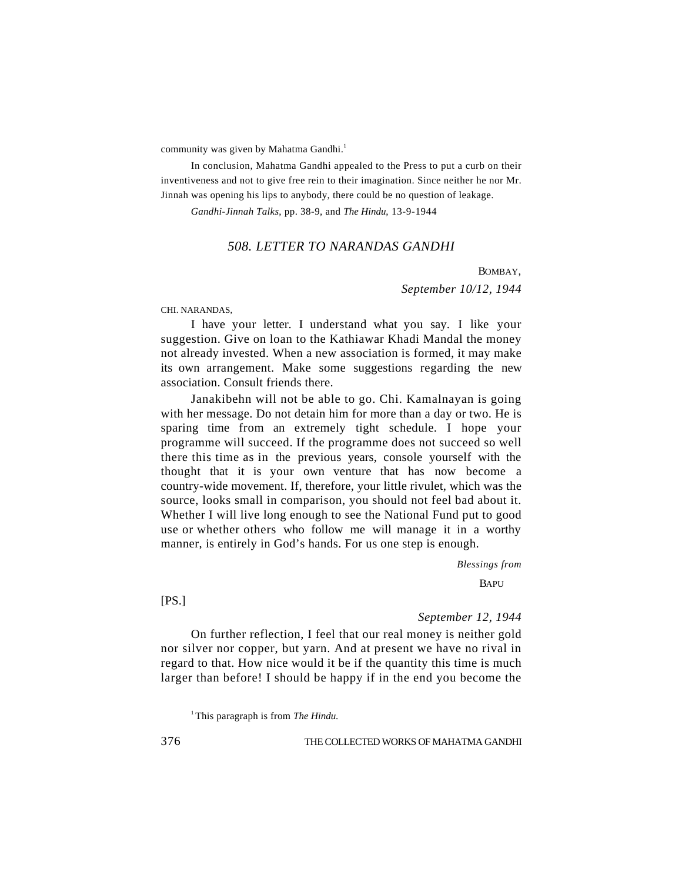community was given by Mahatma Gandhi.<sup>1</sup>

In conclusion, Mahatma Gandhi appealed to the Press to put a curb on their inventiveness and not to give free rein to their imagination. Since neither he nor Mr. Jinnah was opening his lips to anybody, there could be no question of leakage.

*Gandhi-Jinnah Talks*, pp. 38-9, and *The Hindu*, 13-9-1944

### *508. LETTER TO NARANDAS GANDHI*

BOMBAY,

*September 10/12, 1944*

CHI. NARANDAS,

I have your letter. I understand what you say. I like your suggestion. Give on loan to the Kathiawar Khadi Mandal the money not already invested. When a new association is formed, it may make its own arrangement. Make some suggestions regarding the new association. Consult friends there.

Janakibehn will not be able to go. Chi. Kamalnayan is going with her message. Do not detain him for more than a day or two. He is sparing time from an extremely tight schedule. I hope your programme will succeed. If the programme does not succeed so well there this time as in the previous years, console yourself with the thought that it is your own venture that has now become a country-wide movement. If, therefore, your little rivulet, which was the source, looks small in comparison, you should not feel bad about it. Whether I will live long enough to see the National Fund put to good use or whether others who follow me will manage it in a worthy manner, is entirely in God's hands. For us one step is enough.

*Blessings from*

**BAPU** 

[PS.]

#### *September 12, 1944*

On further reflection, I feel that our real money is neither gold nor silver nor copper, but yarn. And at present we have no rival in regard to that. How nice would it be if the quantity this time is much larger than before! I should be happy if in the end you become the

<sup>1</sup>This paragraph is from *The Hindu*.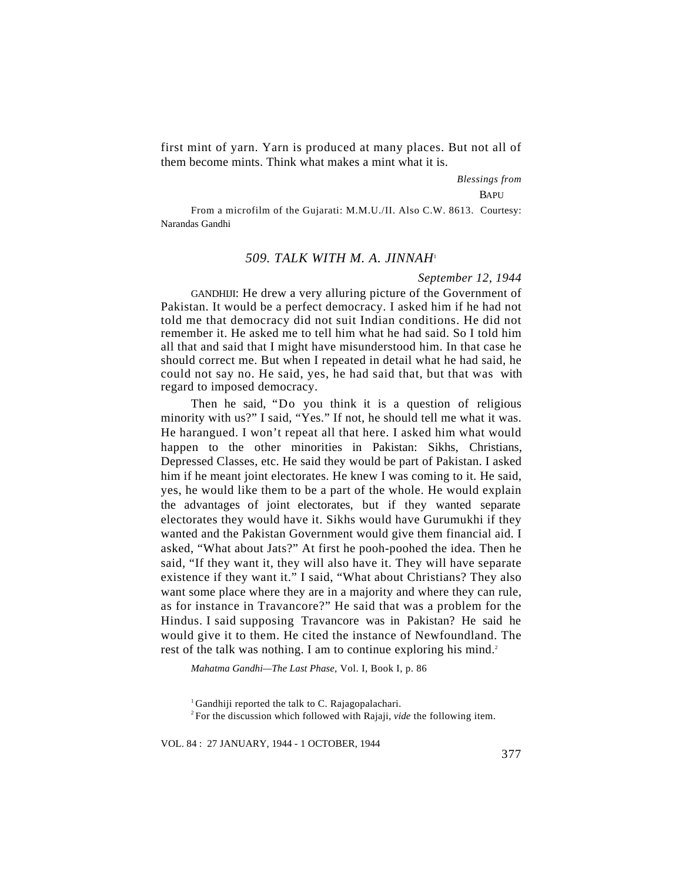first mint of yarn. Yarn is produced at many places. But not all of them become mints. Think what makes a mint what it is.

*Blessings from*

**BAPU** 

From a microfilm of the Gujarati: M.M.U./II. Also C.W. 8613. Courtesy: Narandas Gandhi

### *509. TALK WITH M. A. JINNAH*<sup>1</sup>

#### *September 12, 1944*

GANDHIJI: He drew a very alluring picture of the Government of Pakistan. It would be a perfect democracy. I asked him if he had not told me that democracy did not suit Indian conditions. He did not remember it. He asked me to tell him what he had said. So I told him all that and said that I might have misunderstood him. In that case he should correct me. But when I repeated in detail what he had said, he could not say no. He said, yes, he had said that, but that was with regard to imposed democracy.

Then he said, "Do you think it is a question of religious minority with us?" I said, "Yes." If not, he should tell me what it was. He harangued. I won't repeat all that here. I asked him what would happen to the other minorities in Pakistan: Sikhs, Christians, Depressed Classes, etc. He said they would be part of Pakistan. I asked him if he meant joint electorates. He knew I was coming to it. He said, yes, he would like them to be a part of the whole. He would explain the advantages of joint electorates, but if they wanted separate electorates they would have it. Sikhs would have Gurumukhi if they wanted and the Pakistan Government would give them financial aid. I asked, "What about Jats?" At first he pooh-poohed the idea. Then he said, "If they want it, they will also have it. They will have separate existence if they want it." I said, "What about Christians? They also want some place where they are in a majority and where they can rule, as for instance in Travancore?" He said that was a problem for the Hindus. I said supposing Travancore was in Pakistan? He said he would give it to them. He cited the instance of Newfoundland. The rest of the talk was nothing. I am to continue exploring his mind.<sup>2</sup>

*Mahatma Gandhi—The Last Phase*, Vol. I, Book I, p. 86

VOL. 84 : 27 JANUARY, 1944 - 1 OCTOBER, 1944

<sup>&</sup>lt;sup>1</sup> Gandhiji reported the talk to C. Rajagopalachari.

<sup>2</sup>For the discussion which followed with Rajaji, *vide* the following item.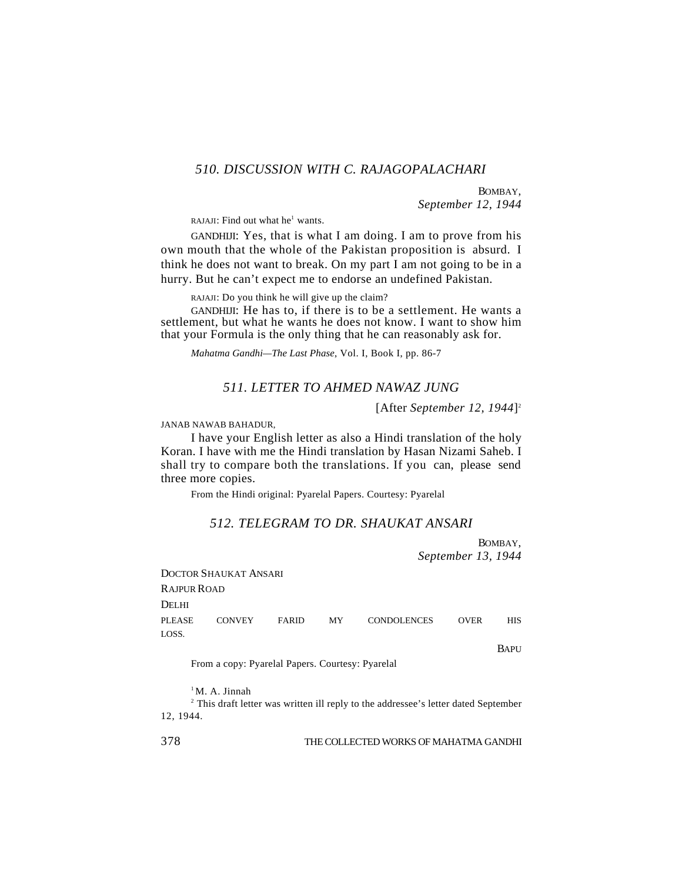## *510. DISCUSSION WITH C. RAJAGOPALACHARI*

BOMBAY, *September 12, 1944*

RAJAJI: Find out what  $he<sup>1</sup>$  wants.

GANDHIJI: Yes, that is what I am doing. I am to prove from his own mouth that the whole of the Pakistan proposition is absurd. I think he does not want to break. On my part I am not going to be in a hurry. But he can't expect me to endorse an undefined Pakistan.

RAJAJI: Do you think he will give up the claim?

GANDHIJI: He has to, if there is to be a settlement. He wants a settlement, but what he wants he does not know. I want to show him that your Formula is the only thing that he can reasonably ask for.

*Mahatma Gandhi—The Last Phase*, Vol. I, Book I, pp. 86-7

### *511. LETTER TO AHMED NAWAZ JUNG*

[After *September 12, 1944*] 2

JANAB NAWAB BAHADUR,

I have your English letter as also a Hindi translation of the holy Koran. I have with me the Hindi translation by Hasan Nizami Saheb. I shall try to compare both the translations. If you can, please send three more copies.

From the Hindi original: Pyarelal Papers. Courtesy: Pyarelal

### *512. TELEGRAM TO DR. SHAUKAT ANSARI*

BOMBAY, *September 13, 1944*

DOCTOR SHAUKAT ANSARI RAJPUR ROAD DELHI PLEASE CONVEY FARID MY CONDOLENCES OVER HIS LOSS.

**BAPU** 

From a copy: Pyarelal Papers. Courtesy: Pyarelal

 $<sup>1</sup>M$ . A. Jinnah</sup>

<sup>2</sup> This draft letter was written ill reply to the addressee's letter dated September 12, 1944.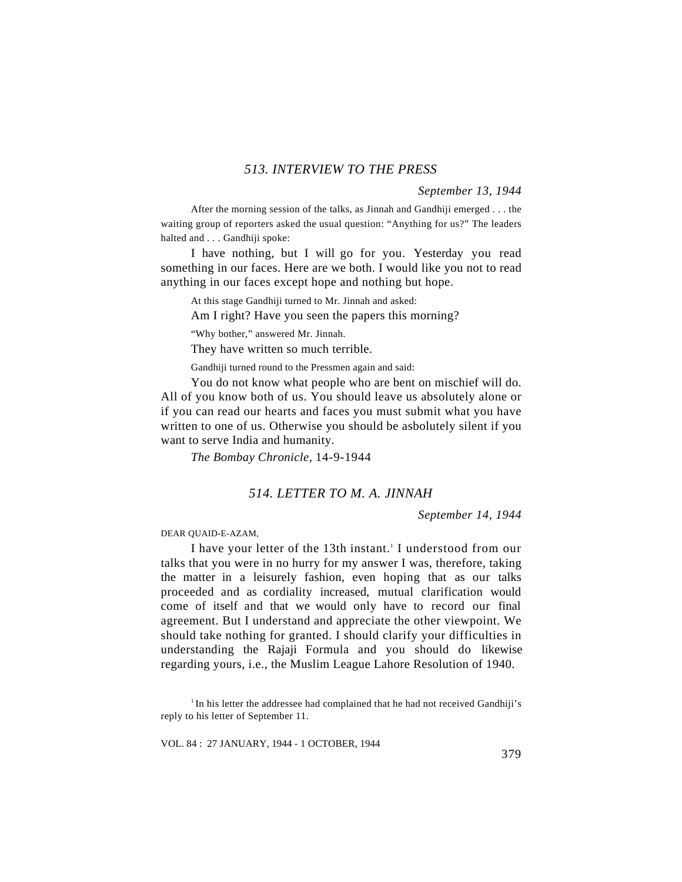## *513. INTERVIEW TO THE PRESS*

#### *September 13, 1944*

After the morning session of the talks, as Jinnah and Gandhiji emerged . . . the waiting group of reporters asked the usual question: "Anything for us?" The leaders halted and . . . Gandhiji spoke:

I have nothing, but I will go for you. Yesterday you read something in our faces. Here are we both. I would like you not to read anything in our faces except hope and nothing but hope.

At this stage Gandhiji turned to Mr. Jinnah and asked:

Am I right? Have you seen the papers this morning?

"Why bother," answered Mr. Jinnah.

They have written so much terrible.

Gandhiji turned round to the Pressmen again and said:

You do not know what people who are bent on mischief will do. All of you know both of us. You should leave us absolutely alone or if you can read our hearts and faces you must submit what you have written to one of us. Otherwise you should be asbolutely silent if you want to serve India and humanity.

*The Bombay Chronicle,* 14-9-1944

### *514. LETTER TO M. A. JINNAH*

*September 14, 1944*

DEAR QUAID-E-AZAM,

I have your letter of the 13th instant.<sup>1</sup> I understood from our talks that you were in no hurry for my answer I was, therefore, taking the matter in a leisurely fashion, even hoping that as our talks proceeded and as cordiality increased, mutual clarification would come of itself and that we would only have to record our final agreement. But I understand and appreciate the other viewpoint. We should take nothing for granted. I should clarify your difficulties in understanding the Rajaji Formula and you should do likewise regarding yours, i.e., the Muslim League Lahore Resolution of 1940.

 $1$ In his letter the addressee had complained that he had not received Gandhiji's reply to his letter of September 11.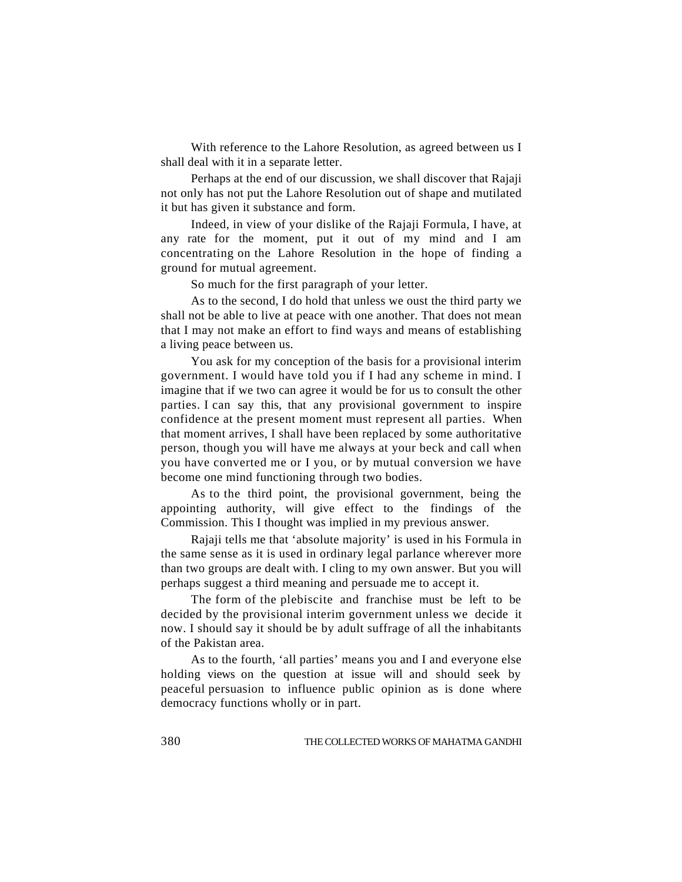With reference to the Lahore Resolution, as agreed between us I shall deal with it in a separate letter.

Perhaps at the end of our discussion, we shall discover that Rajaji not only has not put the Lahore Resolution out of shape and mutilated it but has given it substance and form.

Indeed, in view of your dislike of the Rajaji Formula, I have, at any rate for the moment, put it out of my mind and I am concentrating on the Lahore Resolution in the hope of finding a ground for mutual agreement.

So much for the first paragraph of your letter.

As to the second, I do hold that unless we oust the third party we shall not be able to live at peace with one another. That does not mean that I may not make an effort to find ways and means of establishing a living peace between us.

You ask for my conception of the basis for a provisional interim government. I would have told you if I had any scheme in mind. I imagine that if we two can agree it would be for us to consult the other parties. I can say this, that any provisional government to inspire confidence at the present moment must represent all parties. When that moment arrives, I shall have been replaced by some authoritative person, though you will have me always at your beck and call when you have converted me or I you, or by mutual conversion we have become one mind functioning through two bodies.

As to the third point, the provisional government, being the appointing authority, will give effect to the findings of the Commission. This I thought was implied in my previous answer.

Rajaji tells me that 'absolute majority' is used in his Formula in the same sense as it is used in ordinary legal parlance wherever more than two groups are dealt with. I cling to my own answer. But you will perhaps suggest a third meaning and persuade me to accept it.

The form of the plebiscite and franchise must be left to be decided by the provisional interim government unless we decide it now. I should say it should be by adult suffrage of all the inhabitants of the Pakistan area.

As to the fourth, 'all parties' means you and I and everyone else holding views on the question at issue will and should seek by peaceful persuasion to influence public opinion as is done where democracy functions wholly or in part.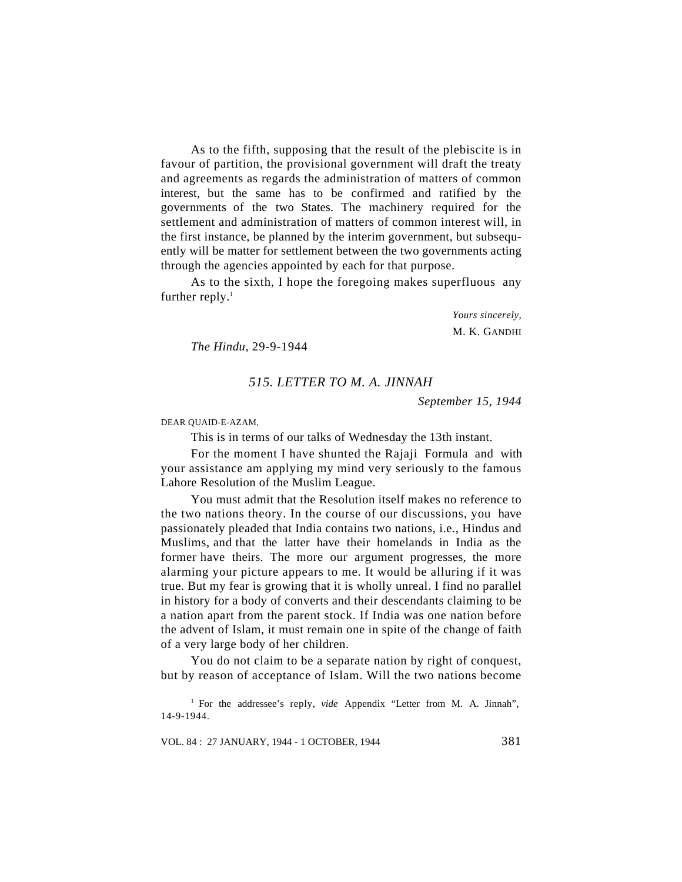As to the fifth, supposing that the result of the plebiscite is in favour of partition, the provisional government will draft the treaty and agreements as regards the administration of matters of common interest, but the same has to be confirmed and ratified by the governments of the two States. The machinery required for the settlement and administration of matters of common interest will, in the first instance, be planned by the interim government, but subsequently will be matter for settlement between the two governments acting through the agencies appointed by each for that purpose.

As to the sixth, I hope the foregoing makes superfluous any further reply. $1$ 

> *Yours sincerely,* M. K. GANDHI

*The Hindu,* 29-9-1944

#### *515. LETTER TO M. A. JINNAH*

*September 15, 1944*

DEAR QUAID-E-AZAM,

This is in terms of our talks of Wednesday the 13th instant.

For the moment I have shunted the Rajaji Formula and with your assistance am applying my mind very seriously to the famous Lahore Resolution of the Muslim League.

You must admit that the Resolution itself makes no reference to the two nations theory. In the course of our discussions, you have passionately pleaded that India contains two nations, i.e., Hindus and Muslims, and that the latter have their homelands in India as the former have theirs. The more our argument progresses, the more alarming your picture appears to me. It would be alluring if it was true. But my fear is growing that it is wholly unreal. I find no parallel in history for a body of converts and their descendants claiming to be a nation apart from the parent stock. If India was one nation before the advent of Islam, it must remain one in spite of the change of faith of a very large body of her children.

You do not claim to be a separate nation by right of conquest, but by reason of acceptance of Islam. Will the two nations become

<sup>1</sup> For the addressee's reply, *vide* Appendix "Letter from M. A. Jinnah", 14-9-1944.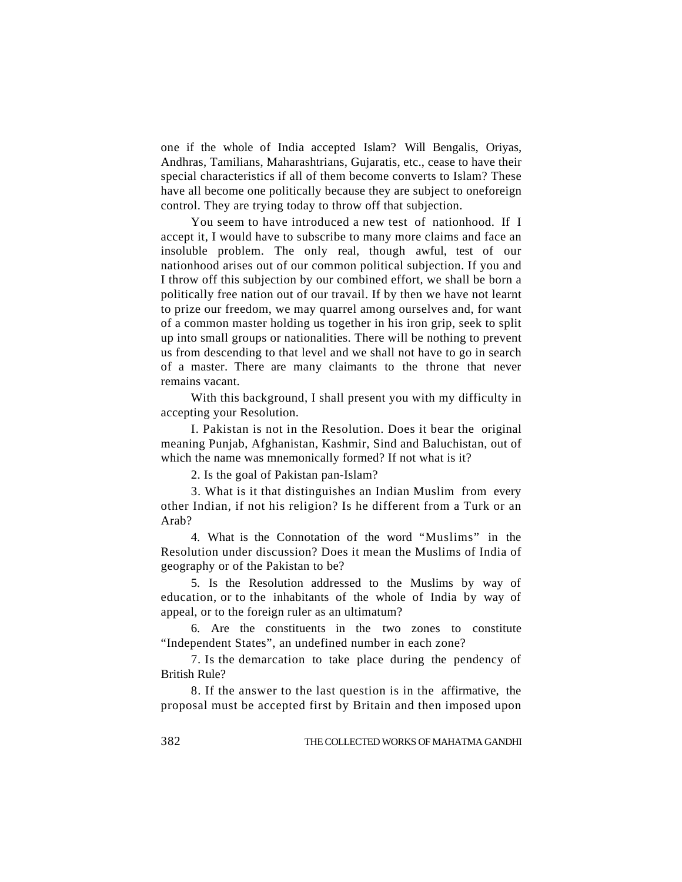one if the whole of India accepted Islam? Will Bengalis, Oriyas, Andhras, Tamilians, Maharashtrians, Gujaratis, etc., cease to have their special characteristics if all of them become converts to Islam? These have all become one politically because they are subject to oneforeign control. They are trying today to throw off that subjection.

You seem to have introduced a new test of nationhood. If I accept it, I would have to subscribe to many more claims and face an insoluble problem. The only real, though awful, test of our nationhood arises out of our common political subjection. If you and I throw off this subjection by our combined effort, we shall be born a politically free nation out of our travail. If by then we have not learnt to prize our freedom, we may quarrel among ourselves and, for want of a common master holding us together in his iron grip, seek to split up into small groups or nationalities. There will be nothing to prevent us from descending to that level and we shall not have to go in search of a master. There are many claimants to the throne that never remains vacant.

With this background, I shall present you with my difficulty in accepting your Resolution.

I. Pakistan is not in the Resolution. Does it bear the original meaning Punjab, Afghanistan, Kashmir, Sind and Baluchistan, out of which the name was mnemonically formed? If not what is it?

2. Is the goal of Pakistan pan-Islam?

3. What is it that distinguishes an Indian Muslim from every other Indian, if not his religion? Is he different from a Turk or an Arab?

4. What is the Connotation of the word "Muslims" in the Resolution under discussion? Does it mean the Muslims of India of geography or of the Pakistan to be?

5. Is the Resolution addressed to the Muslims by way of education, or to the inhabitants of the whole of India by way of appeal, or to the foreign ruler as an ultimatum?

6. Are the constituents in the two zones to constitute "Independent States", an undefined number in each zone?

7. Is the demarcation to take place during the pendency of British Rule?

8. If the answer to the last question is in the affirmative, the proposal must be accepted first by Britain and then imposed upon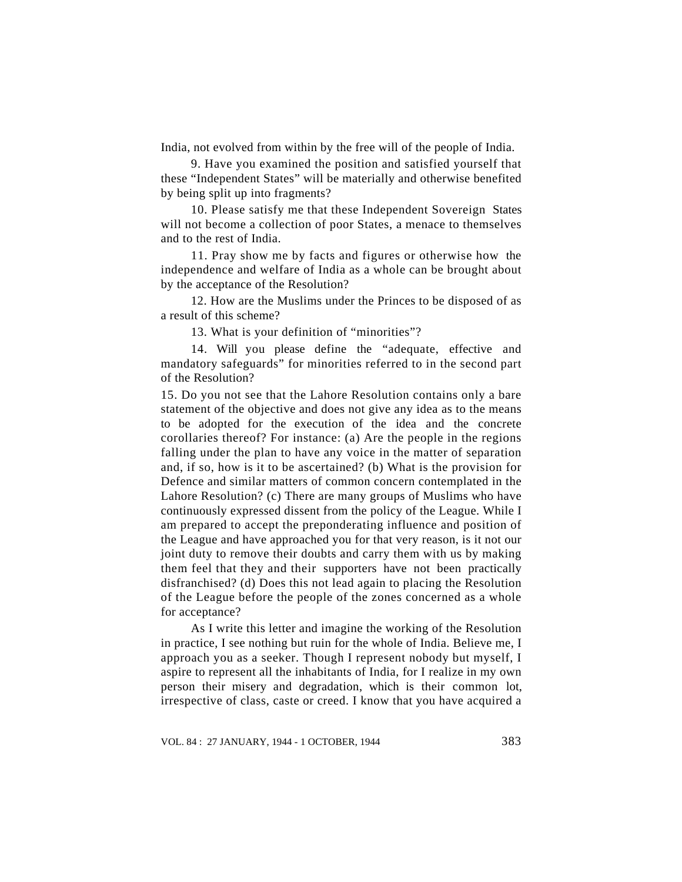India, not evolved from within by the free will of the people of India.

9. Have you examined the position and satisfied yourself that these "Independent States" will be materially and otherwise benefited by being split up into fragments?

10. Please satisfy me that these Independent Sovereign States will not become a collection of poor States, a menace to themselves and to the rest of India.

11. Pray show me by facts and figures or otherwise how the independence and welfare of India as a whole can be brought about by the acceptance of the Resolution?

12. How are the Muslims under the Princes to be disposed of as a result of this scheme?

13. What is your definition of "minorities"?

14. Will you please define the "adequate, effective and mandatory safeguards" for minorities referred to in the second part of the Resolution?

15. Do you not see that the Lahore Resolution contains only a bare statement of the objective and does not give any idea as to the means to be adopted for the execution of the idea and the concrete corollaries thereof? For instance: (a) Are the people in the regions falling under the plan to have any voice in the matter of separation and, if so, how is it to be ascertained? (b) What is the provision for Defence and similar matters of common concern contemplated in the Lahore Resolution? (c) There are many groups of Muslims who have continuously expressed dissent from the policy of the League. While I am prepared to accept the preponderating influence and position of the League and have approached you for that very reason, is it not our joint duty to remove their doubts and carry them with us by making them feel that they and their supporters have not been practically disfranchised? (d) Does this not lead again to placing the Resolution of the League before the people of the zones concerned as a whole for acceptance?

As I write this letter and imagine the working of the Resolution in practice, I see nothing but ruin for the whole of India. Believe me, I approach you as a seeker. Though I represent nobody but myself, I aspire to represent all the inhabitants of India, for I realize in my own person their misery and degradation, which is their common lot, irrespective of class, caste or creed. I know that you have acquired a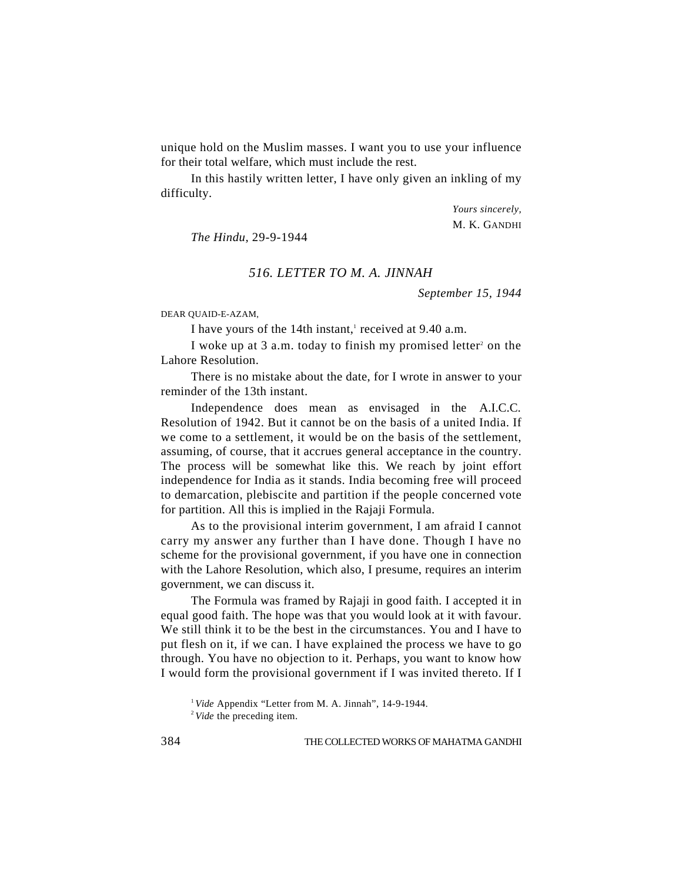unique hold on the Muslim masses. I want you to use your influence for their total welfare, which must include the rest.

In this hastily written letter, I have only given an inkling of my difficulty.

> *Yours sincerely,* M. K. GANDHI

*The Hindu,* 29-9-1944

### *516. LETTER TO M. A. JINNAH*

*September 15, 1944*

DEAR QUAID-E-AZAM,

I have yours of the 14th instant,<sup>1</sup> received at 9.40 a.m.

I woke up at 3 a.m. today to finish my promised letter<sup>2</sup> on the Lahore Resolution.

There is no mistake about the date, for I wrote in answer to your reminder of the 13th instant.

Independence does mean as envisaged in the A.I.C.C. Resolution of 1942. But it cannot be on the basis of a united India. If we come to a settlement, it would be on the basis of the settlement, assuming, of course, that it accrues general acceptance in the country. The process will be somewhat like this. We reach by joint effort independence for India as it stands. India becoming free will proceed to demarcation, plebiscite and partition if the people concerned vote for partition. All this is implied in the Rajaji Formula.

As to the provisional interim government, I am afraid I cannot carry my answer any further than I have done. Though I have no scheme for the provisional government, if you have one in connection with the Lahore Resolution, which also, I presume, requires an interim government, we can discuss it.

The Formula was framed by Rajaji in good faith. I accepted it in equal good faith. The hope was that you would look at it with favour. We still think it to be the best in the circumstances. You and I have to put flesh on it, if we can. I have explained the process we have to go through. You have no objection to it. Perhaps, you want to know how I would form the provisional government if I was invited thereto. If I

<sup>1</sup>*Vide* Appendix "Letter from M. A. Jinnah", 14-9-1944.

<sup>2</sup>*Vide* the preceding item.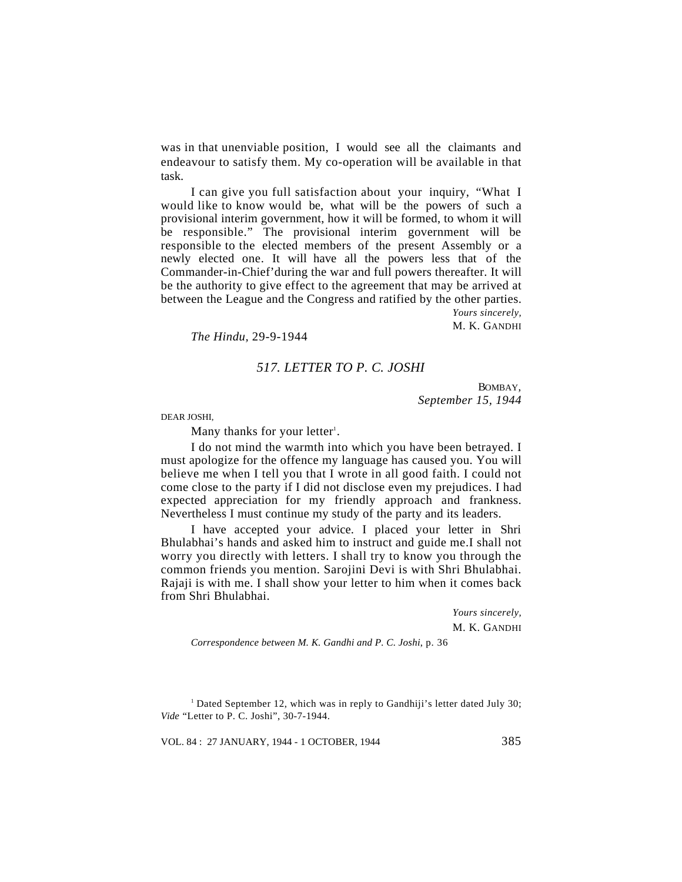was in that unenviable position, I would see all the claimants and endeavour to satisfy them. My co-operation will be available in that task.

I can give you full satisfaction about your inquiry, "What I would like to know would be, what will be the powers of such a provisional interim government, how it will be formed, to whom it will be responsible." The provisional interim government will be responsible to the elected members of the present Assembly or a newly elected one. It will have all the powers less that of the Commander-in-Chief'during the war and full powers thereafter. It will be the authority to give effect to the agreement that may be arrived at between the League and the Congress and ratified by the other parties.

*Yours sincerely,* M. K. GANDHI

*The Hindu,* 29-9-1944

#### *517. LETTER TO P. C. JOSHI*

BOMBAY, *September 15, 1944*

DEAR JOSHI,

Many thanks for your letter<sup>1</sup>.

I do not mind the warmth into which you have been betrayed. I must apologize for the offence my language has caused you. You will believe me when I tell you that I wrote in all good faith. I could not come close to the party if I did not disclose even my prejudices. I had expected appreciation for my friendly approach and frankness. Nevertheless I must continue my study of the party and its leaders.

I have accepted your advice. I placed your letter in Shri Bhulabhai's hands and asked him to instruct and guide me.I shall not worry you directly with letters. I shall try to know you through the common friends you mention. Sarojini Devi is with Shri Bhulabhai. Rajaji is with me. I shall show your letter to him when it comes back from Shri Bhulabhai.

> *Yours sincerely,* M. K. GANDHI

*Correspondence between M. K. Gandhi and P. C. Joshi*, p. 36

<sup>1</sup> Dated September 12, which was in reply to Gandhiji's letter dated July 30; *Vide* "Letter to P. C. Joshi", 30-7-1944.

VOL. 84 : 27 JANUARY, 1944 - 1 OCTOBER, 1944 385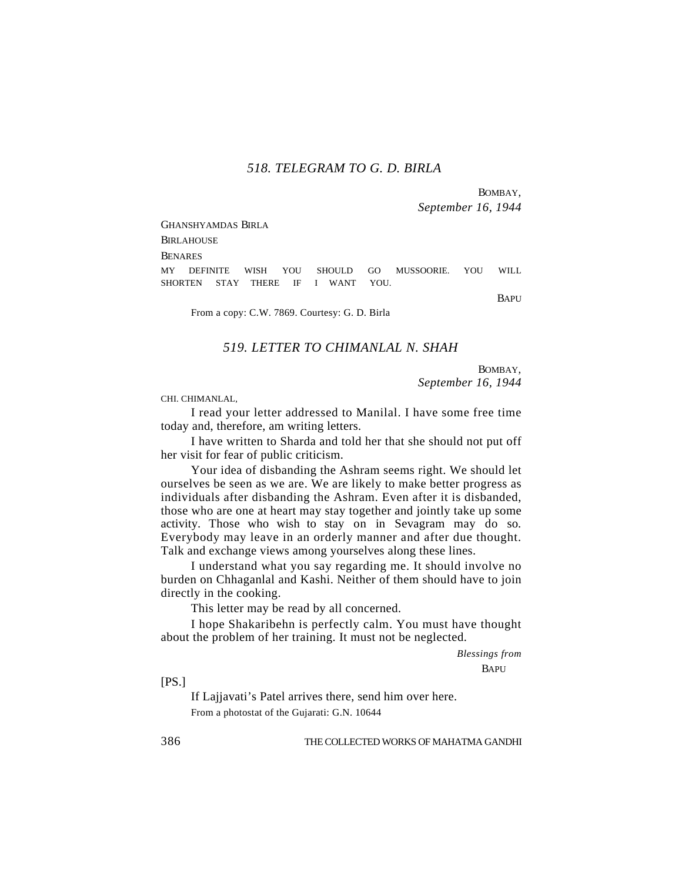### *518. TELEGRAM TO G. D. BIRLA*

BOMBAY, *September 16, 1944*

GHANSHYAMDAS BIRLA

**BIRLAHOUSE** 

**BENARES** 

MY DEFINITE WISH YOU SHOULD GO MUSSOORIE. YOU WILL SHORTEN STAY THERE IF I WANT YOU.

**BAPU** 

From a copy: C.W. 7869. Courtesy: G. D. Birla

## *519. LETTER TO CHIMANLAL N. SHAH*

BOMBAY, *September 16, 1944*

CHI. CHIMANLAL,

I read your letter addressed to Manilal. I have some free time today and, therefore, am writing letters.

I have written to Sharda and told her that she should not put off her visit for fear of public criticism.

Your idea of disbanding the Ashram seems right. We should let ourselves be seen as we are. We are likely to make better progress as individuals after disbanding the Ashram. Even after it is disbanded, those who are one at heart may stay together and jointly take up some activity. Those who wish to stay on in Sevagram may do so. Everybody may leave in an orderly manner and after due thought. Talk and exchange views among yourselves along these lines.

I understand what you say regarding me. It should involve no burden on Chhaganlal and Kashi. Neither of them should have to join directly in the cooking.

This letter may be read by all concerned.

I hope Shakaribehn is perfectly calm. You must have thought about the problem of her training. It must not be neglected.

> *Blessings from* **BAPU**

[PS.]

If Lajjavati's Patel arrives there, send him over here. From a photostat of the Gujarati: G.N. 10644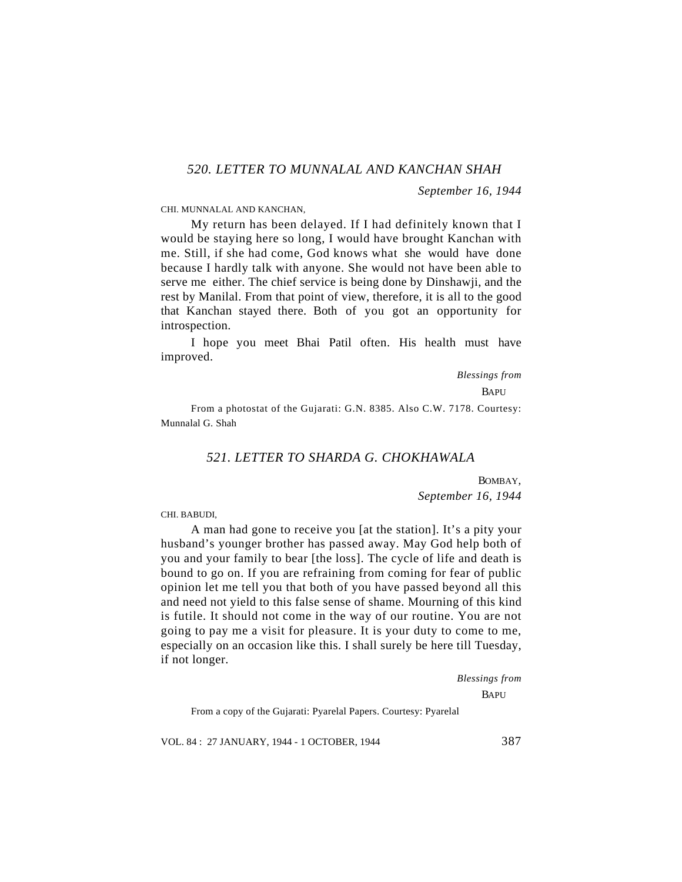*September 16, 1944*

#### CHI. MUNNALAL AND KANCHAN,

My return has been delayed. If I had definitely known that I would be staying here so long, I would have brought Kanchan with me. Still, if she had come, God knows what she would have done because I hardly talk with anyone. She would not have been able to serve me either. The chief service is being done by Dinshawji, and the rest by Manilal. From that point of view, therefore, it is all to the good that Kanchan stayed there. Both of you got an opportunity for introspection.

I hope you meet Bhai Patil often. His health must have improved.

*Blessings from*

**BAPU** 

From a photostat of the Gujarati: G.N. 8385. Also C.W. 7178. Courtesy: Munnalal G. Shah

## *521. LETTER TO SHARDA G. CHOKHAWALA*

BOMBAY, *September 16, 1944*

CHI. BABUDI,

A man had gone to receive you [at the station]. It's a pity your husband's younger brother has passed away. May God help both of you and your family to bear [the loss]. The cycle of life and death is bound to go on. If you are refraining from coming for fear of public opinion let me tell you that both of you have passed beyond all this and need not yield to this false sense of shame. Mourning of this kind is futile. It should not come in the way of our routine. You are not going to pay me a visit for pleasure. It is your duty to come to me, especially on an occasion like this. I shall surely be here till Tuesday, if not longer.

> *Blessings from* **BAPU**

From a copy of the Gujarati: Pyarelal Papers. Courtesy: Pyarelal

VOL. 84 : 27 JANUARY, 1944 - 1 OCTOBER, 1944 387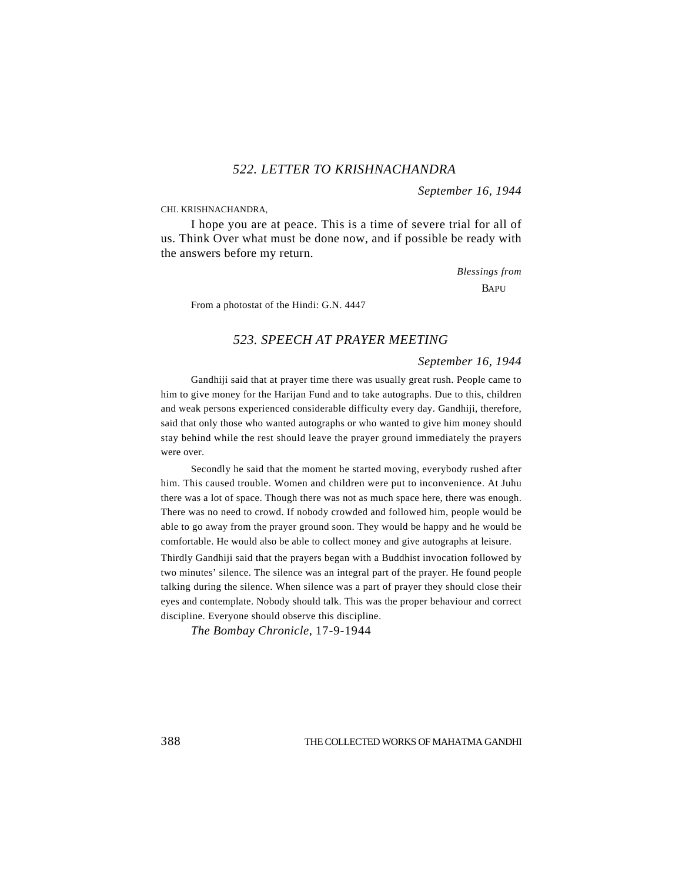*September 16, 1944*

#### CHI. KRISHNACHANDRA,

I hope you are at peace. This is a time of severe trial for all of us. Think Over what must be done now, and if possible be ready with the answers before my return.

> *Blessings from* **BAPU**

From a photostat of the Hindi: G.N. 4447

## *523. SPEECH AT PRAYER MEETING*

#### *September 16, 1944*

Gandhiji said that at prayer time there was usually great rush. People came to him to give money for the Harijan Fund and to take autographs. Due to this, children and weak persons experienced considerable difficulty every day. Gandhiji, therefore, said that only those who wanted autographs or who wanted to give him money should stay behind while the rest should leave the prayer ground immediately the prayers were over.

Secondly he said that the moment he started moving, everybody rushed after him. This caused trouble. Women and children were put to inconvenience. At Juhu there was a lot of space. Though there was not as much space here, there was enough. There was no need to crowd. If nobody crowded and followed him, people would be able to go away from the prayer ground soon. They would be happy and he would be comfortable. He would also be able to collect money and give autographs at leisure.

Thirdly Gandhiji said that the prayers began with a Buddhist invocation followed by two minutes' silence. The silence was an integral part of the prayer. He found people talking during the silence. When silence was a part of prayer they should close their eyes and contemplate. Nobody should talk. This was the proper behaviour and correct discipline. Everyone should observe this discipline.

*The Bombay Chronicle,* 17-9-1944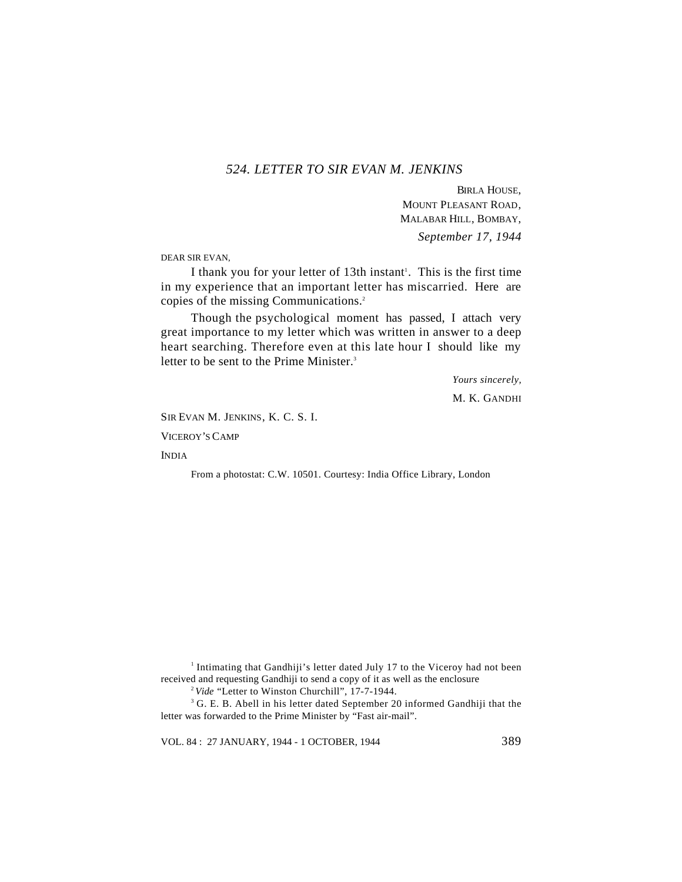## *524. LETTER TO SIR EVAN M. JENKINS*

BIRLA HOUSE, MOUNT PLEASANT ROAD, MALABAR HILL, BOMBAY, *September 17, 1944*

DEAR SIR EVAN,

I thank you for your letter of 13th instant<sup>1</sup>. This is the first time in my experience that an important letter has miscarried. Here are copies of the missing Communications.<sup>2</sup>

Though the psychological moment has passed, I attach very great importance to my letter which was written in answer to a deep heart searching. Therefore even at this late hour I should like my letter to be sent to the Prime Minister.<sup>3</sup>

*Yours sincerely,*

M. K. GANDHI

SIR EVAN M. JENKINS, K. C. S. I.

VICEROY'S CAMP

INDIA

From a photostat: C.W. 10501. Courtesy: India Office Library, London

<sup>1</sup> Intimating that Gandhiji's letter dated July 17 to the Viceroy had not been received and requesting Gandhiji to send a copy of it as well as the enclosure

<sup>3</sup> G. E. B. Abell in his letter dated September 20 informed Gandhiji that the letter was forwarded to the Prime Minister by "Fast air-mail".

VOL. 84 : 27 JANUARY, 1944 - 1 OCTOBER, 1944 389

<sup>&</sup>lt;sup>2</sup> Vide "Letter to Winston Churchill", 17-7-1944.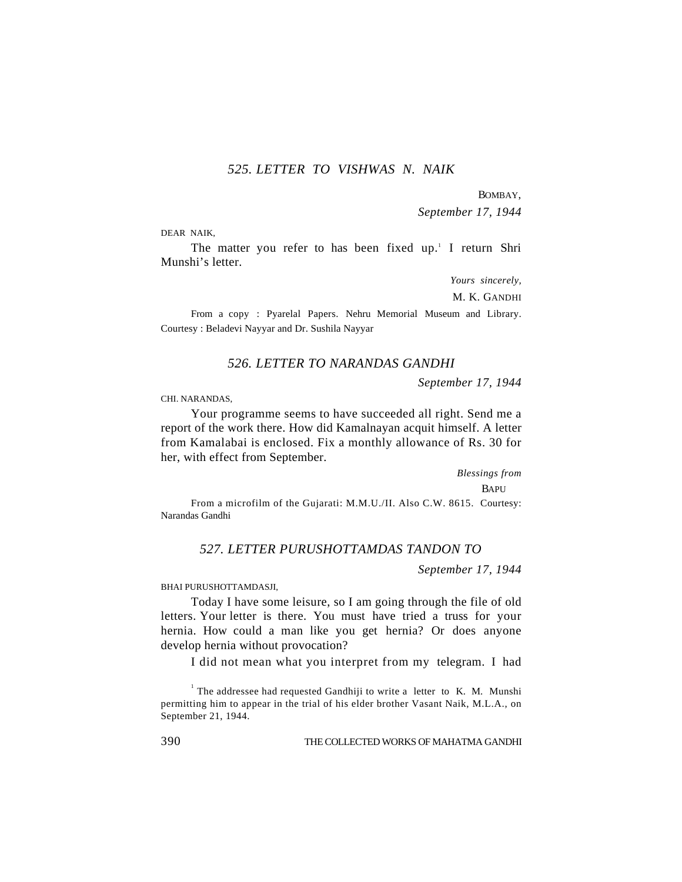# *525. LETTER TO VISHWAS N. NAIK*

BOMBAY, *September 17, 1944*

DEAR NAIK,

The matter you refer to has been fixed up.<sup>1</sup> I return Shri Munshi's letter.

*Yours sincerely,*

M. K. GANDHI

From a copy : Pyarelal Papers. Nehru Memorial Museum and Library. Courtesy : Beladevi Nayyar and Dr. Sushila Nayyar

### *526. LETTER TO NARANDAS GANDHI*

*September 17, 1944*

CHI. NARANDAS,

Your programme seems to have succeeded all right. Send me a report of the work there. How did Kamalnayan acquit himself. A letter from Kamalabai is enclosed. Fix a monthly allowance of Rs. 30 for her, with effect from September.

> *Blessings from* **BAPU**

From a microfilm of the Gujarati: M.M.U./II. Also C.W. 8615. Courtesy: Narandas Gandhi

#### *527. LETTER PURUSHOTTAMDAS TANDON TO*

*September 17, 1944*

BHAI PURUSHOTTAMDASJI,

Today I have some leisure, so I am going through the file of old letters. Your letter is there. You must have tried a truss for your hernia. How could a man like you get hernia? Or does anyone develop hernia without provocation?

I did not mean what you interpret from my telegram. I had

<sup>1</sup> The addressee had requested Gandhiji to write a letter to K. M. Munshi permitting him to appear in the trial of his elder brother Vasant Naik, M.L.A., on September 21, 1944.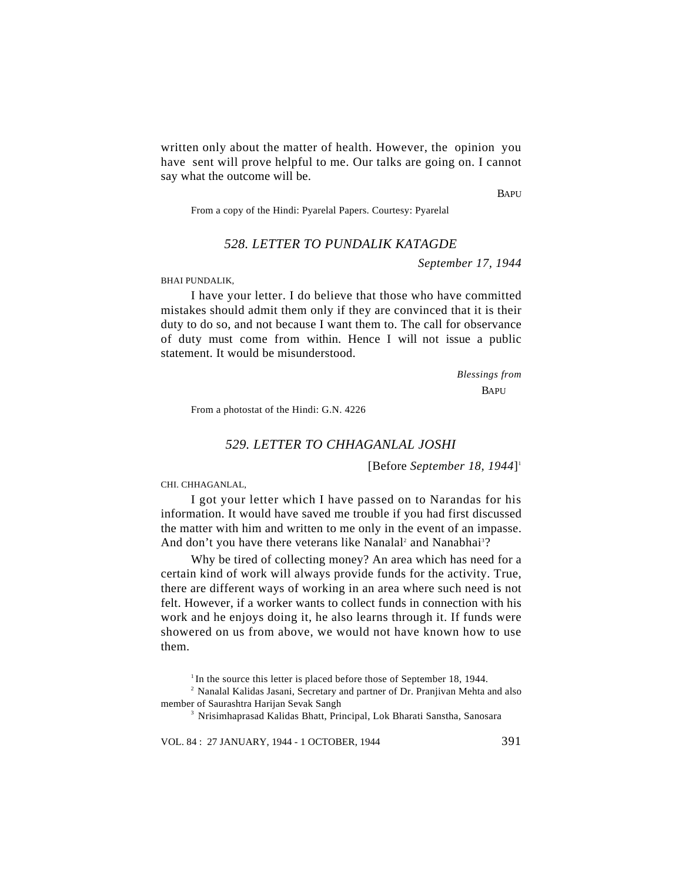written only about the matter of health. However, the opinion you have sent will prove helpful to me. Our talks are going on. I cannot say what the outcome will be.

**BAPU** 

From a copy of the Hindi: Pyarelal Papers. Courtesy: Pyarelal

### *528. LETTER TO PUNDALIK KATAGDE*

*September 17, 1944*

BHAI PUNDALIK,

I have your letter. I do believe that those who have committed mistakes should admit them only if they are convinced that it is their duty to do so, and not because I want them to. The call for observance of duty must come from within. Hence I will not issue a public statement. It would be misunderstood.

> *Blessings from* **BAPU**

From a photostat of the Hindi: G.N. 4226

### *529. LETTER TO CHHAGANLAL JOSHI*

[Before *September 18, 1944*] 1

CHI. CHHAGANLAL,

I got your letter which I have passed on to Narandas for his information. It would have saved me trouble if you had first discussed the matter with him and written to me only in the event of an impasse. And don't you have there veterans like Nanalal<sup>2</sup> and Nanabhai<sup>3</sup>?

Why be tired of collecting money? An area which has need for a certain kind of work will always provide funds for the activity. True, there are different ways of working in an area where such need is not felt. However, if a worker wants to collect funds in connection with his work and he enjoys doing it, he also learns through it. If funds were showered on us from above, we would not have known how to use them.

 $1$ In the source this letter is placed before those of September 18, 1944.

<sup>2</sup> Nanalal Kalidas Jasani, Secretary and partner of Dr. Pranjivan Mehta and also member of Saurashtra Harijan Sevak Sangh

3 Nrisimhaprasad Kalidas Bhatt, Principal, Lok Bharati Sanstha, Sanosara

VOL. 84 : 27 JANUARY, 1944 - 1 OCTOBER, 1944 391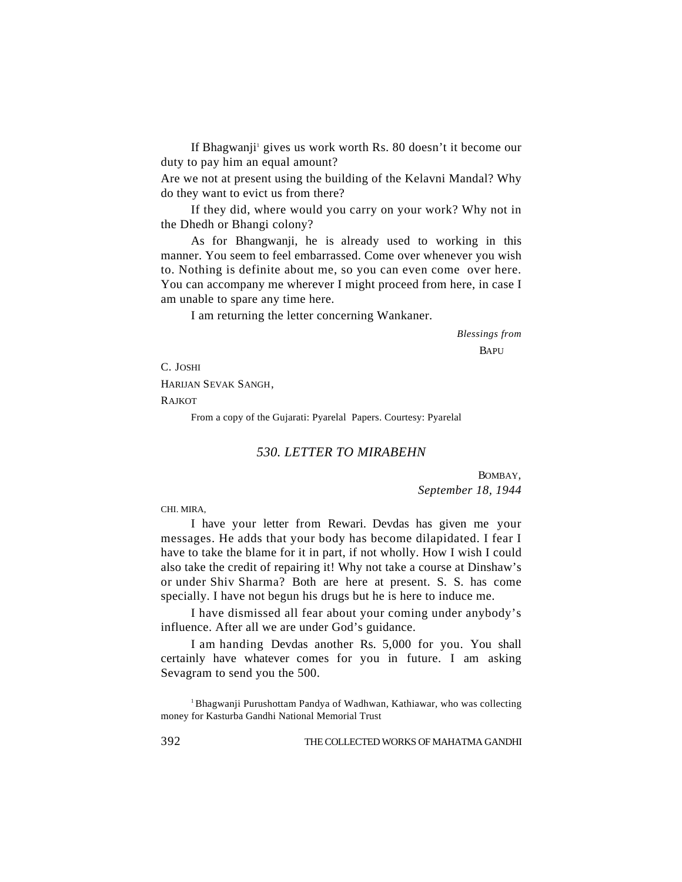If Bhagwanji' gives us work worth Rs. 80 doesn't it become our duty to pay him an equal amount?

Are we not at present using the building of the Kelavni Mandal? Why do they want to evict us from there?

If they did, where would you carry on your work? Why not in the Dhedh or Bhangi colony?

As for Bhangwanji, he is already used to working in this manner. You seem to feel embarrassed. Come over whenever you wish to. Nothing is definite about me, so you can even come over here. You can accompany me wherever I might proceed from here, in case I am unable to spare any time here.

I am returning the letter concerning Wankaner.

*Blessings from* **BAPU** 

C. JOSHI

HARIJAN SEVAK SANGH,

RAJKOT

From a copy of the Gujarati: Pyarelal Papers. Courtesy: Pyarelal

## *530. LETTER TO MIRABEHN*

BOMBAY, *September 18, 1944*

CHI. MIRA

I have your letter from Rewari. Devdas has given me your messages. He adds that your body has become dilapidated. I fear I have to take the blame for it in part, if not wholly. How I wish I could also take the credit of repairing it! Why not take a course at Dinshaw's or under Shiv Sharma? Both are here at present. S. S. has come specially. I have not begun his drugs but he is here to induce me.

I have dismissed all fear about your coming under anybody's influence. After all we are under God's guidance.

I am handing Devdas another Rs. 5,000 for you. You shall certainly have whatever comes for you in future. I am asking Sevagram to send you the 500.

<sup>&</sup>lt;sup>1</sup> Bhagwanji Purushottam Pandya of Wadhwan, Kathiawar, who was collecting money for Kasturba Gandhi National Memorial Trust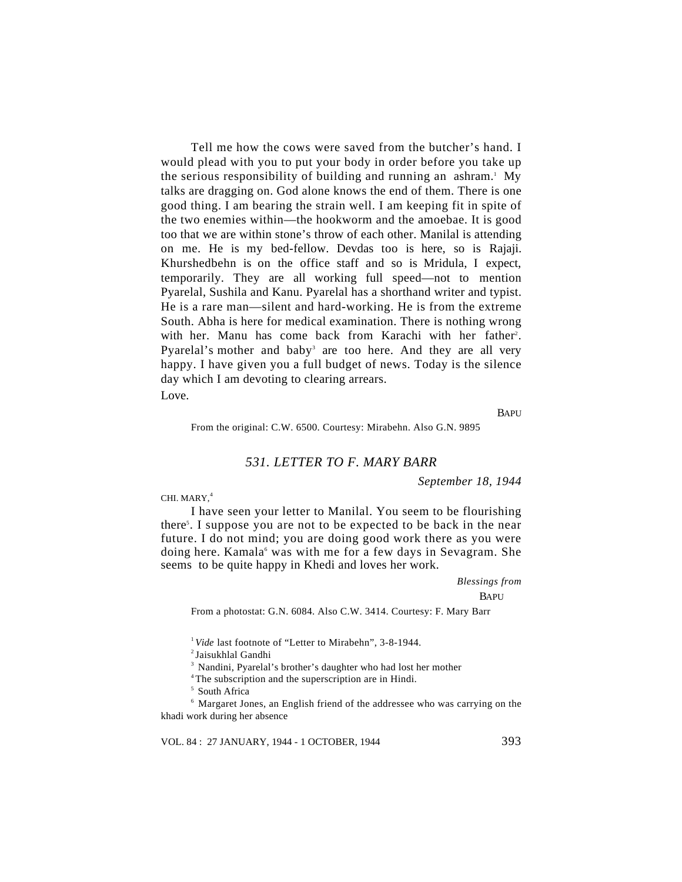Tell me how the cows were saved from the butcher's hand. I would plead with you to put your body in order before you take up the serious responsibility of building and running an ashram.<sup>1</sup> My talks are dragging on. God alone knows the end of them. There is one good thing. I am bearing the strain well. I am keeping fit in spite of the two enemies within—the hookworm and the amoebae. It is good too that we are within stone's throw of each other. Manilal is attending on me. He is my bed-fellow. Devdas too is here, so is Rajaji. Khurshedbehn is on the office staff and so is Mridula, I expect, temporarily. They are all working full speed—not to mention Pyarelal, Sushila and Kanu. Pyarelal has a shorthand writer and typist. He is a rare man—silent and hard-working. He is from the extreme South. Abha is here for medical examination. There is nothing wrong with her. Manu has come back from Karachi with her father<sup>2</sup>. Pyarelal's mother and baby<sup>3</sup> are too here. And they are all very happy. I have given you a full budget of news. Today is the silence day which I am devoting to clearing arrears.

Love.

**BAPU** 

From the original: C.W. 6500. Courtesy: Mirabehn. Also G.N. 9895

### *531. LETTER TO F. MARY BARR*

*September 18, 1944*

CHI. MARY.<sup>4</sup>

I have seen your letter to Manilal. You seem to be flourishing there<sup>5</sup>. I suppose you are not to be expected to be back in the near future. I do not mind; you are doing good work there as you were doing here. Kamala<sup>6</sup> was with me for a few days in Sevagram. She seems to be quite happy in Khedi and loves her work.

*Blessings from*

**BAPU** 

From a photostat: G.N. 6084. Also C.W. 3414. Courtesy: F. Mary Barr

<sup>1</sup> Vide last footnote of "Letter to Mirabehn", 3-8-1944.

<sup>2</sup> Jaisukhlal Gandhi

<sup>3</sup> Nandini, Pyarelal's brother's daughter who had lost her mother

<sup>4</sup>The subscription and the superscription are in Hindi.

<sup>5</sup> South Africa

<sup>6</sup> Margaret Jones, an English friend of the addressee who was carrying on the khadi work during her absence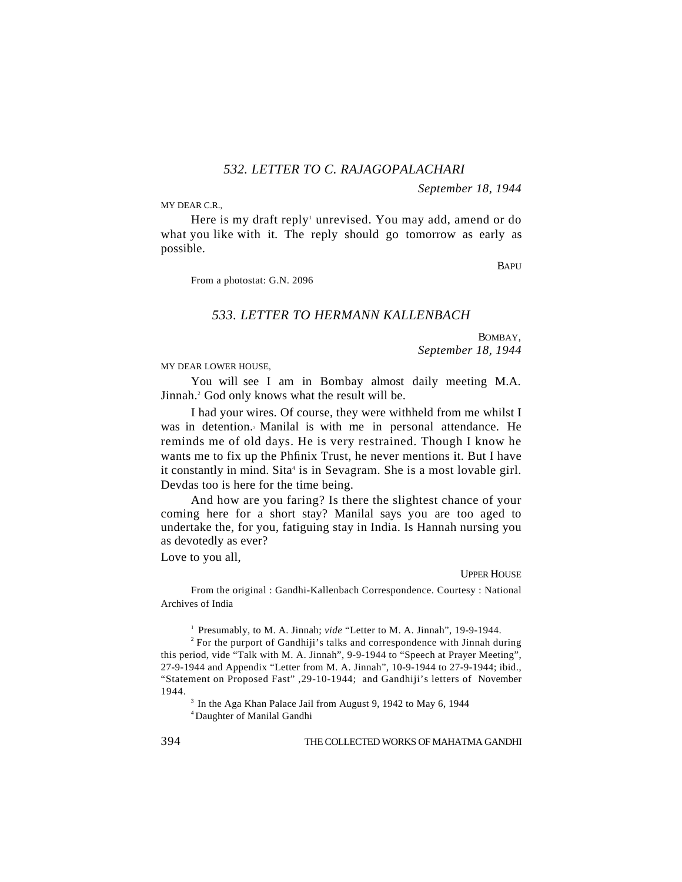*September 18, 1944*

MY DEAR C.R.,

Here is my draft reply<sup>1</sup> unrevised. You may add, amend or do what you like with it. The reply should go tomorrow as early as possible.

**BAPU** 

From a photostat: G.N. 2096

### *533. LETTER TO HERMANN KALLENBACH*

BOMBAY, *September 18, 1944*

MY DEAR LOWER HOUSE,

You will see I am in Bombay almost daily meeting M.A. Jinnah.<sup>2</sup> God only knows what the result will be.

I had your wires. Of course, they were withheld from me whilst I was in detention. Manilal is with me in personal attendance. He reminds me of old days. He is very restrained. Though I know he wants me to fix up the Phfinix Trust, he never mentions it. But I have it constantly in mind. Sita<sup>4</sup> is in Sevagram. She is a most lovable girl. Devdas too is here for the time being.

And how are you faring? Is there the slightest chance of your coming here for a short stay? Manilal says you are too aged to undertake the, for you, fatiguing stay in India. Is Hannah nursing you as devotedly as ever?

Love to you all,

UPPER HOUSE

From the original : Gandhi-Kallenbach Correspondence. Courtesy : National Archives of India

<sup>1</sup> Presumably, to M. A. Jinnah; *vide* "Letter to M. A. Jinnah", 19-9-1944.

 $2^2$  For the purport of Gandhiji's talks and correspondence with Jinnah during this period, vide "Talk with M. A. Jinnah", 9-9-1944 to "Speech at Prayer Meeting", 27-9-1944 and Appendix "Letter from M. A. Jinnah", 10-9-1944 to 27-9-1944; ibid., "Statement on Proposed Fast" ,29-10-1944; and Gandhiji's letters of November 1944.

<sup>3</sup> In the Aga Khan Palace Jail from August 9, 1942 to May 6, 1944 4 Daughter of Manilal Gandhi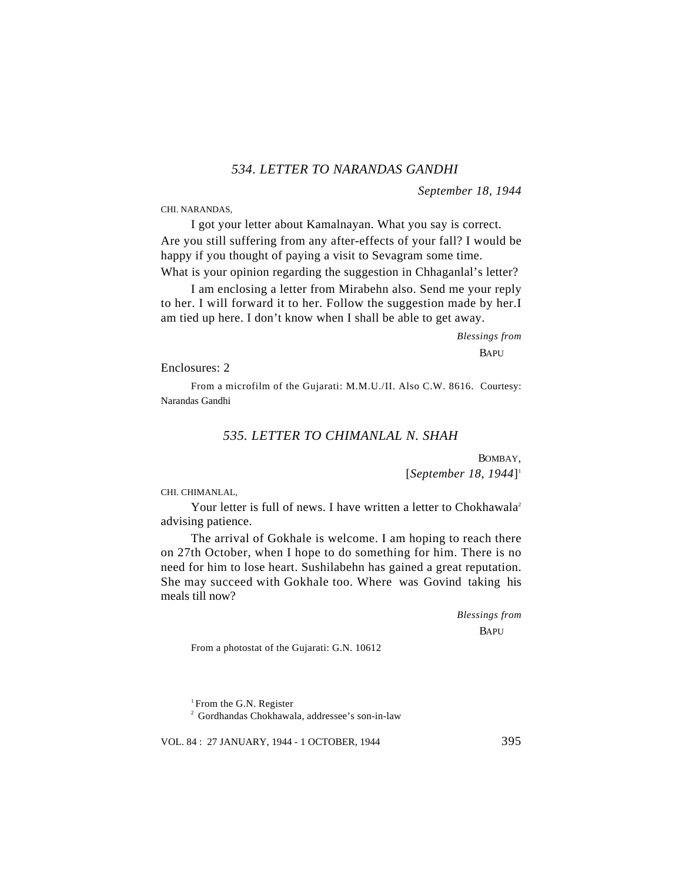## *534. LETTER TO NARANDAS GANDHI*

*September 18, 1944*

CHI. NARANDAS,

I got your letter about Kamalnayan. What you say is correct. Are you still suffering from any after-effects of your fall? I would be happy if you thought of paying a visit to Sevagram some time. What is your opinion regarding the suggestion in Chhaganlal's letter?

I am enclosing a letter from Mirabehn also. Send me your reply to her. I will forward it to her. Follow the suggestion made by her.I am tied up here. I don't know when I shall be able to get away.

> *Blessings from* **BAPU**

Enclosures: 2

From a microfilm of the Gujarati: M.M.U./II. Also C.W. 8616. Courtesy: Narandas Gandhi

## *535. LETTER TO CHIMANLAL N. SHAH*

BOMBAY, [*September 18, 1944*] 1

CHI. CHIMANLAL,

Your letter is full of news. I have written a letter to Chokhawala<sup>2</sup> advising patience.

The arrival of Gokhale is welcome. I am hoping to reach there on 27th October, when I hope to do something for him. There is no need for him to lose heart. Sushilabehn has gained a great reputation. She may succeed with Gokhale too. Where was Govind taking his meals till now?

> *Blessings from* **BAPU**

From a photostat of the Gujarati: G.N. 10612

<sup>1</sup> From the G.N. Register

2 Gordhandas Chokhawala, addressee's son-in-law

VOL. 84 : 27 JANUARY, 1944 - 1 OCTOBER, 1944 395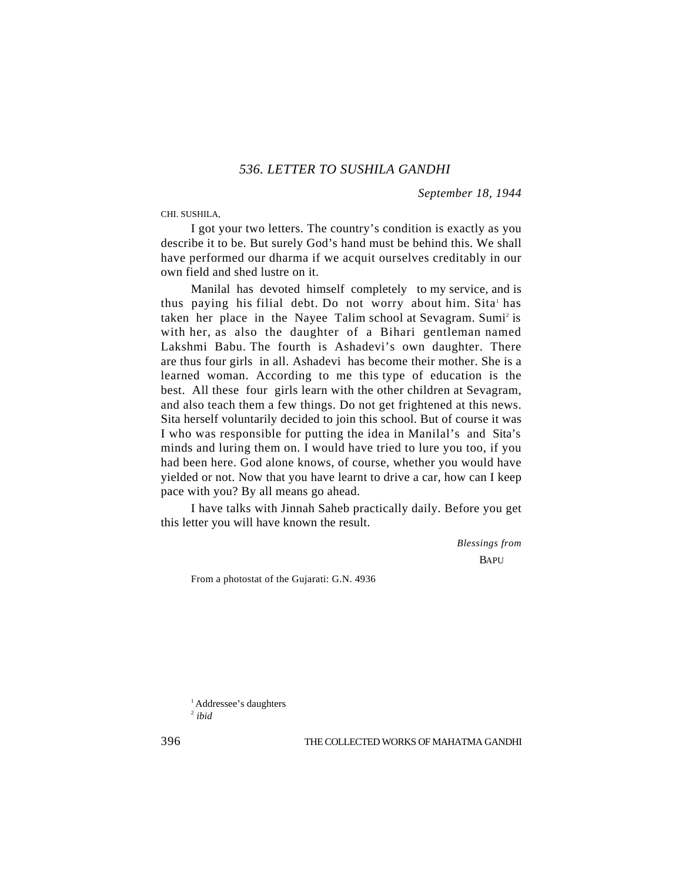*September 18, 1944*

CHI. SUSHILA,

I got your two letters. The country's condition is exactly as you describe it to be. But surely God's hand must be behind this. We shall have performed our dharma if we acquit ourselves creditably in our own field and shed lustre on it.

Manilal has devoted himself completely to my service, and is thus paying his filial debt. Do not worry about him. Sita' has taken her place in the Nayee Talim school at Sevagram. Sumi<sup>2</sup> is with her, as also the daughter of a Bihari gentleman named Lakshmi Babu. The fourth is Ashadevi's own daughter. There are thus four girls in all. Ashadevi has become their mother. She is a learned woman. According to me this type of education is the best. All these four girls learn with the other children at Sevagram, and also teach them a few things. Do not get frightened at this news. Sita herself voluntarily decided to join this school. But of course it was I who was responsible for putting the idea in Manilal's and Sita's minds and luring them on. I would have tried to lure you too, if you had been here. God alone knows, of course, whether you would have yielded or not. Now that you have learnt to drive a car, how can I keep pace with you? By all means go ahead.

I have talks with Jinnah Saheb practically daily. Before you get this letter you will have known the result.

> *Blessings from* **BAPU**

From a photostat of the Gujarati: G.N. 4936

<sup>1</sup> Addressee's daughters

2 *ibid*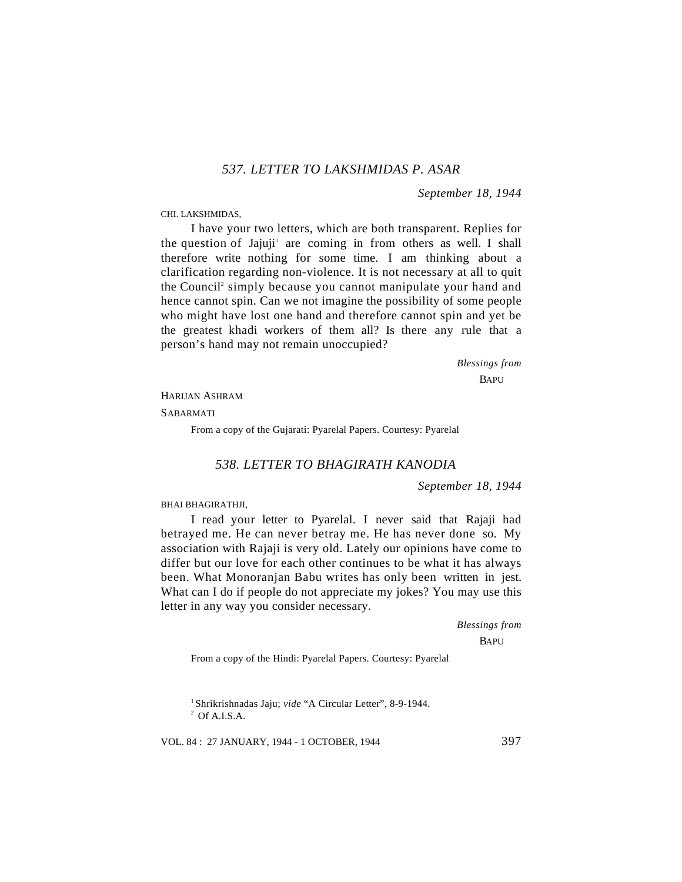*September 18, 1944*

CHI. LAKSHMIDAS,

I have your two letters, which are both transparent. Replies for the question of Jajuji<sup>1</sup> are coming in from others as well. I shall therefore write nothing for some time. I am thinking about a clarification regarding non-violence. It is not necessary at all to quit the Council<sup>2</sup> simply because you cannot manipulate your hand and hence cannot spin. Can we not imagine the possibility of some people who might have lost one hand and therefore cannot spin and yet be the greatest khadi workers of them all? Is there any rule that a person's hand may not remain unoccupied?

> *Blessings from* **BAPU**

HARIJAN ASHRAM

SABARMATI

From a copy of the Gujarati: Pyarelal Papers. Courtesy: Pyarelal

#### *538. LETTER TO BHAGIRATH KANODIA*

*September 18, 1944*

BHAI BHAGIRATHJI,

I read your letter to Pyarelal. I never said that Rajaji had betrayed me. He can never betray me. He has never done so. My association with Rajaji is very old. Lately our opinions have come to differ but our love for each other continues to be what it has always been. What Monoranjan Babu writes has only been written in jest. What can I do if people do not appreciate my jokes? You may use this letter in any way you consider necessary.

*Blessings from*

**BAPU** 

From a copy of the Hindi: Pyarelal Papers. Courtesy: Pyarelal

<sup>1</sup>Shrikrishnadas Jaju; *vide* "A Circular Letter", 8-9-1944.  $2$  Of A.I.S.A.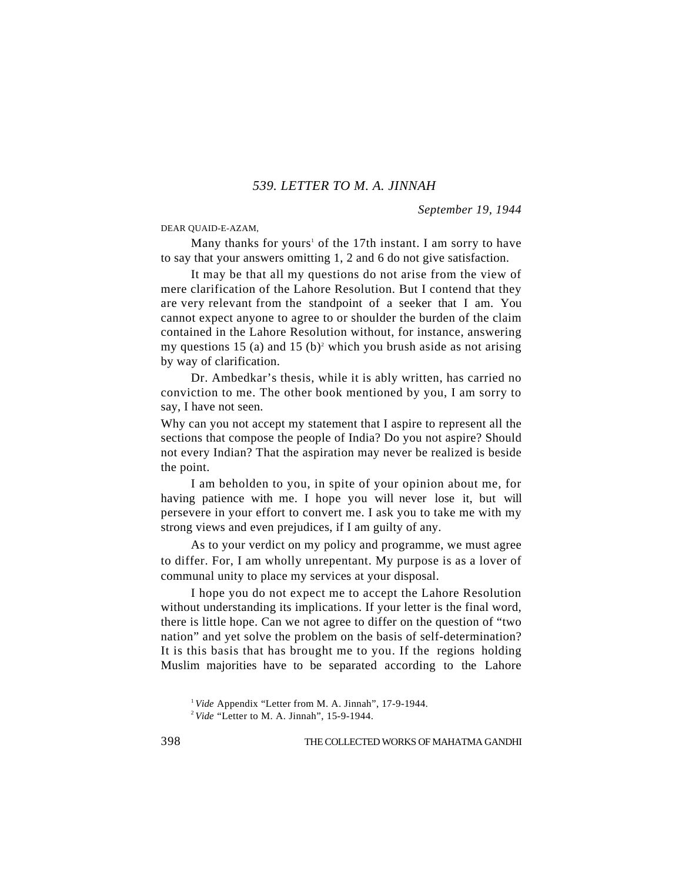### *539. LETTER TO M. A. JINNAH*

*September 19, 1944*

#### DEAR QUAID-E-AZAM,

Many thanks for yours<sup>1</sup> of the 17th instant. I am sorry to have to say that your answers omitting 1, 2 and 6 do not give satisfaction.

It may be that all my questions do not arise from the view of mere clarification of the Lahore Resolution. But I contend that they are very relevant from the standpoint of a seeker that I am. You cannot expect anyone to agree to or shoulder the burden of the claim contained in the Lahore Resolution without, for instance, answering my questions 15 (a) and 15 (b)<sup>2</sup> which you brush aside as not arising by way of clarification.

Dr. Ambedkar's thesis, while it is ably written, has carried no conviction to me. The other book mentioned by you, I am sorry to say, I have not seen.

Why can you not accept my statement that I aspire to represent all the sections that compose the people of India? Do you not aspire? Should not every Indian? That the aspiration may never be realized is beside the point.

I am beholden to you, in spite of your opinion about me, for having patience with me. I hope you will never lose it, but will persevere in your effort to convert me. I ask you to take me with my strong views and even prejudices, if I am guilty of any.

As to your verdict on my policy and programme, we must agree to differ. For, I am wholly unrepentant. My purpose is as a lover of communal unity to place my services at your disposal.

I hope you do not expect me to accept the Lahore Resolution without understanding its implications. If your letter is the final word, there is little hope. Can we not agree to differ on the question of "two nation" and yet solve the problem on the basis of self-determination? It is this basis that has brought me to you. If the regions holding Muslim majorities have to be separated according to the Lahore

<sup>&</sup>lt;sup>1</sup> Vide Appendix "Letter from M. A. Jinnah", 17-9-1944.

<sup>2</sup>*Vide* "Letter to M. A. Jinnah", 15-9-1944.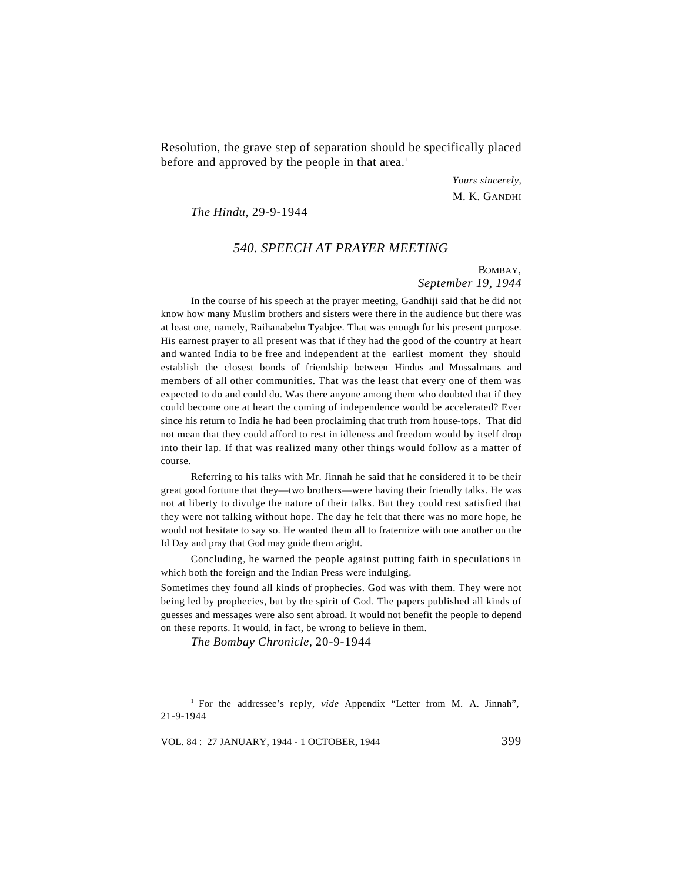Resolution, the grave step of separation should be specifically placed before and approved by the people in that area.<sup>1</sup>

> *Yours sincerely,* M. K. GANDHI

*The Hindu,* 29-9-1944

#### *540. SPEECH AT PRAYER MEETING*

BOMBAY, *September 19, 1944*

In the course of his speech at the prayer meeting, Gandhiji said that he did not know how many Muslim brothers and sisters were there in the audience but there was at least one, namely, Raihanabehn Tyabjee. That was enough for his present purpose. His earnest prayer to all present was that if they had the good of the country at heart and wanted India to be free and independent at the earliest moment they should establish the closest bonds of friendship between Hindus and Mussalmans and members of all other communities. That was the least that every one of them was expected to do and could do. Was there anyone among them who doubted that if they could become one at heart the coming of independence would be accelerated? Ever since his return to India he had been proclaiming that truth from house-tops. That did not mean that they could afford to rest in idleness and freedom would by itself drop into their lap. If that was realized many other things would follow as a matter of course.

Referring to his talks with Mr. Jinnah he said that he considered it to be their great good fortune that they—two brothers—were having their friendly talks. He was not at liberty to divulge the nature of their talks. But they could rest satisfied that they were not talking without hope. The day he felt that there was no more hope, he would not hesitate to say so. He wanted them all to fraternize with one another on the Id Day and pray that God may guide them aright.

Concluding, he warned the people against putting faith in speculations in which both the foreign and the Indian Press were indulging.

Sometimes they found all kinds of prophecies. God was with them. They were not being led by prophecies, but by the spirit of God. The papers published all kinds of guesses and messages were also sent abroad. It would not benefit the people to depend on these reports. It would, in fact, be wrong to believe in them.

*The Bombay Chronicle,* 20-9-1944

<sup>1</sup> For the addressee's reply, *vide* Appendix "Letter from M. A. Jinnah", 21-9-1944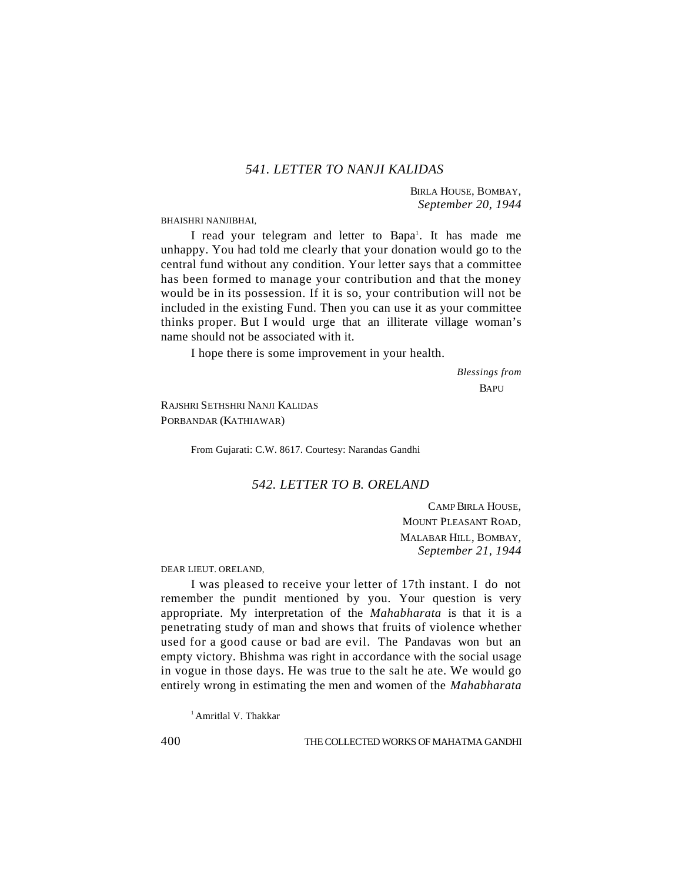#### *541. LETTER TO NANJI KALIDAS*

BIRLA HOUSE, BOMBAY, *September 20, 1944*

BHAISHRI NANJIBHAI,

I read your telegram and letter to Bapa<sup>1</sup>. It has made me unhappy. You had told me clearly that your donation would go to the central fund without any condition. Your letter says that a committee has been formed to manage your contribution and that the money would be in its possession. If it is so, your contribution will not be included in the existing Fund. Then you can use it as your committee thinks proper. But I would urge that an illiterate village woman's name should not be associated with it.

I hope there is some improvement in your health.

*Blessings from* **BAPU** 

RAJSHRI SETHSHRI NANJI KALIDAS PORBANDAR (KATHIAWAR)

From Gujarati: C.W. 8617. Courtesy: Narandas Gandhi

#### *542. LETTER TO B. ORELAND*

CAMP BIRLA HOUSE, MOUNT PLEASANT ROAD, MALABAR HILL, BOMBAY, *September 21, 1944*

DEAR LIEUT. ORELAND

I was pleased to receive your letter of 17th instant. I do not remember the pundit mentioned by you. Your question is very appropriate. My interpretation of the *Mahabharata* is that it is a penetrating study of man and shows that fruits of violence whether used for a good cause or bad are evil. The Pandavas won but an empty victory. Bhishma was right in accordance with the social usage in vogue in those days. He was true to the salt he ate. We would go entirely wrong in estimating the men and women of the *Mahabharata*

1 Amritlal V. Thakkar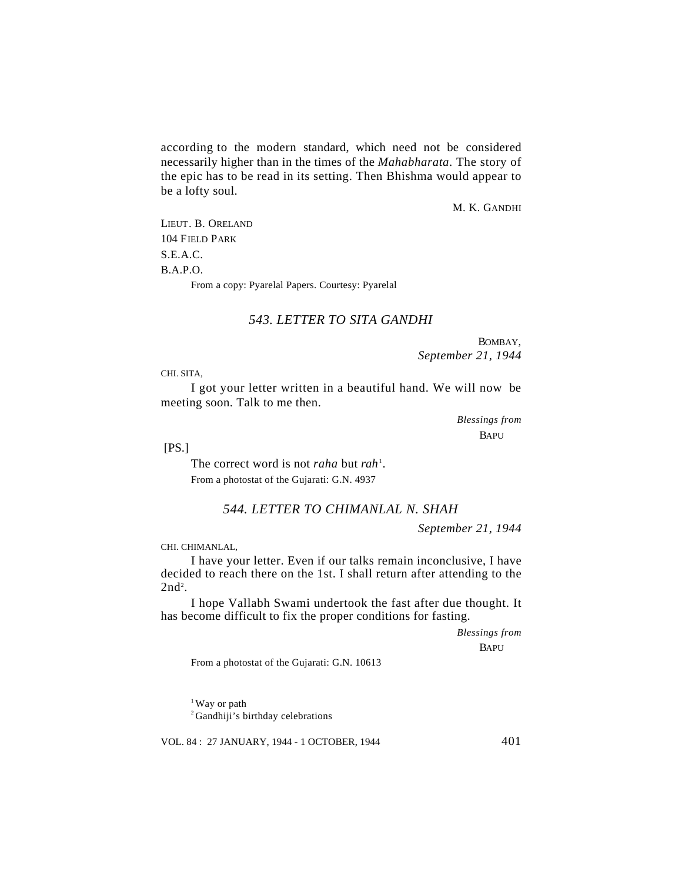according to the modern standard, which need not be considered necessarily higher than in the times of the *Mahabharata*. The story of the epic has to be read in its setting. Then Bhishma would appear to be a lofty soul.

M. K. GANDHI

LIEUT. B. ORELAND 104 FIELD PARK S.E.A.C. B.A.P.O. From a copy: Pyarelal Papers. Courtesy: Pyarelal

## *543. LETTER TO SITA GANDHI*

BOMBAY, *September 21, 1944*

CHI. SITA,

I got your letter written in a beautiful hand. We will now be meeting soon. Talk to me then.

> *Blessings from* **BAPU**

 $[PS.]$ 

The correct word is not *raha* but *rah*<sup>1</sup> . From a photostat of the Gujarati: G.N. 4937

## *544. LETTER TO CHIMANLAL N. SHAH*

*September 21, 1944*

CHI. CHIMANLAL,

I have your letter. Even if our talks remain inconclusive, I have decided to reach there on the 1st. I shall return after attending to the  $2nd^2$ .

I hope Vallabh Swami undertook the fast after due thought. It has become difficult to fix the proper conditions for fasting.

*Blessings from*

BAPU

From a photostat of the Gujarati: G.N. 10613

<sup>1</sup>Way or path 2 Gandhiji's birthday celebrations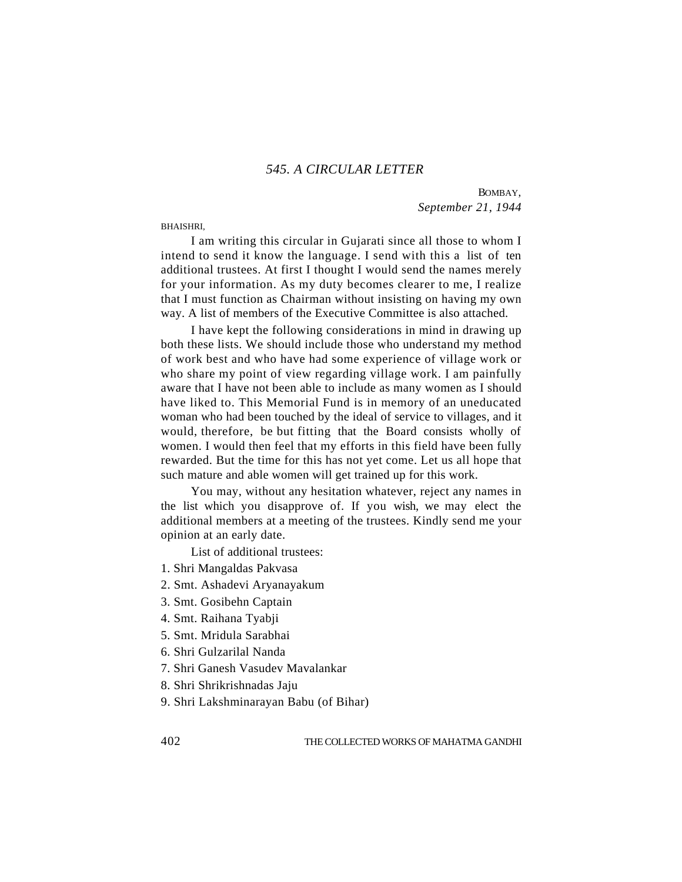### *545. A CIRCULAR LETTER*

BOMBAY, *September 21, 1944*

BHAISHRI,

I am writing this circular in Gujarati since all those to whom I intend to send it know the language. I send with this a list of ten additional trustees. At first I thought I would send the names merely for your information. As my duty becomes clearer to me, I realize that I must function as Chairman without insisting on having my own way. A list of members of the Executive Committee is also attached.

I have kept the following considerations in mind in drawing up both these lists. We should include those who understand my method of work best and who have had some experience of village work or who share my point of view regarding village work. I am painfully aware that I have not been able to include as many women as I should have liked to. This Memorial Fund is in memory of an uneducated woman who had been touched by the ideal of service to villages, and it would, therefore, be but fitting that the Board consists wholly of women. I would then feel that my efforts in this field have been fully rewarded. But the time for this has not yet come. Let us all hope that such mature and able women will get trained up for this work.

You may, without any hesitation whatever, reject any names in the list which you disapprove of. If you wish, we may elect the additional members at a meeting of the trustees. Kindly send me your opinion at an early date.

List of additional trustees:

- 1. Shri Mangaldas Pakvasa
- 2. Smt. Ashadevi Aryanayakum
- 3. Smt. Gosibehn Captain
- 4. Smt. Raihana Tyabji
- 5. Smt. Mridula Sarabhai
- 6. Shri Gulzarilal Nanda
- 7. Shri Ganesh Vasudev Mavalankar
- 8. Shri Shrikrishnadas Jaju
- 9. Shri Lakshminarayan Babu (of Bihar)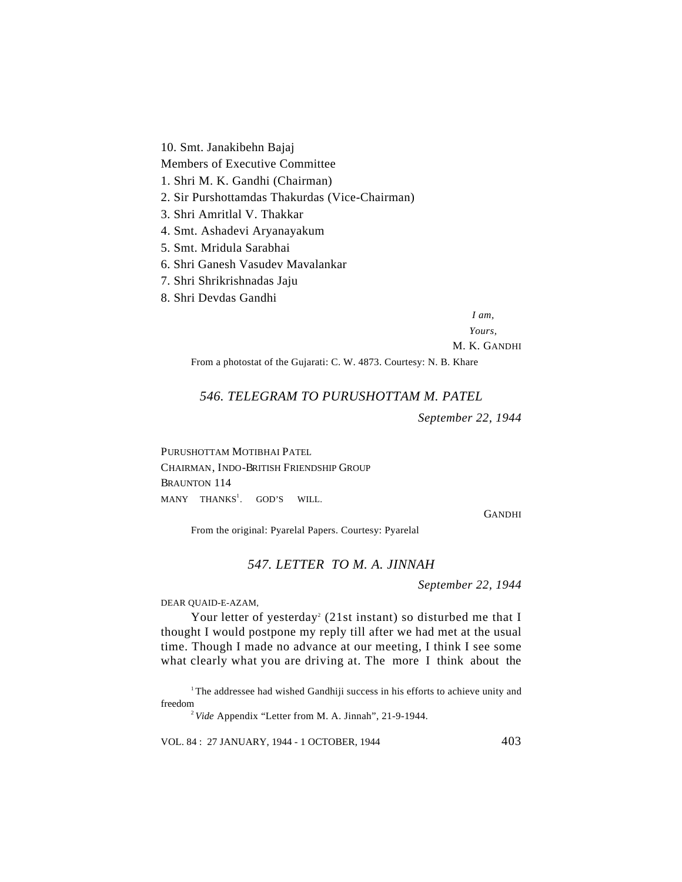10. Smt. Janakibehn Bajaj Members of Executive Committee 1. Shri M. K. Gandhi (Chairman) 2. Sir Purshottamdas Thakurdas (Vice-Chairman) 3. Shri Amritlal V. Thakkar 4. Smt. Ashadevi Aryanayakum 5. Smt. Mridula Sarabhai 6. Shri Ganesh Vasudev Mavalankar 7. Shri Shrikrishnadas Jaju

8. Shri Devdas Gandhi

 *I am,* 

*Yours,*

M. K. GANDHI

From a photostat of the Gujarati: C. W. 4873. Courtesy: N. B. Khare

#### *546. TELEGRAM TO PURUSHOTTAM M. PATEL*

*September 22, 1944*

PURUSHOTTAM MOTIBHAI PATEL CHAIRMAN, INDO-BRITISH FRIENDSHIP GROUP BRAUNTON 114  $MANY$   $THANKS<sup>1</sup>$ . GOD'S WILL.

**GANDHI** 

From the original: Pyarelal Papers. Courtesy: Pyarelal

#### *547. LETTER TO M. A. JINNAH*

*September 22, 1944*

DEAR QUAID-E-AZAM,

Your letter of yesterday<sup>2</sup> (21st instant) so disturbed me that I thought I would postpone my reply till after we had met at the usual time. Though I made no advance at our meeting, I think I see some what clearly what you are driving at. The more I think about the

<sup>1</sup>The addressee had wished Gandhiji success in his efforts to achieve unity and freedom

<sup>2</sup>*Vide* Appendix "Letter from M. A. Jinnah", 21-9-1944.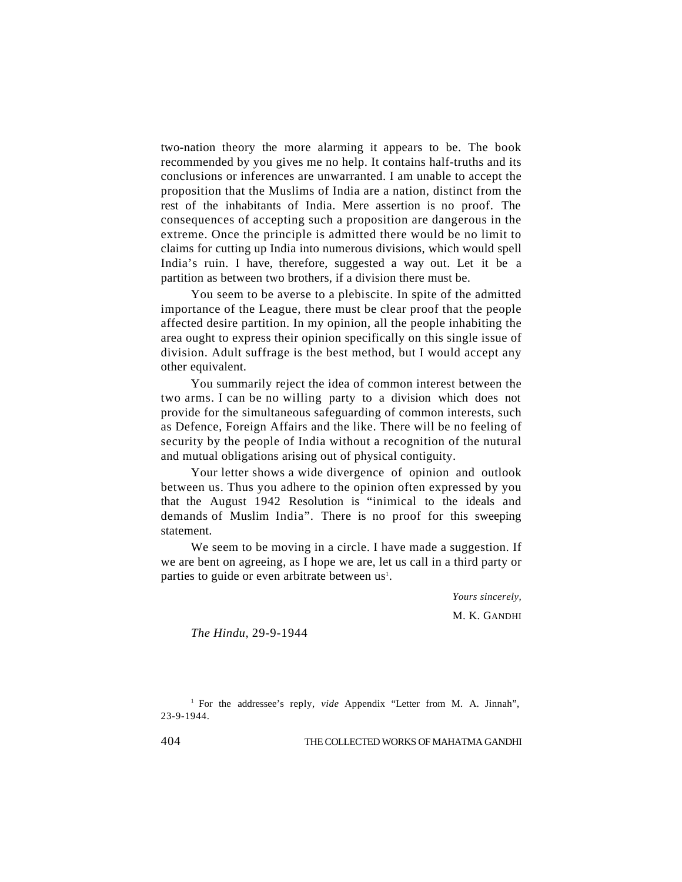two-nation theory the more alarming it appears to be. The book recommended by you gives me no help. It contains half-truths and its conclusions or inferences are unwarranted. I am unable to accept the proposition that the Muslims of India are a nation, distinct from the rest of the inhabitants of India. Mere assertion is no proof. The consequences of accepting such a proposition are dangerous in the extreme. Once the principle is admitted there would be no limit to claims for cutting up India into numerous divisions, which would spell India's ruin. I have, therefore, suggested a way out. Let it be a partition as between two brothers, if a division there must be.

You seem to be averse to a plebiscite. In spite of the admitted importance of the League, there must be clear proof that the people affected desire partition. In my opinion, all the people inhabiting the area ought to express their opinion specifically on this single issue of division. Adult suffrage is the best method, but I would accept any other equivalent.

You summarily reject the idea of common interest between the two arms. I can be no willing party to a division which does not provide for the simultaneous safeguarding of common interests, such as Defence, Foreign Affairs and the like. There will be no feeling of security by the people of India without a recognition of the nutural and mutual obligations arising out of physical contiguity.

Your letter shows a wide divergence of opinion and outlook between us. Thus you adhere to the opinion often expressed by you that the August 1942 Resolution is "inimical to the ideals and demands of Muslim India". There is no proof for this sweeping statement.

We seem to be moving in a circle. I have made a suggestion. If we are bent on agreeing, as I hope we are, let us call in a third party or parties to guide or even arbitrate between us<sup>1</sup>.

> *Yours sincerely,* M. K. GANDHI

*The Hindu,* 29-9-1944

<sup>&</sup>lt;sup>1</sup> For the addressee's reply, *vide* Appendix "Letter from M. A. Jinnah", 23-9-1944.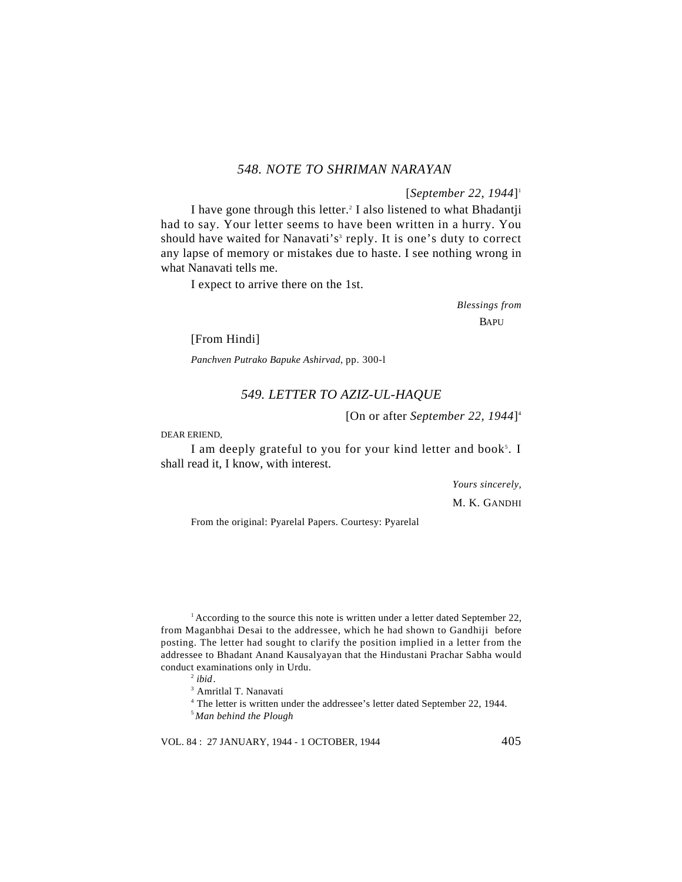## *548. NOTE TO SHRIMAN NARAYAN*

[*September 22, 1944*] 1

I have gone through this letter.<sup>2</sup> I also listened to what Bhadantji had to say. Your letter seems to have been written in a hurry. You should have waited for Nanavati's<sup>3</sup> reply. It is one's duty to correct any lapse of memory or mistakes due to haste. I see nothing wrong in what Nanavati tells me.

I expect to arrive there on the 1st.

*Blessings from* **BAPU** 

[From Hindi]

*Panchven Putrako Bapuke Ashirvad,* pp. 300-l

### *549. LETTER TO AZIZ-UL-HAQUE*

[On or after *September 22, 1944*] 4

DEAR ERIEND,

I am deeply grateful to you for your kind letter and book<sup>5</sup>. I shall read it, I know, with interest.

*Yours sincerely,*

M. K. GANDHI

From the original: Pyarelal Papers. Courtesy: Pyarelal

 $1$  According to the source this note is written under a letter dated September 22, from Maganbhai Desai to the addressee, which he had shown to Gandhiji before posting. The letter had sought to clarify the position implied in a letter from the addressee to Bhadant Anand Kausalyayan that the Hindustani Prachar Sabha would conduct examinations only in Urdu.

2 *ibid*.

<sup>3</sup> Amritlal T. Nanavati

<sup>4</sup> The letter is written under the addressee's letter dated September 22, 1944.

<sup>5</sup>*Man behind the Plough*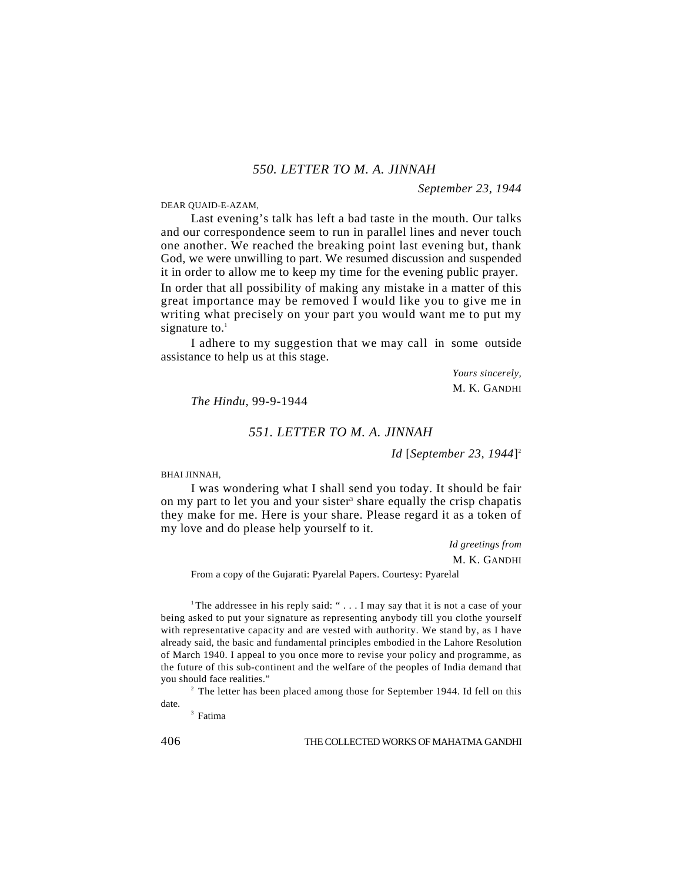*September 23, 1944*

DEAR QUAID-E-AZAM,

Last evening's talk has left a bad taste in the mouth. Our talks and our correspondence seem to run in parallel lines and never touch one another. We reached the breaking point last evening but, thank God, we were unwilling to part. We resumed discussion and suspended it in order to allow me to keep my time for the evening public prayer. In order that all possibility of making any mistake in a matter of this great importance may be removed I would like you to give me in writing what precisely on your part you would want me to put my signature to. $<sup>1</sup>$ </sup>

I adhere to my suggestion that we may call in some outside assistance to help us at this stage.

> *Yours sincerely,* M. K. GANDHI

*The Hindu,* 99-9-1944

#### *551. LETTER TO M. A. JINNAH*

*Id* [*September 23, 1944*] 2

BHAI JINNAH,

I was wondering what I shall send you today. It should be fair on my part to let you and your sister<sup>3</sup> share equally the crisp chapatis they make for me. Here is your share. Please regard it as a token of my love and do please help yourself to it.

> *Id greetings from* M. K. GANDHI

From a copy of the Gujarati: Pyarelal Papers. Courtesy: Pyarelal

<sup>1</sup>The addressee in his reply said: " $\dots$  I may say that it is not a case of your being asked to put your signature as representing anybody till you clothe yourself with representative capacity and are vested with authority. We stand by, as I have already said, the basic and fundamental principles embodied in the Lahore Resolution of March 1940. I appeal to you once more to revise your policy and programme, as the future of this sub-continent and the welfare of the peoples of India demand that you should face realities."

 $2$  The letter has been placed among those for September 1944. Id fell on this date.

<sup>3</sup> Fatima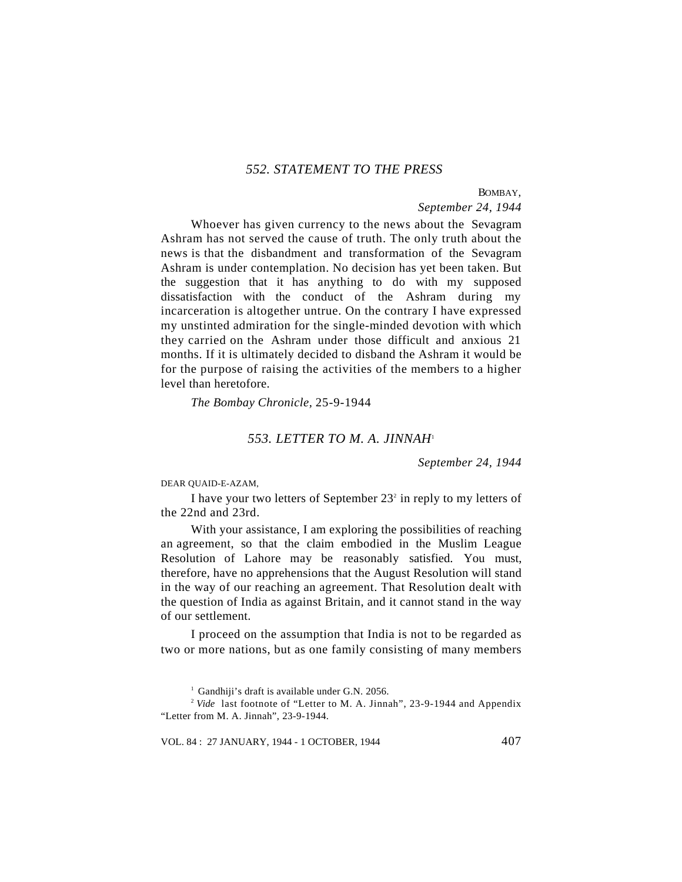#### *552. STATEMENT TO THE PRESS*

BOMBAY, *September 24, 1944*

Whoever has given currency to the news about the Sevagram Ashram has not served the cause of truth. The only truth about the news is that the disbandment and transformation of the Sevagram Ashram is under contemplation. No decision has yet been taken. But the suggestion that it has anything to do with my supposed dissatisfaction with the conduct of the Ashram during my incarceration is altogether untrue. On the contrary I have expressed my unstinted admiration for the single-minded devotion with which they carried on the Ashram under those difficult and anxious 21 months. If it is ultimately decided to disband the Ashram it would be for the purpose of raising the activities of the members to a higher level than heretofore.

*The Bombay Chronicle,* 25-9-1944

#### *553. LETTER TO M. A. JINNAH*<sup>1</sup>

*September 24, 1944*

#### DEAR QUAID-E-AZAM,

I have your two letters of September 23<sup>2</sup> in reply to my letters of the 22nd and 23rd.

With your assistance, I am exploring the possibilities of reaching an agreement, so that the claim embodied in the Muslim League Resolution of Lahore may be reasonably satisfied. You must, therefore, have no apprehensions that the August Resolution will stand in the way of our reaching an agreement. That Resolution dealt with the question of India as against Britain, and it cannot stand in the way of our settlement.

I proceed on the assumption that India is not to be regarded as two or more nations, but as one family consisting of many members

 $<sup>1</sup>$  Gandhiji's draft is available under G.N. 2056.</sup>

<sup>2</sup>*Vide* last footnote of "Letter to M. A. Jinnah", 23-9-1944 and Appendix "Letter from M. A. Jinnah", 23-9-1944.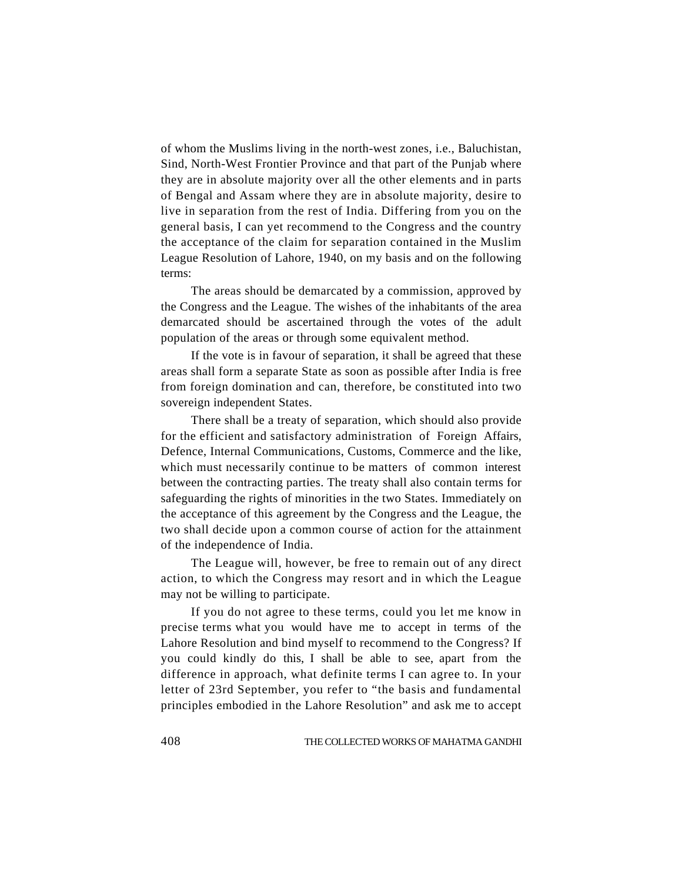of whom the Muslims living in the north-west zones, i.e., Baluchistan, Sind, North-West Frontier Province and that part of the Punjab where they are in absolute majority over all the other elements and in parts of Bengal and Assam where they are in absolute majority, desire to live in separation from the rest of India. Differing from you on the general basis, I can yet recommend to the Congress and the country the acceptance of the claim for separation contained in the Muslim League Resolution of Lahore, 1940, on my basis and on the following terms:

The areas should be demarcated by a commission, approved by the Congress and the League. The wishes of the inhabitants of the area demarcated should be ascertained through the votes of the adult population of the areas or through some equivalent method.

If the vote is in favour of separation, it shall be agreed that these areas shall form a separate State as soon as possible after India is free from foreign domination and can, therefore, be constituted into two sovereign independent States.

There shall be a treaty of separation, which should also provide for the efficient and satisfactory administration of Foreign Affairs, Defence, Internal Communications, Customs, Commerce and the like, which must necessarily continue to be matters of common interest between the contracting parties. The treaty shall also contain terms for safeguarding the rights of minorities in the two States. Immediately on the acceptance of this agreement by the Congress and the League, the two shall decide upon a common course of action for the attainment of the independence of India.

The League will, however, be free to remain out of any direct action, to which the Congress may resort and in which the League may not be willing to participate.

If you do not agree to these terms, could you let me know in precise terms what you would have me to accept in terms of the Lahore Resolution and bind myself to recommend to the Congress? If you could kindly do this, I shall be able to see, apart from the difference in approach, what definite terms I can agree to. In your letter of 23rd September, you refer to "the basis and fundamental principles embodied in the Lahore Resolution" and ask me to accept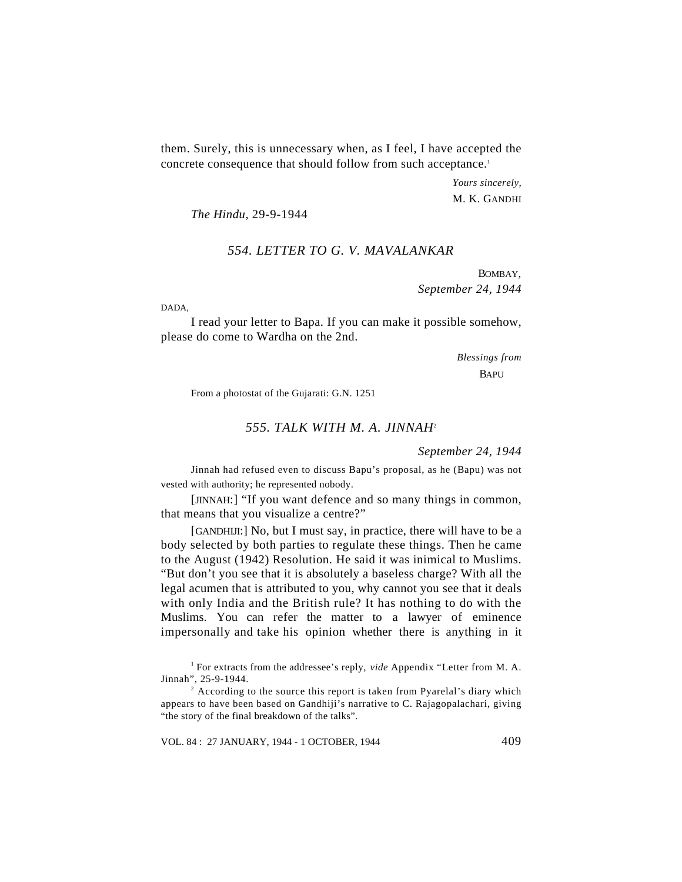them. Surely, this is unnecessary when, as I feel, I have accepted the concrete consequence that should follow from such acceptance.<sup>1</sup>

> *Yours sincerely,* M. K. GANDHI

*The Hindu,* 29-9-1944

#### *554. LETTER TO G. V. MAVALANKAR*

BOMBAY, *September 24, 1944*

DADA,

I read your letter to Bapa. If you can make it possible somehow, please do come to Wardha on the 2nd.

> *Blessings from* **BAPU**

From a photostat of the Gujarati: G.N. 1251

#### *555. TALK WITH M. A. JINNAH*<sup>2</sup>

*September 24, 1944*

Jinnah had refused even to discuss Bapu's proposal, as he (Bapu) was not vested with authority; he represented nobody.

[JINNAH:] "If you want defence and so many things in common, that means that you visualize a centre?"

[GANDHIJI:] No, but I must say, in practice, there will have to be a body selected by both parties to regulate these things. Then he came to the August (1942) Resolution. He said it was inimical to Muslims. "But don't you see that it is absolutely a baseless charge? With all the legal acumen that is attributed to you, why cannot you see that it deals with only India and the British rule? It has nothing to do with the Muslims. You can refer the matter to a lawyer of eminence impersonally and take his opinion whether there is anything in it

<sup>1</sup> For extracts from the addressee's reply, *vide* Appendix "Letter from M. A. Jinnah", 25-9-1944.

 $2$  According to the source this report is taken from Pyarelal's diary which appears to have been based on Gandhiji's narrative to C. Rajagopalachari, giving "the story of the final breakdown of the talks".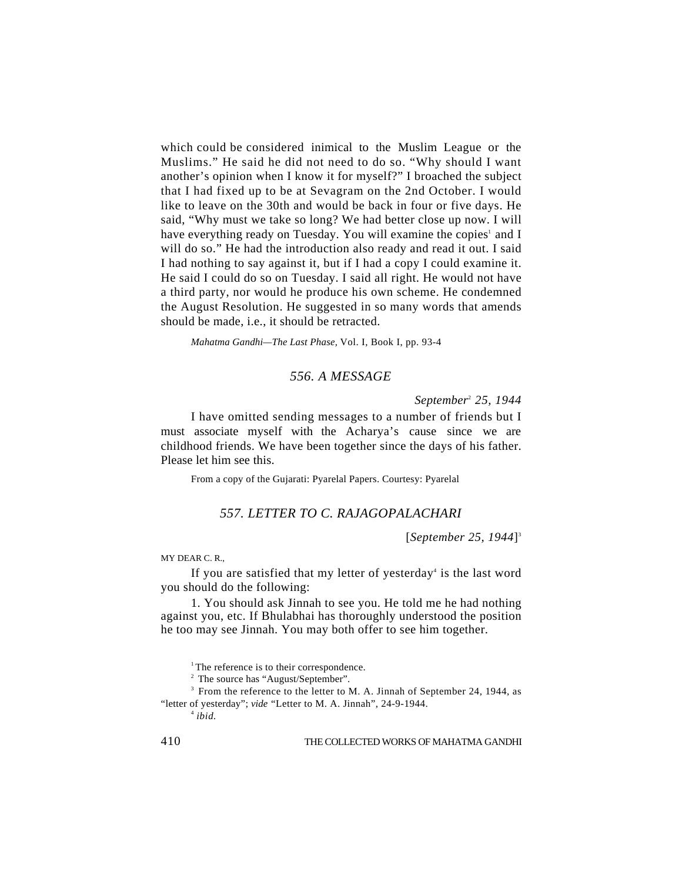which could be considered inimical to the Muslim League or the Muslims." He said he did not need to do so. "Why should I want another's opinion when I know it for myself?" I broached the subject that I had fixed up to be at Sevagram on the 2nd October. I would like to leave on the 30th and would be back in four or five days. He said, "Why must we take so long? We had better close up now. I will have everything ready on Tuesday. You will examine the copies<sup>1</sup> and I will do so." He had the introduction also ready and read it out. I said I had nothing to say against it, but if I had a copy I could examine it. He said I could do so on Tuesday. I said all right. He would not have a third party, nor would he produce his own scheme. He condemned the August Resolution. He suggested in so many words that amends should be made, i.e., it should be retracted.

*Mahatma Gandhi—The Last Phase,* Vol. I, Book I, pp. 93-4

### *556. A MESSAGE*

*September*<sup>2</sup>  *25, 1944*

I have omitted sending messages to a number of friends but I must associate myself with the Acharya's cause since we are childhood friends. We have been together since the days of his father. Please let him see this.

From a copy of the Gujarati: Pyarelal Papers. Courtesy: Pyarelal

## *557. LETTER TO C. RAJAGOPALACHARI*

[*September 25, 1944*] 3

MY DEAR C. R.,

If you are satisfied that my letter of yesterday<sup>4</sup> is the last word you should do the following:

1. You should ask Jinnah to see you. He told me he had nothing against you, etc. If Bhulabhai has thoroughly understood the position he too may see Jinnah. You may both offer to see him together.

 $3$  From the reference to the letter to M. A. Jinnah of September 24, 1944, as "letter of yesterday"; *vide* "Letter to M. A. Jinnah", 24-9-1944.

4 *ibid.*

<sup>&</sup>lt;sup>1</sup>The reference is to their correspondence.

<sup>&</sup>lt;sup>2</sup> The source has "August/September".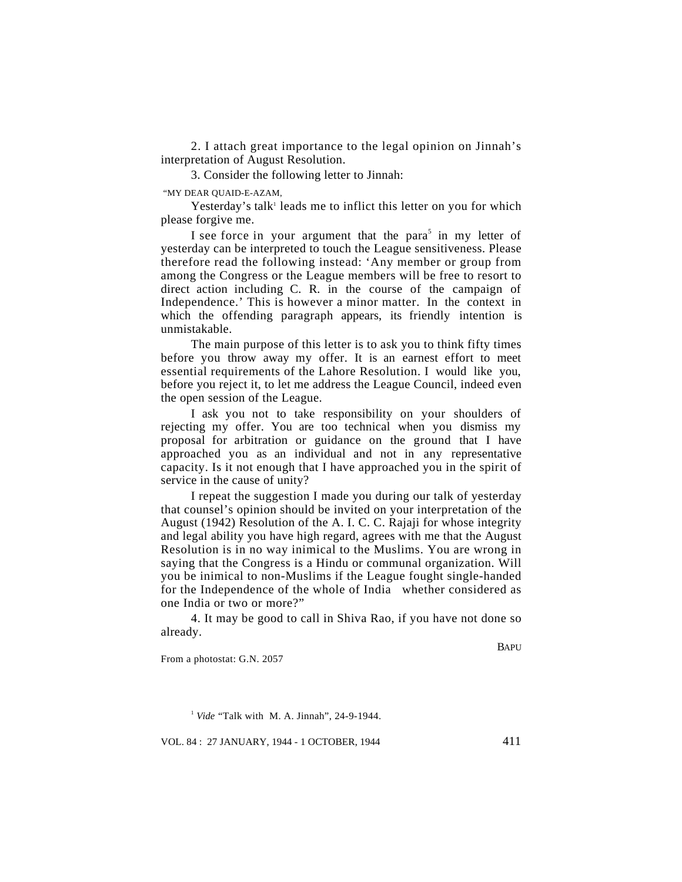2. I attach great importance to the legal opinion on Jinnah's interpretation of August Resolution.

3. Consider the following letter to Jinnah:

"MY DEAR QUAID-E-AZAM,

Yesterday's talk<sup>1</sup> leads me to inflict this letter on you for which please forgive me.

I see force in your argument that the para<sup>5</sup> in my letter of yesterday can be interpreted to touch the League sensitiveness. Please therefore read the following instead: 'Any member or group from among the Congress or the League members will be free to resort to direct action including C. R. in the course of the campaign of Independence.' This is however a minor matter. In the context in which the offending paragraph appears, its friendly intention is unmistakable.

The main purpose of this letter is to ask you to think fifty times before you throw away my offer. It is an earnest effort to meet essential requirements of the Lahore Resolution. I would like you, before you reject it, to let me address the League Council, indeed even the open session of the League.

I ask you not to take responsibility on your shoulders of rejecting my offer. You are too technical when you dismiss my proposal for arbitration or guidance on the ground that I have approached you as an individual and not in any representative capacity. Is it not enough that I have approached you in the spirit of service in the cause of unity?

I repeat the suggestion I made you during our talk of yesterday that counsel's opinion should be invited on your interpretation of the August (1942) Resolution of the A. I. C. C. Rajaji for whose integrity and legal ability you have high regard, agrees with me that the August Resolution is in no way inimical to the Muslims. You are wrong in saying that the Congress is a Hindu or communal organization. Will you be inimical to non-Muslims if the League fought single-handed for the Independence of the whole of India whether considered as one India or two or more?"

4. It may be good to call in Shiva Rao, if you have not done so already.

BAPU

From a photostat: G.N. 2057

<sup>1</sup> *Vide* "Talk with M. A. Jinnah", 24-9-1944.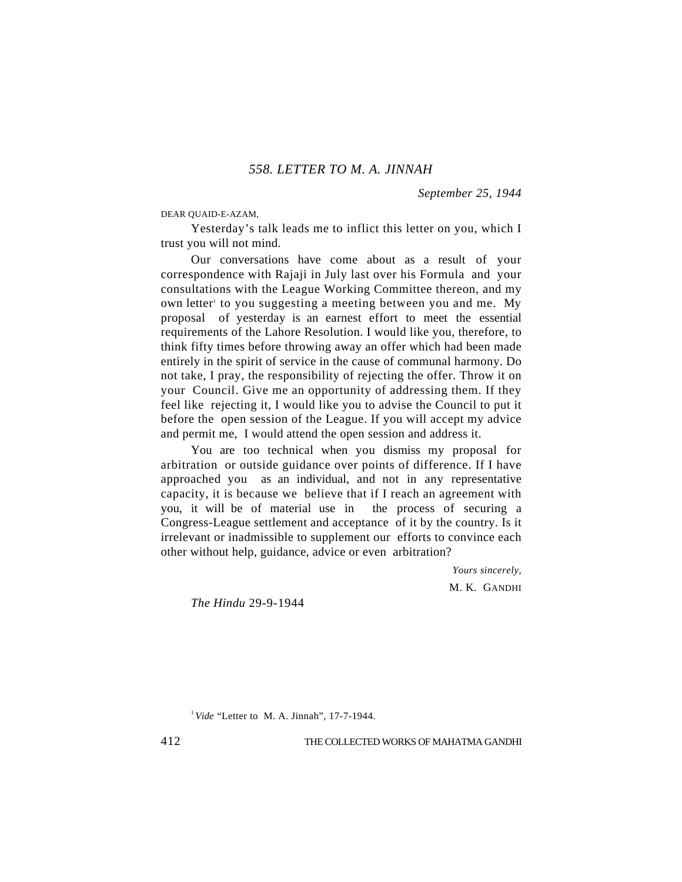*September 25, 1944*

DEAR QUAID-E-AZAM,

Yesterday's talk leads me to inflict this letter on you, which I trust you will not mind.

Our conversations have come about as a result of your correspondence with Rajaji in July last over his Formula and your consultations with the League Working Committee thereon, and my own letter' to you suggesting a meeting between you and me. My proposal of yesterday is an earnest effort to meet the essential requirements of the Lahore Resolution. I would like you, therefore, to think fifty times before throwing away an offer which had been made entirely in the spirit of service in the cause of communal harmony. Do not take, I pray, the responsibility of rejecting the offer. Throw it on your Council. Give me an opportunity of addressing them. If they feel like rejecting it, I would like you to advise the Council to put it before the open session of the League. If you will accept my advice and permit me, I would attend the open session and address it.

You are too technical when you dismiss my proposal for arbitration or outside guidance over points of difference. If I have approached you as an individual, and not in any representative capacity, it is because we believe that if I reach an agreement with you, it will be of material use in the process of securing a Congress-League settlement and acceptance of it by the country. Is it irrelevant or inadmissible to supplement our efforts to convince each other without help, guidance, advice or even arbitration?

> *Yours sincerely,* M. K. GANDHI

*The Hindu* 29-9-1944

<sup>1</sup>*Vide* "Letter to M. A. Jinnah", 17-7-1944.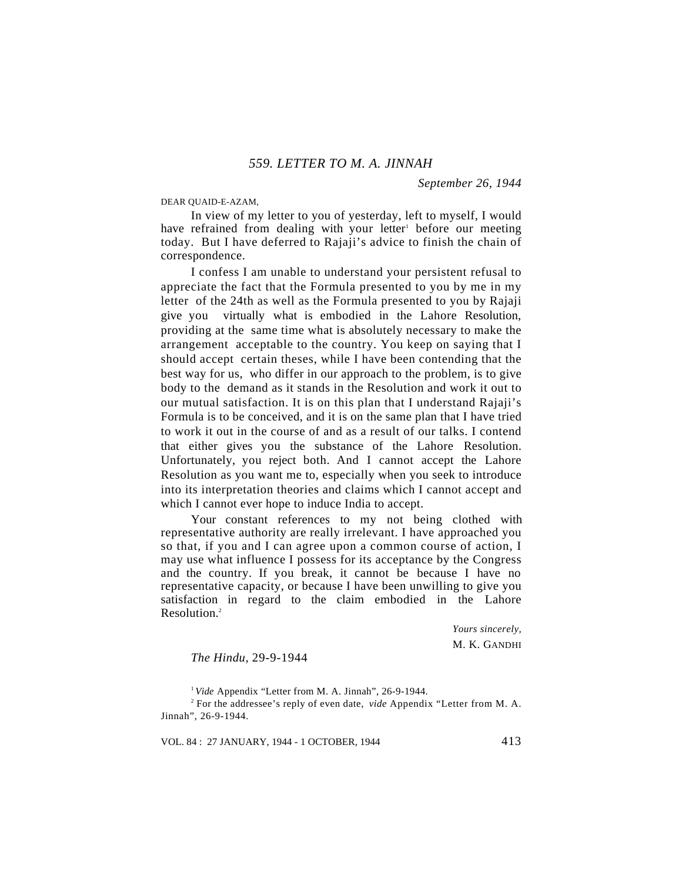*September 26, 1944*

DEAR QUAID-E-AZAM,

In view of my letter to you of yesterday, left to myself, I would have refrained from dealing with your letter<sup>1</sup> before our meeting today. But I have deferred to Rajaji's advice to finish the chain of correspondence.

I confess I am unable to understand your persistent refusal to appreciate the fact that the Formula presented to you by me in my letter of the 24th as well as the Formula presented to you by Rajaji give you virtually what is embodied in the Lahore Resolution, providing at the same time what is absolutely necessary to make the arrangement acceptable to the country. You keep on saying that I should accept certain theses, while I have been contending that the best way for us, who differ in our approach to the problem, is to give body to the demand as it stands in the Resolution and work it out to our mutual satisfaction. It is on this plan that I understand Rajaji's Formula is to be conceived, and it is on the same plan that I have tried to work it out in the course of and as a result of our talks. I contend that either gives you the substance of the Lahore Resolution. Unfortunately, you reject both. And I cannot accept the Lahore Resolution as you want me to, especially when you seek to introduce into its interpretation theories and claims which I cannot accept and which I cannot ever hope to induce India to accept.

Your constant references to my not being clothed with representative authority are really irrelevant. I have approached you so that, if you and I can agree upon a common course of action, I may use what influence I possess for its acceptance by the Congress and the country. If you break, it cannot be because I have no representative capacity, or because I have been unwilling to give you satisfaction in regard to the claim embodied in the Lahore Resolution.<sup>2</sup>

> *Yours sincerely,* M. K. GANDHI

*The Hindu,* 29-9-1944

<sup>1</sup> Vide Appendix "Letter from M. A. Jinnah", 26-9-1944.

<sup>2</sup> For the addressee's reply of even date, *vide* Appendix "Letter from M. A. Jinnah", 26-9-1944.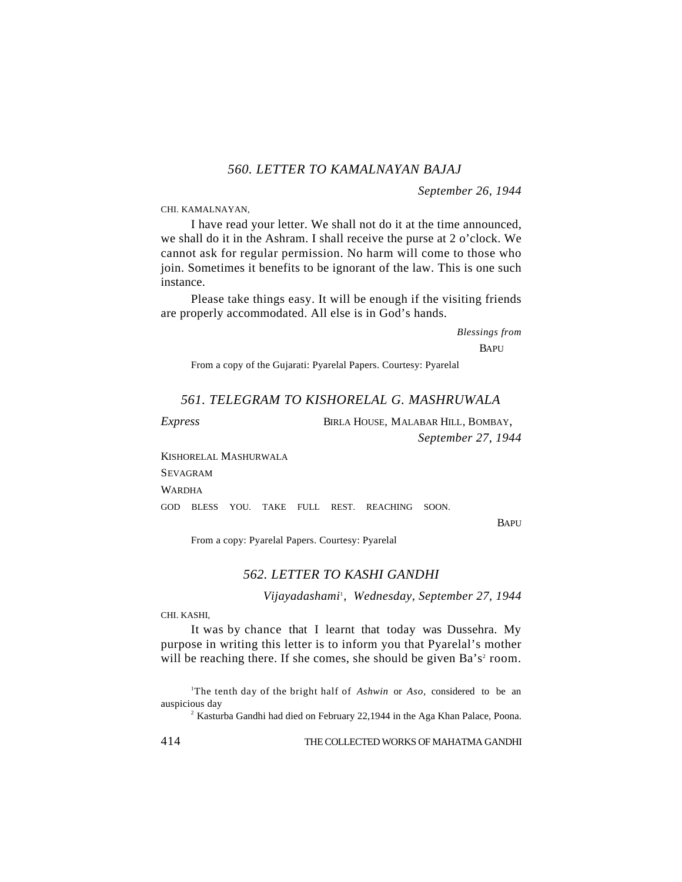## *560. LETTER TO KAMALNAYAN BAJAJ*

*September 26, 1944*

CHI. KAMALNAYAN,

I have read your letter. We shall not do it at the time announced, we shall do it in the Ashram. I shall receive the purse at 2 o'clock. We cannot ask for regular permission. No harm will come to those who join. Sometimes it benefits to be ignorant of the law. This is one such instance.

Please take things easy. It will be enough if the visiting friends are properly accommodated. All else is in God's hands.

*Blessings from*

**BAPU** 

From a copy of the Gujarati: Pyarelal Papers. Courtesy: Pyarelal

## *561. TELEGRAM TO KISHORELAL G. MASHRUWALA*

*Express* BIRLA HOUSE, MALABAR HILL, BOMBAY, *September 27, 1944*

KISHORELAL MASHURWALA

SEVAGRAM

WARDHA

GOD BLESS YOU. TAKE FULL REST. REACHING SOON.

**BAPU** 

From a copy: Pyarelal Papers. Courtesy: Pyarelal

## *562. LETTER TO KASHI GANDHI*

*Vijayadashami*<sup>1</sup> *, Wednesday, September 27, 1944*

CHI. KASHI,

It was by chance that I learnt that today was Dussehra. My purpose in writing this letter is to inform you that Pyarelal's mother will be reaching there. If she comes, she should be given  $Ba's<sup>2</sup>$  room.

<sup>1</sup>The tenth day of the bright half of *Ashwin* or *Aso*, considered to be an auspicious day

<sup>2</sup> Kasturba Gandhi had died on February 22,1944 in the Aga Khan Palace, Poona.

414 THE COLLECTED WORKS OF MAHATMA GANDHI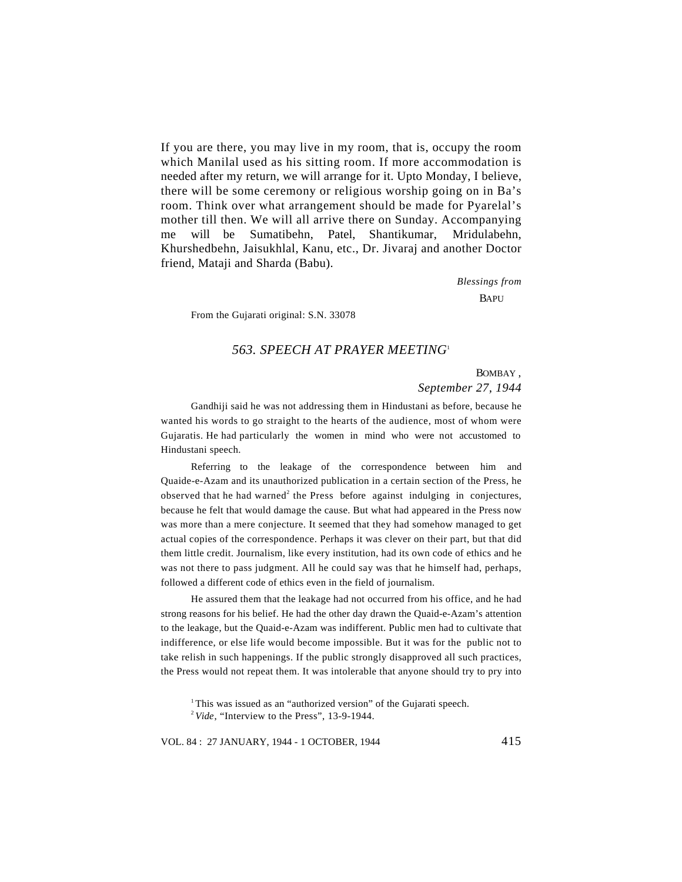If you are there, you may live in my room, that is, occupy the room which Manilal used as his sitting room. If more accommodation is needed after my return, we will arrange for it. Upto Monday, I believe, there will be some ceremony or religious worship going on in Ba's room. Think over what arrangement should be made for Pyarelal's mother till then. We will all arrive there on Sunday. Accompanying me will be Sumatibehn, Patel, Shantikumar, Mridulabehn, Khurshedbehn, Jaisukhlal, Kanu, etc., Dr. Jivaraj and another Doctor friend, Mataji and Sharda (Babu).

> *Blessings from* **BAPU**

From the Gujarati original: S.N. 33078

#### *563. SPEECH AT PRAYER MEETING*<sup>1</sup>

BOMBAY , *September 27, 1944*

Gandhiji said he was not addressing them in Hindustani as before, because he wanted his words to go straight to the hearts of the audience, most of whom were Gujaratis. He had particularly the women in mind who were not accustomed to Hindustani speech.

Referring to the leakage of the correspondence between him and Quaide-e-Azam and its unauthorized publication in a certain section of the Press, he observed that he had warned<sup>2</sup> the Press before against indulging in conjectures, because he felt that would damage the cause. But what had appeared in the Press now was more than a mere conjecture. It seemed that they had somehow managed to get actual copies of the correspondence. Perhaps it was clever on their part, but that did them little credit. Journalism, like every institution, had its own code of ethics and he was not there to pass judgment. All he could say was that he himself had, perhaps, followed a different code of ethics even in the field of journalism.

He assured them that the leakage had not occurred from his office, and he had strong reasons for his belief. He had the other day drawn the Quaid-e-Azam's attention to the leakage, but the Quaid-e-Azam was indifferent. Public men had to cultivate that indifference, or else life would become impossible. But it was for the public not to take relish in such happenings. If the public strongly disapproved all such practices, the Press would not repeat them. It was intolerable that anyone should try to pry into

<sup>&</sup>lt;sup>1</sup>This was issued as an "authorized version" of the Gujarati speech.

<sup>2</sup>*Vide*, "Interview to the Press", 13-9-1944.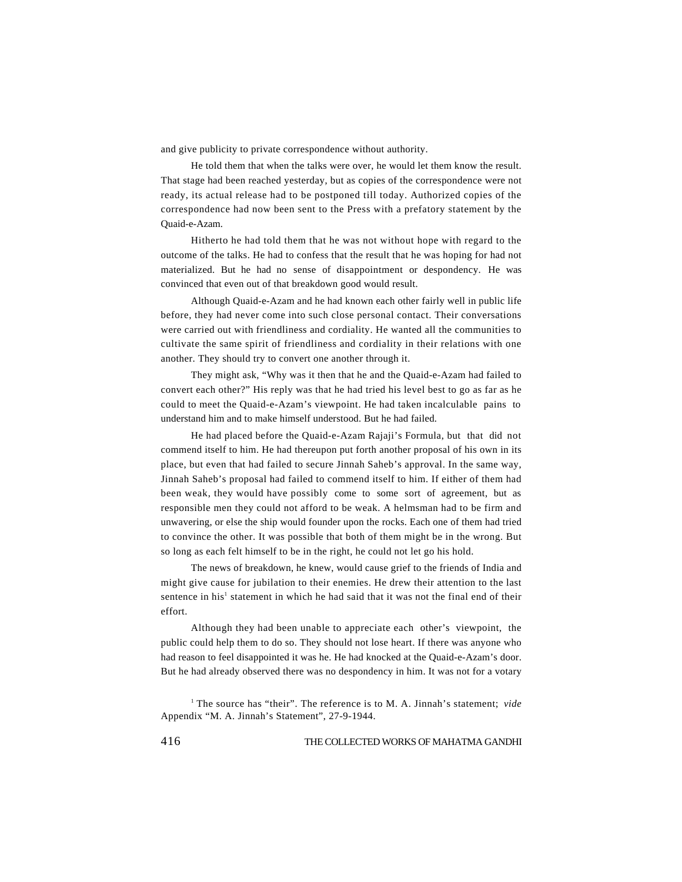and give publicity to private correspondence without authority.

He told them that when the talks were over, he would let them know the result. That stage had been reached yesterday, but as copies of the correspondence were not ready, its actual release had to be postponed till today. Authorized copies of the correspondence had now been sent to the Press with a prefatory statement by the Quaid-e-Azam.

Hitherto he had told them that he was not without hope with regard to the outcome of the talks. He had to confess that the result that he was hoping for had not materialized. But he had no sense of disappointment or despondency. He was convinced that even out of that breakdown good would result.

Although Quaid-e-Azam and he had known each other fairly well in public life before, they had never come into such close personal contact. Their conversations were carried out with friendliness and cordiality. He wanted all the communities to cultivate the same spirit of friendliness and cordiality in their relations with one another. They should try to convert one another through it.

They might ask, "Why was it then that he and the Quaid-e-Azam had failed to convert each other?" His reply was that he had tried his level best to go as far as he could to meet the Quaid-e-Azam's viewpoint. He had taken incalculable pains to understand him and to make himself understood. But he had failed.

He had placed before the Quaid-e-Azam Rajaji's Formula, but that did not commend itself to him. He had thereupon put forth another proposal of his own in its place, but even that had failed to secure Jinnah Saheb's approval. In the same way, Jinnah Saheb's proposal had failed to commend itself to him. If either of them had been weak, they would have possibly come to some sort of agreement, but as responsible men they could not afford to be weak. A helmsman had to be firm and unwavering, or else the ship would founder upon the rocks. Each one of them had tried to convince the other. It was possible that both of them might be in the wrong. But so long as each felt himself to be in the right, he could not let go his hold.

The news of breakdown, he knew, would cause grief to the friends of India and might give cause for jubilation to their enemies. He drew their attention to the last sentence in his<sup>1</sup> statement in which he had said that it was not the final end of their effort.

Although they had been unable to appreciate each other's viewpoint, the public could help them to do so. They should not lose heart. If there was anyone who had reason to feel disappointed it was he. He had knocked at the Quaid-e-Azam's door. But he had already observed there was no despondency in him. It was not for a votary

<sup>&</sup>lt;sup>1</sup> The source has "their". The reference is to M. A. Jinnah's statement; *vide* Appendix "M. A. Jinnah's Statement", 27-9-1944.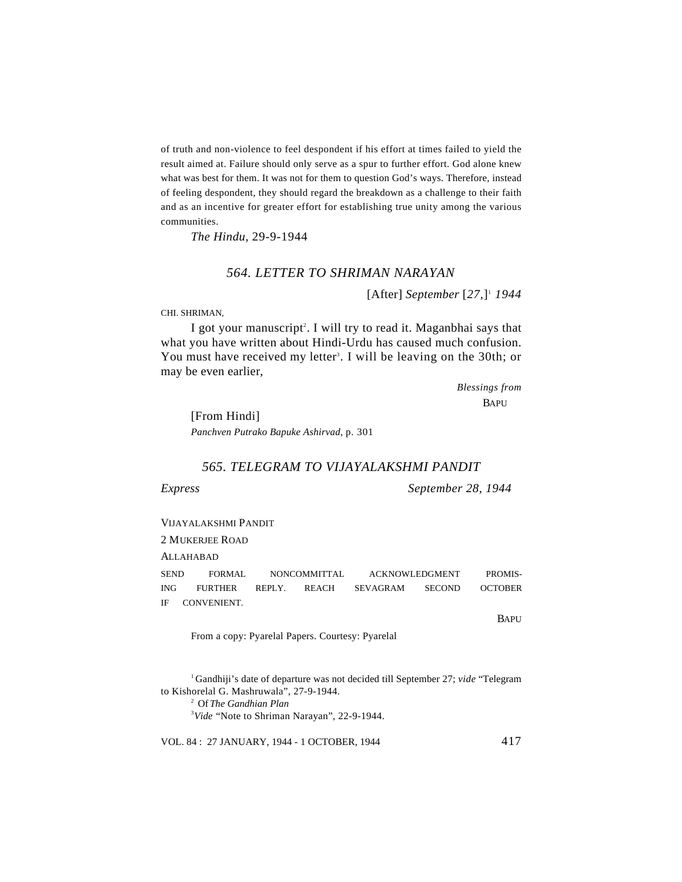of truth and non-violence to feel despondent if his effort at times failed to yield the result aimed at. Failure should only serve as a spur to further effort. God alone knew what was best for them. It was not for them to question God's ways. Therefore, instead of feeling despondent, they should regard the breakdown as a challenge to their faith and as an incentive for greater effort for establishing true unity among the various communities.

*The Hindu,* 29-9-1944

## *564. LETTER TO SHRIMAN NARAYAN*

[After] *September* [*27,*] 1  *1944*

CHI. SHRIMAN,

I got your manuscript<sup>2</sup>. I will try to read it. Maganbhai says that what you have written about Hindi-Urdu has caused much confusion. You must have received my letter<sup>3</sup>. I will be leaving on the 30th; or may be even earlier,

> *Blessings from* **BAPU**

[From Hindi] *Panchven Putrako Bapuke Ashirvad,* p. 301

### *565. TELEGRAM TO VIJAYALAKSHMI PANDIT*

*Express September 28, 1944*

VIJAYALAKSHMI PANDIT

2 MUKERJEE ROAD

ALLAHABAD

SEND FORMAL NONCOMMITTAL ACKNOWLEDGMENT PROMIS-ING FURTHER REPLY. REACH SEVAGRAM SECOND OCTOBER IF CONVENIENT.

**BAPU** 

From a copy: Pyarelal Papers. Courtesy: Pyarelal

<sup>1</sup>Gandhiji's date of departure was not decided till September 27; *vide* "Telegram to Kishorelal G. Mashruwala", 27-9-1944.

<sup>2</sup>Of *The Gandhian Plan* <sup>3</sup>*Vide* "Note to Shriman Narayan", 22-9-1944.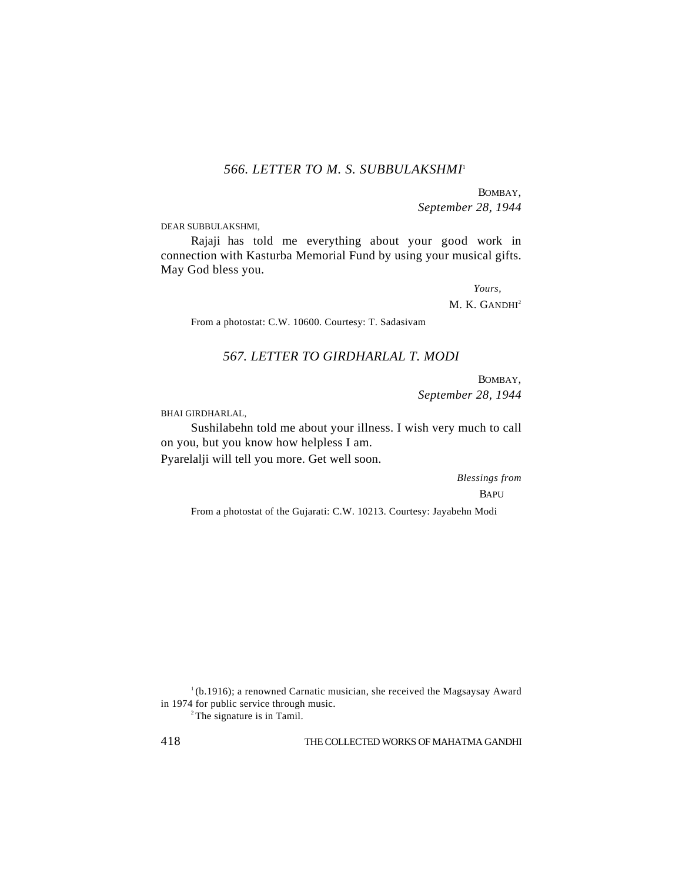### *566. LETTER TO M. S. SUBBULAKSHMI*<sup>1</sup>

BOMBAY, *September 28, 1944*

DEAR SUBBULAKSHMI,

Rajaji has told me everything about your good work in connection with Kasturba Memorial Fund by using your musical gifts. May God bless you.

> *Yours,*  $M$  K. GANDHI<sup>2</sup>

From a photostat: C.W. 10600. Courtesy: T. Sadasivam

### *567. LETTER TO GIRDHARLAL T. MODI*

BOMBAY, *September 28, 1944*

BHAI GIRDHARLAL,

Sushilabehn told me about your illness. I wish very much to call on you, but you know how helpless I am.

Pyarelalji will tell you more. Get well soon.

*Blessings from*

BAPU

From a photostat of the Gujarati: C.W. 10213. Courtesy: Jayabehn Modi

 $1$ (b.1916); a renowned Carnatic musician, she received the Magsaysay Award in 1974 for public service through music.

<sup>2</sup> The signature is in Tamil.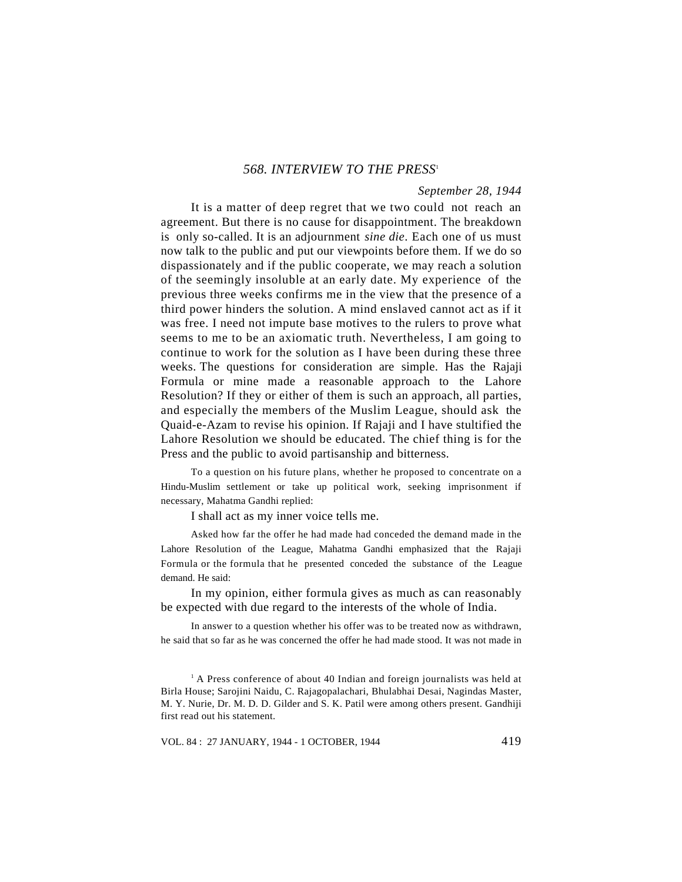#### *568. INTERVIEW TO THE PRESS*<sup>1</sup>

#### *September 28, 1944*

It is a matter of deep regret that we two could not reach an agreement. But there is no cause for disappointment. The breakdown is only so-called. It is an adjournment *sine die*. Each one of us must now talk to the public and put our viewpoints before them. If we do so dispassionately and if the public cooperate, we may reach a solution of the seemingly insoluble at an early date. My experience of the previous three weeks confirms me in the view that the presence of a third power hinders the solution. A mind enslaved cannot act as if it was free. I need not impute base motives to the rulers to prove what seems to me to be an axiomatic truth. Nevertheless, I am going to continue to work for the solution as I have been during these three weeks. The questions for consideration are simple. Has the Rajaji Formula or mine made a reasonable approach to the Lahore Resolution? If they or either of them is such an approach, all parties, and especially the members of the Muslim League, should ask the Quaid-e-Azam to revise his opinion. If Rajaji and I have stultified the Lahore Resolution we should be educated. The chief thing is for the Press and the public to avoid partisanship and bitterness.

To a question on his future plans, whether he proposed to concentrate on a Hindu-Muslim settlement or take up political work, seeking imprisonment if necessary, Mahatma Gandhi replied:

I shall act as my inner voice tells me.

Asked how far the offer he had made had conceded the demand made in the Lahore Resolution of the League, Mahatma Gandhi emphasized that the Rajaji Formula or the formula that he presented conceded the substance of the League demand. He said:

In my opinion, either formula gives as much as can reasonably be expected with due regard to the interests of the whole of India.

In answer to a question whether his offer was to be treated now as withdrawn, he said that so far as he was concerned the offer he had made stood. It was not made in

 $<sup>1</sup>$  A Press conference of about 40 Indian and foreign journalists was held at</sup> Birla House; Sarojini Naidu, C. Rajagopalachari, Bhulabhai Desai, Nagindas Master, M. Y. Nurie, Dr. M. D. D. Gilder and S. K. Patil were among others present. Gandhiji first read out his statement.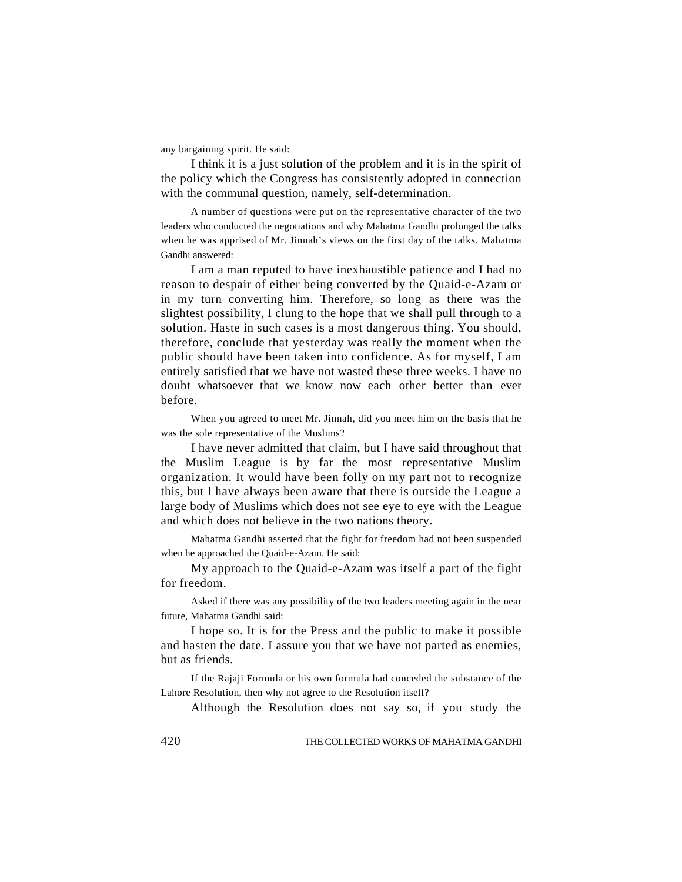any bargaining spirit. He said:

I think it is a just solution of the problem and it is in the spirit of the policy which the Congress has consistently adopted in connection with the communal question, namely, self-determination.

A number of questions were put on the representative character of the two leaders who conducted the negotiations and why Mahatma Gandhi prolonged the talks when he was apprised of Mr. Jinnah's views on the first day of the talks. Mahatma Gandhi answered:

I am a man reputed to have inexhaustible patience and I had no reason to despair of either being converted by the Quaid-e-Azam or in my turn converting him. Therefore, so long as there was the slightest possibility, I clung to the hope that we shall pull through to a solution. Haste in such cases is a most dangerous thing. You should, therefore, conclude that yesterday was really the moment when the public should have been taken into confidence. As for myself, I am entirely satisfied that we have not wasted these three weeks. I have no doubt whatsoever that we know now each other better than ever before.

When you agreed to meet Mr. Jinnah, did you meet him on the basis that he was the sole representative of the Muslims?

I have never admitted that claim, but I have said throughout that the Muslim League is by far the most representative Muslim organization. It would have been folly on my part not to recognize this, but I have always been aware that there is outside the League a large body of Muslims which does not see eye to eye with the League and which does not believe in the two nations theory.

Mahatma Gandhi asserted that the fight for freedom had not been suspended when he approached the Quaid-e-Azam. He said:

My approach to the Quaid-e-Azam was itself a part of the fight for freedom.

Asked if there was any possibility of the two leaders meeting again in the near future, Mahatma Gandhi said:

I hope so. It is for the Press and the public to make it possible and hasten the date. I assure you that we have not parted as enemies, but as friends.

If the Rajaji Formula or his own formula had conceded the substance of the Lahore Resolution, then why not agree to the Resolution itself?

Although the Resolution does not say so, if you study the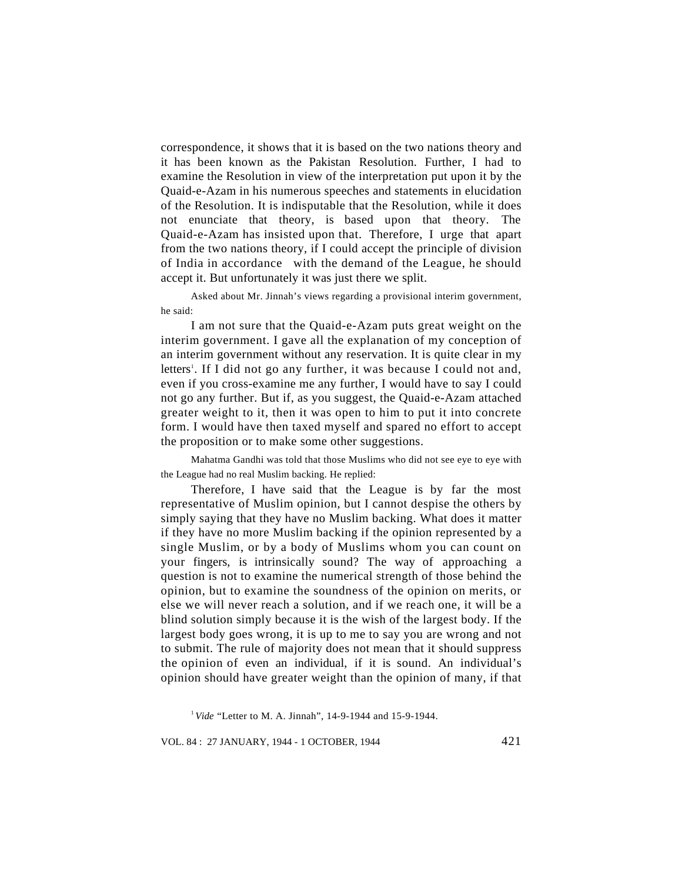correspondence, it shows that it is based on the two nations theory and it has been known as the Pakistan Resolution. Further, I had to examine the Resolution in view of the interpretation put upon it by the Quaid-e-Azam in his numerous speeches and statements in elucidation of the Resolution. It is indisputable that the Resolution, while it does not enunciate that theory, is based upon that theory. The Quaid-e-Azam has insisted upon that. Therefore, I urge that apart from the two nations theory, if I could accept the principle of division of India in accordance with the demand of the League, he should accept it. But unfortunately it was just there we split.

Asked about Mr. Jinnah's views regarding a provisional interim government, he said:

I am not sure that the Quaid-e-Azam puts great weight on the interim government. I gave all the explanation of my conception of an interim government without any reservation. It is quite clear in my letters<sup>1</sup>. If I did not go any further, it was because I could not and, even if you cross-examine me any further, I would have to say I could not go any further. But if, as you suggest, the Quaid-e-Azam attached greater weight to it, then it was open to him to put it into concrete form. I would have then taxed myself and spared no effort to accept the proposition or to make some other suggestions.

Mahatma Gandhi was told that those Muslims who did not see eye to eye with the League had no real Muslim backing. He replied:

Therefore, I have said that the League is by far the most representative of Muslim opinion, but I cannot despise the others by simply saying that they have no Muslim backing. What does it matter if they have no more Muslim backing if the opinion represented by a single Muslim, or by a body of Muslims whom you can count on your fingers, is intrinsically sound? The way of approaching a question is not to examine the numerical strength of those behind the opinion, but to examine the soundness of the opinion on merits, or else we will never reach a solution, and if we reach one, it will be a blind solution simply because it is the wish of the largest body. If the largest body goes wrong, it is up to me to say you are wrong and not to submit. The rule of majority does not mean that it should suppress the opinion of even an individual, if it is sound. An individual's opinion should have greater weight than the opinion of many, if that

<sup>1</sup>*Vide* "Letter to M. A. Jinnah", 14-9-1944 and 15-9-1944.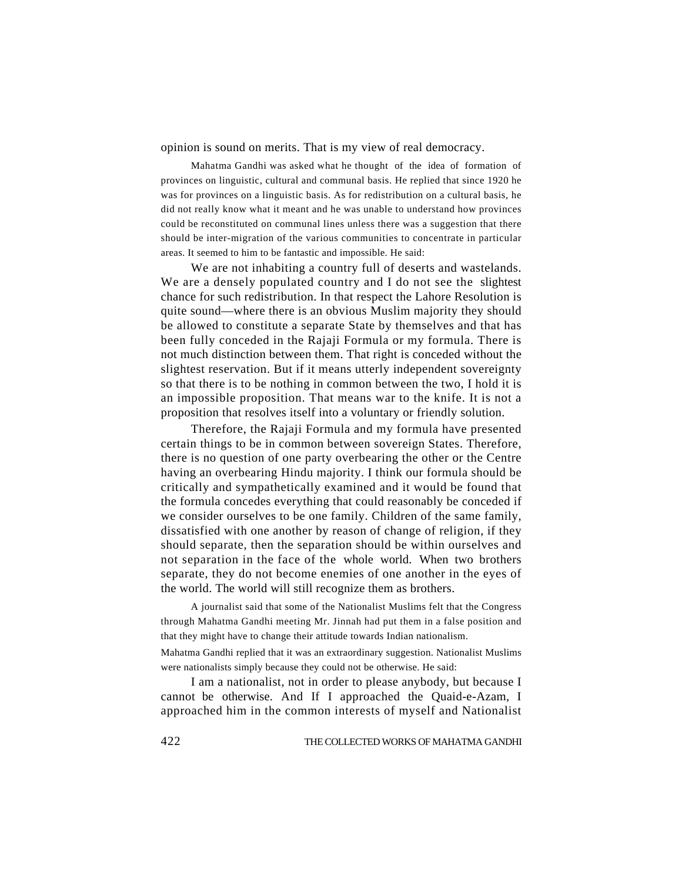opinion is sound on merits. That is my view of real democracy.

Mahatma Gandhi was asked what he thought of the idea of formation of provinces on linguistic, cultural and communal basis. He replied that since 1920 he was for provinces on a linguistic basis. As for redistribution on a cultural basis, he did not really know what it meant and he was unable to understand how provinces could be reconstituted on communal lines unless there was a suggestion that there should be inter-migration of the various communities to concentrate in particular areas. It seemed to him to be fantastic and impossible. He said:

We are not inhabiting a country full of deserts and wastelands. We are a densely populated country and I do not see the slightest chance for such redistribution. In that respect the Lahore Resolution is quite sound—where there is an obvious Muslim majority they should be allowed to constitute a separate State by themselves and that has been fully conceded in the Rajaji Formula or my formula. There is not much distinction between them. That right is conceded without the slightest reservation. But if it means utterly independent sovereignty so that there is to be nothing in common between the two, I hold it is an impossible proposition. That means war to the knife. It is not a proposition that resolves itself into a voluntary or friendly solution.

Therefore, the Rajaji Formula and my formula have presented certain things to be in common between sovereign States. Therefore, there is no question of one party overbearing the other or the Centre having an overbearing Hindu majority. I think our formula should be critically and sympathetically examined and it would be found that the formula concedes everything that could reasonably be conceded if we consider ourselves to be one family. Children of the same family, dissatisfied with one another by reason of change of religion, if they should separate, then the separation should be within ourselves and not separation in the face of the whole world. When two brothers separate, they do not become enemies of one another in the eyes of the world. The world will still recognize them as brothers.

A journalist said that some of the Nationalist Muslims felt that the Congress through Mahatma Gandhi meeting Mr. Jinnah had put them in a false position and that they might have to change their attitude towards Indian nationalism.

Mahatma Gandhi replied that it was an extraordinary suggestion. Nationalist Muslims were nationalists simply because they could not be otherwise. He said:

I am a nationalist, not in order to please anybody, but because I cannot be otherwise. And If I approached the Quaid-e-Azam, I approached him in the common interests of myself and Nationalist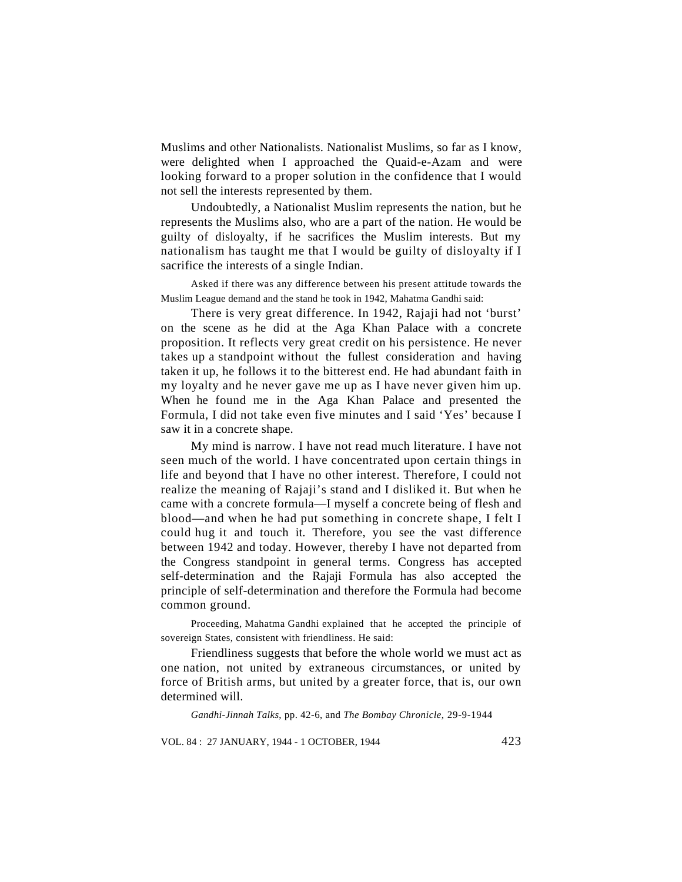Muslims and other Nationalists. Nationalist Muslims, so far as I know, were delighted when I approached the Quaid-e-Azam and were looking forward to a proper solution in the confidence that I would not sell the interests represented by them.

Undoubtedly, a Nationalist Muslim represents the nation, but he represents the Muslims also, who are a part of the nation. He would be guilty of disloyalty, if he sacrifices the Muslim interests. But my nationalism has taught me that I would be guilty of disloyalty if I sacrifice the interests of a single Indian.

Asked if there was any difference between his present attitude towards the Muslim League demand and the stand he took in 1942, Mahatma Gandhi said:

There is very great difference. In 1942, Rajaji had not 'burst' on the scene as he did at the Aga Khan Palace with a concrete proposition. It reflects very great credit on his persistence. He never takes up a standpoint without the fullest consideration and having taken it up, he follows it to the bitterest end. He had abundant faith in my loyalty and he never gave me up as I have never given him up. When he found me in the Aga Khan Palace and presented the Formula, I did not take even five minutes and I said 'Yes' because I saw it in a concrete shape.

My mind is narrow. I have not read much literature. I have not seen much of the world. I have concentrated upon certain things in life and beyond that I have no other interest. Therefore, I could not realize the meaning of Rajaji's stand and I disliked it. But when he came with a concrete formula—I myself a concrete being of flesh and blood—and when he had put something in concrete shape, I felt I could hug it and touch it. Therefore, you see the vast difference between 1942 and today. However, thereby I have not departed from the Congress standpoint in general terms. Congress has accepted self-determination and the Rajaji Formula has also accepted the principle of self-determination and therefore the Formula had become common ground.

Proceeding, Mahatma Gandhi explained that he accepted the principle of sovereign States, consistent with friendliness. He said:

Friendliness suggests that before the whole world we must act as one nation, not united by extraneous circumstances, or united by force of British arms, but united by a greater force, that is, our own determined will.

*Gandhi-Jinnah Talks*, pp. 42-6, and *The Bombay Chronicle*, 29-9-1944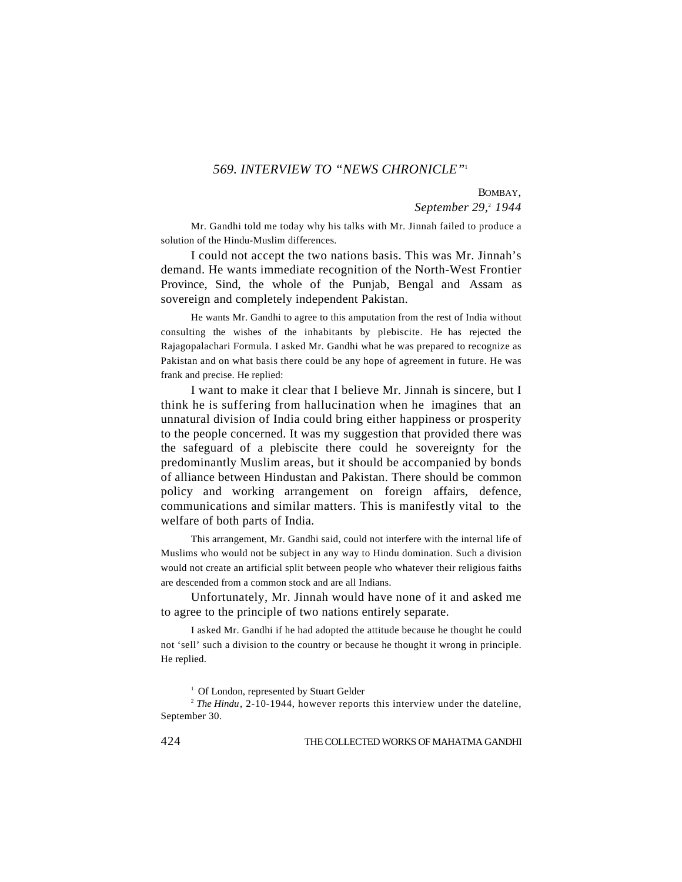#### *569. INTERVIEW TO "NEWS CHRONICLE"*<sup>1</sup>

BOMBAY, *September 29,*<sup>2</sup>  *1944*

Mr. Gandhi told me today why his talks with Mr. Jinnah failed to produce a solution of the Hindu-Muslim differences.

I could not accept the two nations basis. This was Mr. Jinnah's demand. He wants immediate recognition of the North-West Frontier Province, Sind, the whole of the Punjab, Bengal and Assam as sovereign and completely independent Pakistan.

He wants Mr. Gandhi to agree to this amputation from the rest of India without consulting the wishes of the inhabitants by plebiscite. He has rejected the Rajagopalachari Formula. I asked Mr. Gandhi what he was prepared to recognize as Pakistan and on what basis there could be any hope of agreement in future. He was frank and precise. He replied:

I want to make it clear that I believe Mr. Jinnah is sincere, but I think he is suffering from hallucination when he imagines that an unnatural division of India could bring either happiness or prosperity to the people concerned. It was my suggestion that provided there was the safeguard of a plebiscite there could he sovereignty for the predominantly Muslim areas, but it should be accompanied by bonds of alliance between Hindustan and Pakistan. There should be common policy and working arrangement on foreign affairs, defence, communications and similar matters. This is manifestly vital to the welfare of both parts of India.

This arrangement, Mr. Gandhi said, could not interfere with the internal life of Muslims who would not be subject in any way to Hindu domination. Such a division would not create an artificial split between people who whatever their religious faiths are descended from a common stock and are all Indians.

Unfortunately, Mr. Jinnah would have none of it and asked me to agree to the principle of two nations entirely separate.

I asked Mr. Gandhi if he had adopted the attitude because he thought he could not 'sell' such a division to the country or because he thought it wrong in principle. He replied.

<sup>1</sup> Of London, represented by Stuart Gelder

<sup>2</sup> The Hindu, 2-10-1944, however reports this interview under the dateline, September 30.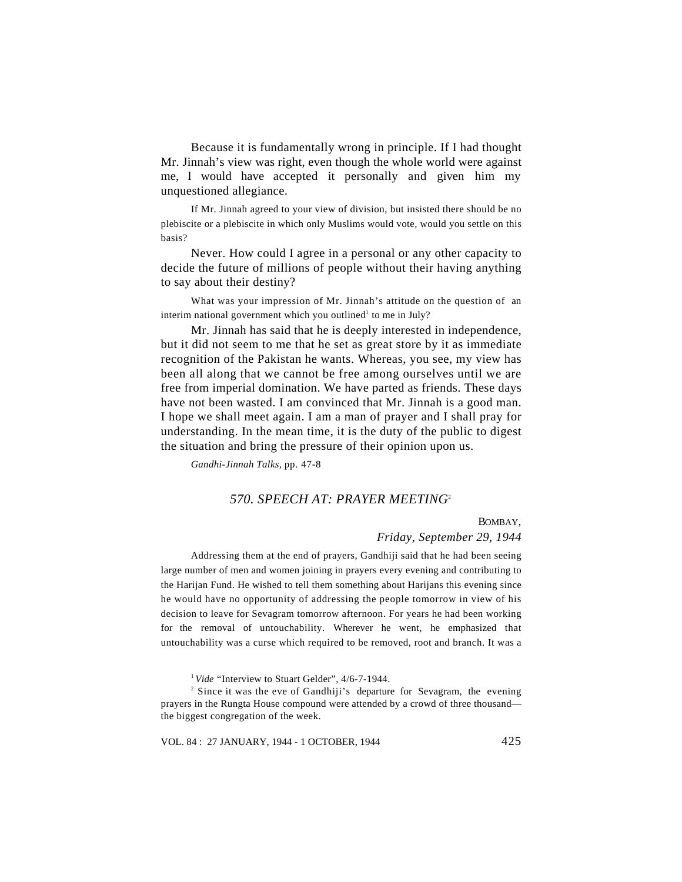Because it is fundamentally wrong in principle. If I had thought Mr. Jinnah's view was right, even though the whole world were against me, I would have accepted it personally and given him my unquestioned allegiance.

If Mr. Jinnah agreed to your view of division, but insisted there should be no plebiscite or a plebiscite in which only Muslims would vote, would you settle on this basis?

Never. How could I agree in a personal or any other capacity to decide the future of millions of people without their having anything to say about their destiny?

What was your impression of Mr. Jinnah's attitude on the question of an interim national government which you outlined<sup>1</sup> to me in July?

Mr. Jinnah has said that he is deeply interested in independence, but it did not seem to me that he set as great store by it as immediate recognition of the Pakistan he wants. Whereas, you see, my view has been all along that we cannot be free among ourselves until we are free from imperial domination. We have parted as friends. These days have not been wasted. I am convinced that Mr. Jinnah is a good man. I hope we shall meet again. I am a man of prayer and I shall pray for understanding. In the mean time, it is the duty of the public to digest the situation and bring the pressure of their opinion upon us.

*Gandhi-Jinnah Talks,* pp. 47-8

### *570. SPEECH AT: PRAYER MEETING*<sup>2</sup>

### BOMBAY,

#### *Friday, September 29, 1944*

Addressing them at the end of prayers, Gandhiji said that he had been seeing large number of men and women joining in prayers every evening and contributing to the Harijan Fund. He wished to tell them something about Harijans this evening since he would have no opportunity of addressing the people tomorrow in view of his decision to leave for Sevagram tomorrow afternoon. For years he had been working for the removal of untouchability. Wherever he went, he emphasized that untouchability was a curse which required to be removed, root and branch. It was a

<sup>1</sup> Vide "Interview to Stuart Gelder", 4/6-7-1944.

 $2$  Since it was the eve of Gandhiji's departure for Sevagram, the evening prayers in the Rungta House compound were attended by a crowd of three thousand the biggest congregation of the week.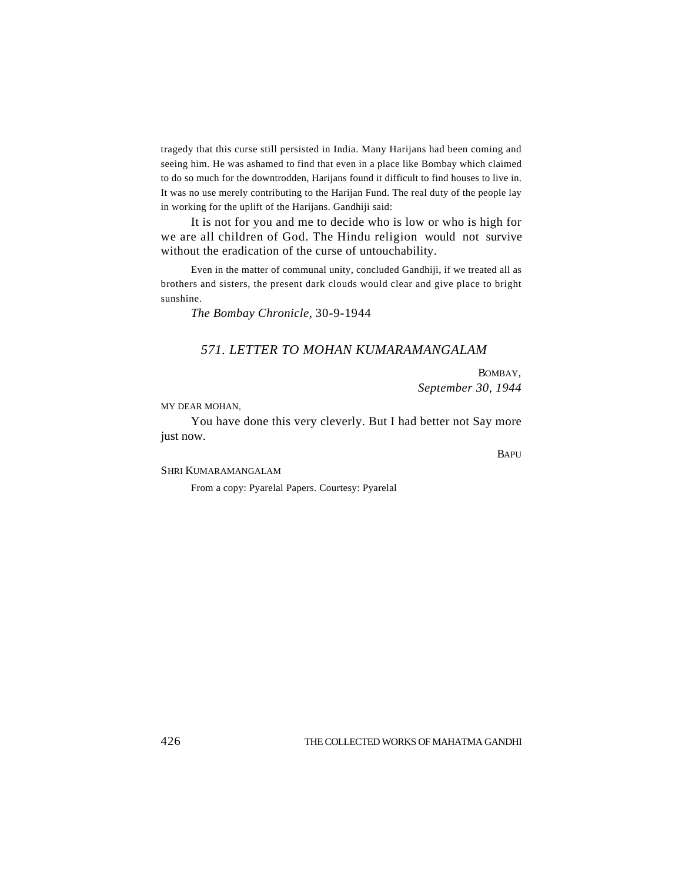tragedy that this curse still persisted in India. Many Harijans had been coming and seeing him. He was ashamed to find that even in a place like Bombay which claimed to do so much for the downtrodden, Harijans found it difficult to find houses to live in. It was no use merely contributing to the Harijan Fund. The real duty of the people lay in working for the uplift of the Harijans. Gandhiji said:

It is not for you and me to decide who is low or who is high for we are all children of God. The Hindu religion would not survive without the eradication of the curse of untouchability.

Even in the matter of communal unity, concluded Gandhiji, if we treated all as brothers and sisters, the present dark clouds would clear and give place to bright sunshine.

*The Bombay Chronicle,* 30-9-1944

## *571. LETTER TO MOHAN KUMARAMANGALAM*

BOMBAY, *September 30, 1944*

MY DEAR MOHAN,

You have done this very cleverly. But I had better not Say more just now.

**BAPU** 

#### SHRI KUMARAMANGALAM

From a copy: Pyarelal Papers. Courtesy: Pyarelal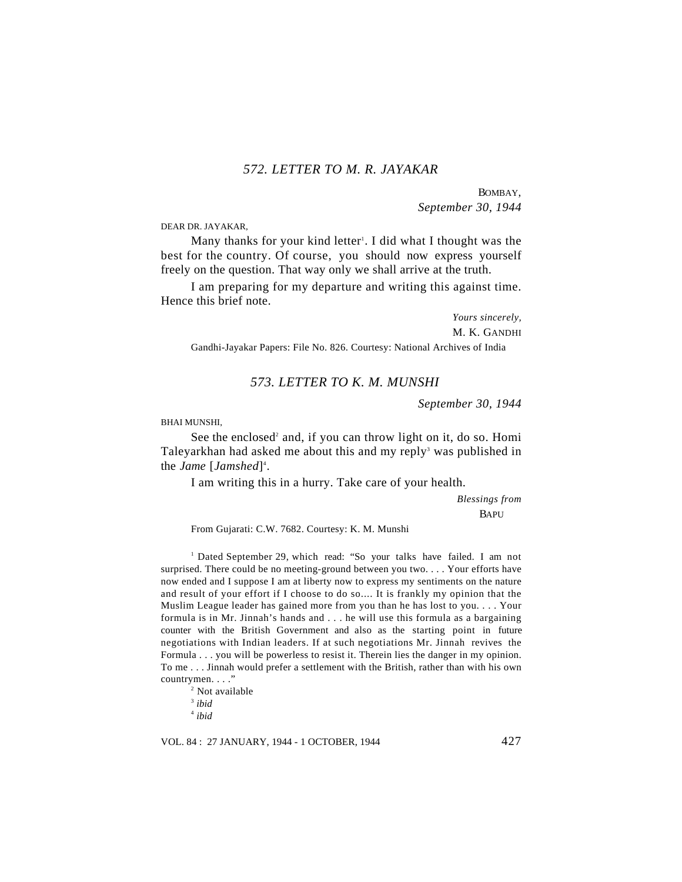#### *572. LETTER TO M. R. JAYAKAR*

BOMBAY, *September 30, 1944*

DEAR DR. JAYAKAR,

Many thanks for your kind letter<sup>1</sup>. I did what I thought was the best for the country. Of course, you should now express yourself freely on the question. That way only we shall arrive at the truth.

I am preparing for my departure and writing this against time. Hence this brief note.

> *Yours sincerely,* M. K. GANDHI

Gandhi-Jayakar Papers: File No. 826. Courtesy: National Archives of India

#### *573. LETTER TO K. M. MUNSHI*

*September 30, 1944*

BHAI MUNSHI,

See the enclosed<sup>2</sup> and, if you can throw light on it, do so. Homi Taleyarkhan had asked me about this and my reply<sup>3</sup> was published in the *Jame* [*Jamshed*] 4 .

I am writing this in a hurry. Take care of your health.

*Blessings from*

BAPU

From Gujarati: C.W. 7682. Courtesy: K. M. Munshi

<sup>1</sup> Dated September 29, which read: "So your talks have failed. I am not surprised. There could be no meeting-ground between you two. . . . Your efforts have now ended and I suppose I am at liberty now to express my sentiments on the nature and result of your effort if I choose to do so.... It is frankly my opinion that the Muslim League leader has gained more from you than he has lost to you. . . . Your formula is in Mr. Jinnah's hands and . . . he will use this formula as a bargaining counter with the British Government and also as the starting point in future negotiations with Indian leaders. If at such negotiations Mr. Jinnah revives the Formula . . . you will be powerless to resist it. Therein lies the danger in my opinion. To me . . . Jinnah would prefer a settlement with the British, rather than with his own countrymen. . . ."

<sup>2</sup> Not available 3 *ibid* 4 *ibid*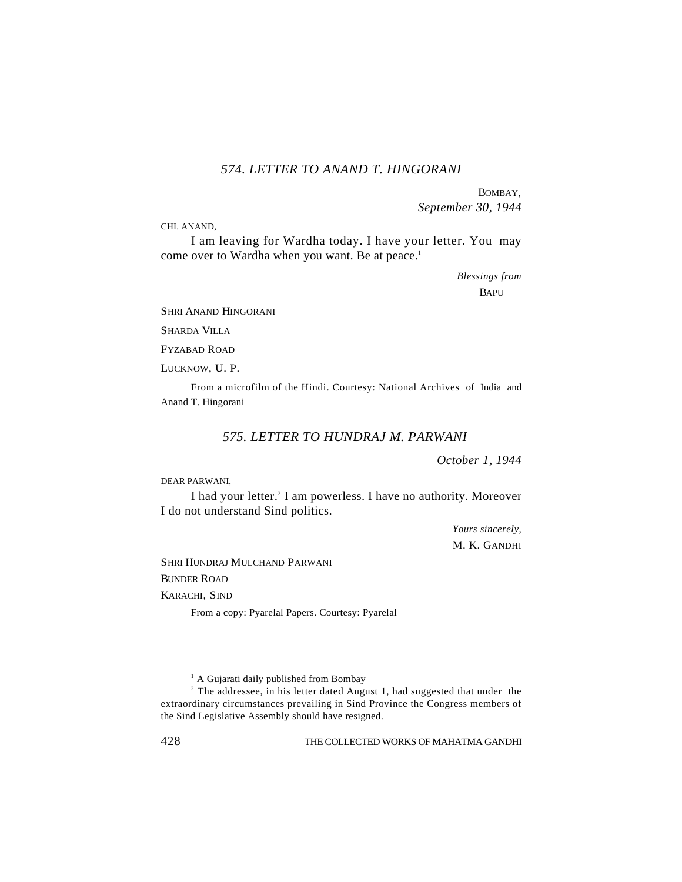## *574. LETTER TO ANAND T. HINGORANI*

BOMBAY, *September 30, 1944*

CHI. ANAND,

I am leaving for Wardha today. I have your letter. You may come over to Wardha when you want. Be at peace.<sup>1</sup>

> *Blessings from* **BAPU**

SHRI ANAND HINGORANI

SHARDA VILLA

FYZABAD ROAD

LUCKNOW, U. P.

From a microfilm of the Hindi. Courtesy: National Archives of India and Anand T. Hingorani

#### *575. LETTER TO HUNDRAJ M. PARWANI*

*October 1, 1944*

DEAR PARWANI,

I had your letter.<sup>2</sup> I am powerless. I have no authority. Moreover I do not understand Sind politics.

> *Yours sincerely,* M. K. GANDHI

SHRI HUNDRAJ MULCHAND PARWANI BUNDER ROAD KARACHI, SIND

From a copy: Pyarelal Papers. Courtesy: Pyarelal

<sup>1</sup> A Gujarati daily published from Bombay

 $2$  The addressee, in his letter dated August 1, had suggested that under the extraordinary circumstances prevailing in Sind Province the Congress members of the Sind Legislative Assembly should have resigned.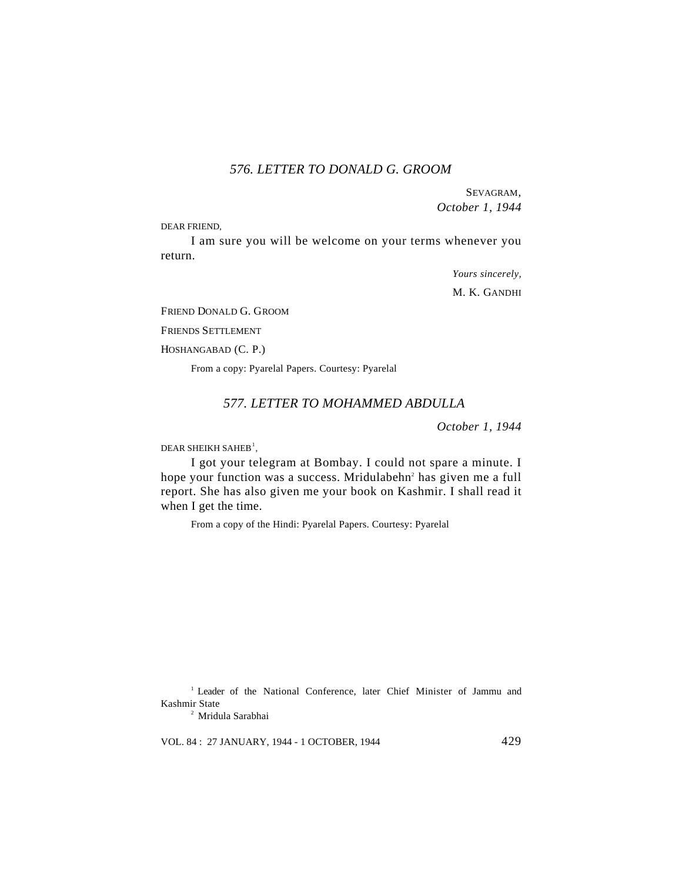#### *576. LETTER TO DONALD G. GROOM*

SEVAGRAM, *October 1, 1944*

DEAR FRIEND,

I am sure you will be welcome on your terms whenever you return.

*Yours sincerely,*

M. K. GANDHI

FRIEND DONALD G. GROOM

FRIENDS SETTLEMENT

HOSHANGABAD (C. P.)

From a copy: Pyarelal Papers. Courtesy: Pyarelal

## *577. LETTER TO MOHAMMED ABDULLA*

*October 1, 1944*

DEAR SHEIKH SAHEB $^1,$ 

I got your telegram at Bombay. I could not spare a minute. I hope your function was a success. Mridulabehn<sup>2</sup> has given me a full report. She has also given me your book on Kashmir. I shall read it when I get the time.

From a copy of the Hindi: Pyarelal Papers. Courtesy: Pyarelal

<sup>1</sup> Leader of the National Conference, later Chief Minister of Jammu and Kashmir State

2 Mridula Sarabhai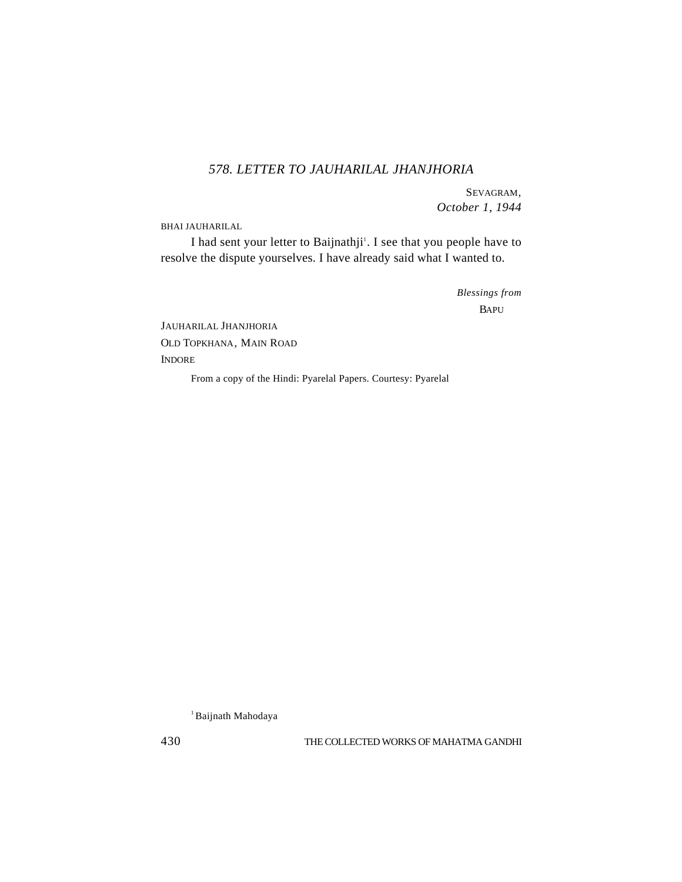# *578. LETTER TO JAUHARILAL JHANJHORIA*

SEVAGRAM, *October 1, 1944*

BHAI JAUHARILAL

I had sent your letter to Baijnathji<sup>1</sup>. I see that you people have to resolve the dispute yourselves. I have already said what I wanted to.

> *Blessings from* **BAPU**

JAUHARILAL JHANJHORIA OLD TOPKHANA, MAIN ROAD INDORE

From a copy of the Hindi: Pyarelal Papers. Courtesy: Pyarelal

<sup>1</sup> Baijnath Mahodaya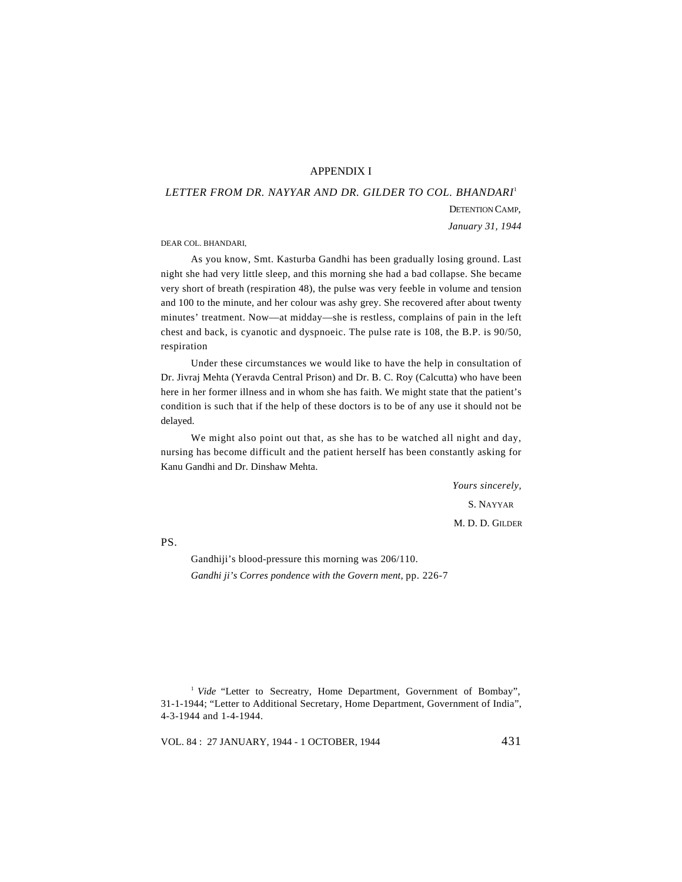#### APPENDIX I

## *LETTER FROM DR. NAYYAR AND DR. GILDER TO COL. BHANDARI*<sup>1</sup> DETENTION CAMP, *January 31, 1944*

#### DEAR COL. BHANDARI,

As you know, Smt. Kasturba Gandhi has been gradually losing ground. Last night she had very little sleep, and this morning she had a bad collapse. She became very short of breath (respiration 48), the pulse was very feeble in volume and tension and 100 to the minute, and her colour was ashy grey. She recovered after about twenty minutes' treatment. Now—at midday—she is restless, complains of pain in the left chest and back, is cyanotic and dyspnoeic. The pulse rate is 108, the B.P. is 90/50, respiration

Under these circumstances we would like to have the help in consultation of Dr. Jivraj Mehta (Yeravda Central Prison) and Dr. B. C. Roy (Calcutta) who have been here in her former illness and in whom she has faith. We might state that the patient's condition is such that if the help of these doctors is to be of any use it should not be delayed.

We might also point out that, as she has to be watched all night and day, nursing has become difficult and the patient herself has been constantly asking for Kanu Gandhi and Dr. Dinshaw Mehta.

> *Yours sincerely,* S. NAYYAR M. D. D. GILDER

PS.

Gandhiji's blood-pressure this morning was 206/110. *Gandhi ji's Corres pondence with the Govern ment,* pp. 226-7

<sup>1</sup> Vide "Letter to Secreatry, Home Department, Government of Bombay", 31-1-1944; "Letter to Additional Secretary, Home Department, Government of India", 4-3-1944 and 1-4-1944.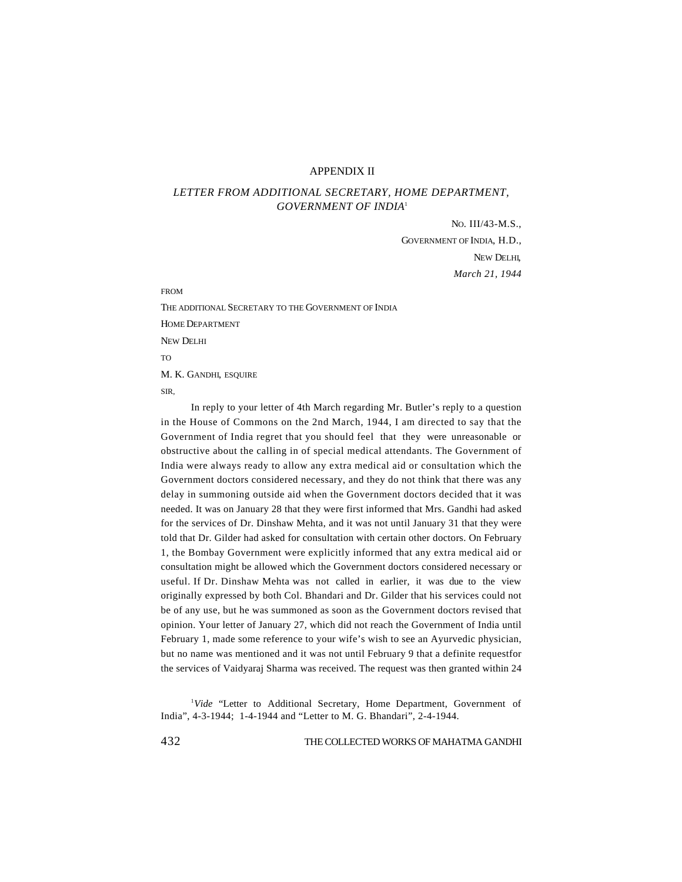#### APPENDIX II

#### *LETTER FROM ADDITIONAL SECRETARY, HOME DEPARTMENT, GOVERNMENT OF INDIA*<sup>1</sup>

NO. III/43-M.S., GOVERNMENT OF INDIA, H.D., NEW DELHI, *March 21, 1944*

FROM

THE ADDITIONAL SECRETARY TO THE GOVERNMENT OF INDIA

HOME DEPARTMENT

NEW DELHI

TO

M. K. GANDHI, ESQUIRE

SIR,

In reply to your letter of 4th March regarding Mr. Butler's reply to a question in the House of Commons on the 2nd March, 1944, I am directed to say that the Government of India regret that you should feel that they were unreasonable or obstructive about the calling in of special medical attendants. The Government of India were always ready to allow any extra medical aid or consultation which the Government doctors considered necessary, and they do not think that there was any delay in summoning outside aid when the Government doctors decided that it was needed. It was on January 28 that they were first informed that Mrs. Gandhi had asked for the services of Dr. Dinshaw Mehta, and it was not until January 31 that they were told that Dr. Gilder had asked for consultation with certain other doctors. On February 1, the Bombay Government were explicitly informed that any extra medical aid or consultation might be allowed which the Government doctors considered necessary or useful. If Dr. Dinshaw Mehta was not called in earlier, it was due to the view originally expressed by both Col. Bhandari and Dr. Gilder that his services could not be of any use, but he was summoned as soon as the Government doctors revised that opinion. Your letter of January 27, which did not reach the Government of India until February 1, made some reference to your wife's wish to see an Ayurvedic physician, but no name was mentioned and it was not until February 9 that a definite requestfor the services of Vaidyaraj Sharma was received. The request was then granted within 24

<sup>&</sup>lt;sup>1</sup>Vide "Letter to Additional Secretary, Home Department, Government of India", 4-3-1944; 1-4-1944 and "Letter to M. G. Bhandari", 2-4-1944.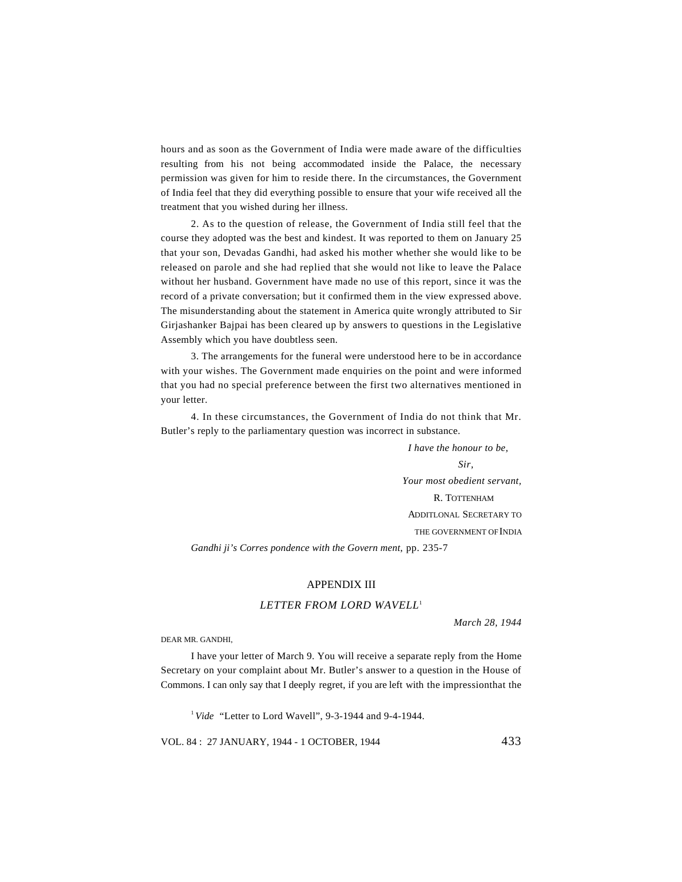hours and as soon as the Government of India were made aware of the difficulties resulting from his not being accommodated inside the Palace, the necessary permission was given for him to reside there. In the circumstances, the Government of India feel that they did everything possible to ensure that your wife received all the treatment that you wished during her illness.

2. As to the question of release, the Government of India still feel that the course they adopted was the best and kindest. It was reported to them on January 25 that your son, Devadas Gandhi, had asked his mother whether she would like to be released on parole and she had replied that she would not like to leave the Palace without her husband. Government have made no use of this report, since it was the record of a private conversation; but it confirmed them in the view expressed above. The misunderstanding about the statement in America quite wrongly attributed to Sir Girjashanker Bajpai has been cleared up by answers to questions in the Legislative Assembly which you have doubtless seen.

3. The arrangements for the funeral were understood here to be in accordance with your wishes. The Government made enquiries on the point and were informed that you had no special preference between the first two alternatives mentioned in your letter.

4. In these circumstances, the Government of India do not think that Mr. Butler's reply to the parliamentary question was incorrect in substance.

> *I have the honour to be, Sir, Your most obedient servant,* R. TOTTENHAM ADDITLONAL SECRETARY TO THE GOVERNMENT OF INDIA

*Gandhi ji's Corres pondence with the Govern ment*, pp. 235-7

#### APPENDIX III

### *LETTER FROM LORD WAVELL*<sup>1</sup>

*March 28, 1944*

DEAR MR. GANDHI,

I have your letter of March 9. You will receive a separate reply from the Home Secretary on your complaint about Mr. Butler's answer to a question in the House of Commons. I can only say that I deeply regret, if you are left with the impressionthat the

<sup>1</sup>*Vide* "Letter to Lord Wavell", 9-3-1944 and 9-4-1944.

VOL. 84 : 27 JANUARY, 1944 - 1 OCTOBER, 1944 433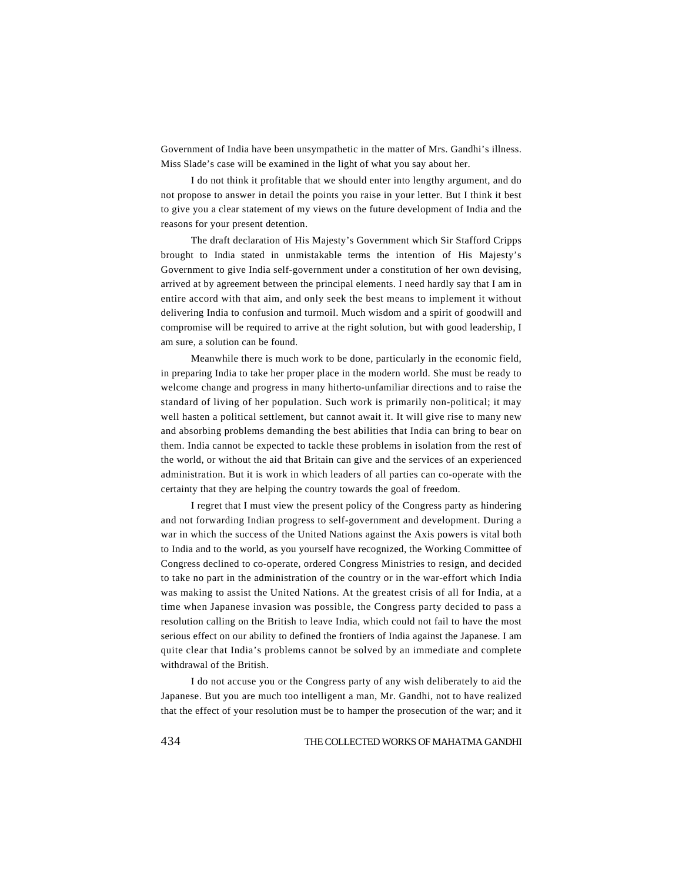Government of India have been unsympathetic in the matter of Mrs. Gandhi's illness. Miss Slade's case will be examined in the light of what you say about her.

I do not think it profitable that we should enter into lengthy argument, and do not propose to answer in detail the points you raise in your letter. But I think it best to give you a clear statement of my views on the future development of India and the reasons for your present detention.

The draft declaration of His Majesty's Government which Sir Stafford Cripps brought to India stated in unmistakable terms the intention of His Majesty's Government to give India self-government under a constitution of her own devising, arrived at by agreement between the principal elements. I need hardly say that I am in entire accord with that aim, and only seek the best means to implement it without delivering India to confusion and turmoil. Much wisdom and a spirit of goodwill and compromise will be required to arrive at the right solution, but with good leadership, I am sure, a solution can be found.

Meanwhile there is much work to be done, particularly in the economic field, in preparing India to take her proper place in the modern world. She must be ready to welcome change and progress in many hitherto-unfamiliar directions and to raise the standard of living of her population. Such work is primarily non-political; it may well hasten a political settlement, but cannot await it. It will give rise to many new and absorbing problems demanding the best abilities that India can bring to bear on them. India cannot be expected to tackle these problems in isolation from the rest of the world, or without the aid that Britain can give and the services of an experienced administration. But it is work in which leaders of all parties can co-operate with the certainty that they are helping the country towards the goal of freedom.

I regret that I must view the present policy of the Congress party as hindering and not forwarding Indian progress to self-government and development. During a war in which the success of the United Nations against the Axis powers is vital both to India and to the world, as you yourself have recognized, the Working Committee of Congress declined to co-operate, ordered Congress Ministries to resign, and decided to take no part in the administration of the country or in the war-effort which India was making to assist the United Nations. At the greatest crisis of all for India, at a time when Japanese invasion was possible, the Congress party decided to pass a resolution calling on the British to leave India, which could not fail to have the most serious effect on our ability to defined the frontiers of India against the Japanese. I am quite clear that India's problems cannot be solved by an immediate and complete withdrawal of the British.

I do not accuse you or the Congress party of any wish deliberately to aid the Japanese. But you are much too intelligent a man, Mr. Gandhi, not to have realized that the effect of your resolution must be to hamper the prosecution of the war; and it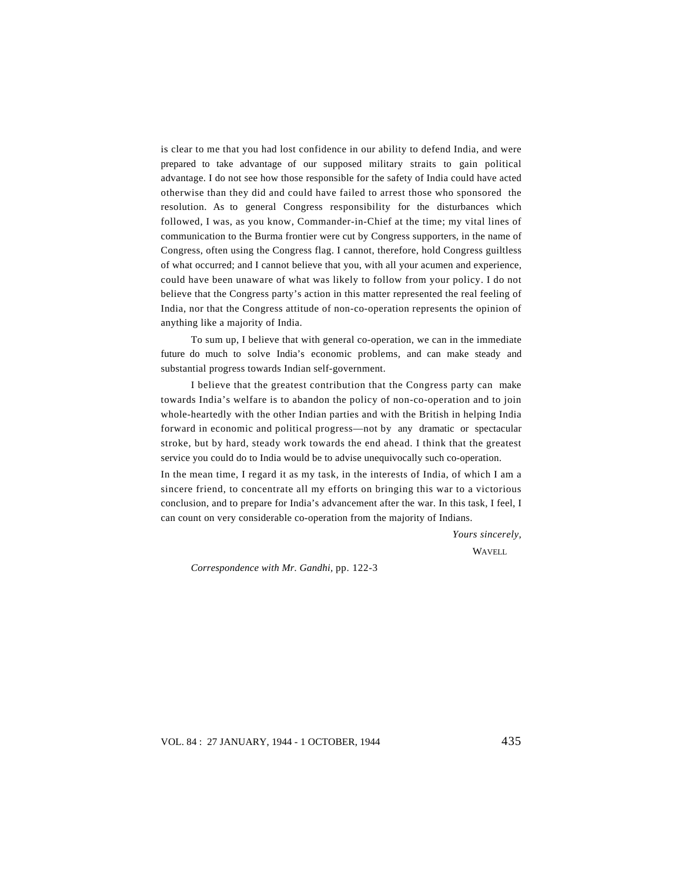is clear to me that you had lost confidence in our ability to defend India, and were prepared to take advantage of our supposed military straits to gain political advantage. I do not see how those responsible for the safety of India could have acted otherwise than they did and could have failed to arrest those who sponsored the resolution. As to general Congress responsibility for the disturbances which followed, I was, as you know, Commander-in-Chief at the time; my vital lines of communication to the Burma frontier were cut by Congress supporters, in the name of Congress, often using the Congress flag. I cannot, therefore, hold Congress guiltless of what occurred; and I cannot believe that you, with all your acumen and experience, could have been unaware of what was likely to follow from your policy. I do not believe that the Congress party's action in this matter represented the real feeling of India, nor that the Congress attitude of non-co-operation represents the opinion of anything like a majority of India.

To sum up, I believe that with general co-operation, we can in the immediate future do much to solve India's economic problems, and can make steady and substantial progress towards Indian self-government.

I believe that the greatest contribution that the Congress party can make towards India's welfare is to abandon the policy of non-co-operation and to join whole-heartedly with the other Indian parties and with the British in helping India forward in economic and political progress—not by any dramatic or spectacular stroke, but by hard, steady work towards the end ahead. I think that the greatest service you could do to India would be to advise unequivocally such co-operation.

In the mean time, I regard it as my task, in the interests of India, of which I am a sincere friend, to concentrate all my efforts on bringing this war to a victorious conclusion, and to prepare for India's advancement after the war. In this task, I feel, I can count on very considerable co-operation from the majority of Indians.

> *Yours sincerely,* WAVELL

*Correspondence with Mr. Gandhi,* pp. 122-3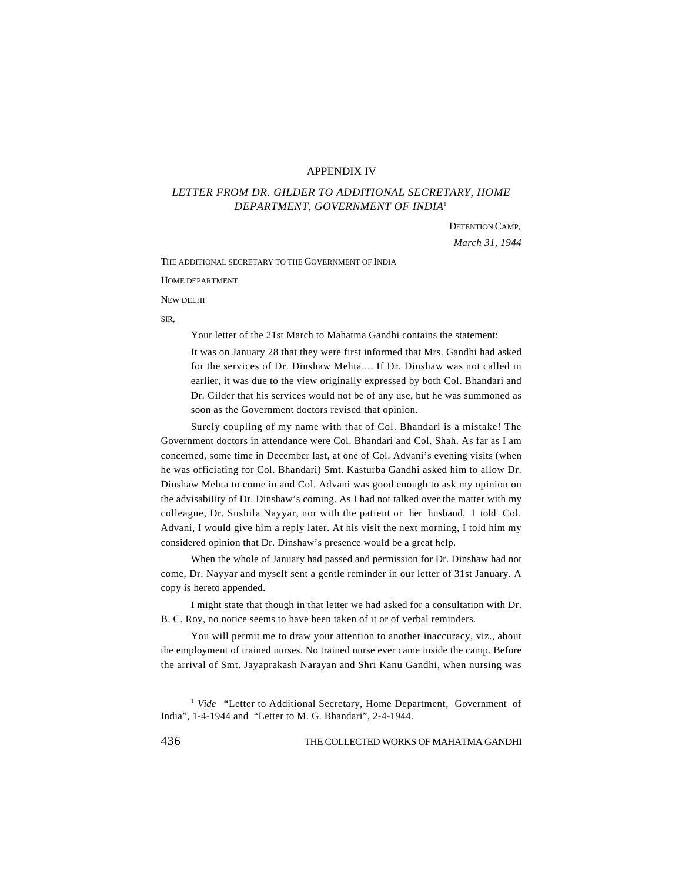# APPENDIX IV

# *LETTER FROM DR. GILDER TO ADDITIONAL SECRETARY, HOME DEPARTMENT, GOVERNMENT OF INDIA*<sup>1</sup>

DETENTION CAMP, *March 31, 1944*

THE ADDITIONAL SECRETARY TO THE GOVERNMENT OF INDIA

HOME DEPARTMENT

NEW DELHI

SIR,

Your letter of the 21st March to Mahatma Gandhi contains the statement:

It was on January 28 that they were first informed that Mrs. Gandhi had asked for the services of Dr. Dinshaw Mehta.... If Dr. Dinshaw was not called in earlier, it was due to the view originally expressed by both Col. Bhandari and Dr. Gilder that his services would not be of any use, but he was summoned as soon as the Government doctors revised that opinion.

Surely coupling of my name with that of Col. Bhandari is a mistake! The Government doctors in attendance were Col. Bhandari and Col. Shah. As far as I am concerned, some time in December last, at one of Col. Advani's evening visits (when he was officiating for Col. Bhandari) Smt. Kasturba Gandhi asked him to allow Dr. Dinshaw Mehta to come in and Col. Advani was good enough to ask my opinion on the advisabiIity of Dr. Dinshaw's coming. As I had not talked over the matter with my colleague, Dr. Sushila Nayyar, nor with the patient or her husband, I told Col. Advani, I would give him a reply later. At his visit the next morning, I told him my considered opinion that Dr. Dinshaw's presence would be a great help.

When the whole of January had passed and permission for Dr. Dinshaw had not come, Dr. Nayyar and myself sent a gentle reminder in our letter of 31st January. A copy is hereto appended.

I might state that though in that letter we had asked for a consultation with Dr. B. C. Roy, no notice seems to have been taken of it or of verbal reminders.

You will permit me to draw your attention to another inaccuracy, viz., about the employment of trained nurses. No trained nurse ever came inside the camp. Before the arrival of Smt. Jayaprakash Narayan and Shri Kanu Gandhi, when nursing was

<sup>&</sup>lt;sup>1</sup> Vide "Letter to Additional Secretary, Home Department, Government of India", 1-4-1944 and "Letter to M. G. Bhandari", 2-4-1944.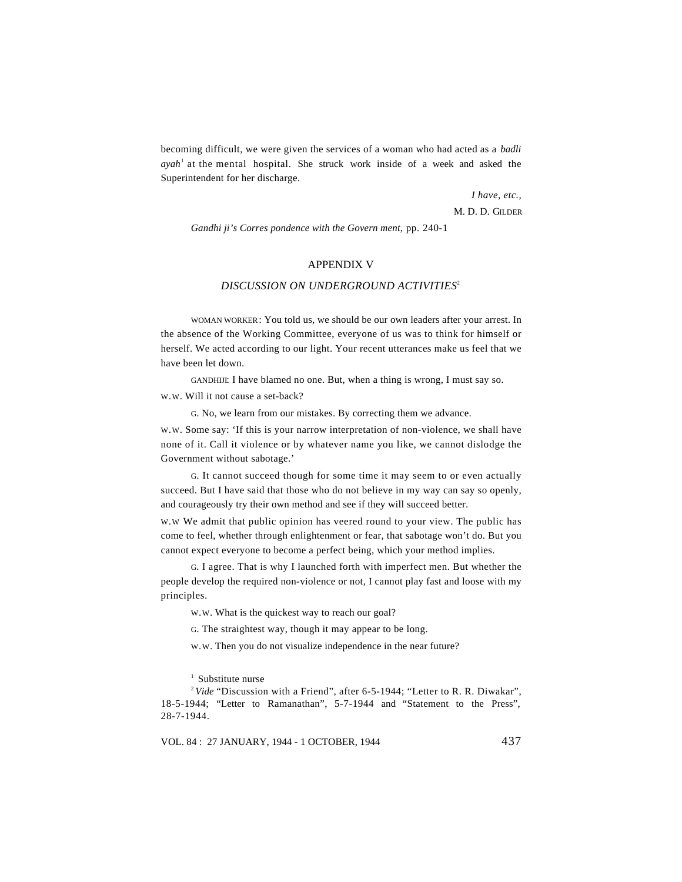becoming difficult, we were given the services of a woman who had acted as a *badli ayah*<sup>1</sup> at the mental hospital. She struck work inside of a week and asked the Superintendent for her discharge.

> *I have, etc.,* M. D. D. GILDER

#### *Gandhi ji's Corres pondence with the Govern ment*, pp. 240-1

#### APPENDIX V

## *DISCUSSION ON UNDERGROUND ACTIVITIES*<sup>2</sup>

WOMAN WORKER: You told us, we should be our own leaders after your arrest. In the absence of the Working Committee, everyone of us was to think for himself or herself. We acted according to our light. Your recent utterances make us feel that we have been let down.

GANDHIJI: I have blamed no one. But, when a thing is wrong, I must say so. W.W. Will it not cause a set-back?

G. No, we learn from our mistakes. By correcting them we advance.

W.W. Some say: 'If this is your narrow interpretation of non-violence, we shall have none of it. Call it violence or by whatever name you like, we cannot dislodge the Government without sabotage.'

G. It cannot succeed though for some time it may seem to or even actually succeed. But I have said that those who do not believe in my way can say so openly, and courageously try their own method and see if they will succeed better.

W.W We admit that public opinion has veered round to your view. The public has come to feel, whether through enlightenment or fear, that sabotage won't do. But you cannot expect everyone to become a perfect being, which your method implies.

G. I agree. That is why I launched forth with imperfect men. But whether the people develop the required non-violence or not, I cannot play fast and loose with my principles.

W.W. What is the quickest way to reach our goal?

G. The straightest way, though it may appear to be long.

W.W. Then you do not visualize independence in the near future?

 $<sup>1</sup>$  Substitute nurse</sup>

<sup>2</sup> Vide "Discussion with a Friend", after 6-5-1944; "Letter to R. R. Diwakar", 18-5-1944; "Letter to Ramanathan", 5-7-1944 and "Statement to the Press", 28-7-1944.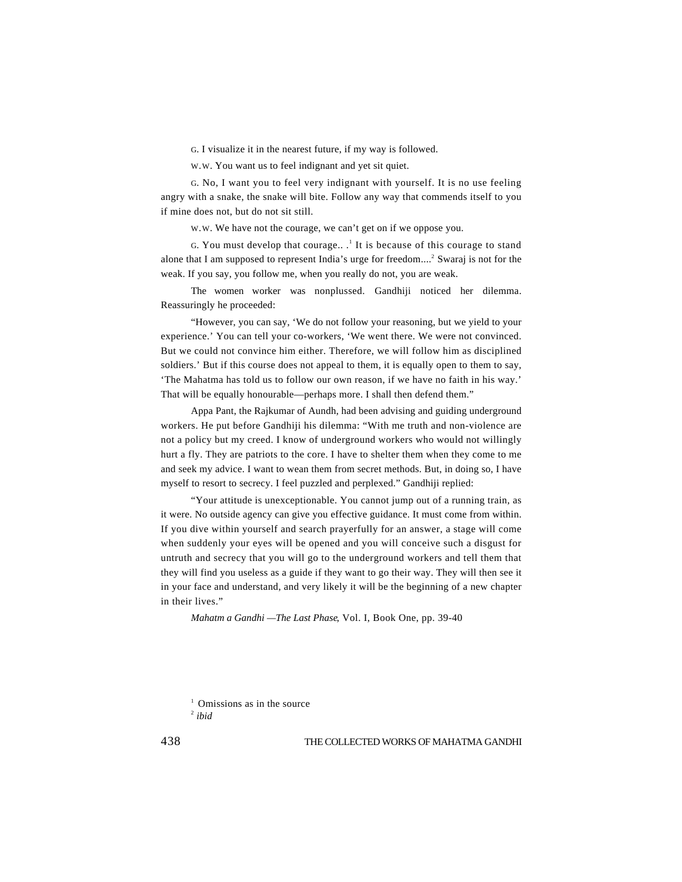G. I visualize it in the nearest future, if my way is followed.

W.W. You want us to feel indignant and yet sit quiet.

G. No, I want you to feel very indignant with yourself. It is no use feeling angry with a snake, the snake will bite. Follow any way that commends itself to you if mine does not, but do not sit still.

W.W. We have not the courage, we can't get on if we oppose you.

G. You must develop that courage...<sup>1</sup> It is because of this courage to stand alone that I am supposed to represent India's urge for freedom....<sup>2</sup> Swaraj is not for the weak. If you say, you follow me, when you really do not, you are weak.

The women worker was nonplussed. Gandhiji noticed her dilemma. Reassuringly he proceeded:

"However, you can say, 'We do not follow your reasoning, but we yield to your experience.' You can tell your co-workers, 'We went there. We were not convinced. But we could not convince him either. Therefore, we will follow him as disciplined soldiers.' But if this course does not appeal to them, it is equally open to them to say, 'The Mahatma has told us to follow our own reason, if we have no faith in his way.' That will be equally honourable—perhaps more. I shall then defend them."

Appa Pant, the Rajkumar of Aundh, had been advising and guiding underground workers. He put before Gandhiji his dilemma: "With me truth and non-violence are not a policy but my creed. I know of underground workers who would not willingly hurt a fly. They are patriots to the core. I have to shelter them when they come to me and seek my advice. I want to wean them from secret methods. But, in doing so, I have myself to resort to secrecy. I feel puzzled and perplexed." Gandhiji replied:

"Your attitude is unexceptionable. You cannot jump out of a running train, as it were. No outside agency can give you effective guidance. It must come from within. If you dive within yourself and search prayerfully for an answer, a stage will come when suddenly your eyes will be opened and you will conceive such a disgust for untruth and secrecy that you will go to the underground workers and tell them that they will find you useless as a guide if they want to go their way. They will then see it in your face and understand, and very likely it will be the beginning of a new chapter in their lives."

*Mahatm a Gandhi —The Last Phase*, Vol. I, Book One, pp. 39-40

 $1$  Omissions as in the source 2 *ibid*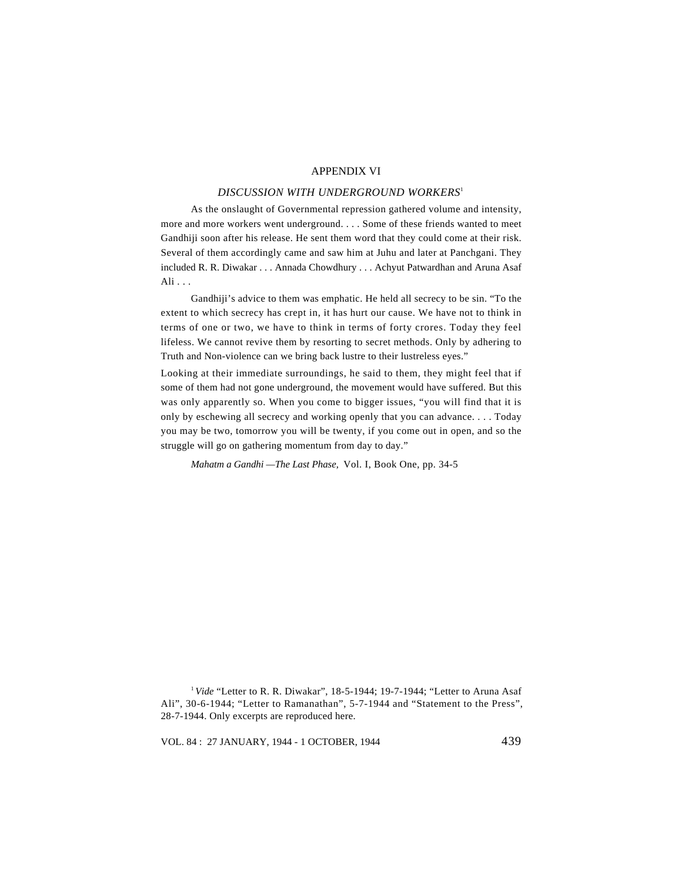## APPENDIX VI

# *DISCUSSION WITH UNDERGROUND WORKERS*<sup>1</sup>

As the onslaught of Governmental repression gathered volume and intensity, more and more workers went underground. . . . Some of these friends wanted to meet Gandhiji soon after his release. He sent them word that they could come at their risk. Several of them accordingly came and saw him at Juhu and later at Panchgani. They included R. R. Diwakar . . . Annada Chowdhury . . . Achyut Patwardhan and Aruna Asaf Ali  $\ldots$ 

Gandhiji's advice to them was emphatic. He held all secrecy to be sin. "To the extent to which secrecy has crept in, it has hurt our cause. We have not to think in terms of one or two, we have to think in terms of forty crores. Today they feel lifeless. We cannot revive them by resorting to secret methods. Only by adhering to Truth and Non-violence can we bring back lustre to their lustreless eyes."

Looking at their immediate surroundings, he said to them, they might feel that if some of them had not gone underground, the movement would have suffered. But this was only apparently so. When you come to bigger issues, "you will find that it is only by eschewing all secrecy and working openly that you can advance. . . . Today you may be two, tomorrow you will be twenty, if you come out in open, and so the struggle will go on gathering momentum from day to day."

*Mahatm a Gandhi —The Last Phase,* Vol. I, Book One, pp. 34-5

<sup>1</sup> Vide "Letter to R. R. Diwakar", 18-5-1944; 19-7-1944; "Letter to Aruna Asaf Ali", 30-6-1944; "Letter to Ramanathan", 5-7-1944 and "Statement to the Press", 28-7-1944. Only excerpts are reproduced here.

VOL. 84 : 27 JANUARY, 1944 - 1 OCTOBER, 1944 439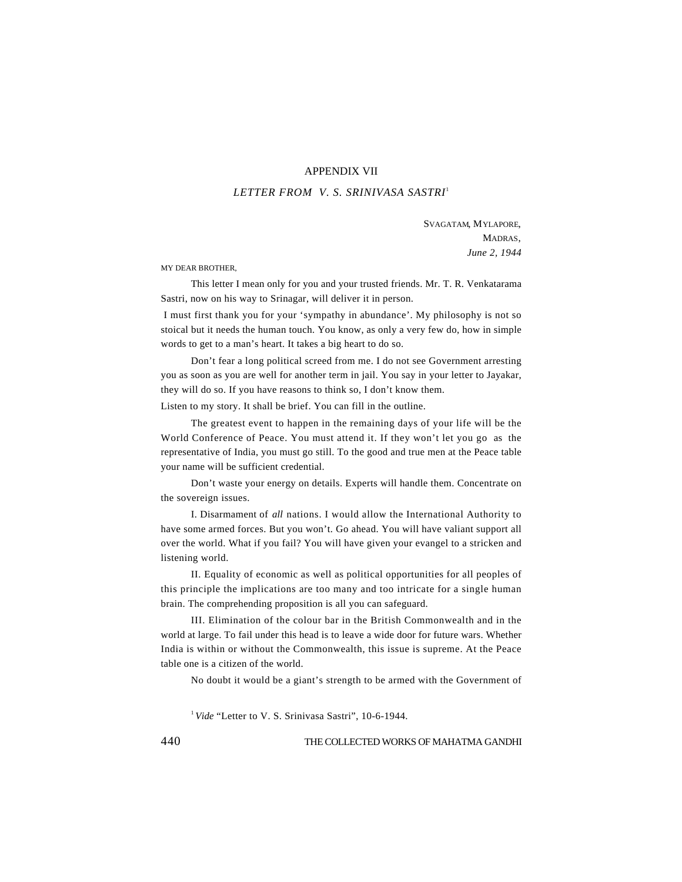# APPENDIX VII

# *LETTER FROM V. S. SRINIVASA SASTRI*<sup>1</sup>

SVAGATAM, MYLAPORE, MADRAS, *June 2, 1944*

MY DEAR BROTHER,

This letter I mean only for you and your trusted friends. Mr. T. R. Venkatarama Sastri, now on his way to Srinagar, will deliver it in person.

 I must first thank you for your 'sympathy in abundance'. My philosophy is not so stoical but it needs the human touch. You know, as only a very few do, how in simple words to get to a man's heart. It takes a big heart to do so.

Don't fear a long political screed from me. I do not see Government arresting you as soon as you are well for another term in jail. You say in your letter to Jayakar, they will do so. If you have reasons to think so, I don't know them.

Listen to my story. It shall be brief. You can fill in the outline.

The greatest event to happen in the remaining days of your life will be the World Conference of Peace. You must attend it. If they won't let you go as the representative of India, you must go still. To the good and true men at the Peace table your name will be sufficient credential.

Don't waste your energy on details. Experts will handle them. Concentrate on the sovereign issues.

I. Disarmament of *all* nations. I would allow the International Authority to have some armed forces. But you won't. Go ahead. You will have valiant support all over the world. What if you fail? You will have given your evangel to a stricken and listening world.

II. Equality of economic as well as political opportunities for all peoples of this principle the implications are too many and too intricate for a single human brain. The comprehending proposition is all you can safeguard.

III. Elimination of the colour bar in the British Commonwealth and in the world at large. To fail under this head is to leave a wide door for future wars. Whether India is within or without the Commonwealth, this issue is supreme. At the Peace table one is a citizen of the world.

No doubt it would be a giant's strength to be armed with the Government of

<sup>1</sup> Vide "Letter to V. S. Srinivasa Sastri", 10-6-1944.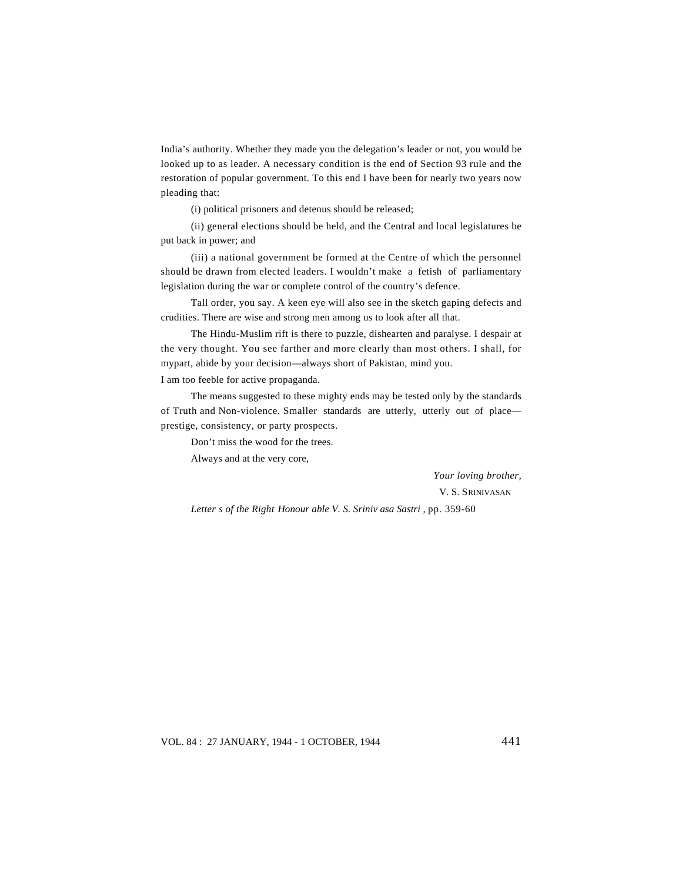India's authority. Whether they made you the delegation's leader or not, you would be looked up to as leader. A necessary condition is the end of Section 93 rule and the restoration of popular government. To this end I have been for nearly two years now pleading that:

(i) political prisoners and detenus should be released;

(ii) general elections should be held, and the Central and local legislatures be put back in power; and

(iii) a national government be formed at the Centre of which the personnel should be drawn from elected leaders. I wouldn't make a fetish of parliamentary legislation during the war or complete control of the country's defence.

Tall order, you say. A keen eye will also see in the sketch gaping defects and crudities. There are wise and strong men among us to look after all that.

The Hindu-Muslim rift is there to puzzle, dishearten and paralyse. I despair at the very thought. You see farther and more clearly than most others. I shall, for mypart, abide by your decision—always short of Pakistan, mind you.

I am too feeble for active propaganda.

The means suggested to these mighty ends may be tested only by the standards of Truth and Non-violence. Smaller standards are utterly, utterly out of place prestige, consistency, or party prospects.

Don't miss the wood for the trees.

Always and at the very core,

*Your loving brother,* V. S. SRINIVASAN

*Letter s of the Right Honour able V. S. Sriniv asa Sastri ,* pp. 359-60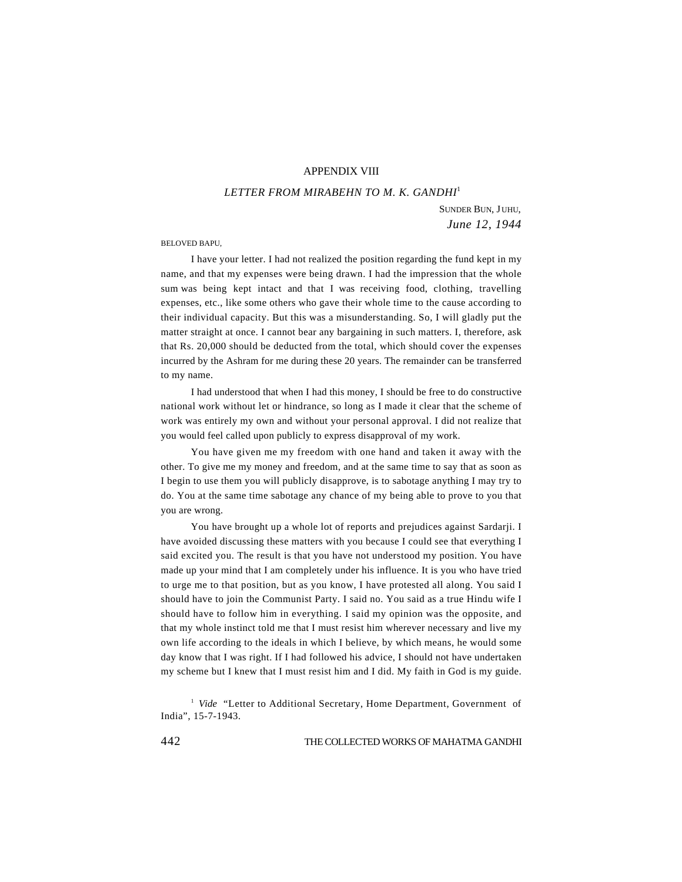### APPENDIX VIII

# *LETTER FROM MIRABEHN TO M. K. GANDHI*<sup>1</sup>

SUNDER BUN, JUHU, *June 12, 1944*

#### BELOVED BAPU,

I have your letter. I had not realized the position regarding the fund kept in my name, and that my expenses were being drawn. I had the impression that the whole sum was being kept intact and that I was receiving food, clothing, travelling expenses, etc., like some others who gave their whole time to the cause according to their individual capacity. But this was a misunderstanding. So, I will gladly put the matter straight at once. I cannot bear any bargaining in such matters. I, therefore, ask that Rs. 20,000 should be deducted from the total, which should cover the expenses incurred by the Ashram for me during these 20 years. The remainder can be transferred to my name.

I had understood that when I had this money, I should be free to do constructive national work without let or hindrance, so long as I made it clear that the scheme of work was entirely my own and without your personal approval. I did not realize that you would feel called upon publicly to express disapproval of my work.

You have given me my freedom with one hand and taken it away with the other. To give me my money and freedom, and at the same time to say that as soon as I begin to use them you will publicly disapprove, is to sabotage anything I may try to do. You at the same time sabotage any chance of my being able to prove to you that you are wrong.

You have brought up a whole lot of reports and prejudices against Sardarji. I have avoided discussing these matters with you because I could see that everything I said excited you. The result is that you have not understood my position. You have made up your mind that I am completely under his influence. It is you who have tried to urge me to that position, but as you know, I have protested all along. You said I should have to join the Communist Party. I said no. You said as a true Hindu wife I should have to follow him in everything. I said my opinion was the opposite, and that my whole instinct told me that I must resist him wherever necessary and live my own life according to the ideals in which I believe, by which means, he would some day know that I was right. If I had followed his advice, I should not have undertaken my scheme but I knew that I must resist him and I did. My faith in God is my guide.

<sup>&</sup>lt;sup>1</sup> *Vide* "Letter to Additional Secretary, Home Department, Government of India", 15-7-1943.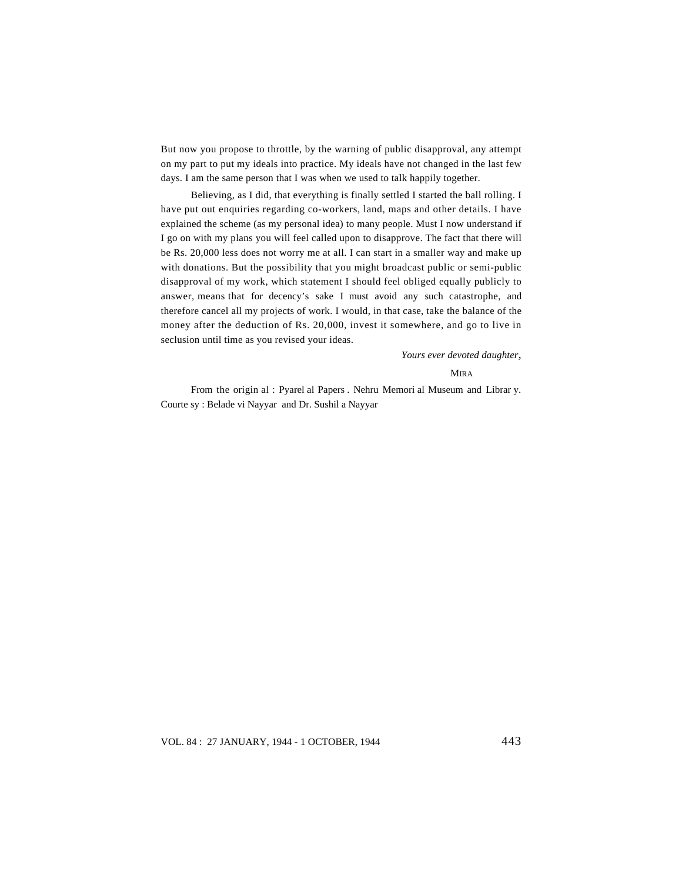But now you propose to throttle, by the warning of public disapproval, any attempt on my part to put my ideals into practice. My ideals have not changed in the last few days. I am the same person that I was when we used to talk happily together.

Believing, as I did, that everything is finally settled I started the ball rolling. I have put out enquiries regarding co-workers, land, maps and other details. I have explained the scheme (as my personal idea) to many people. Must I now understand if I go on with my plans you will feel called upon to disapprove. The fact that there will be Rs. 20,000 less does not worry me at all. I can start in a smaller way and make up with donations. But the possibility that you might broadcast public or semi-public disapproval of my work, which statement I should feel obliged equally publicly to answer, means that for decency's sake I must avoid any such catastrophe, and therefore cancel all my projects of work. I would, in that case, take the balance of the money after the deduction of Rs. 20,000, invest it somewhere, and go to live in seclusion until time as you revised your ideas.

#### *Yours ever devoted daughter,*

#### **MIRA**

From the origin al : Pyarel al Papers . Nehru Memori al Museum and Librar y. Courte sy : Belade vi Nayyar and Dr. Sushil a Nayyar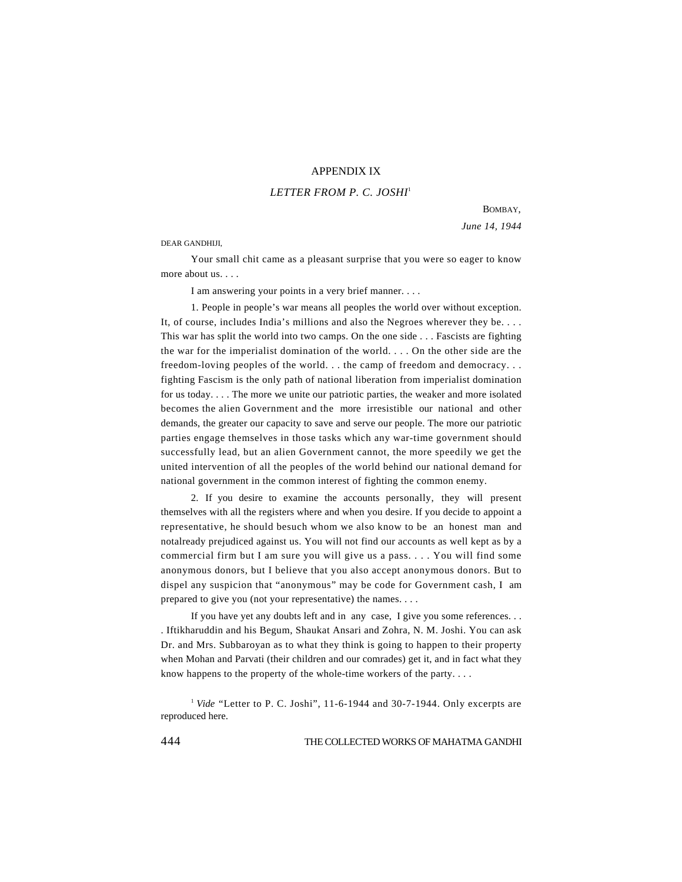## APPENDIX IX

# *LETTER FROM P. C. JOSHI*<sup>1</sup>

BOMBAY, *June 14, 1944*

#### DEAR GANDHIJI,

Your small chit came as a pleasant surprise that you were so eager to know more about us. . . .

I am answering your points in a very brief manner. . . .

1. People in people's war means all peoples the world over without exception. It, of course, includes India's millions and also the Negroes wherever they be. . . . This war has split the world into two camps. On the one side . . . Fascists are fighting the war for the imperialist domination of the world. . . . On the other side are the freedom-loving peoples of the world. . . the camp of freedom and democracy. . . fighting Fascism is the only path of national liberation from imperialist domination for us today. . . . The more we unite our patriotic parties, the weaker and more isolated becomes the alien Government and the more irresistible our national and other demands, the greater our capacity to save and serve our people. The more our patriotic parties engage themselves in those tasks which any war-time government should successfully lead, but an alien Government cannot, the more speedily we get the united intervention of all the peoples of the world behind our national demand for national government in the common interest of fighting the common enemy.

2. If you desire to examine the accounts personally, they will present themselves with all the registers where and when you desire. If you decide to appoint a representative, he should besuch whom we also know to be an honest man and notalready prejudiced against us. You will not find our accounts as well kept as by a commercial firm but I am sure you will give us a pass. . . . You will find some anonymous donors, but I believe that you also accept anonymous donors. But to dispel any suspicion that "anonymous" may be code for Government cash, I am prepared to give you (not your representative) the names. . . .

If you have yet any doubts left and in any case, I give you some references... . Iftikharuddin and his Begum, Shaukat Ansari and Zohra, N. M. Joshi. You can ask Dr. and Mrs. Subbaroyan as to what they think is going to happen to their property when Mohan and Parvati (their children and our comrades) get it, and in fact what they know happens to the property of the whole-time workers of the party. . . .

<sup>1</sup> Vide "Letter to P. C. Joshi", 11-6-1944 and 30-7-1944. Only excerpts are reproduced here.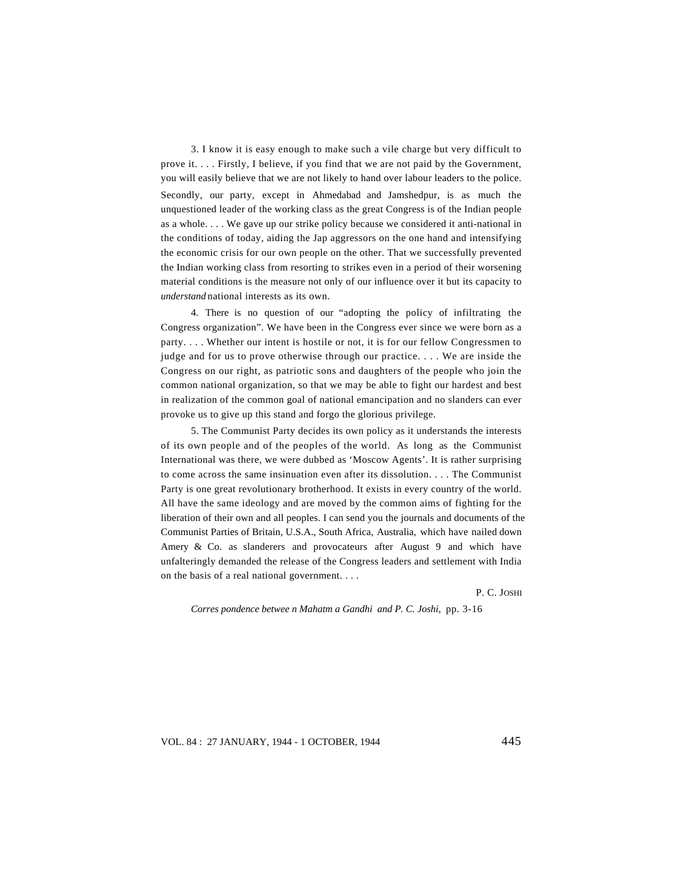3. I know it is easy enough to make such a vile charge but very difficult to prove it. . . . Firstly, I believe, if you find that we are not paid by the Government, you will easily believe that we are not likely to hand over labour leaders to the police. Secondly, our party, except in Ahmedabad and Jamshedpur, is as much the unquestioned leader of the working class as the great Congress is of the Indian people as a whole. . . . We gave up our strike policy because we considered it anti-national in the conditions of today, aiding the Jap aggressors on the one hand and intensifying the economic crisis for our own people on the other. That we successfully prevented the Indian working class from resorting to strikes even in a period of their worsening material conditions is the measure not only of our influence over it but its capacity to *understand* national interests as its own.

4. There is no question of our "adopting the policy of infiltrating the Congress organization". We have been in the Congress ever since we were born as a party. . . . Whether our intent is hostile or not, it is for our fellow Congressmen to judge and for us to prove otherwise through our practice. . . . We are inside the Congress on our right, as patriotic sons and daughters of the people who join the common national organization, so that we may be able to fight our hardest and best in realization of the common goal of national emancipation and no slanders can ever provoke us to give up this stand and forgo the glorious privilege.

5. The Communist Party decides its own policy as it understands the interests of its own people and of the peoples of the world. As long as the Communist International was there, we were dubbed as 'Moscow Agents'. It is rather surprising to come across the same insinuation even after its dissolution. . . . The Communist Party is one great revolutionary brotherhood. It exists in every country of the world. All have the same ideology and are moved by the common aims of fighting for the liberation of their own and all peoples. I can send you the journals and documents of the Communist Parties of Britain, U.S.A., South Africa, Australia, which have nailed down Amery & Co. as slanderers and provocateurs after August 9 and which have unfalteringly demanded the release of the Congress leaders and settlement with India on the basis of a real national government. . . .

P. C. JOSHI

*Corres pondence betwee n Mahatm a Gandhi and P. C. Joshi,* pp. 3-16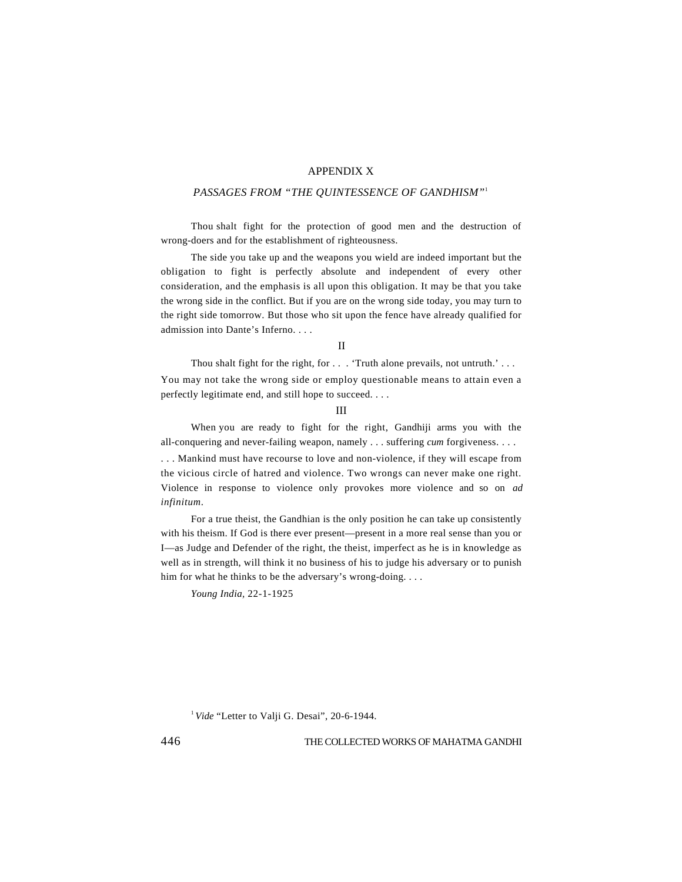## APPENDIX X

# *PASSAGES FROM "THE QUINTESSENCE OF GANDHISM"*<sup>1</sup>

Thou shalt fight for the protection of good men and the destruction of wrong-doers and for the establishment of righteousness.

The side you take up and the weapons you wield are indeed important but the obligation to fight is perfectly absolute and independent of every other consideration, and the emphasis is all upon this obligation. It may be that you take the wrong side in the conflict. But if you are on the wrong side today, you may turn to the right side tomorrow. But those who sit upon the fence have already qualified for admission into Dante's Inferno. . . .

II

Thou shalt fight for the right, for . . . 'Truth alone prevails, not untruth.' . . . You may not take the wrong side or employ questionable means to attain even a perfectly legitimate end, and still hope to succeed. . . .

III

When you are ready to fight for the right, Gandhiji arms you with the all-conquering and never-failing weapon, namely . . . suffering *cum* forgiveness. . . .

. . . Mankind must have recourse to love and non-violence, if they will escape from the vicious circle of hatred and violence. Two wrongs can never make one right. Violence in response to violence only provokes more violence and so on *ad infinitum*.

For a true theist, the Gandhian is the only position he can take up consistently with his theism. If God is there ever present—present in a more real sense than you or I—as Judge and Defender of the right, the theist, imperfect as he is in knowledge as well as in strength, will think it no business of his to judge his adversary or to punish him for what he thinks to be the adversary's wrong-doing....

*Young India,* 22-1-1925

<sup>1</sup>*Vide* "Letter to Valji G. Desai", 20-6-1944.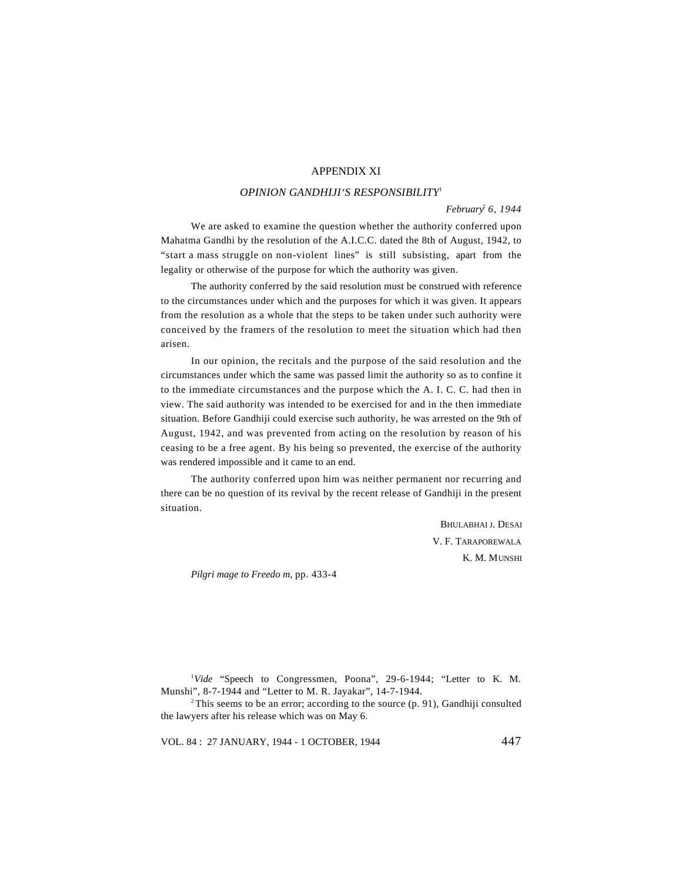# APPENDIX XI

## *OPINION GANDHIJI'S RESPONSIBILITY*<sup>1</sup>

*February*<sup>2</sup> *6, 1944*

We are asked to examine the question whether the authority conferred upon Mahatma Gandhi by the resolution of the A.I.C.C. dated the 8th of August, 1942, to "start a mass struggle on non-violent lines" is still subsisting, apart from the legality or otherwise of the purpose for which the authority was given.

The authority conferred by the said resolution must be construed with reference to the circumstances under which and the purposes for which it was given. It appears from the resolution as a whole that the steps to be taken under such authority were conceived by the framers of the resolution to meet the situation which had then arisen.

In our opinion, the recitals and the purpose of the said resolution and the circumstances under which the same was passed limit the authority so as to confine it to the immediate circumstances and the purpose which the A. I. C. C. had then in view. The said authority was intended to be exercised for and in the then immediate situation. Before Gandhiji could exercise such authority, he was arrested on the 9th of August, 1942, and was prevented from acting on the resolution by reason of his ceasing to be a free agent. By his being so prevented, the exercise of the authority was rendered impossible and it came to an end.

The authority conferred upon him was neither permanent nor recurring and there can be no question of its revival by the recent release of Gandhiji in the present situation.

> BHULABHAI J. DESAI V. F. TARAPOREWALA K. M. MUNSHI

*Pilgri mage to Freedo m,* pp. 433-4

<sup>1</sup>Vide "Speech to Congressmen, Poona", 29-6-1944; "Letter to K. M. Munshi", 8-7-1944 and "Letter to M. R. Jayakar", 14-7-1944.

<sup>2</sup>This seems to be an error; according to the source  $(p. 91)$ , Gandhiji consulted the lawyers after his release which was on May 6.

VOL. 84 : 27 JANUARY, 1944 - 1 OCTOBER, 1944 447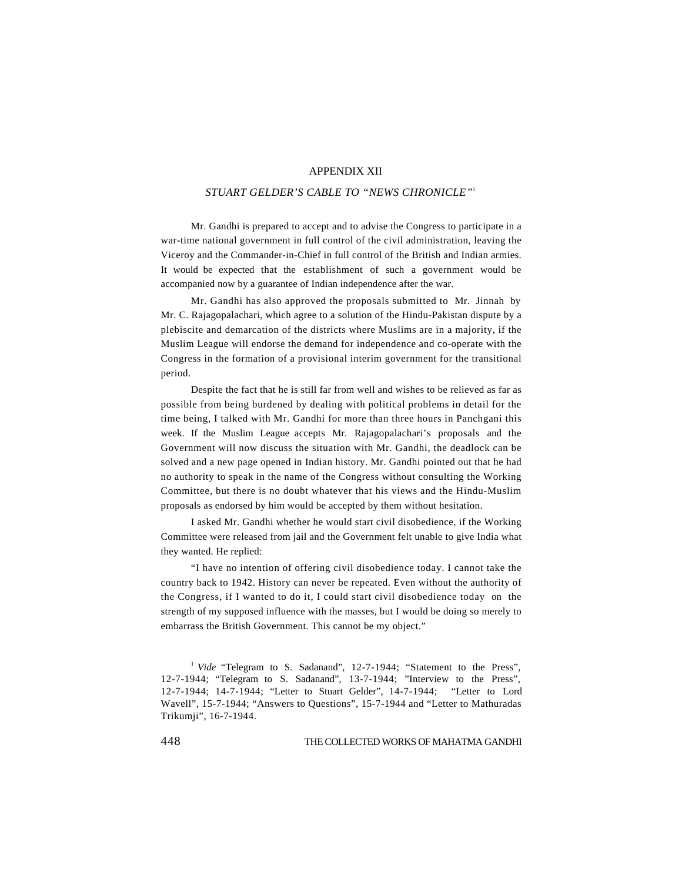#### APPENDIX XII

# *STUART GELDER'S CABLE TO "NEWS CHRONICLE"*<sup>1</sup>

Mr. Gandhi is prepared to accept and to advise the Congress to participate in a war-time national government in full control of the civil administration, leaving the Viceroy and the Commander-in-Chief in full control of the British and Indian armies. It would be expected that the establishment of such a government would be accompanied now by a guarantee of Indian independence after the war.

Mr. Gandhi has also approved the proposals submitted to Mr. Jinnah by Mr. C. Rajagopalachari, which agree to a solution of the Hindu-Pakistan dispute by a plebiscite and demarcation of the districts where Muslims are in a majority, if the Muslim League will endorse the demand for independence and co-operate with the Congress in the formation of a provisional interim government for the transitional period.

Despite the fact that he is still far from well and wishes to be relieved as far as possible from being burdened by dealing with political problems in detail for the time being, I talked with Mr. Gandhi for more than three hours in Panchgani this week. If the Muslim League accepts Mr. Rajagopalachari's proposals and the Government will now discuss the situation with Mr. Gandhi, the deadlock can be solved and a new page opened in Indian history. Mr. Gandhi pointed out that he had no authority to speak in the name of the Congress without consulting the Working Committee, but there is no doubt whatever that his views and the Hindu-Muslim proposals as endorsed by him would be accepted by them without hesitation.

I asked Mr. Gandhi whether he would start civil disobedience, if the Working Committee were released from jail and the Government felt unable to give India what they wanted. He replied:

"I have no intention of offering civil disobedience today. I cannot take the country back to 1942. History can never be repeated. Even without the authority of the Congress, if I wanted to do it, I could start civil disobedience today on the strength of my supposed influence with the masses, but I would be doing so merely to embarrass the British Government. This cannot be my object."

<sup>&</sup>lt;sup>1</sup> Vide "Telegram to S. Sadanand", 12-7-1944; "Statement to the Press", 12-7-1944; "Telegram to S. Sadanand", 13-7-1944; "Interview to the Press", 12-7-1944; 14-7-1944; "Letter to Stuart Gelder", 14-7-1944; "Letter to Lord Wavell", 15-7-1944; "Answers to Questions", 15-7-1944 and "Letter to Mathuradas Trikumji", 16-7-1944.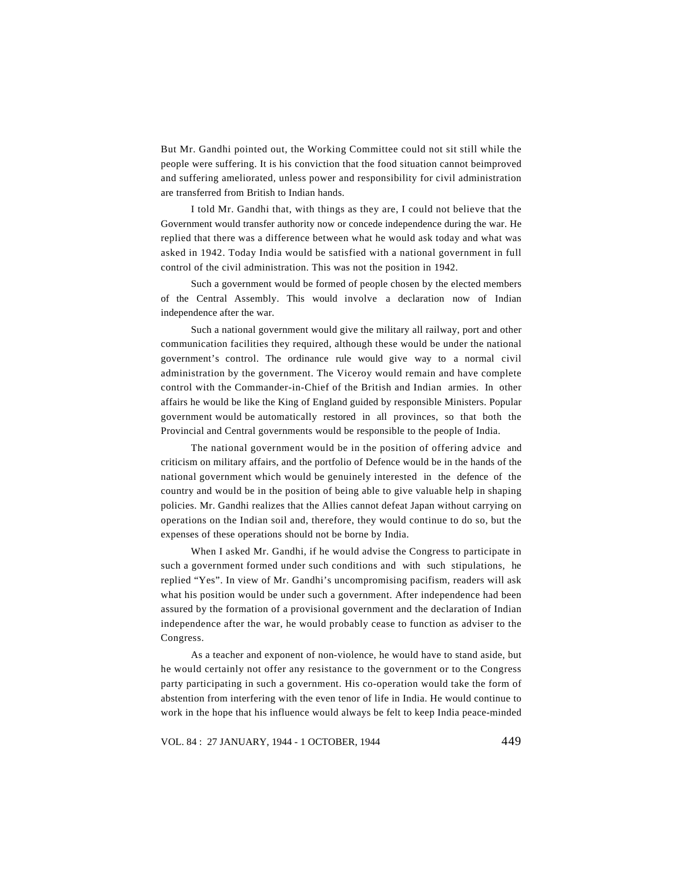But Mr. Gandhi pointed out, the Working Committee could not sit still while the people were suffering. It is his conviction that the food situation cannot beimproved and suffering ameliorated, unless power and responsibility for civil administration are transferred from British to Indian hands.

I told Mr. Gandhi that, with things as they are, I could not believe that the Government would transfer authority now or concede independence during the war. He replied that there was a difference between what he would ask today and what was asked in 1942. Today India would be satisfied with a national government in full control of the civil administration. This was not the position in 1942.

Such a government would be formed of people chosen by the elected members of the Central Assembly. This would involve a declaration now of Indian independence after the war.

Such a national government would give the military all railway, port and other communication facilities they required, although these would be under the national government's control. The ordinance rule would give way to a normal civil administration by the government. The Viceroy would remain and have complete control with the Commander-in-Chief of the British and Indian armies. In other affairs he would be like the King of England guided by responsible Ministers. Popular government would be automatically restored in all provinces, so that both the Provincial and Central governments would be responsible to the people of India.

The national government would be in the position of offering advice and criticism on military affairs, and the portfolio of Defence would be in the hands of the national government which would be genuinely interested in the defence of the country and would be in the position of being able to give valuable help in shaping policies. Mr. Gandhi realizes that the Allies cannot defeat Japan without carrying on operations on the Indian soil and, therefore, they would continue to do so, but the expenses of these operations should not be borne by India.

When I asked Mr. Gandhi, if he would advise the Congress to participate in such a government formed under such conditions and with such stipulations, he replied "Yes". In view of Mr. Gandhi's uncompromising pacifism, readers will ask what his position would be under such a government. After independence had been assured by the formation of a provisional government and the declaration of Indian independence after the war, he would probably cease to function as adviser to the Congress.

As a teacher and exponent of non-violence, he would have to stand aside, but he would certainly not offer any resistance to the government or to the Congress party participating in such a government. His co-operation would take the form of abstention from interfering with the even tenor of life in India. He would continue to work in the hope that his influence would always be felt to keep India peace-minded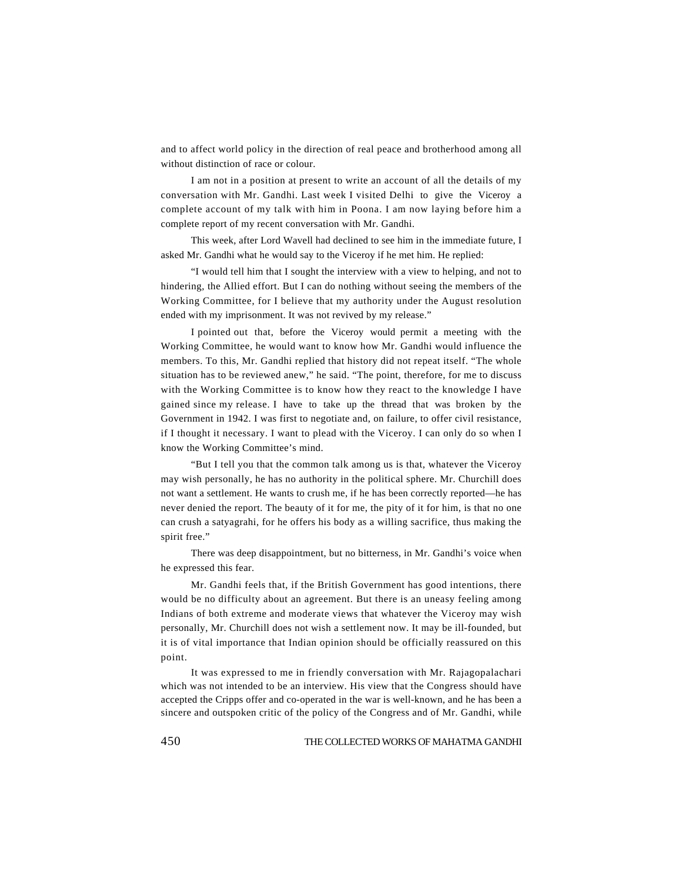and to affect world policy in the direction of real peace and brotherhood among all without distinction of race or colour.

I am not in a position at present to write an account of all the details of my conversation with Mr. Gandhi. Last week I visited Delhi to give the Viceroy a complete account of my talk with him in Poona. I am now laying before him a complete report of my recent conversation with Mr. Gandhi.

This week, after Lord Wavell had declined to see him in the immediate future, I asked Mr. Gandhi what he would say to the Viceroy if he met him. He replied:

"I would tell him that I sought the interview with a view to helping, and not to hindering, the Allied effort. But I can do nothing without seeing the members of the Working Committee, for I believe that my authority under the August resolution ended with my imprisonment. It was not revived by my release."

I pointed out that, before the Viceroy would permit a meeting with the Working Committee, he would want to know how Mr. Gandhi would influence the members. To this, Mr. Gandhi replied that history did not repeat itself. "The whole situation has to be reviewed anew," he said. "The point, therefore, for me to discuss with the Working Committee is to know how they react to the knowledge I have gained since my release. I have to take up the thread that was broken by the Government in 1942. I was first to negotiate and, on failure, to offer civil resistance, if I thought it necessary. I want to plead with the Viceroy. I can only do so when I know the Working Committee's mind.

"But I tell you that the common talk among us is that, whatever the Viceroy may wish personally, he has no authority in the political sphere. Mr. Churchill does not want a settlement. He wants to crush me, if he has been correctly reported—he has never denied the report. The beauty of it for me, the pity of it for him, is that no one can crush a satyagrahi, for he offers his body as a willing sacrifice, thus making the spirit free."

There was deep disappointment, but no bitterness, in Mr. Gandhi's voice when he expressed this fear.

Mr. Gandhi feels that, if the British Government has good intentions, there would be no difficulty about an agreement. But there is an uneasy feeling among Indians of both extreme and moderate views that whatever the Viceroy may wish personally, Mr. Churchill does not wish a settlement now. It may be ill-founded, but it is of vital importance that Indian opinion should be officially reassured on this point.

It was expressed to me in friendly conversation with Mr. Rajagopalachari which was not intended to be an interview. His view that the Congress should have accepted the Cripps offer and co-operated in the war is well-known, and he has been a sincere and outspoken critic of the policy of the Congress and of Mr. Gandhi, while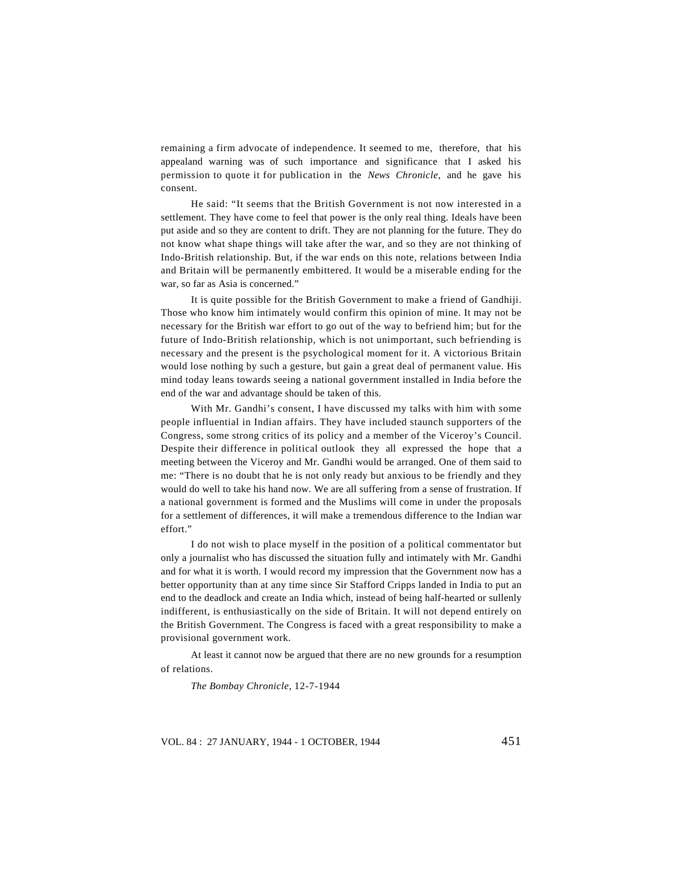remaining a firm advocate of independence. It seemed to me, therefore, that his appealand warning was of such importance and significance that I asked his permission to quote it for publication in the *News Chronicle*, and he gave his consent.

He said: "It seems that the British Government is not now interested in a settlement. They have come to feel that power is the only real thing. Ideals have been put aside and so they are content to drift. They are not planning for the future. They do not know what shape things will take after the war, and so they are not thinking of Indo-British relationship. But, if the war ends on this note, relations between India and Britain will be permanently embittered. It would be a miserable ending for the war, so far as Asia is concerned."

It is quite possible for the British Government to make a friend of Gandhiji. Those who know him intimately would confirm this opinion of mine. It may not be necessary for the British war effort to go out of the way to befriend him; but for the future of Indo-British relationship, which is not unimportant, such befriending is necessary and the present is the psychological moment for it. A victorious Britain would lose nothing by such a gesture, but gain a great deal of permanent value. His mind today leans towards seeing a national government installed in India before the end of the war and advantage should be taken of this.

With Mr. Gandhi's consent, I have discussed my talks with him with some people influential in Indian affairs. They have included staunch supporters of the Congress, some strong critics of its policy and a member of the Viceroy's Council. Despite their difference in political outlook they all expressed the hope that a meeting between the Viceroy and Mr. Gandhi would be arranged. One of them said to me: "There is no doubt that he is not only ready but anxious to be friendly and they would do well to take his hand now. We are all suffering from a sense of frustration. If a national government is formed and the Muslims will come in under the proposals for a settlement of differences, it will make a tremendous difference to the Indian war effort."

I do not wish to place myself in the position of a political commentator but only a journalist who has discussed the situation fully and intimately with Mr. Gandhi and for what it is worth. I would record my impression that the Government now has a better opportunity than at any time since Sir Stafford Cripps landed in India to put an end to the deadlock and create an India which, instead of being half-hearted or sullenly indifferent, is enthusiastically on the side of Britain. It will not depend entirely on the British Government. The Congress is faced with a great responsibility to make a provisional government work.

At least it cannot now be argued that there are no new grounds for a resumption of relations.

*The Bombay Chronicle,* 12-7-1944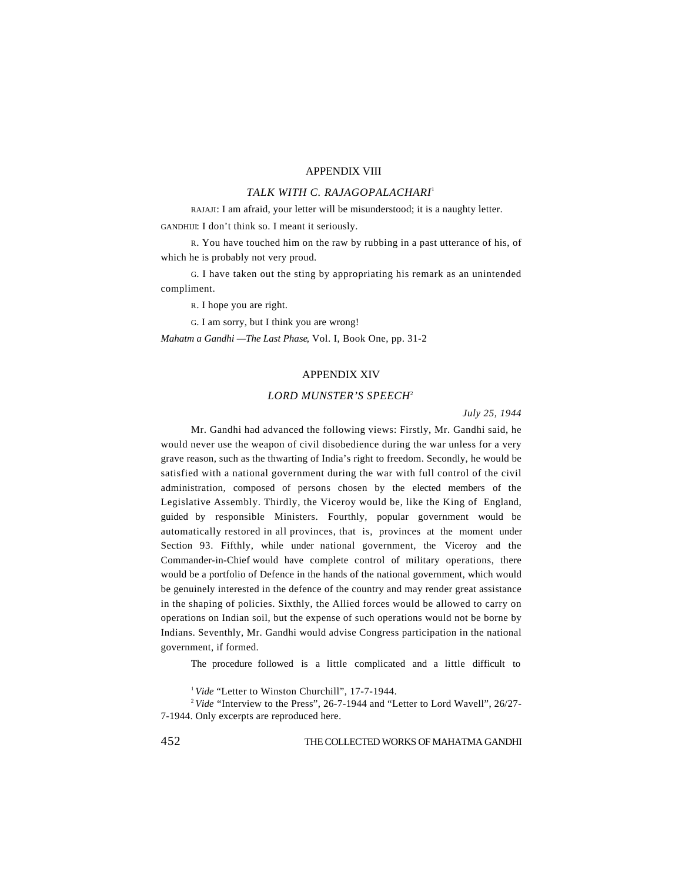## APPENDIX VIII

# *TALK WITH C. RAJAGOPALACHARI*<sup>1</sup>

RAJAJI: I am afraid, your letter will be misunderstood; it is a naughty letter. GANDHIJI: I don't think so. I meant it seriously.

R. You have touched him on the raw by rubbing in a past utterance of his, of which he is probably not very proud.

G. I have taken out the sting by appropriating his remark as an unintended compliment.

R. I hope you are right.

G. I am sorry, but I think you are wrong!

*Mahatm a Gandhi —The Last Phase*, Vol. I, Book One, pp. 31-2

#### APPENDIX XIV

# *LORD MUNSTER'S SPEECH*<sup>2</sup>

*July 25, 1944*

Mr. Gandhi had advanced the following views: Firstly, Mr. Gandhi said, he would never use the weapon of civil disobedience during the war unless for a very grave reason, such as the thwarting of India's right to freedom. Secondly, he would be satisfied with a national government during the war with full control of the civil administration, composed of persons chosen by the elected members of the Legislative Assembly. Thirdly, the Viceroy would be, like the King of England, guided by responsible Ministers. Fourthly, popular government would be automatically restored in all provinces, that is, provinces at the moment under Section 93. Fifthly, while under national government, the Viceroy and the Commander-in-Chief would have complete control of military operations, there would be a portfolio of Defence in the hands of the national government, which would be genuinely interested in the defence of the country and may render great assistance in the shaping of policies. Sixthly, the Allied forces would be allowed to carry on operations on Indian soil, but the expense of such operations would not be borne by Indians. Seventhly, Mr. Gandhi would advise Congress participation in the national government, if formed.

The procedure followed is a little complicated and a little difficult to

<sup>1</sup> Vide "Letter to Winston Churchill", 17-7-1944.

<sup>2</sup> Vide "Interview to the Press", 26-7-1944 and "Letter to Lord Wavell", 26/27-7-1944. Only excerpts are reproduced here.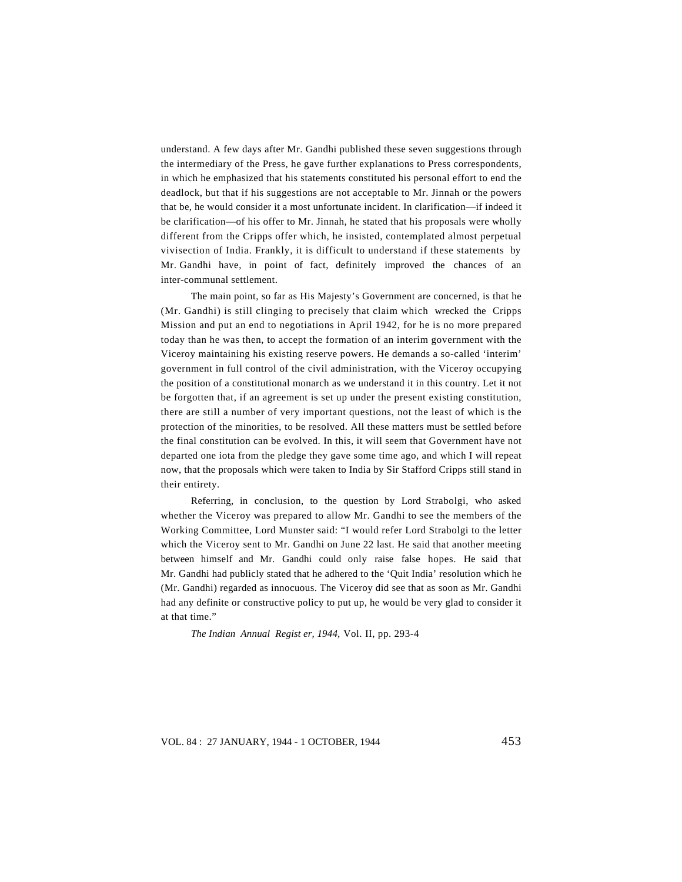understand. A few days after Mr. Gandhi published these seven suggestions through the intermediary of the Press, he gave further explanations to Press correspondents, in which he emphasized that his statements constituted his personal effort to end the deadlock, but that if his suggestions are not acceptable to Mr. Jinnah or the powers that be, he would consider it a most unfortunate incident. In clarification—if indeed it be clarification—of his offer to Mr. Jinnah, he stated that his proposals were wholly different from the Cripps offer which, he insisted, contemplated almost perpetual vivisection of India. Frankly, it is difficult to understand if these statements by Mr. Gandhi have, in point of fact, definitely improved the chances of an inter-communal settlement.

The main point, so far as His Majesty's Government are concerned, is that he (Mr. Gandhi) is still clinging to precisely that claim which wrecked the Cripps Mission and put an end to negotiations in April 1942, for he is no more prepared today than he was then, to accept the formation of an interim government with the Viceroy maintaining his existing reserve powers. He demands a so-called 'interim' government in full control of the civil administration, with the Viceroy occupying the position of a constitutional monarch as we understand it in this country. Let it not be forgotten that, if an agreement is set up under the present existing constitution, there are still a number of very important questions, not the least of which is the protection of the minorities, to be resolved. All these matters must be settled before the final constitution can be evolved. In this, it will seem that Government have not departed one iota from the pledge they gave some time ago, and which I will repeat now, that the proposals which were taken to India by Sir Stafford Cripps still stand in their entirety.

Referring, in conclusion, to the question by Lord Strabolgi, who asked whether the Viceroy was prepared to allow Mr. Gandhi to see the members of the Working Committee, Lord Munster said: "I would refer Lord Strabolgi to the letter which the Viceroy sent to Mr. Gandhi on June 22 last. He said that another meeting between himself and Mr. Gandhi could only raise false hopes. He said that Mr. Gandhi had publicly stated that he adhered to the 'Quit India' resolution which he (Mr. Gandhi) regarded as innocuous. The Viceroy did see that as soon as Mr. Gandhi had any definite or constructive policy to put up, he would be very glad to consider it at that time."

*The Indian Annual Regist er, 1944,* Vol. II, pp. 293-4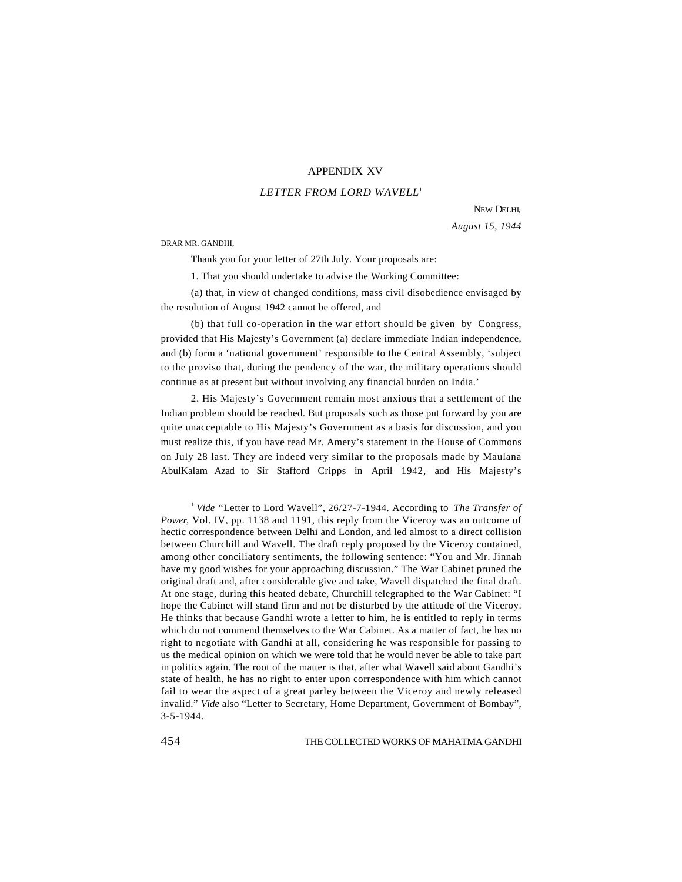# APPENDIX XV

# *LETTER FROM LORD WAVELL*<sup>1</sup>

NEW DELHI, *August 15, 1944*

DRAR MR. GANDHI,

Thank you for your letter of 27th July. Your proposals are:

1. That you should undertake to advise the Working Committee:

(a) that, in view of changed conditions, mass civil disobedience envisaged by the resolution of August 1942 cannot be offered, and

(b) that full co-operation in the war effort should be given by Congress, provided that His Majesty's Government (a) declare immediate Indian independence, and (b) form a 'national government' responsible to the Central Assembly, 'subject to the proviso that, during the pendency of the war, the military operations should continue as at present but without involving any financial burden on India.'

2. His Majesty's Government remain most anxious that a settlement of the Indian problem should be reached. But proposals such as those put forward by you are quite unacceptable to His Majesty's Government as a basis for discussion, and you must realize this, if you have read Mr. Amery's statement in the House of Commons on July 28 last. They are indeed very similar to the proposals made by Maulana AbulKalam Azad to Sir Stafford Cripps in April 1942, and His Majesty's

<sup>1</sup>*Vide* "Letter to Lord Wavell", 26/27-7-1944. According to *The Transfer of Power*, Vol. IV, pp. 1138 and 1191, this reply from the Viceroy was an outcome of hectic correspondence between Delhi and London, and led almost to a direct collision between Churchill and Wavell. The draft reply proposed by the Viceroy contained, among other conciliatory sentiments, the following sentence: "You and Mr. Jinnah have my good wishes for your approaching discussion." The War Cabinet pruned the original draft and, after considerable give and take, Wavell dispatched the final draft. At one stage, during this heated debate, Churchill telegraphed to the War Cabinet: "I hope the Cabinet will stand firm and not be disturbed by the attitude of the Viceroy. He thinks that because Gandhi wrote a letter to him, he is entitled to reply in terms which do not commend themselves to the War Cabinet. As a matter of fact, he has no right to negotiate with Gandhi at all, considering he was responsible for passing to us the medical opinion on which we were told that he would never be able to take part in politics again. The root of the matter is that, after what Wavell said about Gandhi's state of health, he has no right to enter upon correspondence with him which cannot fail to wear the aspect of a great parley between the Viceroy and newly released invalid." *Vide* also "Letter to Secretary, Home Department, Government of Bombay", 3-5-1944.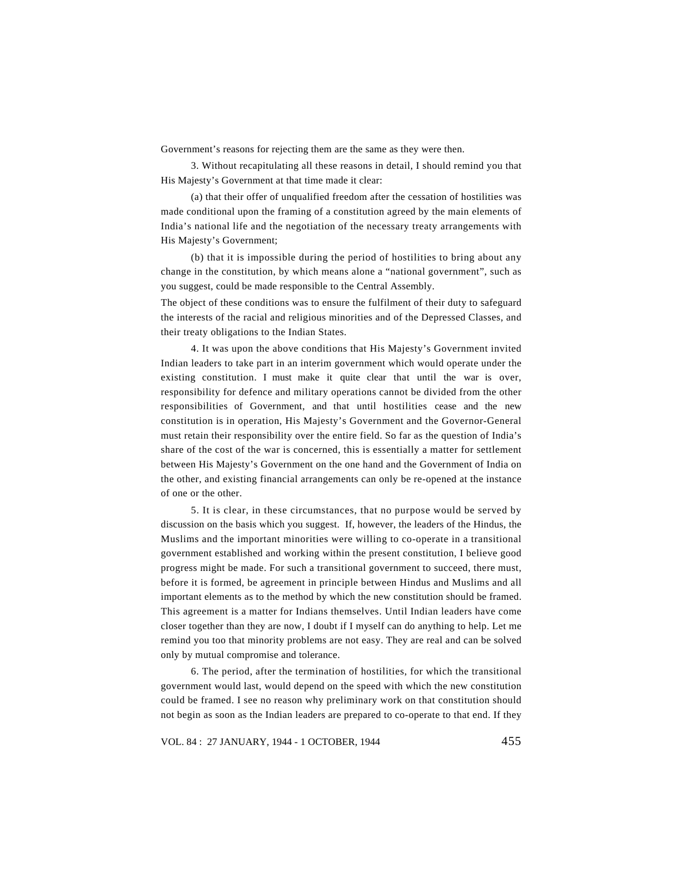Government's reasons for rejecting them are the same as they were then.

3. Without recapitulating all these reasons in detail, I should remind you that His Majesty's Government at that time made it clear:

(a) that their offer of unqualified freedom after the cessation of hostilities was made conditional upon the framing of a constitution agreed by the main elements of India's national life and the negotiation of the necessary treaty arrangements with His Majesty's Government;

(b) that it is impossible during the period of hostilities to bring about any change in the constitution, by which means alone a "national government", such as you suggest, could be made responsible to the Central Assembly.

The object of these conditions was to ensure the fulfilment of their duty to safeguard the interests of the racial and religious minorities and of the Depressed Classes, and their treaty obligations to the Indian States.

4. It was upon the above conditions that His Majesty's Government invited Indian leaders to take part in an interim government which would operate under the existing constitution. I must make it quite clear that until the war is over, responsibility for defence and military operations cannot be divided from the other responsibilities of Government, and that until hostilities cease and the new constitution is in operation, His Majesty's Government and the Governor-General must retain their responsibility over the entire field. So far as the question of India's share of the cost of the war is concerned, this is essentially a matter for settlement between His Majesty's Government on the one hand and the Government of India on the other, and existing financial arrangements can only be re-opened at the instance of one or the other.

5. It is clear, in these circumstances, that no purpose would be served by discussion on the basis which you suggest. If, however, the leaders of the Hindus, the Muslims and the important minorities were willing to co-operate in a transitional government established and working within the present constitution, I believe good progress might be made. For such a transitional government to succeed, there must, before it is formed, be agreement in principle between Hindus and Muslims and all important elements as to the method by which the new constitution should be framed. This agreement is a matter for Indians themselves. Until Indian leaders have come closer together than they are now, I doubt if I myself can do anything to help. Let me remind you too that minority problems are not easy. They are real and can be solved only by mutual compromise and tolerance.

6. The period, after the termination of hostilities, for which the transitional government would last, would depend on the speed with which the new constitution could be framed. I see no reason why preliminary work on that constitution should not begin as soon as the Indian leaders are prepared to co-operate to that end. If they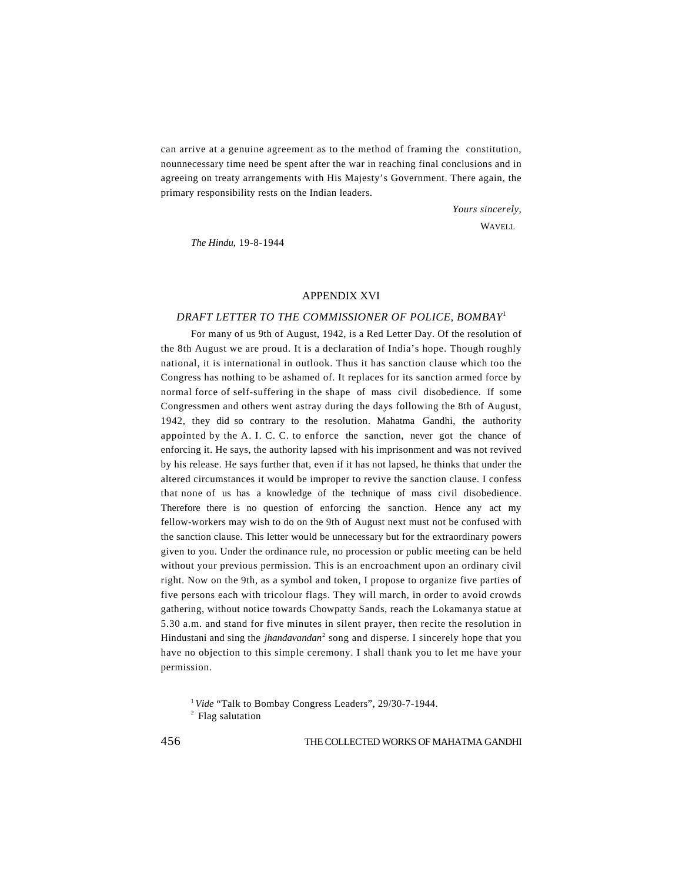can arrive at a genuine agreement as to the method of framing the constitution, nounnecessary time need be spent after the war in reaching final conclusions and in agreeing on treaty arrangements with His Majesty's Government. There again, the primary responsibility rests on the Indian leaders.

> *Yours sincerely,* WAVELL

*The Hindu*, 19-8-1944

### APPENDIX XVI

### *DRAFT LETTER TO THE COMMISSIONER OF POLICE, BOMBAY*<sup>1</sup>

For many of us 9th of August, 1942, is a Red Letter Day. Of the resolution of the 8th August we are proud. It is a declaration of India's hope. Though roughly national, it is international in outlook. Thus it has sanction clause which too the Congress has nothing to be ashamed of. It replaces for its sanction armed force by normal force of self-suffering in the shape of mass civil disobedience. If some Congressmen and others went astray during the days following the 8th of August, 1942, they did so contrary to the resolution. Mahatma Gandhi, the authority appointed by the A. I. C. C. to enforce the sanction, never got the chance of enforcing it. He says, the authority lapsed with his imprisonment and was not revived by his release. He says further that, even if it has not lapsed, he thinks that under the altered circumstances it would be improper to revive the sanction clause. I confess that none of us has a knowledge of the technique of mass civil disobedience. Therefore there is no question of enforcing the sanction. Hence any act my fellow-workers may wish to do on the 9th of August next must not be confused with the sanction clause. This letter would be unnecessary but for the extraordinary powers given to you. Under the ordinance rule, no procession or public meeting can be held without your previous permission. This is an encroachment upon an ordinary civil right. Now on the 9th, as a symbol and token, I propose to organize five parties of five persons each with tricolour flags. They will march, in order to avoid crowds gathering, without notice towards Chowpatty Sands, reach the Lokamanya statue at 5.30 a.m. and stand for five minutes in silent prayer, then recite the resolution in Hindustani and sing the *jhandavandan*<sup>2</sup> song and disperse. I sincerely hope that you have no objection to this simple ceremony. I shall thank you to let me have your permission.

<sup>&</sup>lt;sup>1</sup> Vide "Talk to Bombay Congress Leaders", 29/30-7-1944.

<sup>2</sup> Flag salutation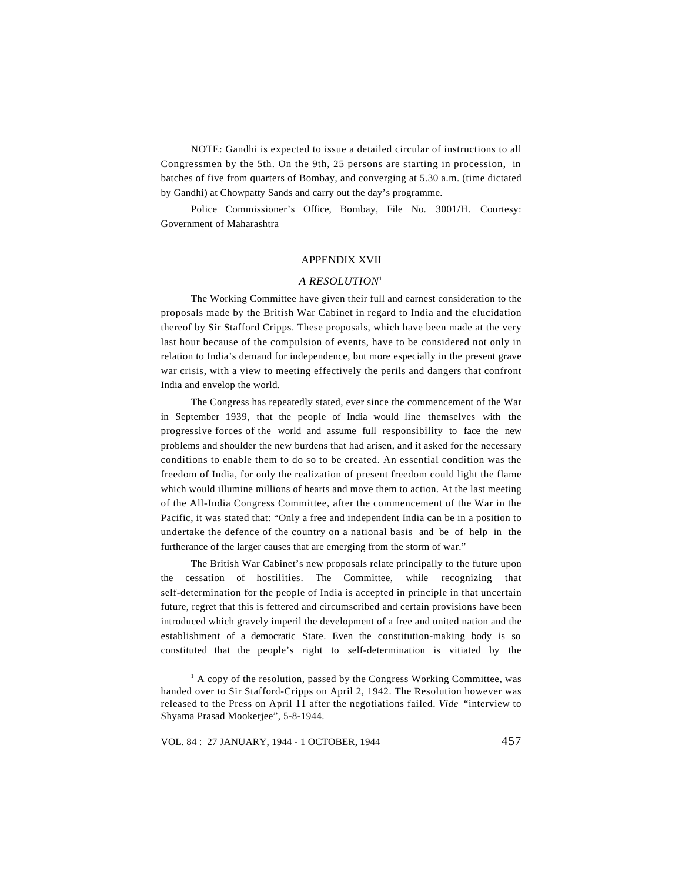NOTE: Gandhi is expected to issue a detailed circular of instructions to all Congressmen by the 5th. On the 9th, 25 persons are starting in procession, in batches of five from quarters of Bombay, and converging at 5.30 a.m. (time dictated by Gandhi) at Chowpatty Sands and carry out the day's programme.

Police Commissioner's Office, Bombay, File No. 3001/H. Courtesy: Government of Maharashtra

#### APPENDIX XVII

## *A RESOLUTION*<sup>1</sup>

The Working Committee have given their full and earnest consideration to the proposals made by the British War Cabinet in regard to India and the elucidation thereof by Sir Stafford Cripps. These proposals, which have been made at the very last hour because of the compulsion of events, have to be considered not only in relation to India's demand for independence, but more especially in the present grave war crisis, with a view to meeting effectively the perils and dangers that confront India and envelop the world.

The Congress has repeatedly stated, ever since the commencement of the War in September 1939, that the people of India would line themselves with the progressive forces of the world and assume full responsibility to face the new problems and shoulder the new burdens that had arisen, and it asked for the necessary conditions to enable them to do so to be created. An essential condition was the freedom of India, for only the realization of present freedom could light the flame which would illumine millions of hearts and move them to action. At the last meeting of the All-India Congress Committee, after the commencement of the War in the Pacific, it was stated that: "Only a free and independent India can be in a position to undertake the defence of the country on a national basis and be of help in the furtherance of the larger causes that are emerging from the storm of war."

The British War Cabinet's new proposals relate principally to the future upon the cessation of hostilities. The Committee, while recognizing that self-determination for the people of India is accepted in principle in that uncertain future, regret that this is fettered and circumscribed and certain provisions have been introduced which gravely imperil the development of a free and united nation and the establishment of a democratic State. Even the constitution-making body is so constituted that the people's right to self-determination is vitiated by the

<sup>1</sup> A copy of the resolution, passed by the Congress Working Committee, was handed over to Sir Stafford-Cripps on April 2, 1942. The Resolution however was released to the Press on April 11 after the negotiations failed. *Vide* "interview to Shyama Prasad Mookerjee", 5-8-1944.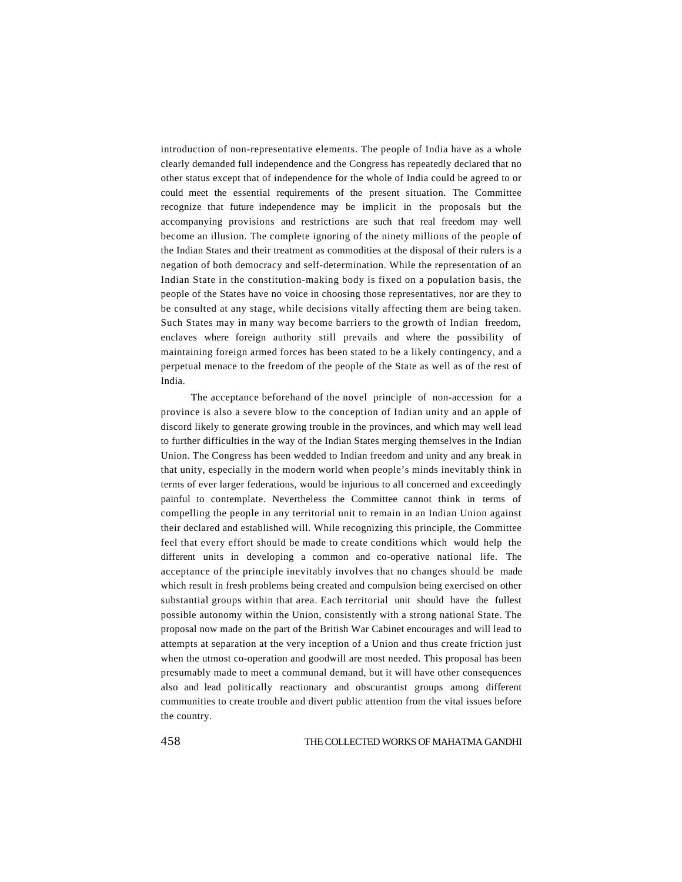introduction of non-representative elements. The people of India have as a whole clearly demanded full independence and the Congress has repeatedly declared that no other status except that of independence for the whole of India could be agreed to or could meet the essential requirements of the present situation. The Committee recognize that future independence may be implicit in the proposals but the accompanying provisions and restrictions are such that real freedom may well become an illusion. The complete ignoring of the ninety millions of the people of the Indian States and their treatment as commodities at the disposal of their rulers is a negation of both democracy and self-determination. While the representation of an Indian State in the constitution-making body is fixed on a population basis, the people of the States have no voice in choosing those representatives, nor are they to be consulted at any stage, while decisions vitally affecting them are being taken. Such States may in many way become barriers to the growth of Indian freedom, enclaves where foreign authority still prevails and where the possibility of maintaining foreign armed forces has been stated to be a likely contingency, and a perpetual menace to the freedom of the people of the State as well as of the rest of India.

The acceptance beforehand of the novel principle of non-accession for a province is also a severe blow to the conception of Indian unity and an apple of discord likely to generate growing trouble in the provinces, and which may well lead to further difficulties in the way of the Indian States merging themselves in the Indian Union. The Congress has been wedded to Indian freedom and unity and any break in that unity, especially in the modern world when people's minds inevitably think in terms of ever larger federations, would be injurious to all concerned and exceedingly painful to contemplate. Nevertheless the Committee cannot think in terms of compelling the people in any territorial unit to remain in an Indian Union against their declared and established will. While recognizing this principle, the Committee feel that every effort should be made to create conditions which would help the different units in developing a common and co-operative national life. The acceptance of the principle inevitably involves that no changes should be made which result in fresh problems being created and compulsion being exercised on other substantial groups within that area. Each territorial unit should have the fullest possible autonomy within the Union, consistently with a strong national State. The proposal now made on the part of the British War Cabinet encourages and will lead to attempts at separation at the very inception of a Union and thus create friction just when the utmost co-operation and goodwill are most needed. This proposal has been presumably made to meet a communal demand, but it will have other consequences also and lead politically reactionary and obscurantist groups among different communities to create trouble and divert public attention from the vital issues before the country.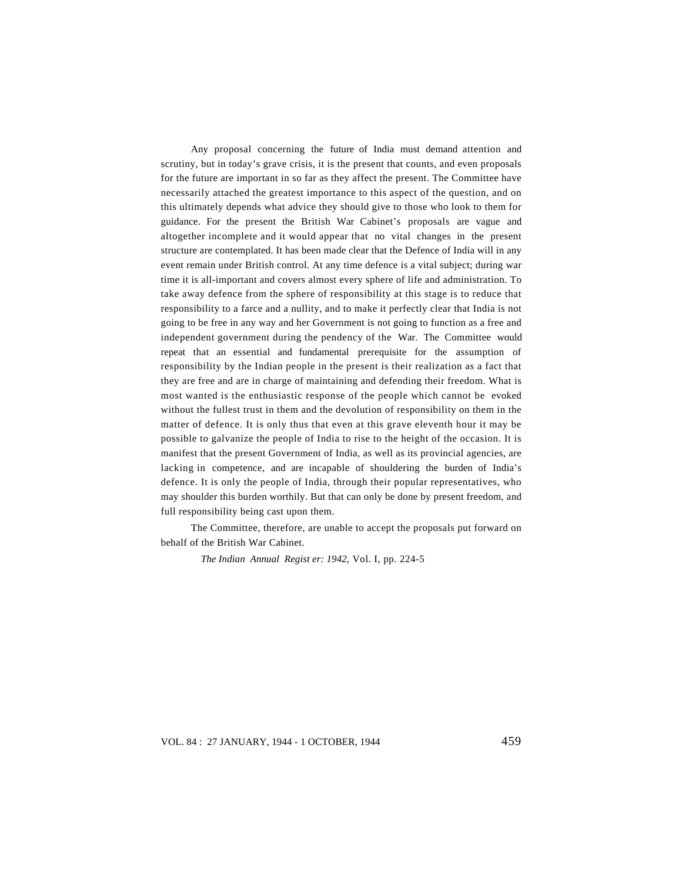Any proposal concerning the future of India must demand attention and scrutiny, but in today's grave crisis, it is the present that counts, and even proposals for the future are important in so far as they affect the present. The Committee have necessarily attached the greatest importance to this aspect of the question, and on this ultimately depends what advice they should give to those who look to them for guidance. For the present the British War Cabinet's proposals are vague and altogether incomplete and it would appear that no vital changes in the present structure are contemplated. It has been made clear that the Defence of India will in any event remain under British control. At any time defence is a vital subject; during war time it is all-important and covers almost every sphere of life and administration. To take away defence from the sphere of responsibility at this stage is to reduce that responsibility to a farce and a nullity, and to make it perfectly clear that India is not going to be free in any way and her Government is not going to function as a free and independent government during the pendency of the War. The Committee would repeat that an essential and fundamental prerequisite for the assumption of responsibility by the Indian people in the present is their realization as a fact that they are free and are in charge of maintaining and defending their freedom. What is most wanted is the enthusiastic response of the people which cannot be evoked without the fullest trust in them and the devolution of responsibility on them in the matter of defence. It is only thus that even at this grave eleventh hour it may be possible to galvanize the people of India to rise to the height of the occasion. It is manifest that the present Government of India, as well as its provincial agencies, are lacking in competence, and are incapable of shouldering the burden of India's defence. It is only the people of India, through their popular representatives, who may shoulder this burden worthily. But that can only be done by present freedom, and full responsibility being cast upon them.

The Committee, therefore, are unable to accept the proposals put forward on behalf of the British War Cabinet.

*The Indian Annual Regist er: 1942*, Vol. I, pp. 224-5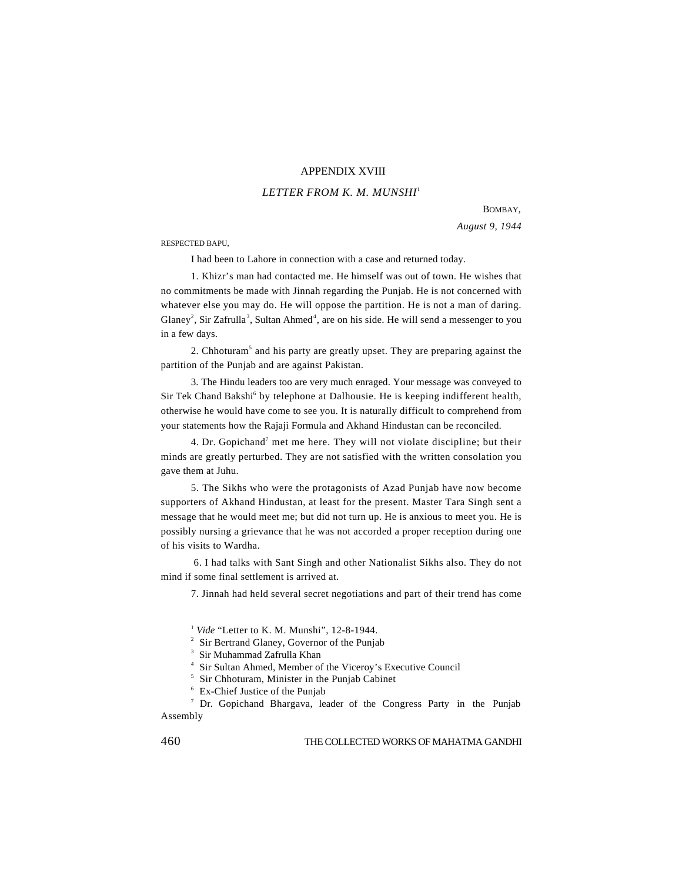# APPENDIX XVIII

# *LETTER FROM K. M. MUNSHI*<sup>1</sup>

BOMBAY, *August 9, 1944*

RESPECTED BAPU,

I had been to Lahore in connection with a case and returned today.

1. Khizr's man had contacted me. He himself was out of town. He wishes that no commitments be made with Jinnah regarding the Punjab. He is not concerned with whatever else you may do. He will oppose the partition. He is not a man of daring. Glaney<sup>2</sup>, Sir Zafrulla<sup>3</sup>, Sultan Ahmed<sup>4</sup>, are on his side. He will send a messenger to you in a few days.

2. Chhoturam<sup>5</sup> and his party are greatly upset. They are preparing against the partition of the Punjab and are against Pakistan.

3. The Hindu leaders too are very much enraged. Your message was conveyed to Sir Tek Chand Bakshi<sup>6</sup> by telephone at Dalhousie. He is keeping indifferent health, otherwise he would have come to see you. It is naturally difficult to comprehend from your statements how the Rajaji Formula and Akhand Hindustan can be reconciled.

4. Dr. Gopichand<sup>7</sup> met me here. They will not violate discipline; but their minds are greatly perturbed. They are not satisfied with the written consolation you gave them at Juhu.

5. The Sikhs who were the protagonists of Azad Punjab have now become supporters of Akhand Hindustan, at least for the present. Master Tara Singh sent a message that he would meet me; but did not turn up. He is anxious to meet you. He is possibly nursing a grievance that he was not accorded a proper reception during one of his visits to Wardha.

 6. I had talks with Sant Singh and other Nationalist Sikhs also. They do not mind if some final settlement is arrived at.

7. Jinnah had held several secret negotiations and part of their trend has come

<sup>1</sup> *Vide* "Letter to K. M. Munshi", 12-8-1944.

<sup>2</sup> Sir Bertrand Glaney, Governor of the Punjab

3 Sir Muhammad Zafrulla Khan

4 Sir Sultan Ahmed, Member of the Viceroy's Executive Council

<sup>5</sup> Sir Chhoturam, Minister in the Punjab Cabinet

6 Ex-Chief Justice of the Punjab

<sup>7</sup> Dr. Gopichand Bhargava, leader of the Congress Party in the Punjab Assembly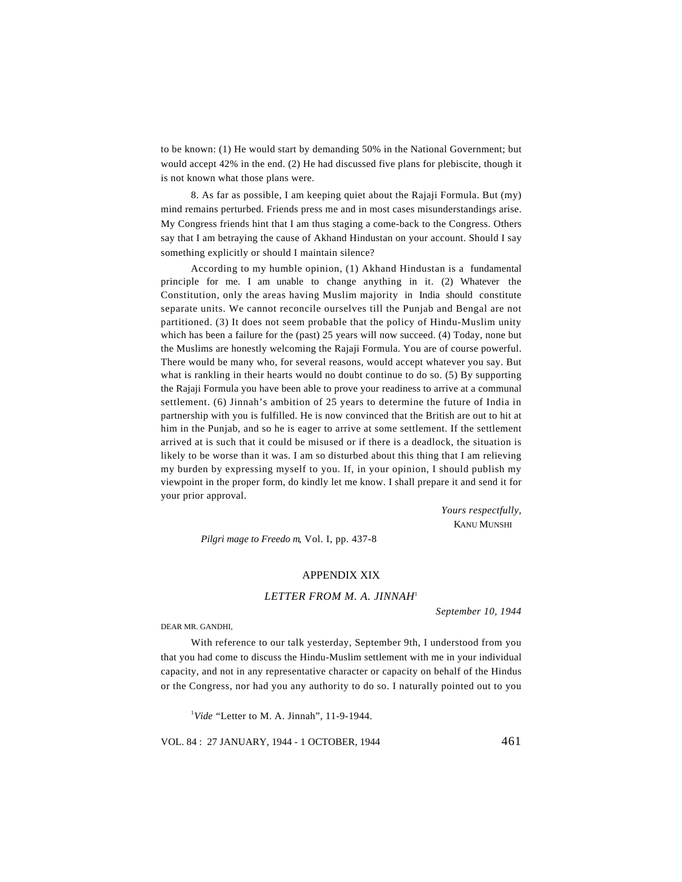to be known: (1) He would start by demanding 50% in the National Government; but would accept 42% in the end. (2) He had discussed five plans for plebiscite, though it is not known what those plans were.

8. As far as possible, I am keeping quiet about the Rajaji Formula. But (my) mind remains perturbed. Friends press me and in most cases misunderstandings arise. My Congress friends hint that I am thus staging a come-back to the Congress. Others say that I am betraying the cause of Akhand Hindustan on your account. Should I say something explicitly or should I maintain silence?

According to my humble opinion, (1) Akhand Hindustan is a fundamental principle for me. I am unable to change anything in it. (2) Whatever the Constitution, only the areas having Muslim majority in India should constitute separate units. We cannot reconcile ourselves till the Punjab and Bengal are not partitioned. (3) It does not seem probable that the policy of Hindu-Muslim unity which has been a failure for the (past) 25 years will now succeed. (4) Today, none but the Muslims are honestly welcoming the Rajaji Formula. You are of course powerful. There would be many who, for several reasons, would accept whatever you say. But what is rankling in their hearts would no doubt continue to do so. (5) By supporting the Rajaji Formula you have been able to prove your readiness to arrive at a communal settlement. (6) Jinnah's ambition of 25 years to determine the future of India in partnership with you is fulfilled. He is now convinced that the British are out to hit at him in the Punjab, and so he is eager to arrive at some settlement. If the settlement arrived at is such that it could be misused or if there is a deadlock, the situation is likely to be worse than it was. I am so disturbed about this thing that I am relieving my burden by expressing myself to you. If, in your opinion, I should publish my viewpoint in the proper form, do kindly let me know. I shall prepare it and send it for your prior approval.

> *Yours respectfully,* KANU MUNSHI

*Pilgri mage to Freedo m*, Vol. I, pp. 437-8

### APPENDIX XIX

## *LETTER FROM M. A. JINNAH*<sup>1</sup>

*September 10, 1944*

DEAR MR. GANDHI,

With reference to our talk yesterday, September 9th, I understood from you that you had come to discuss the Hindu-Muslim settlement with me in your individual capacity, and not in any representative character or capacity on behalf of the Hindus or the Congress, nor had you any authority to do so. I naturally pointed out to you

<sup>1</sup>*Vide* "Letter to M. A. Jinnah", 11-9-1944.

VOL. 84 : 27 JANUARY, 1944 - 1 OCTOBER, 1944 461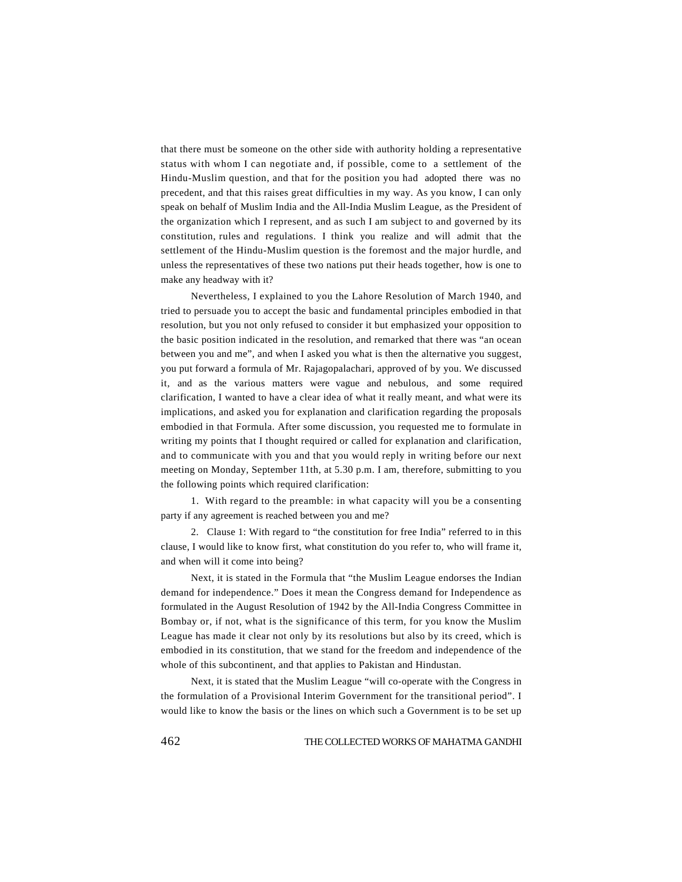that there must be someone on the other side with authority holding a representative status with whom I can negotiate and, if possible, come to a settlement of the Hindu-Muslim question, and that for the position you had adopted there was no precedent, and that this raises great difficulties in my way. As you know, I can only speak on behalf of Muslim India and the All-India Muslim League, as the President of the organization which I represent, and as such I am subject to and governed by its constitution, rules and regulations. I think you realize and will admit that the settlement of the Hindu-Muslim question is the foremost and the major hurdle, and unless the representatives of these two nations put their heads together, how is one to make any headway with it?

Nevertheless, I explained to you the Lahore Resolution of March 1940, and tried to persuade you to accept the basic and fundamental principles embodied in that resolution, but you not only refused to consider it but emphasized your opposition to the basic position indicated in the resolution, and remarked that there was "an ocean between you and me", and when I asked you what is then the alternative you suggest, you put forward a formula of Mr. Rajagopalachari, approved of by you. We discussed it, and as the various matters were vague and nebulous, and some required clarification, I wanted to have a clear idea of what it really meant, and what were its implications, and asked you for explanation and clarification regarding the proposals embodied in that Formula. After some discussion, you requested me to formulate in writing my points that I thought required or called for explanation and clarification, and to communicate with you and that you would reply in writing before our next meeting on Monday, September 11th, at 5.30 p.m. I am, therefore, submitting to you the following points which required clarification:

1. With regard to the preamble: in what capacity will you be a consenting party if any agreement is reached between you and me?

2. Clause 1: With regard to "the constitution for free India" referred to in this clause, I would like to know first, what constitution do you refer to, who will frame it, and when will it come into being?

Next, it is stated in the Formula that "the Muslim League endorses the Indian demand for independence." Does it mean the Congress demand for Independence as formulated in the August Resolution of 1942 by the All-India Congress Committee in Bombay or, if not, what is the significance of this term, for you know the Muslim League has made it clear not only by its resolutions but also by its creed, which is embodied in its constitution, that we stand for the freedom and independence of the whole of this subcontinent, and that applies to Pakistan and Hindustan.

Next, it is stated that the Muslim League "will co-operate with the Congress in the formulation of a Provisional Interim Government for the transitional period". I would like to know the basis or the lines on which such a Government is to be set up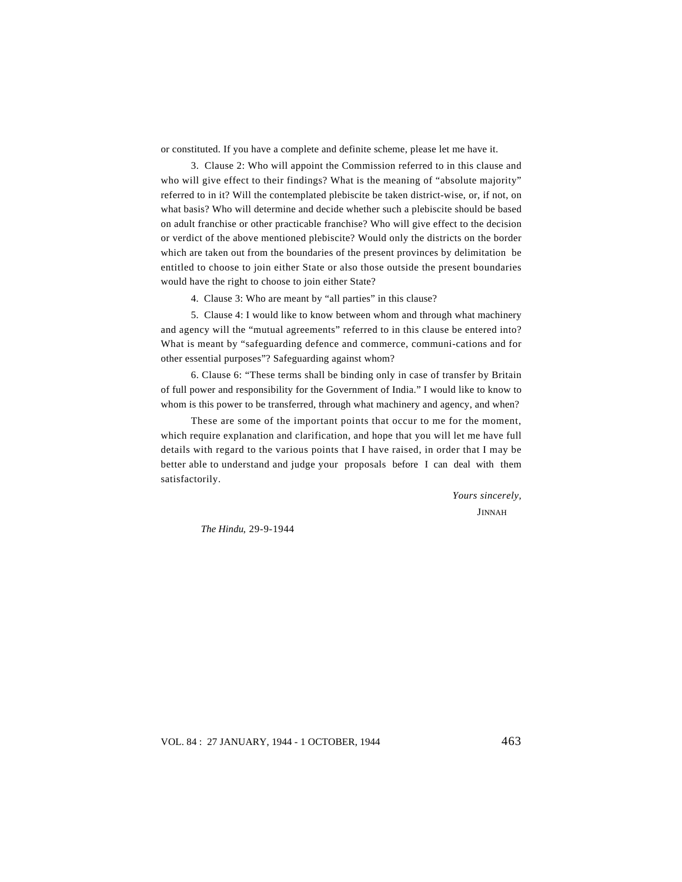or constituted. If you have a complete and definite scheme, please let me have it.

3. Clause 2: Who will appoint the Commission referred to in this clause and who will give effect to their findings? What is the meaning of "absolute majority" referred to in it? Will the contemplated plebiscite be taken district-wise, or, if not, on what basis? Who will determine and decide whether such a plebiscite should be based on adult franchise or other practicable franchise? Who will give effect to the decision or verdict of the above mentioned plebiscite? Would only the districts on the border which are taken out from the boundaries of the present provinces by delimitation be entitled to choose to join either State or also those outside the present boundaries would have the right to choose to join either State?

4. Clause 3: Who are meant by "all parties" in this clause?

5. Clause 4: I would like to know between whom and through what machinery and agency will the "mutual agreements" referred to in this clause be entered into? What is meant by "safeguarding defence and commerce, communi-cations and for other essential purposes"? Safeguarding against whom?

6. Clause 6: "These terms shall be binding only in case of transfer by Britain of full power and responsibility for the Government of India." I would like to know to whom is this power to be transferred, through what machinery and agency, and when?

These are some of the important points that occur to me for the moment, which require explanation and clarification, and hope that you will let me have full details with regard to the various points that I have raised, in order that I may be better able to understand and judge your proposals before I can deal with them satisfactorily.

> *Yours sincerely,* JINNAH

*The Hindu*, 29-9-1944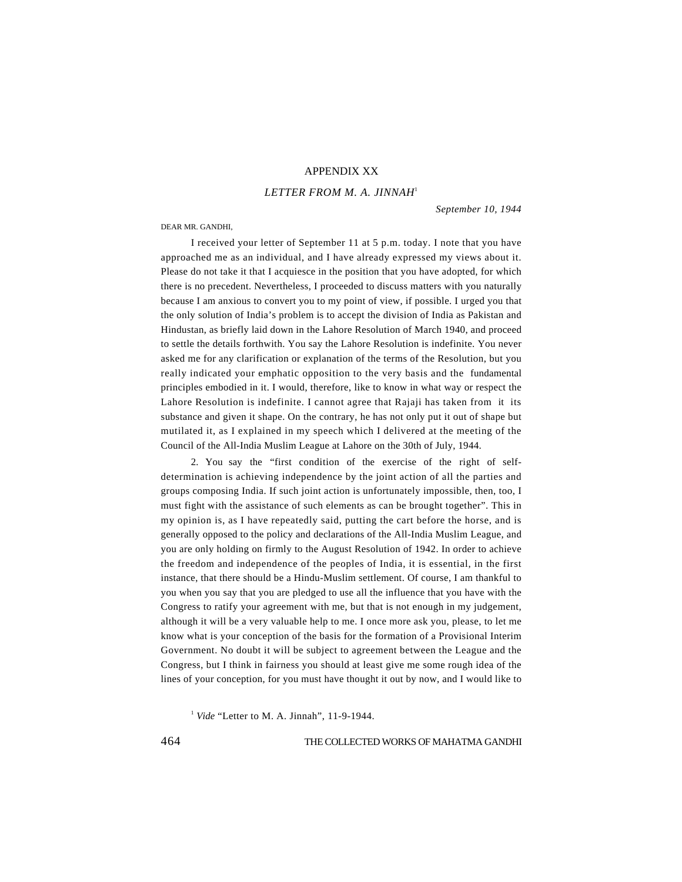# APPENDIX XX

## *LETTER FROM M. A. JINNAH*<sup>1</sup>

*September 10, 1944*

#### DEAR MR. GANDHI,

I received your letter of September 11 at 5 p.m. today. I note that you have approached me as an individual, and I have already expressed my views about it. Please do not take it that I acquiesce in the position that you have adopted, for which there is no precedent. Nevertheless, I proceeded to discuss matters with you naturally because I am anxious to convert you to my point of view, if possible. I urged you that the only solution of India's problem is to accept the division of India as Pakistan and Hindustan, as briefly laid down in the Lahore Resolution of March 1940, and proceed to settle the details forthwith. You say the Lahore Resolution is indefinite. You never asked me for any clarification or explanation of the terms of the Resolution, but you really indicated your emphatic opposition to the very basis and the fundamental principles embodied in it. I would, therefore, like to know in what way or respect the Lahore Resolution is indefinite. I cannot agree that Rajaji has taken from it its substance and given it shape. On the contrary, he has not only put it out of shape but mutilated it, as I explained in my speech which I delivered at the meeting of the Council of the All-India Muslim League at Lahore on the 30th of July, 1944.

2. You say the "first condition of the exercise of the right of selfdetermination is achieving independence by the joint action of all the parties and groups composing India. If such joint action is unfortunately impossible, then, too, I must fight with the assistance of such elements as can be brought together". This in my opinion is, as I have repeatedly said, putting the cart before the horse, and is generally opposed to the policy and declarations of the All-India Muslim League, and you are only holding on firmly to the August Resolution of 1942. In order to achieve the freedom and independence of the peoples of India, it is essential, in the first instance, that there should be a Hindu-Muslim settlement. Of course, I am thankful to you when you say that you are pledged to use all the influence that you have with the Congress to ratify your agreement with me, but that is not enough in my judgement, although it will be a very valuable help to me. I once more ask you, please, to let me know what is your conception of the basis for the formation of a Provisional Interim Government. No doubt it will be subject to agreement between the League and the Congress, but I think in fairness you should at least give me some rough idea of the lines of your conception, for you must have thought it out by now, and I would like to

<sup>1</sup> *Vide* "Letter to M. A. Jinnah", 11-9-1944.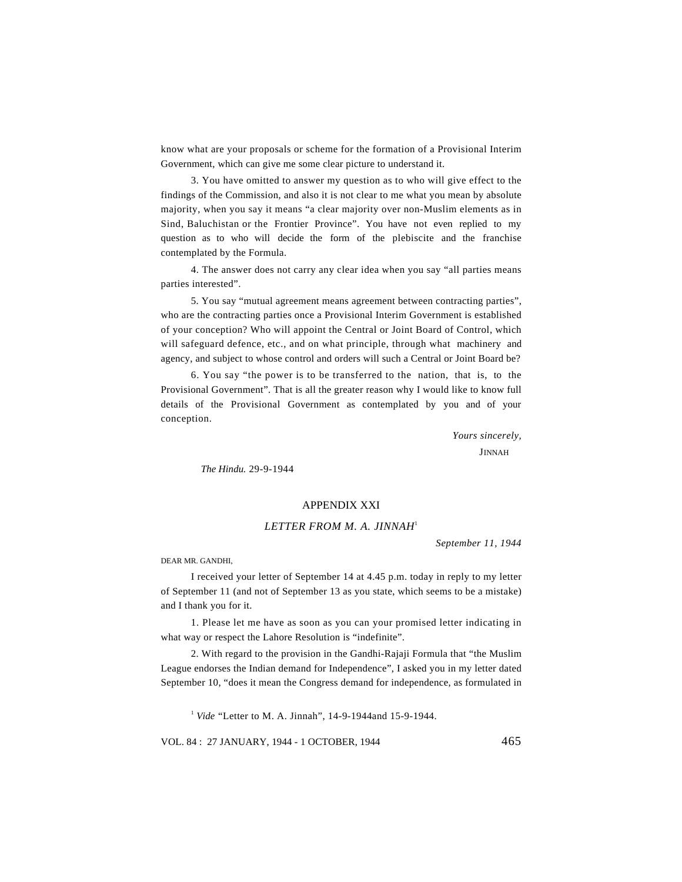know what are your proposals or scheme for the formation of a Provisional Interim Government, which can give me some clear picture to understand it.

3. You have omitted to answer my question as to who will give effect to the findings of the Commission, and also it is not clear to me what you mean by absolute majority, when you say it means "a clear majority over non-Muslim elements as in Sind, Baluchistan or the Frontier Province". You have not even replied to my question as to who will decide the form of the plebiscite and the franchise contemplated by the Formula.

4. The answer does not carry any clear idea when you say "all parties means parties interested".

5. You say "mutual agreement means agreement between contracting parties", who are the contracting parties once a Provisional Interim Government is established of your conception? Who will appoint the Central or Joint Board of Control, which will safeguard defence, etc., and on what principle, through what machinery and agency, and subject to whose control and orders will such a Central or Joint Board be?

6. You say "the power is to be transferred to the nation, that is, to the Provisional Government". That is all the greater reason why I would like to know full details of the Provisional Government as contemplated by you and of your conception.

> *Yours sincerely,* JINNAH

*The Hindu*. 29-9-1944

#### APPENDIX XXI

# *LETTER FROM M. A. JINNAH*<sup>1</sup>

*September 11, 1944*

DEAR MR. GANDHI,

I received your letter of September 14 at 4.45 p.m. today in reply to my letter of September 11 (and not of September 13 as you state, which seems to be a mistake) and I thank you for it.

1. Please let me have as soon as you can your promised letter indicating in what way or respect the Lahore Resolution is "indefinite".

2. With regard to the provision in the Gandhi-Rajaji Formula that "the Muslim League endorses the Indian demand for Independence", I asked you in my letter dated September 10, "does it mean the Congress demand for independence, as formulated in

<sup>1</sup> *Vide* "Letter to M. A. Jinnah", 14-9-1944 and 15-9-1944.

VOL. 84 : 27 JANUARY, 1944 - 1 OCTOBER, 1944 465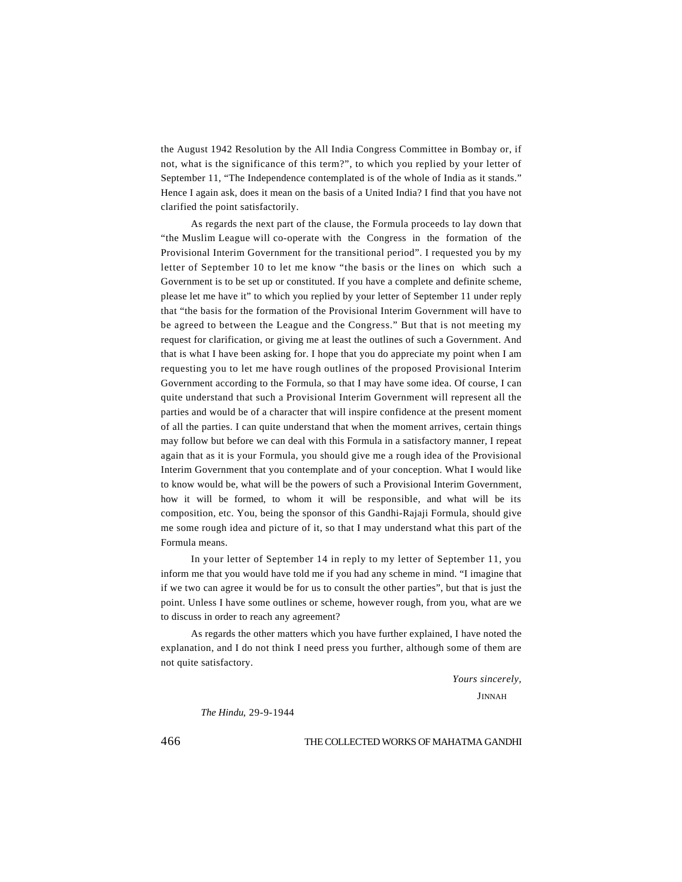the August 1942 Resolution by the All India Congress Committee in Bombay or, if not, what is the significance of this term?", to which you replied by your letter of September 11, "The Independence contemplated is of the whole of India as it stands." Hence I again ask, does it mean on the basis of a United India? I find that you have not clarified the point satisfactorily.

As regards the next part of the clause, the Formula proceeds to lay down that "the Muslim League will co-operate with the Congress in the formation of the Provisional Interim Government for the transitional period". I requested you by my letter of September 10 to let me know "the basis or the lines on which such a Government is to be set up or constituted. If you have a complete and definite scheme, please let me have it" to which you replied by your letter of September 11 under reply that "the basis for the formation of the Provisional Interim Government will have to be agreed to between the League and the Congress." But that is not meeting my request for clarification, or giving me at least the outlines of such a Government. And that is what I have been asking for. I hope that you do appreciate my point when I am requesting you to let me have rough outlines of the proposed Provisional Interim Government according to the Formula, so that I may have some idea. Of course, I can quite understand that such a Provisional Interim Government will represent all the parties and would be of a character that will inspire confidence at the present moment of all the parties. I can quite understand that when the moment arrives, certain things may follow but before we can deal with this Formula in a satisfactory manner, I repeat again that as it is your Formula, you should give me a rough idea of the Provisional Interim Government that you contemplate and of your conception. What I would like to know would be, what will be the powers of such a Provisional Interim Government, how it will be formed, to whom it will be responsible, and what will be its composition, etc. You, being the sponsor of this Gandhi-Rajaji Formula, should give me some rough idea and picture of it, so that I may understand what this part of the Formula means.

In your letter of September 14 in reply to my letter of September 11, you inform me that you would have told me if you had any scheme in mind. "I imagine that if we two can agree it would be for us to consult the other parties", but that is just the point. Unless I have some outlines or scheme, however rough, from you, what are we to discuss in order to reach any agreement?

As regards the other matters which you have further explained, I have noted the explanation, and I do not think I need press you further, although some of them are not quite satisfactory.

> *Yours sincerely,* JINNAH

*The Hindu*, 29-9-1944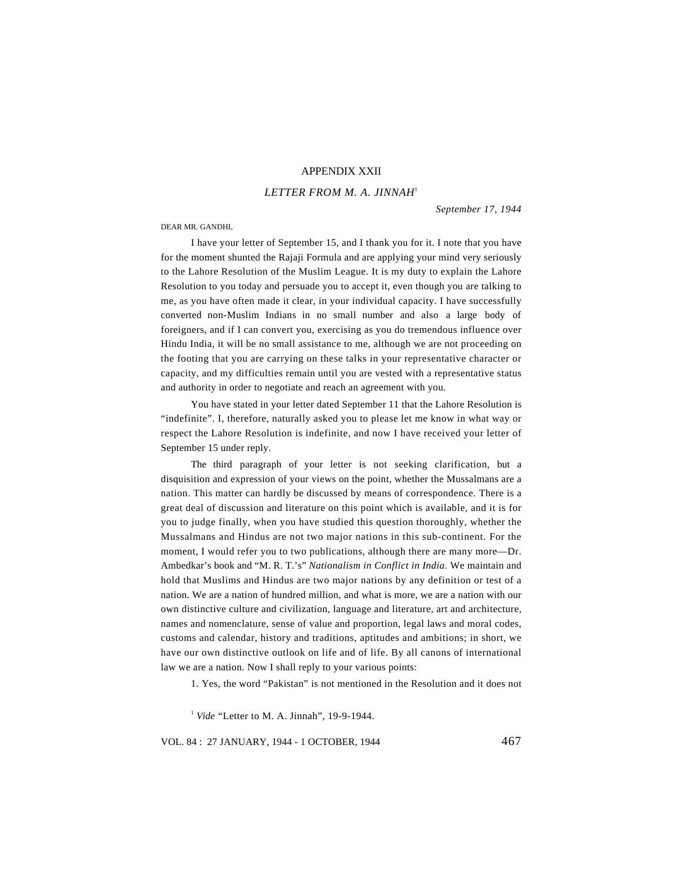#### APPENDIX XXII

## *LETTER FROM M. A. JINNAH*<sup>1</sup>

*September 17, 1944*

#### DEAR MR. GANDHI,

I have your letter of September 15, and I thank you for it. I note that you have for the moment shunted the Rajaji Formula and are applying your mind very seriously to the Lahore Resolution of the Muslim League. It is my duty to explain the Lahore Resolution to you today and persuade you to accept it, even though you are talking to me, as you have often made it clear, in your individual capacity. I have successfully converted non-Muslim Indians in no small number and also a large body of foreigners, and if I can convert you, exercising as you do tremendous influence over Hindu India, it will be no small assistance to me, although we are not proceeding on the footing that you are carrying on these talks in your representative character or capacity, and my difficulties remain until you are vested with a representative status and authority in order to negotiate and reach an agreement with you.

You have stated in your letter dated September 11 that the Lahore Resolution is "indefinite". I, therefore, naturally asked you to please let me know in what way or respect the Lahore Resolution is indefinite, and now I have received your letter of September 15 under reply.

The third paragraph of your letter is not seeking clarification, but a disquisition and expression of your views on the point, whether the Mussalmans are a nation. This matter can hardly be discussed by means of correspondence. There is a great deal of discussion and literature on this point which is available, and it is for you to judge finally, when you have studied this question thoroughly, whether the Mussalmans and Hindus are not two major nations in this sub-continent. For the moment, I would refer you to two publications, although there are many more—Dr. Ambedkar's book and "M. R. T.'s" *Nationalism in Conflict in India*. We maintain and hold that Muslims and Hindus are two major nations by any definition or test of a nation. We are a nation of hundred million, and what is more, we are a nation with our own distinctive culture and civilization, language and literature, art and architecture, names and nomenclature, sense of value and proportion, legal laws and moral codes, customs and calendar, history and traditions, aptitudes and ambitions; in short, we have our own distinctive outlook on life and of life. By all canons of international law we are a nation. Now I shall reply to your various points:

1. Yes, the word "Pakistan" is not mentioned in the Resolution and it does not

<sup>1</sup> *Vide* "Letter to M. A. Jinnah", 19-9-1944.

VOL. 84 : 27 JANUARY, 1944 - 1 OCTOBER, 1944 467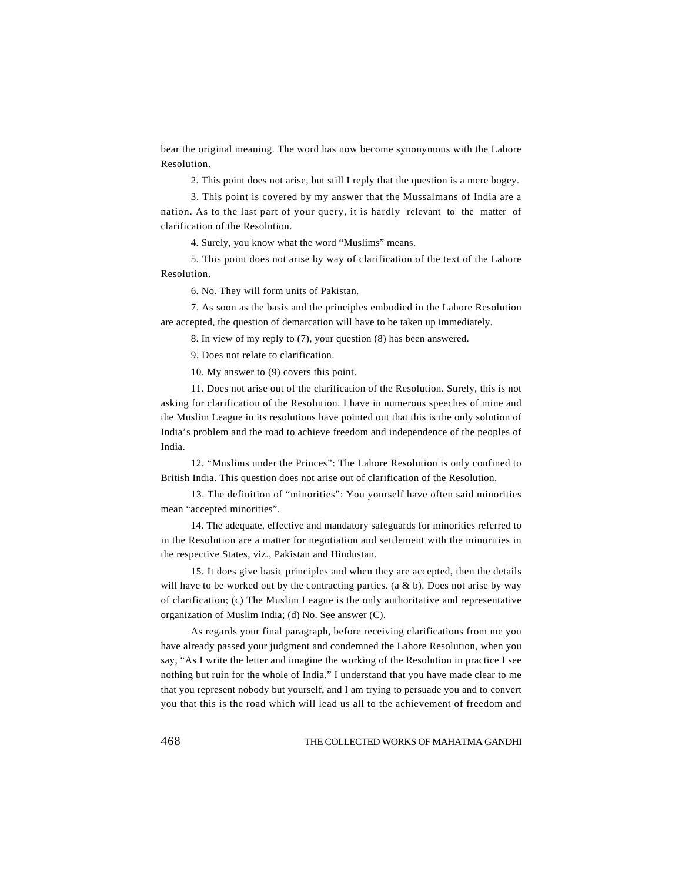bear the original meaning. The word has now become synonymous with the Lahore Resolution.

2. This point does not arise, but still I reply that the question is a mere bogey.

3. This point is covered by my answer that the Mussalmans of India are a nation. As to the last part of your query, it is hardly relevant to the matter of clarification of the Resolution.

4. Surely, you know what the word "Muslims" means.

5. This point does not arise by way of clarification of the text of the Lahore Resolution.

6. No. They will form units of Pakistan.

7. As soon as the basis and the principles embodied in the Lahore Resolution are accepted, the question of demarcation will have to be taken up immediately.

8. In view of my reply to (7), your question (8) has been answered.

9. Does not relate to clarification.

10. My answer to (9) covers this point.

11. Does not arise out of the clarification of the Resolution. Surely, this is not asking for clarification of the Resolution. I have in numerous speeches of mine and the Muslim League in its resolutions have pointed out that this is the only solution of India's problem and the road to achieve freedom and independence of the peoples of India.

12. "Muslims under the Princes": The Lahore Resolution is only confined to British India. This question does not arise out of clarification of the Resolution.

13. The definition of "minorities": You yourself have often said minorities mean "accepted minorities".

14. The adequate, effective and mandatory safeguards for minorities referred to in the Resolution are a matter for negotiation and settlement with the minorities in the respective States, viz., Pakistan and Hindustan.

15. It does give basic principles and when they are accepted, then the details will have to be worked out by the contracting parties. (a & b). Does not arise by way of clarification; (c) The Muslim League is the only authoritative and representative organization of Muslim India; (d) No. See answer (C).

As regards your final paragraph, before receiving clarifications from me you have already passed your judgment and condemned the Lahore Resolution, when you say, "As I write the letter and imagine the working of the Resolution in practice I see nothing but ruin for the whole of India." I understand that you have made clear to me that you represent nobody but yourself, and I am trying to persuade you and to convert you that this is the road which will lead us all to the achievement of freedom and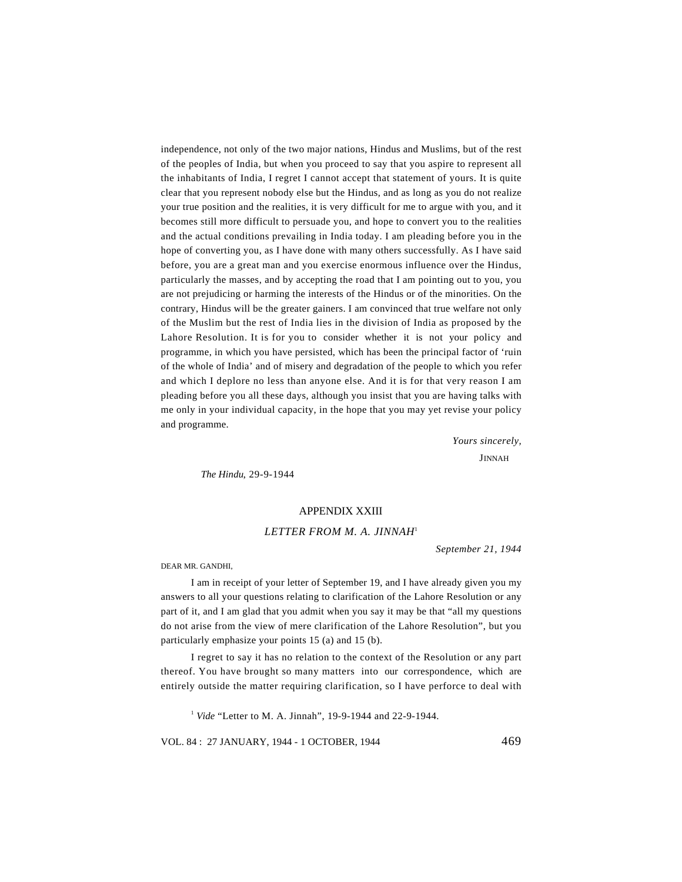independence, not only of the two major nations, Hindus and Muslims, but of the rest of the peoples of India, but when you proceed to say that you aspire to represent all the inhabitants of India, I regret I cannot accept that statement of yours. It is quite clear that you represent nobody else but the Hindus, and as long as you do not realize your true position and the realities, it is very difficult for me to argue with you, and it becomes still more difficult to persuade you, and hope to convert you to the realities and the actual conditions prevailing in India today. I am pleading before you in the hope of converting you, as I have done with many others successfully. As I have said before, you are a great man and you exercise enormous influence over the Hindus, particularly the masses, and by accepting the road that I am pointing out to you, you are not prejudicing or harming the interests of the Hindus or of the minorities. On the contrary, Hindus will be the greater gainers. I am convinced that true welfare not only of the Muslim but the rest of India lies in the division of India as proposed by the Lahore Resolution. It is for you to consider whether it is not your policy and programme, in which you have persisted, which has been the principal factor of 'ruin of the whole of India' and of misery and degradation of the people to which you refer and which I deplore no less than anyone else. And it is for that very reason I am pleading before you all these days, although you insist that you are having talks with me only in your individual capacity, in the hope that you may yet revise your policy and programme.

> *Yours sincerely,* **JINNAH**

*The Hindu*, 29-9-1944

#### APPENDIX XXIII

# *LETTER FROM M. A. JINNAH*<sup>1</sup>

*September 21, 1944*

DEAR MR. GANDHI,

I am in receipt of your letter of September 19, and I have already given you my answers to all your questions relating to clarification of the Lahore Resolution or any part of it, and I am glad that you admit when you say it may be that "all my questions do not arise from the view of mere clarification of the Lahore Resolution", but you particularly emphasize your points 15 (a) and 15 (b).

I regret to say it has no relation to the context of the Resolution or any part thereof. You have brought so many matters into our correspondence, which are entirely outside the matter requiring clarification, so I have perforce to deal with

<sup>1</sup> *Vide* "Letter to M. A. Jinnah", 19-9-1944 and 22-9-1944.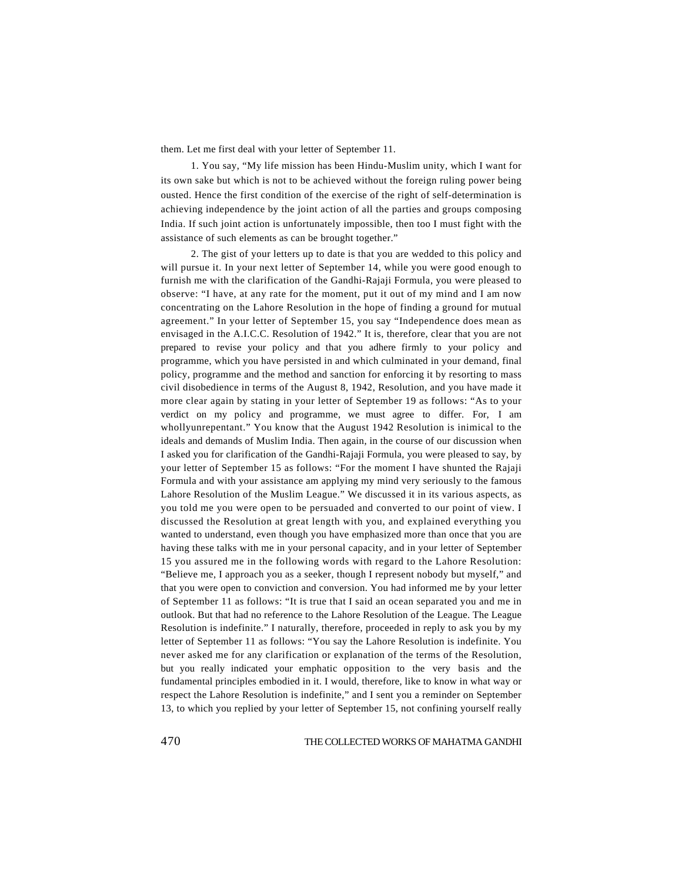them. Let me first deal with your letter of September 11.

1. You say, "My life mission has been Hindu-Muslim unity, which I want for its own sake but which is not to be achieved without the foreign ruling power being ousted. Hence the first condition of the exercise of the right of self-determination is achieving independence by the joint action of all the parties and groups composing India. If such joint action is unfortunately impossible, then too I must fight with the assistance of such elements as can be brought together."

2. The gist of your letters up to date is that you are wedded to this policy and will pursue it. In your next letter of September 14, while you were good enough to furnish me with the clarification of the Gandhi-Rajaji Formula, you were pleased to observe: "I have, at any rate for the moment, put it out of my mind and I am now concentrating on the Lahore Resolution in the hope of finding a ground for mutual agreement." In your letter of September 15, you say "Independence does mean as envisaged in the A.I.C.C. Resolution of 1942." It is, therefore, clear that you are not prepared to revise your policy and that you adhere firmly to your policy and programme, which you have persisted in and which culminated in your demand, final policy, programme and the method and sanction for enforcing it by resorting to mass civil disobedience in terms of the August 8, 1942, Resolution, and you have made it more clear again by stating in your letter of September 19 as follows: "As to your verdict on my policy and programme, we must agree to differ. For, I am whollyunrepentant." You know that the August 1942 Resolution is inimical to the ideals and demands of Muslim India. Then again, in the course of our discussion when I asked you for clarification of the Gandhi-Rajaji Formula, you were pleased to say, by your letter of September 15 as follows: "For the moment I have shunted the Rajaji Formula and with your assistance am applying my mind very seriously to the famous Lahore Resolution of the Muslim League." We discussed it in its various aspects, as you told me you were open to be persuaded and converted to our point of view. I discussed the Resolution at great length with you, and explained everything you wanted to understand, even though you have emphasized more than once that you are having these talks with me in your personal capacity, and in your letter of September 15 you assured me in the following words with regard to the Lahore Resolution: "Believe me, I approach you as a seeker, though I represent nobody but myself," and that you were open to conviction and conversion. You had informed me by your letter of September 11 as follows: "It is true that I said an ocean separated you and me in outlook. But that had no reference to the Lahore Resolution of the League. The League Resolution is indefinite." I naturally, therefore, proceeded in reply to ask you by my letter of September 11 as follows: "You say the Lahore Resolution is indefinite. You never asked me for any clarification or explanation of the terms of the Resolution, but you really indicated your emphatic opposition to the very basis and the fundamental principles embodied in it. I would, therefore, like to know in what way or respect the Lahore Resolution is indefinite," and I sent you a reminder on September 13, to which you replied by your letter of September 15, not confining yourself really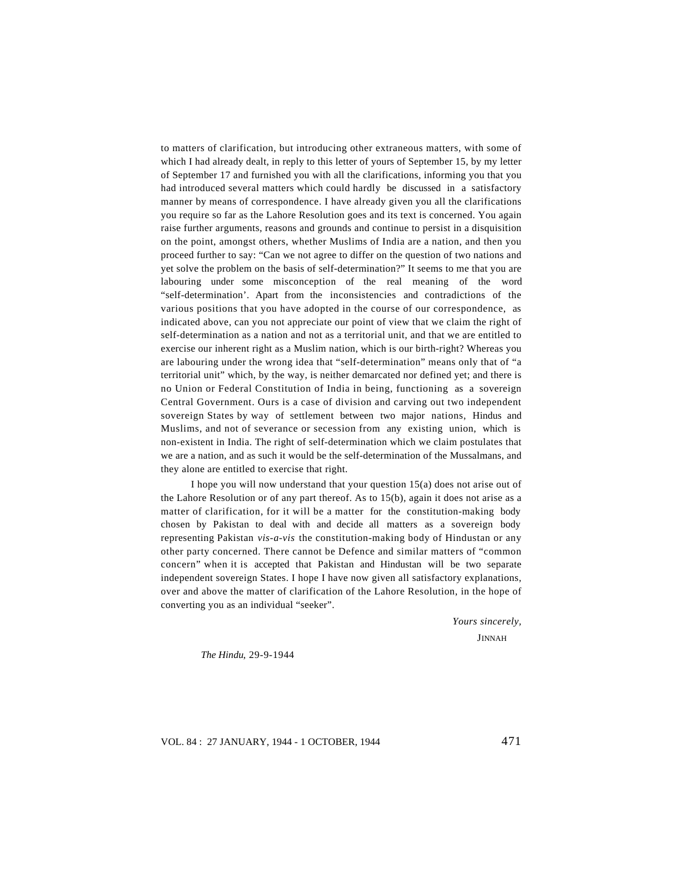to matters of clarification, but introducing other extraneous matters, with some of which I had already dealt, in reply to this letter of yours of September 15, by my letter of September 17 and furnished you with all the clarifications, informing you that you had introduced several matters which could hardly be discussed in a satisfactory manner by means of correspondence. I have already given you all the clarifications you require so far as the Lahore Resolution goes and its text is concerned. You again raise further arguments, reasons and grounds and continue to persist in a disquisition on the point, amongst others, whether Muslims of India are a nation, and then you proceed further to say: "Can we not agree to differ on the question of two nations and yet solve the problem on the basis of self-determination?" It seems to me that you are labouring under some misconception of the real meaning of the word "self-determination'. Apart from the inconsistencies and contradictions of the various positions that you have adopted in the course of our correspondence, as indicated above, can you not appreciate our point of view that we claim the right of self-determination as a nation and not as a territorial unit, and that we are entitled to exercise our inherent right as a Muslim nation, which is our birth-right? Whereas you are labouring under the wrong idea that "self-determination" means only that of "a territorial unit" which, by the way, is neither demarcated nor defined yet; and there is no Union or Federal Constitution of India in being, functioning as a sovereign Central Government. Ours is a case of division and carving out two independent sovereign States by way of settlement between two major nations, Hindus and Muslims, and not of severance or secession from any existing union, which is non-existent in India. The right of self-determination which we claim postulates that we are a nation, and as such it would be the self-determination of the Mussalmans, and they alone are entitled to exercise that right.

I hope you will now understand that your question 15(a) does not arise out of the Lahore Resolution or of any part thereof. As to 15(b), again it does not arise as a matter of clarification, for it will be a matter for the constitution-making body chosen by Pakistan to deal with and decide all matters as a sovereign body representing Pakistan *vis-a-vis* the constitution-making body of Hindustan or any other party concerned. There cannot be Defence and similar matters of "common concern" when it is accepted that Pakistan and Hindustan will be two separate independent sovereign States. I hope I have now given all satisfactory explanations, over and above the matter of clarification of the Lahore Resolution, in the hope of converting you as an individual "seeker".

> *Yours sincerely,* **JINNAH**

*The Hindu*, 29-9-1944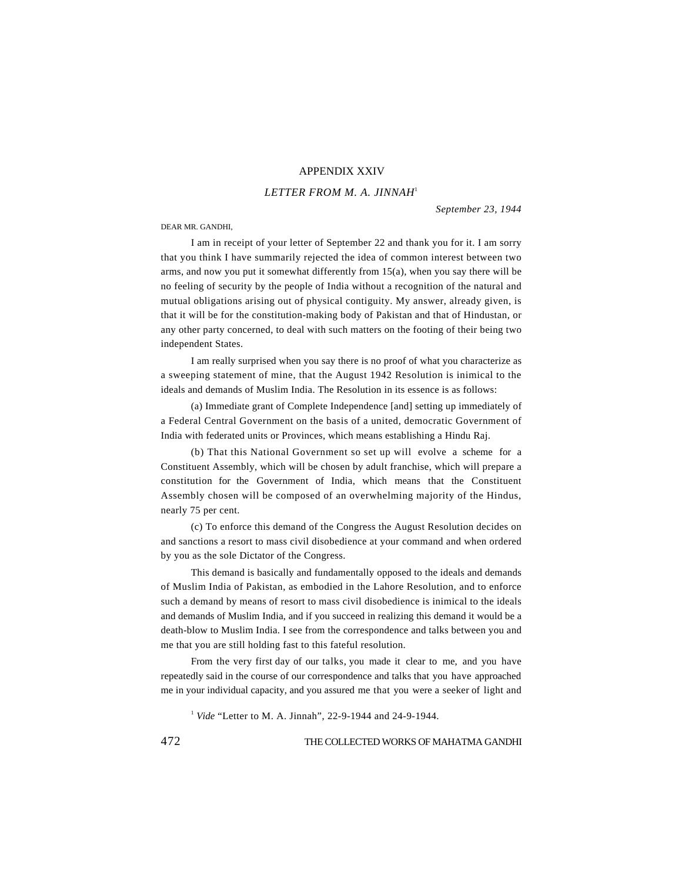## APPENDIX XXIV

# *LETTER FROM M. A. JINNAH*<sup>1</sup>

*September 23, 1944*

DEAR MR. GANDHI,

I am in receipt of your letter of September 22 and thank you for it. I am sorry that you think I have summarily rejected the idea of common interest between two arms, and now you put it somewhat differently from 15(a), when you say there will be no feeling of security by the people of India without a recognition of the natural and mutual obligations arising out of physical contiguity. My answer, already given, is that it will be for the constitution-making body of Pakistan and that of Hindustan, or any other party concerned, to deal with such matters on the footing of their being two independent States.

I am really surprised when you say there is no proof of what you characterize as a sweeping statement of mine, that the August 1942 Resolution is inimical to the ideals and demands of Muslim India. The Resolution in its essence is as follows:

(a) Immediate grant of Complete Independence [and] setting up immediately of a Federal Central Government on the basis of a united, democratic Government of India with federated units or Provinces, which means establishing a Hindu Raj.

(b) That this National Government so set up will evolve a scheme for a Constituent Assembly, which will be chosen by adult franchise, which will prepare a constitution for the Government of India, which means that the Constituent Assembly chosen will be composed of an overwhelming majority of the Hindus, nearly 75 per cent.

(c) To enforce this demand of the Congress the August Resolution decides on and sanctions a resort to mass civil disobedience at your command and when ordered by you as the sole Dictator of the Congress.

This demand is basically and fundamentally opposed to the ideals and demands of Muslim India of Pakistan, as embodied in the Lahore Resolution, and to enforce such a demand by means of resort to mass civil disobedience is inimical to the ideals and demands of Muslim India, and if you succeed in realizing this demand it would be a death-blow to Muslim India. I see from the correspondence and talks between you and me that you are still holding fast to this fateful resolution.

From the very first day of our talks, you made it clear to me, and you have repeatedly said in the course of our correspondence and talks that you have approached me in your individual capacity, and you assured me that you were a seeker of light and

<sup>1</sup> *Vide* "Letter to M. A. Jinnah", 22-9-1944 and 24-9-1944.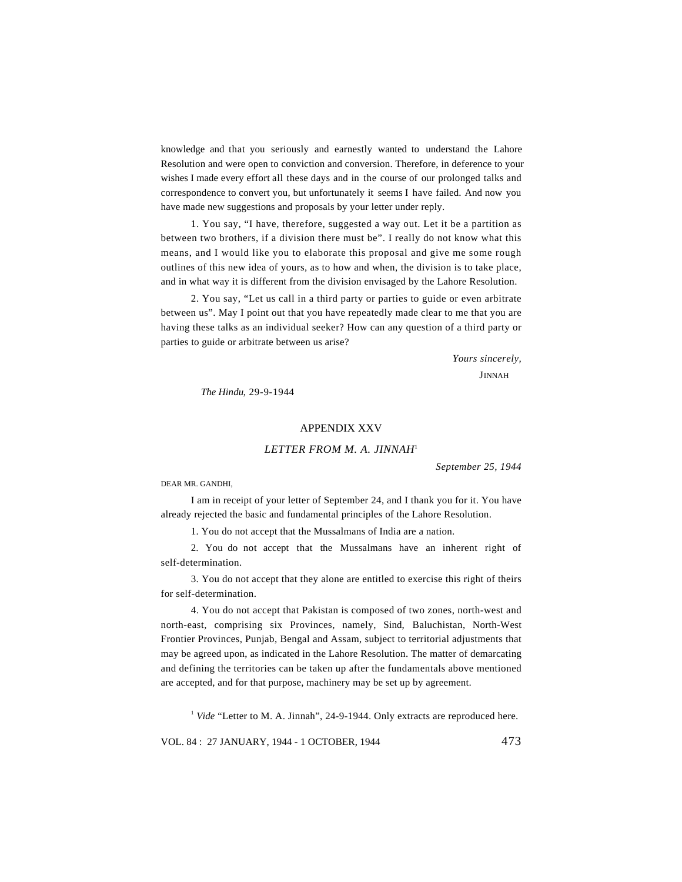knowledge and that you seriously and earnestly wanted to understand the Lahore Resolution and were open to conviction and conversion. Therefore, in deference to your wishes I made every effort all these days and in the course of our prolonged talks and correspondence to convert you, but unfortunately it seems I have failed. And now you have made new suggestions and proposals by your letter under reply.

1. You say, "I have, therefore, suggested a way out. Let it be a partition as between two brothers, if a division there must be". I really do not know what this means, and I would like you to elaborate this proposal and give me some rough outlines of this new idea of yours, as to how and when, the division is to take place, and in what way it is different from the division envisaged by the Lahore Resolution.

2. You say, "Let us call in a third party or parties to guide or even arbitrate between us". May I point out that you have repeatedly made clear to me that you are having these talks as an individual seeker? How can any question of a third party or parties to guide or arbitrate between us arise?

> *Yours sincerely,* JINNAH

*The Hindu*, 29-9-1944

#### APPENDIX XXV

### *LETTER FROM M. A. JINNAH*<sup>1</sup>

*September 25, 1944*

DEAR MR. GANDHI,

I am in receipt of your letter of September 24, and I thank you for it. You have already rejected the basic and fundamental principles of the Lahore Resolution.

1. You do not accept that the Mussalmans of India are a nation.

2. You do not accept that the Mussalmans have an inherent right of self-determination.

3. You do not accept that they alone are entitled to exercise this right of theirs for self-determination.

4. You do not accept that Pakistan is composed of two zones, north-west and north-east, comprising six Provinces, namely, Sind, Baluchistan, North-West Frontier Provinces, Punjab, Bengal and Assam, subject to territorial adjustments that may be agreed upon, as indicated in the Lahore Resolution. The matter of demarcating and defining the territories can be taken up after the fundamentals above mentioned are accepted, and for that purpose, machinery may be set up by agreement.

<sup>1</sup> Vide "Letter to M. A. Jinnah", 24-9-1944. Only extracts are reproduced here.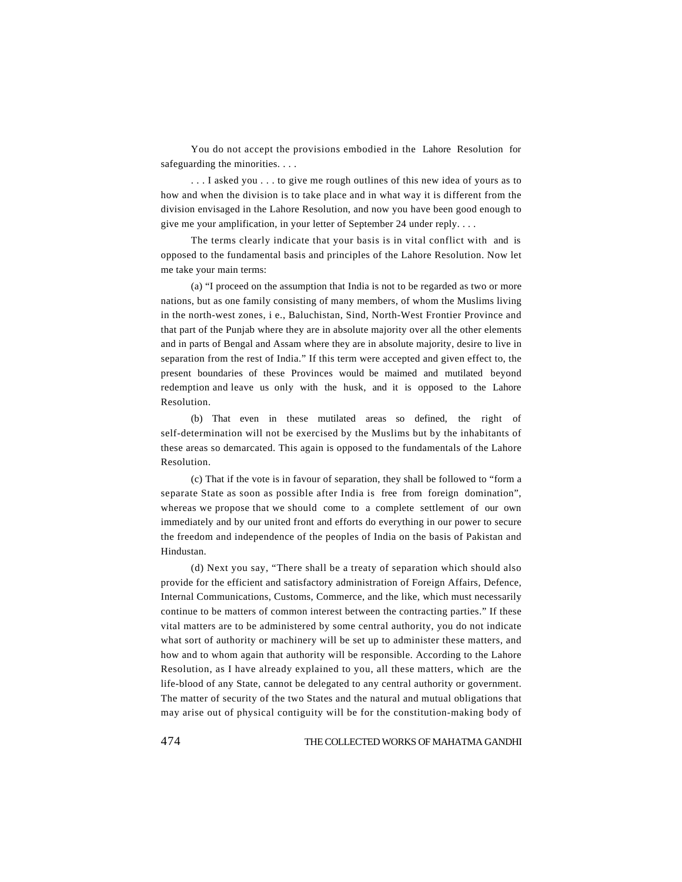You do not accept the provisions embodied in the Lahore Resolution for safeguarding the minorities. . . .

. . . I asked you . . . to give me rough outlines of this new idea of yours as to how and when the division is to take place and in what way it is different from the division envisaged in the Lahore Resolution, and now you have been good enough to give me your amplification, in your letter of September 24 under reply. . . .

The terms clearly indicate that your basis is in vital conflict with and is opposed to the fundamental basis and principles of the Lahore Resolution. Now let me take your main terms:

(a) "I proceed on the assumption that India is not to be regarded as two or more nations, but as one family consisting of many members, of whom the Muslims living in the north-west zones, i e., Baluchistan, Sind, North-West Frontier Province and that part of the Punjab where they are in absolute majority over all the other elements and in parts of Bengal and Assam where they are in absolute majority, desire to live in separation from the rest of India." If this term were accepted and given effect to, the present boundaries of these Provinces would be maimed and mutilated beyond redemption and leave us only with the husk, and it is opposed to the Lahore Resolution.

(b) That even in these mutilated areas so defined, the right of self-determination will not be exercised by the Muslims but by the inhabitants of these areas so demarcated. This again is opposed to the fundamentals of the Lahore Resolution.

(c) That if the vote is in favour of separation, they shall be followed to "form a separate State as soon as possible after India is free from foreign domination", whereas we propose that we should come to a complete settlement of our own immediately and by our united front and efforts do everything in our power to secure the freedom and independence of the peoples of India on the basis of Pakistan and Hindustan.

(d) Next you say, "There shall be a treaty of separation which should also provide for the efficient and satisfactory administration of Foreign Affairs, Defence, Internal Communications, Customs, Commerce, and the like, which must necessarily continue to be matters of common interest between the contracting parties." If these vital matters are to be administered by some central authority, you do not indicate what sort of authority or machinery will be set up to administer these matters, and how and to whom again that authority will be responsible. According to the Lahore Resolution, as I have already explained to you, all these matters, which are the life-blood of any State, cannot be delegated to any central authority or government. The matter of security of the two States and the natural and mutual obligations that may arise out of physical contiguity will be for the constitution-making body of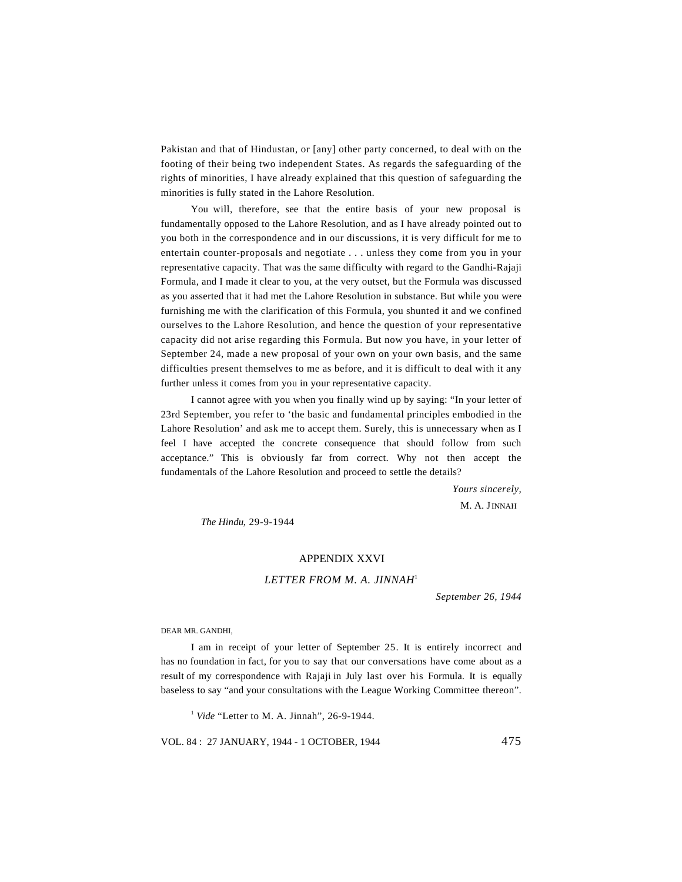Pakistan and that of Hindustan, or [any] other party concerned, to deal with on the footing of their being two independent States. As regards the safeguarding of the rights of minorities, I have already explained that this question of safeguarding the minorities is fully stated in the Lahore Resolution.

You will, therefore, see that the entire basis of your new proposal is fundamentally opposed to the Lahore Resolution, and as I have already pointed out to you both in the correspondence and in our discussions, it is very difficult for me to entertain counter-proposals and negotiate . . . unless they come from you in your representative capacity. That was the same difficulty with regard to the Gandhi-Rajaji Formula, and I made it clear to you, at the very outset, but the Formula was discussed as you asserted that it had met the Lahore Resolution in substance. But while you were furnishing me with the clarification of this Formula, you shunted it and we confined ourselves to the Lahore Resolution, and hence the question of your representative capacity did not arise regarding this Formula. But now you have, in your letter of September 24, made a new proposal of your own on your own basis, and the same difficulties present themselves to me as before, and it is difficult to deal with it any further unless it comes from you in your representative capacity.

I cannot agree with you when you finally wind up by saying: "In your letter of 23rd September, you refer to 'the basic and fundamental principles embodied in the Lahore Resolution' and ask me to accept them. Surely, this is unnecessary when as I feel I have accepted the concrete consequence that should follow from such acceptance." This is obviously far from correct. Why not then accept the fundamentals of the Lahore Resolution and proceed to settle the details?

> *Yours sincerely,* M. A. JINNAH

*The Hindu*, 29-9-1944

### APPENDIX XXVI

## *LETTER FROM M. A. JINNAH*<sup>1</sup>

*September 26, 1944*

DEAR MR. GANDHI,

I am in receipt of your letter of September 25. It is entirely incorrect and has no foundation in fact, for you to say that our conversations have come about as a result of my correspondence with Rajaji in July last over his Formula. It is equally baseless to say "and your consultations with the League Working Committee thereon".

<sup>1</sup> *Vide* "Letter to M. A. Jinnah", 26-9-1944.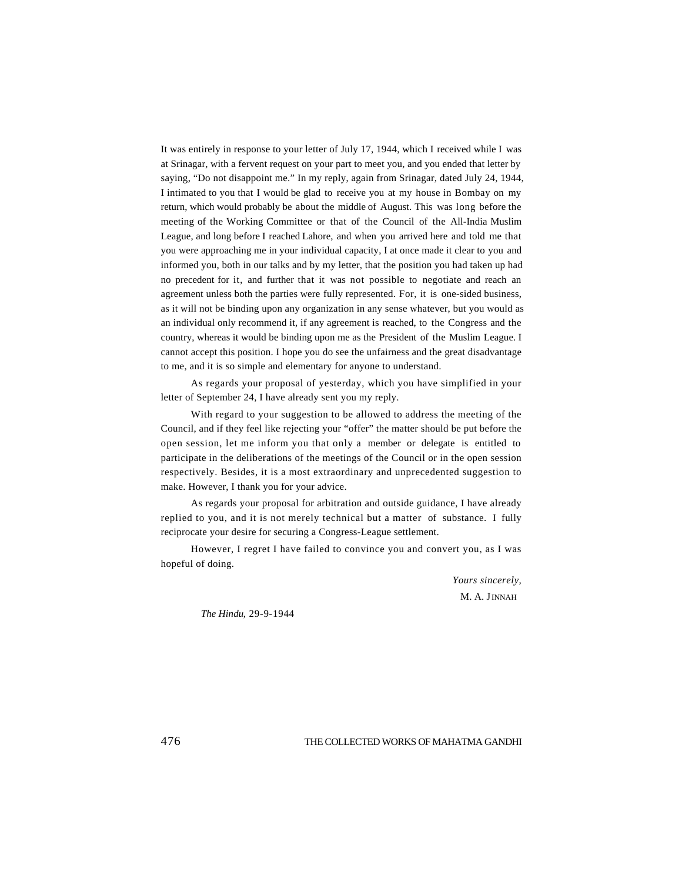It was entirely in response to your letter of July 17, 1944, which I received while I was at Srinagar, with a fervent request on your part to meet you, and you ended that letter by saying, "Do not disappoint me." In my reply, again from Srinagar, dated July 24, 1944, I intimated to you that I would be glad to receive you at my house in Bombay on my return, which would probably be about the middle of August. This was long before the meeting of the Working Committee or that of the Council of the All-India Muslim League, and long before I reached Lahore, and when you arrived here and told me that you were approaching me in your individual capacity, I at once made it clear to you and informed you, both in our talks and by my letter, that the position you had taken up had no precedent for it, and further that it was not possible to negotiate and reach an agreement unless both the parties were fully represented. For, it is one-sided business, as it will not be binding upon any organization in any sense whatever, but you would as an individual only recommend it, if any agreement is reached, to the Congress and the country, whereas it would be binding upon me as the President of the Muslim League. I cannot accept this position. I hope you do see the unfairness and the great disadvantage to me, and it is so simple and elementary for anyone to understand.

As regards your proposal of yesterday, which you have simplified in your letter of September 24, I have already sent you my reply.

With regard to your suggestion to be allowed to address the meeting of the Council, and if they feel like rejecting your "offer" the matter should be put before the open session, let me inform you that only a member or delegate is entitled to participate in the deliberations of the meetings of the Council or in the open session respectively. Besides, it is a most extraordinary and unprecedented suggestion to make. However, I thank you for your advice.

As regards your proposal for arbitration and outside guidance, I have already replied to you, and it is not merely technical but a matter of substance. I fully reciprocate your desire for securing a Congress-League settlement.

However, I regret I have failed to convince you and convert you, as I was hopeful of doing.

> *Yours sincerely,* M. A. JINNAH

*The Hindu*, 29-9-1944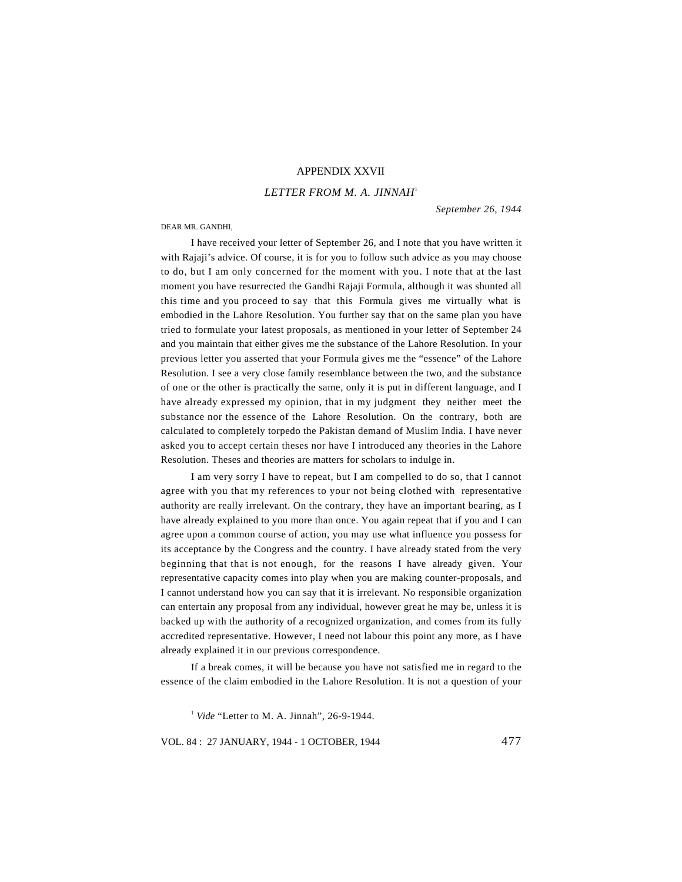## APPENDIX XXVII

## *LETTER FROM M. A. JINNAH*<sup>1</sup>

*September 26, 1944*

#### DEAR MR. GANDHI,

I have received your letter of September 26, and I note that you have written it with Rajaji's advice. Of course, it is for you to follow such advice as you may choose to do, but I am only concerned for the moment with you. I note that at the last moment you have resurrected the Gandhi Rajaji Formula, although it was shunted all this time and you proceed to say that this Formula gives me virtually what is embodied in the Lahore Resolution. You further say that on the same plan you have tried to formulate your latest proposals, as mentioned in your letter of September 24 and you maintain that either gives me the substance of the Lahore Resolution. In your previous letter you asserted that your Formula gives me the "essence" of the Lahore Resolution. I see a very close family resemblance between the two, and the substance of one or the other is practically the same, only it is put in different language, and I have already expressed my opinion, that in my judgment they neither meet the substance nor the essence of the Lahore Resolution. On the contrary, both are calculated to completely torpedo the Pakistan demand of Muslim India. I have never asked you to accept certain theses nor have I introduced any theories in the Lahore Resolution. Theses and theories are matters for scholars to indulge in.

I am very sorry I have to repeat, but I am compelled to do so, that I cannot agree with you that my references to your not being clothed with representative authority are really irrelevant. On the contrary, they have an important bearing, as I have already explained to you more than once. You again repeat that if you and I can agree upon a common course of action, you may use what influence you possess for its acceptance by the Congress and the country. I have already stated from the very beginning that that is not enough, for the reasons I have already given. Your representative capacity comes into play when you are making counter-proposals, and I cannot understand how you can say that it is irrelevant. No responsible organization can entertain any proposal from any individual, however great he may be, unless it is backed up with the authority of a recognized organization, and comes from its fully accredited representative. However, I need not labour this point any more, as I have already explained it in our previous correspondence.

If a break comes, it will be because you have not satisfied me in regard to the essence of the claim embodied in the Lahore Resolution. It is not a question of your

<sup>1</sup> *Vide* "Letter to M. A. Jinnah", 26-9-1944.